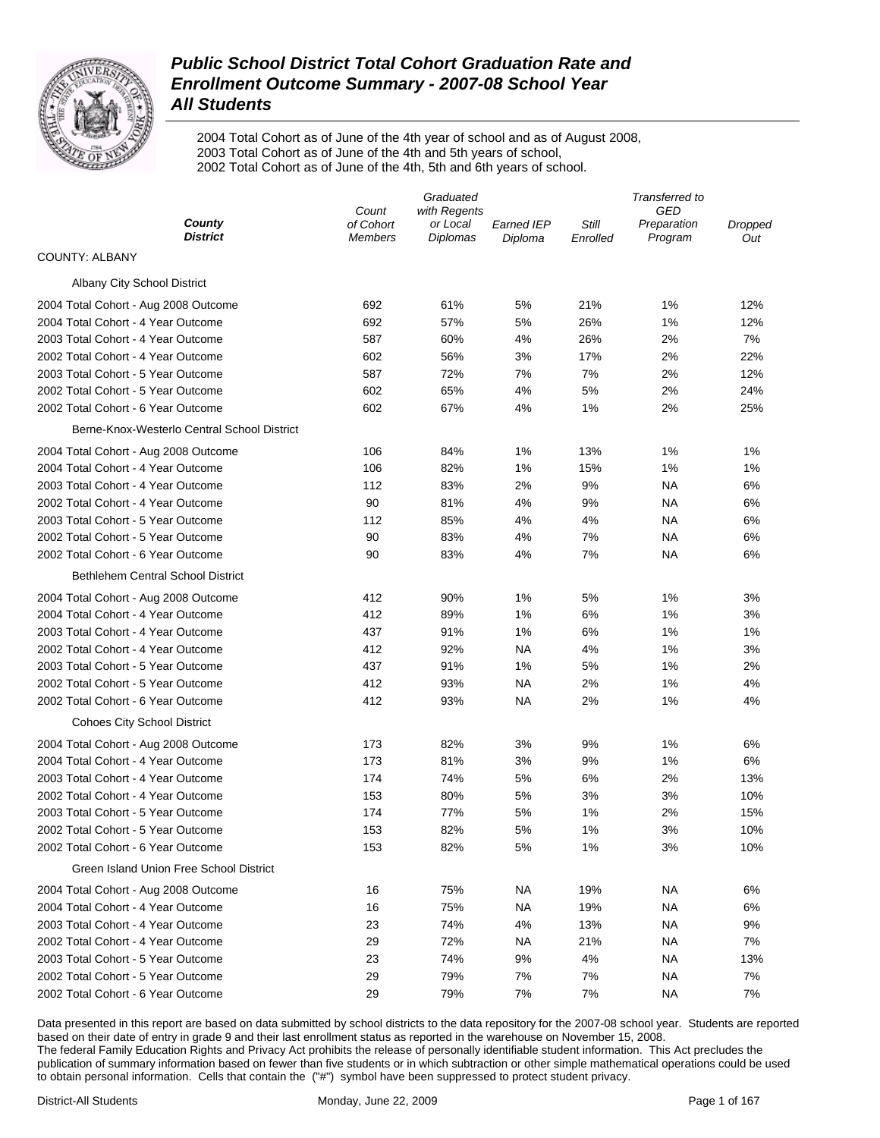

2004 Total Cohort as of June of the 4th year of school and as of August 2008, 2003 Total Cohort as of June of the 4th and 5th years of school, 2002 Total Cohort as of June of the 4th, 5th and 6th years of school.

|                                             |                             | Graduated                   |                       |                   | Transferred to         |                |  |
|---------------------------------------------|-----------------------------|-----------------------------|-----------------------|-------------------|------------------------|----------------|--|
|                                             | Count                       | with Regents                |                       |                   | GED                    |                |  |
| County<br><b>District</b>                   | of Cohort<br><b>Members</b> | or Local<br><b>Diplomas</b> | Earned IEP<br>Diploma | Still<br>Enrolled | Preparation<br>Program | Dropped<br>Out |  |
| <b>COUNTY: ALBANY</b>                       |                             |                             |                       |                   |                        |                |  |
| Albany City School District                 |                             |                             |                       |                   |                        |                |  |
| 2004 Total Cohort - Aug 2008 Outcome        | 692                         | 61%                         | 5%                    | 21%               | 1%                     | 12%            |  |
| 2004 Total Cohort - 4 Year Outcome          | 692                         | 57%                         | 5%                    | 26%               | 1%                     | 12%            |  |
| 2003 Total Cohort - 4 Year Outcome          | 587                         | 60%                         | 4%                    | 26%               | 2%                     | 7%             |  |
| 2002 Total Cohort - 4 Year Outcome          | 602                         | 56%                         | 3%                    | 17%               | 2%                     | 22%            |  |
| 2003 Total Cohort - 5 Year Outcome          | 587                         | 72%                         | 7%                    | 7%                | 2%                     | 12%            |  |
| 2002 Total Cohort - 5 Year Outcome          | 602                         | 65%                         | 4%                    | 5%                | 2%                     | 24%            |  |
| 2002 Total Cohort - 6 Year Outcome          | 602                         | 67%                         | 4%                    | 1%                | 2%                     | 25%            |  |
| Berne-Knox-Westerlo Central School District |                             |                             |                       |                   |                        |                |  |
| 2004 Total Cohort - Aug 2008 Outcome        | 106                         | 84%                         | 1%                    | 13%               | 1%                     | 1%             |  |
| 2004 Total Cohort - 4 Year Outcome          | 106                         | 82%                         | 1%                    | 15%               | 1%                     | 1%             |  |
| 2003 Total Cohort - 4 Year Outcome          | 112                         | 83%                         | 2%                    | 9%                | ΝA                     | 6%             |  |
| 2002 Total Cohort - 4 Year Outcome          | 90                          | 81%                         | 4%                    | 9%                | ΝA                     | 6%             |  |
| 2003 Total Cohort - 5 Year Outcome          | 112                         | 85%                         | 4%                    | 4%                | ΝA                     | 6%             |  |
| 2002 Total Cohort - 5 Year Outcome          | 90                          | 83%                         | 4%                    | 7%                | ΝA                     | 6%             |  |
| 2002 Total Cohort - 6 Year Outcome          | 90                          | 83%                         | 4%                    | 7%                | ΝA                     | 6%             |  |
| <b>Bethlehem Central School District</b>    |                             |                             |                       |                   |                        |                |  |
| 2004 Total Cohort - Aug 2008 Outcome        | 412                         | 90%                         | 1%                    | 5%                | 1%                     | 3%             |  |
| 2004 Total Cohort - 4 Year Outcome          | 412                         | 89%                         | 1%                    | 6%                | 1%                     | 3%             |  |
| 2003 Total Cohort - 4 Year Outcome          | 437                         | 91%                         | 1%                    | 6%                | 1%                     | 1%             |  |
| 2002 Total Cohort - 4 Year Outcome          | 412                         | 92%                         | NA                    | 4%                | 1%                     | 3%             |  |
| 2003 Total Cohort - 5 Year Outcome          | 437                         | 91%                         | 1%                    | 5%                | 1%                     | 2%             |  |
| 2002 Total Cohort - 5 Year Outcome          | 412                         | 93%                         | NA                    | 2%                | 1%                     | 4%             |  |
| 2002 Total Cohort - 6 Year Outcome          | 412                         | 93%                         | NA                    | 2%                | 1%                     | 4%             |  |
| <b>Cohoes City School District</b>          |                             |                             |                       |                   |                        |                |  |
| 2004 Total Cohort - Aug 2008 Outcome        | 173                         | 82%                         | 3%                    | 9%                | 1%                     | 6%             |  |
| 2004 Total Cohort - 4 Year Outcome          | 173                         | 81%                         | 3%                    | 9%                | 1%                     | 6%             |  |
| 2003 Total Cohort - 4 Year Outcome          | 174                         | 74%                         | 5%                    | 6%                | 2%                     | 13%            |  |
| 2002 Total Cohort - 4 Year Outcome          | 153                         | 80%                         | 5%                    | 3%                | 3%                     | 10%            |  |
| 2003 Total Cohort - 5 Year Outcome          | 174                         | 77%                         | 5%                    | 1%                | 2%                     | 15%            |  |
| 2002 Total Cohort - 5 Year Outcome          | 153                         | 82%                         | 5%                    | 1%                | 3%                     | 10%            |  |
| 2002 Total Cohort - 6 Year Outcome          | 153                         | 82%                         | 5%                    | 1%                | 3%                     | 10%            |  |
| Green Island Union Free School District     |                             |                             |                       |                   |                        |                |  |
| 2004 Total Cohort - Aug 2008 Outcome        | 16                          | 75%                         | NA.                   | 19%               | ΝA                     | 6%             |  |
| 2004 Total Cohort - 4 Year Outcome          | 16                          | 75%                         | NA.                   | 19%               | ΝA                     | 6%             |  |
| 2003 Total Cohort - 4 Year Outcome          | 23                          | 74%                         | 4%                    | 13%               | ΝA                     | 9%             |  |
| 2002 Total Cohort - 4 Year Outcome          | 29                          | 72%                         | NA                    | 21%               | ΝA                     | 7%             |  |
| 2003 Total Cohort - 5 Year Outcome          | 23                          | 74%                         | 9%                    | 4%                | ΝA                     | 13%            |  |
| 2002 Total Cohort - 5 Year Outcome          | 29                          | 79%                         | 7%                    | 7%                | ΝA                     | 7%             |  |
| 2002 Total Cohort - 6 Year Outcome          | 29                          | 79%                         | 7%                    | 7%                | ΝA                     | 7%             |  |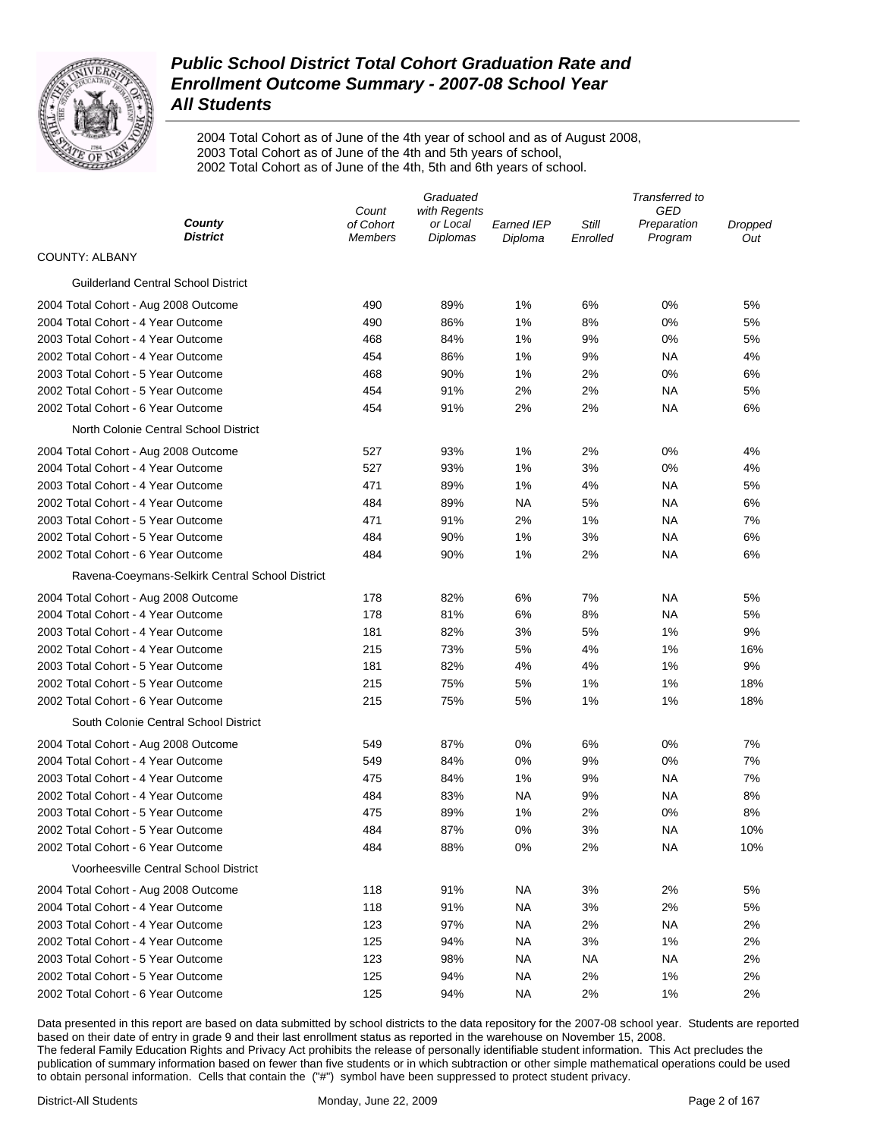

2004 Total Cohort as of June of the 4th year of school and as of August 2008, 2003 Total Cohort as of June of the 4th and 5th years of school, 2002 Total Cohort as of June of the 4th, 5th and 6th years of school.

|                                                 |                             | Graduated                   |                       |                   | Transferred to         |                |  |
|-------------------------------------------------|-----------------------------|-----------------------------|-----------------------|-------------------|------------------------|----------------|--|
|                                                 | Count                       | with Regents                |                       |                   | GED                    |                |  |
| County<br><b>District</b>                       | of Cohort<br><b>Members</b> | or Local<br><b>Diplomas</b> | Earned IEP<br>Diploma | Still<br>Enrolled | Preparation<br>Program | Dropped<br>Out |  |
| <b>COUNTY: ALBANY</b>                           |                             |                             |                       |                   |                        |                |  |
| <b>Guilderland Central School District</b>      |                             |                             |                       |                   |                        |                |  |
| 2004 Total Cohort - Aug 2008 Outcome            | 490                         | 89%                         | 1%                    | 6%                | 0%                     | 5%             |  |
| 2004 Total Cohort - 4 Year Outcome              | 490                         | 86%                         | 1%                    | 8%                | 0%                     | 5%             |  |
| 2003 Total Cohort - 4 Year Outcome              | 468                         | 84%                         | 1%                    | 9%                | 0%                     | 5%             |  |
| 2002 Total Cohort - 4 Year Outcome              | 454                         | 86%                         | 1%                    | 9%                | ΝA                     | 4%             |  |
| 2003 Total Cohort - 5 Year Outcome              | 468                         | 90%                         | 1%                    | 2%                | 0%                     | 6%             |  |
| 2002 Total Cohort - 5 Year Outcome              | 454                         | 91%                         | 2%                    | 2%                | ΝA                     | 5%             |  |
| 2002 Total Cohort - 6 Year Outcome              | 454                         | 91%                         | 2%                    | 2%                | ΝA                     | 6%             |  |
| North Colonie Central School District           |                             |                             |                       |                   |                        |                |  |
| 2004 Total Cohort - Aug 2008 Outcome            | 527                         | 93%                         | 1%                    | 2%                | 0%                     | 4%             |  |
| 2004 Total Cohort - 4 Year Outcome              | 527                         | 93%                         | 1%                    | 3%                | 0%                     | 4%             |  |
| 2003 Total Cohort - 4 Year Outcome              | 471                         | 89%                         | 1%                    | 4%                | ΝA                     | 5%             |  |
| 2002 Total Cohort - 4 Year Outcome              | 484                         | 89%                         | NA                    | 5%                | ΝA                     | 6%             |  |
| 2003 Total Cohort - 5 Year Outcome              | 471                         | 91%                         | 2%                    | 1%                | ΝA                     | 7%             |  |
| 2002 Total Cohort - 5 Year Outcome              | 484                         | 90%                         | 1%                    | 3%                | ΝA                     | 6%             |  |
| 2002 Total Cohort - 6 Year Outcome              | 484                         | 90%                         | 1%                    | 2%                | ΝA                     | 6%             |  |
| Ravena-Coeymans-Selkirk Central School District |                             |                             |                       |                   |                        |                |  |
| 2004 Total Cohort - Aug 2008 Outcome            | 178                         | 82%                         | 6%                    | 7%                | ΝA                     | 5%             |  |
| 2004 Total Cohort - 4 Year Outcome              | 178                         | 81%                         | 6%                    | 8%                | ΝA                     | 5%             |  |
| 2003 Total Cohort - 4 Year Outcome              | 181                         | 82%                         | 3%                    | 5%                | 1%                     | 9%             |  |
| 2002 Total Cohort - 4 Year Outcome              | 215                         | 73%                         | 5%                    | 4%                | 1%                     | 16%            |  |
| 2003 Total Cohort - 5 Year Outcome              | 181                         | 82%                         | 4%                    | 4%                | 1%                     | 9%             |  |
| 2002 Total Cohort - 5 Year Outcome              | 215                         | 75%                         | 5%                    | 1%                | 1%                     | 18%            |  |
| 2002 Total Cohort - 6 Year Outcome              | 215                         | 75%                         | 5%                    | 1%                | 1%                     | 18%            |  |
| South Colonie Central School District           |                             |                             |                       |                   |                        |                |  |
| 2004 Total Cohort - Aug 2008 Outcome            | 549                         | 87%                         | 0%                    | 6%                | 0%                     | 7%             |  |
| 2004 Total Cohort - 4 Year Outcome              | 549                         | 84%                         | 0%                    | 9%                | 0%                     | 7%             |  |
| 2003 Total Cohort - 4 Year Outcome              | 475                         | 84%                         | 1%                    | 9%                | ΝA                     | 7%             |  |
| 2002 Total Cohort - 4 Year Outcome              | 484                         | 83%                         | NA                    | 9%                | ΝA                     | 8%             |  |
| 2003 Total Cohort - 5 Year Outcome              | 475                         | 89%                         | 1%                    | 2%                | 0%                     | 8%             |  |
| 2002 Total Cohort - 5 Year Outcome              | 484                         | 87%                         | 0%                    | 3%                | ΝA                     | 10%            |  |
| 2002 Total Cohort - 6 Year Outcome              | 484                         | 88%                         | 0%                    | 2%                | ΝA                     | 10%            |  |
| <b>Voorheesville Central School District</b>    |                             |                             |                       |                   |                        |                |  |
| 2004 Total Cohort - Aug 2008 Outcome            | 118                         | 91%                         | NA.                   | 3%                | 2%                     | 5%             |  |
| 2004 Total Cohort - 4 Year Outcome              | 118                         | 91%                         | NA.                   | 3%                | 2%                     | 5%             |  |
| 2003 Total Cohort - 4 Year Outcome              | 123                         | 97%                         | NA                    | 2%                | ΝA                     | 2%             |  |
| 2002 Total Cohort - 4 Year Outcome              | 125                         | 94%                         | NA                    | 3%                | 1%                     | 2%             |  |
| 2003 Total Cohort - 5 Year Outcome              | 123                         | 98%                         | NA                    | ΝA                | ΝA                     | 2%             |  |
| 2002 Total Cohort - 5 Year Outcome              | 125                         | 94%                         | NA                    | 2%                | 1%                     | 2%             |  |
| 2002 Total Cohort - 6 Year Outcome              | 125                         | 94%                         | <b>NA</b>             | 2%                | 1%                     | 2%             |  |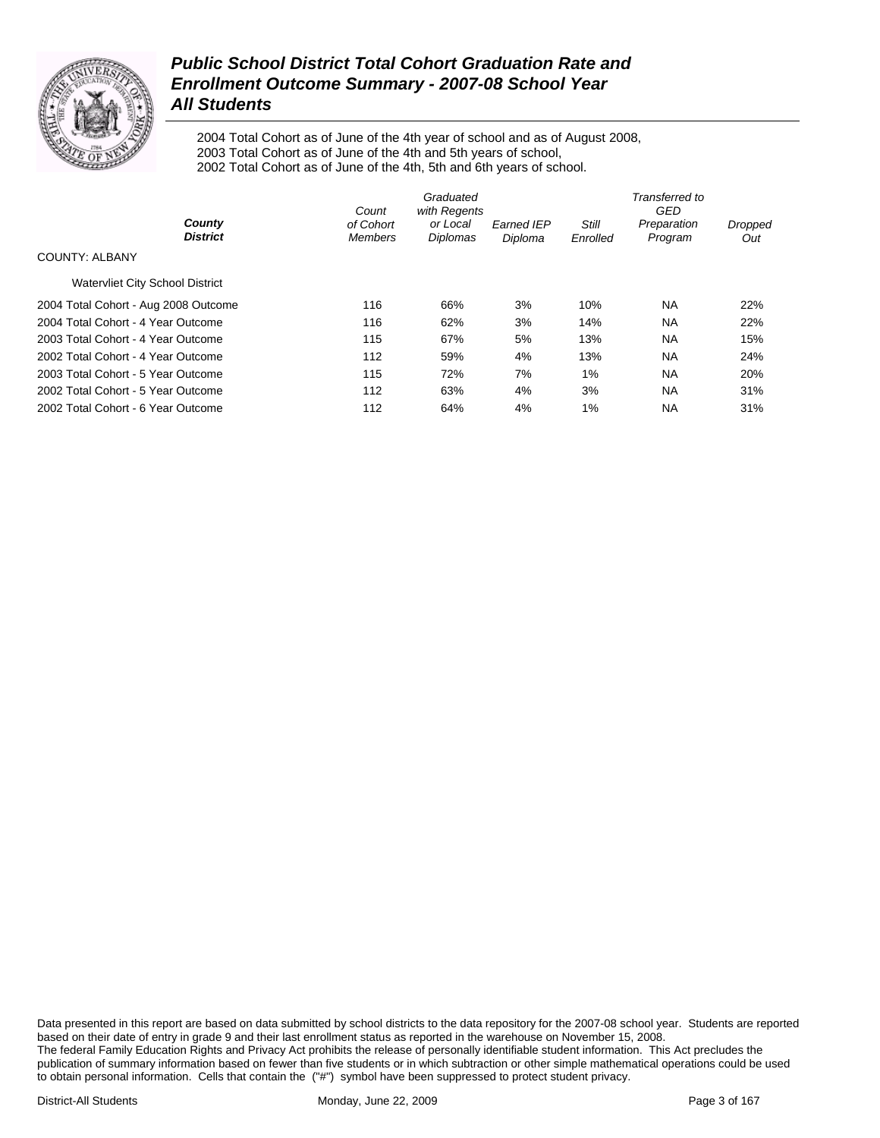

2004 Total Cohort as of June of the 4th year of school and as of August 2008, 2003 Total Cohort as of June of the 4th and 5th years of school, 2002 Total Cohort as of June of the 4th, 5th and 6th years of school.

|                                        | Count                       | Graduated<br>with Regents |                              |                          | Transferred to<br>GED  |                |
|----------------------------------------|-----------------------------|---------------------------|------------------------------|--------------------------|------------------------|----------------|
| County<br><b>District</b>              | of Cohort<br><b>Members</b> | or Local<br>Diplomas      | <b>Earned IEP</b><br>Diploma | <b>Still</b><br>Enrolled | Preparation<br>Program | Dropped<br>Out |
| <b>COUNTY: ALBANY</b>                  |                             |                           |                              |                          |                        |                |
| <b>Watervliet City School District</b> |                             |                           |                              |                          |                        |                |
| 2004 Total Cohort - Aug 2008 Outcome   | 116                         | 66%                       | 3%                           | 10%                      | NA.                    | 22%            |
| 2004 Total Cohort - 4 Year Outcome     | 116                         | 62%                       | 3%                           | 14%                      | <b>NA</b>              | 22%            |
| 2003 Total Cohort - 4 Year Outcome     | 115                         | 67%                       | 5%                           | 13%                      | <b>NA</b>              | 15%            |
| 2002 Total Cohort - 4 Year Outcome     | 112                         | 59%                       | 4%                           | 13%                      | <b>NA</b>              | 24%            |
| 2003 Total Cohort - 5 Year Outcome     | 115                         | 72%                       | 7%                           | 1%                       | <b>NA</b>              | 20%            |
| 2002 Total Cohort - 5 Year Outcome     | 112                         | 63%                       | 4%                           | 3%                       | <b>NA</b>              | 31%            |
| 2002 Total Cohort - 6 Year Outcome     | 112                         | 64%                       | 4%                           | 1%                       | <b>NA</b>              | 31%            |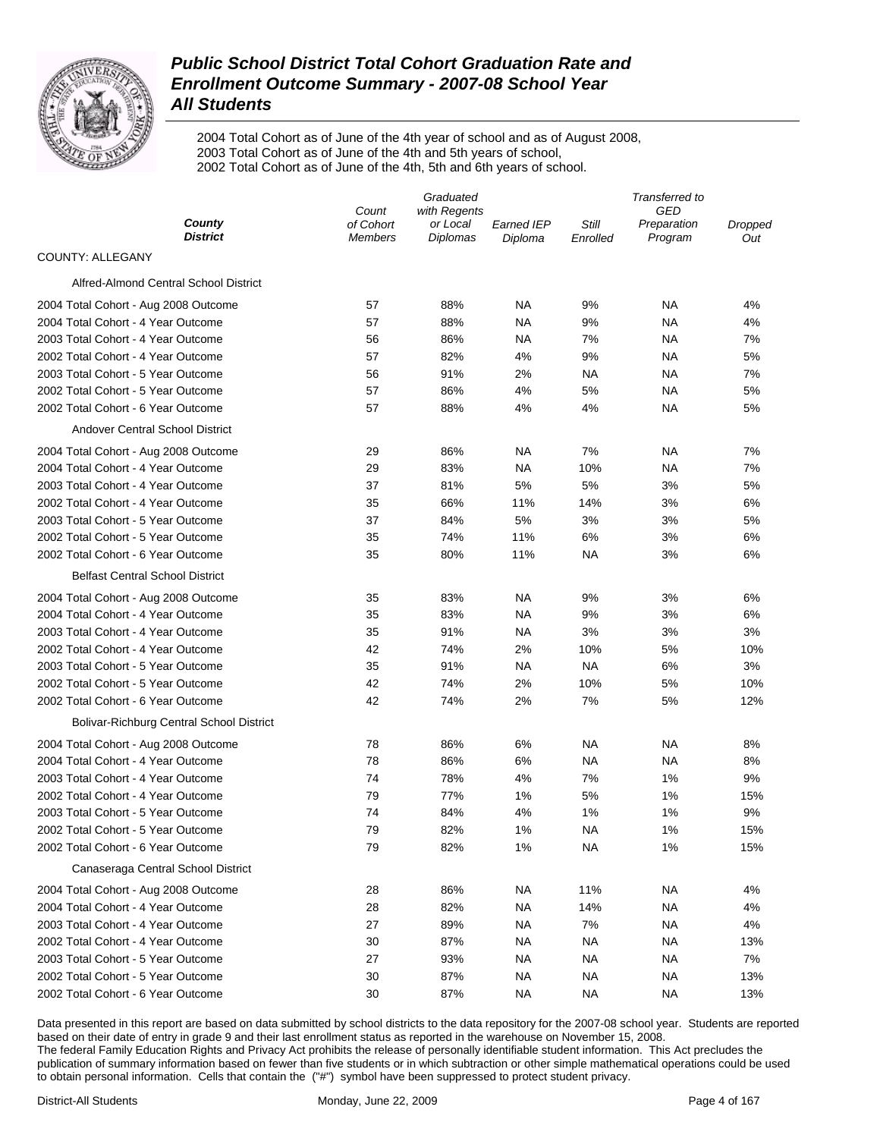

2004 Total Cohort as of June of the 4th year of school and as of August 2008, 2003 Total Cohort as of June of the 4th and 5th years of school, 2002 Total Cohort as of June of the 4th, 5th and 6th years of school.

|                                          |                    | Graduated                |                   |           | Transferred to     |                |
|------------------------------------------|--------------------|--------------------------|-------------------|-----------|--------------------|----------------|
| County                                   | Count<br>of Cohort | with Regents<br>or Local | <b>Earned IEP</b> | Still     | GED<br>Preparation | <b>Dropped</b> |
| <b>District</b>                          | Members            | Diplomas                 | Diploma           | Enrolled  | Program            | Out            |
| COUNTY: ALLEGANY                         |                    |                          |                   |           |                    |                |
| Alfred-Almond Central School District    |                    |                          |                   |           |                    |                |
| 2004 Total Cohort - Aug 2008 Outcome     | 57                 | 88%                      | <b>NA</b>         | 9%        | ΝA                 | 4%             |
| 2004 Total Cohort - 4 Year Outcome       | 57                 | 88%                      | ΝA                | 9%        | ΝA                 | 4%             |
| 2003 Total Cohort - 4 Year Outcome       | 56                 | 86%                      | NA                | 7%        | NA                 | 7%             |
| 2002 Total Cohort - 4 Year Outcome       | 57                 | 82%                      | 4%                | 9%        | ΝA                 | 5%             |
| 2003 Total Cohort - 5 Year Outcome       | 56                 | 91%                      | 2%                | NA        | NA                 | 7%             |
| 2002 Total Cohort - 5 Year Outcome       | 57                 | 86%                      | 4%                | 5%        | NA                 | 5%             |
| 2002 Total Cohort - 6 Year Outcome       | 57                 | 88%                      | 4%                | 4%        | ΝA                 | 5%             |
| Andover Central School District          |                    |                          |                   |           |                    |                |
| 2004 Total Cohort - Aug 2008 Outcome     | 29                 | 86%                      | <b>NA</b>         | 7%        | ΝA                 | 7%             |
| 2004 Total Cohort - 4 Year Outcome       | 29                 | 83%                      | <b>NA</b>         | 10%       | ΝA                 | 7%             |
| 2003 Total Cohort - 4 Year Outcome       | 37                 | 81%                      | 5%                | 5%        | 3%                 | 5%             |
| 2002 Total Cohort - 4 Year Outcome       | 35                 | 66%                      | 11%               | 14%       | 3%                 | 6%             |
| 2003 Total Cohort - 5 Year Outcome       | 37                 | 84%                      | $5\%$             | 3%        | 3%                 | 5%             |
| 2002 Total Cohort - 5 Year Outcome       | 35                 | 74%                      | 11%               | 6%        | 3%                 | 6%             |
| 2002 Total Cohort - 6 Year Outcome       | 35                 | 80%                      | 11%               | NA        | 3%                 | 6%             |
| <b>Belfast Central School District</b>   |                    |                          |                   |           |                    |                |
| 2004 Total Cohort - Aug 2008 Outcome     | 35                 | 83%                      | <b>NA</b>         | 9%        | 3%                 | 6%             |
| 2004 Total Cohort - 4 Year Outcome       | 35                 | 83%                      | <b>NA</b>         | 9%        | 3%                 | 6%             |
| 2003 Total Cohort - 4 Year Outcome       | 35                 | 91%                      | NA                | 3%        | 3%                 | 3%             |
| 2002 Total Cohort - 4 Year Outcome       | 42                 | 74%                      | 2%                | 10%       | 5%                 | 10%            |
| 2003 Total Cohort - 5 Year Outcome       | 35                 | 91%                      | <b>NA</b>         | NA        | 6%                 | 3%             |
| 2002 Total Cohort - 5 Year Outcome       | 42                 | 74%                      | 2%                | 10%       | 5%                 | 10%            |
| 2002 Total Cohort - 6 Year Outcome       | 42                 | 74%                      | 2%                | 7%        | 5%                 | 12%            |
| Bolivar-Richburg Central School District |                    |                          |                   |           |                    |                |
| 2004 Total Cohort - Aug 2008 Outcome     | 78                 | 86%                      | 6%                | <b>NA</b> | <b>NA</b>          | 8%             |
| 2004 Total Cohort - 4 Year Outcome       | 78                 | 86%                      | 6%                | NA        | ΝA                 | 8%             |
| 2003 Total Cohort - 4 Year Outcome       | 74                 | 78%                      | 4%                | 7%        | 1%                 | 9%             |
| 2002 Total Cohort - 4 Year Outcome       | 79                 | 77%                      | 1%                | 5%        | 1%                 | 15%            |
| 2003 Total Cohort - 5 Year Outcome       | 74                 | 84%                      | 4%                | 1%        | 1%                 | 9%             |
| 2002 Total Cohort - 5 Year Outcome       | 79                 | 82%                      | 1%                | ΝA        | 1%                 | 15%            |
| 2002 Total Cohort - 6 Year Outcome       | 79                 | 82%                      | 1%                | <b>NA</b> | 1%                 | 15%            |
| Canaseraga Central School District       |                    |                          |                   |           |                    |                |
| 2004 Total Cohort - Aug 2008 Outcome     | 28                 | 86%                      | <b>NA</b>         | 11%       | NA                 | 4%             |
| 2004 Total Cohort - 4 Year Outcome       | 28                 | 82%                      | <b>NA</b>         | 14%       | NA                 | 4%             |
| 2003 Total Cohort - 4 Year Outcome       | 27                 | 89%                      | <b>NA</b>         | 7%        | <b>NA</b>          | 4%             |
| 2002 Total Cohort - 4 Year Outcome       | 30                 | 87%                      | <b>NA</b>         | NA        | ΝA                 | 13%            |
| 2003 Total Cohort - 5 Year Outcome       | 27                 | 93%                      | <b>NA</b>         | <b>NA</b> | <b>NA</b>          | 7%             |
| 2002 Total Cohort - 5 Year Outcome       | 30                 | 87%                      | <b>NA</b>         | NА        | <b>NA</b>          | 13%            |
| 2002 Total Cohort - 6 Year Outcome       | 30                 | 87%                      | <b>NA</b>         | <b>NA</b> | <b>NA</b>          | 13%            |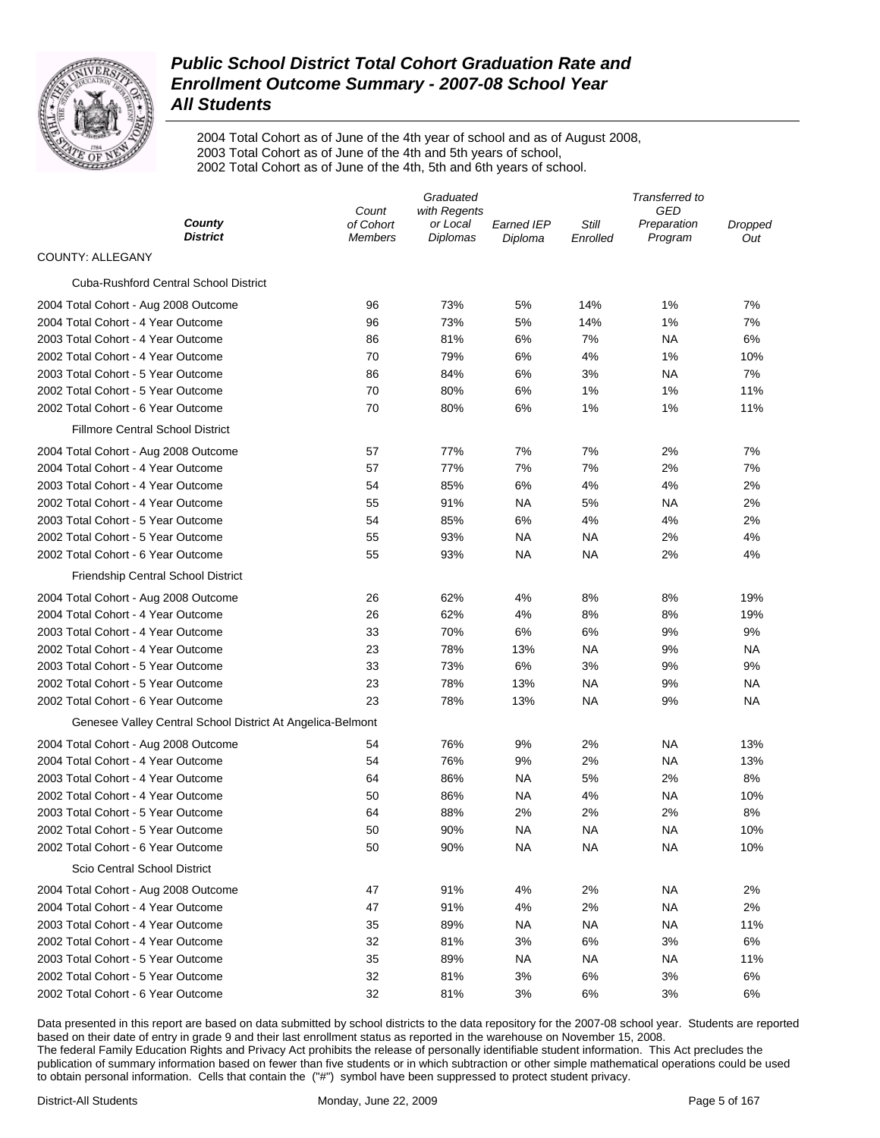

2004 Total Cohort as of June of the 4th year of school and as of August 2008, 2003 Total Cohort as of June of the 4th and 5th years of school, 2002 Total Cohort as of June of the 4th, 5th and 6th years of school.

| GED<br>Count<br>with Regents<br>County<br>of Cohort<br>or Local<br>Still<br>Earned IEP<br>Preparation<br>Dropped<br><b>District</b><br><b>Diplomas</b><br>Program<br><b>Members</b><br>Diploma<br>Enrolled<br>Out<br>COUNTY: ALLEGANY<br><b>Cuba-Rushford Central School District</b><br>73%<br>7%<br>2004 Total Cohort - Aug 2008 Outcome<br>96<br>5%<br>14%<br>1%<br>73%<br>5%<br>14%<br>1%<br>7%<br>2004 Total Cohort - 4 Year Outcome<br>96<br>2003 Total Cohort - 4 Year Outcome<br>86<br>81%<br>6%<br>7%<br>ΝA<br>6%<br>70<br>79%<br>6%<br>4%<br>1%<br>2002 Total Cohort - 4 Year Outcome<br>10%<br>2003 Total Cohort - 5 Year Outcome<br>86<br>84%<br>6%<br>3%<br>ΝA<br>7%<br>2002 Total Cohort - 5 Year Outcome<br>70<br>80%<br>6%<br>1%<br>1%<br>11%<br>2002 Total Cohort - 6 Year Outcome<br>70<br>80%<br>6%<br>1%<br>1%<br>11%<br><b>Fillmore Central School District</b><br>77%<br>7%<br>7%<br>2%<br>7%<br>2004 Total Cohort - Aug 2008 Outcome<br>57<br>2004 Total Cohort - 4 Year Outcome<br>57<br>77%<br>7%<br>7%<br>2%<br>7%<br>2003 Total Cohort - 4 Year Outcome<br>85%<br>6%<br>4%<br>4%<br>2%<br>54<br>2002 Total Cohort - 4 Year Outcome<br>55<br>91%<br>NA<br>5%<br>ΝA<br>2%<br>2003 Total Cohort - 5 Year Outcome<br>85%<br>6%<br>4%<br>4%<br>2%<br>54<br>2002 Total Cohort - 5 Year Outcome<br>55<br>93%<br>NA<br>ΝA<br>2%<br>4%<br>2002 Total Cohort - 6 Year Outcome<br>55<br>93%<br>NA<br>NA<br>2%<br>4%<br><b>Friendship Central School District</b><br>62%<br>2004 Total Cohort - Aug 2008 Outcome<br>26<br>4%<br>8%<br>8%<br>19%<br>62%<br>8%<br>8%<br>19%<br>2004 Total Cohort - 4 Year Outcome<br>26<br>4%<br>2003 Total Cohort - 4 Year Outcome<br>33<br>70%<br>6%<br>6%<br>9%<br>9%<br>2002 Total Cohort - 4 Year Outcome<br>23<br>78%<br>13%<br>NA<br>9%<br>NA<br>$6\%$<br>2003 Total Cohort - 5 Year Outcome<br>33<br>73%<br>3%<br>9%<br>9%<br>23<br>78%<br>13%<br>2002 Total Cohort - 5 Year Outcome<br><b>NA</b><br>9%<br>ΝA<br>23<br>78%<br>13%<br>2002 Total Cohort - 6 Year Outcome<br>NA<br>9%<br>NA<br>Genesee Valley Central School District At Angelica-Belmont<br>76%<br>9%<br>2%<br>NA<br>13%<br>2004 Total Cohort - Aug 2008 Outcome<br>54<br>2004 Total Cohort - 4 Year Outcome<br>54<br>76%<br>9%<br>2%<br><b>NA</b><br>13%<br>5%<br>2%<br>2003 Total Cohort - 4 Year Outcome<br>86%<br><b>NA</b><br>8%<br>64<br>2002 Total Cohort - 4 Year Outcome<br>50<br>86%<br>NA<br>4%<br><b>NA</b><br>10%<br>2%<br>2%<br>8%<br>2003 Total Cohort - 5 Year Outcome<br>64<br>88%<br>2%<br>2002 Total Cohort - 5 Year Outcome<br>50<br>90%<br><b>NA</b><br><b>NA</b><br>ΝA<br>10% |
|-------------------------------------------------------------------------------------------------------------------------------------------------------------------------------------------------------------------------------------------------------------------------------------------------------------------------------------------------------------------------------------------------------------------------------------------------------------------------------------------------------------------------------------------------------------------------------------------------------------------------------------------------------------------------------------------------------------------------------------------------------------------------------------------------------------------------------------------------------------------------------------------------------------------------------------------------------------------------------------------------------------------------------------------------------------------------------------------------------------------------------------------------------------------------------------------------------------------------------------------------------------------------------------------------------------------------------------------------------------------------------------------------------------------------------------------------------------------------------------------------------------------------------------------------------------------------------------------------------------------------------------------------------------------------------------------------------------------------------------------------------------------------------------------------------------------------------------------------------------------------------------------------------------------------------------------------------------------------------------------------------------------------------------------------------------------------------------------------------------------------------------------------------------------------------------------------------------------------------------------------------------------------------------------------------------------------------------------------------------------------------------------------------------------------------------------------------------------------------------------------------------------------------------------------------------------------------------------------------------------------|
|                                                                                                                                                                                                                                                                                                                                                                                                                                                                                                                                                                                                                                                                                                                                                                                                                                                                                                                                                                                                                                                                                                                                                                                                                                                                                                                                                                                                                                                                                                                                                                                                                                                                                                                                                                                                                                                                                                                                                                                                                                                                                                                                                                                                                                                                                                                                                                                                                                                                                                                                                                                                                         |
|                                                                                                                                                                                                                                                                                                                                                                                                                                                                                                                                                                                                                                                                                                                                                                                                                                                                                                                                                                                                                                                                                                                                                                                                                                                                                                                                                                                                                                                                                                                                                                                                                                                                                                                                                                                                                                                                                                                                                                                                                                                                                                                                                                                                                                                                                                                                                                                                                                                                                                                                                                                                                         |
|                                                                                                                                                                                                                                                                                                                                                                                                                                                                                                                                                                                                                                                                                                                                                                                                                                                                                                                                                                                                                                                                                                                                                                                                                                                                                                                                                                                                                                                                                                                                                                                                                                                                                                                                                                                                                                                                                                                                                                                                                                                                                                                                                                                                                                                                                                                                                                                                                                                                                                                                                                                                                         |
|                                                                                                                                                                                                                                                                                                                                                                                                                                                                                                                                                                                                                                                                                                                                                                                                                                                                                                                                                                                                                                                                                                                                                                                                                                                                                                                                                                                                                                                                                                                                                                                                                                                                                                                                                                                                                                                                                                                                                                                                                                                                                                                                                                                                                                                                                                                                                                                                                                                                                                                                                                                                                         |
|                                                                                                                                                                                                                                                                                                                                                                                                                                                                                                                                                                                                                                                                                                                                                                                                                                                                                                                                                                                                                                                                                                                                                                                                                                                                                                                                                                                                                                                                                                                                                                                                                                                                                                                                                                                                                                                                                                                                                                                                                                                                                                                                                                                                                                                                                                                                                                                                                                                                                                                                                                                                                         |
|                                                                                                                                                                                                                                                                                                                                                                                                                                                                                                                                                                                                                                                                                                                                                                                                                                                                                                                                                                                                                                                                                                                                                                                                                                                                                                                                                                                                                                                                                                                                                                                                                                                                                                                                                                                                                                                                                                                                                                                                                                                                                                                                                                                                                                                                                                                                                                                                                                                                                                                                                                                                                         |
|                                                                                                                                                                                                                                                                                                                                                                                                                                                                                                                                                                                                                                                                                                                                                                                                                                                                                                                                                                                                                                                                                                                                                                                                                                                                                                                                                                                                                                                                                                                                                                                                                                                                                                                                                                                                                                                                                                                                                                                                                                                                                                                                                                                                                                                                                                                                                                                                                                                                                                                                                                                                                         |
|                                                                                                                                                                                                                                                                                                                                                                                                                                                                                                                                                                                                                                                                                                                                                                                                                                                                                                                                                                                                                                                                                                                                                                                                                                                                                                                                                                                                                                                                                                                                                                                                                                                                                                                                                                                                                                                                                                                                                                                                                                                                                                                                                                                                                                                                                                                                                                                                                                                                                                                                                                                                                         |
|                                                                                                                                                                                                                                                                                                                                                                                                                                                                                                                                                                                                                                                                                                                                                                                                                                                                                                                                                                                                                                                                                                                                                                                                                                                                                                                                                                                                                                                                                                                                                                                                                                                                                                                                                                                                                                                                                                                                                                                                                                                                                                                                                                                                                                                                                                                                                                                                                                                                                                                                                                                                                         |
|                                                                                                                                                                                                                                                                                                                                                                                                                                                                                                                                                                                                                                                                                                                                                                                                                                                                                                                                                                                                                                                                                                                                                                                                                                                                                                                                                                                                                                                                                                                                                                                                                                                                                                                                                                                                                                                                                                                                                                                                                                                                                                                                                                                                                                                                                                                                                                                                                                                                                                                                                                                                                         |
|                                                                                                                                                                                                                                                                                                                                                                                                                                                                                                                                                                                                                                                                                                                                                                                                                                                                                                                                                                                                                                                                                                                                                                                                                                                                                                                                                                                                                                                                                                                                                                                                                                                                                                                                                                                                                                                                                                                                                                                                                                                                                                                                                                                                                                                                                                                                                                                                                                                                                                                                                                                                                         |
|                                                                                                                                                                                                                                                                                                                                                                                                                                                                                                                                                                                                                                                                                                                                                                                                                                                                                                                                                                                                                                                                                                                                                                                                                                                                                                                                                                                                                                                                                                                                                                                                                                                                                                                                                                                                                                                                                                                                                                                                                                                                                                                                                                                                                                                                                                                                                                                                                                                                                                                                                                                                                         |
|                                                                                                                                                                                                                                                                                                                                                                                                                                                                                                                                                                                                                                                                                                                                                                                                                                                                                                                                                                                                                                                                                                                                                                                                                                                                                                                                                                                                                                                                                                                                                                                                                                                                                                                                                                                                                                                                                                                                                                                                                                                                                                                                                                                                                                                                                                                                                                                                                                                                                                                                                                                                                         |
|                                                                                                                                                                                                                                                                                                                                                                                                                                                                                                                                                                                                                                                                                                                                                                                                                                                                                                                                                                                                                                                                                                                                                                                                                                                                                                                                                                                                                                                                                                                                                                                                                                                                                                                                                                                                                                                                                                                                                                                                                                                                                                                                                                                                                                                                                                                                                                                                                                                                                                                                                                                                                         |
|                                                                                                                                                                                                                                                                                                                                                                                                                                                                                                                                                                                                                                                                                                                                                                                                                                                                                                                                                                                                                                                                                                                                                                                                                                                                                                                                                                                                                                                                                                                                                                                                                                                                                                                                                                                                                                                                                                                                                                                                                                                                                                                                                                                                                                                                                                                                                                                                                                                                                                                                                                                                                         |
|                                                                                                                                                                                                                                                                                                                                                                                                                                                                                                                                                                                                                                                                                                                                                                                                                                                                                                                                                                                                                                                                                                                                                                                                                                                                                                                                                                                                                                                                                                                                                                                                                                                                                                                                                                                                                                                                                                                                                                                                                                                                                                                                                                                                                                                                                                                                                                                                                                                                                                                                                                                                                         |
|                                                                                                                                                                                                                                                                                                                                                                                                                                                                                                                                                                                                                                                                                                                                                                                                                                                                                                                                                                                                                                                                                                                                                                                                                                                                                                                                                                                                                                                                                                                                                                                                                                                                                                                                                                                                                                                                                                                                                                                                                                                                                                                                                                                                                                                                                                                                                                                                                                                                                                                                                                                                                         |
|                                                                                                                                                                                                                                                                                                                                                                                                                                                                                                                                                                                                                                                                                                                                                                                                                                                                                                                                                                                                                                                                                                                                                                                                                                                                                                                                                                                                                                                                                                                                                                                                                                                                                                                                                                                                                                                                                                                                                                                                                                                                                                                                                                                                                                                                                                                                                                                                                                                                                                                                                                                                                         |
|                                                                                                                                                                                                                                                                                                                                                                                                                                                                                                                                                                                                                                                                                                                                                                                                                                                                                                                                                                                                                                                                                                                                                                                                                                                                                                                                                                                                                                                                                                                                                                                                                                                                                                                                                                                                                                                                                                                                                                                                                                                                                                                                                                                                                                                                                                                                                                                                                                                                                                                                                                                                                         |
|                                                                                                                                                                                                                                                                                                                                                                                                                                                                                                                                                                                                                                                                                                                                                                                                                                                                                                                                                                                                                                                                                                                                                                                                                                                                                                                                                                                                                                                                                                                                                                                                                                                                                                                                                                                                                                                                                                                                                                                                                                                                                                                                                                                                                                                                                                                                                                                                                                                                                                                                                                                                                         |
|                                                                                                                                                                                                                                                                                                                                                                                                                                                                                                                                                                                                                                                                                                                                                                                                                                                                                                                                                                                                                                                                                                                                                                                                                                                                                                                                                                                                                                                                                                                                                                                                                                                                                                                                                                                                                                                                                                                                                                                                                                                                                                                                                                                                                                                                                                                                                                                                                                                                                                                                                                                                                         |
|                                                                                                                                                                                                                                                                                                                                                                                                                                                                                                                                                                                                                                                                                                                                                                                                                                                                                                                                                                                                                                                                                                                                                                                                                                                                                                                                                                                                                                                                                                                                                                                                                                                                                                                                                                                                                                                                                                                                                                                                                                                                                                                                                                                                                                                                                                                                                                                                                                                                                                                                                                                                                         |
|                                                                                                                                                                                                                                                                                                                                                                                                                                                                                                                                                                                                                                                                                                                                                                                                                                                                                                                                                                                                                                                                                                                                                                                                                                                                                                                                                                                                                                                                                                                                                                                                                                                                                                                                                                                                                                                                                                                                                                                                                                                                                                                                                                                                                                                                                                                                                                                                                                                                                                                                                                                                                         |
|                                                                                                                                                                                                                                                                                                                                                                                                                                                                                                                                                                                                                                                                                                                                                                                                                                                                                                                                                                                                                                                                                                                                                                                                                                                                                                                                                                                                                                                                                                                                                                                                                                                                                                                                                                                                                                                                                                                                                                                                                                                                                                                                                                                                                                                                                                                                                                                                                                                                                                                                                                                                                         |
|                                                                                                                                                                                                                                                                                                                                                                                                                                                                                                                                                                                                                                                                                                                                                                                                                                                                                                                                                                                                                                                                                                                                                                                                                                                                                                                                                                                                                                                                                                                                                                                                                                                                                                                                                                                                                                                                                                                                                                                                                                                                                                                                                                                                                                                                                                                                                                                                                                                                                                                                                                                                                         |
|                                                                                                                                                                                                                                                                                                                                                                                                                                                                                                                                                                                                                                                                                                                                                                                                                                                                                                                                                                                                                                                                                                                                                                                                                                                                                                                                                                                                                                                                                                                                                                                                                                                                                                                                                                                                                                                                                                                                                                                                                                                                                                                                                                                                                                                                                                                                                                                                                                                                                                                                                                                                                         |
|                                                                                                                                                                                                                                                                                                                                                                                                                                                                                                                                                                                                                                                                                                                                                                                                                                                                                                                                                                                                                                                                                                                                                                                                                                                                                                                                                                                                                                                                                                                                                                                                                                                                                                                                                                                                                                                                                                                                                                                                                                                                                                                                                                                                                                                                                                                                                                                                                                                                                                                                                                                                                         |
|                                                                                                                                                                                                                                                                                                                                                                                                                                                                                                                                                                                                                                                                                                                                                                                                                                                                                                                                                                                                                                                                                                                                                                                                                                                                                                                                                                                                                                                                                                                                                                                                                                                                                                                                                                                                                                                                                                                                                                                                                                                                                                                                                                                                                                                                                                                                                                                                                                                                                                                                                                                                                         |
|                                                                                                                                                                                                                                                                                                                                                                                                                                                                                                                                                                                                                                                                                                                                                                                                                                                                                                                                                                                                                                                                                                                                                                                                                                                                                                                                                                                                                                                                                                                                                                                                                                                                                                                                                                                                                                                                                                                                                                                                                                                                                                                                                                                                                                                                                                                                                                                                                                                                                                                                                                                                                         |
|                                                                                                                                                                                                                                                                                                                                                                                                                                                                                                                                                                                                                                                                                                                                                                                                                                                                                                                                                                                                                                                                                                                                                                                                                                                                                                                                                                                                                                                                                                                                                                                                                                                                                                                                                                                                                                                                                                                                                                                                                                                                                                                                                                                                                                                                                                                                                                                                                                                                                                                                                                                                                         |
|                                                                                                                                                                                                                                                                                                                                                                                                                                                                                                                                                                                                                                                                                                                                                                                                                                                                                                                                                                                                                                                                                                                                                                                                                                                                                                                                                                                                                                                                                                                                                                                                                                                                                                                                                                                                                                                                                                                                                                                                                                                                                                                                                                                                                                                                                                                                                                                                                                                                                                                                                                                                                         |
|                                                                                                                                                                                                                                                                                                                                                                                                                                                                                                                                                                                                                                                                                                                                                                                                                                                                                                                                                                                                                                                                                                                                                                                                                                                                                                                                                                                                                                                                                                                                                                                                                                                                                                                                                                                                                                                                                                                                                                                                                                                                                                                                                                                                                                                                                                                                                                                                                                                                                                                                                                                                                         |
|                                                                                                                                                                                                                                                                                                                                                                                                                                                                                                                                                                                                                                                                                                                                                                                                                                                                                                                                                                                                                                                                                                                                                                                                                                                                                                                                                                                                                                                                                                                                                                                                                                                                                                                                                                                                                                                                                                                                                                                                                                                                                                                                                                                                                                                                                                                                                                                                                                                                                                                                                                                                                         |
|                                                                                                                                                                                                                                                                                                                                                                                                                                                                                                                                                                                                                                                                                                                                                                                                                                                                                                                                                                                                                                                                                                                                                                                                                                                                                                                                                                                                                                                                                                                                                                                                                                                                                                                                                                                                                                                                                                                                                                                                                                                                                                                                                                                                                                                                                                                                                                                                                                                                                                                                                                                                                         |
| 2002 Total Cohort - 6 Year Outcome<br>50<br>90%<br><b>NA</b><br><b>NA</b><br><b>NA</b><br>10%                                                                                                                                                                                                                                                                                                                                                                                                                                                                                                                                                                                                                                                                                                                                                                                                                                                                                                                                                                                                                                                                                                                                                                                                                                                                                                                                                                                                                                                                                                                                                                                                                                                                                                                                                                                                                                                                                                                                                                                                                                                                                                                                                                                                                                                                                                                                                                                                                                                                                                                           |
| Scio Central School District                                                                                                                                                                                                                                                                                                                                                                                                                                                                                                                                                                                                                                                                                                                                                                                                                                                                                                                                                                                                                                                                                                                                                                                                                                                                                                                                                                                                                                                                                                                                                                                                                                                                                                                                                                                                                                                                                                                                                                                                                                                                                                                                                                                                                                                                                                                                                                                                                                                                                                                                                                                            |
| 2004 Total Cohort - Aug 2008 Outcome<br>47<br>91%<br>4%<br>2%<br><b>NA</b><br>2%                                                                                                                                                                                                                                                                                                                                                                                                                                                                                                                                                                                                                                                                                                                                                                                                                                                                                                                                                                                                                                                                                                                                                                                                                                                                                                                                                                                                                                                                                                                                                                                                                                                                                                                                                                                                                                                                                                                                                                                                                                                                                                                                                                                                                                                                                                                                                                                                                                                                                                                                        |
| 2004 Total Cohort - 4 Year Outcome<br>91%<br>4%<br>2%<br><b>NA</b><br>2%<br>47                                                                                                                                                                                                                                                                                                                                                                                                                                                                                                                                                                                                                                                                                                                                                                                                                                                                                                                                                                                                                                                                                                                                                                                                                                                                                                                                                                                                                                                                                                                                                                                                                                                                                                                                                                                                                                                                                                                                                                                                                                                                                                                                                                                                                                                                                                                                                                                                                                                                                                                                          |
| 2003 Total Cohort - 4 Year Outcome<br>89%<br><b>NA</b><br><b>NA</b><br>11%<br>35<br>NA.                                                                                                                                                                                                                                                                                                                                                                                                                                                                                                                                                                                                                                                                                                                                                                                                                                                                                                                                                                                                                                                                                                                                                                                                                                                                                                                                                                                                                                                                                                                                                                                                                                                                                                                                                                                                                                                                                                                                                                                                                                                                                                                                                                                                                                                                                                                                                                                                                                                                                                                                 |
| 2002 Total Cohort - 4 Year Outcome<br>32<br>81%<br>3%<br>3%<br>6%<br>6%                                                                                                                                                                                                                                                                                                                                                                                                                                                                                                                                                                                                                                                                                                                                                                                                                                                                                                                                                                                                                                                                                                                                                                                                                                                                                                                                                                                                                                                                                                                                                                                                                                                                                                                                                                                                                                                                                                                                                                                                                                                                                                                                                                                                                                                                                                                                                                                                                                                                                                                                                 |
| 2003 Total Cohort - 5 Year Outcome<br>35<br>89%<br><b>NA</b><br><b>NA</b><br><b>NA</b><br>11%                                                                                                                                                                                                                                                                                                                                                                                                                                                                                                                                                                                                                                                                                                                                                                                                                                                                                                                                                                                                                                                                                                                                                                                                                                                                                                                                                                                                                                                                                                                                                                                                                                                                                                                                                                                                                                                                                                                                                                                                                                                                                                                                                                                                                                                                                                                                                                                                                                                                                                                           |
| 2002 Total Cohort - 5 Year Outcome<br>32<br>81%<br>3%<br>6%<br>3%<br>6%                                                                                                                                                                                                                                                                                                                                                                                                                                                                                                                                                                                                                                                                                                                                                                                                                                                                                                                                                                                                                                                                                                                                                                                                                                                                                                                                                                                                                                                                                                                                                                                                                                                                                                                                                                                                                                                                                                                                                                                                                                                                                                                                                                                                                                                                                                                                                                                                                                                                                                                                                 |
| 2002 Total Cohort - 6 Year Outcome<br>32<br>81%<br>3%<br>6%<br>3%<br>6%                                                                                                                                                                                                                                                                                                                                                                                                                                                                                                                                                                                                                                                                                                                                                                                                                                                                                                                                                                                                                                                                                                                                                                                                                                                                                                                                                                                                                                                                                                                                                                                                                                                                                                                                                                                                                                                                                                                                                                                                                                                                                                                                                                                                                                                                                                                                                                                                                                                                                                                                                 |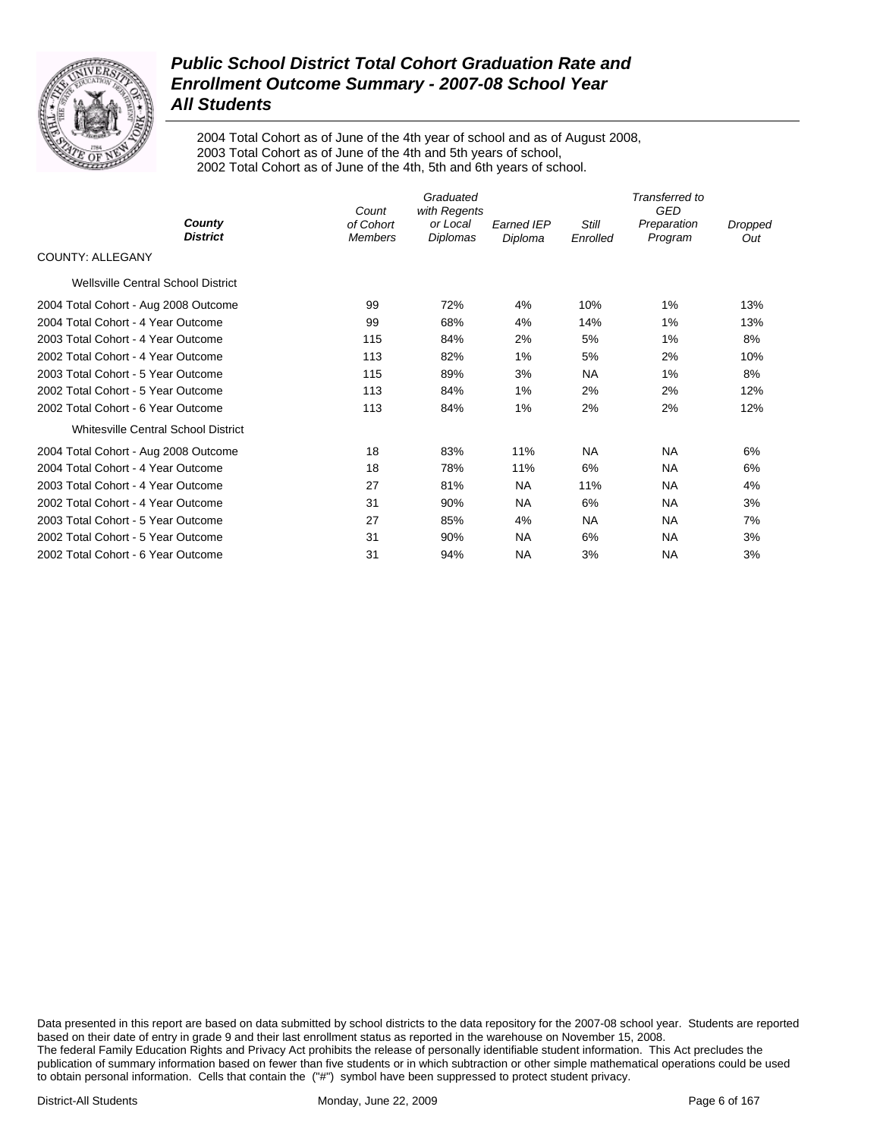

2004 Total Cohort as of June of the 4th year of school and as of August 2008, 2003 Total Cohort as of June of the 4th and 5th years of school, 2002 Total Cohort as of June of the 4th, 5th and 6th years of school.

|                                      | Count          | Graduated<br>with Regents |                   |           | Transferred to<br><b>GED</b> |         |
|--------------------------------------|----------------|---------------------------|-------------------|-----------|------------------------------|---------|
| County<br><b>District</b>            | of Cohort      | or Local                  | <b>Earned IEP</b> | Still     | Preparation                  | Dropped |
| <b>COUNTY: ALLEGANY</b>              | <b>Members</b> | Diplomas                  | Diploma           | Enrolled  | Program                      | Out     |
| Wellsville Central School District   |                |                           |                   |           |                              |         |
| 2004 Total Cohort - Aug 2008 Outcome | 99             | 72%                       | 4%                | 10%       | 1%                           | 13%     |
| 2004 Total Cohort - 4 Year Outcome   | 99             | 68%                       | 4%                | 14%       | $1\%$                        | 13%     |
| 2003 Total Cohort - 4 Year Outcome   | 115            | 84%                       | 2%                | 5%        | 1%                           | 8%      |
| 2002 Total Cohort - 4 Year Outcome   | 113            | 82%                       | 1%                | 5%        | 2%                           | 10%     |
| 2003 Total Cohort - 5 Year Outcome   | 115            | 89%                       | 3%                | NA        | 1%                           | 8%      |
| 2002 Total Cohort - 5 Year Outcome   | 113            | 84%                       | 1%                | 2%        | 2%                           | 12%     |
| 2002 Total Cohort - 6 Year Outcome   | 113            | 84%                       | 1%                | 2%        | 2%                           | 12%     |
| Whitesville Central School District  |                |                           |                   |           |                              |         |
| 2004 Total Cohort - Aug 2008 Outcome | 18             | 83%                       | 11%               | <b>NA</b> | <b>NA</b>                    | 6%      |
| 2004 Total Cohort - 4 Year Outcome   | 18             | 78%                       | 11%               | 6%        | <b>NA</b>                    | 6%      |
| 2003 Total Cohort - 4 Year Outcome   | 27             | 81%                       | NA.               | 11%       | NA                           | 4%      |
| 2002 Total Cohort - 4 Year Outcome   | 31             | 90%                       | <b>NA</b>         | 6%        | <b>NA</b>                    | 3%      |
| 2003 Total Cohort - 5 Year Outcome   | 27             | 85%                       | 4%                | <b>NA</b> | <b>NA</b>                    | 7%      |
| 2002 Total Cohort - 5 Year Outcome   | 31             | 90%                       | <b>NA</b>         | 6%        | <b>NA</b>                    | 3%      |
| 2002 Total Cohort - 6 Year Outcome   | 31             | 94%                       | <b>NA</b>         | 3%        | NA                           | 3%      |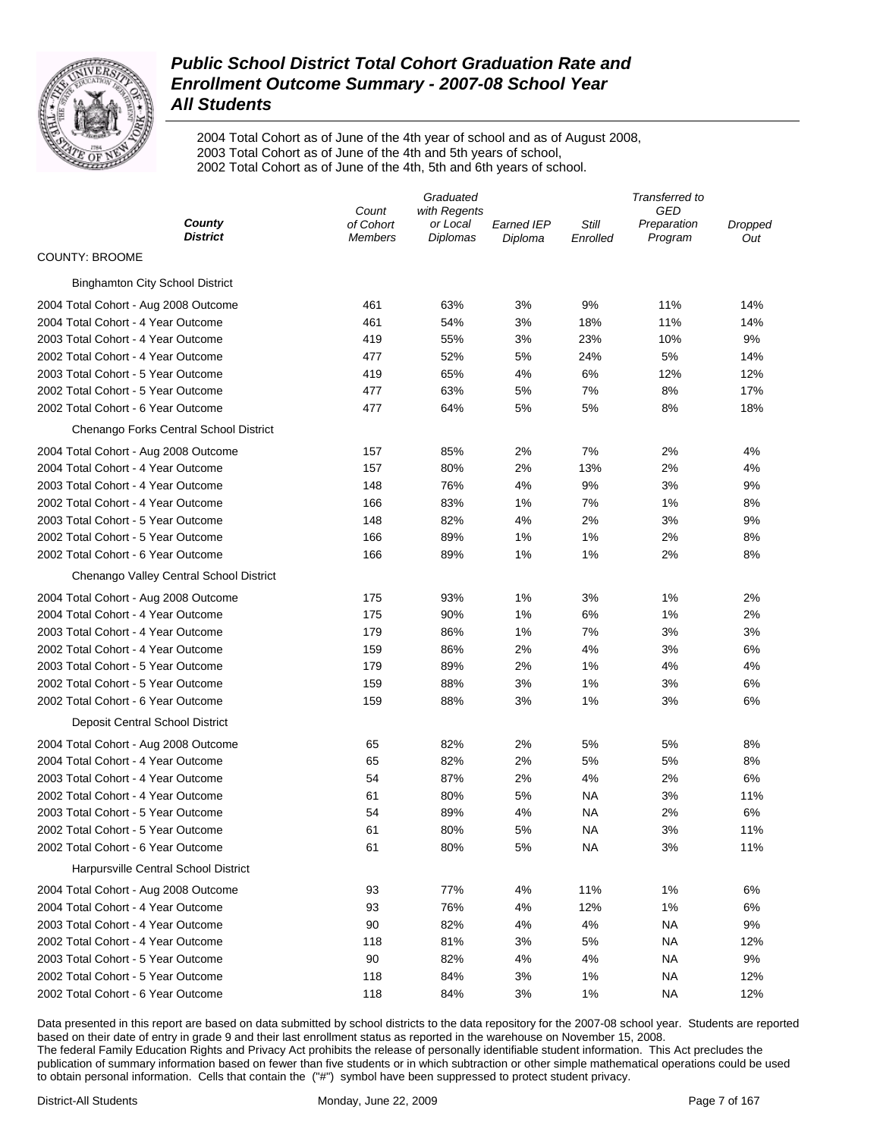

2004 Total Cohort as of June of the 4th year of school and as of August 2008, 2003 Total Cohort as of June of the 4th and 5th years of school, 2002 Total Cohort as of June of the 4th, 5th and 6th years of school.

|                                         |                             | Graduated            |                       |                   | Transferred to         |                |
|-----------------------------------------|-----------------------------|----------------------|-----------------------|-------------------|------------------------|----------------|
|                                         | Count                       | with Regents         |                       |                   | GED                    |                |
| County<br><b>District</b>               | of Cohort<br><b>Members</b> | or Local<br>Diplomas | Earned IEP<br>Diploma | Still<br>Enrolled | Preparation<br>Program | Dropped<br>Out |
| <b>COUNTY: BROOME</b>                   |                             |                      |                       |                   |                        |                |
| <b>Binghamton City School District</b>  |                             |                      |                       |                   |                        |                |
| 2004 Total Cohort - Aug 2008 Outcome    | 461                         | 63%                  | 3%                    | 9%                | 11%                    | 14%            |
| 2004 Total Cohort - 4 Year Outcome      | 461                         | 54%                  | 3%                    | 18%               | 11%                    | 14%            |
| 2003 Total Cohort - 4 Year Outcome      | 419                         | 55%                  | 3%                    | 23%               | 10%                    | 9%             |
| 2002 Total Cohort - 4 Year Outcome      | 477                         | 52%                  | 5%                    | 24%               | 5%                     | 14%            |
| 2003 Total Cohort - 5 Year Outcome      | 419                         | 65%                  | 4%                    | 6%                | 12%                    | 12%            |
| 2002 Total Cohort - 5 Year Outcome      | 477                         | 63%                  | 5%                    | 7%                | 8%                     | 17%            |
| 2002 Total Cohort - 6 Year Outcome      | 477                         | 64%                  | 5%                    | 5%                | 8%                     | 18%            |
| Chenango Forks Central School District  |                             |                      |                       |                   |                        |                |
| 2004 Total Cohort - Aug 2008 Outcome    | 157                         | 85%                  | 2%                    | 7%                | 2%                     | 4%             |
| 2004 Total Cohort - 4 Year Outcome      | 157                         | 80%                  | 2%                    | 13%               | 2%                     | 4%             |
| 2003 Total Cohort - 4 Year Outcome      | 148                         | 76%                  | 4%                    | 9%                | 3%                     | 9%             |
| 2002 Total Cohort - 4 Year Outcome      | 166                         | 83%                  | 1%                    | 7%                | 1%                     | 8%             |
| 2003 Total Cohort - 5 Year Outcome      | 148                         | 82%                  | 4%                    | 2%                | 3%                     | 9%             |
| 2002 Total Cohort - 5 Year Outcome      | 166                         | 89%                  | 1%                    | 1%                | 2%                     | 8%             |
| 2002 Total Cohort - 6 Year Outcome      | 166                         | 89%                  | 1%                    | 1%                | 2%                     | 8%             |
| Chenango Valley Central School District |                             |                      |                       |                   |                        |                |
| 2004 Total Cohort - Aug 2008 Outcome    | 175                         | 93%                  | 1%                    | 3%                | 1%                     | 2%             |
| 2004 Total Cohort - 4 Year Outcome      | 175                         | 90%                  | 1%                    | 6%                | 1%                     | 2%             |
| 2003 Total Cohort - 4 Year Outcome      | 179                         | 86%                  | 1%                    | 7%                | 3%                     | 3%             |
| 2002 Total Cohort - 4 Year Outcome      | 159                         | 86%                  | 2%                    | 4%                | 3%                     | 6%             |
| 2003 Total Cohort - 5 Year Outcome      | 179                         | 89%                  | 2%                    | 1%                | 4%                     | 4%             |
| 2002 Total Cohort - 5 Year Outcome      | 159                         | 88%                  | 3%                    | 1%                | 3%                     | 6%             |
| 2002 Total Cohort - 6 Year Outcome      | 159                         | 88%                  | 3%                    | 1%                | 3%                     | 6%             |
| Deposit Central School District         |                             |                      |                       |                   |                        |                |
| 2004 Total Cohort - Aug 2008 Outcome    | 65                          | 82%                  | 2%                    | 5%                | 5%                     | 8%             |
| 2004 Total Cohort - 4 Year Outcome      | 65                          | 82%                  | 2%                    | 5%                | 5%                     | 8%             |
| 2003 Total Cohort - 4 Year Outcome      | 54                          | 87%                  | 2%                    | 4%                | 2%                     | 6%             |
| 2002 Total Cohort - 4 Year Outcome      | 61                          | 80%                  | 5%                    | ΝA                | 3%                     | 11%            |
| 2003 Total Cohort - 5 Year Outcome      | 54                          | 89%                  | 4%                    | ΝA                | 2%                     | 6%             |
| 2002 Total Cohort - 5 Year Outcome      | 61                          | 80%                  | 5%                    | NA                | 3%                     | 11%            |
| 2002 Total Cohort - 6 Year Outcome      | 61                          | 80%                  | 5%                    | ΝA                | 3%                     | 11%            |
| Harpursville Central School District    |                             |                      |                       |                   |                        |                |
| 2004 Total Cohort - Aug 2008 Outcome    | 93                          | 77%                  | 4%                    | 11%               | 1%                     | 6%             |
| 2004 Total Cohort - 4 Year Outcome      | 93                          | 76%                  | 4%                    | 12%               | 1%                     | 6%             |
| 2003 Total Cohort - 4 Year Outcome      | 90                          | 82%                  | 4%                    | 4%                | ΝA                     | 9%             |
| 2002 Total Cohort - 4 Year Outcome      | 118                         | 81%                  | 3%                    | 5%                | ΝA                     | 12%            |
| 2003 Total Cohort - 5 Year Outcome      | 90                          | 82%                  | 4%                    | 4%                | ΝA                     | 9%             |
| 2002 Total Cohort - 5 Year Outcome      | 118                         | 84%                  | 3%                    | 1%                | ΝA                     | 12%            |
| 2002 Total Cohort - 6 Year Outcome      | 118                         | 84%                  | 3%                    | 1%                | ΝA                     | 12%            |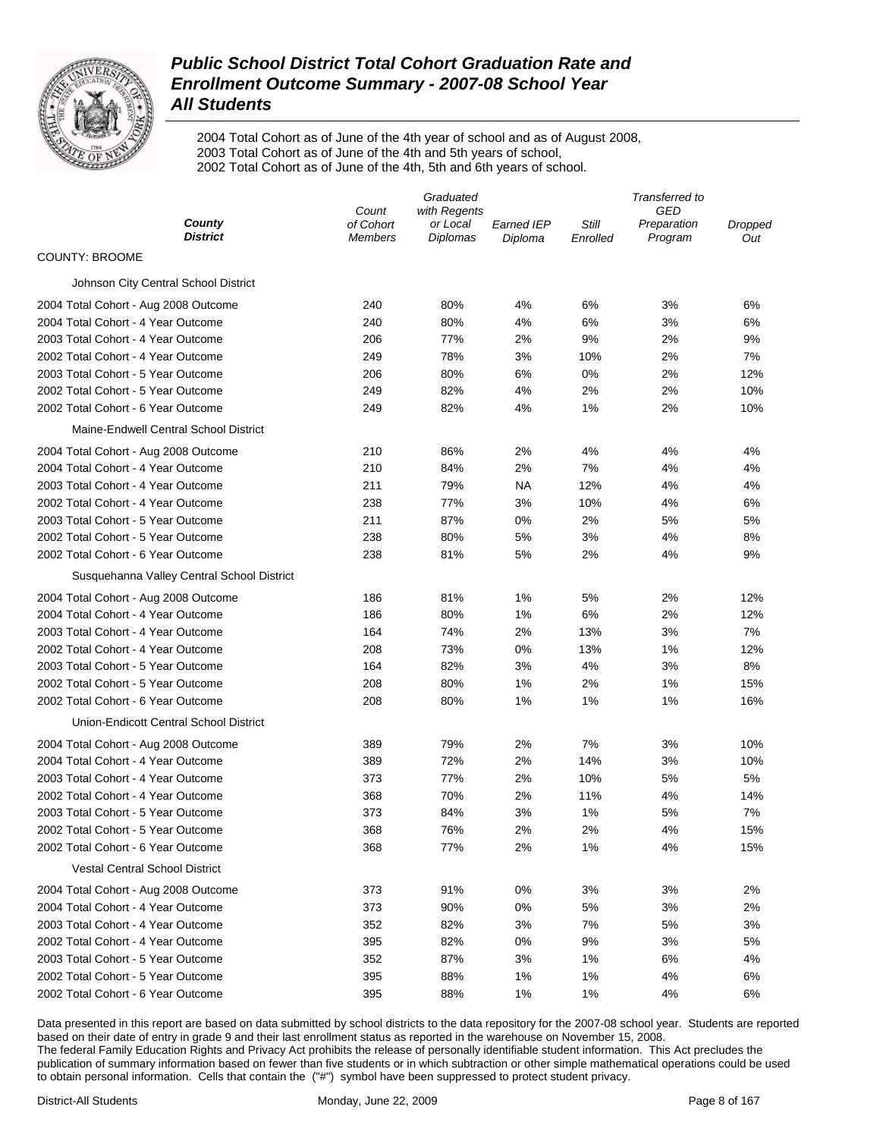

2004 Total Cohort as of June of the 4th year of school and as of August 2008, 2003 Total Cohort as of June of the 4th and 5th years of school, 2002 Total Cohort as of June of the 4th, 5th and 6th years of school.

|                                            |                             | Graduated                   |                       |                   | Transferred to         |                |
|--------------------------------------------|-----------------------------|-----------------------------|-----------------------|-------------------|------------------------|----------------|
|                                            | Count                       | with Regents                |                       |                   | GED                    |                |
| County<br><b>District</b>                  | of Cohort<br><b>Members</b> | or Local<br><b>Diplomas</b> | Earned IEP<br>Diploma | Still<br>Enrolled | Preparation<br>Program | Dropped<br>Out |
| <b>COUNTY: BROOME</b>                      |                             |                             |                       |                   |                        |                |
| Johnson City Central School District       |                             |                             |                       |                   |                        |                |
| 2004 Total Cohort - Aug 2008 Outcome       | 240                         | 80%                         | 4%                    | 6%                | 3%                     | 6%             |
| 2004 Total Cohort - 4 Year Outcome         | 240                         | 80%                         | 4%                    | 6%                | 3%                     | 6%             |
| 2003 Total Cohort - 4 Year Outcome         | 206                         | 77%                         | 2%                    | 9%                | 2%                     | 9%             |
| 2002 Total Cohort - 4 Year Outcome         | 249                         | 78%                         | 3%                    | 10%               | 2%                     | 7%             |
| 2003 Total Cohort - 5 Year Outcome         | 206                         | 80%                         | 6%                    | 0%                | 2%                     | 12%            |
| 2002 Total Cohort - 5 Year Outcome         | 249                         | 82%                         | 4%                    | 2%                | 2%                     | 10%            |
| 2002 Total Cohort - 6 Year Outcome         | 249                         | 82%                         | 4%                    | 1%                | 2%                     | 10%            |
| Maine-Endwell Central School District      |                             |                             |                       |                   |                        |                |
| 2004 Total Cohort - Aug 2008 Outcome       | 210                         | 86%                         | 2%                    | 4%                | 4%                     | 4%             |
| 2004 Total Cohort - 4 Year Outcome         | 210                         | 84%                         | 2%                    | 7%                | 4%                     | 4%             |
| 2003 Total Cohort - 4 Year Outcome         | 211                         | 79%                         | <b>NA</b>             | 12%               | 4%                     | 4%             |
| 2002 Total Cohort - 4 Year Outcome         | 238                         | 77%                         | 3%                    | 10%               | 4%                     | 6%             |
| 2003 Total Cohort - 5 Year Outcome         | 211                         | 87%                         | 0%                    | 2%                | 5%                     | 5%             |
| 2002 Total Cohort - 5 Year Outcome         | 238                         | 80%                         | 5%                    | 3%                | 4%                     | 8%             |
| 2002 Total Cohort - 6 Year Outcome         | 238                         | 81%                         | 5%                    | 2%                | 4%                     | 9%             |
| Susquehanna Valley Central School District |                             |                             |                       |                   |                        |                |
| 2004 Total Cohort - Aug 2008 Outcome       | 186                         | 81%                         | 1%                    | 5%                | 2%                     | 12%            |
| 2004 Total Cohort - 4 Year Outcome         | 186                         | 80%                         | 1%                    | 6%                | 2%                     | 12%            |
| 2003 Total Cohort - 4 Year Outcome         | 164                         | 74%                         | 2%                    | 13%               | 3%                     | 7%             |
| 2002 Total Cohort - 4 Year Outcome         | 208                         | 73%                         | 0%                    | 13%               | 1%                     | 12%            |
| 2003 Total Cohort - 5 Year Outcome         | 164                         | 82%                         | 3%                    | 4%                | 3%                     | 8%             |
| 2002 Total Cohort - 5 Year Outcome         | 208                         | 80%                         | 1%                    | 2%                | 1%                     | 15%            |
| 2002 Total Cohort - 6 Year Outcome         | 208                         | 80%                         | 1%                    | 1%                | 1%                     | 16%            |
| Union-Endicott Central School District     |                             |                             |                       |                   |                        |                |
| 2004 Total Cohort - Aug 2008 Outcome       | 389                         | 79%                         | 2%                    | 7%                | 3%                     | 10%            |
| 2004 Total Cohort - 4 Year Outcome         | 389                         | 72%                         | 2%                    | 14%               | 3%                     | 10%            |
| 2003 Total Cohort - 4 Year Outcome         | 373                         | 77%                         | 2%                    | 10%               | 5%                     | 5%             |
| 2002 Total Cohort - 4 Year Outcome         | 368                         | 70%                         | 2%                    | 11%               | 4%                     | 14%            |
| 2003 Total Cohort - 5 Year Outcome         | 373                         | 84%                         | 3%                    | 1%                | 5%                     | 7%             |
| 2002 Total Cohort - 5 Year Outcome         | 368                         | 76%                         | 2%                    | 2%                | 4%                     | 15%            |
| 2002 Total Cohort - 6 Year Outcome         | 368                         | 77%                         | 2%                    | 1%                | 4%                     | 15%            |
| <b>Vestal Central School District</b>      |                             |                             |                       |                   |                        |                |
| 2004 Total Cohort - Aug 2008 Outcome       | 373                         | 91%                         | 0%                    | 3%                | 3%                     | 2%             |
| 2004 Total Cohort - 4 Year Outcome         | 373                         | 90%                         | 0%                    | 5%                | 3%                     | 2%             |
| 2003 Total Cohort - 4 Year Outcome         | 352                         | 82%                         | 3%                    | 7%                | 5%                     | 3%             |
| 2002 Total Cohort - 4 Year Outcome         | 395                         | 82%                         | 0%                    | 9%                | 3%                     | 5%             |
| 2003 Total Cohort - 5 Year Outcome         | 352                         | 87%                         | 3%                    | 1%                | 6%                     | 4%             |
| 2002 Total Cohort - 5 Year Outcome         | 395                         | 88%                         | 1%                    | 1%                | 4%                     | 6%             |
| 2002 Total Cohort - 6 Year Outcome         | 395                         | 88%                         | 1%                    | 1%                | 4%                     | 6%             |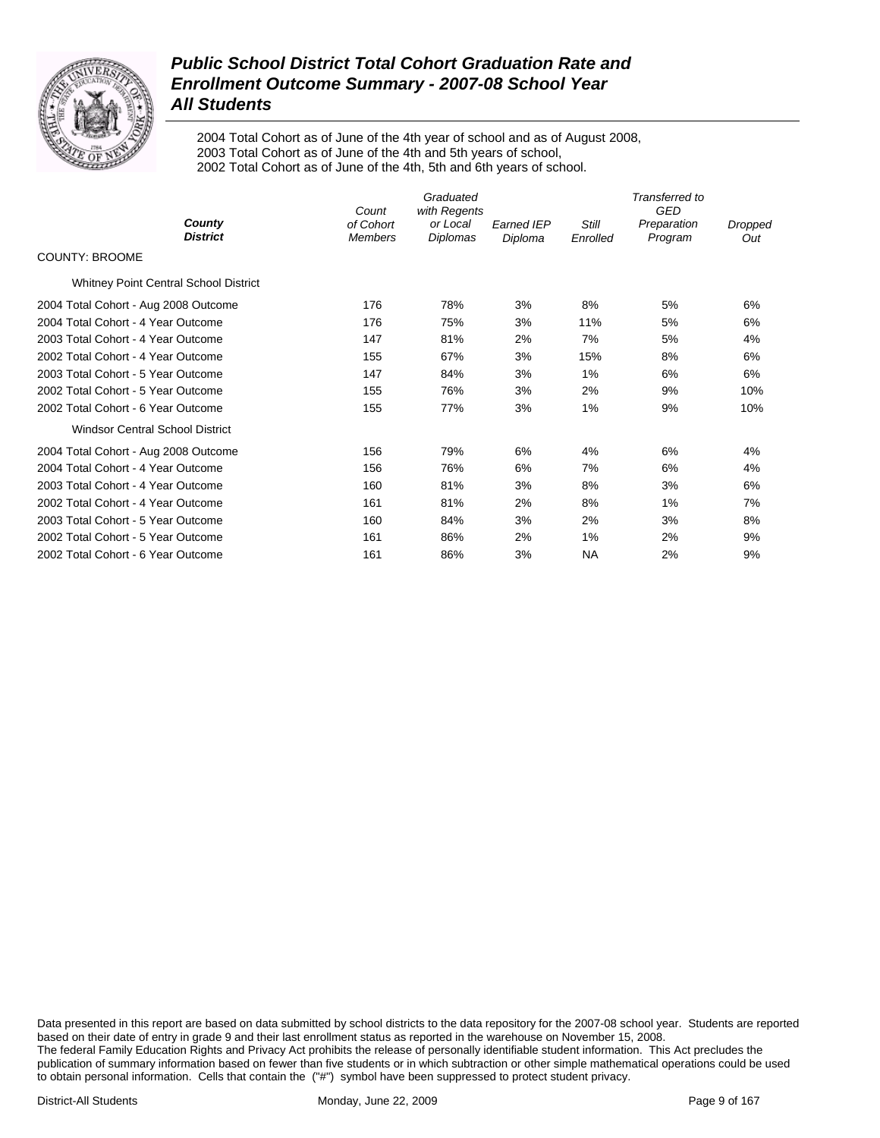

2004 Total Cohort as of June of the 4th year of school and as of August 2008, 2003 Total Cohort as of June of the 4th and 5th years of school, 2002 Total Cohort as of June of the 4th, 5th and 6th years of school.

|                                              | Count                       | Graduated<br>with Regents |                              |                          | Transferred to<br><b>GED</b> |                |
|----------------------------------------------|-----------------------------|---------------------------|------------------------------|--------------------------|------------------------------|----------------|
| County<br><b>District</b>                    | of Cohort<br><b>Members</b> | or Local<br>Diplomas      | <b>Earned IEP</b><br>Diploma | <b>Still</b><br>Enrolled | Preparation<br>Program       | Dropped<br>Out |
| <b>COUNTY: BROOME</b>                        |                             |                           |                              |                          |                              |                |
| <b>Whitney Point Central School District</b> |                             |                           |                              |                          |                              |                |
| 2004 Total Cohort - Aug 2008 Outcome         | 176                         | 78%                       | 3%                           | 8%                       | 5%                           | 6%             |
| 2004 Total Cohort - 4 Year Outcome           | 176                         | 75%                       | 3%                           | 11%                      | 5%                           | 6%             |
| 2003 Total Cohort - 4 Year Outcome           | 147                         | 81%                       | 2%                           | 7%                       | 5%                           | 4%             |
| 2002 Total Cohort - 4 Year Outcome           | 155                         | 67%                       | 3%                           | 15%                      | 8%                           | 6%             |
| 2003 Total Cohort - 5 Year Outcome           | 147                         | 84%                       | 3%                           | $1\%$                    | 6%                           | 6%             |
| 2002 Total Cohort - 5 Year Outcome           | 155                         | 76%                       | 3%                           | 2%                       | 9%                           | 10%            |
| 2002 Total Cohort - 6 Year Outcome           | 155                         | 77%                       | 3%                           | $1\%$                    | 9%                           | 10%            |
| <b>Windsor Central School District</b>       |                             |                           |                              |                          |                              |                |
| 2004 Total Cohort - Aug 2008 Outcome         | 156                         | 79%                       | 6%                           | 4%                       | 6%                           | 4%             |
| 2004 Total Cohort - 4 Year Outcome           | 156                         | 76%                       | 6%                           | 7%                       | 6%                           | 4%             |
| 2003 Total Cohort - 4 Year Outcome           | 160                         | 81%                       | 3%                           | 8%                       | 3%                           | 6%             |
| 2002 Total Cohort - 4 Year Outcome           | 161                         | 81%                       | 2%                           | 8%                       | 1%                           | 7%             |
| 2003 Total Cohort - 5 Year Outcome           | 160                         | 84%                       | 3%                           | 2%                       | 3%                           | 8%             |
| 2002 Total Cohort - 5 Year Outcome           | 161                         | 86%                       | 2%                           | $1\%$                    | 2%                           | 9%             |
| 2002 Total Cohort - 6 Year Outcome           | 161                         | 86%                       | 3%                           | NA                       | 2%                           | 9%             |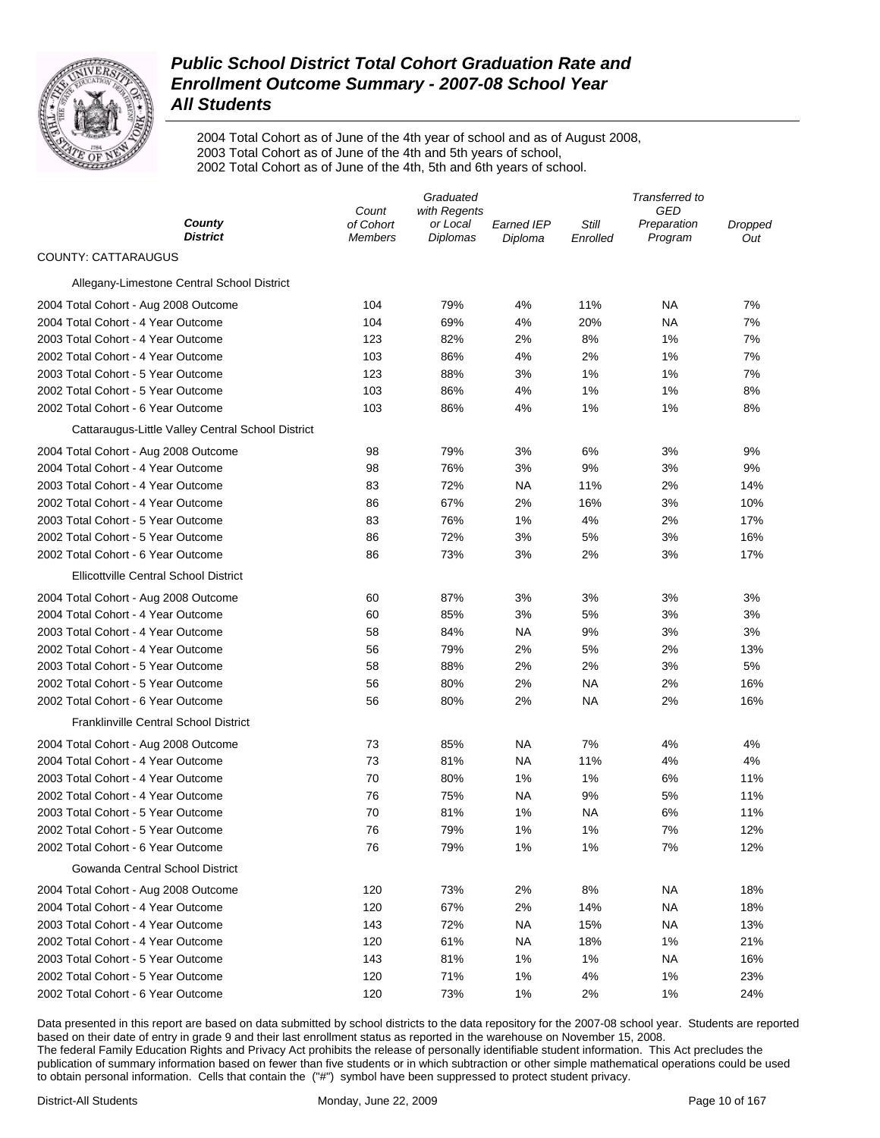

2004 Total Cohort as of June of the 4th year of school and as of August 2008, 2003 Total Cohort as of June of the 4th and 5th years of school, 2002 Total Cohort as of June of the 4th, 5th and 6th years of school.

|                                                   |                    | Graduated                |                   |           | Transferred to     |                |
|---------------------------------------------------|--------------------|--------------------------|-------------------|-----------|--------------------|----------------|
| County                                            | Count<br>of Cohort | with Regents<br>or Local | <b>Earned IEP</b> | Still     | GED<br>Preparation | <b>Dropped</b> |
| <b>District</b>                                   | Members            | Diplomas                 | Diploma           | Enrolled  | Program            | Out            |
| <b>COUNTY: CATTARAUGUS</b>                        |                    |                          |                   |           |                    |                |
| Allegany-Limestone Central School District        |                    |                          |                   |           |                    |                |
| 2004 Total Cohort - Aug 2008 Outcome              | 104                | 79%                      | 4%                | 11%       | ΝA                 | 7%             |
| 2004 Total Cohort - 4 Year Outcome                | 104                | 69%                      | 4%                | 20%       | ΝA                 | 7%             |
| 2003 Total Cohort - 4 Year Outcome                | 123                | 82%                      | 2%                | 8%        | 1%                 | 7%             |
| 2002 Total Cohort - 4 Year Outcome                | 103                | 86%                      | 4%                | 2%        | 1%                 | 7%             |
| 2003 Total Cohort - 5 Year Outcome                | 123                | 88%                      | 3%                | 1%        | 1%                 | 7%             |
| 2002 Total Cohort - 5 Year Outcome                | 103                | 86%                      | 4%                | 1%        | 1%                 | 8%             |
| 2002 Total Cohort - 6 Year Outcome                | 103                | 86%                      | 4%                | 1%        | 1%                 | 8%             |
| Cattaraugus-Little Valley Central School District |                    |                          |                   |           |                    |                |
| 2004 Total Cohort - Aug 2008 Outcome              | 98                 | 79%                      | 3%                | 6%        | 3%                 | 9%             |
| 2004 Total Cohort - 4 Year Outcome                | 98                 | 76%                      | 3%                | 9%        | 3%                 | 9%             |
| 2003 Total Cohort - 4 Year Outcome                | 83                 | 72%                      | NA                | 11%       | 2%                 | 14%            |
| 2002 Total Cohort - 4 Year Outcome                | 86                 | 67%                      | 2%                | 16%       | 3%                 | 10%            |
| 2003 Total Cohort - 5 Year Outcome                | 83                 | 76%                      | 1%                | 4%        | 2%                 | 17%            |
| 2002 Total Cohort - 5 Year Outcome                | 86                 | 72%                      | 3%                | 5%        | 3%                 | 16%            |
| 2002 Total Cohort - 6 Year Outcome                | 86                 | 73%                      | 3%                | 2%        | 3%                 | 17%            |
| <b>Ellicottville Central School District</b>      |                    |                          |                   |           |                    |                |
| 2004 Total Cohort - Aug 2008 Outcome              | 60                 | 87%                      | 3%                | 3%        | 3%                 | 3%             |
| 2004 Total Cohort - 4 Year Outcome                | 60                 | 85%                      | 3%                | 5%        | 3%                 | 3%             |
| 2003 Total Cohort - 4 Year Outcome                | 58                 | 84%                      | NA                | 9%        | 3%                 | 3%             |
| 2002 Total Cohort - 4 Year Outcome                | 56                 | 79%                      | 2%                | 5%        | 2%                 | 13%            |
| 2003 Total Cohort - 5 Year Outcome                | 58                 | 88%                      | 2%                | 2%        | 3%                 | 5%             |
| 2002 Total Cohort - 5 Year Outcome                | 56                 | 80%                      | 2%                | <b>NA</b> | 2%                 | 16%            |
| 2002 Total Cohort - 6 Year Outcome                | 56                 | 80%                      | 2%                | <b>NA</b> | 2%                 | 16%            |
| Franklinville Central School District             |                    |                          |                   |           |                    |                |
| 2004 Total Cohort - Aug 2008 Outcome              | 73                 | 85%                      | NA                | 7%        | 4%                 | 4%             |
| 2004 Total Cohort - 4 Year Outcome                | 73                 | 81%                      | ΝA                | 11%       | 4%                 | 4%             |
| 2003 Total Cohort - 4 Year Outcome                | 70                 | 80%                      | 1%                | 1%        | 6%                 | 11%            |
| 2002 Total Cohort - 4 Year Outcome                | 76                 | 75%                      | ΝA                | 9%        | 5%                 | 11%            |
| 2003 Total Cohort - 5 Year Outcome                | 70                 | 81%                      | 1%                | ΝA        | 6%                 | 11%            |
| 2002 Total Cohort - 5 Year Outcome                | 76                 | 79%                      | 1%                | 1%        | 7%                 | 12%            |
| 2002 Total Cohort - 6 Year Outcome                | 76                 | 79%                      | 1%                | 1%        | 7%                 | 12%            |
| Gowanda Central School District                   |                    |                          |                   |           |                    |                |
| 2004 Total Cohort - Aug 2008 Outcome              | 120                | 73%                      | 2%                | 8%        | ΝA                 | 18%            |
| 2004 Total Cohort - 4 Year Outcome                | 120                | 67%                      | 2%                | 14%       | ΝA                 | 18%            |
| 2003 Total Cohort - 4 Year Outcome                | 143                | 72%                      | NA                | 15%       | ΝA                 | 13%            |
| 2002 Total Cohort - 4 Year Outcome                | 120                | 61%                      | NA                | 18%       | 1%                 | 21%            |
| 2003 Total Cohort - 5 Year Outcome                | 143                | 81%                      | 1%                | 1%        | NА                 | 16%            |
| 2002 Total Cohort - 5 Year Outcome                | 120                | 71%                      | 1%                | 4%        | 1%                 | 23%            |
| 2002 Total Cohort - 6 Year Outcome                | 120                | 73%                      | 1%                | 2%        | 1%                 | 24%            |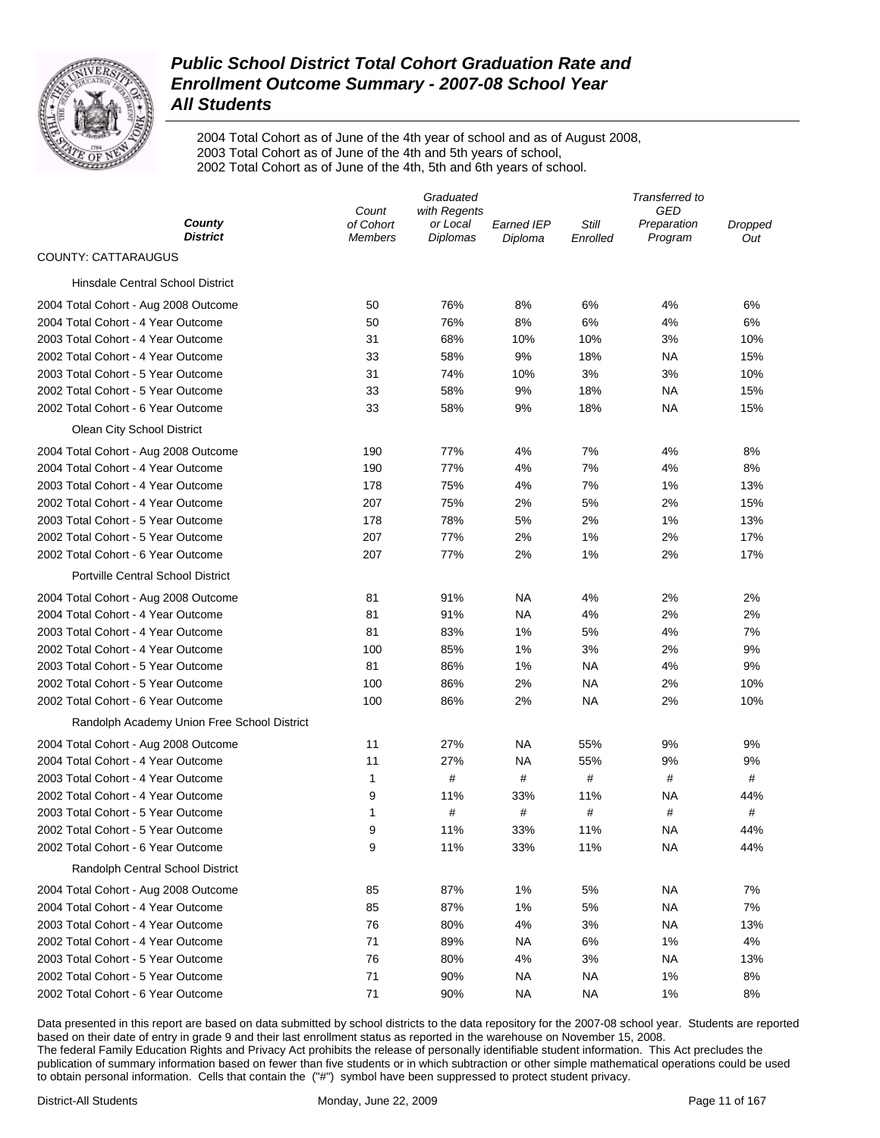

2004 Total Cohort as of June of the 4th year of school and as of August 2008, 2003 Total Cohort as of June of the 4th and 5th years of school, 2002 Total Cohort as of June of the 4th, 5th and 6th years of school.

|                                             |                             | Graduated                   |                       |                   | Transferred to         |                |
|---------------------------------------------|-----------------------------|-----------------------------|-----------------------|-------------------|------------------------|----------------|
|                                             | Count                       | with Regents                |                       |                   | GED                    |                |
| County<br><b>District</b>                   | of Cohort<br><b>Members</b> | or Local<br><b>Diplomas</b> | Earned IEP<br>Diploma | Still<br>Enrolled | Preparation<br>Program | Dropped<br>Out |
| <b>COUNTY: CATTARAUGUS</b>                  |                             |                             |                       |                   |                        |                |
| <b>Hinsdale Central School District</b>     |                             |                             |                       |                   |                        |                |
| 2004 Total Cohort - Aug 2008 Outcome        | 50                          | 76%                         | 8%                    | 6%                | 4%                     | 6%             |
| 2004 Total Cohort - 4 Year Outcome          | 50                          | 76%                         | 8%                    | 6%                | 4%                     | 6%             |
| 2003 Total Cohort - 4 Year Outcome          | 31                          | 68%                         | 10%                   | 10%               | 3%                     | 10%            |
| 2002 Total Cohort - 4 Year Outcome          | 33                          | 58%                         | 9%                    | 18%               | ΝA                     | 15%            |
| 2003 Total Cohort - 5 Year Outcome          | 31                          | 74%                         | 10%                   | 3%                | 3%                     | 10%            |
| 2002 Total Cohort - 5 Year Outcome          | 33                          | 58%                         | 9%                    | 18%               | ΝA                     | 15%            |
| 2002 Total Cohort - 6 Year Outcome          | 33                          | 58%                         | 9%                    | 18%               | ΝA                     | 15%            |
| Olean City School District                  |                             |                             |                       |                   |                        |                |
| 2004 Total Cohort - Aug 2008 Outcome        | 190                         | 77%                         | 4%                    | 7%                | 4%                     | 8%             |
| 2004 Total Cohort - 4 Year Outcome          | 190                         | 77%                         | 4%                    | 7%                | 4%                     | 8%             |
| 2003 Total Cohort - 4 Year Outcome          | 178                         | 75%                         | 4%                    | 7%                | 1%                     | 13%            |
| 2002 Total Cohort - 4 Year Outcome          | 207                         | 75%                         | 2%                    | 5%                | 2%                     | 15%            |
| 2003 Total Cohort - 5 Year Outcome          | 178                         | 78%                         | 5%                    | 2%                | 1%                     | 13%            |
| 2002 Total Cohort - 5 Year Outcome          | 207                         | 77%                         | 2%                    | 1%                | 2%                     | 17%            |
| 2002 Total Cohort - 6 Year Outcome          | 207                         | 77%                         | 2%                    | 1%                | 2%                     | 17%            |
| <b>Portville Central School District</b>    |                             |                             |                       |                   |                        |                |
| 2004 Total Cohort - Aug 2008 Outcome        | 81                          | 91%                         | NA                    | 4%                | 2%                     | 2%             |
| 2004 Total Cohort - 4 Year Outcome          | 81                          | 91%                         | NA                    | 4%                | 2%                     | 2%             |
| 2003 Total Cohort - 4 Year Outcome          | 81                          | 83%                         | 1%                    | 5%                | 4%                     | 7%             |
| 2002 Total Cohort - 4 Year Outcome          | 100                         | 85%                         | 1%                    | 3%                | 2%                     | 9%             |
| 2003 Total Cohort - 5 Year Outcome          | 81                          | 86%                         | 1%                    | <b>NA</b>         | 4%                     | 9%             |
| 2002 Total Cohort - 5 Year Outcome          | 100                         | 86%                         | 2%                    | NA                | 2%                     | 10%            |
| 2002 Total Cohort - 6 Year Outcome          | 100                         | 86%                         | 2%                    | NA                | 2%                     | 10%            |
| Randolph Academy Union Free School District |                             |                             |                       |                   |                        |                |
| 2004 Total Cohort - Aug 2008 Outcome        | 11                          | 27%                         | NA                    | 55%               | 9%                     | 9%             |
| 2004 Total Cohort - 4 Year Outcome          | 11                          | 27%                         | <b>NA</b>             | 55%               | 9%                     | 9%             |
| 2003 Total Cohort - 4 Year Outcome          | 1                           | $\#$                        | $\#$                  | $\#$              | #                      | #              |
| 2002 Total Cohort - 4 Year Outcome          | 9                           | 11%                         | 33%                   | 11%               | NA                     | 44%            |
| 2003 Total Cohort - 5 Year Outcome          | 1                           | #                           | #                     | #                 | #                      | #              |
| 2002 Total Cohort - 5 Year Outcome          | 9                           | 11%                         | 33%                   | 11%               | NA                     | 44%            |
| 2002 Total Cohort - 6 Year Outcome          | 9                           | 11%                         | 33%                   | 11%               | <b>NA</b>              | 44%            |
| Randolph Central School District            |                             |                             |                       |                   |                        |                |
| 2004 Total Cohort - Aug 2008 Outcome        | 85                          | 87%                         | 1%                    | 5%                | <b>NA</b>              | 7%             |
| 2004 Total Cohort - 4 Year Outcome          | 85                          | 87%                         | 1%                    | 5%                | <b>NA</b>              | 7%             |
| 2003 Total Cohort - 4 Year Outcome          | 76                          | 80%                         | 4%                    | 3%                | <b>NA</b>              | 13%            |
| 2002 Total Cohort - 4 Year Outcome          | 71                          | 89%                         | <b>NA</b>             | 6%                | 1%                     | 4%             |
| 2003 Total Cohort - 5 Year Outcome          | 76                          | 80%                         | 4%                    | 3%                | <b>NA</b>              | 13%            |
| 2002 Total Cohort - 5 Year Outcome          | 71                          | 90%                         | NA                    | <b>NA</b>         | 1%                     | 8%             |
| 2002 Total Cohort - 6 Year Outcome          | 71                          | 90%                         | <b>NA</b>             | <b>NA</b>         | 1%                     | 8%             |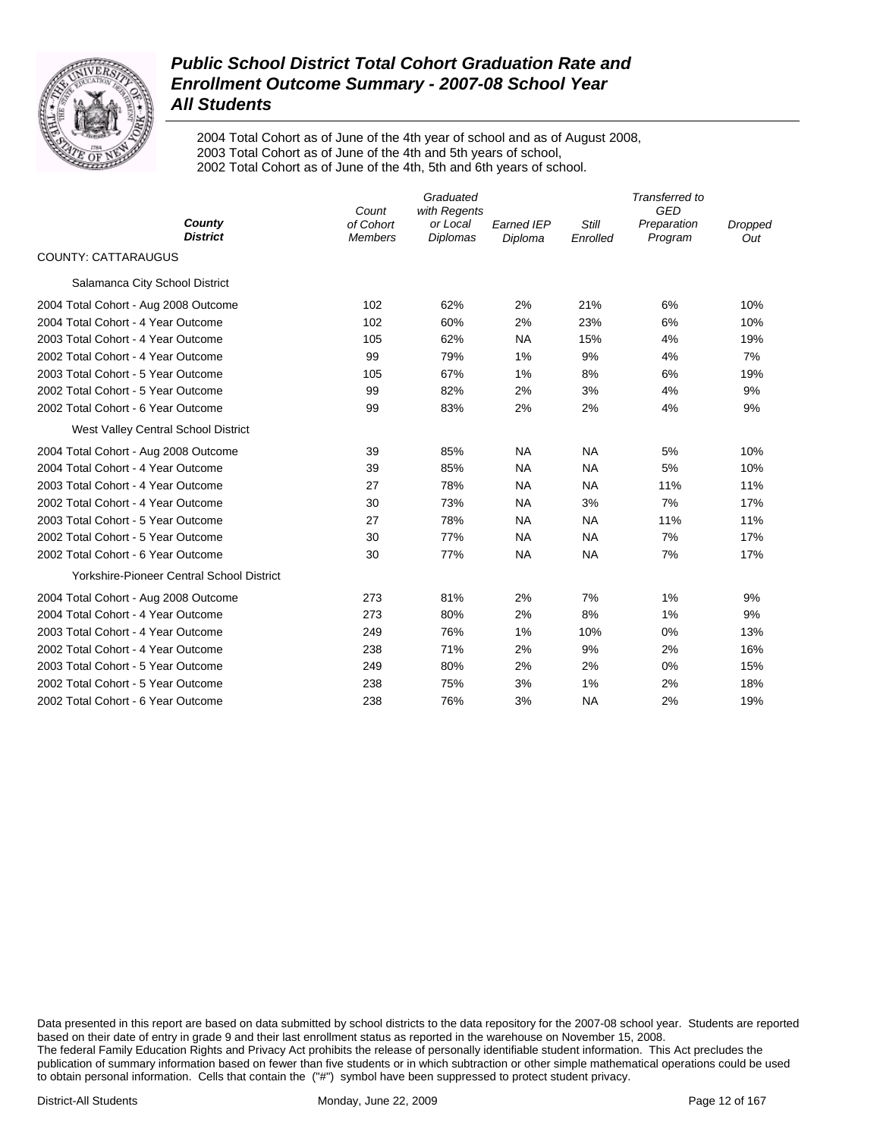

2004 Total Cohort as of June of the 4th year of school and as of August 2008, 2003 Total Cohort as of June of the 4th and 5th years of school, 2002 Total Cohort as of June of the 4th, 5th and 6th years of school.

|                                                  | Count                       | Graduated<br>with Regents   |                              |                   | Transferred to<br>GED  |                       |
|--------------------------------------------------|-----------------------------|-----------------------------|------------------------------|-------------------|------------------------|-----------------------|
| County<br><b>District</b>                        | of Cohort<br><b>Members</b> | or Local<br><b>Diplomas</b> | <b>Earned IEP</b><br>Diploma | Still<br>Enrolled | Preparation<br>Program | <b>Dropped</b><br>Out |
| <b>COUNTY: CATTARAUGUS</b>                       |                             |                             |                              |                   |                        |                       |
| Salamanca City School District                   |                             |                             |                              |                   |                        |                       |
| 2004 Total Cohort - Aug 2008 Outcome             | 102                         | 62%                         | 2%                           | 21%               | 6%                     | 10%                   |
| 2004 Total Cohort - 4 Year Outcome               | 102                         | 60%                         | 2%                           | 23%               | 6%                     | 10%                   |
| 2003 Total Cohort - 4 Year Outcome               | 105                         | 62%                         | <b>NA</b>                    | 15%               | 4%                     | 19%                   |
| 2002 Total Cohort - 4 Year Outcome               | 99                          | 79%                         | 1%                           | 9%                | 4%                     | 7%                    |
| 2003 Total Cohort - 5 Year Outcome               | 105                         | 67%                         | 1%                           | 8%                | 6%                     | 19%                   |
| 2002 Total Cohort - 5 Year Outcome               | 99                          | 82%                         | 2%                           | 3%                | 4%                     | 9%                    |
| 2002 Total Cohort - 6 Year Outcome               | 99                          | 83%                         | 2%                           | 2%                | 4%                     | 9%                    |
| West Valley Central School District              |                             |                             |                              |                   |                        |                       |
| 2004 Total Cohort - Aug 2008 Outcome             | 39                          | 85%                         | <b>NA</b>                    | <b>NA</b>         | 5%                     | 10%                   |
| 2004 Total Cohort - 4 Year Outcome               | 39                          | 85%                         | <b>NA</b>                    | <b>NA</b>         | 5%                     | 10%                   |
| 2003 Total Cohort - 4 Year Outcome               | 27                          | 78%                         | <b>NA</b>                    | <b>NA</b>         | 11%                    | 11%                   |
| 2002 Total Cohort - 4 Year Outcome               | 30                          | 73%                         | <b>NA</b>                    | 3%                | 7%                     | 17%                   |
| 2003 Total Cohort - 5 Year Outcome               | 27                          | 78%                         | <b>NA</b>                    | <b>NA</b>         | 11%                    | 11%                   |
| 2002 Total Cohort - 5 Year Outcome               | 30                          | 77%                         | <b>NA</b>                    | <b>NA</b>         | 7%                     | 17%                   |
| 2002 Total Cohort - 6 Year Outcome               | 30                          | 77%                         | <b>NA</b>                    | <b>NA</b>         | 7%                     | 17%                   |
| <b>Yorkshire-Pioneer Central School District</b> |                             |                             |                              |                   |                        |                       |
| 2004 Total Cohort - Aug 2008 Outcome             | 273                         | 81%                         | 2%                           | 7%                | 1%                     | 9%                    |
| 2004 Total Cohort - 4 Year Outcome               | 273                         | 80%                         | 2%                           | 8%                | 1%                     | 9%                    |
| 2003 Total Cohort - 4 Year Outcome               | 249                         | 76%                         | 1%                           | 10%               | 0%                     | 13%                   |
| 2002 Total Cohort - 4 Year Outcome               | 238                         | 71%                         | 2%                           | 9%                | 2%                     | 16%                   |
| 2003 Total Cohort - 5 Year Outcome               | 249                         | 80%                         | 2%                           | 2%                | 0%                     | 15%                   |
| 2002 Total Cohort - 5 Year Outcome               | 238                         | 75%                         | 3%                           | 1%                | 2%                     | 18%                   |
| 2002 Total Cohort - 6 Year Outcome               | 238                         | 76%                         | 3%                           | <b>NA</b>         | 2%                     | 19%                   |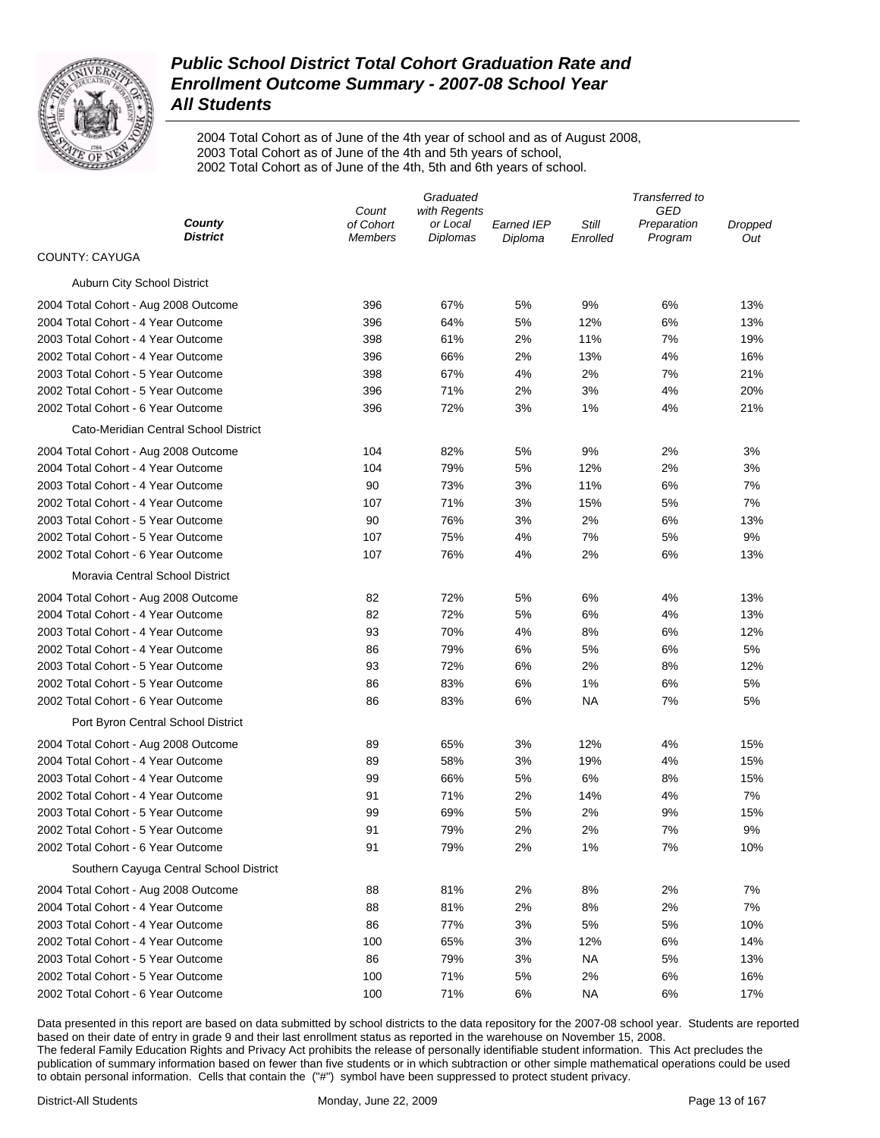

2004 Total Cohort as of June of the 4th year of school and as of August 2008, 2003 Total Cohort as of June of the 4th and 5th years of school, 2002 Total Cohort as of June of the 4th, 5th and 6th years of school.

|                                         | Graduated                   |                      |                              | Transferred to    |                        |                |  |
|-----------------------------------------|-----------------------------|----------------------|------------------------------|-------------------|------------------------|----------------|--|
|                                         | Count                       | with Regents         |                              |                   | GED                    |                |  |
| County<br><b>District</b>               | of Cohort<br><b>Members</b> | or Local<br>Diplomas | <b>Earned IEP</b><br>Diploma | Still<br>Enrolled | Preparation<br>Program | Dropped<br>Out |  |
| <b>COUNTY: CAYUGA</b>                   |                             |                      |                              |                   |                        |                |  |
| Auburn City School District             |                             |                      |                              |                   |                        |                |  |
| 2004 Total Cohort - Aug 2008 Outcome    | 396                         | 67%                  | 5%                           | 9%                | 6%                     | 13%            |  |
| 2004 Total Cohort - 4 Year Outcome      | 396                         | 64%                  | 5%                           | 12%               | 6%                     | 13%            |  |
| 2003 Total Cohort - 4 Year Outcome      | 398                         | 61%                  | 2%                           | 11%               | 7%                     | 19%            |  |
| 2002 Total Cohort - 4 Year Outcome      | 396                         | 66%                  | 2%                           | 13%               | 4%                     | 16%            |  |
| 2003 Total Cohort - 5 Year Outcome      | 398                         | 67%                  | 4%                           | 2%                | 7%                     | 21%            |  |
| 2002 Total Cohort - 5 Year Outcome      | 396                         | 71%                  | 2%                           | 3%                | 4%                     | 20%            |  |
| 2002 Total Cohort - 6 Year Outcome      | 396                         | 72%                  | 3%                           | 1%                | 4%                     | 21%            |  |
| Cato-Meridian Central School District   |                             |                      |                              |                   |                        |                |  |
| 2004 Total Cohort - Aug 2008 Outcome    | 104                         | 82%                  | 5%                           | 9%                | 2%                     | 3%             |  |
| 2004 Total Cohort - 4 Year Outcome      | 104                         | 79%                  | 5%                           | 12%               | 2%                     | 3%             |  |
| 2003 Total Cohort - 4 Year Outcome      | 90                          | 73%                  | 3%                           | 11%               | 6%                     | 7%             |  |
| 2002 Total Cohort - 4 Year Outcome      | 107                         | 71%                  | 3%                           | 15%               | 5%                     | 7%             |  |
| 2003 Total Cohort - 5 Year Outcome      | 90                          | 76%                  | 3%                           | 2%                | 6%                     | 13%            |  |
| 2002 Total Cohort - 5 Year Outcome      | 107                         | 75%                  | 4%                           | 7%                | 5%                     | 9%             |  |
| 2002 Total Cohort - 6 Year Outcome      | 107                         | 76%                  | 4%                           | 2%                | 6%                     | 13%            |  |
| Moravia Central School District         |                             |                      |                              |                   |                        |                |  |
| 2004 Total Cohort - Aug 2008 Outcome    | 82                          | 72%                  | 5%                           | 6%                | 4%                     | 13%            |  |
| 2004 Total Cohort - 4 Year Outcome      | 82                          | 72%                  | 5%                           | 6%                | 4%                     | 13%            |  |
| 2003 Total Cohort - 4 Year Outcome      | 93                          | 70%                  | 4%                           | 8%                | 6%                     | 12%            |  |
| 2002 Total Cohort - 4 Year Outcome      | 86                          | 79%                  | 6%                           | 5%                | 6%                     | 5%             |  |
| 2003 Total Cohort - 5 Year Outcome      | 93                          | 72%                  | 6%                           | 2%                | 8%                     | 12%            |  |
| 2002 Total Cohort - 5 Year Outcome      | 86                          | 83%                  | 6%                           | 1%                | 6%                     | 5%             |  |
| 2002 Total Cohort - 6 Year Outcome      | 86                          | 83%                  | 6%                           | NA                | 7%                     | 5%             |  |
| Port Byron Central School District      |                             |                      |                              |                   |                        |                |  |
| 2004 Total Cohort - Aug 2008 Outcome    | 89                          | 65%                  | 3%                           | 12%               | 4%                     | 15%            |  |
| 2004 Total Cohort - 4 Year Outcome      | 89                          | 58%                  | 3%                           | 19%               | 4%                     | 15%            |  |
| 2003 Total Cohort - 4 Year Outcome      | 99                          | 66%                  | 5%                           | 6%                | 8%                     | 15%            |  |
| 2002 Total Cohort - 4 Year Outcome      | 91                          | 71%                  | 2%                           | 14%               | 4%                     | 7%             |  |
| 2003 Total Cohort - 5 Year Outcome      | 99                          | 69%                  | 5%                           | 2%                | 9%                     | 15%            |  |
| 2002 Total Cohort - 5 Year Outcome      | 91                          | 79%                  | 2%                           | 2%                | 7%                     | 9%             |  |
| 2002 Total Cohort - 6 Year Outcome      | 91                          | 79%                  | 2%                           | 1%                | 7%                     | 10%            |  |
| Southern Cayuga Central School District |                             |                      |                              |                   |                        |                |  |
| 2004 Total Cohort - Aug 2008 Outcome    | 88                          | 81%                  | 2%                           | 8%                | 2%                     | 7%             |  |
| 2004 Total Cohort - 4 Year Outcome      | 88                          | 81%                  | 2%                           | 8%                | 2%                     | 7%             |  |
| 2003 Total Cohort - 4 Year Outcome      | 86                          | 77%                  | 3%                           | 5%                | 5%                     | 10%            |  |
| 2002 Total Cohort - 4 Year Outcome      | 100                         | 65%                  | 3%                           | 12%               | 6%                     | 14%            |  |
| 2003 Total Cohort - 5 Year Outcome      | 86                          | 79%                  | 3%                           | <b>NA</b>         | 5%                     | 13%            |  |
| 2002 Total Cohort - 5 Year Outcome      | 100                         | 71%                  | 5%                           | 2%                | 6%                     | 16%            |  |
| 2002 Total Cohort - 6 Year Outcome      | 100                         | 71%                  | 6%                           | <b>NA</b>         | 6%                     | 17%            |  |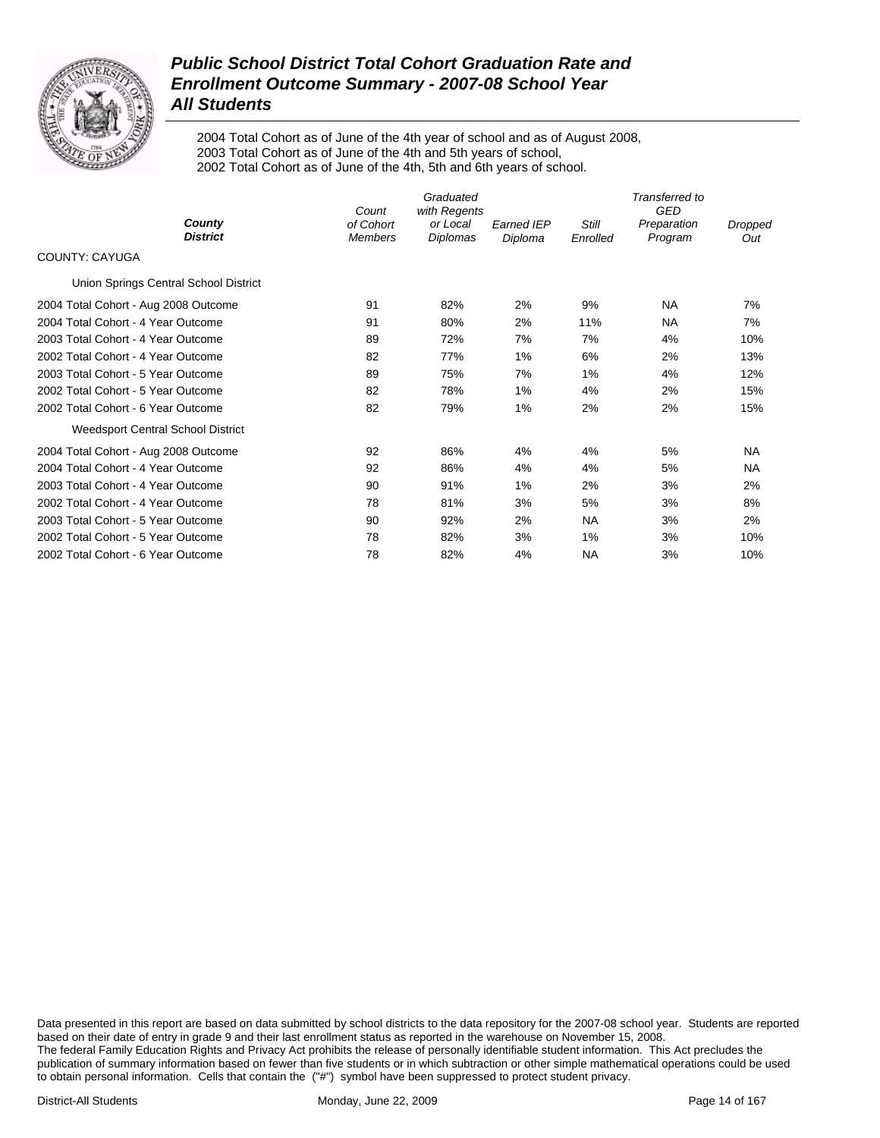

2004 Total Cohort as of June of the 4th year of school and as of August 2008, 2003 Total Cohort as of June of the 4th and 5th years of school, 2002 Total Cohort as of June of the 4th, 5th and 6th years of school.

|                                          | Graduated<br>with Regents<br>Count |                      |                              | Transferred to<br><b>GED</b> |                        |                |  |
|------------------------------------------|------------------------------------|----------------------|------------------------------|------------------------------|------------------------|----------------|--|
| County<br><b>District</b>                | of Cohort<br><b>Members</b>        | or Local<br>Diplomas | <b>Earned IEP</b><br>Diploma | Still<br>Enrolled            | Preparation<br>Program | Dropped<br>Out |  |
| <b>COUNTY: CAYUGA</b>                    |                                    |                      |                              |                              |                        |                |  |
| Union Springs Central School District    |                                    |                      |                              |                              |                        |                |  |
| 2004 Total Cohort - Aug 2008 Outcome     | 91                                 | 82%                  | 2%                           | 9%                           | <b>NA</b>              | 7%             |  |
| 2004 Total Cohort - 4 Year Outcome       | 91                                 | 80%                  | 2%                           | 11%                          | <b>NA</b>              | 7%             |  |
| 2003 Total Cohort - 4 Year Outcome       | 89                                 | 72%                  | 7%                           | 7%                           | 4%                     | 10%            |  |
| 2002 Total Cohort - 4 Year Outcome       | 82                                 | 77%                  | 1%                           | 6%                           | 2%                     | 13%            |  |
| 2003 Total Cohort - 5 Year Outcome       | 89                                 | 75%                  | 7%                           | 1%                           | 4%                     | 12%            |  |
| 2002 Total Cohort - 5 Year Outcome       | 82                                 | 78%                  | 1%                           | 4%                           | 2%                     | 15%            |  |
| 2002 Total Cohort - 6 Year Outcome       | 82                                 | 79%                  | 1%                           | 2%                           | 2%                     | 15%            |  |
| <b>Weedsport Central School District</b> |                                    |                      |                              |                              |                        |                |  |
| 2004 Total Cohort - Aug 2008 Outcome     | 92                                 | 86%                  | 4%                           | 4%                           | 5%                     | <b>NA</b>      |  |
| 2004 Total Cohort - 4 Year Outcome       | 92                                 | 86%                  | 4%                           | 4%                           | 5%                     | <b>NA</b>      |  |
| 2003 Total Cohort - 4 Year Outcome       | 90                                 | 91%                  | 1%                           | 2%                           | 3%                     | 2%             |  |
| 2002 Total Cohort - 4 Year Outcome       | 78                                 | 81%                  | 3%                           | 5%                           | 3%                     | 8%             |  |
| 2003 Total Cohort - 5 Year Outcome       | 90                                 | 92%                  | 2%                           | <b>NA</b>                    | 3%                     | 2%             |  |
| 2002 Total Cohort - 5 Year Outcome       | 78                                 | 82%                  | 3%                           | 1%                           | 3%                     | 10%            |  |
| 2002 Total Cohort - 6 Year Outcome       | 78                                 | 82%                  | 4%                           | NA                           | 3%                     | 10%            |  |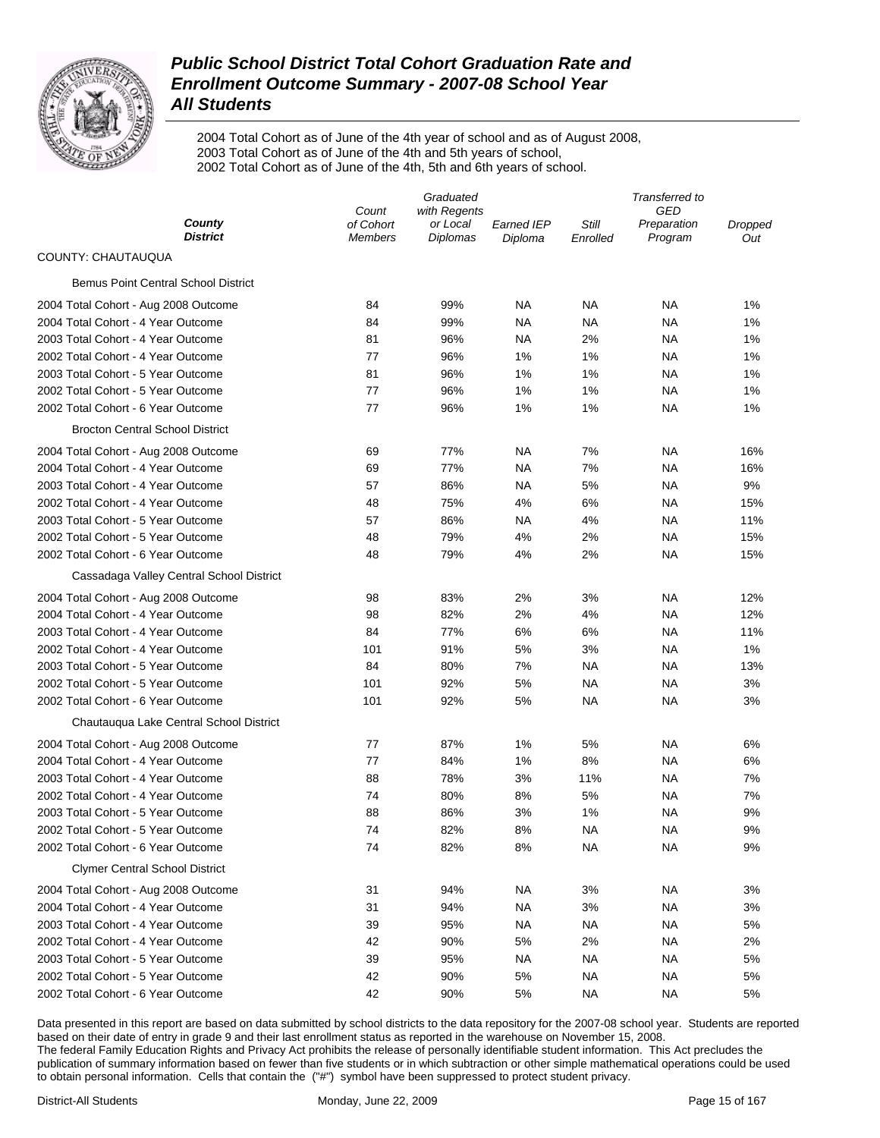

2004 Total Cohort as of June of the 4th year of school and as of August 2008, 2003 Total Cohort as of June of the 4th and 5th years of school, 2002 Total Cohort as of June of the 4th, 5th and 6th years of school.

|                                            | Graduated                   |                      |                              | Transferred to    |                        |                |  |
|--------------------------------------------|-----------------------------|----------------------|------------------------------|-------------------|------------------------|----------------|--|
| County                                     | Count                       | with Regents         |                              |                   | GED                    |                |  |
| <b>District</b>                            | of Cohort<br><b>Members</b> | or Local<br>Diplomas | <b>Earned IEP</b><br>Diploma | Still<br>Enrolled | Preparation<br>Program | Dropped<br>Out |  |
| COUNTY: CHAUTAUQUA                         |                             |                      |                              |                   |                        |                |  |
| <b>Bemus Point Central School District</b> |                             |                      |                              |                   |                        |                |  |
| 2004 Total Cohort - Aug 2008 Outcome       | 84                          | 99%                  | <b>NA</b>                    | NA                | NA                     | 1%             |  |
| 2004 Total Cohort - 4 Year Outcome         | 84                          | 99%                  | ΝA                           | NA                | NA                     | 1%             |  |
| 2003 Total Cohort - 4 Year Outcome         | 81                          | 96%                  | ΝA                           | 2%                | NA                     | 1%             |  |
| 2002 Total Cohort - 4 Year Outcome         | 77                          | 96%                  | 1%                           | 1%                | NA                     | 1%             |  |
| 2003 Total Cohort - 5 Year Outcome         | 81                          | 96%                  | 1%                           | 1%                | NA                     | 1%             |  |
| 2002 Total Cohort - 5 Year Outcome         | 77                          | 96%                  | 1%                           | 1%                | NA                     | 1%             |  |
| 2002 Total Cohort - 6 Year Outcome         | 77                          | 96%                  | 1%                           | 1%                | NA                     | 1%             |  |
| <b>Brocton Central School District</b>     |                             |                      |                              |                   |                        |                |  |
| 2004 Total Cohort - Aug 2008 Outcome       | 69                          | 77%                  | <b>NA</b>                    | 7%                | NA                     | 16%            |  |
| 2004 Total Cohort - 4 Year Outcome         | 69                          | 77%                  | NA                           | 7%                | NA                     | 16%            |  |
| 2003 Total Cohort - 4 Year Outcome         | 57                          | 86%                  | NA                           | 5%                | NA                     | 9%             |  |
| 2002 Total Cohort - 4 Year Outcome         | 48                          | 75%                  | 4%                           | 6%                | NA                     | 15%            |  |
| 2003 Total Cohort - 5 Year Outcome         | 57                          | 86%                  | ΝA                           | 4%                | NA                     | 11%            |  |
| 2002 Total Cohort - 5 Year Outcome         | 48                          | 79%                  | 4%                           | 2%                | NA                     | 15%            |  |
| 2002 Total Cohort - 6 Year Outcome         | 48                          | 79%                  | 4%                           | 2%                | <b>NA</b>              | 15%            |  |
| Cassadaga Valley Central School District   |                             |                      |                              |                   |                        |                |  |
| 2004 Total Cohort - Aug 2008 Outcome       | 98                          | 83%                  | 2%                           | 3%                | NA                     | 12%            |  |
| 2004 Total Cohort - 4 Year Outcome         | 98                          | 82%                  | 2%                           | 4%                | NA                     | 12%            |  |
| 2003 Total Cohort - 4 Year Outcome         | 84                          | 77%                  | $6\%$                        | 6%                | NA                     | 11%            |  |
| 2002 Total Cohort - 4 Year Outcome         | 101                         | 91%                  | 5%                           | 3%                | NA                     | 1%             |  |
| 2003 Total Cohort - 5 Year Outcome         | 84                          | 80%                  | 7%                           | NA                | NA                     | 13%            |  |
| 2002 Total Cohort - 5 Year Outcome         | 101                         | 92%                  | 5%                           | <b>NA</b>         | NA                     | 3%             |  |
| 2002 Total Cohort - 6 Year Outcome         | 101                         | 92%                  | 5%                           | <b>NA</b>         | <b>NA</b>              | 3%             |  |
| Chautauqua Lake Central School District    |                             |                      |                              |                   |                        |                |  |
| 2004 Total Cohort - Aug 2008 Outcome       | 77                          | 87%                  | 1%                           | 5%                | NA                     | 6%             |  |
| 2004 Total Cohort - 4 Year Outcome         | 77                          | 84%                  | 1%                           | 8%                | NA                     | 6%             |  |
| 2003 Total Cohort - 4 Year Outcome         | 88                          | 78%                  | 3%                           | 11%               | <b>NA</b>              | 7%             |  |
| 2002 Total Cohort - 4 Year Outcome         | 74                          | 80%                  | 8%                           | 5%                | <b>NA</b>              | 7%             |  |
| 2003 Total Cohort - 5 Year Outcome         | 88                          | 86%                  | 3%                           | 1%                | NA                     | 9%             |  |
| 2002 Total Cohort - 5 Year Outcome         | 74                          | 82%                  | 8%                           | <b>NA</b>         | <b>NA</b>              | 9%             |  |
| 2002 Total Cohort - 6 Year Outcome         | 74                          | 82%                  | 8%                           | <b>NA</b>         | <b>NA</b>              | 9%             |  |
| <b>Clymer Central School District</b>      |                             |                      |                              |                   |                        |                |  |
| 2004 Total Cohort - Aug 2008 Outcome       | 31                          | 94%                  | <b>NA</b>                    | 3%                | <b>NA</b>              | 3%             |  |
| 2004 Total Cohort - 4 Year Outcome         | 31                          | 94%                  | <b>NA</b>                    | 3%                | <b>NA</b>              | 3%             |  |
| 2003 Total Cohort - 4 Year Outcome         | 39                          | 95%                  | <b>NA</b>                    | <b>NA</b>         | <b>NA</b>              | 5%             |  |
| 2002 Total Cohort - 4 Year Outcome         | 42                          | 90%                  | 5%                           | 2%                | <b>NA</b>              | 2%             |  |
| 2003 Total Cohort - 5 Year Outcome         | 39                          | 95%                  | <b>NA</b>                    | <b>NA</b>         | <b>NA</b>              | 5%             |  |
| 2002 Total Cohort - 5 Year Outcome         | 42                          | 90%                  | 5%                           | <b>NA</b>         | <b>NA</b>              | 5%             |  |
| 2002 Total Cohort - 6 Year Outcome         | 42                          | 90%                  | 5%                           | <b>NA</b>         | <b>NA</b>              | 5%             |  |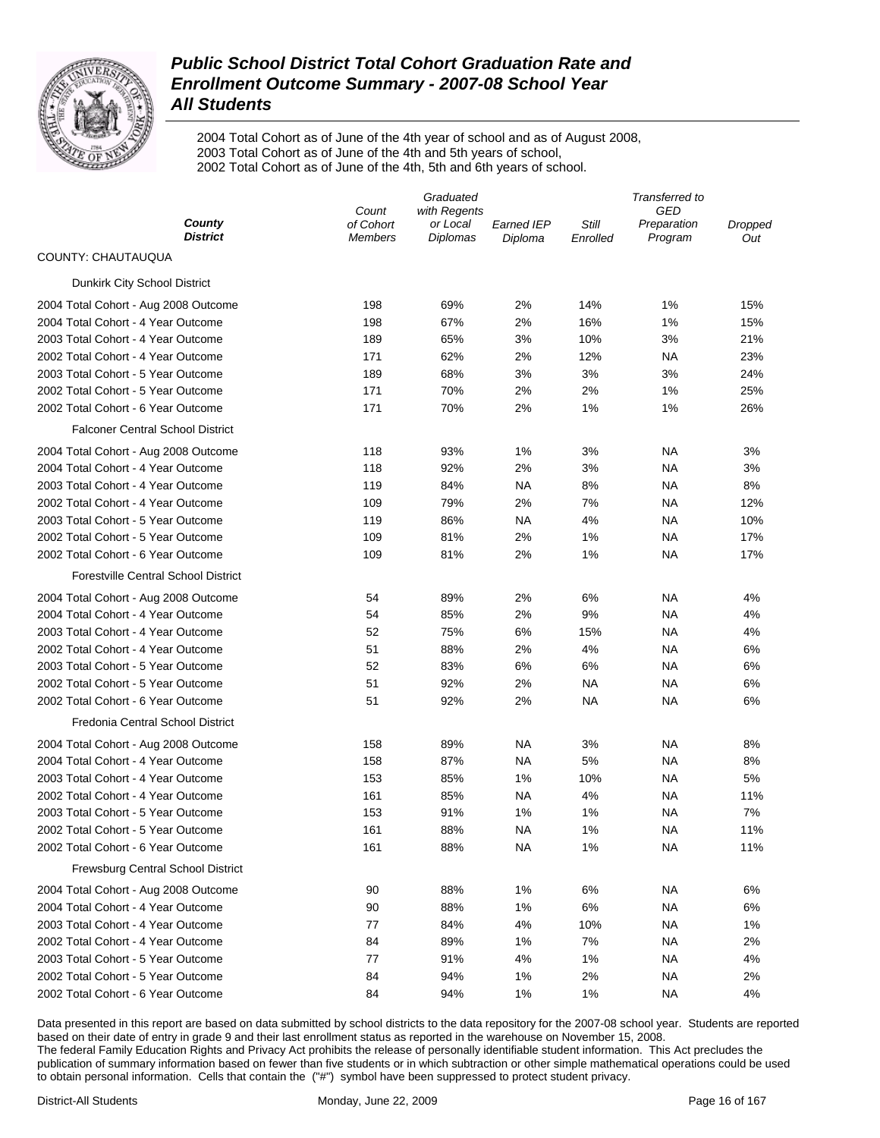

2004 Total Cohort as of June of the 4th year of school and as of August 2008, 2003 Total Cohort as of June of the 4th and 5th years of school, 2002 Total Cohort as of June of the 4th, 5th and 6th years of school.

|                                            | Graduated                   |                      |                              | Transferred to    |                        |                |  |
|--------------------------------------------|-----------------------------|----------------------|------------------------------|-------------------|------------------------|----------------|--|
|                                            | Count                       | with Regents         |                              |                   | GED                    |                |  |
| County<br><b>District</b>                  | of Cohort<br><b>Members</b> | or Local<br>Diplomas | <b>Earned IEP</b><br>Diploma | Still<br>Enrolled | Preparation<br>Program | Dropped<br>Out |  |
| COUNTY: CHAUTAUQUA                         |                             |                      |                              |                   |                        |                |  |
| Dunkirk City School District               |                             |                      |                              |                   |                        |                |  |
| 2004 Total Cohort - Aug 2008 Outcome       | 198                         | 69%                  | 2%                           | 14%               | 1%                     | 15%            |  |
| 2004 Total Cohort - 4 Year Outcome         | 198                         | 67%                  | 2%                           | 16%               | 1%                     | 15%            |  |
| 2003 Total Cohort - 4 Year Outcome         | 189                         | 65%                  | 3%                           | 10%               | 3%                     | 21%            |  |
| 2002 Total Cohort - 4 Year Outcome         | 171                         | 62%                  | 2%                           | 12%               | <b>NA</b>              | 23%            |  |
| 2003 Total Cohort - 5 Year Outcome         | 189                         | 68%                  | 3%                           | 3%                | 3%                     | 24%            |  |
| 2002 Total Cohort - 5 Year Outcome         | 171                         | 70%                  | 2%                           | 2%                | 1%                     | 25%            |  |
| 2002 Total Cohort - 6 Year Outcome         | 171                         | 70%                  | 2%                           | 1%                | 1%                     | 26%            |  |
| <b>Falconer Central School District</b>    |                             |                      |                              |                   |                        |                |  |
| 2004 Total Cohort - Aug 2008 Outcome       | 118                         | 93%                  | 1%                           | 3%                | <b>NA</b>              | 3%             |  |
| 2004 Total Cohort - 4 Year Outcome         | 118                         | 92%                  | 2%                           | 3%                | <b>NA</b>              | 3%             |  |
| 2003 Total Cohort - 4 Year Outcome         | 119                         | 84%                  | <b>NA</b>                    | 8%                | <b>NA</b>              | 8%             |  |
| 2002 Total Cohort - 4 Year Outcome         | 109                         | 79%                  | 2%                           | 7%                | <b>NA</b>              | 12%            |  |
| 2003 Total Cohort - 5 Year Outcome         | 119                         | 86%                  | <b>NA</b>                    | 4%                | <b>NA</b>              | 10%            |  |
| 2002 Total Cohort - 5 Year Outcome         | 109                         | 81%                  | 2%                           | 1%                | <b>NA</b>              | 17%            |  |
| 2002 Total Cohort - 6 Year Outcome         | 109                         | 81%                  | 2%                           | 1%                | <b>NA</b>              | 17%            |  |
| <b>Forestville Central School District</b> |                             |                      |                              |                   |                        |                |  |
| 2004 Total Cohort - Aug 2008 Outcome       | 54                          | 89%                  | 2%                           | 6%                | <b>NA</b>              | 4%             |  |
| 2004 Total Cohort - 4 Year Outcome         | 54                          | 85%                  | 2%                           | 9%                | <b>NA</b>              | 4%             |  |
| 2003 Total Cohort - 4 Year Outcome         | 52                          | 75%                  | $6\%$                        | 15%               | <b>NA</b>              | 4%             |  |
| 2002 Total Cohort - 4 Year Outcome         | 51                          | 88%                  | 2%                           | 4%                | <b>NA</b>              | 6%             |  |
| 2003 Total Cohort - 5 Year Outcome         | 52                          | 83%                  | 6%                           | 6%                | <b>NA</b>              | 6%             |  |
| 2002 Total Cohort - 5 Year Outcome         | 51                          | 92%                  | 2%                           | NA                | <b>NA</b>              | 6%             |  |
| 2002 Total Cohort - 6 Year Outcome         | 51                          | 92%                  | 2%                           | <b>NA</b>         | <b>NA</b>              | 6%             |  |
| Fredonia Central School District           |                             |                      |                              |                   |                        |                |  |
| 2004 Total Cohort - Aug 2008 Outcome       | 158                         | 89%                  | <b>NA</b>                    | 3%                | <b>NA</b>              | 8%             |  |
| 2004 Total Cohort - 4 Year Outcome         | 158                         | 87%                  | <b>NA</b>                    | 5%                | <b>NA</b>              | 8%             |  |
| 2003 Total Cohort - 4 Year Outcome         | 153                         | 85%                  | 1%                           | 10%               | <b>NA</b>              | 5%             |  |
| 2002 Total Cohort - 4 Year Outcome         | 161                         | 85%                  | <b>NA</b>                    | 4%                | <b>NA</b>              | 11%            |  |
| 2003 Total Cohort - 5 Year Outcome         | 153                         | 91%                  | 1%                           | 1%                | <b>NA</b>              | 7%             |  |
| 2002 Total Cohort - 5 Year Outcome         | 161                         | 88%                  | <b>NA</b>                    | 1%                | <b>NA</b>              | 11%            |  |
| 2002 Total Cohort - 6 Year Outcome         | 161                         | 88%                  | <b>NA</b>                    | 1%                | <b>NA</b>              | 11%            |  |
| <b>Frewsburg Central School District</b>   |                             |                      |                              |                   |                        |                |  |
| 2004 Total Cohort - Aug 2008 Outcome       | 90                          | 88%                  | 1%                           | 6%                | <b>NA</b>              | 6%             |  |
| 2004 Total Cohort - 4 Year Outcome         | 90                          | 88%                  | 1%                           | 6%                | <b>NA</b>              | 6%             |  |
| 2003 Total Cohort - 4 Year Outcome         | 77                          | 84%                  | 4%                           | 10%               | <b>NA</b>              | 1%             |  |
| 2002 Total Cohort - 4 Year Outcome         | 84                          | 89%                  | 1%                           | 7%                | <b>NA</b>              | 2%             |  |
| 2003 Total Cohort - 5 Year Outcome         | 77                          | 91%                  | 4%                           | 1%                | <b>NA</b>              | 4%             |  |
| 2002 Total Cohort - 5 Year Outcome         | 84                          | 94%                  | 1%                           | 2%                | <b>NA</b>              | 2%             |  |
| 2002 Total Cohort - 6 Year Outcome         | 84                          | 94%                  | 1%                           | 1%                | <b>NA</b>              | 4%             |  |
|                                            |                             |                      |                              |                   |                        |                |  |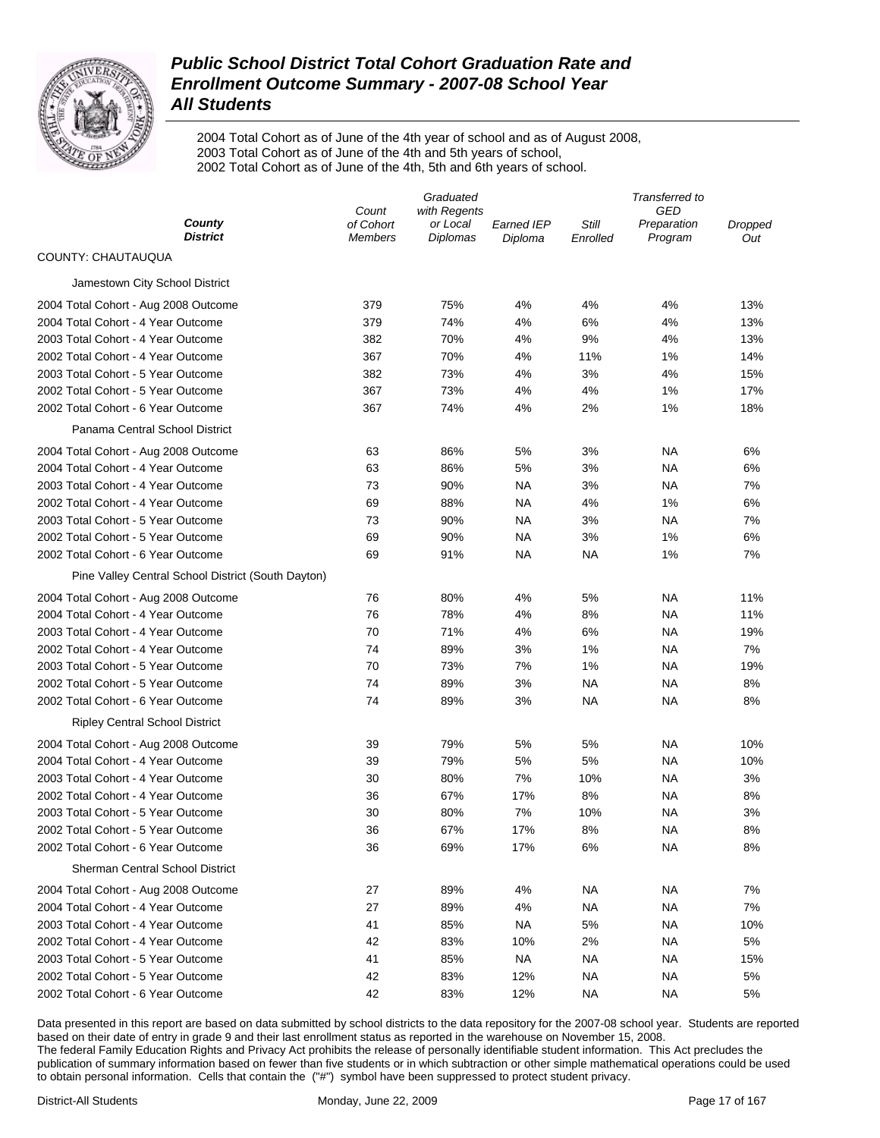

2004 Total Cohort as of June of the 4th year of school and as of August 2008, 2003 Total Cohort as of June of the 4th and 5th years of school, 2002 Total Cohort as of June of the 4th, 5th and 6th years of school.

|                                                    | Graduated          |                      |                   | Transferred to |                        |                |  |
|----------------------------------------------------|--------------------|----------------------|-------------------|----------------|------------------------|----------------|--|
| County                                             | Count<br>of Cohort | with Regents         | <b>Earned IEP</b> | Still          | GED                    |                |  |
| <b>District</b>                                    | <b>Members</b>     | or Local<br>Diplomas | Diploma           | Enrolled       | Preparation<br>Program | Dropped<br>Out |  |
| COUNTY: CHAUTAUQUA                                 |                    |                      |                   |                |                        |                |  |
| Jamestown City School District                     |                    |                      |                   |                |                        |                |  |
| 2004 Total Cohort - Aug 2008 Outcome               | 379                | 75%                  | 4%                | 4%             | 4%                     | 13%            |  |
| 2004 Total Cohort - 4 Year Outcome                 | 379                | 74%                  | 4%                | 6%             | 4%                     | 13%            |  |
| 2003 Total Cohort - 4 Year Outcome                 | 382                | 70%                  | 4%                | 9%             | 4%                     | 13%            |  |
| 2002 Total Cohort - 4 Year Outcome                 | 367                | 70%                  | 4%                | 11%            | 1%                     | 14%            |  |
| 2003 Total Cohort - 5 Year Outcome                 | 382                | 73%                  | 4%                | 3%             | 4%                     | 15%            |  |
| 2002 Total Cohort - 5 Year Outcome                 | 367                | 73%                  | 4%                | 4%             | 1%                     | 17%            |  |
| 2002 Total Cohort - 6 Year Outcome                 | 367                | 74%                  | 4%                | 2%             | 1%                     | 18%            |  |
| Panama Central School District                     |                    |                      |                   |                |                        |                |  |
| 2004 Total Cohort - Aug 2008 Outcome               | 63                 | 86%                  | 5%                | 3%             | NA                     | 6%             |  |
| 2004 Total Cohort - 4 Year Outcome                 | 63                 | 86%                  | 5%                | 3%             | NA                     | 6%             |  |
| 2003 Total Cohort - 4 Year Outcome                 | 73                 | 90%                  | NA                | 3%             | NA                     | 7%             |  |
| 2002 Total Cohort - 4 Year Outcome                 | 69                 | 88%                  | <b>NA</b>         | 4%             | 1%                     | 6%             |  |
| 2003 Total Cohort - 5 Year Outcome                 | 73                 | 90%                  | NA                | 3%             | NA                     | 7%             |  |
| 2002 Total Cohort - 5 Year Outcome                 | 69                 | 90%                  | NA                | 3%             | 1%                     | 6%             |  |
| 2002 Total Cohort - 6 Year Outcome                 | 69                 | 91%                  | <b>NA</b>         | <b>NA</b>      | 1%                     | 7%             |  |
| Pine Valley Central School District (South Dayton) |                    |                      |                   |                |                        |                |  |
| 2004 Total Cohort - Aug 2008 Outcome               | 76                 | 80%                  | 4%                | 5%             | NA                     | 11%            |  |
| 2004 Total Cohort - 4 Year Outcome                 | 76                 | 78%                  | 4%                | 8%             | NA                     | 11%            |  |
| 2003 Total Cohort - 4 Year Outcome                 | 70                 | 71%                  | 4%                | 6%             | NA                     | 19%            |  |
| 2002 Total Cohort - 4 Year Outcome                 | 74                 | 89%                  | 3%                | 1%             | NA                     | 7%             |  |
| 2003 Total Cohort - 5 Year Outcome                 | 70                 | 73%                  | 7%                | 1%             | <b>NA</b>              | 19%            |  |
| 2002 Total Cohort - 5 Year Outcome                 | 74                 | 89%                  | 3%                | <b>NA</b>      | NA                     | 8%             |  |
| 2002 Total Cohort - 6 Year Outcome                 | 74                 | 89%                  | 3%                | <b>NA</b>      | <b>NA</b>              | 8%             |  |
| <b>Ripley Central School District</b>              |                    |                      |                   |                |                        |                |  |
| 2004 Total Cohort - Aug 2008 Outcome               | 39                 | 79%                  | 5%                | 5%             | NA                     | 10%            |  |
| 2004 Total Cohort - 4 Year Outcome                 | 39                 | 79%                  | 5%                | 5%             | NA                     | 10%            |  |
| 2003 Total Cohort - 4 Year Outcome                 | 30                 | 80%                  | 7%                | 10%            | <b>NA</b>              | 3%             |  |
| 2002 Total Cohort - 4 Year Outcome                 | 36                 | 67%                  | 17%               | 8%             | <b>NA</b>              | 8%             |  |
| 2003 Total Cohort - 5 Year Outcome                 | 30                 | 80%                  | 7%                | 10%            | NA                     | 3%             |  |
| 2002 Total Cohort - 5 Year Outcome                 | 36                 | 67%                  | 17%               | 8%             | <b>NA</b>              | 8%             |  |
| 2002 Total Cohort - 6 Year Outcome                 | 36                 | 69%                  | 17%               | 6%             | <b>NA</b>              | 8%             |  |
| <b>Sherman Central School District</b>             |                    |                      |                   |                |                        |                |  |
| 2004 Total Cohort - Aug 2008 Outcome               | 27                 | 89%                  | 4%                | <b>NA</b>      | <b>NA</b>              | 7%             |  |
| 2004 Total Cohort - 4 Year Outcome                 | 27                 | 89%                  | 4%                | <b>NA</b>      | <b>NA</b>              | 7%             |  |
| 2003 Total Cohort - 4 Year Outcome                 | 41                 | 85%                  | <b>NA</b>         | 5%             | <b>NA</b>              | 10%            |  |
| 2002 Total Cohort - 4 Year Outcome                 | 42                 | 83%                  | 10%               | 2%             | <b>NA</b>              | 5%             |  |
| 2003 Total Cohort - 5 Year Outcome                 | 41                 | 85%                  | <b>NA</b>         | <b>NA</b>      | <b>NA</b>              | 15%            |  |
| 2002 Total Cohort - 5 Year Outcome                 | 42                 | 83%                  | 12%               | <b>NA</b>      | <b>NA</b>              | 5%             |  |
| 2002 Total Cohort - 6 Year Outcome                 | 42                 | 83%                  | 12%               | <b>NA</b>      | <b>NA</b>              | 5%             |  |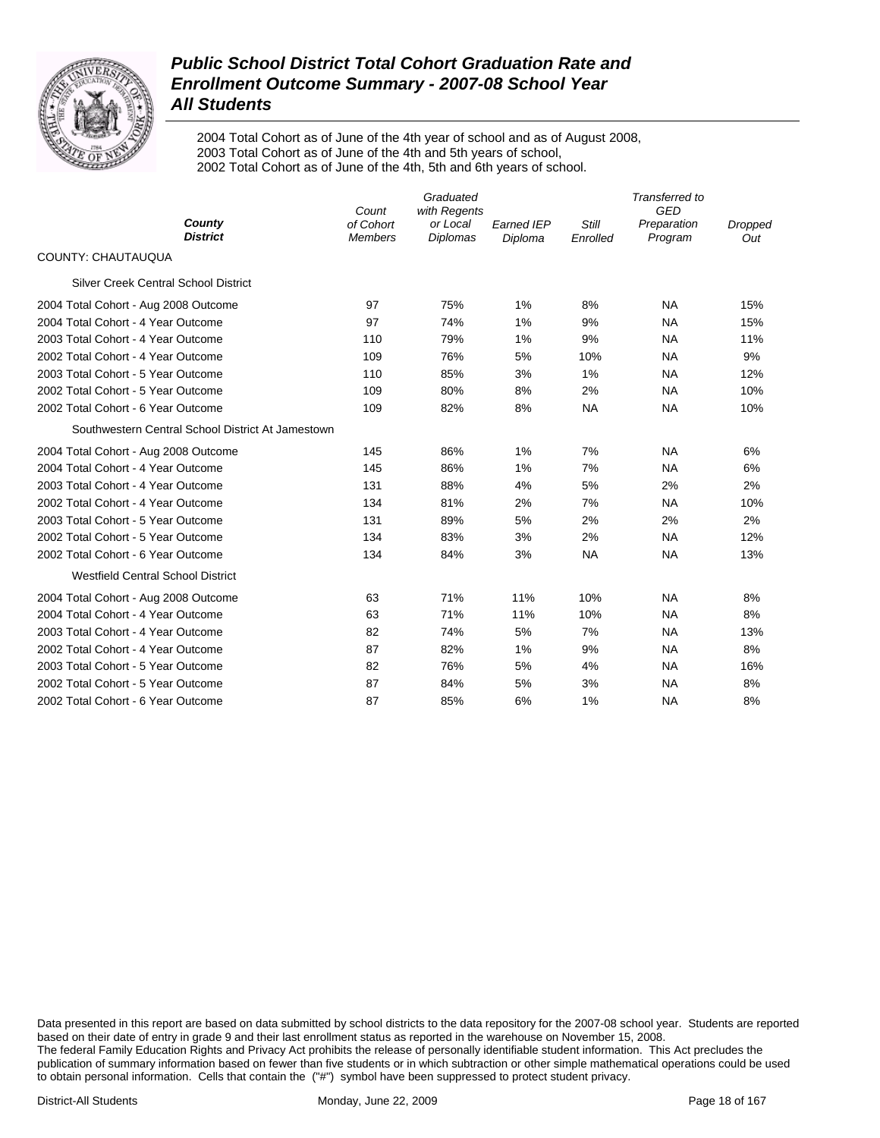

2004 Total Cohort as of June of the 4th year of school and as of August 2008, 2003 Total Cohort as of June of the 4th and 5th years of school, 2002 Total Cohort as of June of the 4th, 5th and 6th years of school.

|                                                   | Count                       | Graduated<br>with Regents   |                              |                   | Transferred to<br>GED  |                |  |
|---------------------------------------------------|-----------------------------|-----------------------------|------------------------------|-------------------|------------------------|----------------|--|
| County<br><b>District</b>                         | of Cohort<br><b>Members</b> | or Local<br><b>Diplomas</b> | <b>Earned IEP</b><br>Diploma | Still<br>Enrolled | Preparation<br>Program | Dropped<br>Out |  |
| <b>COUNTY: CHAUTAUQUA</b>                         |                             |                             |                              |                   |                        |                |  |
| <b>Silver Creek Central School District</b>       |                             |                             |                              |                   |                        |                |  |
| 2004 Total Cohort - Aug 2008 Outcome              | 97                          | 75%                         | 1%                           | 8%                | <b>NA</b>              | 15%            |  |
| 2004 Total Cohort - 4 Year Outcome                | 97                          | 74%                         | 1%                           | 9%                | <b>NA</b>              | 15%            |  |
| 2003 Total Cohort - 4 Year Outcome                | 110                         | 79%                         | 1%                           | 9%                | <b>NA</b>              | 11%            |  |
| 2002 Total Cohort - 4 Year Outcome                | 109                         | 76%                         | 5%                           | 10%               | <b>NA</b>              | 9%             |  |
| 2003 Total Cohort - 5 Year Outcome                | 110                         | 85%                         | 3%                           | 1%                | <b>NA</b>              | 12%            |  |
| 2002 Total Cohort - 5 Year Outcome                | 109                         | 80%                         | 8%                           | 2%                | <b>NA</b>              | 10%            |  |
| 2002 Total Cohort - 6 Year Outcome                | 109                         | 82%                         | 8%                           | <b>NA</b>         | <b>NA</b>              | 10%            |  |
| Southwestern Central School District At Jamestown |                             |                             |                              |                   |                        |                |  |
| 2004 Total Cohort - Aug 2008 Outcome              | 145                         | 86%                         | 1%                           | 7%                | <b>NA</b>              | 6%             |  |
| 2004 Total Cohort - 4 Year Outcome                | 145                         | 86%                         | 1%                           | 7%                | <b>NA</b>              | 6%             |  |
| 2003 Total Cohort - 4 Year Outcome                | 131                         | 88%                         | 4%                           | 5%                | 2%                     | 2%             |  |
| 2002 Total Cohort - 4 Year Outcome                | 134                         | 81%                         | 2%                           | 7%                | <b>NA</b>              | 10%            |  |
| 2003 Total Cohort - 5 Year Outcome                | 131                         | 89%                         | 5%                           | 2%                | 2%                     | 2%             |  |
| 2002 Total Cohort - 5 Year Outcome                | 134                         | 83%                         | 3%                           | 2%                | <b>NA</b>              | 12%            |  |
| 2002 Total Cohort - 6 Year Outcome                | 134                         | 84%                         | 3%                           | <b>NA</b>         | <b>NA</b>              | 13%            |  |
| <b>Westfield Central School District</b>          |                             |                             |                              |                   |                        |                |  |
| 2004 Total Cohort - Aug 2008 Outcome              | 63                          | 71%                         | 11%                          | 10%               | <b>NA</b>              | 8%             |  |
| 2004 Total Cohort - 4 Year Outcome                | 63                          | 71%                         | 11%                          | 10%               | <b>NA</b>              | 8%             |  |
| 2003 Total Cohort - 4 Year Outcome                | 82                          | 74%                         | 5%                           | 7%                | <b>NA</b>              | 13%            |  |
| 2002 Total Cohort - 4 Year Outcome                | 87                          | 82%                         | 1%                           | 9%                | <b>NA</b>              | 8%             |  |
| 2003 Total Cohort - 5 Year Outcome                | 82                          | 76%                         | 5%                           | 4%                | <b>NA</b>              | 16%            |  |
| 2002 Total Cohort - 5 Year Outcome                | 87                          | 84%                         | 5%                           | 3%                | <b>NA</b>              | 8%             |  |
| 2002 Total Cohort - 6 Year Outcome                | 87                          | 85%                         | 6%                           | 1%                | <b>NA</b>              | 8%             |  |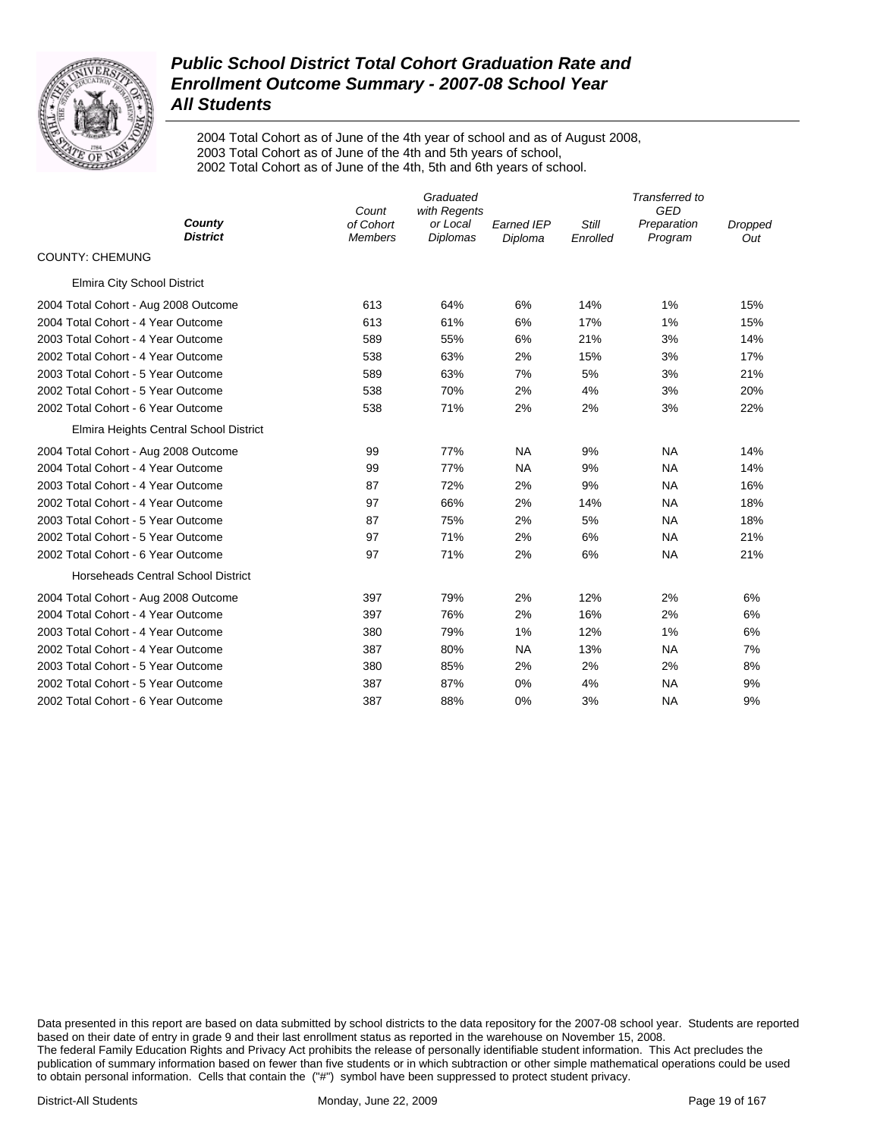

2004 Total Cohort as of June of the 4th year of school and as of August 2008, 2003 Total Cohort as of June of the 4th and 5th years of school, 2002 Total Cohort as of June of the 4th, 5th and 6th years of school.

|                                        | Count                       | Transferred to<br><b>GED</b>                |                              |                   |                        |                       |
|----------------------------------------|-----------------------------|---------------------------------------------|------------------------------|-------------------|------------------------|-----------------------|
| County<br><b>District</b>              | of Cohort<br><b>Members</b> | with Regents<br>or Local<br><b>Diplomas</b> | <b>Earned IEP</b><br>Diploma | Still<br>Enrolled | Preparation<br>Program | <b>Dropped</b><br>Out |
| <b>COUNTY: CHEMUNG</b>                 |                             |                                             |                              |                   |                        |                       |
| <b>Elmira City School District</b>     |                             |                                             |                              |                   |                        |                       |
| 2004 Total Cohort - Aug 2008 Outcome   | 613                         | 64%                                         | 6%                           | 14%               | 1%                     | 15%                   |
| 2004 Total Cohort - 4 Year Outcome     | 613                         | 61%                                         | 6%                           | 17%               | 1%                     | 15%                   |
| 2003 Total Cohort - 4 Year Outcome     | 589                         | 55%                                         | 6%                           | 21%               | 3%                     | 14%                   |
| 2002 Total Cohort - 4 Year Outcome     | 538                         | 63%                                         | 2%                           | 15%               | 3%                     | 17%                   |
| 2003 Total Cohort - 5 Year Outcome     | 589                         | 63%                                         | 7%                           | 5%                | 3%                     | 21%                   |
| 2002 Total Cohort - 5 Year Outcome     | 538                         | 70%                                         | 2%                           | 4%                | 3%                     | 20%                   |
| 2002 Total Cohort - 6 Year Outcome     | 538                         | 71%                                         | 2%                           | 2%                | 3%                     | 22%                   |
| Elmira Heights Central School District |                             |                                             |                              |                   |                        |                       |
| 2004 Total Cohort - Aug 2008 Outcome   | 99                          | 77%                                         | <b>NA</b>                    | 9%                | <b>NA</b>              | 14%                   |
| 2004 Total Cohort - 4 Year Outcome     | 99                          | 77%                                         | <b>NA</b>                    | 9%                | <b>NA</b>              | 14%                   |
| 2003 Total Cohort - 4 Year Outcome     | 87                          | 72%                                         | 2%                           | 9%                | <b>NA</b>              | 16%                   |
| 2002 Total Cohort - 4 Year Outcome     | 97                          | 66%                                         | 2%                           | 14%               | <b>NA</b>              | 18%                   |
| 2003 Total Cohort - 5 Year Outcome     | 87                          | 75%                                         | 2%                           | 5%                | <b>NA</b>              | 18%                   |
| 2002 Total Cohort - 5 Year Outcome     | 97                          | 71%                                         | 2%                           | 6%                | <b>NA</b>              | 21%                   |
| 2002 Total Cohort - 6 Year Outcome     | 97                          | 71%                                         | 2%                           | 6%                | <b>NA</b>              | 21%                   |
| Horseheads Central School District     |                             |                                             |                              |                   |                        |                       |
| 2004 Total Cohort - Aug 2008 Outcome   | 397                         | 79%                                         | 2%                           | 12%               | 2%                     | 6%                    |
| 2004 Total Cohort - 4 Year Outcome     | 397                         | 76%                                         | 2%                           | 16%               | 2%                     | 6%                    |
| 2003 Total Cohort - 4 Year Outcome     | 380                         | 79%                                         | 1%                           | 12%               | 1%                     | 6%                    |
| 2002 Total Cohort - 4 Year Outcome     | 387                         | 80%                                         | <b>NA</b>                    | 13%               | <b>NA</b>              | 7%                    |
| 2003 Total Cohort - 5 Year Outcome     | 380                         | 85%                                         | 2%                           | 2%                | 2%                     | 8%                    |
| 2002 Total Cohort - 5 Year Outcome     | 387                         | 87%                                         | 0%                           | 4%                | <b>NA</b>              | 9%                    |
| 2002 Total Cohort - 6 Year Outcome     | 387                         | 88%                                         | 0%                           | 3%                | <b>NA</b>              | 9%                    |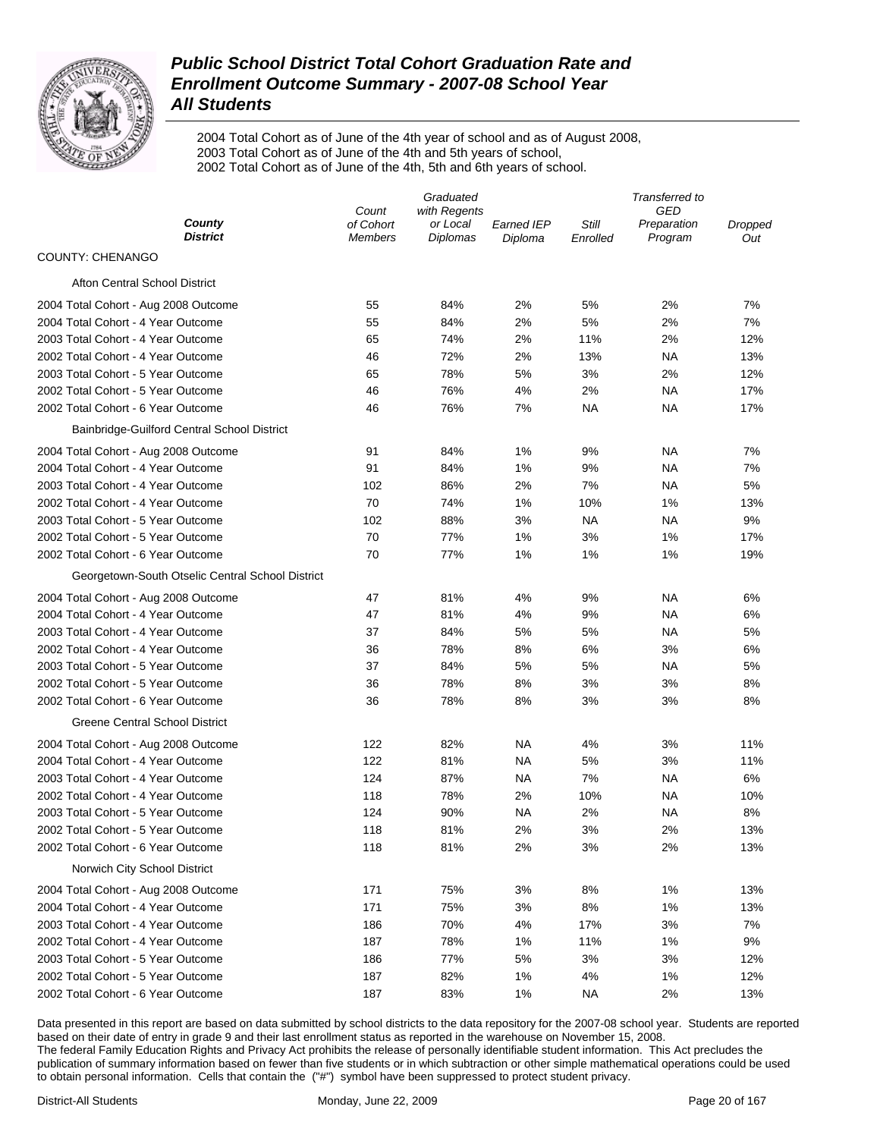

2004 Total Cohort as of June of the 4th year of school and as of August 2008, 2003 Total Cohort as of June of the 4th and 5th years of school, 2002 Total Cohort as of June of the 4th, 5th and 6th years of school.

|                                                  | Graduated                   |                             |                              | Transferred to    |                        |                |  |
|--------------------------------------------------|-----------------------------|-----------------------------|------------------------------|-------------------|------------------------|----------------|--|
|                                                  | Count                       | with Regents                |                              |                   | GED                    |                |  |
| County<br><b>District</b>                        | of Cohort<br><b>Members</b> | or Local<br><b>Diplomas</b> | <b>Earned IEP</b><br>Diploma | Still<br>Enrolled | Preparation<br>Program | Dropped<br>Out |  |
| <b>COUNTY: CHENANGO</b>                          |                             |                             |                              |                   |                        |                |  |
| <b>Afton Central School District</b>             |                             |                             |                              |                   |                        |                |  |
| 2004 Total Cohort - Aug 2008 Outcome             | 55                          | 84%                         | 2%                           | 5%                | 2%                     | 7%             |  |
| 2004 Total Cohort - 4 Year Outcome               | 55                          | 84%                         | 2%                           | 5%                | 2%                     | 7%             |  |
| 2003 Total Cohort - 4 Year Outcome               | 65                          | 74%                         | 2%                           | 11%               | 2%                     | 12%            |  |
| 2002 Total Cohort - 4 Year Outcome               | 46                          | 72%                         | 2%                           | 13%               | NA                     | 13%            |  |
| 2003 Total Cohort - 5 Year Outcome               | 65                          | 78%                         | 5%                           | 3%                | 2%                     | 12%            |  |
| 2002 Total Cohort - 5 Year Outcome               | 46                          | 76%                         | 4%                           | 2%                | ΝA                     | 17%            |  |
| 2002 Total Cohort - 6 Year Outcome               | 46                          | 76%                         | 7%                           | <b>NA</b>         | ΝA                     | 17%            |  |
| Bainbridge-Guilford Central School District      |                             |                             |                              |                   |                        |                |  |
| 2004 Total Cohort - Aug 2008 Outcome             | 91                          | 84%                         | 1%                           | 9%                | NA                     | 7%             |  |
| 2004 Total Cohort - 4 Year Outcome               | 91                          | 84%                         | 1%                           | 9%                | NA                     | 7%             |  |
| 2003 Total Cohort - 4 Year Outcome               | 102                         | 86%                         | 2%                           | 7%                | NA                     | 5%             |  |
| 2002 Total Cohort - 4 Year Outcome               | 70                          | 74%                         | 1%                           | 10%               | 1%                     | 13%            |  |
| 2003 Total Cohort - 5 Year Outcome               | 102                         | 88%                         | 3%                           | ΝA                | NA                     | 9%             |  |
| 2002 Total Cohort - 5 Year Outcome               | 70                          | 77%                         | 1%                           | 3%                | 1%                     | 17%            |  |
| 2002 Total Cohort - 6 Year Outcome               | 70                          | 77%                         | 1%                           | 1%                | 1%                     | 19%            |  |
| Georgetown-South Otselic Central School District |                             |                             |                              |                   |                        |                |  |
|                                                  |                             |                             |                              |                   |                        |                |  |
| 2004 Total Cohort - Aug 2008 Outcome             | 47                          | 81%                         | 4%                           | 9%                | ΝA                     | 6%             |  |
| 2004 Total Cohort - 4 Year Outcome               | 47                          | 81%                         | 4%                           | 9%                | NA                     | 6%             |  |
| 2003 Total Cohort - 4 Year Outcome               | 37                          | 84%                         | 5%                           | 5%                | NA                     | 5%             |  |
| 2002 Total Cohort - 4 Year Outcome               | 36                          | 78%                         | 8%                           | 6%                | 3%                     | 6%             |  |
| 2003 Total Cohort - 5 Year Outcome               | 37                          | 84%                         | 5%                           | 5%                | <b>NA</b>              | 5%             |  |
| 2002 Total Cohort - 5 Year Outcome               | 36                          | 78%                         | 8%                           | 3%                | 3%                     | 8%             |  |
| 2002 Total Cohort - 6 Year Outcome               | 36                          | 78%                         | 8%                           | 3%                | 3%                     | 8%             |  |
| <b>Greene Central School District</b>            |                             |                             |                              |                   |                        |                |  |
| 2004 Total Cohort - Aug 2008 Outcome             | 122                         | 82%                         | NA                           | 4%                | 3%                     | 11%            |  |
| 2004 Total Cohort - 4 Year Outcome               | 122                         | 81%                         | NA                           | 5%                | 3%                     | 11%            |  |
| 2003 Total Cohort - 4 Year Outcome               | 124                         | 87%                         | <b>NA</b>                    | 7%                | <b>NA</b>              | 6%             |  |
| 2002 Total Cohort - 4 Year Outcome               | 118                         | 78%                         | 2%                           | 10%               | NA                     | 10%            |  |
| 2003 Total Cohort - 5 Year Outcome               | 124                         | 90%                         | <b>NA</b>                    | 2%                | NA                     | 8%             |  |
| 2002 Total Cohort - 5 Year Outcome               | 118                         | 81%                         | 2%                           | 3%                | 2%                     | 13%            |  |
| 2002 Total Cohort - 6 Year Outcome               | 118                         | 81%                         | 2%                           | 3%                | 2%                     | 13%            |  |
| Norwich City School District                     |                             |                             |                              |                   |                        |                |  |
| 2004 Total Cohort - Aug 2008 Outcome             | 171                         | 75%                         | 3%                           | 8%                | 1%                     | 13%            |  |
| 2004 Total Cohort - 4 Year Outcome               | 171                         | 75%                         | 3%                           | 8%                | 1%                     | 13%            |  |
| 2003 Total Cohort - 4 Year Outcome               | 186                         | 70%                         | 4%                           | 17%               | 3%                     | 7%             |  |
| 2002 Total Cohort - 4 Year Outcome               | 187                         | 78%                         | 1%                           | 11%               | 1%                     | 9%             |  |
| 2003 Total Cohort - 5 Year Outcome               | 186                         | 77%                         | 5%                           | 3%                | 3%                     | 12%            |  |
| 2002 Total Cohort - 5 Year Outcome               | 187                         | 82%                         | 1%                           | 4%                | 1%                     | 12%            |  |
| 2002 Total Cohort - 6 Year Outcome               | 187                         | 83%                         | 1%                           | <b>NA</b>         | 2%                     | 13%            |  |
|                                                  |                             |                             |                              |                   |                        |                |  |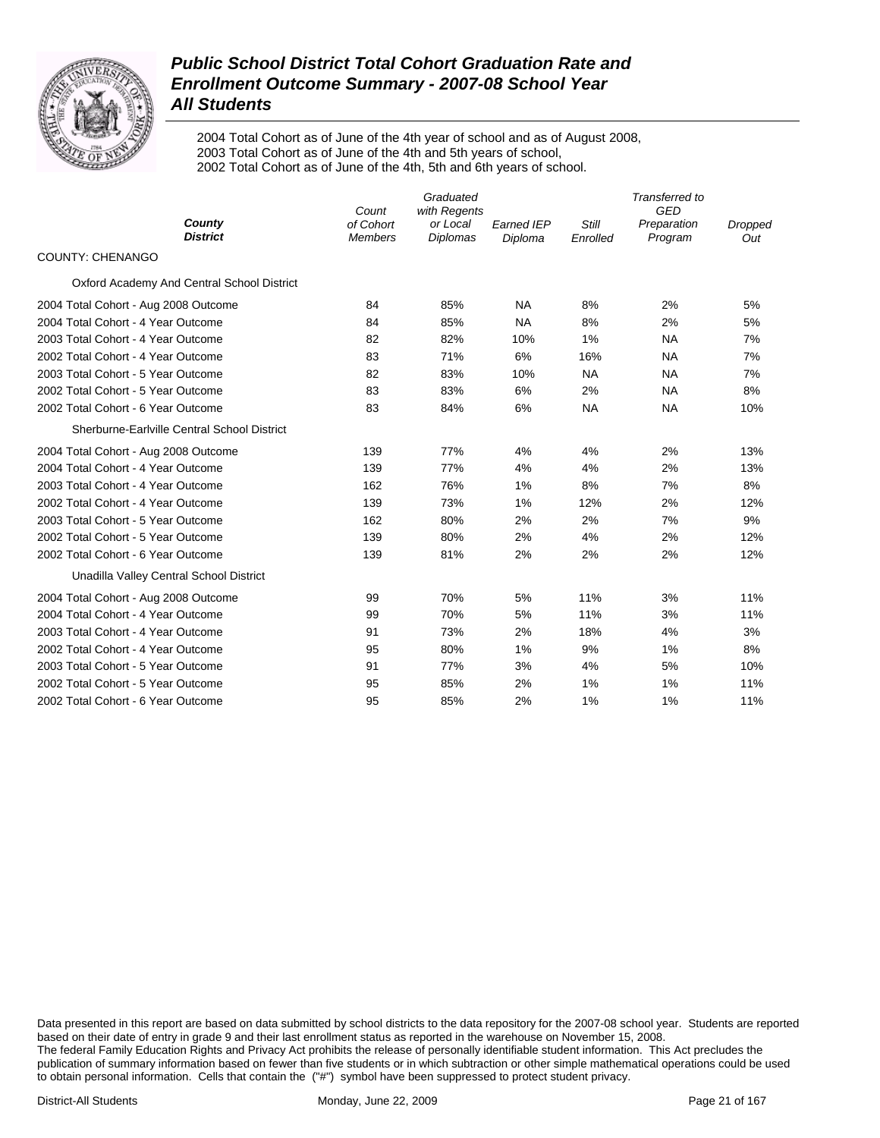

2004 Total Cohort as of June of the 4th year of school and as of August 2008, 2003 Total Cohort as of June of the 4th and 5th years of school, 2002 Total Cohort as of June of the 4th, 5th and 6th years of school.

|                                             | Count                       | Graduated<br>with Regents   |                       | Transferred to<br>GED |                        |                |
|---------------------------------------------|-----------------------------|-----------------------------|-----------------------|-----------------------|------------------------|----------------|
| County<br><b>District</b>                   | of Cohort<br><b>Members</b> | or Local<br><b>Diplomas</b> | Earned IEP<br>Diploma | Still<br>Enrolled     | Preparation<br>Program | Dropped<br>Out |
| COUNTY: CHENANGO                            |                             |                             |                       |                       |                        |                |
| Oxford Academy And Central School District  |                             |                             |                       |                       |                        |                |
| 2004 Total Cohort - Aug 2008 Outcome        | 84                          | 85%                         | <b>NA</b>             | 8%                    | 2%                     | 5%             |
| 2004 Total Cohort - 4 Year Outcome          | 84                          | 85%                         | <b>NA</b>             | 8%                    | 2%                     | 5%             |
| 2003 Total Cohort - 4 Year Outcome          | 82                          | 82%                         | 10%                   | 1%                    | <b>NA</b>              | 7%             |
| 2002 Total Cohort - 4 Year Outcome          | 83                          | 71%                         | 6%                    | 16%                   | <b>NA</b>              | 7%             |
| 2003 Total Cohort - 5 Year Outcome          | 82                          | 83%                         | 10%                   | <b>NA</b>             | <b>NA</b>              | 7%             |
| 2002 Total Cohort - 5 Year Outcome          | 83                          | 83%                         | 6%                    | 2%                    | <b>NA</b>              | 8%             |
| 2002 Total Cohort - 6 Year Outcome          | 83                          | 84%                         | 6%                    | <b>NA</b>             | <b>NA</b>              | 10%            |
| Sherburne-Earlville Central School District |                             |                             |                       |                       |                        |                |
| 2004 Total Cohort - Aug 2008 Outcome        | 139                         | 77%                         | 4%                    | 4%                    | 2%                     | 13%            |
| 2004 Total Cohort - 4 Year Outcome          | 139                         | 77%                         | 4%                    | 4%                    | 2%                     | 13%            |
| 2003 Total Cohort - 4 Year Outcome          | 162                         | 76%                         | 1%                    | 8%                    | 7%                     | 8%             |
| 2002 Total Cohort - 4 Year Outcome          | 139                         | 73%                         | 1%                    | 12%                   | 2%                     | 12%            |
| 2003 Total Cohort - 5 Year Outcome          | 162                         | 80%                         | 2%                    | 2%                    | 7%                     | 9%             |
| 2002 Total Cohort - 5 Year Outcome          | 139                         | 80%                         | 2%                    | 4%                    | 2%                     | 12%            |
| 2002 Total Cohort - 6 Year Outcome          | 139                         | 81%                         | 2%                    | 2%                    | 2%                     | 12%            |
| Unadilla Valley Central School District     |                             |                             |                       |                       |                        |                |
| 2004 Total Cohort - Aug 2008 Outcome        | 99                          | 70%                         | 5%                    | 11%                   | 3%                     | 11%            |
| 2004 Total Cohort - 4 Year Outcome          | 99                          | 70%                         | 5%                    | 11%                   | 3%                     | 11%            |
| 2003 Total Cohort - 4 Year Outcome          | 91                          | 73%                         | 2%                    | 18%                   | 4%                     | 3%             |
| 2002 Total Cohort - 4 Year Outcome          | 95                          | 80%                         | 1%                    | 9%                    | 1%                     | 8%             |
| 2003 Total Cohort - 5 Year Outcome          | 91                          | 77%                         | 3%                    | 4%                    | 5%                     | 10%            |
| 2002 Total Cohort - 5 Year Outcome          | 95                          | 85%                         | 2%                    | 1%                    | 1%                     | 11%            |
| 2002 Total Cohort - 6 Year Outcome          | 95                          | 85%                         | 2%                    | 1%                    | 1%                     | 11%            |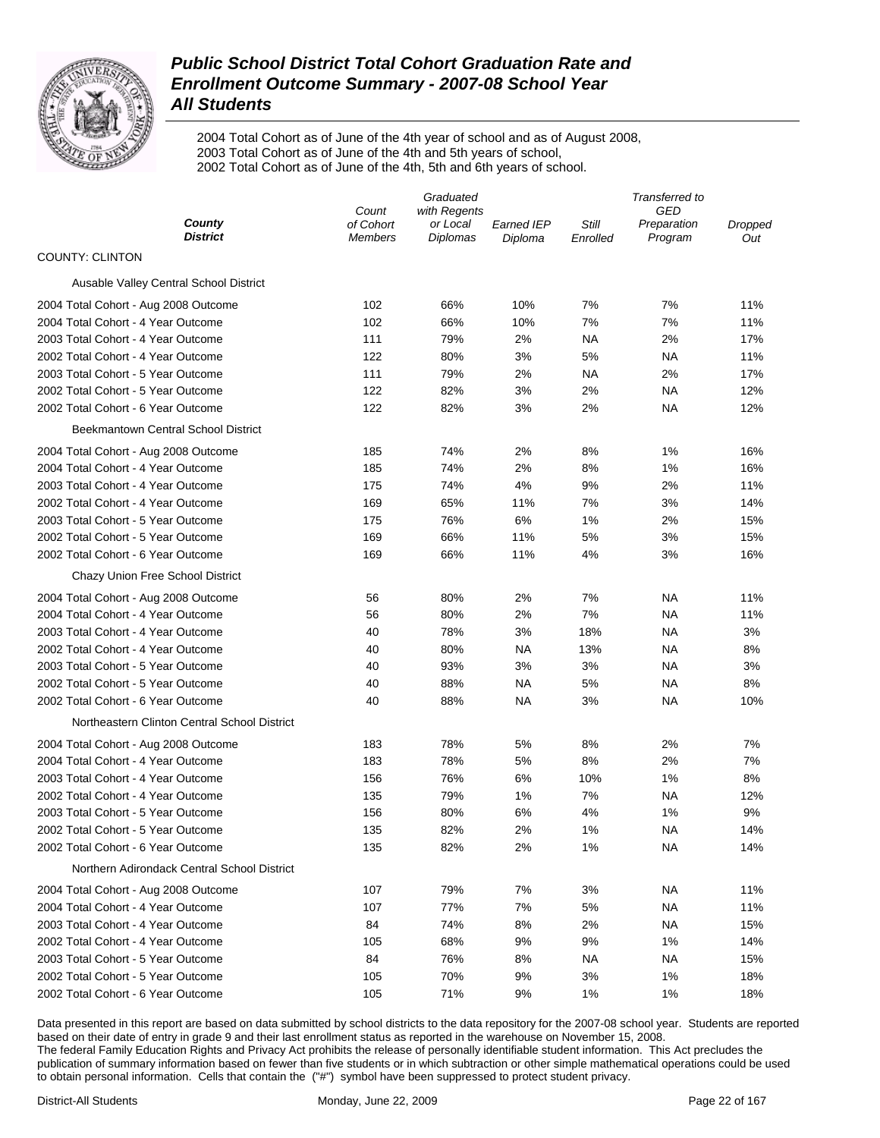

2004 Total Cohort as of June of the 4th year of school and as of August 2008, 2003 Total Cohort as of June of the 4th and 5th years of school, 2002 Total Cohort as of June of the 4th, 5th and 6th years of school.

|                                              | Graduated          |                          |                   | Transferred to |                    |         |  |
|----------------------------------------------|--------------------|--------------------------|-------------------|----------------|--------------------|---------|--|
| County                                       | Count<br>of Cohort | with Regents<br>or Local | <b>Earned IEP</b> | Still          | GED<br>Preparation | Dropped |  |
| District                                     | <b>Members</b>     | Diplomas                 | Diploma           | Enrolled       | Program            | Out     |  |
| <b>COUNTY: CLINTON</b>                       |                    |                          |                   |                |                    |         |  |
| Ausable Valley Central School District       |                    |                          |                   |                |                    |         |  |
| 2004 Total Cohort - Aug 2008 Outcome         | 102                | 66%                      | 10%               | 7%             | 7%                 | 11%     |  |
| 2004 Total Cohort - 4 Year Outcome           | 102                | 66%                      | 10%               | 7%             | 7%                 | 11%     |  |
| 2003 Total Cohort - 4 Year Outcome           | 111                | 79%                      | 2%                | <b>NA</b>      | 2%                 | 17%     |  |
| 2002 Total Cohort - 4 Year Outcome           | 122                | 80%                      | 3%                | 5%             | ΝA                 | 11%     |  |
| 2003 Total Cohort - 5 Year Outcome           | 111                | 79%                      | 2%                | <b>NA</b>      | 2%                 | 17%     |  |
| 2002 Total Cohort - 5 Year Outcome           | 122                | 82%                      | 3%                | 2%             | NA                 | 12%     |  |
| 2002 Total Cohort - 6 Year Outcome           | 122                | 82%                      | 3%                | 2%             | ΝA                 | 12%     |  |
| <b>Beekmantown Central School District</b>   |                    |                          |                   |                |                    |         |  |
| 2004 Total Cohort - Aug 2008 Outcome         | 185                | 74%                      | 2%                | 8%             | 1%                 | 16%     |  |
| 2004 Total Cohort - 4 Year Outcome           | 185                | 74%                      | 2%                | 8%             | 1%                 | 16%     |  |
| 2003 Total Cohort - 4 Year Outcome           | 175                | 74%                      | 4%                | 9%             | 2%                 | 11%     |  |
| 2002 Total Cohort - 4 Year Outcome           | 169                | 65%                      | 11%               | 7%             | 3%                 | 14%     |  |
| 2003 Total Cohort - 5 Year Outcome           | 175                | 76%                      | 6%                | 1%             | 2%                 | 15%     |  |
| 2002 Total Cohort - 5 Year Outcome           | 169                | 66%                      | 11%               | 5%             | 3%                 | 15%     |  |
| 2002 Total Cohort - 6 Year Outcome           | 169                | 66%                      | 11%               | 4%             | 3%                 | 16%     |  |
| Chazy Union Free School District             |                    |                          |                   |                |                    |         |  |
| 2004 Total Cohort - Aug 2008 Outcome         | 56                 | 80%                      | 2%                | 7%             | <b>NA</b>          | 11%     |  |
| 2004 Total Cohort - 4 Year Outcome           | 56                 | 80%                      | 2%                | 7%             | ΝA                 | 11%     |  |
| 2003 Total Cohort - 4 Year Outcome           | 40                 | 78%                      | 3%                | 18%            | ΝA                 | 3%      |  |
| 2002 Total Cohort - 4 Year Outcome           | 40                 | 80%                      | <b>NA</b>         | 13%            | ΝA                 | 8%      |  |
| 2003 Total Cohort - 5 Year Outcome           | 40                 | 93%                      | 3%                | 3%             | ΝA                 | 3%      |  |
| 2002 Total Cohort - 5 Year Outcome           | 40                 | 88%                      | NA                | 5%             | ΝA                 | 8%      |  |
| 2002 Total Cohort - 6 Year Outcome           | 40                 | 88%                      | NA                | 3%             | ΝA                 | 10%     |  |
| Northeastern Clinton Central School District |                    |                          |                   |                |                    |         |  |
| 2004 Total Cohort - Aug 2008 Outcome         | 183                | 78%                      | 5%                | 8%             | 2%                 | 7%      |  |
| 2004 Total Cohort - 4 Year Outcome           | 183                | 78%                      | 5%                | 8%             | 2%                 | 7%      |  |
| 2003 Total Cohort - 4 Year Outcome           | 156                | 76%                      | 6%                | 10%            | 1%                 | 8%      |  |
| 2002 Total Cohort - 4 Year Outcome           | 135                | 79%                      | 1%                | 7%             | ΝA                 | 12%     |  |
| 2003 Total Cohort - 5 Year Outcome           | 156                | 80%                      | 6%                | 4%             | 1%                 | 9%      |  |
| 2002 Total Cohort - 5 Year Outcome           | 135                | 82%                      | 2%                | 1%             | <b>NA</b>          | 14%     |  |
| 2002 Total Cohort - 6 Year Outcome           | 135                | 82%                      | 2%                | 1%             | ΝA                 | 14%     |  |
| Northern Adirondack Central School District  |                    |                          |                   |                |                    |         |  |
| 2004 Total Cohort - Aug 2008 Outcome         | 107                | 79%                      | 7%                | 3%             | NA                 | 11%     |  |
| 2004 Total Cohort - 4 Year Outcome           | 107                | 77%                      | 7%                | 5%             | ΝA                 | 11%     |  |
| 2003 Total Cohort - 4 Year Outcome           | 84                 | 74%                      | 8%                | 2%             | ΝA                 | 15%     |  |
| 2002 Total Cohort - 4 Year Outcome           | 105                | 68%                      | 9%                | 9%             | 1%                 | 14%     |  |
| 2003 Total Cohort - 5 Year Outcome           | 84                 | 76%                      | 8%                | ΝA             | ΝA                 | 15%     |  |
| 2002 Total Cohort - 5 Year Outcome           | 105                | 70%                      | 9%                | 3%             | 1%                 | 18%     |  |
| 2002 Total Cohort - 6 Year Outcome           | 105                | 71%                      | 9%                | 1%             | 1%                 | 18%     |  |
|                                              |                    |                          |                   |                |                    |         |  |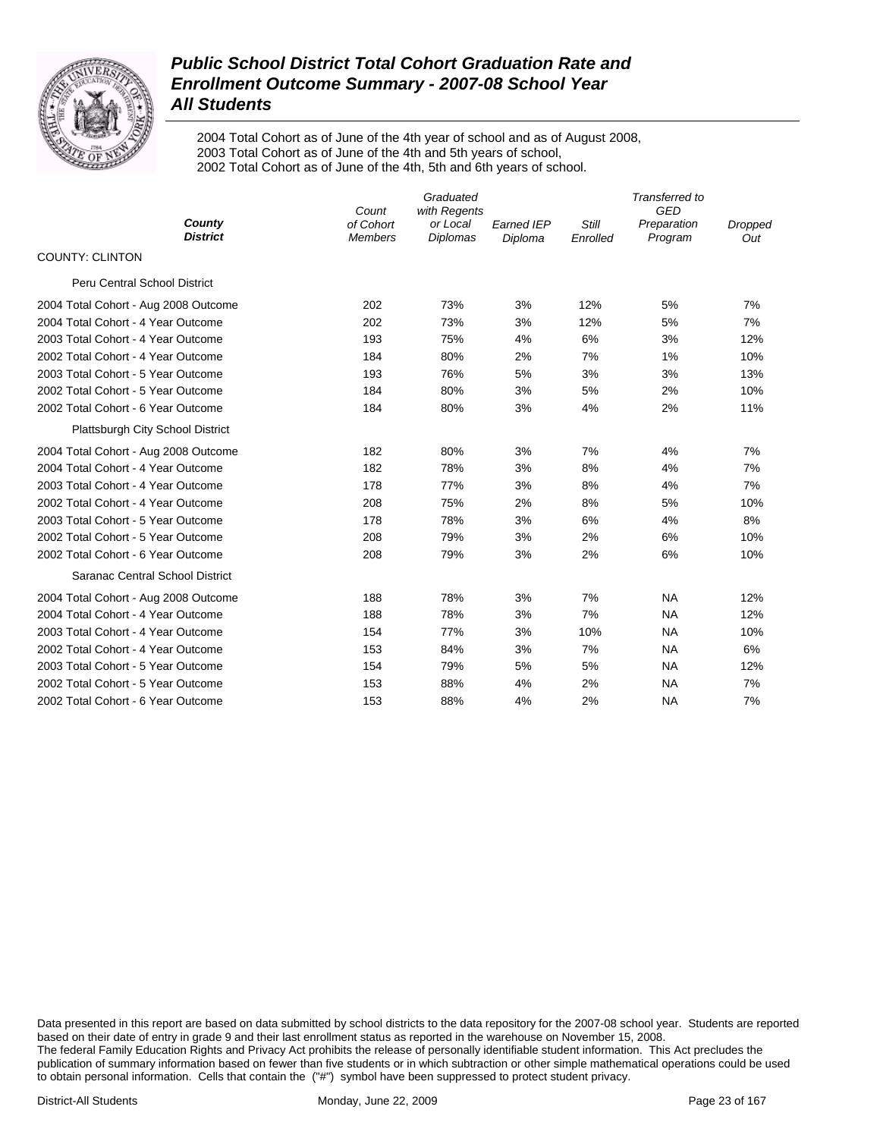

2004 Total Cohort as of June of the 4th year of school and as of August 2008, 2003 Total Cohort as of June of the 4th and 5th years of school, 2002 Total Cohort as of June of the 4th, 5th and 6th years of school.

|                                      | Count                       | Transferred to<br>GED                       |                              |                   |                        |                       |
|--------------------------------------|-----------------------------|---------------------------------------------|------------------------------|-------------------|------------------------|-----------------------|
| County<br><b>District</b>            | of Cohort<br><b>Members</b> | with Regents<br>or Local<br><b>Diplomas</b> | <b>Earned IEP</b><br>Diploma | Still<br>Enrolled | Preparation<br>Program | <b>Dropped</b><br>Out |
| <b>COUNTY: CLINTON</b>               |                             |                                             |                              |                   |                        |                       |
| <b>Peru Central School District</b>  |                             |                                             |                              |                   |                        |                       |
| 2004 Total Cohort - Aug 2008 Outcome | 202                         | 73%                                         | 3%                           | 12%               | 5%                     | 7%                    |
| 2004 Total Cohort - 4 Year Outcome   | 202                         | 73%                                         | 3%                           | 12%               | 5%                     | 7%                    |
| 2003 Total Cohort - 4 Year Outcome   | 193                         | 75%                                         | 4%                           | 6%                | 3%                     | 12%                   |
| 2002 Total Cohort - 4 Year Outcome   | 184                         | 80%                                         | 2%                           | 7%                | 1%                     | 10%                   |
| 2003 Total Cohort - 5 Year Outcome   | 193                         | 76%                                         | 5%                           | 3%                | 3%                     | 13%                   |
| 2002 Total Cohort - 5 Year Outcome   | 184                         | 80%                                         | 3%                           | 5%                | 2%                     | 10%                   |
| 2002 Total Cohort - 6 Year Outcome   | 184                         | 80%                                         | 3%                           | 4%                | 2%                     | 11%                   |
| Plattsburgh City School District     |                             |                                             |                              |                   |                        |                       |
| 2004 Total Cohort - Aug 2008 Outcome | 182                         | 80%                                         | 3%                           | 7%                | 4%                     | 7%                    |
| 2004 Total Cohort - 4 Year Outcome   | 182                         | 78%                                         | 3%                           | 8%                | 4%                     | 7%                    |
| 2003 Total Cohort - 4 Year Outcome   | 178                         | 77%                                         | 3%                           | 8%                | 4%                     | 7%                    |
| 2002 Total Cohort - 4 Year Outcome   | 208                         | 75%                                         | 2%                           | 8%                | 5%                     | 10%                   |
| 2003 Total Cohort - 5 Year Outcome   | 178                         | 78%                                         | 3%                           | 6%                | 4%                     | 8%                    |
| 2002 Total Cohort - 5 Year Outcome   | 208                         | 79%                                         | 3%                           | 2%                | 6%                     | 10%                   |
| 2002 Total Cohort - 6 Year Outcome   | 208                         | 79%                                         | 3%                           | 2%                | 6%                     | 10%                   |
| Saranac Central School District      |                             |                                             |                              |                   |                        |                       |
| 2004 Total Cohort - Aug 2008 Outcome | 188                         | 78%                                         | 3%                           | 7%                | <b>NA</b>              | 12%                   |
| 2004 Total Cohort - 4 Year Outcome   | 188                         | 78%                                         | 3%                           | 7%                | <b>NA</b>              | 12%                   |
| 2003 Total Cohort - 4 Year Outcome   | 154                         | 77%                                         | 3%                           | 10%               | <b>NA</b>              | 10%                   |
| 2002 Total Cohort - 4 Year Outcome   | 153                         | 84%                                         | 3%                           | 7%                | <b>NA</b>              | 6%                    |
| 2003 Total Cohort - 5 Year Outcome   | 154                         | 79%                                         | 5%                           | 5%                | <b>NA</b>              | 12%                   |
| 2002 Total Cohort - 5 Year Outcome   | 153                         | 88%                                         | 4%                           | 2%                | <b>NA</b>              | 7%                    |
| 2002 Total Cohort - 6 Year Outcome   | 153                         | 88%                                         | 4%                           | 2%                | <b>NA</b>              | 7%                    |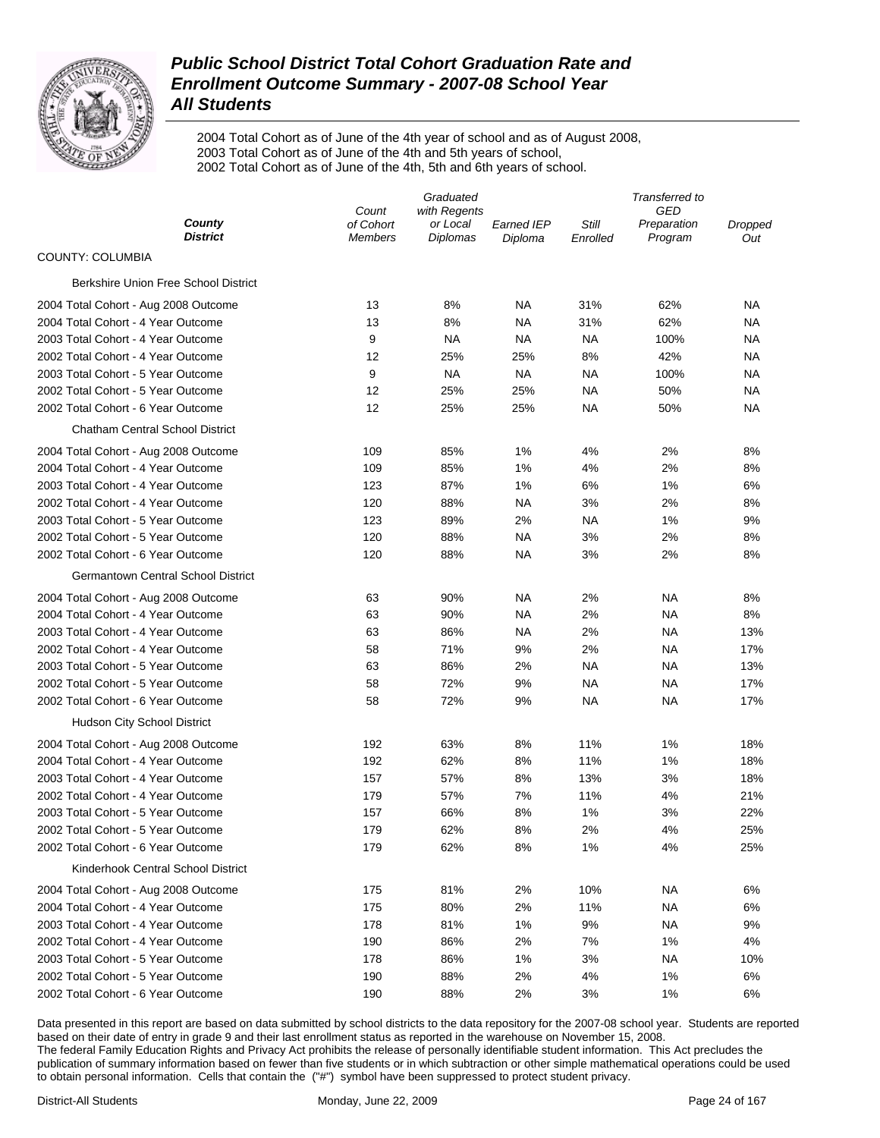

2004 Total Cohort as of June of the 4th year of school and as of August 2008, 2003 Total Cohort as of June of the 4th and 5th years of school, 2002 Total Cohort as of June of the 4th, 5th and 6th years of school.

|                                           | Graduated                   |                             |                       | Transferred to    |                        |                |  |
|-------------------------------------------|-----------------------------|-----------------------------|-----------------------|-------------------|------------------------|----------------|--|
|                                           | with Regents<br>Count       |                             |                       | GED               |                        |                |  |
| County<br><b>District</b>                 | of Cohort<br><b>Members</b> | or Local<br><b>Diplomas</b> | Earned IEP<br>Diploma | Still<br>Enrolled | Preparation<br>Program | Dropped<br>Out |  |
| <b>COUNTY: COLUMBIA</b>                   |                             |                             |                       |                   |                        |                |  |
| Berkshire Union Free School District      |                             |                             |                       |                   |                        |                |  |
| 2004 Total Cohort - Aug 2008 Outcome      | 13                          | 8%                          | NA                    | 31%               | 62%                    | ΝA             |  |
| 2004 Total Cohort - 4 Year Outcome        | 13                          | 8%                          | NA                    | 31%               | 62%                    | NA             |  |
| 2003 Total Cohort - 4 Year Outcome        | 9                           | <b>NA</b>                   | NA                    | ΝA                | 100%                   | NA             |  |
| 2002 Total Cohort - 4 Year Outcome        | 12                          | 25%                         | 25%                   | 8%                | 42%                    | NA             |  |
| 2003 Total Cohort - 5 Year Outcome        | 9                           | <b>NA</b>                   | <b>NA</b>             | ΝA                | 100%                   | NA             |  |
| 2002 Total Cohort - 5 Year Outcome        | 12                          | 25%                         | 25%                   | ΝA                | 50%                    | ΝA             |  |
| 2002 Total Cohort - 6 Year Outcome        | 12                          | 25%                         | 25%                   | ΝA                | 50%                    | NA             |  |
| <b>Chatham Central School District</b>    |                             |                             |                       |                   |                        |                |  |
| 2004 Total Cohort - Aug 2008 Outcome      | 109                         | 85%                         | 1%                    | 4%                | 2%                     | 8%             |  |
| 2004 Total Cohort - 4 Year Outcome        | 109                         | 85%                         | 1%                    | 4%                | 2%                     | 8%             |  |
| 2003 Total Cohort - 4 Year Outcome        | 123                         | 87%                         | 1%                    | 6%                | 1%                     | 6%             |  |
| 2002 Total Cohort - 4 Year Outcome        | 120                         | 88%                         | <b>NA</b>             | 3%                | 2%                     | 8%             |  |
| 2003 Total Cohort - 5 Year Outcome        | 123                         | 89%                         | 2%                    | ΝA                | 1%                     | 9%             |  |
| 2002 Total Cohort - 5 Year Outcome        | 120                         | 88%                         | NA                    | 3%                | 2%                     | 8%             |  |
| 2002 Total Cohort - 6 Year Outcome        | 120                         | 88%                         | <b>NA</b>             | 3%                | 2%                     | 8%             |  |
| <b>Germantown Central School District</b> |                             |                             |                       |                   |                        |                |  |
| 2004 Total Cohort - Aug 2008 Outcome      | 63                          | 90%                         | NA                    | 2%                | ΝA                     | 8%             |  |
| 2004 Total Cohort - 4 Year Outcome        | 63                          | 90%                         | <b>NA</b>             | 2%                | ΝA                     | 8%             |  |
| 2003 Total Cohort - 4 Year Outcome        | 63                          | 86%                         | NA                    | 2%                | ΝA                     | 13%            |  |
| 2002 Total Cohort - 4 Year Outcome        | 58                          | 71%                         | 9%                    | 2%                | NA                     | 17%            |  |
| 2003 Total Cohort - 5 Year Outcome        | 63                          | 86%                         | 2%                    | <b>NA</b>         | <b>NA</b>              | 13%            |  |
| 2002 Total Cohort - 5 Year Outcome        | 58                          | 72%                         | 9%                    | NA                | NA                     | 17%            |  |
| 2002 Total Cohort - 6 Year Outcome        | 58                          | 72%                         | 9%                    | ΝA                | NA                     | 17%            |  |
| Hudson City School District               |                             |                             |                       |                   |                        |                |  |
| 2004 Total Cohort - Aug 2008 Outcome      | 192                         | 63%                         | 8%                    | 11%               | 1%                     | 18%            |  |
| 2004 Total Cohort - 4 Year Outcome        | 192                         | 62%                         | 8%                    | 11%               | 1%                     | 18%            |  |
| 2003 Total Cohort - 4 Year Outcome        | 157                         | 57%                         | 8%                    | 13%               | 3%                     | 18%            |  |
| 2002 Total Cohort - 4 Year Outcome        | 179                         | 57%                         | 7%                    | 11%               | 4%                     | 21%            |  |
| 2003 Total Cohort - 5 Year Outcome        | 157                         | 66%                         | 8%                    | 1%                | 3%                     | 22%            |  |
| 2002 Total Cohort - 5 Year Outcome        | 179                         | 62%                         | 8%                    | 2%                | 4%                     | 25%            |  |
| 2002 Total Cohort - 6 Year Outcome        | 179                         | 62%                         | 8%                    | 1%                | 4%                     | 25%            |  |
| Kinderhook Central School District        |                             |                             |                       |                   |                        |                |  |
| 2004 Total Cohort - Aug 2008 Outcome      | 175                         | 81%                         | 2%                    | 10%               | ΝA                     | 6%             |  |
| 2004 Total Cohort - 4 Year Outcome        | 175                         | 80%                         | 2%                    | 11%               | ΝA                     | 6%             |  |
| 2003 Total Cohort - 4 Year Outcome        | 178                         | 81%                         | 1%                    | 9%                | <b>NA</b>              | 9%             |  |
| 2002 Total Cohort - 4 Year Outcome        | 190                         | 86%                         | 2%                    | 7%                | 1%                     | 4%             |  |
| 2003 Total Cohort - 5 Year Outcome        | 178                         | 86%                         | 1%                    | 3%                | <b>NA</b>              | 10%            |  |
| 2002 Total Cohort - 5 Year Outcome        | 190                         | 88%                         | 2%                    | 4%                | 1%                     | 6%             |  |
| 2002 Total Cohort - 6 Year Outcome        | 190                         | 88%                         | 2%                    | 3%                | 1%                     | 6%             |  |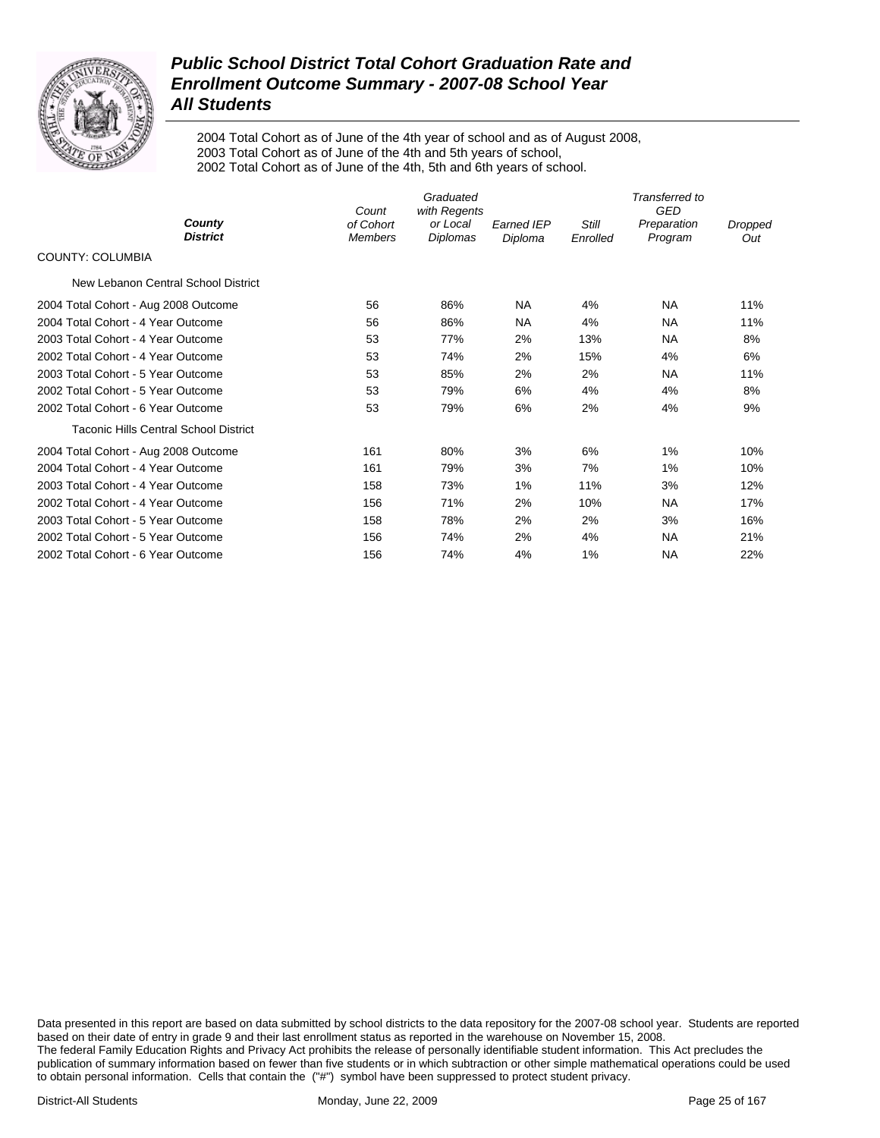

2004 Total Cohort as of June of the 4th year of school and as of August 2008, 2003 Total Cohort as of June of the 4th and 5th years of school, 2002 Total Cohort as of June of the 4th, 5th and 6th years of school.

|                                       | Count                       | Graduated                            |                              |                   | Transferred to<br><b>GED</b> |                |
|---------------------------------------|-----------------------------|--------------------------------------|------------------------------|-------------------|------------------------------|----------------|
| County<br><b>District</b>             | of Cohort<br><b>Members</b> | with Regents<br>or Local<br>Diplomas | <b>Earned IEP</b><br>Diploma | Still<br>Enrolled | Preparation<br>Program       | Dropped<br>Out |
| <b>COUNTY: COLUMBIA</b>               |                             |                                      |                              |                   |                              |                |
| New Lebanon Central School District   |                             |                                      |                              |                   |                              |                |
| 2004 Total Cohort - Aug 2008 Outcome  | 56                          | 86%                                  | <b>NA</b>                    | 4%                | <b>NA</b>                    | 11%            |
| 2004 Total Cohort - 4 Year Outcome    | 56                          | 86%                                  | <b>NA</b>                    | 4%                | <b>NA</b>                    | 11%            |
| 2003 Total Cohort - 4 Year Outcome    | 53                          | 77%                                  | 2%                           | 13%               | <b>NA</b>                    | 8%             |
| 2002 Total Cohort - 4 Year Outcome    | 53                          | 74%                                  | 2%                           | 15%               | 4%                           | 6%             |
| 2003 Total Cohort - 5 Year Outcome    | 53                          | 85%                                  | 2%                           | 2%                | <b>NA</b>                    | 11%            |
| 2002 Total Cohort - 5 Year Outcome    | 53                          | 79%                                  | 6%                           | 4%                | 4%                           | 8%             |
| 2002 Total Cohort - 6 Year Outcome    | 53                          | 79%                                  | 6%                           | 2%                | 4%                           | 9%             |
| Taconic Hills Central School District |                             |                                      |                              |                   |                              |                |
| 2004 Total Cohort - Aug 2008 Outcome  | 161                         | 80%                                  | 3%                           | 6%                | 1%                           | 10%            |
| 2004 Total Cohort - 4 Year Outcome    | 161                         | 79%                                  | 3%                           | 7%                | 1%                           | 10%            |
| 2003 Total Cohort - 4 Year Outcome    | 158                         | 73%                                  | 1%                           | 11%               | 3%                           | 12%            |
| 2002 Total Cohort - 4 Year Outcome    | 156                         | 71%                                  | 2%                           | 10%               | <b>NA</b>                    | 17%            |
| 2003 Total Cohort - 5 Year Outcome    | 158                         | 78%                                  | 2%                           | 2%                | 3%                           | 16%            |
| 2002 Total Cohort - 5 Year Outcome    | 156                         | 74%                                  | 2%                           | 4%                | <b>NA</b>                    | 21%            |
| 2002 Total Cohort - 6 Year Outcome    | 156                         | 74%                                  | 4%                           | 1%                | NA                           | 22%            |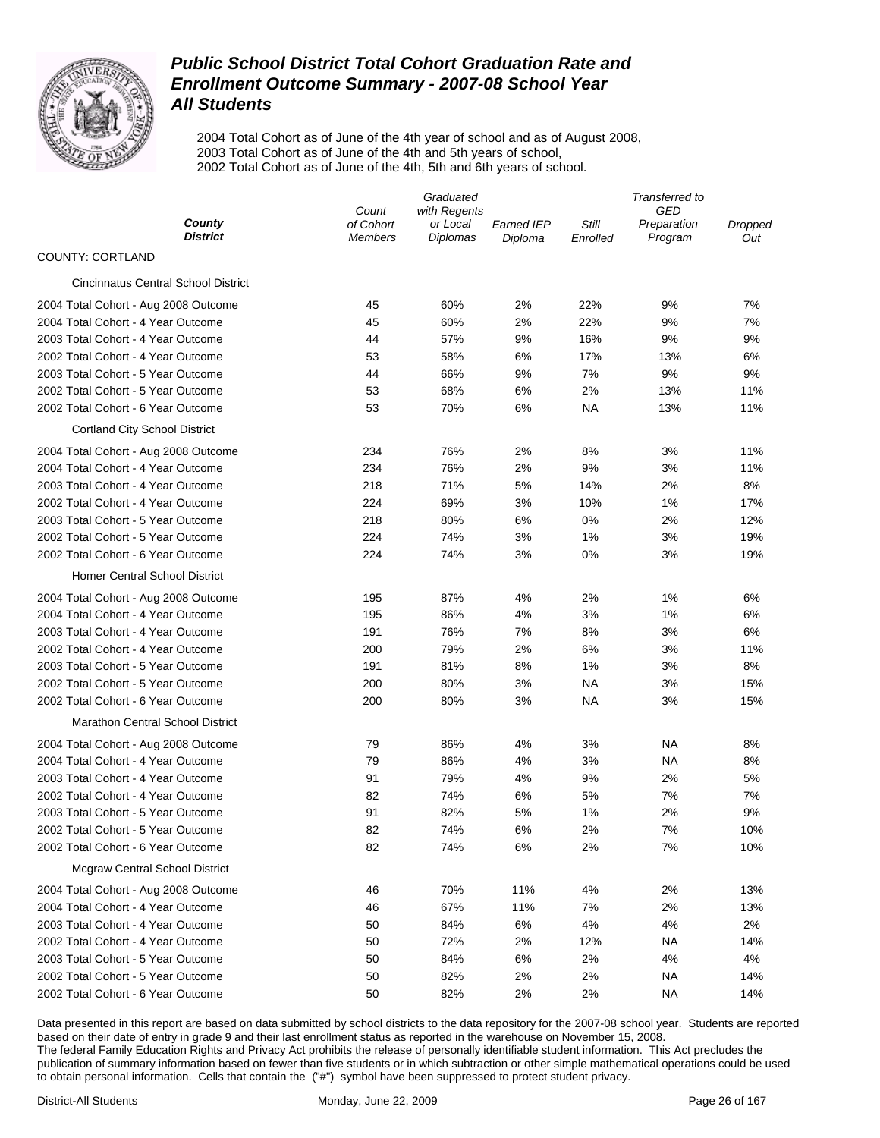

2004 Total Cohort as of June of the 4th year of school and as of August 2008, 2003 Total Cohort as of June of the 4th and 5th years of school, 2002 Total Cohort as of June of the 4th, 5th and 6th years of school.

|                                            | Graduated                   |                             |                       | Transferred to    |                        |                |  |
|--------------------------------------------|-----------------------------|-----------------------------|-----------------------|-------------------|------------------------|----------------|--|
|                                            | Count                       | with Regents                |                       |                   | GED                    |                |  |
| County<br><b>District</b>                  | of Cohort<br><b>Members</b> | or Local<br><b>Diplomas</b> | Earned IEP<br>Diploma | Still<br>Enrolled | Preparation<br>Program | Dropped<br>Out |  |
| COUNTY: CORTLAND                           |                             |                             |                       |                   |                        |                |  |
| <b>Cincinnatus Central School District</b> |                             |                             |                       |                   |                        |                |  |
| 2004 Total Cohort - Aug 2008 Outcome       | 45                          | 60%                         | 2%                    | 22%               | 9%                     | 7%             |  |
| 2004 Total Cohort - 4 Year Outcome         | 45                          | 60%                         | 2%                    | 22%               | 9%                     | 7%             |  |
| 2003 Total Cohort - 4 Year Outcome         | 44                          | 57%                         | 9%                    | 16%               | 9%                     | 9%             |  |
| 2002 Total Cohort - 4 Year Outcome         | 53                          | 58%                         | 6%                    | 17%               | 13%                    | 6%             |  |
| 2003 Total Cohort - 5 Year Outcome         | 44                          | 66%                         | 9%                    | 7%                | 9%                     | 9%             |  |
| 2002 Total Cohort - 5 Year Outcome         | 53                          | 68%                         | 6%                    | 2%                | 13%                    | 11%            |  |
| 2002 Total Cohort - 6 Year Outcome         | 53                          | 70%                         | 6%                    | ΝA                | 13%                    | 11%            |  |
| <b>Cortland City School District</b>       |                             |                             |                       |                   |                        |                |  |
| 2004 Total Cohort - Aug 2008 Outcome       | 234                         | 76%                         | 2%                    | 8%                | 3%                     | 11%            |  |
| 2004 Total Cohort - 4 Year Outcome         | 234                         | 76%                         | 2%                    | 9%                | 3%                     | 11%            |  |
| 2003 Total Cohort - 4 Year Outcome         | 218                         | 71%                         | 5%                    | 14%               | 2%                     | 8%             |  |
| 2002 Total Cohort - 4 Year Outcome         | 224                         | 69%                         | 3%                    | 10%               | 1%                     | 17%            |  |
| 2003 Total Cohort - 5 Year Outcome         | 218                         | 80%                         | 6%                    | 0%                | 2%                     | 12%            |  |
| 2002 Total Cohort - 5 Year Outcome         | 224                         | 74%                         | 3%                    | 1%                | 3%                     | 19%            |  |
| 2002 Total Cohort - 6 Year Outcome         | 224                         | 74%                         | 3%                    | 0%                | 3%                     | 19%            |  |
| <b>Homer Central School District</b>       |                             |                             |                       |                   |                        |                |  |
| 2004 Total Cohort - Aug 2008 Outcome       | 195                         | 87%                         | 4%                    | 2%                | 1%                     | 6%             |  |
| 2004 Total Cohort - 4 Year Outcome         | 195                         | 86%                         | 4%                    | 3%                | 1%                     | 6%             |  |
| 2003 Total Cohort - 4 Year Outcome         | 191                         | 76%                         | 7%                    | 8%                | 3%                     | 6%             |  |
| 2002 Total Cohort - 4 Year Outcome         | 200                         | 79%                         | 2%                    | 6%                | 3%                     | 11%            |  |
| 2003 Total Cohort - 5 Year Outcome         | 191                         | 81%                         | 8%                    | 1%                | 3%                     | 8%             |  |
| 2002 Total Cohort - 5 Year Outcome         | 200                         | 80%                         | 3%                    | NA                | 3%                     | 15%            |  |
| 2002 Total Cohort - 6 Year Outcome         | 200                         | 80%                         | 3%                    | NA                | 3%                     | 15%            |  |
| <b>Marathon Central School District</b>    |                             |                             |                       |                   |                        |                |  |
| 2004 Total Cohort - Aug 2008 Outcome       | 79                          | 86%                         | 4%                    | 3%                | NA                     | 8%             |  |
| 2004 Total Cohort - 4 Year Outcome         | 79                          | 86%                         | 4%                    | 3%                | <b>NA</b>              | 8%             |  |
| 2003 Total Cohort - 4 Year Outcome         | 91                          | 79%                         | 4%                    | 9%                | 2%                     | 5%             |  |
| 2002 Total Cohort - 4 Year Outcome         | 82                          | 74%                         | 6%                    | 5%                | 7%                     | 7%             |  |
| 2003 Total Cohort - 5 Year Outcome         | 91                          | 82%                         | 5%                    | 1%                | 2%                     | 9%             |  |
| 2002 Total Cohort - 5 Year Outcome         | 82                          | 74%                         | 6%                    | 2%                | 7%                     | 10%            |  |
| 2002 Total Cohort - 6 Year Outcome         | 82                          | 74%                         | $6\%$                 | 2%                | 7%                     | 10%            |  |
| <b>Mcgraw Central School District</b>      |                             |                             |                       |                   |                        |                |  |
| 2004 Total Cohort - Aug 2008 Outcome       | 46                          | 70%                         | 11%                   | 4%                | 2%                     | 13%            |  |
| 2004 Total Cohort - 4 Year Outcome         | 46                          | 67%                         | 11%                   | 7%                | 2%                     | 13%            |  |
| 2003 Total Cohort - 4 Year Outcome         | 50                          | 84%                         | 6%                    | 4%                | 4%                     | 2%             |  |
| 2002 Total Cohort - 4 Year Outcome         | 50                          | 72%                         | 2%                    | 12%               | <b>NA</b>              | 14%            |  |
| 2003 Total Cohort - 5 Year Outcome         | 50                          | 84%                         | 6%                    | 2%                | 4%                     | 4%             |  |
| 2002 Total Cohort - 5 Year Outcome         | 50                          | 82%                         | 2%                    | 2%                | <b>NA</b>              | 14%            |  |
| 2002 Total Cohort - 6 Year Outcome         | 50                          | 82%                         | 2%                    | 2%                | <b>NA</b>              | 14%            |  |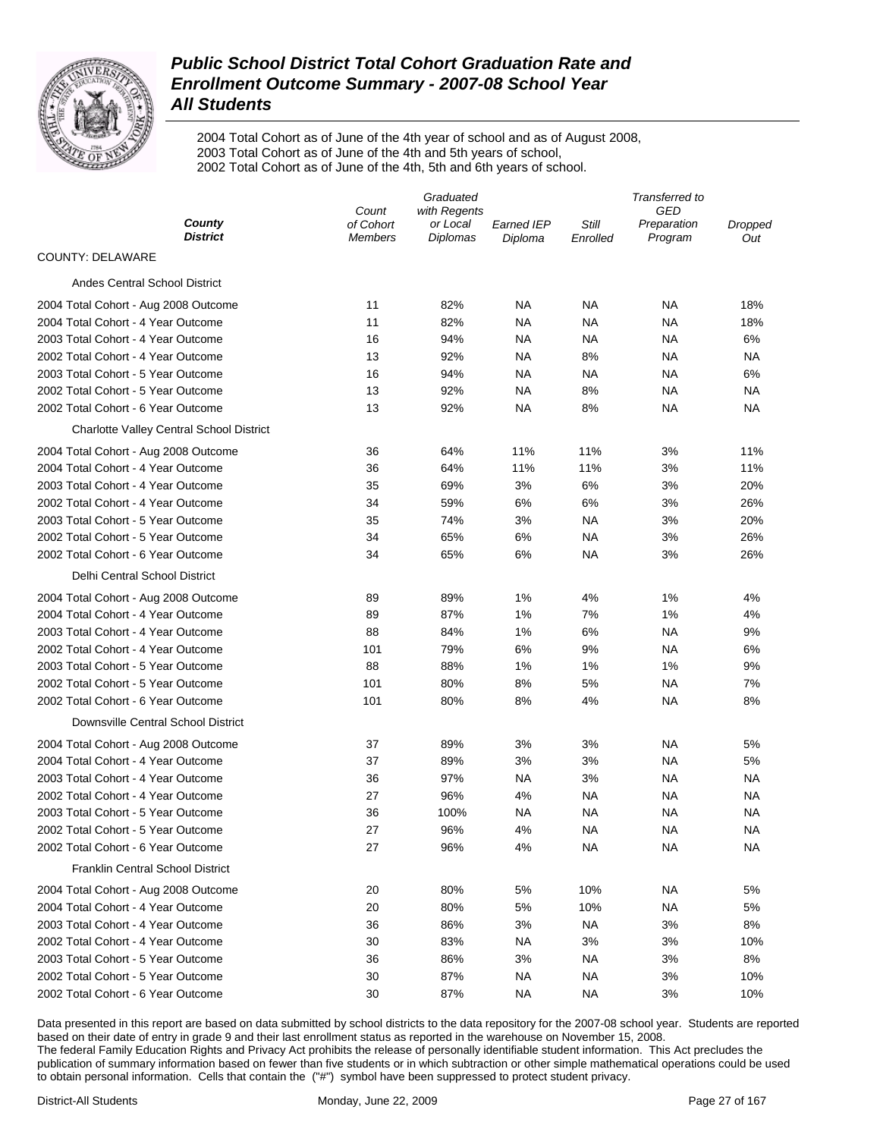

2004 Total Cohort as of June of the 4th year of school and as of August 2008, 2003 Total Cohort as of June of the 4th and 5th years of school, 2002 Total Cohort as of June of the 4th, 5th and 6th years of school.

|                                          | Graduated          |                      |                       | Transferred to |                        |                |  |
|------------------------------------------|--------------------|----------------------|-----------------------|----------------|------------------------|----------------|--|
| County                                   | Count<br>of Cohort | with Regents         |                       | Still          | GED                    |                |  |
| <b>District</b>                          | <b>Members</b>     | or Local<br>Diplomas | Earned IEP<br>Diploma | Enrolled       | Preparation<br>Program | Dropped<br>Out |  |
| <b>COUNTY: DELAWARE</b>                  |                    |                      |                       |                |                        |                |  |
| Andes Central School District            |                    |                      |                       |                |                        |                |  |
| 2004 Total Cohort - Aug 2008 Outcome     | 11                 | 82%                  | NA                    | NA             | NA                     | 18%            |  |
| 2004 Total Cohort - 4 Year Outcome       | 11                 | 82%                  | NA                    | NA             | <b>NA</b>              | 18%            |  |
| 2003 Total Cohort - 4 Year Outcome       | 16                 | 94%                  | NA                    | NA             | NA                     | 6%             |  |
| 2002 Total Cohort - 4 Year Outcome       | 13                 | 92%                  | <b>NA</b>             | 8%             | NA                     | <b>NA</b>      |  |
| 2003 Total Cohort - 5 Year Outcome       | 16                 | 94%                  | NA                    | NA             | NA                     | 6%             |  |
| 2002 Total Cohort - 5 Year Outcome       | 13                 | 92%                  | NA                    | 8%             | NA                     | <b>NA</b>      |  |
| 2002 Total Cohort - 6 Year Outcome       | 13                 | 92%                  | NA                    | 8%             | <b>NA</b>              | <b>NA</b>      |  |
| Charlotte Valley Central School District |                    |                      |                       |                |                        |                |  |
| 2004 Total Cohort - Aug 2008 Outcome     | 36                 | 64%                  | 11%                   | 11%            | 3%                     | 11%            |  |
| 2004 Total Cohort - 4 Year Outcome       | 36                 | 64%                  | 11%                   | 11%            | 3%                     | 11%            |  |
| 2003 Total Cohort - 4 Year Outcome       | 35                 | 69%                  | 3%                    | 6%             | 3%                     | 20%            |  |
| 2002 Total Cohort - 4 Year Outcome       | 34                 | 59%                  | 6%                    | 6%             | 3%                     | 26%            |  |
| 2003 Total Cohort - 5 Year Outcome       | 35                 | 74%                  | 3%                    | <b>NA</b>      | 3%                     | 20%            |  |
| 2002 Total Cohort - 5 Year Outcome       | 34                 | 65%                  | 6%                    | <b>NA</b>      | 3%                     | 26%            |  |
| 2002 Total Cohort - 6 Year Outcome       | 34                 | 65%                  | 6%                    | <b>NA</b>      | 3%                     | 26%            |  |
| Delhi Central School District            |                    |                      |                       |                |                        |                |  |
| 2004 Total Cohort - Aug 2008 Outcome     | 89                 | 89%                  | 1%                    | 4%             | 1%                     | 4%             |  |
| 2004 Total Cohort - 4 Year Outcome       | 89                 | 87%                  | 1%                    | 7%             | 1%                     | 4%             |  |
| 2003 Total Cohort - 4 Year Outcome       | 88                 | 84%                  | 1%                    | 6%             | <b>NA</b>              | 9%             |  |
| 2002 Total Cohort - 4 Year Outcome       | 101                | 79%                  | 6%                    | 9%             | NA                     | 6%             |  |
| 2003 Total Cohort - 5 Year Outcome       | 88                 | 88%                  | 1%                    | 1%             | 1%                     | 9%             |  |
| 2002 Total Cohort - 5 Year Outcome       | 101                | 80%                  | 8%                    | 5%             | <b>NA</b>              | 7%             |  |
| 2002 Total Cohort - 6 Year Outcome       | 101                | 80%                  | 8%                    | 4%             | <b>NA</b>              | 8%             |  |
| Downsville Central School District       |                    |                      |                       |                |                        |                |  |
| 2004 Total Cohort - Aug 2008 Outcome     | 37                 | 89%                  | 3%                    | 3%             | NA                     | 5%             |  |
| 2004 Total Cohort - 4 Year Outcome       | 37                 | 89%                  | 3%                    | 3%             | NA                     | 5%             |  |
| 2003 Total Cohort - 4 Year Outcome       | 36                 | 97%                  | NA                    | 3%             | NA                     | <b>NA</b>      |  |
| 2002 Total Cohort - 4 Year Outcome       | 27                 | 96%                  | 4%                    | NA             | NA                     | ΝA             |  |
| 2003 Total Cohort - 5 Year Outcome       | 36                 | 100%                 | NA                    | NA             | NA                     | NA             |  |
| 2002 Total Cohort - 5 Year Outcome       | 27                 | 96%                  | 4%                    | <b>NA</b>      | <b>NA</b>              | NA             |  |
| 2002 Total Cohort - 6 Year Outcome       | 27                 | 96%                  | 4%                    | <b>NA</b>      | <b>NA</b>              | ΝA             |  |
| <b>Franklin Central School District</b>  |                    |                      |                       |                |                        |                |  |
| 2004 Total Cohort - Aug 2008 Outcome     | 20                 | 80%                  | 5%                    | 10%            | ΝA                     | 5%             |  |
| 2004 Total Cohort - 4 Year Outcome       | 20                 | 80%                  | 5%                    | 10%            | <b>NA</b>              | 5%             |  |
| 2003 Total Cohort - 4 Year Outcome       | 36                 | 86%                  | 3%                    | <b>NA</b>      | 3%                     | 8%             |  |
| 2002 Total Cohort - 4 Year Outcome       | 30                 | 83%                  | <b>NA</b>             | 3%             | 3%                     | 10%            |  |
| 2003 Total Cohort - 5 Year Outcome       | 36                 | 86%                  | 3%                    | <b>NA</b>      | 3%                     | 8%             |  |
| 2002 Total Cohort - 5 Year Outcome       | 30                 | 87%                  | <b>NA</b>             | <b>NA</b>      | 3%                     | 10%            |  |
| 2002 Total Cohort - 6 Year Outcome       | 30                 | 87%                  | NA                    | <b>NA</b>      | 3%                     | 10%            |  |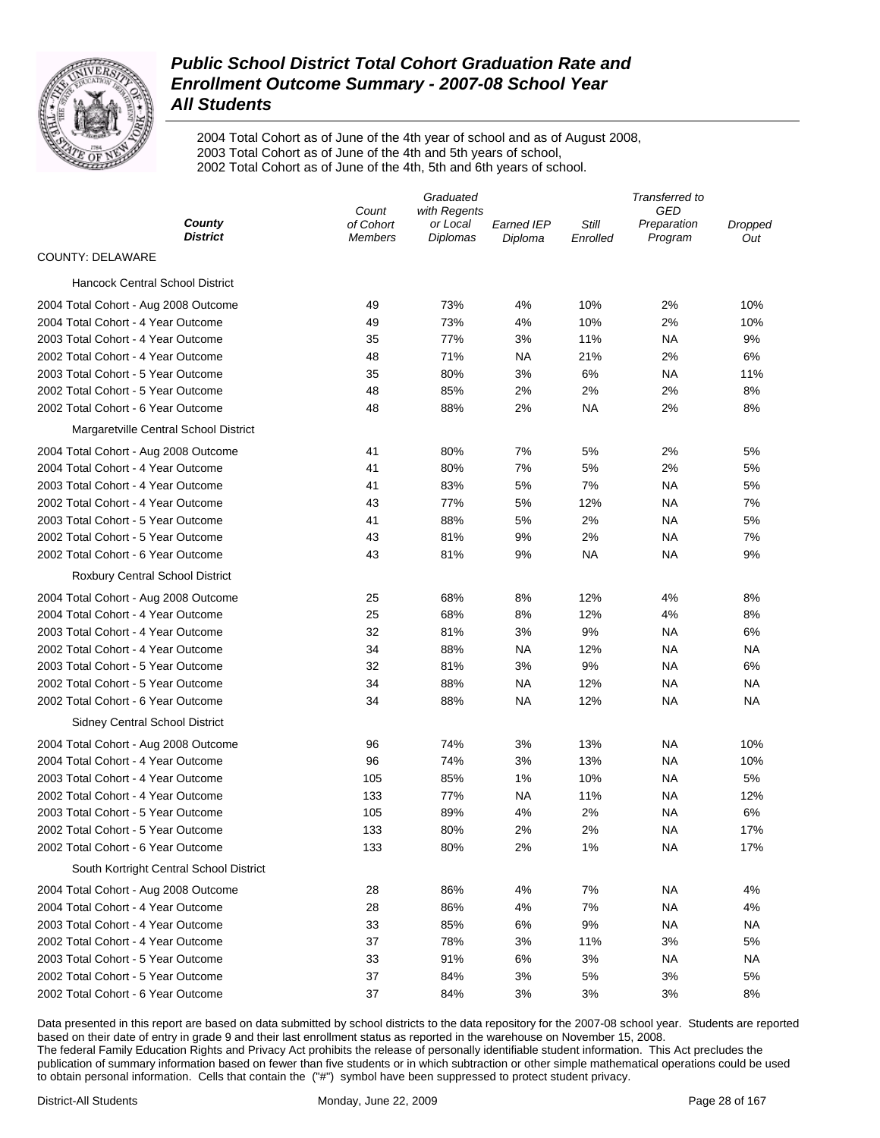

2004 Total Cohort as of June of the 4th year of school and as of August 2008, 2003 Total Cohort as of June of the 4th and 5th years of school, 2002 Total Cohort as of June of the 4th, 5th and 6th years of school.

|                                         |                             | Graduated                   | Transferred to        |                   |                        |                |
|-----------------------------------------|-----------------------------|-----------------------------|-----------------------|-------------------|------------------------|----------------|
|                                         | Count                       | with Regents                |                       |                   | GED                    |                |
| County<br><b>District</b>               | of Cohort<br><b>Members</b> | or Local<br><b>Diplomas</b> | Earned IEP<br>Diploma | Still<br>Enrolled | Preparation<br>Program | Dropped<br>Out |
| <b>COUNTY: DELAWARE</b>                 |                             |                             |                       |                   |                        |                |
| <b>Hancock Central School District</b>  |                             |                             |                       |                   |                        |                |
| 2004 Total Cohort - Aug 2008 Outcome    | 49                          | 73%                         | 4%                    | 10%               | 2%                     | 10%            |
| 2004 Total Cohort - 4 Year Outcome      | 49                          | 73%                         | 4%                    | 10%               | 2%                     | 10%            |
| 2003 Total Cohort - 4 Year Outcome      | 35                          | 77%                         | 3%                    | 11%               | ΝA                     | 9%             |
| 2002 Total Cohort - 4 Year Outcome      | 48                          | 71%                         | NA                    | 21%               | 2%                     | 6%             |
| 2003 Total Cohort - 5 Year Outcome      | 35                          | 80%                         | 3%                    | 6%                | ΝA                     | 11%            |
| 2002 Total Cohort - 5 Year Outcome      | 48                          | 85%                         | 2%                    | 2%                | 2%                     | 8%             |
| 2002 Total Cohort - 6 Year Outcome      | 48                          | 88%                         | 2%                    | ΝA                | 2%                     | 8%             |
| Margaretville Central School District   |                             |                             |                       |                   |                        |                |
| 2004 Total Cohort - Aug 2008 Outcome    | 41                          | 80%                         | 7%                    | 5%                | 2%                     | 5%             |
| 2004 Total Cohort - 4 Year Outcome      | 41                          | 80%                         | 7%                    | 5%                | 2%                     | 5%             |
| 2003 Total Cohort - 4 Year Outcome      | 41                          | 83%                         | 5%                    | 7%                | ΝA                     | 5%             |
| 2002 Total Cohort - 4 Year Outcome      | 43                          | 77%                         | 5%                    | 12%               | ΝA                     | 7%             |
| 2003 Total Cohort - 5 Year Outcome      | 41                          | 88%                         | 5%                    | 2%                | ΝA                     | 5%             |
| 2002 Total Cohort - 5 Year Outcome      | 43                          | 81%                         | 9%                    | 2%                | ΝA                     | 7%             |
| 2002 Total Cohort - 6 Year Outcome      | 43                          | 81%                         | 9%                    | ΝA                | ΝA                     | 9%             |
| Roxbury Central School District         |                             |                             |                       |                   |                        |                |
| 2004 Total Cohort - Aug 2008 Outcome    | 25                          | 68%                         | 8%                    | 12%               | 4%                     | 8%             |
| 2004 Total Cohort - 4 Year Outcome      | 25                          | 68%                         | 8%                    | 12%               | 4%                     | 8%             |
| 2003 Total Cohort - 4 Year Outcome      | 32                          | 81%                         | 3%                    | 9%                | ΝA                     | 6%             |
| 2002 Total Cohort - 4 Year Outcome      | 34                          | 88%                         | <b>NA</b>             | 12%               | NA                     | ΝA             |
| 2003 Total Cohort - 5 Year Outcome      | 32                          | 81%                         | 3%                    | 9%                | <b>NA</b>              | 6%             |
| 2002 Total Cohort - 5 Year Outcome      | 34                          | 88%                         | <b>NA</b>             | 12%               | NA                     | ΝA             |
| 2002 Total Cohort - 6 Year Outcome      | 34                          | 88%                         | NA                    | 12%               | NA                     | NA             |
| Sidney Central School District          |                             |                             |                       |                   |                        |                |
| 2004 Total Cohort - Aug 2008 Outcome    | 96                          | 74%                         | 3%                    | 13%               | NA                     | 10%            |
| 2004 Total Cohort - 4 Year Outcome      | 96                          | 74%                         | 3%                    | 13%               | <b>NA</b>              | 10%            |
| 2003 Total Cohort - 4 Year Outcome      | 105                         | 85%                         | 1%                    | 10%               | <b>NA</b>              | 5%             |
| 2002 Total Cohort - 4 Year Outcome      | 133                         | 77%                         | NA                    | 11%               | NA                     | 12%            |
| 2003 Total Cohort - 5 Year Outcome      | 105                         | 89%                         | 4%                    | 2%                | NA                     | 6%             |
| 2002 Total Cohort - 5 Year Outcome      | 133                         | 80%                         | 2%                    | 2%                | NA                     | 17%            |
| 2002 Total Cohort - 6 Year Outcome      | 133                         | 80%                         | 2%                    | 1%                | <b>NA</b>              | 17%            |
| South Kortright Central School District |                             |                             |                       |                   |                        |                |
| 2004 Total Cohort - Aug 2008 Outcome    | 28                          | 86%                         | 4%                    | 7%                | <b>NA</b>              | 4%             |
| 2004 Total Cohort - 4 Year Outcome      | 28                          | 86%                         | 4%                    | 7%                | <b>NA</b>              | 4%             |
| 2003 Total Cohort - 4 Year Outcome      | 33                          | 85%                         | 6%                    | 9%                | <b>NA</b>              | ΝA             |
| 2002 Total Cohort - 4 Year Outcome      | 37                          | 78%                         | 3%                    | 11%               | 3%                     | 5%             |
| 2003 Total Cohort - 5 Year Outcome      | 33                          | 91%                         | 6%                    | 3%                | <b>NA</b>              | ΝA             |
| 2002 Total Cohort - 5 Year Outcome      | 37                          | 84%                         | 3%                    | 5%                | 3%                     | 5%             |
| 2002 Total Cohort - 6 Year Outcome      | 37                          | 84%                         | 3%                    | 3%                | 3%                     | 8%             |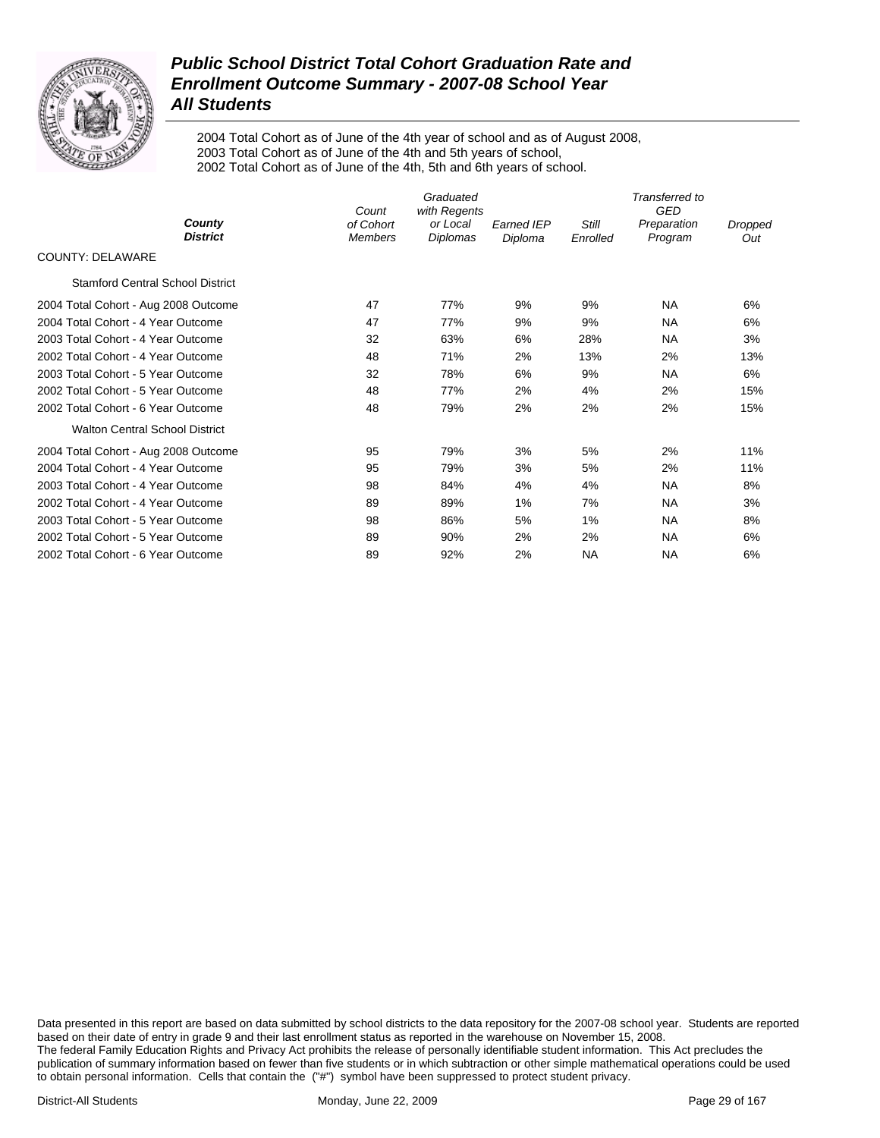

2004 Total Cohort as of June of the 4th year of school and as of August 2008, 2003 Total Cohort as of June of the 4th and 5th years of school, 2002 Total Cohort as of June of the 4th, 5th and 6th years of school.

|                                         | Count                       | Graduated<br>with Regents |                              |                   | Transferred to<br><b>GED</b> |                |
|-----------------------------------------|-----------------------------|---------------------------|------------------------------|-------------------|------------------------------|----------------|
| County<br><b>District</b>               | of Cohort<br><b>Members</b> | or Local<br>Diplomas      | <b>Earned IEP</b><br>Diploma | Still<br>Enrolled | Preparation<br>Program       | Dropped<br>Out |
| <b>COUNTY: DELAWARE</b>                 |                             |                           |                              |                   |                              |                |
| <b>Stamford Central School District</b> |                             |                           |                              |                   |                              |                |
| 2004 Total Cohort - Aug 2008 Outcome    | 47                          | 77%                       | 9%                           | 9%                | <b>NA</b>                    | 6%             |
| 2004 Total Cohort - 4 Year Outcome      | 47                          | 77%                       | 9%                           | 9%                | <b>NA</b>                    | 6%             |
| 2003 Total Cohort - 4 Year Outcome      | 32                          | 63%                       | 6%                           | 28%               | <b>NA</b>                    | 3%             |
| 2002 Total Cohort - 4 Year Outcome      | 48                          | 71%                       | 2%                           | 13%               | 2%                           | 13%            |
| 2003 Total Cohort - 5 Year Outcome      | 32                          | 78%                       | 6%                           | 9%                | <b>NA</b>                    | 6%             |
| 2002 Total Cohort - 5 Year Outcome      | 48                          | 77%                       | 2%                           | 4%                | 2%                           | 15%            |
| 2002 Total Cohort - 6 Year Outcome      | 48                          | 79%                       | 2%                           | 2%                | 2%                           | 15%            |
| <b>Walton Central School District</b>   |                             |                           |                              |                   |                              |                |
| 2004 Total Cohort - Aug 2008 Outcome    | 95                          | 79%                       | 3%                           | 5%                | 2%                           | 11%            |
| 2004 Total Cohort - 4 Year Outcome      | 95                          | 79%                       | 3%                           | 5%                | 2%                           | 11%            |
| 2003 Total Cohort - 4 Year Outcome      | 98                          | 84%                       | 4%                           | 4%                | <b>NA</b>                    | 8%             |
| 2002 Total Cohort - 4 Year Outcome      | 89                          | 89%                       | 1%                           | 7%                | <b>NA</b>                    | 3%             |
| 2003 Total Cohort - 5 Year Outcome      | 98                          | 86%                       | 5%                           | 1%                | <b>NA</b>                    | 8%             |
| 2002 Total Cohort - 5 Year Outcome      | 89                          | 90%                       | 2%                           | 2%                | <b>NA</b>                    | 6%             |
| 2002 Total Cohort - 6 Year Outcome      | 89                          | 92%                       | 2%                           | NA                | NA                           | 6%             |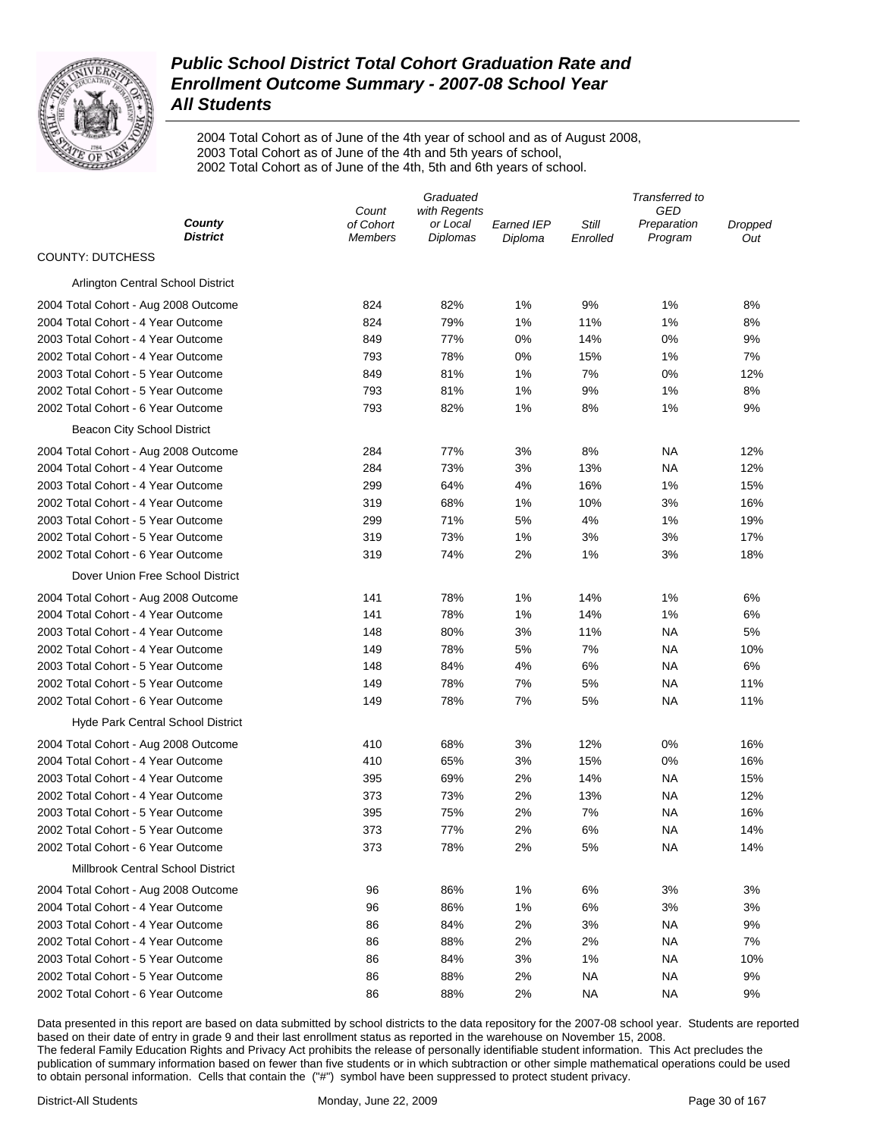

2004 Total Cohort as of June of the 4th year of school and as of August 2008, 2003 Total Cohort as of June of the 4th and 5th years of school, 2002 Total Cohort as of June of the 4th, 5th and 6th years of school.

|                                      | Graduated                   |                             |                       | Transferred to    |                        |                |  |
|--------------------------------------|-----------------------------|-----------------------------|-----------------------|-------------------|------------------------|----------------|--|
|                                      | Count                       | with Regents                |                       |                   | GED                    |                |  |
| County<br><b>District</b>            | of Cohort<br><b>Members</b> | or Local<br><b>Diplomas</b> | Earned IEP<br>Diploma | Still<br>Enrolled | Preparation<br>Program | Dropped<br>Out |  |
| <b>COUNTY: DUTCHESS</b>              |                             |                             |                       |                   |                        |                |  |
| Arlington Central School District    |                             |                             |                       |                   |                        |                |  |
| 2004 Total Cohort - Aug 2008 Outcome | 824                         | 82%                         | 1%                    | 9%                | 1%                     | 8%             |  |
| 2004 Total Cohort - 4 Year Outcome   | 824                         | 79%                         | 1%                    | 11%               | 1%                     | 8%             |  |
| 2003 Total Cohort - 4 Year Outcome   | 849                         | 77%                         | $0\%$                 | 14%               | 0%                     | 9%             |  |
| 2002 Total Cohort - 4 Year Outcome   | 793                         | 78%                         | $0\%$                 | 15%               | 1%                     | 7%             |  |
| 2003 Total Cohort - 5 Year Outcome   | 849                         | 81%                         | 1%                    | 7%                | 0%                     | 12%            |  |
| 2002 Total Cohort - 5 Year Outcome   | 793                         | 81%                         | 1%                    | 9%                | 1%                     | 8%             |  |
| 2002 Total Cohort - 6 Year Outcome   | 793                         | 82%                         | 1%                    | 8%                | 1%                     | 9%             |  |
| Beacon City School District          |                             |                             |                       |                   |                        |                |  |
| 2004 Total Cohort - Aug 2008 Outcome | 284                         | 77%                         | 3%                    | 8%                | <b>NA</b>              | 12%            |  |
| 2004 Total Cohort - 4 Year Outcome   | 284                         | 73%                         | 3%                    | 13%               | NA                     | 12%            |  |
| 2003 Total Cohort - 4 Year Outcome   | 299                         | 64%                         | 4%                    | 16%               | 1%                     | 15%            |  |
| 2002 Total Cohort - 4 Year Outcome   | 319                         | 68%                         | 1%                    | 10%               | 3%                     | 16%            |  |
| 2003 Total Cohort - 5 Year Outcome   | 299                         | 71%                         | 5%                    | 4%                | 1%                     | 19%            |  |
| 2002 Total Cohort - 5 Year Outcome   | 319                         | 73%                         | 1%                    | 3%                | 3%                     | 17%            |  |
| 2002 Total Cohort - 6 Year Outcome   | 319                         | 74%                         | 2%                    | 1%                | 3%                     | 18%            |  |
| Dover Union Free School District     |                             |                             |                       |                   |                        |                |  |
| 2004 Total Cohort - Aug 2008 Outcome | 141                         | 78%                         | 1%                    | 14%               | 1%                     | 6%             |  |
| 2004 Total Cohort - 4 Year Outcome   | 141                         | 78%                         | 1%                    | 14%               | 1%                     | 6%             |  |
| 2003 Total Cohort - 4 Year Outcome   | 148                         | 80%                         | 3%                    | 11%               | NA                     | 5%             |  |
| 2002 Total Cohort - 4 Year Outcome   | 149                         | 78%                         | 5%                    | 7%                | NA                     | 10%            |  |
| 2003 Total Cohort - 5 Year Outcome   | 148                         | 84%                         | 4%                    | 6%                | <b>NA</b>              | 6%             |  |
| 2002 Total Cohort - 5 Year Outcome   | 149                         | 78%                         | 7%                    | 5%                | <b>NA</b>              | 11%            |  |
| 2002 Total Cohort - 6 Year Outcome   | 149                         | 78%                         | 7%                    | 5%                | <b>NA</b>              | 11%            |  |
| Hyde Park Central School District    |                             |                             |                       |                   |                        |                |  |
| 2004 Total Cohort - Aug 2008 Outcome | 410                         | 68%                         | 3%                    | 12%               | 0%                     | 16%            |  |
| 2004 Total Cohort - 4 Year Outcome   | 410                         | 65%                         | 3%                    | 15%               | 0%                     | 16%            |  |
| 2003 Total Cohort - 4 Year Outcome   | 395                         | 69%                         | 2%                    | 14%               | <b>NA</b>              | 15%            |  |
| 2002 Total Cohort - 4 Year Outcome   | 373                         | 73%                         | 2%                    | 13%               | <b>NA</b>              | 12%            |  |
| 2003 Total Cohort - 5 Year Outcome   | 395                         | 75%                         | 2%                    | 7%                | <b>NA</b>              | 16%            |  |
| 2002 Total Cohort - 5 Year Outcome   | 373                         | 77%                         | 2%                    | 6%                | NA                     | 14%            |  |
| 2002 Total Cohort - 6 Year Outcome   | 373                         | 78%                         | 2%                    | 5%                | <b>NA</b>              | 14%            |  |
| Millbrook Central School District    |                             |                             |                       |                   |                        |                |  |
| 2004 Total Cohort - Aug 2008 Outcome | 96                          | 86%                         | 1%                    | 6%                | 3%                     | 3%             |  |
| 2004 Total Cohort - 4 Year Outcome   | 96                          | 86%                         | 1%                    | 6%                | 3%                     | 3%             |  |
| 2003 Total Cohort - 4 Year Outcome   | 86                          | 84%                         | 2%                    | 3%                | <b>NA</b>              | 9%             |  |
| 2002 Total Cohort - 4 Year Outcome   | 86                          | 88%                         | 2%                    | 2%                | <b>NA</b>              | 7%             |  |
| 2003 Total Cohort - 5 Year Outcome   | 86                          | 84%                         | 3%                    | 1%                | <b>NA</b>              | 10%            |  |
| 2002 Total Cohort - 5 Year Outcome   | 86                          | 88%                         | 2%                    | <b>NA</b>         | <b>NA</b>              | 9%             |  |
| 2002 Total Cohort - 6 Year Outcome   | 86                          | 88%                         | 2%                    | <b>NA</b>         | <b>NA</b>              | 9%             |  |
|                                      |                             |                             |                       |                   |                        |                |  |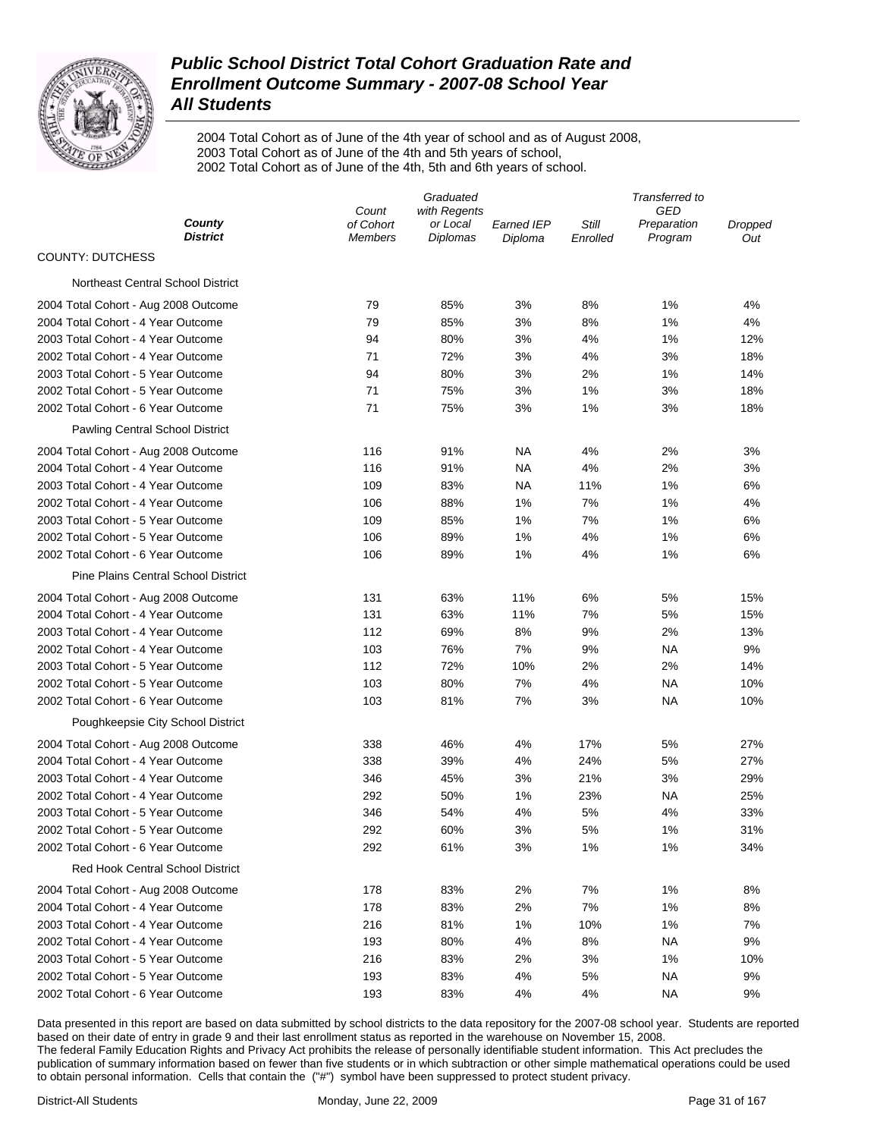

2004 Total Cohort as of June of the 4th year of school and as of August 2008, 2003 Total Cohort as of June of the 4th and 5th years of school, 2002 Total Cohort as of June of the 4th, 5th and 6th years of school.

|                                            | Graduated                   |                             |                       | Transferred to    |                        |                |  |
|--------------------------------------------|-----------------------------|-----------------------------|-----------------------|-------------------|------------------------|----------------|--|
| County                                     | Count                       | with Regents                |                       |                   | GED                    |                |  |
| <b>District</b>                            | of Cohort<br><b>Members</b> | or Local<br><b>Diplomas</b> | Earned IEP<br>Diploma | Still<br>Enrolled | Preparation<br>Program | Dropped<br>Out |  |
| <b>COUNTY: DUTCHESS</b>                    |                             |                             |                       |                   |                        |                |  |
| Northeast Central School District          |                             |                             |                       |                   |                        |                |  |
| 2004 Total Cohort - Aug 2008 Outcome       | 79                          | 85%                         | 3%                    | 8%                | 1%                     | 4%             |  |
| 2004 Total Cohort - 4 Year Outcome         | 79                          | 85%                         | 3%                    | 8%                | 1%                     | 4%             |  |
| 2003 Total Cohort - 4 Year Outcome         | 94                          | 80%                         | 3%                    | 4%                | 1%                     | 12%            |  |
| 2002 Total Cohort - 4 Year Outcome         | 71                          | 72%                         | 3%                    | 4%                | 3%                     | 18%            |  |
| 2003 Total Cohort - 5 Year Outcome         | 94                          | 80%                         | 3%                    | 2%                | 1%                     | 14%            |  |
| 2002 Total Cohort - 5 Year Outcome         | 71                          | 75%                         | 3%                    | 1%                | 3%                     | 18%            |  |
| 2002 Total Cohort - 6 Year Outcome         | 71                          | 75%                         | 3%                    | 1%                | 3%                     | 18%            |  |
| Pawling Central School District            |                             |                             |                       |                   |                        |                |  |
| 2004 Total Cohort - Aug 2008 Outcome       | 116                         | 91%                         | <b>NA</b>             | 4%                | 2%                     | 3%             |  |
| 2004 Total Cohort - 4 Year Outcome         | 116                         | 91%                         | NA                    | 4%                | 2%                     | 3%             |  |
| 2003 Total Cohort - 4 Year Outcome         | 109                         | 83%                         | NA                    | 11%               | 1%                     | 6%             |  |
| 2002 Total Cohort - 4 Year Outcome         | 106                         | 88%                         | 1%                    | 7%                | 1%                     | 4%             |  |
| 2003 Total Cohort - 5 Year Outcome         | 109                         | 85%                         | 1%                    | 7%                | 1%                     | 6%             |  |
| 2002 Total Cohort - 5 Year Outcome         | 106                         | 89%                         | 1%                    | 4%                | 1%                     | 6%             |  |
| 2002 Total Cohort - 6 Year Outcome         | 106                         | 89%                         | 1%                    | 4%                | 1%                     | 6%             |  |
| <b>Pine Plains Central School District</b> |                             |                             |                       |                   |                        |                |  |
| 2004 Total Cohort - Aug 2008 Outcome       | 131                         | 63%                         | 11%                   | 6%                | 5%                     | 15%            |  |
| 2004 Total Cohort - 4 Year Outcome         | 131                         | 63%                         | 11%                   | 7%                | 5%                     | 15%            |  |
| 2003 Total Cohort - 4 Year Outcome         | 112                         | 69%                         | 8%                    | 9%                | 2%                     | 13%            |  |
| 2002 Total Cohort - 4 Year Outcome         | 103                         | 76%                         | 7%                    | 9%                | NA                     | 9%             |  |
| 2003 Total Cohort - 5 Year Outcome         | 112                         | 72%                         | 10%                   | 2%                | 2%                     | 14%            |  |
| 2002 Total Cohort - 5 Year Outcome         | 103                         | 80%                         | 7%                    | 4%                | NA                     | 10%            |  |
| 2002 Total Cohort - 6 Year Outcome         | 103                         | 81%                         | 7%                    | 3%                | <b>NA</b>              | 10%            |  |
| Poughkeepsie City School District          |                             |                             |                       |                   |                        |                |  |
| 2004 Total Cohort - Aug 2008 Outcome       | 338                         | 46%                         | 4%                    | 17%               | 5%                     | 27%            |  |
| 2004 Total Cohort - 4 Year Outcome         | 338                         | 39%                         | 4%                    | 24%               | 5%                     | 27%            |  |
| 2003 Total Cohort - 4 Year Outcome         | 346                         | 45%                         | 3%                    | 21%               | 3%                     | 29%            |  |
| 2002 Total Cohort - 4 Year Outcome         | 292                         | 50%                         | 1%                    | 23%               | <b>NA</b>              | 25%            |  |
| 2003 Total Cohort - 5 Year Outcome         | 346                         | 54%                         | 4%                    | 5%                | 4%                     | 33%            |  |
| 2002 Total Cohort - 5 Year Outcome         | 292                         | 60%                         | 3%                    | 5%                | 1%                     | 31%            |  |
| 2002 Total Cohort - 6 Year Outcome         | 292                         | 61%                         | 3%                    | 1%                | 1%                     | 34%            |  |
| <b>Red Hook Central School District</b>    |                             |                             |                       |                   |                        |                |  |
| 2004 Total Cohort - Aug 2008 Outcome       | 178                         | 83%                         | 2%                    | 7%                | 1%                     | 8%             |  |
| 2004 Total Cohort - 4 Year Outcome         | 178                         | 83%                         | 2%                    | 7%                | 1%                     | 8%             |  |
| 2003 Total Cohort - 4 Year Outcome         | 216                         | 81%                         | 1%                    | 10%               | 1%                     | 7%             |  |
| 2002 Total Cohort - 4 Year Outcome         | 193                         | 80%                         | 4%                    | 8%                | <b>NA</b>              | 9%             |  |
| 2003 Total Cohort - 5 Year Outcome         | 216                         | 83%                         | 2%                    | 3%                | 1%                     | 10%            |  |
| 2002 Total Cohort - 5 Year Outcome         | 193                         | 83%                         | 4%                    | 5%                | <b>NA</b>              | 9%             |  |
| 2002 Total Cohort - 6 Year Outcome         | 193                         | 83%                         | 4%                    | 4%                | <b>NA</b>              | 9%             |  |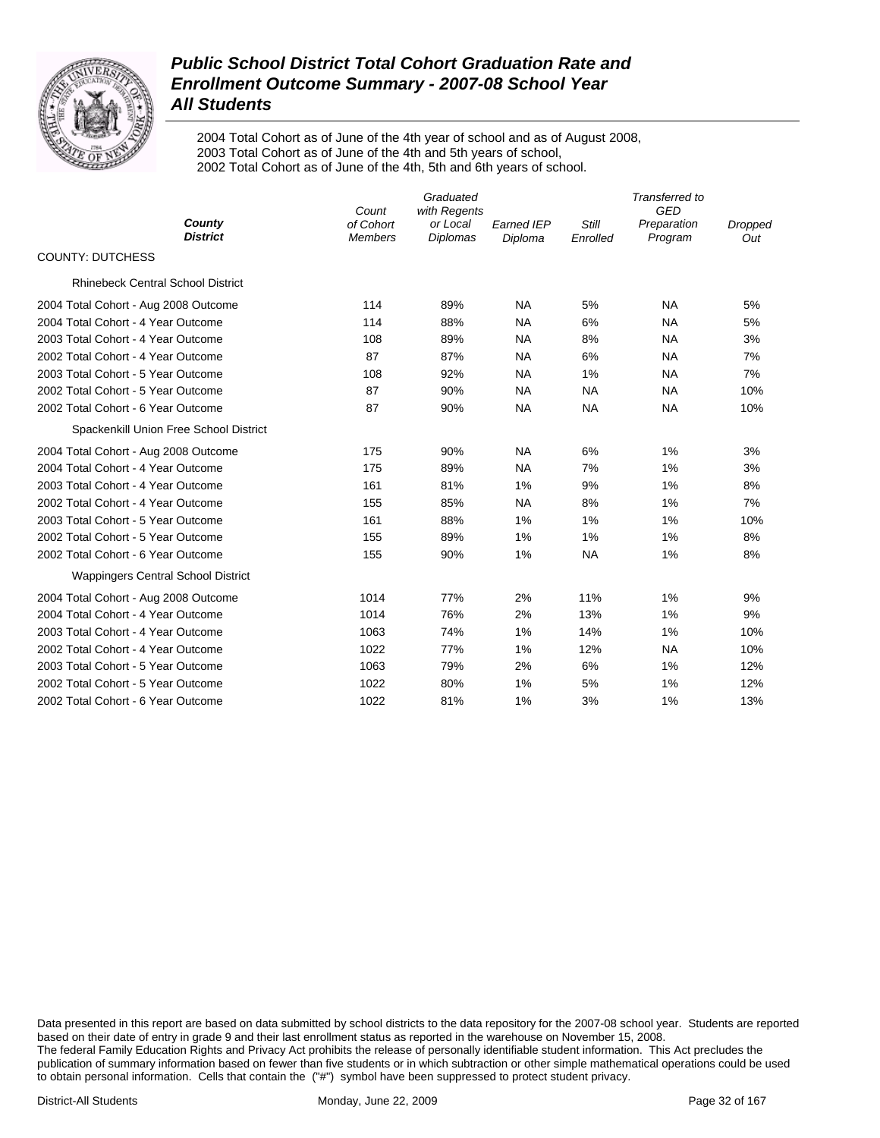

2004 Total Cohort as of June of the 4th year of school and as of August 2008, 2003 Total Cohort as of June of the 4th and 5th years of school, 2002 Total Cohort as of June of the 4th, 5th and 6th years of school.

|                                           | Count                       | Transferred to<br><b>GED</b>                |                              |                          |                        |                |
|-------------------------------------------|-----------------------------|---------------------------------------------|------------------------------|--------------------------|------------------------|----------------|
| County<br><b>District</b>                 | of Cohort<br><b>Members</b> | with Regents<br>or Local<br><b>Diplomas</b> | <b>Earned IEP</b><br>Diploma | <b>Still</b><br>Enrolled | Preparation<br>Program | Dropped<br>Out |
| <b>COUNTY: DUTCHESS</b>                   |                             |                                             |                              |                          |                        |                |
| <b>Rhinebeck Central School District</b>  |                             |                                             |                              |                          |                        |                |
| 2004 Total Cohort - Aug 2008 Outcome      | 114                         | 89%                                         | <b>NA</b>                    | 5%                       | <b>NA</b>              | 5%             |
| 2004 Total Cohort - 4 Year Outcome        | 114                         | 88%                                         | <b>NA</b>                    | 6%                       | <b>NA</b>              | 5%             |
| 2003 Total Cohort - 4 Year Outcome        | 108                         | 89%                                         | <b>NA</b>                    | 8%                       | <b>NA</b>              | 3%             |
| 2002 Total Cohort - 4 Year Outcome        | 87                          | 87%                                         | <b>NA</b>                    | 6%                       | <b>NA</b>              | 7%             |
| 2003 Total Cohort - 5 Year Outcome        | 108                         | 92%                                         | <b>NA</b>                    | 1%                       | <b>NA</b>              | 7%             |
| 2002 Total Cohort - 5 Year Outcome        | 87                          | 90%                                         | <b>NA</b>                    | <b>NA</b>                | <b>NA</b>              | 10%            |
| 2002 Total Cohort - 6 Year Outcome        | 87                          | 90%                                         | NA                           | <b>NA</b>                | <b>NA</b>              | 10%            |
| Spackenkill Union Free School District    |                             |                                             |                              |                          |                        |                |
| 2004 Total Cohort - Aug 2008 Outcome      | 175                         | 90%                                         | <b>NA</b>                    | 6%                       | 1%                     | 3%             |
| 2004 Total Cohort - 4 Year Outcome        | 175                         | 89%                                         | <b>NA</b>                    | 7%                       | 1%                     | 3%             |
| 2003 Total Cohort - 4 Year Outcome        | 161                         | 81%                                         | 1%                           | 9%                       | 1%                     | 8%             |
| 2002 Total Cohort - 4 Year Outcome        | 155                         | 85%                                         | <b>NA</b>                    | 8%                       | 1%                     | 7%             |
| 2003 Total Cohort - 5 Year Outcome        | 161                         | 88%                                         | 1%                           | 1%                       | 1%                     | 10%            |
| 2002 Total Cohort - 5 Year Outcome        | 155                         | 89%                                         | 1%                           | 1%                       | 1%                     | 8%             |
| 2002 Total Cohort - 6 Year Outcome        | 155                         | 90%                                         | 1%                           | <b>NA</b>                | 1%                     | 8%             |
| <b>Wappingers Central School District</b> |                             |                                             |                              |                          |                        |                |
| 2004 Total Cohort - Aug 2008 Outcome      | 1014                        | 77%                                         | 2%                           | 11%                      | 1%                     | 9%             |
| 2004 Total Cohort - 4 Year Outcome        | 1014                        | 76%                                         | 2%                           | 13%                      | 1%                     | 9%             |
| 2003 Total Cohort - 4 Year Outcome        | 1063                        | 74%                                         | 1%                           | 14%                      | 1%                     | 10%            |
| 2002 Total Cohort - 4 Year Outcome        | 1022                        | 77%                                         | 1%                           | 12%                      | <b>NA</b>              | 10%            |
| 2003 Total Cohort - 5 Year Outcome        | 1063                        | 79%                                         | 2%                           | 6%                       | 1%                     | 12%            |
| 2002 Total Cohort - 5 Year Outcome        | 1022                        | 80%                                         | 1%                           | 5%                       | 1%                     | 12%            |
| 2002 Total Cohort - 6 Year Outcome        | 1022                        | 81%                                         | 1%                           | 3%                       | 1%                     | 13%            |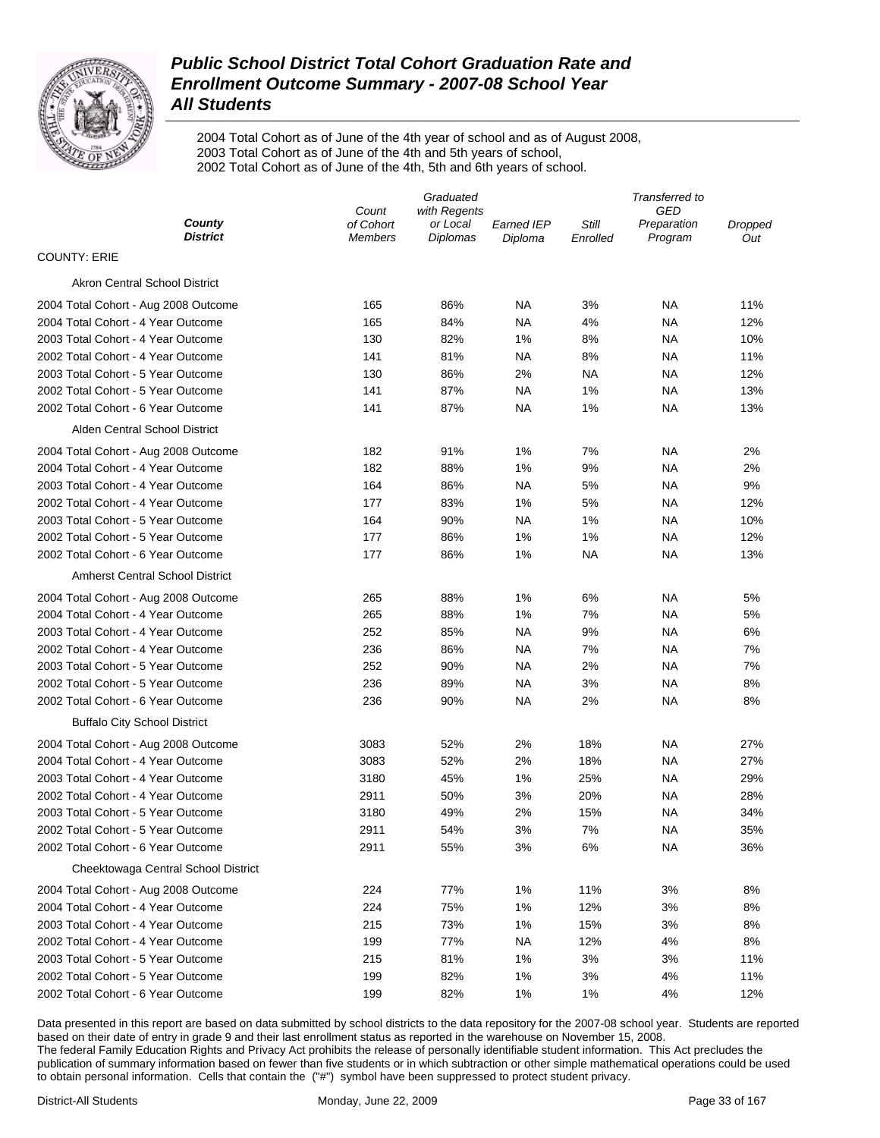

2004 Total Cohort as of June of the 4th year of school and as of August 2008, 2003 Total Cohort as of June of the 4th and 5th years of school, 2002 Total Cohort as of June of the 4th, 5th and 6th years of school.

|                                        | Graduated                   |                             |                       | Transferred to    |                        |                |  |
|----------------------------------------|-----------------------------|-----------------------------|-----------------------|-------------------|------------------------|----------------|--|
|                                        | Count                       | with Regents                |                       |                   | GED                    |                |  |
| County<br><b>District</b>              | of Cohort<br><b>Members</b> | or Local<br><b>Diplomas</b> | Earned IEP<br>Diploma | Still<br>Enrolled | Preparation<br>Program | Dropped<br>Out |  |
| <b>COUNTY: ERIE</b>                    |                             |                             |                       |                   |                        |                |  |
| Akron Central School District          |                             |                             |                       |                   |                        |                |  |
| 2004 Total Cohort - Aug 2008 Outcome   | 165                         | 86%                         | NA                    | 3%                | ΝA                     | 11%            |  |
| 2004 Total Cohort - 4 Year Outcome     | 165                         | 84%                         | NA                    | 4%                | ΝA                     | 12%            |  |
| 2003 Total Cohort - 4 Year Outcome     | 130                         | 82%                         | 1%                    | 8%                | ΝA                     | 10%            |  |
| 2002 Total Cohort - 4 Year Outcome     | 141                         | 81%                         | NA                    | 8%                | ΝA                     | 11%            |  |
| 2003 Total Cohort - 5 Year Outcome     | 130                         | 86%                         | 2%                    | ΝA                | ΝA                     | 12%            |  |
| 2002 Total Cohort - 5 Year Outcome     | 141                         | 87%                         | <b>NA</b>             | 1%                | ΝA                     | 13%            |  |
| 2002 Total Cohort - 6 Year Outcome     | 141                         | 87%                         | NA                    | 1%                | ΝA                     | 13%            |  |
| Alden Central School District          |                             |                             |                       |                   |                        |                |  |
| 2004 Total Cohort - Aug 2008 Outcome   | 182                         | 91%                         | 1%                    | 7%                | ΝA                     | 2%             |  |
| 2004 Total Cohort - 4 Year Outcome     | 182                         | 88%                         | 1%                    | 9%                | ΝA                     | 2%             |  |
| 2003 Total Cohort - 4 Year Outcome     | 164                         | 86%                         | <b>NA</b>             | 5%                | ΝA                     | 9%             |  |
| 2002 Total Cohort - 4 Year Outcome     | 177                         | 83%                         | 1%                    | 5%                | ΝA                     | 12%            |  |
| 2003 Total Cohort - 5 Year Outcome     | 164                         | 90%                         | NA                    | 1%                | ΝA                     | 10%            |  |
| 2002 Total Cohort - 5 Year Outcome     | 177                         | 86%                         | 1%                    | 1%                | ΝA                     | 12%            |  |
| 2002 Total Cohort - 6 Year Outcome     | 177                         | 86%                         | 1%                    | ΝA                | ΝA                     | 13%            |  |
| <b>Amherst Central School District</b> |                             |                             |                       |                   |                        |                |  |
| 2004 Total Cohort - Aug 2008 Outcome   | 265                         | 88%                         | 1%                    | 6%                | ΝA                     | 5%             |  |
| 2004 Total Cohort - 4 Year Outcome     | 265                         | 88%                         | 1%                    | 7%                | ΝA                     | 5%             |  |
| 2003 Total Cohort - 4 Year Outcome     | 252                         | 85%                         | NA                    | 9%                | ΝA                     | 6%             |  |
| 2002 Total Cohort - 4 Year Outcome     | 236                         | 86%                         | <b>NA</b>             | 7%                | NA                     | 7%             |  |
| 2003 Total Cohort - 5 Year Outcome     | 252                         | 90%                         | <b>NA</b>             | 2%                | <b>NA</b>              | 7%             |  |
| 2002 Total Cohort - 5 Year Outcome     | 236                         | 89%                         | <b>NA</b>             | 3%                | NA                     | 8%             |  |
| 2002 Total Cohort - 6 Year Outcome     | 236                         | 90%                         | NA                    | 2%                | NA                     | 8%             |  |
| <b>Buffalo City School District</b>    |                             |                             |                       |                   |                        |                |  |
| 2004 Total Cohort - Aug 2008 Outcome   | 3083                        | 52%                         | 2%                    | 18%               | NA                     | 27%            |  |
| 2004 Total Cohort - 4 Year Outcome     | 3083                        | 52%                         | 2%                    | 18%               | <b>NA</b>              | 27%            |  |
| 2003 Total Cohort - 4 Year Outcome     | 3180                        | 45%                         | 1%                    | 25%               | <b>NA</b>              | 29%            |  |
| 2002 Total Cohort - 4 Year Outcome     | 2911                        | 50%                         | 3%                    | 20%               | NA                     | 28%            |  |
| 2003 Total Cohort - 5 Year Outcome     | 3180                        | 49%                         | 2%                    | 15%               | NA                     | 34%            |  |
| 2002 Total Cohort - 5 Year Outcome     | 2911                        | 54%                         | 3%                    | 7%                | NA                     | 35%            |  |
| 2002 Total Cohort - 6 Year Outcome     | 2911                        | 55%                         | 3%                    | 6%                | <b>NA</b>              | 36%            |  |
| Cheektowaga Central School District    |                             |                             |                       |                   |                        |                |  |
| 2004 Total Cohort - Aug 2008 Outcome   | 224                         | 77%                         | 1%                    | 11%               | 3%                     | 8%             |  |
| 2004 Total Cohort - 4 Year Outcome     | 224                         | 75%                         | 1%                    | 12%               | 3%                     | 8%             |  |
| 2003 Total Cohort - 4 Year Outcome     | 215                         | 73%                         | 1%                    | 15%               | 3%                     | 8%             |  |
| 2002 Total Cohort - 4 Year Outcome     | 199                         | 77%                         | <b>NA</b>             | 12%               | 4%                     | 8%             |  |
| 2003 Total Cohort - 5 Year Outcome     | 215                         | 81%                         | 1%                    | 3%                | 3%                     | 11%            |  |
| 2002 Total Cohort - 5 Year Outcome     | 199                         | 82%                         | 1%                    | 3%                | 4%                     | 11%            |  |
| 2002 Total Cohort - 6 Year Outcome     | 199                         | 82%                         | 1%                    | 1%                | 4%                     | 12%            |  |
|                                        |                             |                             |                       |                   |                        |                |  |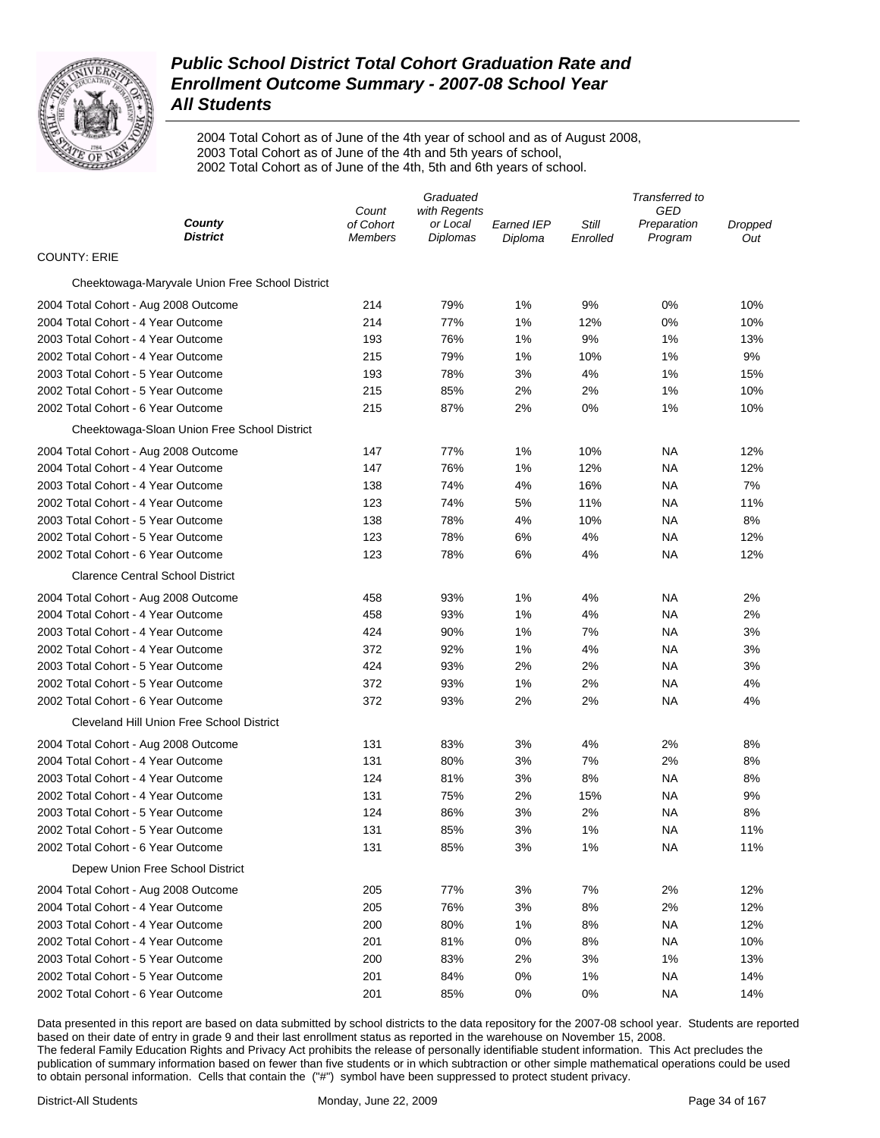

2004 Total Cohort as of June of the 4th year of school and as of August 2008, 2003 Total Cohort as of June of the 4th and 5th years of school, 2002 Total Cohort as of June of the 4th, 5th and 6th years of school.

|                                                 | Graduated          |                          |                   | Transferred to |                           |                |
|-------------------------------------------------|--------------------|--------------------------|-------------------|----------------|---------------------------|----------------|
| County                                          | Count<br>of Cohort | with Regents<br>or Local | <b>Earned IEP</b> | Still          | <b>GED</b><br>Preparation |                |
| <b>District</b>                                 | <b>Members</b>     | Diplomas                 | Diploma           | Enrolled       | Program                   | Dropped<br>Out |
| <b>COUNTY: ERIE</b>                             |                    |                          |                   |                |                           |                |
| Cheektowaga-Maryvale Union Free School District |                    |                          |                   |                |                           |                |
| 2004 Total Cohort - Aug 2008 Outcome            | 214                | 79%                      | 1%                | 9%             | 0%                        | 10%            |
| 2004 Total Cohort - 4 Year Outcome              | 214                | 77%                      | 1%                | 12%            | 0%                        | 10%            |
| 2003 Total Cohort - 4 Year Outcome              | 193                | 76%                      | 1%                | 9%             | 1%                        | 13%            |
| 2002 Total Cohort - 4 Year Outcome              | 215                | 79%                      | 1%                | 10%            | 1%                        | 9%             |
| 2003 Total Cohort - 5 Year Outcome              | 193                | 78%                      | 3%                | 4%             | 1%                        | 15%            |
| 2002 Total Cohort - 5 Year Outcome              | 215                | 85%                      | 2%                | 2%             | 1%                        | 10%            |
| 2002 Total Cohort - 6 Year Outcome              | 215                | 87%                      | 2%                | 0%             | 1%                        | 10%            |
| Cheektowaga-Sloan Union Free School District    |                    |                          |                   |                |                           |                |
| 2004 Total Cohort - Aug 2008 Outcome            | 147                | 77%                      | 1%                | 10%            | NA                        | 12%            |
| 2004 Total Cohort - 4 Year Outcome              | 147                | 76%                      | 1%                | 12%            | NA                        | 12%            |
| 2003 Total Cohort - 4 Year Outcome              | 138                | 74%                      | 4%                | 16%            | NA                        | 7%             |
| 2002 Total Cohort - 4 Year Outcome              | 123                | 74%                      | 5%                | 11%            | NA                        | 11%            |
| 2003 Total Cohort - 5 Year Outcome              | 138                | 78%                      | 4%                | 10%            | NA                        | 8%             |
| 2002 Total Cohort - 5 Year Outcome              | 123                | 78%                      | 6%                | 4%             | NA                        | 12%            |
| 2002 Total Cohort - 6 Year Outcome              | 123                | 78%                      | 6%                | 4%             | NA                        | 12%            |
| <b>Clarence Central School District</b>         |                    |                          |                   |                |                           |                |
| 2004 Total Cohort - Aug 2008 Outcome            | 458                | 93%                      | 1%                | 4%             | ΝA                        | 2%             |
| 2004 Total Cohort - 4 Year Outcome              | 458                | 93%                      | 1%                | 4%             | NA                        | 2%             |
| 2003 Total Cohort - 4 Year Outcome              | 424                | 90%                      | 1%                | 7%             | NA                        | 3%             |
| 2002 Total Cohort - 4 Year Outcome              | 372                | 92%                      | 1%                | 4%             | NA                        | 3%             |
| 2003 Total Cohort - 5 Year Outcome              | 424                | 93%                      | 2%                | 2%             | NA                        | 3%             |
| 2002 Total Cohort - 5 Year Outcome              | 372                | 93%                      | 1%                | 2%             | NA                        | 4%             |
| 2002 Total Cohort - 6 Year Outcome              | 372                | 93%                      | 2%                | 2%             | NA                        | 4%             |
| Cleveland Hill Union Free School District       |                    |                          |                   |                |                           |                |
| 2004 Total Cohort - Aug 2008 Outcome            | 131                | 83%                      | 3%                | 4%             | 2%                        | 8%             |
| 2004 Total Cohort - 4 Year Outcome              | 131                | 80%                      | 3%                | 7%             | 2%                        | 8%             |
| 2003 Total Cohort - 4 Year Outcome              | 124                | 81%                      | 3%                | 8%             | NA                        | 8%             |
| 2002 Total Cohort - 4 Year Outcome              | 131                | 75%                      | 2%                | 15%            | NА                        | 9%             |
| 2003 Total Cohort - 5 Year Outcome              | 124                | 86%                      | 3%                | 2%             | NA                        | 8%             |
| 2002 Total Cohort - 5 Year Outcome              | 131                | 85%                      | 3%                | 1%             | NА                        | 11%            |
| 2002 Total Cohort - 6 Year Outcome              | 131                | 85%                      | 3%                | 1%             | <b>NA</b>                 | 11%            |
| Depew Union Free School District                |                    |                          |                   |                |                           |                |
| 2004 Total Cohort - Aug 2008 Outcome            | 205                | 77%                      | 3%                | 7%             | 2%                        | 12%            |
| 2004 Total Cohort - 4 Year Outcome              | 205                | 76%                      | 3%                | 8%             | 2%                        | 12%            |
| 2003 Total Cohort - 4 Year Outcome              | 200                | 80%                      | 1%                | 8%             | NA                        | 12%            |
| 2002 Total Cohort - 4 Year Outcome              | 201                | 81%                      | 0%                | 8%             | <b>NA</b>                 | 10%            |
| 2003 Total Cohort - 5 Year Outcome              | 200                | 83%                      | 2%                | 3%             | 1%                        | 13%            |
| 2002 Total Cohort - 5 Year Outcome              | 201                | 84%                      | 0%                | 1%             | NA                        | 14%            |
| 2002 Total Cohort - 6 Year Outcome              | 201                | 85%                      | 0%                | 0%             | NA                        | 14%            |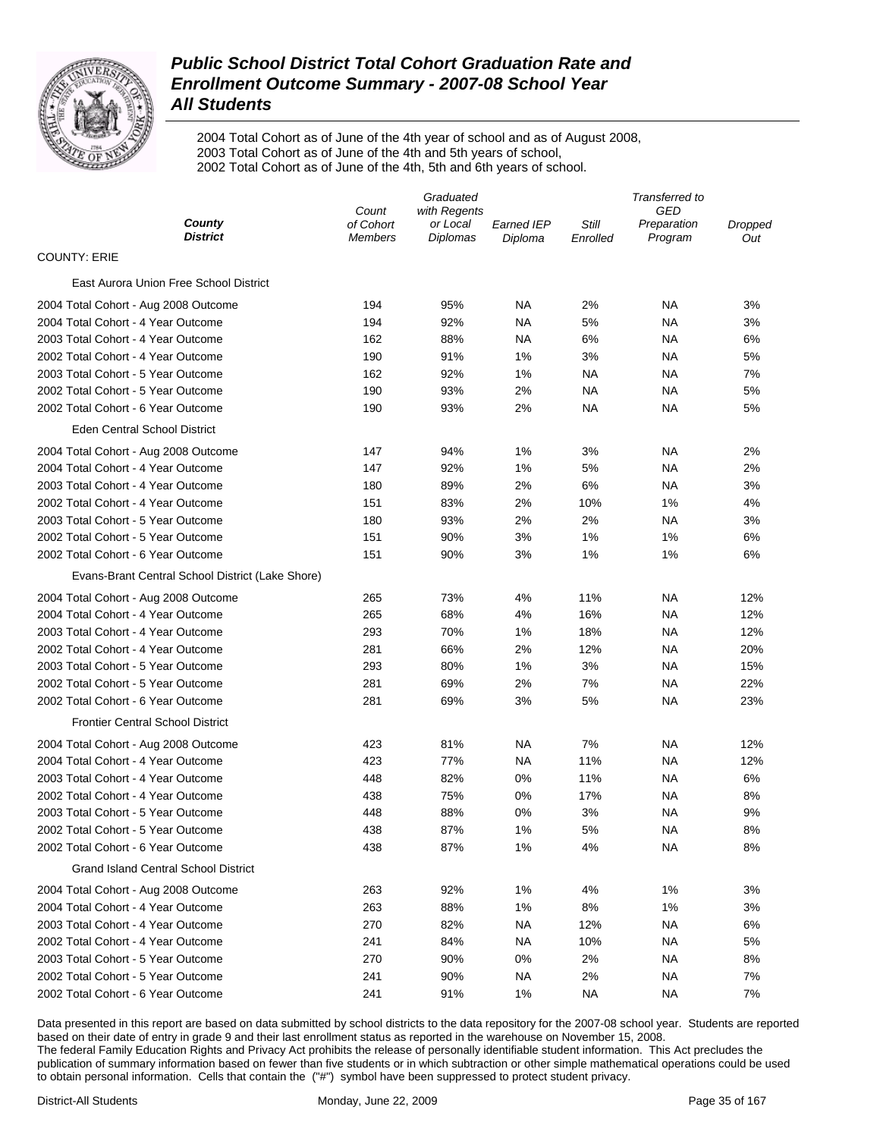

2004 Total Cohort as of June of the 4th year of school and as of August 2008, 2003 Total Cohort as of June of the 4th and 5th years of school, 2002 Total Cohort as of June of the 4th, 5th and 6th years of school.

|                                                                                                              | Transferred to |  |  |  |
|--------------------------------------------------------------------------------------------------------------|----------------|--|--|--|
| GED<br>Count<br>with Regents<br>County<br>of Cohort<br>Still<br>or Local<br><b>Earned IEP</b><br>Preparation | Dropped        |  |  |  |
| District<br>Diplomas<br>Program<br><b>Members</b><br>Diploma<br>Enrolled                                     | Out            |  |  |  |
| <b>COUNTY: ERIE</b>                                                                                          |                |  |  |  |
| East Aurora Union Free School District                                                                       |                |  |  |  |
| 194<br>95%<br>NA<br>2%<br>ΝA<br>2004 Total Cohort - Aug 2008 Outcome                                         | 3%             |  |  |  |
| 2004 Total Cohort - 4 Year Outcome<br>194<br>92%<br><b>NA</b><br>5%<br>ΝA                                    | 3%             |  |  |  |
| 2003 Total Cohort - 4 Year Outcome<br>162<br>88%<br>NA<br>6%<br>ΝA                                           | 6%             |  |  |  |
| 2002 Total Cohort - 4 Year Outcome<br>190<br>91%<br>1%<br>3%<br>ΝA                                           | 5%             |  |  |  |
| 2003 Total Cohort - 5 Year Outcome<br>162<br>92%<br>1%<br><b>NA</b><br><b>NA</b>                             | 7%             |  |  |  |
| 2002 Total Cohort - 5 Year Outcome<br>190<br>93%<br>2%<br><b>NA</b><br>ΝA                                    | 5%             |  |  |  |
| 2002 Total Cohort - 6 Year Outcome<br>190<br>93%<br>2%<br>ΝA<br>ΝA                                           | 5%             |  |  |  |
| Eden Central School District                                                                                 |                |  |  |  |
| 147<br>94%<br>1%<br>3%<br>ΝA<br>2004 Total Cohort - Aug 2008 Outcome                                         | 2%             |  |  |  |
| 2004 Total Cohort - 4 Year Outcome<br>147<br>92%<br>1%<br>5%<br><b>NA</b>                                    | 2%             |  |  |  |
| 2003 Total Cohort - 4 Year Outcome<br>180<br>89%<br>2%<br>6%<br><b>NA</b>                                    | 3%             |  |  |  |
| 2002 Total Cohort - 4 Year Outcome<br>151<br>83%<br>2%<br>10%<br>1%                                          | 4%             |  |  |  |
| 2003 Total Cohort - 5 Year Outcome<br>180<br>93%<br>2%<br>2%<br><b>NA</b>                                    | 3%             |  |  |  |
| 2002 Total Cohort - 5 Year Outcome<br>151<br>90%<br>3%<br>1%<br>1%                                           | 6%             |  |  |  |
| 2002 Total Cohort - 6 Year Outcome<br>151<br>90%<br>3%<br>1%<br>1%                                           | 6%             |  |  |  |
| Evans-Brant Central School District (Lake Shore)                                                             |                |  |  |  |
| 265<br>73%<br>4%<br>11%<br><b>NA</b><br>2004 Total Cohort - Aug 2008 Outcome                                 | 12%            |  |  |  |
| 2004 Total Cohort - 4 Year Outcome<br>265<br>68%<br>4%<br>16%<br>ΝA                                          | 12%            |  |  |  |
| 2003 Total Cohort - 4 Year Outcome<br>293<br>70%<br>1%<br>18%<br>ΝA                                          | 12%            |  |  |  |
| 2002 Total Cohort - 4 Year Outcome<br>281<br>66%<br>2%<br>12%<br>ΝA                                          | 20%            |  |  |  |
| 2003 Total Cohort - 5 Year Outcome<br>293<br>80%<br>1%<br>3%<br>ΝA                                           | 15%            |  |  |  |
| 2002 Total Cohort - 5 Year Outcome<br>281<br>69%<br>2%<br>7%<br>ΝA                                           | 22%            |  |  |  |
| 2002 Total Cohort - 6 Year Outcome<br>281<br>69%<br>3%<br>5%<br>ΝA                                           | 23%            |  |  |  |
| <b>Frontier Central School District</b>                                                                      |                |  |  |  |
| 423<br>81%<br>NA<br>7%<br>ΝA<br>2004 Total Cohort - Aug 2008 Outcome                                         | 12%            |  |  |  |
| 2004 Total Cohort - 4 Year Outcome<br>423<br>77%<br><b>NA</b><br>11%<br>ΝA                                   | 12%            |  |  |  |
| 2003 Total Cohort - 4 Year Outcome<br>448<br>82%<br>0%<br>11%<br>ΝA                                          | 6%             |  |  |  |
| 2002 Total Cohort - 4 Year Outcome<br>438<br>75%<br>0%<br>17%<br>ΝA                                          | 8%             |  |  |  |
| 2003 Total Cohort - 5 Year Outcome<br>448<br>88%<br>0%<br>3%<br>ΝA                                           | 9%             |  |  |  |
| 438<br>87%<br>1%<br>5%<br>2002 Total Cohort - 5 Year Outcome<br>NA                                           | 8%             |  |  |  |
| 2002 Total Cohort - 6 Year Outcome<br>87%<br>1%<br>4%<br><b>NA</b><br>438                                    | 8%             |  |  |  |
| <b>Grand Island Central School District</b>                                                                  |                |  |  |  |
| 1%<br>4%<br>2004 Total Cohort - Aug 2008 Outcome<br>263<br>92%<br>1%                                         | 3%             |  |  |  |
| 2004 Total Cohort - 4 Year Outcome<br>88%<br>1%<br>8%<br>1%<br>263                                           | 3%             |  |  |  |
| 2003 Total Cohort - 4 Year Outcome<br>270<br>82%<br>12%<br><b>NA</b><br>NA.                                  | 6%             |  |  |  |
| 2002 Total Cohort - 4 Year Outcome<br>241<br>84%<br><b>NA</b><br>10%<br>ΝA                                   | 5%             |  |  |  |
| 90%<br>0%<br>2%<br>2003 Total Cohort - 5 Year Outcome<br>270<br>ΝA                                           | 8%             |  |  |  |
| 2002 Total Cohort - 5 Year Outcome<br>241<br>90%<br><b>NA</b><br>2%<br>ΝA                                    | 7%             |  |  |  |
| 2002 Total Cohort - 6 Year Outcome<br>241<br>91%<br>1%<br><b>NA</b><br><b>NA</b>                             | 7%             |  |  |  |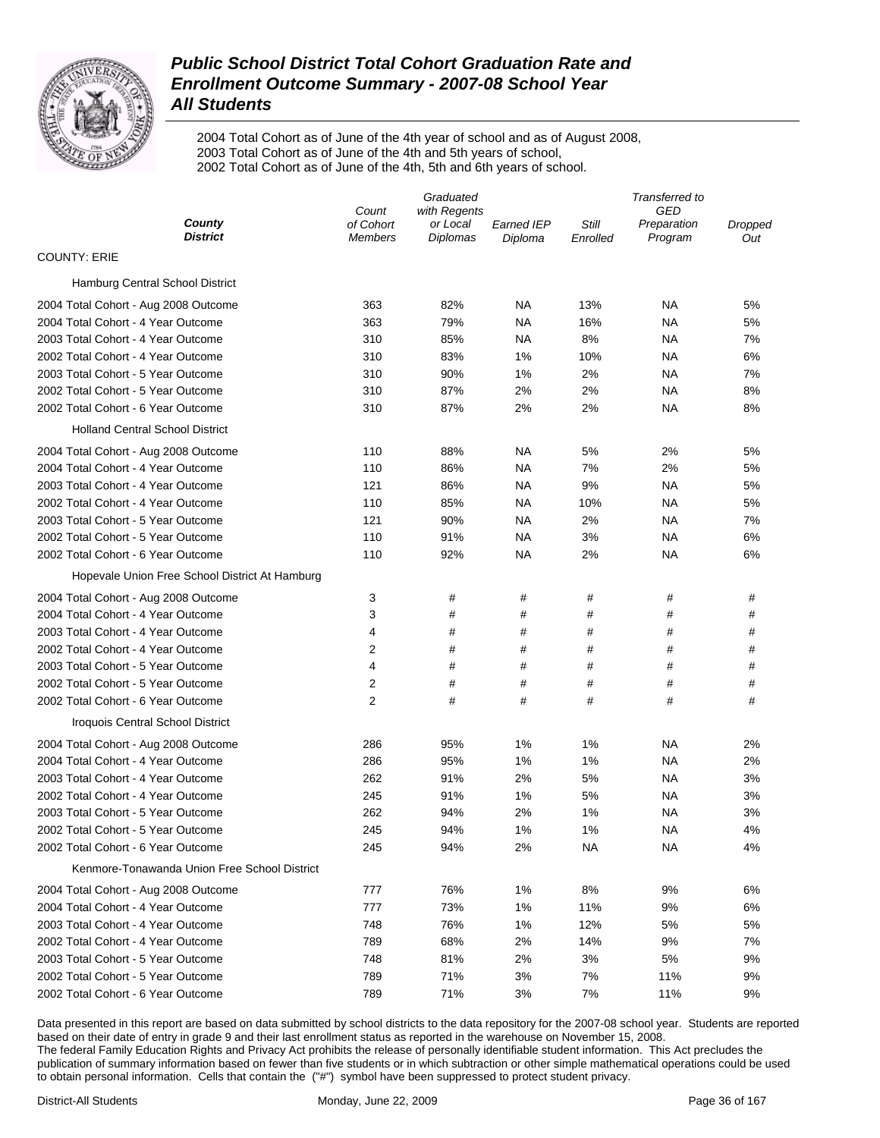

2004 Total Cohort as of June of the 4th year of school and as of August 2008, 2003 Total Cohort as of June of the 4th and 5th years of school, 2002 Total Cohort as of June of the 4th, 5th and 6th years of school.

|                                                | Graduated                   |                      |                       | Transferred to    |                        |                |  |
|------------------------------------------------|-----------------------------|----------------------|-----------------------|-------------------|------------------------|----------------|--|
|                                                | Count                       | with Regents         |                       |                   | GED                    |                |  |
| County<br><b>District</b>                      | of Cohort<br><b>Members</b> | or Local<br>Diplomas | Earned IEP<br>Diploma | Still<br>Enrolled | Preparation<br>Program | Dropped<br>Out |  |
| <b>COUNTY: ERIE</b>                            |                             |                      |                       |                   |                        |                |  |
| Hamburg Central School District                |                             |                      |                       |                   |                        |                |  |
| 2004 Total Cohort - Aug 2008 Outcome           | 363                         | 82%                  | NA                    | 13%               | <b>NA</b>              | 5%             |  |
| 2004 Total Cohort - 4 Year Outcome             | 363                         | 79%                  | NA                    | 16%               | ΝA                     | 5%             |  |
| 2003 Total Cohort - 4 Year Outcome             | 310                         | 85%                  | NA                    | 8%                | ΝA                     | 7%             |  |
| 2002 Total Cohort - 4 Year Outcome             | 310                         | 83%                  | 1%                    | 10%               | ΝA                     | 6%             |  |
| 2003 Total Cohort - 5 Year Outcome             | 310                         | 90%                  | 1%                    | 2%                | ΝA                     | 7%             |  |
| 2002 Total Cohort - 5 Year Outcome             | 310                         | 87%                  | 2%                    | 2%                | ΝA                     | 8%             |  |
| 2002 Total Cohort - 6 Year Outcome             | 310                         | 87%                  | 2%                    | 2%                | <b>NA</b>              | 8%             |  |
| <b>Holland Central School District</b>         |                             |                      |                       |                   |                        |                |  |
| 2004 Total Cohort - Aug 2008 Outcome           | 110                         | 88%                  | NA                    | 5%                | 2%                     | 5%             |  |
| 2004 Total Cohort - 4 Year Outcome             | 110                         | 86%                  | NA                    | 7%                | 2%                     | 5%             |  |
| 2003 Total Cohort - 4 Year Outcome             | 121                         | 86%                  | <b>NA</b>             | 9%                | ΝA                     | 5%             |  |
| 2002 Total Cohort - 4 Year Outcome             | 110                         | 85%                  | NA                    | 10%               | ΝA                     | 5%             |  |
| 2003 Total Cohort - 5 Year Outcome             | 121                         | 90%                  | NA                    | 2%                | ΝA                     | 7%             |  |
| 2002 Total Cohort - 5 Year Outcome             | 110                         | 91%                  | <b>NA</b>             | 3%                | ΝA                     | 6%             |  |
| 2002 Total Cohort - 6 Year Outcome             | 110                         | 92%                  | NA                    | 2%                | ΝA                     | 6%             |  |
| Hopevale Union Free School District At Hamburg |                             |                      |                       |                   |                        |                |  |
| 2004 Total Cohort - Aug 2008 Outcome           | 3                           | #                    | #                     | #                 | #                      | #              |  |
| 2004 Total Cohort - 4 Year Outcome             | 3                           | #                    | #                     | #                 | #                      | #              |  |
| 2003 Total Cohort - 4 Year Outcome             | 4                           | #                    | #                     | #                 | #                      | #              |  |
| 2002 Total Cohort - 4 Year Outcome             | 2                           | #                    | #                     | #                 | #                      | #              |  |
| 2003 Total Cohort - 5 Year Outcome             | 4                           | #                    | #                     | #                 | #                      | #              |  |
| 2002 Total Cohort - 5 Year Outcome             | 2                           | #                    | #                     | #                 | #                      | #              |  |
| 2002 Total Cohort - 6 Year Outcome             | 2                           | #                    | #                     | #                 | #                      | #              |  |
| Iroquois Central School District               |                             |                      |                       |                   |                        |                |  |
| 2004 Total Cohort - Aug 2008 Outcome           | 286                         | 95%                  | 1%                    | 1%                | ΝA                     | 2%             |  |
| 2004 Total Cohort - 4 Year Outcome             | 286                         | 95%                  | 1%                    | 1%                | ΝA                     | 2%             |  |
| 2003 Total Cohort - 4 Year Outcome             | 262                         | 91%                  | 2%                    | 5%                | ΝA                     | 3%             |  |
| 2002 Total Cohort - 4 Year Outcome             | 245                         | 91%                  | 1%                    | 5%                | ΝA                     | 3%             |  |
| 2003 Total Cohort - 5 Year Outcome             | 262                         | 94%                  | 2%                    | 1%                | ΝA                     | 3%             |  |
| 2002 Total Cohort - 5 Year Outcome             | 245                         | 94%                  | 1%                    | 1%                | NA                     | 4%             |  |
| 2002 Total Cohort - 6 Year Outcome             | 245                         | 94%                  | 2%                    | ΝA                | ΝA                     | 4%             |  |
| Kenmore-Tonawanda Union Free School District   |                             |                      |                       |                   |                        |                |  |
| 2004 Total Cohort - Aug 2008 Outcome           | 777                         | 76%                  | 1%                    | 8%                | 9%                     | 6%             |  |
| 2004 Total Cohort - 4 Year Outcome             | 777                         | 73%                  | 1%                    | 11%               | 9%                     | 6%             |  |
| 2003 Total Cohort - 4 Year Outcome             | 748                         | 76%                  | 1%                    | 12%               | 5%                     | 5%             |  |
| 2002 Total Cohort - 4 Year Outcome             | 789                         | 68%                  | 2%                    | 14%               | 9%                     | 7%             |  |
| 2003 Total Cohort - 5 Year Outcome             | 748                         | 81%                  | 2%                    | 3%                | 5%                     | 9%             |  |
| 2002 Total Cohort - 5 Year Outcome             | 789                         | 71%                  | 3%                    | 7%                | 11%                    | 9%             |  |
| 2002 Total Cohort - 6 Year Outcome             | 789                         | 71%                  | 3%                    | 7%                | 11%                    | 9%             |  |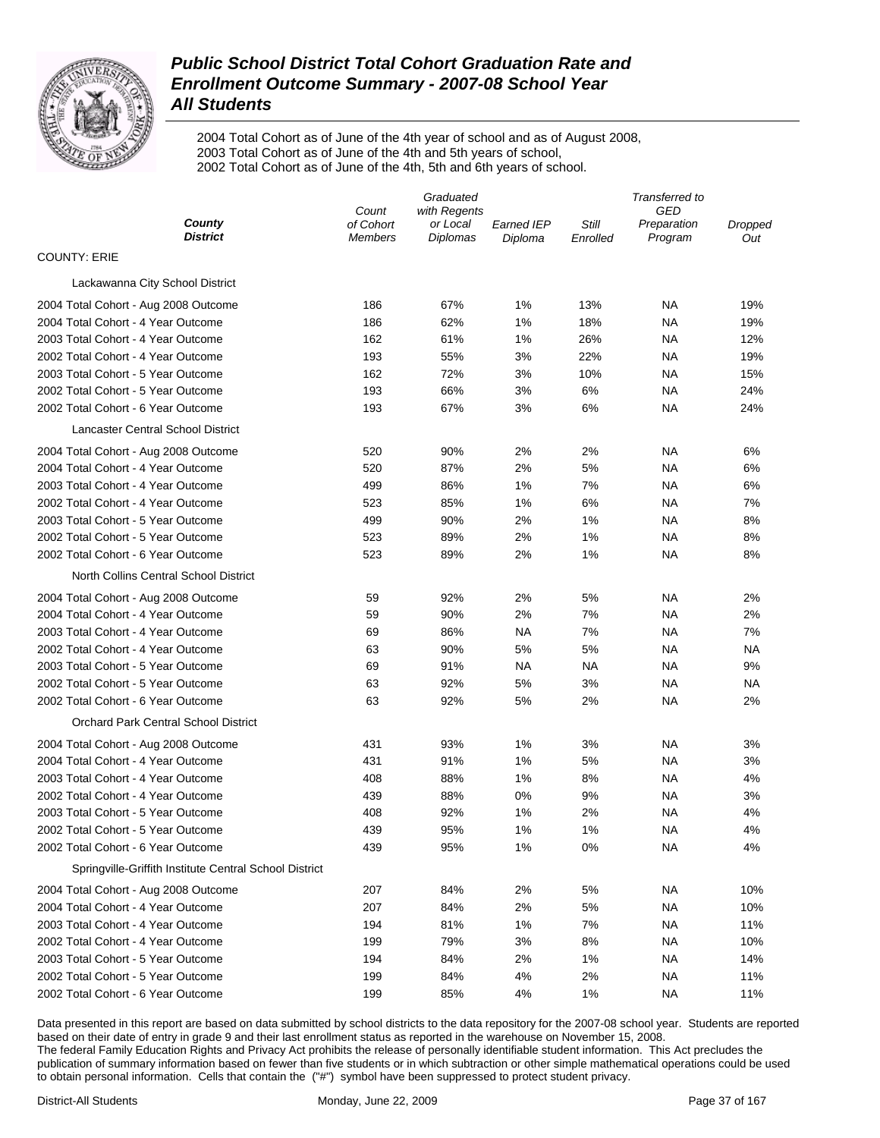

2004 Total Cohort as of June of the 4th year of school and as of August 2008, 2003 Total Cohort as of June of the 4th and 5th years of school, 2002 Total Cohort as of June of the 4th, 5th and 6th years of school.

|                                                        |                             | Graduated                   |                       | Transferred to    |                        |                |  |
|--------------------------------------------------------|-----------------------------|-----------------------------|-----------------------|-------------------|------------------------|----------------|--|
|                                                        | Count                       | with Regents                |                       |                   | GED                    |                |  |
| County<br><b>District</b>                              | of Cohort<br><b>Members</b> | or Local<br><b>Diplomas</b> | Earned IEP<br>Diploma | Still<br>Enrolled | Preparation<br>Program | Dropped<br>Out |  |
| <b>COUNTY: ERIE</b>                                    |                             |                             |                       |                   |                        |                |  |
| Lackawanna City School District                        |                             |                             |                       |                   |                        |                |  |
| 2004 Total Cohort - Aug 2008 Outcome                   | 186                         | 67%                         | 1%                    | 13%               | ΝA                     | 19%            |  |
| 2004 Total Cohort - 4 Year Outcome                     | 186                         | 62%                         | 1%                    | 18%               | ΝA                     | 19%            |  |
| 2003 Total Cohort - 4 Year Outcome                     | 162                         | 61%                         | 1%                    | 26%               | ΝA                     | 12%            |  |
| 2002 Total Cohort - 4 Year Outcome                     | 193                         | 55%                         | 3%                    | 22%               | ΝA                     | 19%            |  |
| 2003 Total Cohort - 5 Year Outcome                     | 162                         | 72%                         | 3%                    | 10%               | ΝA                     | 15%            |  |
| 2002 Total Cohort - 5 Year Outcome                     | 193                         | 66%                         | 3%                    | 6%                | ΝA                     | 24%            |  |
| 2002 Total Cohort - 6 Year Outcome                     | 193                         | 67%                         | 3%                    | 6%                | ΝA                     | 24%            |  |
| Lancaster Central School District                      |                             |                             |                       |                   |                        |                |  |
| 2004 Total Cohort - Aug 2008 Outcome                   | 520                         | 90%                         | 2%                    | 2%                | ΝA                     | 6%             |  |
| 2004 Total Cohort - 4 Year Outcome                     | 520                         | 87%                         | 2%                    | 5%                | ΝA                     | 6%             |  |
| 2003 Total Cohort - 4 Year Outcome                     | 499                         | 86%                         | 1%                    | 7%                | ΝA                     | 6%             |  |
| 2002 Total Cohort - 4 Year Outcome                     | 523                         | 85%                         | 1%                    | 6%                | ΝA                     | 7%             |  |
| 2003 Total Cohort - 5 Year Outcome                     | 499                         | 90%                         | 2%                    | 1%                | ΝA                     | 8%             |  |
| 2002 Total Cohort - 5 Year Outcome                     | 523                         | 89%                         | 2%                    | 1%                | ΝA                     | 8%             |  |
| 2002 Total Cohort - 6 Year Outcome                     | 523                         | 89%                         | 2%                    | 1%                | ΝA                     | 8%             |  |
| North Collins Central School District                  |                             |                             |                       |                   |                        |                |  |
| 2004 Total Cohort - Aug 2008 Outcome                   | 59                          | 92%                         | 2%                    | 5%                | ΝA                     | 2%             |  |
| 2004 Total Cohort - 4 Year Outcome                     | 59                          | 90%                         | 2%                    | 7%                | ΝA                     | 2%             |  |
| 2003 Total Cohort - 4 Year Outcome                     | 69                          | 86%                         | NA                    | 7%                | ΝA                     | 7%             |  |
| 2002 Total Cohort - 4 Year Outcome                     | 63                          | 90%                         | 5%                    | 5%                | NA                     | ΝA             |  |
| 2003 Total Cohort - 5 Year Outcome                     | 69                          | 91%                         | <b>NA</b>             | <b>NA</b>         | <b>NA</b>              | 9%             |  |
| 2002 Total Cohort - 5 Year Outcome                     | 63                          | 92%                         | 5%                    | 3%                | NA                     | ΝA             |  |
| 2002 Total Cohort - 6 Year Outcome                     | 63                          | 92%                         | 5%                    | 2%                | NA                     | 2%             |  |
| Orchard Park Central School District                   |                             |                             |                       |                   |                        |                |  |
| 2004 Total Cohort - Aug 2008 Outcome                   | 431                         | 93%                         | 1%                    | 3%                | NA                     | 3%             |  |
| 2004 Total Cohort - 4 Year Outcome                     | 431                         | 91%                         | 1%                    | 5%                | <b>NA</b>              | 3%             |  |
| 2003 Total Cohort - 4 Year Outcome                     | 408                         | 88%                         | 1%                    | 8%                | <b>NA</b>              | 4%             |  |
| 2002 Total Cohort - 4 Year Outcome                     | 439                         | 88%                         | 0%                    | 9%                | NA                     | 3%             |  |
| 2003 Total Cohort - 5 Year Outcome                     | 408                         | 92%                         | 1%                    | 2%                | NA                     | 4%             |  |
| 2002 Total Cohort - 5 Year Outcome                     | 439                         | 95%                         | 1%                    | 1%                | NA                     | 4%             |  |
| 2002 Total Cohort - 6 Year Outcome                     | 439                         | 95%                         | 1%                    | 0%                | <b>NA</b>              | 4%             |  |
| Springville-Griffith Institute Central School District |                             |                             |                       |                   |                        |                |  |
| 2004 Total Cohort - Aug 2008 Outcome                   | 207                         | 84%                         | 2%                    | 5%                | <b>NA</b>              | 10%            |  |
| 2004 Total Cohort - 4 Year Outcome                     | 207                         | 84%                         | 2%                    | 5%                | <b>NA</b>              | 10%            |  |
| 2003 Total Cohort - 4 Year Outcome                     | 194                         | 81%                         | 1%                    | 7%                | <b>NA</b>              | 11%            |  |
| 2002 Total Cohort - 4 Year Outcome                     | 199                         | 79%                         | 3%                    | 8%                | <b>NA</b>              | 10%            |  |
| 2003 Total Cohort - 5 Year Outcome                     | 194                         | 84%                         | 2%                    | 1%                | <b>NA</b>              | 14%            |  |
| 2002 Total Cohort - 5 Year Outcome                     | 199                         | 84%                         | 4%                    | 2%                | <b>NA</b>              | 11%            |  |
| 2002 Total Cohort - 6 Year Outcome                     | 199                         | 85%                         | 4%                    | 1%                | <b>NA</b>              | 11%            |  |
|                                                        |                             |                             |                       |                   |                        |                |  |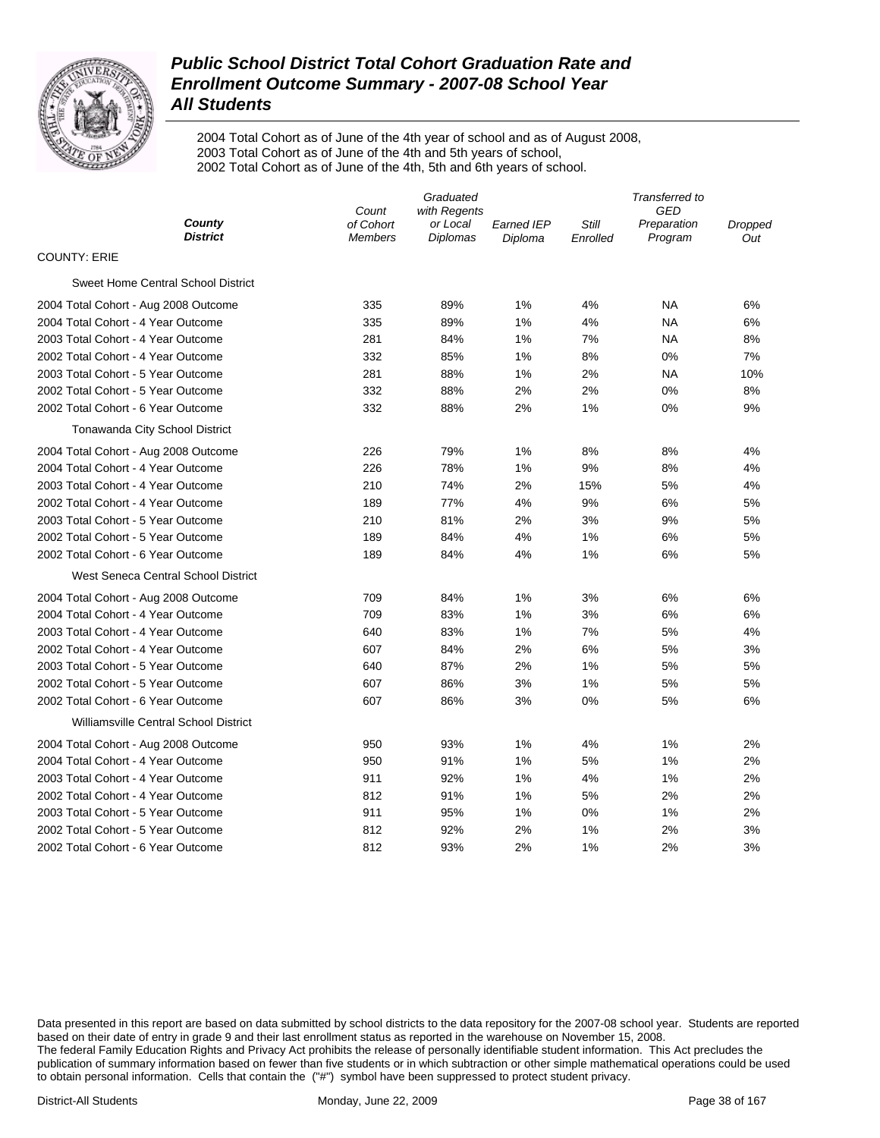

2004 Total Cohort as of June of the 4th year of school and as of August 2008, 2003 Total Cohort as of June of the 4th and 5th years of school, 2002 Total Cohort as of June of the 4th, 5th and 6th years of school.

|                                       | Count          | Transferred to<br><b>GED</b> |                   |          |             |         |
|---------------------------------------|----------------|------------------------------|-------------------|----------|-------------|---------|
| County                                | of Cohort      | with Regents<br>or Local     | <b>Earned IEP</b> | Still    | Preparation | Dropped |
| <b>District</b>                       | <b>Members</b> | Diplomas                     | Diploma           | Enrolled | Program     | Out     |
| <b>COUNTY: ERIE</b>                   |                |                              |                   |          |             |         |
| Sweet Home Central School District    |                |                              |                   |          |             |         |
| 2004 Total Cohort - Aug 2008 Outcome  | 335            | 89%                          | 1%                | 4%       | <b>NA</b>   | 6%      |
| 2004 Total Cohort - 4 Year Outcome    | 335            | 89%                          | 1%                | 4%       | NA          | 6%      |
| 2003 Total Cohort - 4 Year Outcome    | 281            | 84%                          | 1%                | 7%       | NA          | 8%      |
| 2002 Total Cohort - 4 Year Outcome    | 332            | 85%                          | 1%                | 8%       | 0%          | 7%      |
| 2003 Total Cohort - 5 Year Outcome    | 281            | 88%                          | 1%                | 2%       | NA          | 10%     |
| 2002 Total Cohort - 5 Year Outcome    | 332            | 88%                          | 2%                | 2%       | 0%          | $8%$    |
| 2002 Total Cohort - 6 Year Outcome    | 332            | 88%                          | 2%                | 1%       | 0%          | 9%      |
| Tonawanda City School District        |                |                              |                   |          |             |         |
| 2004 Total Cohort - Aug 2008 Outcome  | 226            | 79%                          | 1%                | 8%       | 8%          | 4%      |
| 2004 Total Cohort - 4 Year Outcome    | 226            | 78%                          | 1%                | 9%       | 8%          | 4%      |
| 2003 Total Cohort - 4 Year Outcome    | 210            | 74%                          | 2%                | 15%      | 5%          | 4%      |
| 2002 Total Cohort - 4 Year Outcome    | 189            | 77%                          | 4%                | 9%       | 6%          | 5%      |
| 2003 Total Cohort - 5 Year Outcome    | 210            | 81%                          | 2%                | 3%       | 9%          | 5%      |
| 2002 Total Cohort - 5 Year Outcome    | 189            | 84%                          | 4%                | 1%       | 6%          | 5%      |
| 2002 Total Cohort - 6 Year Outcome    | 189            | 84%                          | 4%                | 1%       | 6%          | 5%      |
| West Seneca Central School District   |                |                              |                   |          |             |         |
| 2004 Total Cohort - Aug 2008 Outcome  | 709            | 84%                          | 1%                | 3%       | 6%          | 6%      |
| 2004 Total Cohort - 4 Year Outcome    | 709            | 83%                          | 1%                | 3%       | 6%          | 6%      |
| 2003 Total Cohort - 4 Year Outcome    | 640            | 83%                          | 1%                | 7%       | 5%          | 4%      |
| 2002 Total Cohort - 4 Year Outcome    | 607            | 84%                          | 2%                | 6%       | 5%          | 3%      |
| 2003 Total Cohort - 5 Year Outcome    | 640            | 87%                          | 2%                | 1%       | 5%          | 5%      |
| 2002 Total Cohort - 5 Year Outcome    | 607            | 86%                          | 3%                | 1%       | 5%          | 5%      |
| 2002 Total Cohort - 6 Year Outcome    | 607            | 86%                          | 3%                | 0%       | 5%          | 6%      |
| Williamsville Central School District |                |                              |                   |          |             |         |
| 2004 Total Cohort - Aug 2008 Outcome  | 950            | 93%                          | 1%                | 4%       | 1%          | 2%      |
| 2004 Total Cohort - 4 Year Outcome    | 950            | 91%                          | 1%                | 5%       | 1%          | 2%      |
| 2003 Total Cohort - 4 Year Outcome    | 911            | 92%                          | 1%                | 4%       | 1%          | 2%      |
| 2002 Total Cohort - 4 Year Outcome    | 812            | 91%                          | 1%                | 5%       | 2%          | 2%      |
| 2003 Total Cohort - 5 Year Outcome    | 911            | 95%                          | 1%                | 0%       | 1%          | 2%      |
| 2002 Total Cohort - 5 Year Outcome    | 812            | 92%                          | 2%                | 1%       | 2%          | 3%      |
| 2002 Total Cohort - 6 Year Outcome    | 812            | 93%                          | 2%                | 1%       | 2%          | 3%      |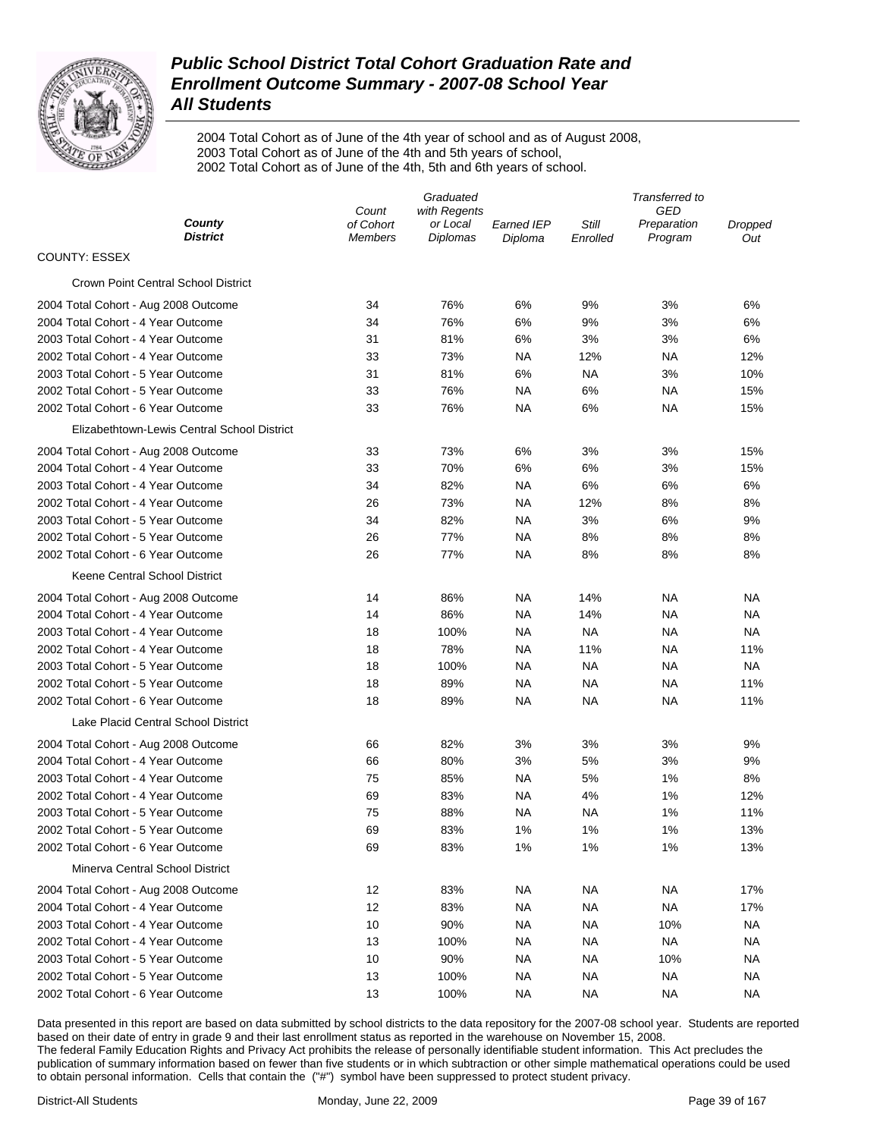

2004 Total Cohort as of June of the 4th year of school and as of August 2008, 2003 Total Cohort as of June of the 4th and 5th years of school, 2002 Total Cohort as of June of the 4th, 5th and 6th years of school.

|                                             | Graduated                   |                             |                       | Transferred to    |                        |                |  |
|---------------------------------------------|-----------------------------|-----------------------------|-----------------------|-------------------|------------------------|----------------|--|
|                                             | Count                       | with Regents                |                       |                   | GED                    |                |  |
| County<br><b>District</b>                   | of Cohort<br><b>Members</b> | or Local<br><b>Diplomas</b> | Earned IEP<br>Diploma | Still<br>Enrolled | Preparation<br>Program | Dropped<br>Out |  |
| <b>COUNTY: ESSEX</b>                        |                             |                             |                       |                   |                        |                |  |
| <b>Crown Point Central School District</b>  |                             |                             |                       |                   |                        |                |  |
| 2004 Total Cohort - Aug 2008 Outcome        | 34                          | 76%                         | 6%                    | 9%                | 3%                     | 6%             |  |
| 2004 Total Cohort - 4 Year Outcome          | 34                          | 76%                         | 6%                    | 9%                | 3%                     | 6%             |  |
| 2003 Total Cohort - 4 Year Outcome          | 31                          | 81%                         | 6%                    | 3%                | 3%                     | 6%             |  |
| 2002 Total Cohort - 4 Year Outcome          | 33                          | 73%                         | NA                    | 12%               | ΝA                     | 12%            |  |
| 2003 Total Cohort - 5 Year Outcome          | 31                          | 81%                         | 6%                    | ΝA                | 3%                     | 10%            |  |
| 2002 Total Cohort - 5 Year Outcome          | 33                          | 76%                         | NA                    | 6%                | ΝA                     | 15%            |  |
| 2002 Total Cohort - 6 Year Outcome          | 33                          | 76%                         | NA                    | 6%                | <b>NA</b>              | 15%            |  |
| Elizabethtown-Lewis Central School District |                             |                             |                       |                   |                        |                |  |
| 2004 Total Cohort - Aug 2008 Outcome        | 33                          | 73%                         | 6%                    | 3%                | 3%                     | 15%            |  |
| 2004 Total Cohort - 4 Year Outcome          | 33                          | 70%                         | 6%                    | 6%                | 3%                     | 15%            |  |
| 2003 Total Cohort - 4 Year Outcome          | 34                          | 82%                         | <b>NA</b>             | 6%                | 6%                     | 6%             |  |
| 2002 Total Cohort - 4 Year Outcome          | 26                          | 73%                         | NA                    | 12%               | 8%                     | 8%             |  |
| 2003 Total Cohort - 5 Year Outcome          | 34                          | 82%                         | NA                    | 3%                | 6%                     | 9%             |  |
| 2002 Total Cohort - 5 Year Outcome          | 26                          | 77%                         | NA                    | 8%                | 8%                     | 8%             |  |
| 2002 Total Cohort - 6 Year Outcome          | 26                          | 77%                         | NA                    | 8%                | 8%                     | 8%             |  |
| Keene Central School District               |                             |                             |                       |                   |                        |                |  |
| 2004 Total Cohort - Aug 2008 Outcome        | 14                          | 86%                         | NA                    | 14%               | ΝA                     | ΝA             |  |
| 2004 Total Cohort - 4 Year Outcome          | 14                          | 86%                         | NA                    | 14%               | ΝA                     | ΝA             |  |
| 2003 Total Cohort - 4 Year Outcome          | 18                          | 100%                        | NA                    | <b>NA</b>         | <b>NA</b>              | <b>NA</b>      |  |
| 2002 Total Cohort - 4 Year Outcome          | 18                          | 78%                         | NA                    | 11%               | ΝA                     | 11%            |  |
| 2003 Total Cohort - 5 Year Outcome          | 18                          | 100%                        | NA                    | ΝA                | ΝA                     | <b>NA</b>      |  |
| 2002 Total Cohort - 5 Year Outcome          | 18                          | 89%                         | NA                    | ΝA                | ΝA                     | 11%            |  |
| 2002 Total Cohort - 6 Year Outcome          | 18                          | 89%                         | NA                    | ΝA                | ΝA                     | 11%            |  |
| Lake Placid Central School District         |                             |                             |                       |                   |                        |                |  |
| 2004 Total Cohort - Aug 2008 Outcome        | 66                          | 82%                         | 3%                    | 3%                | 3%                     | 9%             |  |
| 2004 Total Cohort - 4 Year Outcome          | 66                          | 80%                         | 3%                    | 5%                | 3%                     | 9%             |  |
| 2003 Total Cohort - 4 Year Outcome          | 75                          | 85%                         | NA                    | 5%                | 1%                     | 8%             |  |
| 2002 Total Cohort - 4 Year Outcome          | 69                          | 83%                         | NA                    | 4%                | 1%                     | 12%            |  |
| 2003 Total Cohort - 5 Year Outcome          | 75                          | 88%                         | NA                    | ΝA                | 1%                     | 11%            |  |
| 2002 Total Cohort - 5 Year Outcome          | 69                          | 83%                         | 1%                    | 1%                | 1%                     | 13%            |  |
| 2002 Total Cohort - 6 Year Outcome          | 69                          | 83%                         | 1%                    | 1%                | 1%                     | 13%            |  |
| Minerva Central School District             |                             |                             |                       |                   |                        |                |  |
| 2004 Total Cohort - Aug 2008 Outcome        | 12                          | 83%                         | NA.                   | NA                | NA                     | 17%            |  |
| 2004 Total Cohort - 4 Year Outcome          | 12                          | 83%                         | <b>NA</b>             | NA                | <b>NA</b>              | 17%            |  |
| 2003 Total Cohort - 4 Year Outcome          | 10                          | 90%                         | NA                    | ΝA                | 10%                    | NA.            |  |
| 2002 Total Cohort - 4 Year Outcome          | 13                          | 100%                        | NA                    | ΝA                | <b>NA</b>              | ΝA             |  |
| 2003 Total Cohort - 5 Year Outcome          | 10                          | 90%                         | NA.                   | NA                | 10%                    | ΝA             |  |
| 2002 Total Cohort - 5 Year Outcome          | 13                          | 100%                        | NA                    | ΝA                | NA                     | ΝA             |  |
| 2002 Total Cohort - 6 Year Outcome          | 13                          | 100%                        | NA                    | NA                | NA                     | ΝA             |  |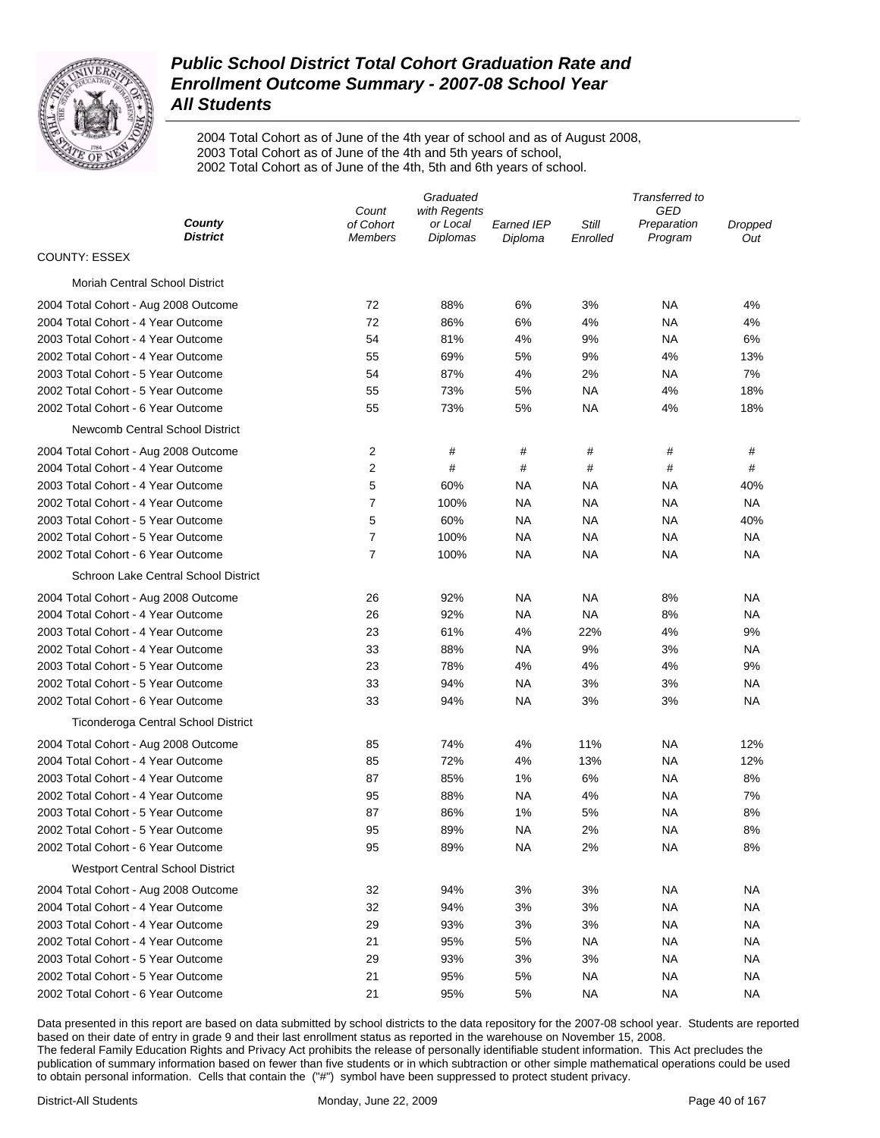

2004 Total Cohort as of June of the 4th year of school and as of August 2008, 2003 Total Cohort as of June of the 4th and 5th years of school, 2002 Total Cohort as of June of the 4th, 5th and 6th years of school.

|                                         | Graduated                   |                      |                       | Transferred to    |                        |                |  |
|-----------------------------------------|-----------------------------|----------------------|-----------------------|-------------------|------------------------|----------------|--|
|                                         | Count<br>with Regents       |                      |                       | GED               |                        |                |  |
| County<br><b>District</b>               | of Cohort<br><b>Members</b> | or Local<br>Diplomas | Earned IEP<br>Diploma | Still<br>Enrolled | Preparation<br>Program | Dropped<br>Out |  |
| <b>COUNTY: ESSEX</b>                    |                             |                      |                       |                   |                        |                |  |
| <b>Moriah Central School District</b>   |                             |                      |                       |                   |                        |                |  |
| 2004 Total Cohort - Aug 2008 Outcome    | 72                          | 88%                  | 6%                    | 3%                | ΝA                     | 4%             |  |
| 2004 Total Cohort - 4 Year Outcome      | 72                          | 86%                  | 6%                    | 4%                | NA                     | 4%             |  |
| 2003 Total Cohort - 4 Year Outcome      | 54                          | 81%                  | 4%                    | 9%                | NA                     | 6%             |  |
| 2002 Total Cohort - 4 Year Outcome      | 55                          | 69%                  | 5%                    | 9%                | 4%                     | 13%            |  |
| 2003 Total Cohort - 5 Year Outcome      | 54                          | 87%                  | 4%                    | 2%                | ΝA                     | 7%             |  |
| 2002 Total Cohort - 5 Year Outcome      | 55                          | 73%                  | 5%                    | NA                | 4%                     | 18%            |  |
| 2002 Total Cohort - 6 Year Outcome      | 55                          | 73%                  | 5%                    | NA                | 4%                     | 18%            |  |
| Newcomb Central School District         |                             |                      |                       |                   |                        |                |  |
| 2004 Total Cohort - Aug 2008 Outcome    | 2                           | #                    | #                     | #                 | #                      | #              |  |
| 2004 Total Cohort - 4 Year Outcome      | 2                           | #                    | #                     | #                 | #                      | #              |  |
| 2003 Total Cohort - 4 Year Outcome      | 5                           | 60%                  | ΝA                    | ΝA                | ΝA                     | 40%            |  |
| 2002 Total Cohort - 4 Year Outcome      | $\overline{7}$              | 100%                 | <b>NA</b>             | ΝA                | ΝA                     | NA             |  |
| 2003 Total Cohort - 5 Year Outcome      | 5                           | 60%                  | <b>NA</b>             | NA                | NA                     | 40%            |  |
| 2002 Total Cohort - 5 Year Outcome      | $\overline{7}$              | 100%                 | <b>NA</b>             | NA                | NA                     | ΝA             |  |
| 2002 Total Cohort - 6 Year Outcome      | $\overline{7}$              | 100%                 | <b>NA</b>             | NA                | NA                     | ΝA             |  |
| Schroon Lake Central School District    |                             |                      |                       |                   |                        |                |  |
| 2004 Total Cohort - Aug 2008 Outcome    | 26                          | 92%                  | NA                    | NA                | 8%                     | NA             |  |
| 2004 Total Cohort - 4 Year Outcome      | 26                          | 92%                  | <b>NA</b>             | NA                | 8%                     | ΝA             |  |
| 2003 Total Cohort - 4 Year Outcome      | 23                          | 61%                  | 4%                    | 22%               | 4%                     | 9%             |  |
| 2002 Total Cohort - 4 Year Outcome      | 33                          | 88%                  | <b>NA</b>             | 9%                | 3%                     | NA             |  |
| 2003 Total Cohort - 5 Year Outcome      | 23                          | 78%                  | 4%                    | 4%                | 4%                     | 9%             |  |
| 2002 Total Cohort - 5 Year Outcome      | 33                          | 94%                  | <b>NA</b>             | 3%                | 3%                     | NA             |  |
| 2002 Total Cohort - 6 Year Outcome      | 33                          | 94%                  | <b>NA</b>             | 3%                | 3%                     | NA             |  |
| Ticonderoga Central School District     |                             |                      |                       |                   |                        |                |  |
| 2004 Total Cohort - Aug 2008 Outcome    | 85                          | 74%                  | 4%                    | 11%               | NA                     | 12%            |  |
| 2004 Total Cohort - 4 Year Outcome      | 85                          | 72%                  | 4%                    | 13%               | NA                     | 12%            |  |
| 2003 Total Cohort - 4 Year Outcome      | 87                          | 85%                  | 1%                    | $6\%$             | NA                     | 8%             |  |
| 2002 Total Cohort - 4 Year Outcome      | 95                          | 88%                  | <b>NA</b>             | 4%                | NA                     | 7%             |  |
| 2003 Total Cohort - 5 Year Outcome      | 87                          | 86%                  | 1%                    | 5%                | NA                     | 8%             |  |
| 2002 Total Cohort - 5 Year Outcome      | 95                          | 89%                  | <b>NA</b>             | 2%                | <b>NA</b>              | 8%             |  |
| 2002 Total Cohort - 6 Year Outcome      | 95                          | 89%                  | <b>NA</b>             | 2%                | <b>NA</b>              | 8%             |  |
| <b>Westport Central School District</b> |                             |                      |                       |                   |                        |                |  |
| 2004 Total Cohort - Aug 2008 Outcome    | 32                          | 94%                  | 3%                    | 3%                | <b>NA</b>              | ΝA             |  |
| 2004 Total Cohort - 4 Year Outcome      | 32                          | 94%                  | 3%                    | 3%                | <b>NA</b>              | ΝA             |  |
| 2003 Total Cohort - 4 Year Outcome      | 29                          | 93%                  | 3%                    | 3%                | <b>NA</b>              | ΝA             |  |
| 2002 Total Cohort - 4 Year Outcome      | 21                          | 95%                  | 5%                    | <b>NA</b>         | <b>NA</b>              | ΝA             |  |
| 2003 Total Cohort - 5 Year Outcome      | 29                          | 93%                  | 3%                    | 3%                | <b>NA</b>              | ΝA             |  |
| 2002 Total Cohort - 5 Year Outcome      | 21                          | 95%                  | 5%                    | <b>NA</b>         | <b>NA</b>              | NA.            |  |
| 2002 Total Cohort - 6 Year Outcome      | 21                          | 95%                  | 5%                    | <b>NA</b>         | <b>NA</b>              | NA.            |  |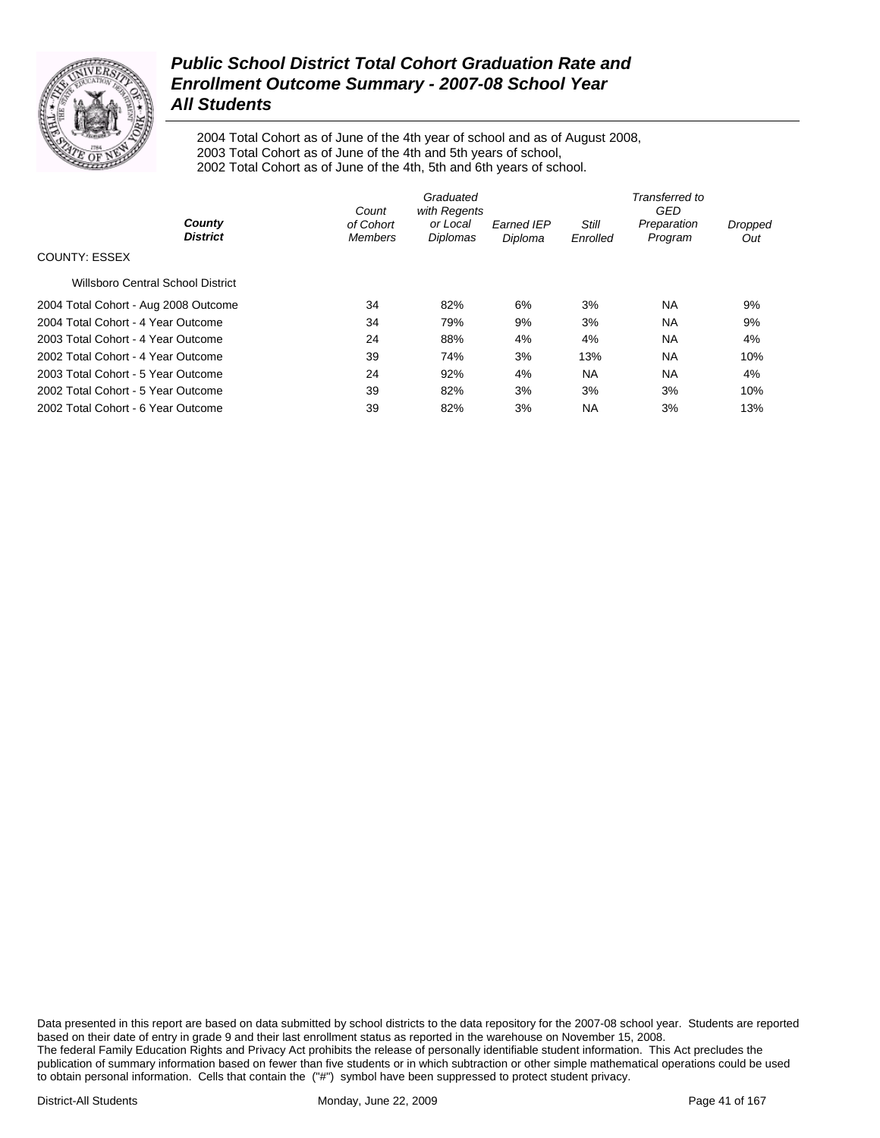

2004 Total Cohort as of June of the 4th year of school and as of August 2008, 2003 Total Cohort as of June of the 4th and 5th years of school, 2002 Total Cohort as of June of the 4th, 5th and 6th years of school.

|                                          | Count                       | Transferred to<br>GED                |                              |                   |                        |                       |
|------------------------------------------|-----------------------------|--------------------------------------|------------------------------|-------------------|------------------------|-----------------------|
| County<br><b>District</b>                | of Cohort<br><b>Members</b> | with Regents<br>or Local<br>Diplomas | <b>Earned IEP</b><br>Diploma | Still<br>Enrolled | Preparation<br>Program | <b>Dropped</b><br>Out |
| <b>COUNTY: ESSEX</b>                     |                             |                                      |                              |                   |                        |                       |
| <b>Willsboro Central School District</b> |                             |                                      |                              |                   |                        |                       |
| 2004 Total Cohort - Aug 2008 Outcome     | 34                          | 82%                                  | 6%                           | 3%                | <b>NA</b>              | 9%                    |
| 2004 Total Cohort - 4 Year Outcome       | 34                          | 79%                                  | 9%                           | 3%                | <b>NA</b>              | 9%                    |
| 2003 Total Cohort - 4 Year Outcome       | 24                          | 88%                                  | 4%                           | 4%                | <b>NA</b>              | 4%                    |
| 2002 Total Cohort - 4 Year Outcome       | 39                          | 74%                                  | 3%                           | 13%               | <b>NA</b>              | 10%                   |
| 2003 Total Cohort - 5 Year Outcome       | 24                          | 92%                                  | 4%                           | <b>NA</b>         | <b>NA</b>              | 4%                    |
| 2002 Total Cohort - 5 Year Outcome       | 39                          | 82%                                  | 3%                           | 3%                | 3%                     | 10%                   |
| 2002 Total Cohort - 6 Year Outcome       | 39                          | 82%                                  | 3%                           | <b>NA</b>         | 3%                     | 13%                   |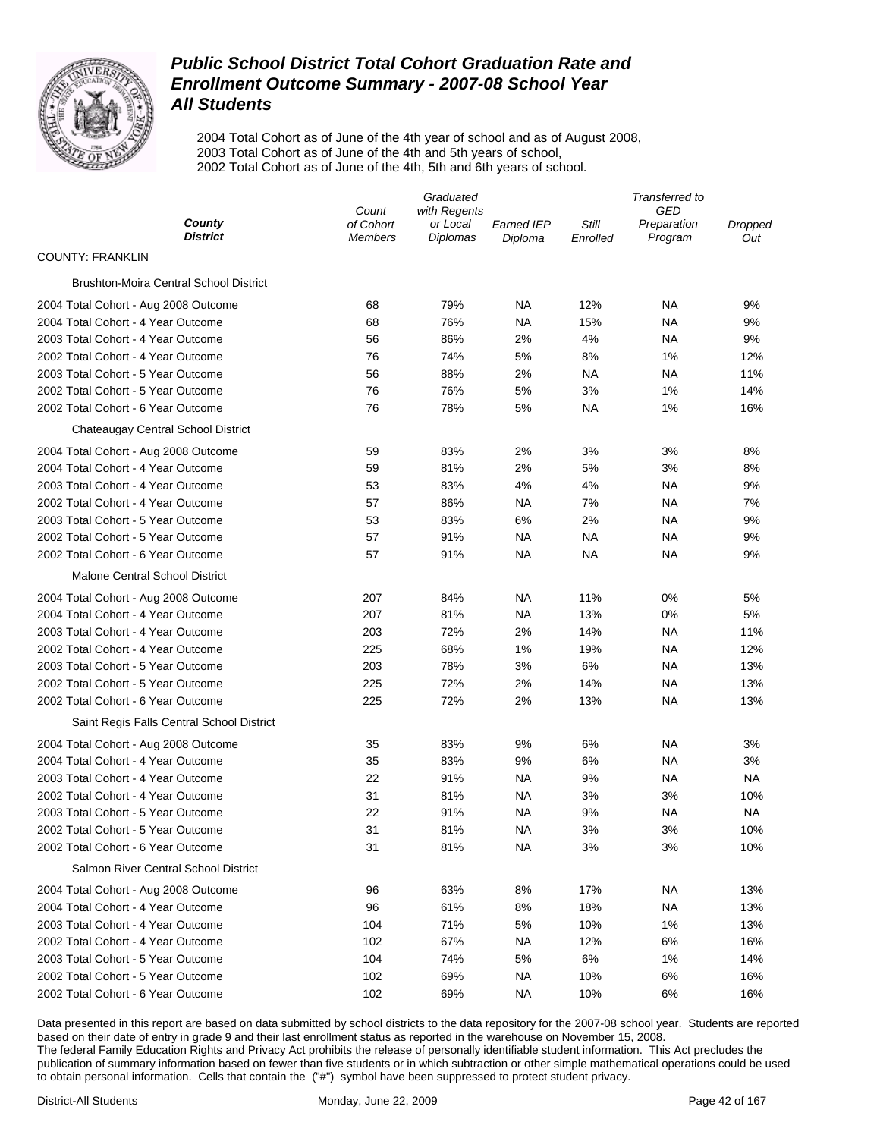

2004 Total Cohort as of June of the 4th year of school and as of August 2008, 2003 Total Cohort as of June of the 4th and 5th years of school, 2002 Total Cohort as of June of the 4th, 5th and 6th years of school.

| GED<br>Count<br>with Regents                                                           |         |
|----------------------------------------------------------------------------------------|---------|
| County<br>of Cohort<br>Still<br>or Local<br><b>Earned IEP</b><br>Preparation           | Dropped |
| District<br>Diplomas<br>Program<br><b>Members</b><br>Diploma<br>Enrolled               | Out     |
| <b>COUNTY: FRANKLIN</b>                                                                |         |
| Brushton-Moira Central School District                                                 |         |
| 79%<br>NA<br>12%<br>ΝA<br>2004 Total Cohort - Aug 2008 Outcome<br>68                   | 9%      |
| 76%<br>2004 Total Cohort - 4 Year Outcome<br>68<br><b>NA</b><br>15%<br>ΝA              | 9%      |
| 4%<br>2003 Total Cohort - 4 Year Outcome<br>56<br>86%<br>2%<br>ΝA                      | 9%      |
| 2002 Total Cohort - 4 Year Outcome<br>76<br>74%<br>5%<br>8%<br>1%                      | 12%     |
| 2003 Total Cohort - 5 Year Outcome<br>56<br>88%<br>2%<br><b>NA</b><br><b>NA</b>        | 11%     |
| 2002 Total Cohort - 5 Year Outcome<br>76<br>76%<br>5%<br>3%<br>1%                      | 14%     |
| 2002 Total Cohort - 6 Year Outcome<br>76<br>78%<br>5%<br>ΝA<br>1%                      | 16%     |
| Chateaugay Central School District                                                     |         |
| 83%<br>2%<br>3%<br>3%<br>2004 Total Cohort - Aug 2008 Outcome<br>59                    | 8%      |
| 2004 Total Cohort - 4 Year Outcome<br>59<br>81%<br>2%<br>5%<br>3%                      | 8%      |
| 2003 Total Cohort - 4 Year Outcome<br>53<br>83%<br>4%<br>4%<br><b>NA</b>               | 9%      |
| 2002 Total Cohort - 4 Year Outcome<br>57<br>86%<br><b>NA</b><br>7%<br>ΝA               | 7%      |
| 2003 Total Cohort - 5 Year Outcome<br>53<br>83%<br>6%<br>2%<br><b>NA</b>               | 9%      |
| 91%<br>2002 Total Cohort - 5 Year Outcome<br>57<br><b>NA</b><br><b>NA</b><br><b>NA</b> | 9%      |
| 2002 Total Cohort - 6 Year Outcome<br>57<br>91%<br>NA<br>ΝA<br>NA                      | 9%      |
| <b>Malone Central School District</b>                                                  |         |
| 207<br>84%<br><b>NA</b><br>11%<br>0%<br>2004 Total Cohort - Aug 2008 Outcome           | 5%      |
| 2004 Total Cohort - 4 Year Outcome<br>207<br>81%<br>NA<br>13%<br>0%                    | 5%      |
| 2003 Total Cohort - 4 Year Outcome<br>203<br>72%<br>2%<br>14%<br>ΝA                    | 11%     |
| 2002 Total Cohort - 4 Year Outcome<br>225<br>68%<br>1%<br>19%<br>ΝA                    | 12%     |
| 2003 Total Cohort - 5 Year Outcome<br>203<br>78%<br>3%<br>6%<br>ΝA                     | 13%     |
| 2002 Total Cohort - 5 Year Outcome<br>225<br>72%<br>2%<br>14%<br>ΝA                    | 13%     |
| 2002 Total Cohort - 6 Year Outcome<br>225<br>72%<br>2%<br>13%<br>ΝA                    | 13%     |
| Saint Regis Falls Central School District                                              |         |
| 83%<br>9%<br>6%<br>ΝA<br>2004 Total Cohort - Aug 2008 Outcome<br>35                    | 3%      |
| 2004 Total Cohort - 4 Year Outcome<br>35<br>83%<br>9%<br>6%<br>ΝA                      | 3%      |
| 2003 Total Cohort - 4 Year Outcome<br>22<br>91%<br>NA<br>9%<br>ΝA                      | NA      |
| 2002 Total Cohort - 4 Year Outcome<br>31<br>81%<br>NA<br>3%<br>3%                      | 10%     |
| 2003 Total Cohort - 5 Year Outcome<br>22<br>91%<br>NA<br>9%<br>ΝA                      | NA      |
| 31<br>81%<br>3%<br>3%<br>2002 Total Cohort - 5 Year Outcome<br>NA                      | 10%     |
| 2002 Total Cohort - 6 Year Outcome<br>81%<br><b>NA</b><br>31<br>3%<br>3%               | 10%     |
| Salmon River Central School District                                                   |         |
| 8%<br>2004 Total Cohort - Aug 2008 Outcome<br>96<br>63%<br>17%<br>ΝA                   | 13%     |
| 96<br>61%<br>8%<br>2004 Total Cohort - 4 Year Outcome<br>18%<br>NA                     | 13%     |
| 71%<br>5%<br>2003 Total Cohort - 4 Year Outcome<br>104<br>10%<br>1%                    | 13%     |
| 2002 Total Cohort - 4 Year Outcome<br>102<br>67%<br>6%<br>NA.<br>12%                   | 16%     |
| 74%<br>5%<br>6%<br>2003 Total Cohort - 5 Year Outcome<br>104<br>1%                     | 14%     |
| 2002 Total Cohort - 5 Year Outcome<br>102<br>69%<br>6%<br>NA<br>10%                    | 16%     |
| 2002 Total Cohort - 6 Year Outcome<br>102<br>69%<br><b>NA</b><br>10%<br>6%             | 16%     |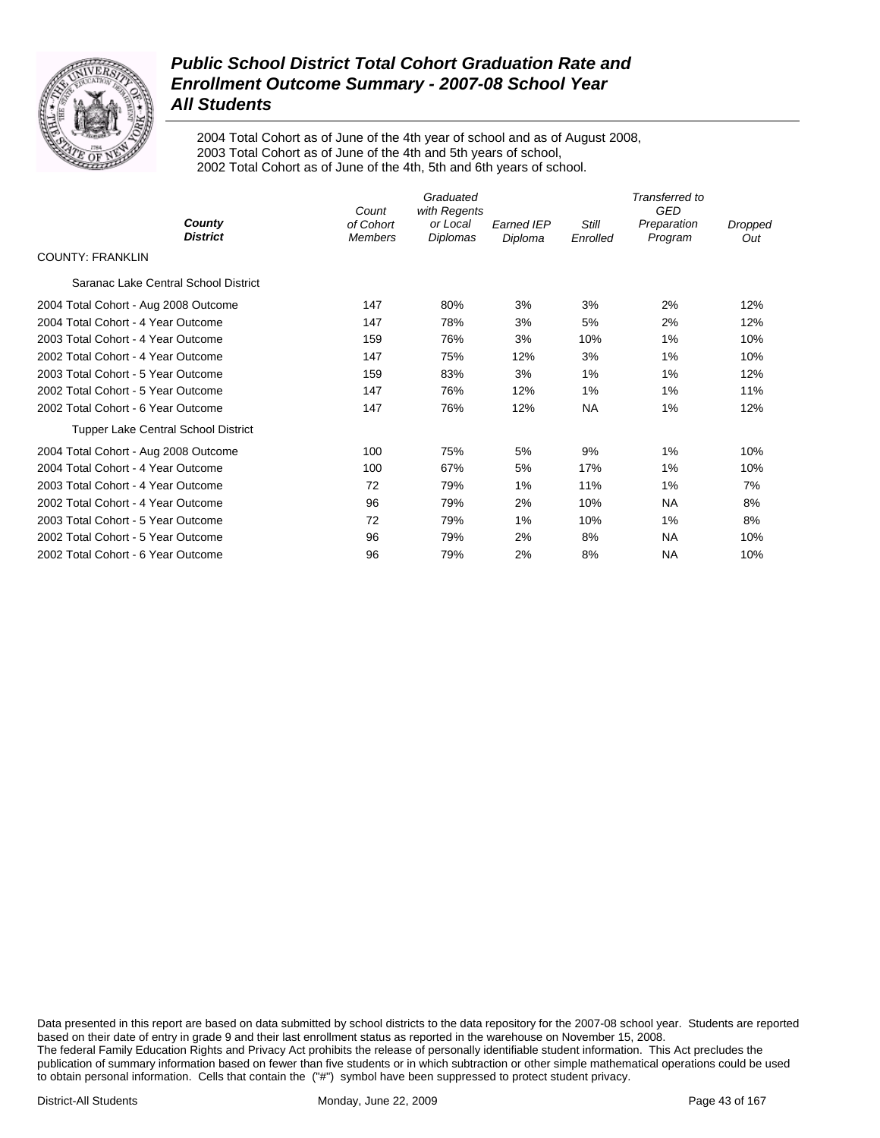

2004 Total Cohort as of June of the 4th year of school and as of August 2008, 2003 Total Cohort as of June of the 4th and 5th years of school, 2002 Total Cohort as of June of the 4th, 5th and 6th years of school.

|                                            | Count                       | Graduated<br>with Regents |                              |                   | Transferred to<br><b>GED</b> |                |
|--------------------------------------------|-----------------------------|---------------------------|------------------------------|-------------------|------------------------------|----------------|
| County<br><b>District</b>                  | of Cohort<br><b>Members</b> | or Local<br>Diplomas      | <b>Earned IEP</b><br>Diploma | Still<br>Enrolled | Preparation<br>Program       | Dropped<br>Out |
| <b>COUNTY: FRANKLIN</b>                    |                             |                           |                              |                   |                              |                |
| Saranac Lake Central School District       |                             |                           |                              |                   |                              |                |
| 2004 Total Cohort - Aug 2008 Outcome       | 147                         | 80%                       | 3%                           | 3%                | 2%                           | 12%            |
| 2004 Total Cohort - 4 Year Outcome         | 147                         | 78%                       | 3%                           | 5%                | 2%                           | 12%            |
| 2003 Total Cohort - 4 Year Outcome         | 159                         | 76%                       | 3%                           | 10%               | $1\%$                        | 10%            |
| 2002 Total Cohort - 4 Year Outcome         | 147                         | 75%                       | 12%                          | 3%                | $1\%$                        | 10%            |
| 2003 Total Cohort - 5 Year Outcome         | 159                         | 83%                       | 3%                           | $1\%$             | $1\%$                        | 12%            |
| 2002 Total Cohort - 5 Year Outcome         | 147                         | 76%                       | 12%                          | $1\%$             | $1\%$                        | 11%            |
| 2002 Total Cohort - 6 Year Outcome         | 147                         | 76%                       | 12%                          | <b>NA</b>         | $1\%$                        | 12%            |
| <b>Tupper Lake Central School District</b> |                             |                           |                              |                   |                              |                |
| 2004 Total Cohort - Aug 2008 Outcome       | 100                         | 75%                       | 5%                           | 9%                | $1\%$                        | 10%            |
| 2004 Total Cohort - 4 Year Outcome         | 100                         | 67%                       | 5%                           | 17%               | $1\%$                        | 10%            |
| 2003 Total Cohort - 4 Year Outcome         | 72                          | 79%                       | 1%                           | 11%               | $1\%$                        | 7%             |
| 2002 Total Cohort - 4 Year Outcome         | 96                          | 79%                       | 2%                           | 10%               | <b>NA</b>                    | 8%             |
| 2003 Total Cohort - 5 Year Outcome         | 72                          | 79%                       | $1\%$                        | 10%               | $1\%$                        | 8%             |
| 2002 Total Cohort - 5 Year Outcome         | 96                          | 79%                       | 2%                           | 8%                | <b>NA</b>                    | 10%            |
| 2002 Total Cohort - 6 Year Outcome         | 96                          | 79%                       | 2%                           | 8%                | <b>NA</b>                    | 10%            |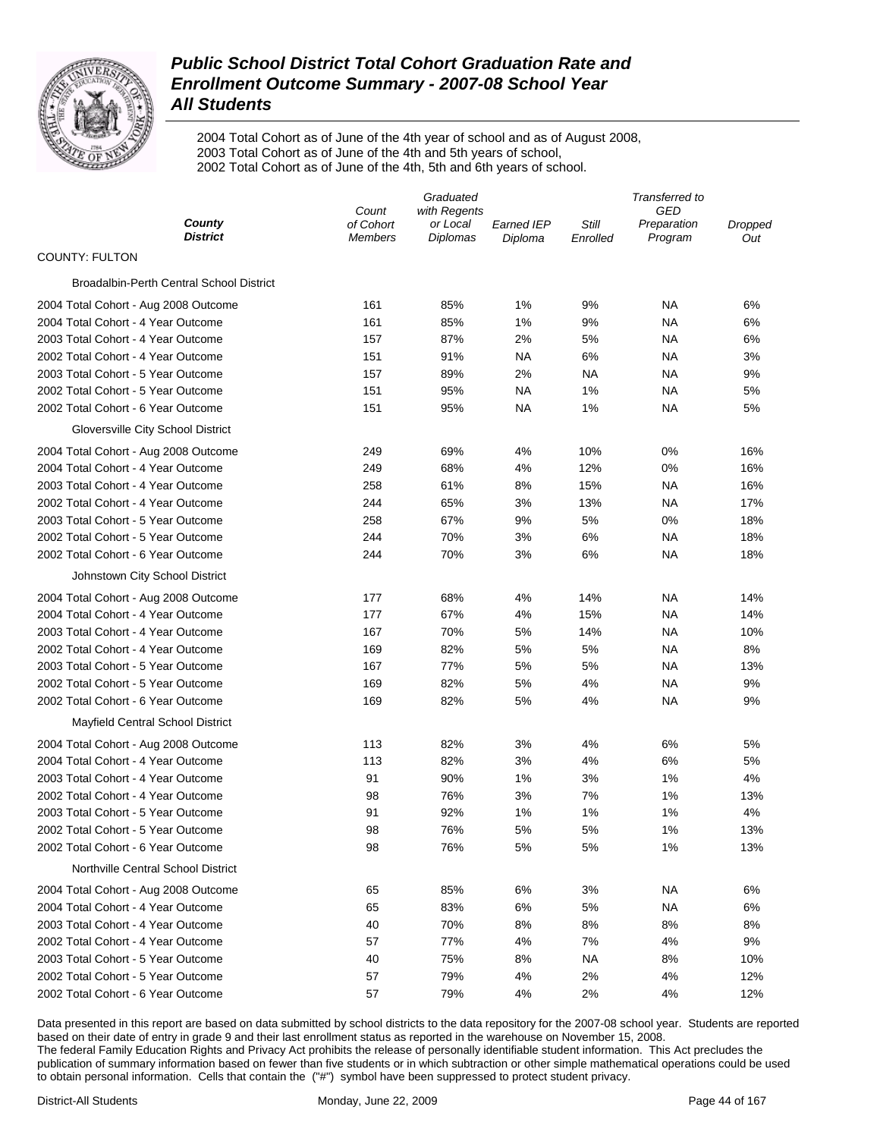

2004 Total Cohort as of June of the 4th year of school and as of August 2008, 2003 Total Cohort as of June of the 4th and 5th years of school, 2002 Total Cohort as of June of the 4th, 5th and 6th years of school.

|                                          | Graduated          |                          |                   | Transferred to |                    |         |  |
|------------------------------------------|--------------------|--------------------------|-------------------|----------------|--------------------|---------|--|
| County                                   | Count<br>of Cohort | with Regents<br>or Local | <b>Earned IEP</b> | Still          | GED<br>Preparation | Dropped |  |
| District                                 | <b>Members</b>     | Diplomas                 | Diploma           | Enrolled       | Program            | Out     |  |
| <b>COUNTY: FULTON</b>                    |                    |                          |                   |                |                    |         |  |
| Broadalbin-Perth Central School District |                    |                          |                   |                |                    |         |  |
| 2004 Total Cohort - Aug 2008 Outcome     | 161                | 85%                      | 1%                | 9%             | ΝA                 | 6%      |  |
| 2004 Total Cohort - 4 Year Outcome       | 161                | 85%                      | 1%                | 9%             | ΝA                 | 6%      |  |
| 2003 Total Cohort - 4 Year Outcome       | 157                | 87%                      | 2%                | 5%             | ΝA                 | 6%      |  |
| 2002 Total Cohort - 4 Year Outcome       | 151                | 91%                      | <b>NA</b>         | 6%             | ΝA                 | 3%      |  |
| 2003 Total Cohort - 5 Year Outcome       | 157                | 89%                      | 2%                | <b>NA</b>      | <b>NA</b>          | 9%      |  |
| 2002 Total Cohort - 5 Year Outcome       | 151                | 95%                      | <b>NA</b>         | 1%             | <b>NA</b>          | 5%      |  |
| 2002 Total Cohort - 6 Year Outcome       | 151                | 95%                      | NA                | 1%             | ΝA                 | 5%      |  |
| Gloversville City School District        |                    |                          |                   |                |                    |         |  |
| 2004 Total Cohort - Aug 2008 Outcome     | 249                | 69%                      | 4%                | 10%            | 0%                 | 16%     |  |
| 2004 Total Cohort - 4 Year Outcome       | 249                | 68%                      | 4%                | 12%            | 0%                 | 16%     |  |
| 2003 Total Cohort - 4 Year Outcome       | 258                | 61%                      | 8%                | 15%            | <b>NA</b>          | 16%     |  |
| 2002 Total Cohort - 4 Year Outcome       | 244                | 65%                      | 3%                | 13%            | ΝA                 | 17%     |  |
| 2003 Total Cohort - 5 Year Outcome       | 258                | 67%                      | 9%                | 5%             | 0%                 | 18%     |  |
| 2002 Total Cohort - 5 Year Outcome       | 244                | 70%                      | 3%                | 6%             | <b>NA</b>          | 18%     |  |
| 2002 Total Cohort - 6 Year Outcome       | 244                | 70%                      | 3%                | 6%             | ΝA                 | 18%     |  |
| Johnstown City School District           |                    |                          |                   |                |                    |         |  |
| 2004 Total Cohort - Aug 2008 Outcome     | 177                | 68%                      | 4%                | 14%            | <b>NA</b>          | 14%     |  |
| 2004 Total Cohort - 4 Year Outcome       | 177                | 67%                      | 4%                | 15%            | ΝA                 | 14%     |  |
| 2003 Total Cohort - 4 Year Outcome       | 167                | 70%                      | 5%                | 14%            | ΝA                 | 10%     |  |
| 2002 Total Cohort - 4 Year Outcome       | 169                | 82%                      | 5%                | 5%             | ΝA                 | 8%      |  |
| 2003 Total Cohort - 5 Year Outcome       | 167                | 77%                      | 5%                | 5%             | ΝA                 | 13%     |  |
| 2002 Total Cohort - 5 Year Outcome       | 169                | 82%                      | 5%                | 4%             | ΝA                 | 9%      |  |
| 2002 Total Cohort - 6 Year Outcome       | 169                | 82%                      | 5%                | 4%             | ΝA                 | 9%      |  |
| Mayfield Central School District         |                    |                          |                   |                |                    |         |  |
| 2004 Total Cohort - Aug 2008 Outcome     | 113                | 82%                      | 3%                | 4%             | 6%                 | 5%      |  |
| 2004 Total Cohort - 4 Year Outcome       | 113                | 82%                      | 3%                | 4%             | 6%                 | 5%      |  |
| 2003 Total Cohort - 4 Year Outcome       | 91                 | 90%                      | 1%                | 3%             | 1%                 | 4%      |  |
| 2002 Total Cohort - 4 Year Outcome       | 98                 | 76%                      | 3%                | 7%             | 1%                 | 13%     |  |
| 2003 Total Cohort - 5 Year Outcome       | 91                 | 92%                      | 1%                | 1%             | 1%                 | 4%      |  |
| 2002 Total Cohort - 5 Year Outcome       | 98                 | 76%                      | 5%                | 5%             | 1%                 | 13%     |  |
| 2002 Total Cohort - 6 Year Outcome       | 98                 | 76%                      | 5%                | 5%             | 1%                 | 13%     |  |
| Northville Central School District       |                    |                          |                   |                |                    |         |  |
| 2004 Total Cohort - Aug 2008 Outcome     | 65                 | 85%                      | 6%                | 3%             | ΝA                 | 6%      |  |
| 2004 Total Cohort - 4 Year Outcome       | 65                 | 83%                      | 6%                | 5%             | ΝA                 | 6%      |  |
| 2003 Total Cohort - 4 Year Outcome       | 40                 | 70%                      | 8%                | 8%             | 8%                 | 8%      |  |
| 2002 Total Cohort - 4 Year Outcome       | 57                 | 77%                      | 4%                | 7%             | 4%                 | 9%      |  |
| 2003 Total Cohort - 5 Year Outcome       | 40                 | 75%                      | 8%                | ΝA             | 8%                 | 10%     |  |
| 2002 Total Cohort - 5 Year Outcome       | 57                 | 79%                      | 4%                | 2%             | 4%                 | 12%     |  |
| 2002 Total Cohort - 6 Year Outcome       | 57                 | 79%                      | 4%                | 2%             | 4%                 | 12%     |  |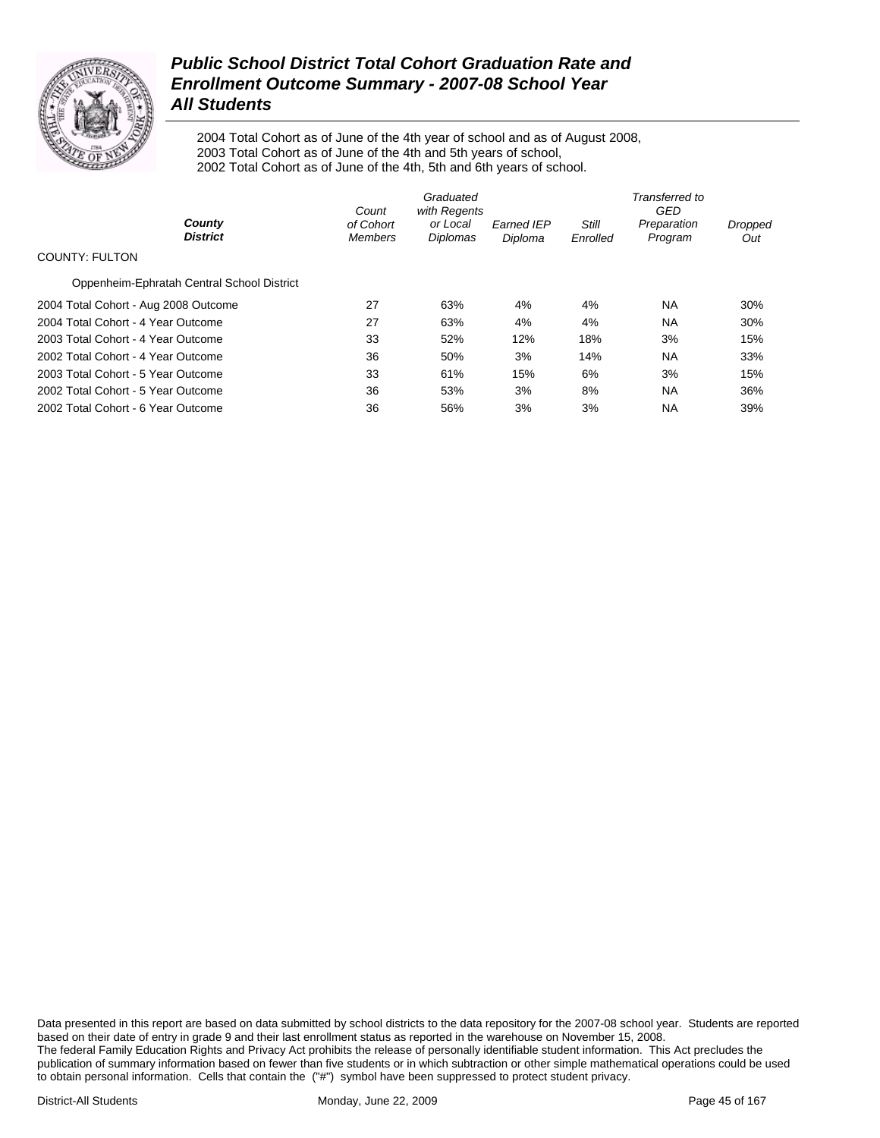

2004 Total Cohort as of June of the 4th year of school and as of August 2008, 2003 Total Cohort as of June of the 4th and 5th years of school, 2002 Total Cohort as of June of the 4th, 5th and 6th years of school.

|                                            | Count                       | Graduated<br>with Regents |                              | Transferred to<br>GED |                        |                |  |
|--------------------------------------------|-----------------------------|---------------------------|------------------------------|-----------------------|------------------------|----------------|--|
| County<br><b>District</b>                  | of Cohort<br><b>Members</b> | or Local<br>Diplomas      | <b>Earned IEP</b><br>Diploma | Still<br>Enrolled     | Preparation<br>Program | Dropped<br>Out |  |
| <b>COUNTY: FULTON</b>                      |                             |                           |                              |                       |                        |                |  |
| Oppenheim-Ephratah Central School District |                             |                           |                              |                       |                        |                |  |
| 2004 Total Cohort - Aug 2008 Outcome       | 27                          | 63%                       | 4%                           | 4%                    | NA.                    | 30%            |  |
| 2004 Total Cohort - 4 Year Outcome         | 27                          | 63%                       | 4%                           | 4%                    | <b>NA</b>              | 30%            |  |
| 2003 Total Cohort - 4 Year Outcome         | 33                          | 52%                       | 12%                          | 18%                   | 3%                     | 15%            |  |
| 2002 Total Cohort - 4 Year Outcome         | 36                          | 50%                       | 3%                           | 14%                   | <b>NA</b>              | 33%            |  |
| 2003 Total Cohort - 5 Year Outcome         | 33                          | 61%                       | 15%                          | 6%                    | 3%                     | 15%            |  |
| 2002 Total Cohort - 5 Year Outcome         | 36                          | 53%                       | 3%                           | 8%                    | <b>NA</b>              | 36%            |  |
| 2002 Total Cohort - 6 Year Outcome         | 36                          | 56%                       | 3%                           | 3%                    | <b>NA</b>              | 39%            |  |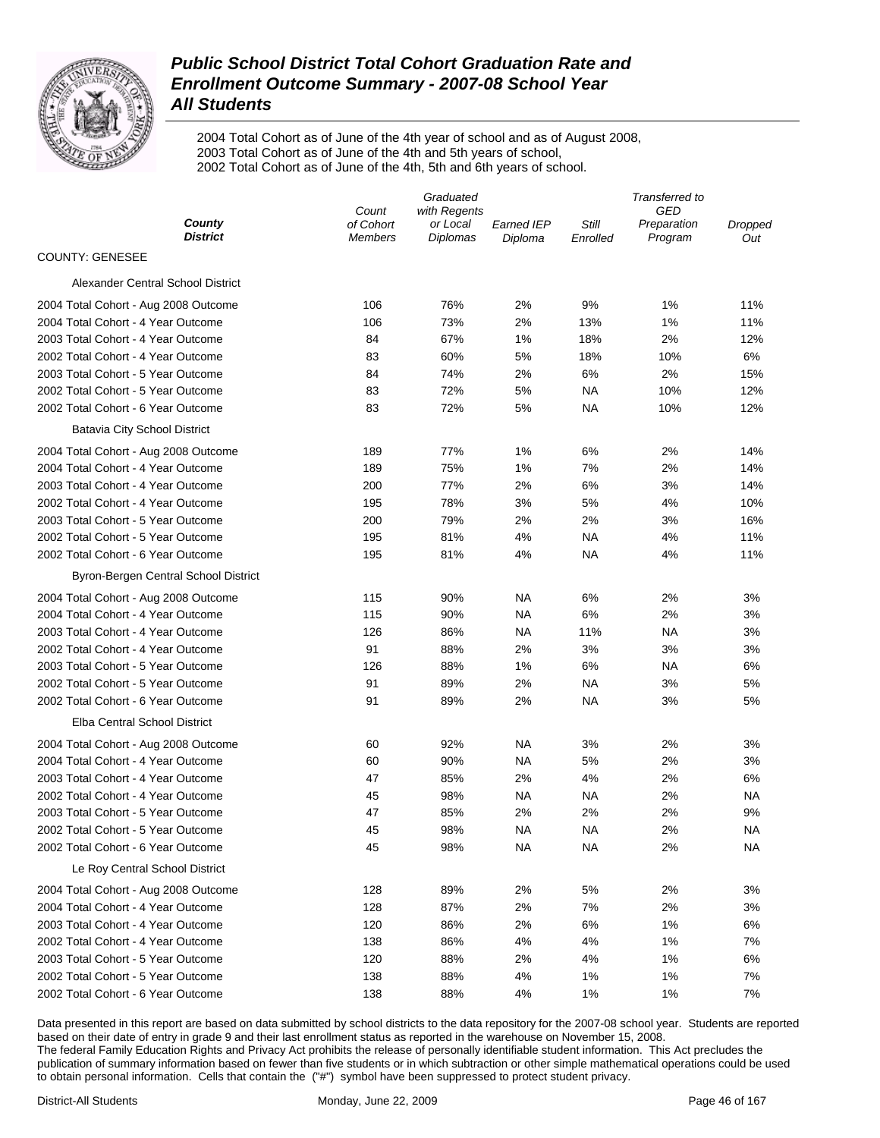

2004 Total Cohort as of June of the 4th year of school and as of August 2008, 2003 Total Cohort as of June of the 4th and 5th years of school, 2002 Total Cohort as of June of the 4th, 5th and 6th years of school.

|                                      | Graduated                   |                             |                              | Transferred to    |                        |                |  |
|--------------------------------------|-----------------------------|-----------------------------|------------------------------|-------------------|------------------------|----------------|--|
|                                      | Count                       | with Regents                |                              |                   | GED                    |                |  |
| County<br><b>District</b>            | of Cohort<br><b>Members</b> | or Local<br><b>Diplomas</b> | <b>Earned IEP</b><br>Diploma | Still<br>Enrolled | Preparation<br>Program | Dropped<br>Out |  |
| <b>COUNTY: GENESEE</b>               |                             |                             |                              |                   |                        |                |  |
| Alexander Central School District    |                             |                             |                              |                   |                        |                |  |
| 2004 Total Cohort - Aug 2008 Outcome | 106                         | 76%                         | 2%                           | 9%                | 1%                     | 11%            |  |
| 2004 Total Cohort - 4 Year Outcome   | 106                         | 73%                         | 2%                           | 13%               | 1%                     | 11%            |  |
| 2003 Total Cohort - 4 Year Outcome   | 84                          | 67%                         | 1%                           | 18%               | 2%                     | 12%            |  |
| 2002 Total Cohort - 4 Year Outcome   | 83                          | 60%                         | 5%                           | 18%               | 10%                    | 6%             |  |
| 2003 Total Cohort - 5 Year Outcome   | 84                          | 74%                         | 2%                           | 6%                | 2%                     | 15%            |  |
| 2002 Total Cohort - 5 Year Outcome   | 83                          | 72%                         | 5%                           | <b>NA</b>         | 10%                    | 12%            |  |
| 2002 Total Cohort - 6 Year Outcome   | 83                          | 72%                         | 5%                           | ΝA                | 10%                    | 12%            |  |
| <b>Batavia City School District</b>  |                             |                             |                              |                   |                        |                |  |
| 2004 Total Cohort - Aug 2008 Outcome | 189                         | 77%                         | 1%                           | 6%                | 2%                     | 14%            |  |
| 2004 Total Cohort - 4 Year Outcome   | 189                         | 75%                         | 1%                           | 7%                | 2%                     | 14%            |  |
| 2003 Total Cohort - 4 Year Outcome   | 200                         | 77%                         | 2%                           | 6%                | 3%                     | 14%            |  |
| 2002 Total Cohort - 4 Year Outcome   | 195                         | 78%                         | 3%                           | 5%                | 4%                     | 10%            |  |
| 2003 Total Cohort - 5 Year Outcome   | 200                         | 79%                         | 2%                           | 2%                | 3%                     | 16%            |  |
| 2002 Total Cohort - 5 Year Outcome   | 195                         | 81%                         | 4%                           | NA                | 4%                     | 11%            |  |
| 2002 Total Cohort - 6 Year Outcome   | 195                         | 81%                         | 4%                           | ΝA                | 4%                     | 11%            |  |
| Byron-Bergen Central School District |                             |                             |                              |                   |                        |                |  |
| 2004 Total Cohort - Aug 2008 Outcome | 115                         | 90%                         | NA                           | 6%                | 2%                     | 3%             |  |
| 2004 Total Cohort - 4 Year Outcome   | 115                         | 90%                         | <b>NA</b>                    | 6%                | 2%                     | 3%             |  |
| 2003 Total Cohort - 4 Year Outcome   | 126                         | 86%                         | NA                           | 11%               | NA                     | 3%             |  |
| 2002 Total Cohort - 4 Year Outcome   | 91                          | 88%                         | 2%                           | 3%                | 3%                     | 3%             |  |
| 2003 Total Cohort - 5 Year Outcome   | 126                         | 88%                         | 1%                           | 6%                | <b>NA</b>              | 6%             |  |
| 2002 Total Cohort - 5 Year Outcome   | 91                          | 89%                         | 2%                           | <b>NA</b>         | 3%                     | 5%             |  |
| 2002 Total Cohort - 6 Year Outcome   | 91                          | 89%                         | 2%                           | <b>NA</b>         | 3%                     | 5%             |  |
| Elba Central School District         |                             |                             |                              |                   |                        |                |  |
| 2004 Total Cohort - Aug 2008 Outcome | 60                          | 92%                         | NA                           | 3%                | 2%                     | 3%             |  |
| 2004 Total Cohort - 4 Year Outcome   | 60                          | 90%                         | NA                           | 5%                | 2%                     | 3%             |  |
| 2003 Total Cohort - 4 Year Outcome   | 47                          | 85%                         | 2%                           | 4%                | 2%                     | 6%             |  |
| 2002 Total Cohort - 4 Year Outcome   | 45                          | 98%                         | <b>NA</b>                    | <b>NA</b>         | 2%                     | <b>NA</b>      |  |
| 2003 Total Cohort - 5 Year Outcome   | 47                          | 85%                         | 2%                           | 2%                | 2%                     | 9%             |  |
| 2002 Total Cohort - 5 Year Outcome   | 45                          | 98%                         | <b>NA</b>                    | <b>NA</b>         | 2%                     | NA             |  |
| 2002 Total Cohort - 6 Year Outcome   | 45                          | 98%                         | <b>NA</b>                    | <b>NA</b>         | 2%                     | <b>NA</b>      |  |
| Le Roy Central School District       |                             |                             |                              |                   |                        |                |  |
| 2004 Total Cohort - Aug 2008 Outcome | 128                         | 89%                         | 2%                           | 5%                | 2%                     | 3%             |  |
| 2004 Total Cohort - 4 Year Outcome   | 128                         | 87%                         | 2%                           | 7%                | 2%                     | 3%             |  |
| 2003 Total Cohort - 4 Year Outcome   | 120                         | 86%                         | 2%                           | 6%                | 1%                     | 6%             |  |
| 2002 Total Cohort - 4 Year Outcome   | 138                         | 86%                         | 4%                           | 4%                | 1%                     | 7%             |  |
| 2003 Total Cohort - 5 Year Outcome   | 120                         | 88%                         | 2%                           | 4%                | 1%                     | 6%             |  |
| 2002 Total Cohort - 5 Year Outcome   | 138                         | 88%                         | 4%                           | 1%                | 1%                     | 7%             |  |
| 2002 Total Cohort - 6 Year Outcome   | 138                         | 88%                         | 4%                           | 1%                | 1%                     | 7%             |  |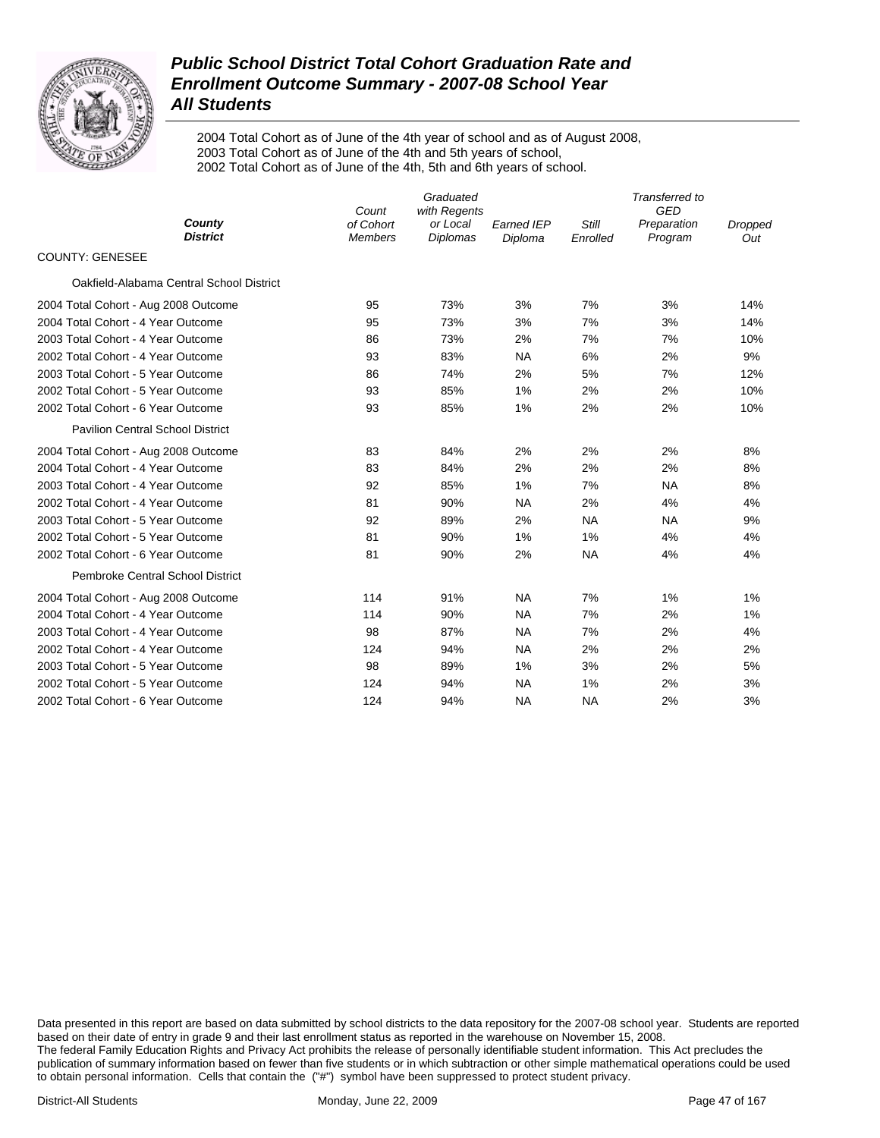

2004 Total Cohort as of June of the 4th year of school and as of August 2008, 2003 Total Cohort as of June of the 4th and 5th years of school, 2002 Total Cohort as of June of the 4th, 5th and 6th years of school.

|                                          | Count                       | Graduated<br>with Regents   | Transferred to<br>GED        |                   |                        |                |
|------------------------------------------|-----------------------------|-----------------------------|------------------------------|-------------------|------------------------|----------------|
| County<br><b>District</b>                | of Cohort<br><b>Members</b> | or Local<br><b>Diplomas</b> | <b>Earned IEP</b><br>Diploma | Still<br>Enrolled | Preparation<br>Program | Dropped<br>Out |
| <b>COUNTY: GENESEE</b>                   |                             |                             |                              |                   |                        |                |
| Oakfield-Alabama Central School District |                             |                             |                              |                   |                        |                |
| 2004 Total Cohort - Aug 2008 Outcome     | 95                          | 73%                         | 3%                           | 7%                | 3%                     | 14%            |
| 2004 Total Cohort - 4 Year Outcome       | 95                          | 73%                         | 3%                           | 7%                | 3%                     | 14%            |
| 2003 Total Cohort - 4 Year Outcome       | 86                          | 73%                         | 2%                           | 7%                | 7%                     | 10%            |
| 2002 Total Cohort - 4 Year Outcome       | 93                          | 83%                         | <b>NA</b>                    | 6%                | 2%                     | 9%             |
| 2003 Total Cohort - 5 Year Outcome       | 86                          | 74%                         | 2%                           | 5%                | 7%                     | 12%            |
| 2002 Total Cohort - 5 Year Outcome       | 93                          | 85%                         | 1%                           | 2%                | 2%                     | 10%            |
| 2002 Total Cohort - 6 Year Outcome       | 93                          | 85%                         | 1%                           | 2%                | 2%                     | 10%            |
| <b>Pavilion Central School District</b>  |                             |                             |                              |                   |                        |                |
| 2004 Total Cohort - Aug 2008 Outcome     | 83                          | 84%                         | 2%                           | 2%                | 2%                     | 8%             |
| 2004 Total Cohort - 4 Year Outcome       | 83                          | 84%                         | 2%                           | 2%                | 2%                     | 8%             |
| 2003 Total Cohort - 4 Year Outcome       | 92                          | 85%                         | 1%                           | 7%                | <b>NA</b>              | 8%             |
| 2002 Total Cohort - 4 Year Outcome       | 81                          | 90%                         | <b>NA</b>                    | 2%                | 4%                     | 4%             |
| 2003 Total Cohort - 5 Year Outcome       | 92                          | 89%                         | 2%                           | <b>NA</b>         | <b>NA</b>              | 9%             |
| 2002 Total Cohort - 5 Year Outcome       | 81                          | 90%                         | 1%                           | 1%                | 4%                     | 4%             |
| 2002 Total Cohort - 6 Year Outcome       | 81                          | 90%                         | 2%                           | <b>NA</b>         | 4%                     | 4%             |
| <b>Pembroke Central School District</b>  |                             |                             |                              |                   |                        |                |
| 2004 Total Cohort - Aug 2008 Outcome     | 114                         | 91%                         | <b>NA</b>                    | 7%                | 1%                     | 1%             |
| 2004 Total Cohort - 4 Year Outcome       | 114                         | 90%                         | <b>NA</b>                    | 7%                | 2%                     | 1%             |
| 2003 Total Cohort - 4 Year Outcome       | 98                          | 87%                         | <b>NA</b>                    | 7%                | 2%                     | 4%             |
| 2002 Total Cohort - 4 Year Outcome       | 124                         | 94%                         | <b>NA</b>                    | 2%                | 2%                     | 2%             |
| 2003 Total Cohort - 5 Year Outcome       | 98                          | 89%                         | 1%                           | 3%                | 2%                     | 5%             |
| 2002 Total Cohort - 5 Year Outcome       | 124                         | 94%                         | <b>NA</b>                    | 1%                | 2%                     | 3%             |
| 2002 Total Cohort - 6 Year Outcome       | 124                         | 94%                         | <b>NA</b>                    | <b>NA</b>         | 2%                     | 3%             |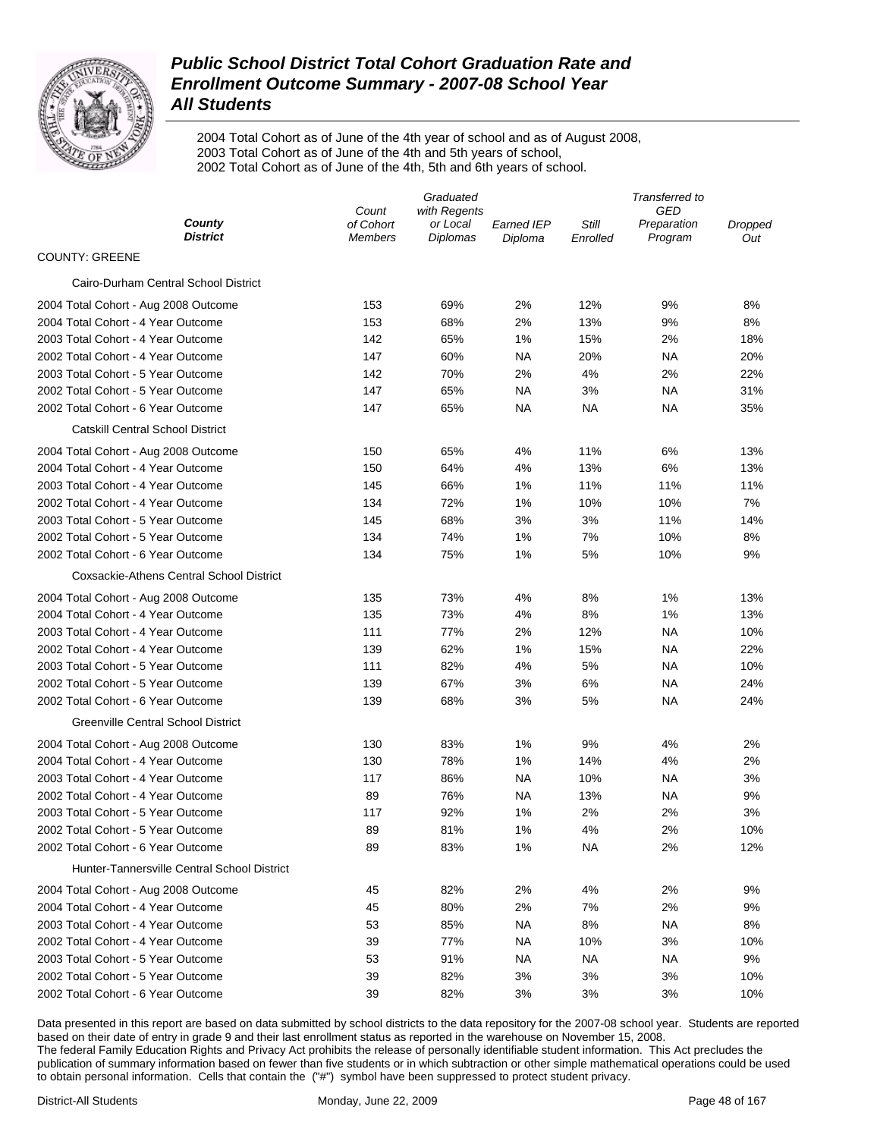

2004 Total Cohort as of June of the 4th year of school and as of August 2008, 2003 Total Cohort as of June of the 4th and 5th years of school, 2002 Total Cohort as of June of the 4th, 5th and 6th years of school.

|                                                                                                              | Transferred to |  |  |  |
|--------------------------------------------------------------------------------------------------------------|----------------|--|--|--|
| GED<br>Count<br>with Regents<br>County<br>of Cohort<br>Still<br>or Local<br><b>Earned IEP</b><br>Preparation | Dropped        |  |  |  |
| <b>District</b><br>Diplomas<br>Program<br><b>Members</b><br>Diploma<br>Enrolled                              | Out            |  |  |  |
| <b>COUNTY: GREENE</b>                                                                                        |                |  |  |  |
| Cairo-Durham Central School District                                                                         |                |  |  |  |
| 153<br>69%<br>2%<br>12%<br>9%<br>2004 Total Cohort - Aug 2008 Outcome                                        | 8%             |  |  |  |
| 2004 Total Cohort - 4 Year Outcome<br>153<br>68%<br>2%<br>13%<br>9%                                          | 8%             |  |  |  |
| 2003 Total Cohort - 4 Year Outcome<br>142<br>65%<br>1%<br>15%<br>2%                                          | 18%            |  |  |  |
| 2002 Total Cohort - 4 Year Outcome<br>147<br>60%<br><b>NA</b><br>20%<br>ΝA                                   | 20%            |  |  |  |
| 2003 Total Cohort - 5 Year Outcome<br>142<br>70%<br>2%<br>4%<br>2%                                           | 22%            |  |  |  |
| 2002 Total Cohort - 5 Year Outcome<br>147<br>65%<br><b>NA</b><br>3%<br>ΝA                                    | 31%            |  |  |  |
| 2002 Total Cohort - 6 Year Outcome<br>147<br>65%<br>NA<br>ΝA<br>ΝA                                           | 35%            |  |  |  |
| <b>Catskill Central School District</b>                                                                      |                |  |  |  |
| 150<br>65%<br>4%<br>11%<br>6%<br>2004 Total Cohort - Aug 2008 Outcome                                        | 13%            |  |  |  |
| 2004 Total Cohort - 4 Year Outcome<br>150<br>64%<br>4%<br>13%<br>6%                                          | 13%            |  |  |  |
| 2003 Total Cohort - 4 Year Outcome<br>145<br>66%<br>1%<br>11%<br>11%                                         | 11%            |  |  |  |
| 2002 Total Cohort - 4 Year Outcome<br>134<br>72%<br>1%<br>10%<br>10%                                         | 7%             |  |  |  |
| 2003 Total Cohort - 5 Year Outcome<br>145<br>68%<br>3%<br>3%<br>11%                                          | 14%            |  |  |  |
| 2002 Total Cohort - 5 Year Outcome<br>134<br>74%<br>1%<br>7%<br>10%                                          | 8%             |  |  |  |
| 2002 Total Cohort - 6 Year Outcome<br>134<br>75%<br>1%<br>5%<br>10%                                          | 9%             |  |  |  |
| Coxsackie-Athens Central School District                                                                     |                |  |  |  |
| 135<br>73%<br>4%<br>8%<br>1%<br>2004 Total Cohort - Aug 2008 Outcome                                         | 13%            |  |  |  |
| 2004 Total Cohort - 4 Year Outcome<br>135<br>73%<br>4%<br>8%<br>1%                                           | 13%            |  |  |  |
| 2003 Total Cohort - 4 Year Outcome<br>111<br>77%<br>2%<br>12%<br><b>NA</b>                                   | 10%            |  |  |  |
| 2002 Total Cohort - 4 Year Outcome<br>139<br>62%<br>1%<br>15%<br>ΝA                                          | 22%            |  |  |  |
| 2003 Total Cohort - 5 Year Outcome<br>111<br>82%<br>4%<br>5%<br>ΝA                                           | 10%            |  |  |  |
| 2002 Total Cohort - 5 Year Outcome<br>139<br>67%<br>3%<br>6%<br>ΝA                                           | 24%            |  |  |  |
| 2002 Total Cohort - 6 Year Outcome<br>139<br>68%<br>3%<br>5%<br>ΝA                                           | 24%            |  |  |  |
| Greenville Central School District                                                                           |                |  |  |  |
| 130<br>83%<br>1%<br>9%<br>4%<br>2004 Total Cohort - Aug 2008 Outcome                                         | 2%             |  |  |  |
| 2004 Total Cohort - 4 Year Outcome<br>130<br>78%<br>1%<br>14%<br>4%                                          | 2%             |  |  |  |
| 2003 Total Cohort - 4 Year Outcome<br>117<br>86%<br><b>NA</b><br>10%<br>ΝA                                   | 3%             |  |  |  |
| 2002 Total Cohort - 4 Year Outcome<br>89<br>76%<br>NA<br>13%<br>ΝA                                           | 9%             |  |  |  |
| 2003 Total Cohort - 5 Year Outcome<br>117<br>92%<br>1%<br>2%<br>2%                                           | 3%             |  |  |  |
| 89<br>81%<br>1%<br>4%<br>2%<br>2002 Total Cohort - 5 Year Outcome                                            | 10%            |  |  |  |
| 2002 Total Cohort - 6 Year Outcome<br>89<br>1%<br><b>NA</b><br>83%<br>2%                                     | 12%            |  |  |  |
| Hunter-Tannersville Central School District                                                                  |                |  |  |  |
| 2%<br>4%<br>2%<br>2004 Total Cohort - Aug 2008 Outcome<br>45<br>82%                                          | 9%             |  |  |  |
| 80%<br>2%<br>2004 Total Cohort - 4 Year Outcome<br>45<br>7%<br>2%                                            | 9%             |  |  |  |
| 2003 Total Cohort - 4 Year Outcome<br>53<br>85%<br>8%<br>NA.<br>ΝA                                           | 8%             |  |  |  |
| 2002 Total Cohort - 4 Year Outcome<br>39<br>77%<br>3%<br>NA.<br>10%                                          | 10%            |  |  |  |
| 53<br>91%<br><b>NA</b><br>2003 Total Cohort - 5 Year Outcome<br>ΝA<br>ΝA                                     | 9%             |  |  |  |
| 2002 Total Cohort - 5 Year Outcome<br>39<br>82%<br>3%<br>3%<br>3%                                            | 10%            |  |  |  |
| 2002 Total Cohort - 6 Year Outcome<br>39<br>82%<br>3%<br>3%<br>3%                                            | 10%            |  |  |  |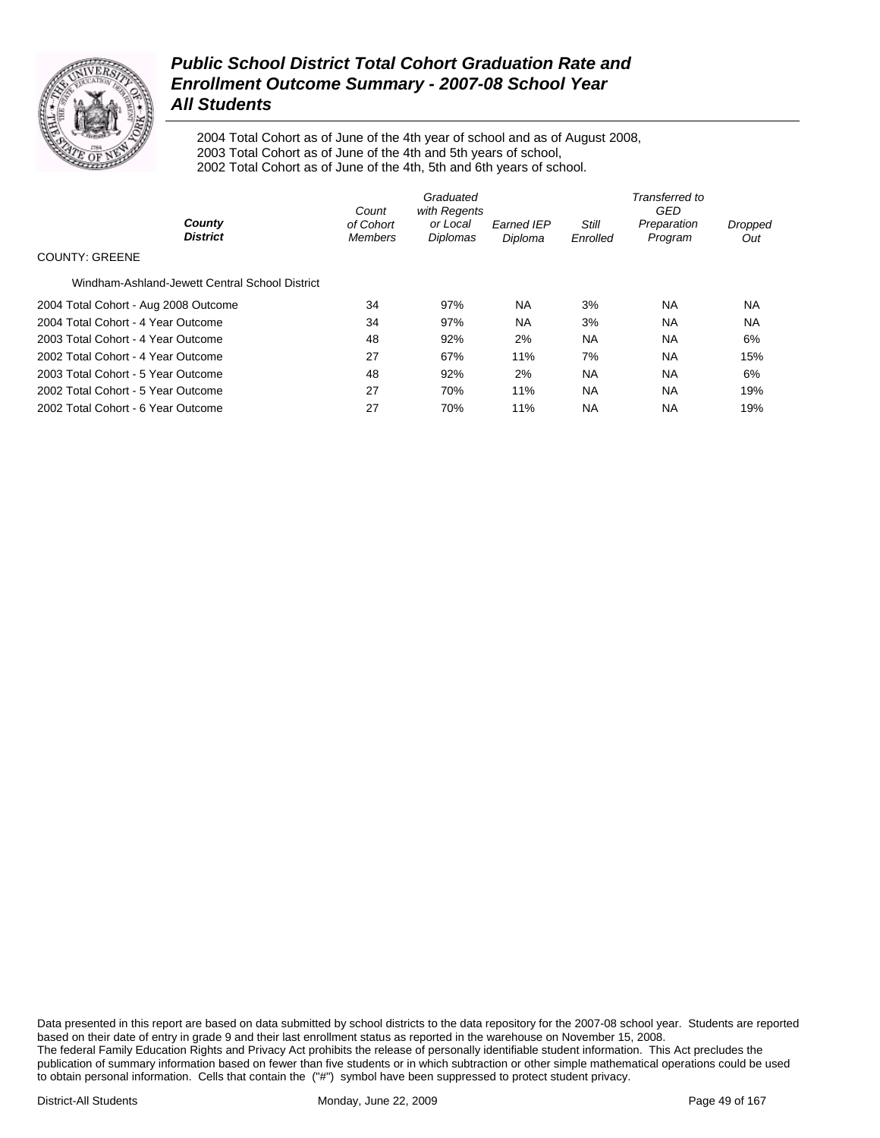

2004 Total Cohort as of June of the 4th year of school and as of August 2008, 2003 Total Cohort as of June of the 4th and 5th years of school, 2002 Total Cohort as of June of the 4th, 5th and 6th years of school.

|                                                | Count                       | Graduated<br>with Regents |                              | Transferred to<br>GED |                        |                |  |
|------------------------------------------------|-----------------------------|---------------------------|------------------------------|-----------------------|------------------------|----------------|--|
| County<br><b>District</b>                      | of Cohort<br><b>Members</b> | or Local<br>Diplomas      | <b>Earned IEP</b><br>Diploma | Still<br>Enrolled     | Preparation<br>Program | Dropped<br>Out |  |
| <b>COUNTY: GREENE</b>                          |                             |                           |                              |                       |                        |                |  |
| Windham-Ashland-Jewett Central School District |                             |                           |                              |                       |                        |                |  |
| 2004 Total Cohort - Aug 2008 Outcome           | 34                          | 97%                       | <b>NA</b>                    | 3%                    | NA                     | <b>NA</b>      |  |
| 2004 Total Cohort - 4 Year Outcome             | 34                          | 97%                       | <b>NA</b>                    | 3%                    | <b>NA</b>              | <b>NA</b>      |  |
| 2003 Total Cohort - 4 Year Outcome             | 48                          | 92%                       | 2%                           | <b>NA</b>             | <b>NA</b>              | 6%             |  |
| 2002 Total Cohort - 4 Year Outcome             | 27                          | 67%                       | 11%                          | 7%                    | <b>NA</b>              | 15%            |  |
| 2003 Total Cohort - 5 Year Outcome             | 48                          | 92%                       | 2%                           | <b>NA</b>             | <b>NA</b>              | 6%             |  |
| 2002 Total Cohort - 5 Year Outcome             | 27                          | 70%                       | 11%                          | <b>NA</b>             | <b>NA</b>              | 19%            |  |
| 2002 Total Cohort - 6 Year Outcome             | 27                          | 70%                       | 11%                          | <b>NA</b>             | <b>NA</b>              | 19%            |  |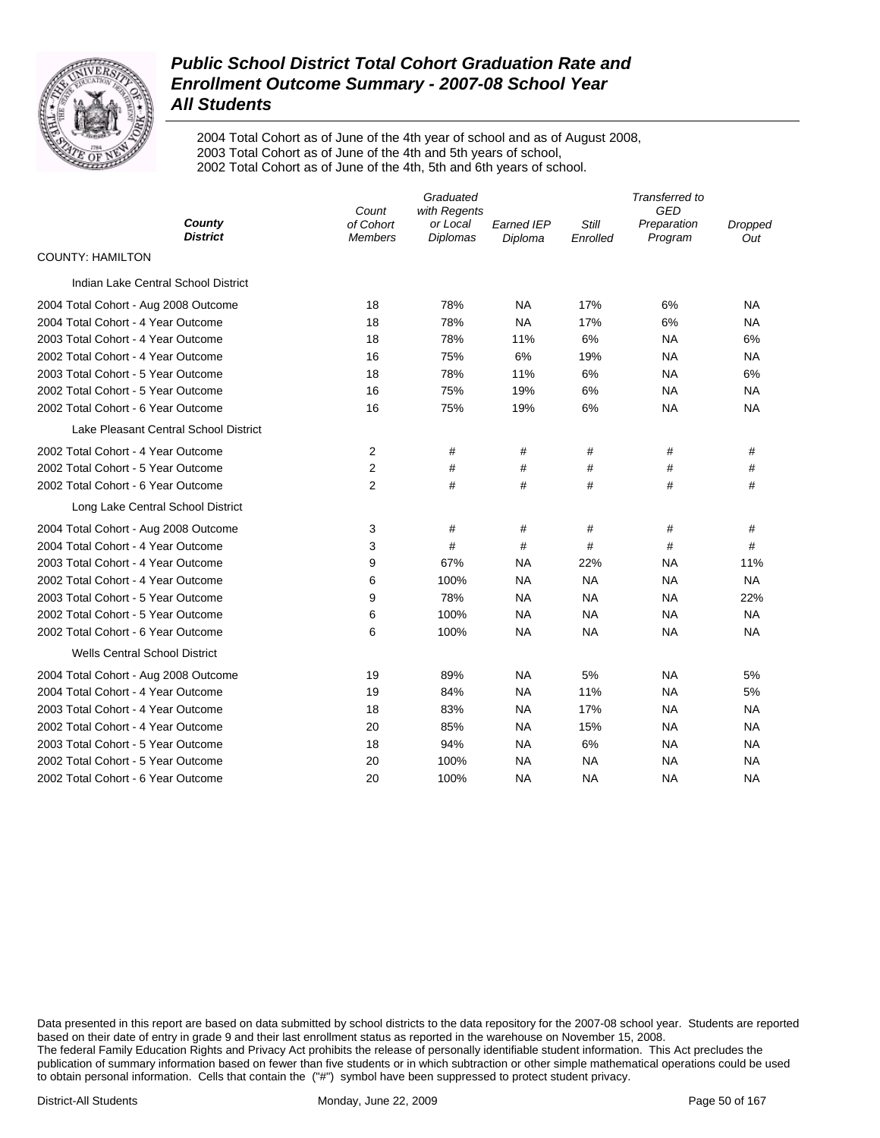

2004 Total Cohort as of June of the 4th year of school and as of August 2008, 2003 Total Cohort as of June of the 4th and 5th years of school, 2002 Total Cohort as of June of the 4th, 5th and 6th years of school.

|                                       |                                      | Graduated                            |                              |                   | Transferred to<br><b>GED</b> |                       |
|---------------------------------------|--------------------------------------|--------------------------------------|------------------------------|-------------------|------------------------------|-----------------------|
| County<br><b>District</b>             | Count<br>of Cohort<br><b>Members</b> | with Regents<br>or Local<br>Diplomas | <b>Earned IEP</b><br>Diploma | Still<br>Enrolled | Preparation<br>Program       | <b>Dropped</b><br>Out |
| <b>COUNTY: HAMILTON</b>               |                                      |                                      |                              |                   |                              |                       |
| Indian Lake Central School District   |                                      |                                      |                              |                   |                              |                       |
| 2004 Total Cohort - Aug 2008 Outcome  | 18                                   | 78%                                  | <b>NA</b>                    | 17%               | 6%                           | <b>NA</b>             |
| 2004 Total Cohort - 4 Year Outcome    | 18                                   | 78%                                  | <b>NA</b>                    | 17%               | 6%                           | <b>NA</b>             |
| 2003 Total Cohort - 4 Year Outcome    | 18                                   | 78%                                  | 11%                          | 6%                | <b>NA</b>                    | 6%                    |
| 2002 Total Cohort - 4 Year Outcome    | 16                                   | 75%                                  | 6%                           | 19%               | <b>NA</b>                    | <b>NA</b>             |
| 2003 Total Cohort - 5 Year Outcome    | 18                                   | 78%                                  | 11%                          | 6%                | <b>NA</b>                    | 6%                    |
| 2002 Total Cohort - 5 Year Outcome    | 16                                   | 75%                                  | 19%                          | 6%                | NA                           | NA.                   |
| 2002 Total Cohort - 6 Year Outcome    | 16                                   | 75%                                  | 19%                          | 6%                | <b>NA</b>                    | <b>NA</b>             |
| Lake Pleasant Central School District |                                      |                                      |                              |                   |                              |                       |
| 2002 Total Cohort - 4 Year Outcome    | 2                                    | #                                    | #                            | #                 | #                            | #                     |
| 2002 Total Cohort - 5 Year Outcome    | $\overline{2}$                       | #                                    | #                            | #                 | #                            | $\#$                  |
| 2002 Total Cohort - 6 Year Outcome    | $\overline{2}$                       | #                                    | #                            | #                 | #                            | #                     |
| Long Lake Central School District     |                                      |                                      |                              |                   |                              |                       |
| 2004 Total Cohort - Aug 2008 Outcome  | 3                                    | #                                    | #                            | #                 | #                            | #                     |
| 2004 Total Cohort - 4 Year Outcome    | 3                                    | #                                    | #                            | #                 | #                            | #                     |
| 2003 Total Cohort - 4 Year Outcome    | 9                                    | 67%                                  | <b>NA</b>                    | 22%               | <b>NA</b>                    | 11%                   |
| 2002 Total Cohort - 4 Year Outcome    | 6                                    | 100%                                 | NA                           | <b>NA</b>         | <b>NA</b>                    | <b>NA</b>             |
| 2003 Total Cohort - 5 Year Outcome    | 9                                    | 78%                                  | <b>NA</b>                    | <b>NA</b>         | NA                           | 22%                   |
| 2002 Total Cohort - 5 Year Outcome    | 6                                    | 100%                                 | <b>NA</b>                    | <b>NA</b>         | <b>NA</b>                    | <b>NA</b>             |
| 2002 Total Cohort - 6 Year Outcome    | 6                                    | 100%                                 | <b>NA</b>                    | <b>NA</b>         | <b>NA</b>                    | <b>NA</b>             |
| <b>Wells Central School District</b>  |                                      |                                      |                              |                   |                              |                       |
| 2004 Total Cohort - Aug 2008 Outcome  | 19                                   | 89%                                  | <b>NA</b>                    | 5%                | <b>NA</b>                    | 5%                    |
| 2004 Total Cohort - 4 Year Outcome    | 19                                   | 84%                                  | <b>NA</b>                    | 11%               | <b>NA</b>                    | 5%                    |
| 2003 Total Cohort - 4 Year Outcome    | 18                                   | 83%                                  | <b>NA</b>                    | 17%               | NA                           | <b>NA</b>             |
| 2002 Total Cohort - 4 Year Outcome    | 20                                   | 85%                                  | <b>NA</b>                    | 15%               | <b>NA</b>                    | <b>NA</b>             |
| 2003 Total Cohort - 5 Year Outcome    | 18                                   | 94%                                  | NA                           | 6%                | NA                           | NA.                   |
| 2002 Total Cohort - 5 Year Outcome    | 20                                   | 100%                                 | <b>NA</b>                    | <b>NA</b>         | <b>NA</b>                    | <b>NA</b>             |
| 2002 Total Cohort - 6 Year Outcome    | 20                                   | 100%                                 | <b>NA</b>                    | NA                | <b>NA</b>                    | <b>NA</b>             |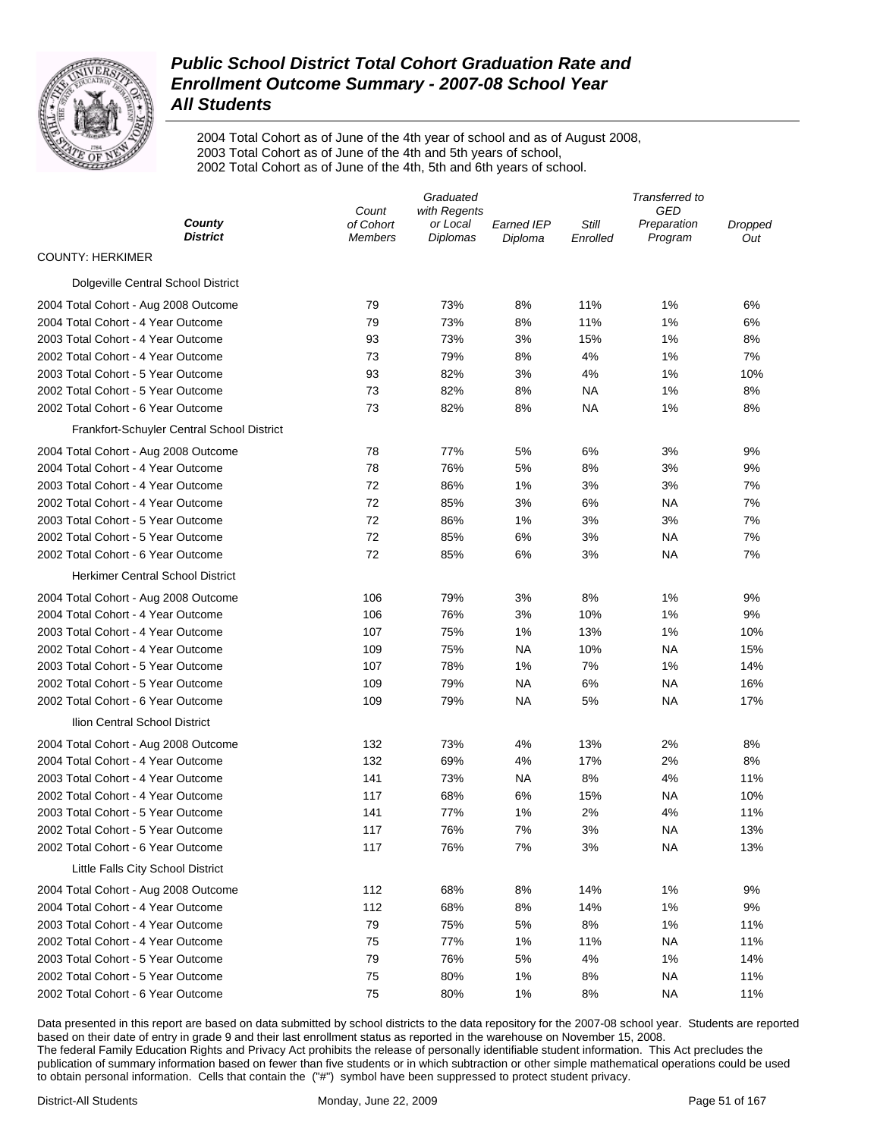

2004 Total Cohort as of June of the 4th year of school and as of August 2008, 2003 Total Cohort as of June of the 4th and 5th years of school, 2002 Total Cohort as of June of the 4th, 5th and 6th years of school.

| Count<br>County<br>of Cohort<br>or Local<br>Still<br>Earned IEP<br>Preparation<br>Dropped<br><b>District</b><br><b>Diplomas</b><br>Program<br><b>Members</b><br>Diploma<br>Enrolled<br>Out<br><b>COUNTY: HERKIMER</b><br>Dolgeville Central School District<br>79<br>73%<br>11%<br>6%<br>2004 Total Cohort - Aug 2008 Outcome<br>8%<br>1%<br>2004 Total Cohort - 4 Year Outcome<br>79<br>73%<br>8%<br>11%<br>1%<br>6%<br>2003 Total Cohort - 4 Year Outcome<br>93<br>73%<br>3%<br>15%<br>1%<br>8%<br>2002 Total Cohort - 4 Year Outcome<br>73<br>79%<br>8%<br>4%<br>1%<br>7%<br>2003 Total Cohort - 5 Year Outcome<br>93<br>82%<br>3%<br>4%<br>1%<br>10%<br>2002 Total Cohort - 5 Year Outcome<br>73<br>82%<br>8%<br>NA<br>1%<br>8%<br>2002 Total Cohort - 6 Year Outcome<br>73<br>82%<br>8%<br>NA<br>1%<br>8%<br>Frankfort-Schuyler Central School District<br>78<br>77%<br>2004 Total Cohort - Aug 2008 Outcome<br>5%<br>6%<br>3%<br>9%<br>2004 Total Cohort - 4 Year Outcome<br>78<br>76%<br>5%<br>8%<br>3%<br>9%<br>2003 Total Cohort - 4 Year Outcome<br>72<br>86%<br>1%<br>3%<br>3%<br>7%<br>2002 Total Cohort - 4 Year Outcome<br>72<br>85%<br>3%<br>6%<br>ΝA<br>7%<br>2003 Total Cohort - 5 Year Outcome<br>72<br>86%<br>1%<br>3%<br>3%<br>7%<br>72<br>7%<br>2002 Total Cohort - 5 Year Outcome<br>85%<br>6%<br>3%<br>ΝA<br>72<br>2002 Total Cohort - 6 Year Outcome<br>85%<br>6%<br>3%<br>ΝA<br>7%<br><b>Herkimer Central School District</b><br>8%<br>1%<br>2004 Total Cohort - Aug 2008 Outcome<br>106<br>79%<br>3%<br>9%<br>76%<br>3%<br>10%<br>1%<br>2004 Total Cohort - 4 Year Outcome<br>106<br>9%<br>2003 Total Cohort - 4 Year Outcome<br>107<br>75%<br>1%<br>13%<br>1%<br>10%<br>2002 Total Cohort - 4 Year Outcome<br>109<br>75%<br>NA<br>10%<br>NA<br>15%<br>2003 Total Cohort - 5 Year Outcome<br>107<br>78%<br>1%<br>7%<br>1%<br>14%<br>6%<br>2002 Total Cohort - 5 Year Outcome<br>109<br>79%<br><b>NA</b><br>ΝA<br>16%<br>5%<br><b>NA</b><br>17%<br>2002 Total Cohort - 6 Year Outcome<br>109<br>79%<br>NA.<br>Ilion Central School District<br>132<br>73%<br>4%<br>13%<br>2%<br>8%<br>2004 Total Cohort - Aug 2008 Outcome<br>17%<br>2004 Total Cohort - 4 Year Outcome<br>132<br>69%<br>4%<br>2%<br>8%<br>8%<br>2003 Total Cohort - 4 Year Outcome<br>141<br>73%<br><b>NA</b><br>4%<br>11%<br>6%<br>2002 Total Cohort - 4 Year Outcome<br>117<br>68%<br>15%<br>ΝA<br>10%<br>141<br>1%<br>2%<br>11%<br>2003 Total Cohort - 5 Year Outcome<br>77%<br>4%<br>7%<br>3%<br>2002 Total Cohort - 5 Year Outcome<br>117<br>76%<br>ΝA<br>13%<br>2002 Total Cohort - 6 Year Outcome<br>117<br>76%<br>7%<br>3%<br><b>NA</b><br>13%<br>Little Falls City School District<br>112<br>68%<br>8%<br>14%<br>1%<br>9%<br>2004 Total Cohort - Aug 2008 Outcome<br>112<br>68%<br>8%<br>14%<br>1%<br>9%<br>2004 Total Cohort - 4 Year Outcome<br>2003 Total Cohort - 4 Year Outcome<br>79<br>75%<br>5%<br>8%<br>1%<br>11%<br>2002 Total Cohort - 4 Year Outcome<br>75<br>77%<br>1%<br>11%<br><b>NA</b><br>11%<br>2003 Total Cohort - 5 Year Outcome<br>79<br>76%<br>5%<br>4%<br>1%<br>14% | Graduated |              |  | Transferred to | GED |  |
|-----------------------------------------------------------------------------------------------------------------------------------------------------------------------------------------------------------------------------------------------------------------------------------------------------------------------------------------------------------------------------------------------------------------------------------------------------------------------------------------------------------------------------------------------------------------------------------------------------------------------------------------------------------------------------------------------------------------------------------------------------------------------------------------------------------------------------------------------------------------------------------------------------------------------------------------------------------------------------------------------------------------------------------------------------------------------------------------------------------------------------------------------------------------------------------------------------------------------------------------------------------------------------------------------------------------------------------------------------------------------------------------------------------------------------------------------------------------------------------------------------------------------------------------------------------------------------------------------------------------------------------------------------------------------------------------------------------------------------------------------------------------------------------------------------------------------------------------------------------------------------------------------------------------------------------------------------------------------------------------------------------------------------------------------------------------------------------------------------------------------------------------------------------------------------------------------------------------------------------------------------------------------------------------------------------------------------------------------------------------------------------------------------------------------------------------------------------------------------------------------------------------------------------------------------------------------------------------------------------------------------------------------------------------------------------------------------------------------------------------------------------------------------------------------------------------------------------------------------------------------------------------------------------------------------------------------------------------------------------------------------------------------------------------------------------------------------------------------|-----------|--------------|--|----------------|-----|--|
|                                                                                                                                                                                                                                                                                                                                                                                                                                                                                                                                                                                                                                                                                                                                                                                                                                                                                                                                                                                                                                                                                                                                                                                                                                                                                                                                                                                                                                                                                                                                                                                                                                                                                                                                                                                                                                                                                                                                                                                                                                                                                                                                                                                                                                                                                                                                                                                                                                                                                                                                                                                                                                                                                                                                                                                                                                                                                                                                                                                                                                                                                               |           | with Regents |  |                |     |  |
|                                                                                                                                                                                                                                                                                                                                                                                                                                                                                                                                                                                                                                                                                                                                                                                                                                                                                                                                                                                                                                                                                                                                                                                                                                                                                                                                                                                                                                                                                                                                                                                                                                                                                                                                                                                                                                                                                                                                                                                                                                                                                                                                                                                                                                                                                                                                                                                                                                                                                                                                                                                                                                                                                                                                                                                                                                                                                                                                                                                                                                                                                               |           |              |  |                |     |  |
|                                                                                                                                                                                                                                                                                                                                                                                                                                                                                                                                                                                                                                                                                                                                                                                                                                                                                                                                                                                                                                                                                                                                                                                                                                                                                                                                                                                                                                                                                                                                                                                                                                                                                                                                                                                                                                                                                                                                                                                                                                                                                                                                                                                                                                                                                                                                                                                                                                                                                                                                                                                                                                                                                                                                                                                                                                                                                                                                                                                                                                                                                               |           |              |  |                |     |  |
|                                                                                                                                                                                                                                                                                                                                                                                                                                                                                                                                                                                                                                                                                                                                                                                                                                                                                                                                                                                                                                                                                                                                                                                                                                                                                                                                                                                                                                                                                                                                                                                                                                                                                                                                                                                                                                                                                                                                                                                                                                                                                                                                                                                                                                                                                                                                                                                                                                                                                                                                                                                                                                                                                                                                                                                                                                                                                                                                                                                                                                                                                               |           |              |  |                |     |  |
|                                                                                                                                                                                                                                                                                                                                                                                                                                                                                                                                                                                                                                                                                                                                                                                                                                                                                                                                                                                                                                                                                                                                                                                                                                                                                                                                                                                                                                                                                                                                                                                                                                                                                                                                                                                                                                                                                                                                                                                                                                                                                                                                                                                                                                                                                                                                                                                                                                                                                                                                                                                                                                                                                                                                                                                                                                                                                                                                                                                                                                                                                               |           |              |  |                |     |  |
|                                                                                                                                                                                                                                                                                                                                                                                                                                                                                                                                                                                                                                                                                                                                                                                                                                                                                                                                                                                                                                                                                                                                                                                                                                                                                                                                                                                                                                                                                                                                                                                                                                                                                                                                                                                                                                                                                                                                                                                                                                                                                                                                                                                                                                                                                                                                                                                                                                                                                                                                                                                                                                                                                                                                                                                                                                                                                                                                                                                                                                                                                               |           |              |  |                |     |  |
|                                                                                                                                                                                                                                                                                                                                                                                                                                                                                                                                                                                                                                                                                                                                                                                                                                                                                                                                                                                                                                                                                                                                                                                                                                                                                                                                                                                                                                                                                                                                                                                                                                                                                                                                                                                                                                                                                                                                                                                                                                                                                                                                                                                                                                                                                                                                                                                                                                                                                                                                                                                                                                                                                                                                                                                                                                                                                                                                                                                                                                                                                               |           |              |  |                |     |  |
|                                                                                                                                                                                                                                                                                                                                                                                                                                                                                                                                                                                                                                                                                                                                                                                                                                                                                                                                                                                                                                                                                                                                                                                                                                                                                                                                                                                                                                                                                                                                                                                                                                                                                                                                                                                                                                                                                                                                                                                                                                                                                                                                                                                                                                                                                                                                                                                                                                                                                                                                                                                                                                                                                                                                                                                                                                                                                                                                                                                                                                                                                               |           |              |  |                |     |  |
|                                                                                                                                                                                                                                                                                                                                                                                                                                                                                                                                                                                                                                                                                                                                                                                                                                                                                                                                                                                                                                                                                                                                                                                                                                                                                                                                                                                                                                                                                                                                                                                                                                                                                                                                                                                                                                                                                                                                                                                                                                                                                                                                                                                                                                                                                                                                                                                                                                                                                                                                                                                                                                                                                                                                                                                                                                                                                                                                                                                                                                                                                               |           |              |  |                |     |  |
|                                                                                                                                                                                                                                                                                                                                                                                                                                                                                                                                                                                                                                                                                                                                                                                                                                                                                                                                                                                                                                                                                                                                                                                                                                                                                                                                                                                                                                                                                                                                                                                                                                                                                                                                                                                                                                                                                                                                                                                                                                                                                                                                                                                                                                                                                                                                                                                                                                                                                                                                                                                                                                                                                                                                                                                                                                                                                                                                                                                                                                                                                               |           |              |  |                |     |  |
|                                                                                                                                                                                                                                                                                                                                                                                                                                                                                                                                                                                                                                                                                                                                                                                                                                                                                                                                                                                                                                                                                                                                                                                                                                                                                                                                                                                                                                                                                                                                                                                                                                                                                                                                                                                                                                                                                                                                                                                                                                                                                                                                                                                                                                                                                                                                                                                                                                                                                                                                                                                                                                                                                                                                                                                                                                                                                                                                                                                                                                                                                               |           |              |  |                |     |  |
|                                                                                                                                                                                                                                                                                                                                                                                                                                                                                                                                                                                                                                                                                                                                                                                                                                                                                                                                                                                                                                                                                                                                                                                                                                                                                                                                                                                                                                                                                                                                                                                                                                                                                                                                                                                                                                                                                                                                                                                                                                                                                                                                                                                                                                                                                                                                                                                                                                                                                                                                                                                                                                                                                                                                                                                                                                                                                                                                                                                                                                                                                               |           |              |  |                |     |  |
|                                                                                                                                                                                                                                                                                                                                                                                                                                                                                                                                                                                                                                                                                                                                                                                                                                                                                                                                                                                                                                                                                                                                                                                                                                                                                                                                                                                                                                                                                                                                                                                                                                                                                                                                                                                                                                                                                                                                                                                                                                                                                                                                                                                                                                                                                                                                                                                                                                                                                                                                                                                                                                                                                                                                                                                                                                                                                                                                                                                                                                                                                               |           |              |  |                |     |  |
|                                                                                                                                                                                                                                                                                                                                                                                                                                                                                                                                                                                                                                                                                                                                                                                                                                                                                                                                                                                                                                                                                                                                                                                                                                                                                                                                                                                                                                                                                                                                                                                                                                                                                                                                                                                                                                                                                                                                                                                                                                                                                                                                                                                                                                                                                                                                                                                                                                                                                                                                                                                                                                                                                                                                                                                                                                                                                                                                                                                                                                                                                               |           |              |  |                |     |  |
|                                                                                                                                                                                                                                                                                                                                                                                                                                                                                                                                                                                                                                                                                                                                                                                                                                                                                                                                                                                                                                                                                                                                                                                                                                                                                                                                                                                                                                                                                                                                                                                                                                                                                                                                                                                                                                                                                                                                                                                                                                                                                                                                                                                                                                                                                                                                                                                                                                                                                                                                                                                                                                                                                                                                                                                                                                                                                                                                                                                                                                                                                               |           |              |  |                |     |  |
|                                                                                                                                                                                                                                                                                                                                                                                                                                                                                                                                                                                                                                                                                                                                                                                                                                                                                                                                                                                                                                                                                                                                                                                                                                                                                                                                                                                                                                                                                                                                                                                                                                                                                                                                                                                                                                                                                                                                                                                                                                                                                                                                                                                                                                                                                                                                                                                                                                                                                                                                                                                                                                                                                                                                                                                                                                                                                                                                                                                                                                                                                               |           |              |  |                |     |  |
|                                                                                                                                                                                                                                                                                                                                                                                                                                                                                                                                                                                                                                                                                                                                                                                                                                                                                                                                                                                                                                                                                                                                                                                                                                                                                                                                                                                                                                                                                                                                                                                                                                                                                                                                                                                                                                                                                                                                                                                                                                                                                                                                                                                                                                                                                                                                                                                                                                                                                                                                                                                                                                                                                                                                                                                                                                                                                                                                                                                                                                                                                               |           |              |  |                |     |  |
|                                                                                                                                                                                                                                                                                                                                                                                                                                                                                                                                                                                                                                                                                                                                                                                                                                                                                                                                                                                                                                                                                                                                                                                                                                                                                                                                                                                                                                                                                                                                                                                                                                                                                                                                                                                                                                                                                                                                                                                                                                                                                                                                                                                                                                                                                                                                                                                                                                                                                                                                                                                                                                                                                                                                                                                                                                                                                                                                                                                                                                                                                               |           |              |  |                |     |  |
|                                                                                                                                                                                                                                                                                                                                                                                                                                                                                                                                                                                                                                                                                                                                                                                                                                                                                                                                                                                                                                                                                                                                                                                                                                                                                                                                                                                                                                                                                                                                                                                                                                                                                                                                                                                                                                                                                                                                                                                                                                                                                                                                                                                                                                                                                                                                                                                                                                                                                                                                                                                                                                                                                                                                                                                                                                                                                                                                                                                                                                                                                               |           |              |  |                |     |  |
|                                                                                                                                                                                                                                                                                                                                                                                                                                                                                                                                                                                                                                                                                                                                                                                                                                                                                                                                                                                                                                                                                                                                                                                                                                                                                                                                                                                                                                                                                                                                                                                                                                                                                                                                                                                                                                                                                                                                                                                                                                                                                                                                                                                                                                                                                                                                                                                                                                                                                                                                                                                                                                                                                                                                                                                                                                                                                                                                                                                                                                                                                               |           |              |  |                |     |  |
|                                                                                                                                                                                                                                                                                                                                                                                                                                                                                                                                                                                                                                                                                                                                                                                                                                                                                                                                                                                                                                                                                                                                                                                                                                                                                                                                                                                                                                                                                                                                                                                                                                                                                                                                                                                                                                                                                                                                                                                                                                                                                                                                                                                                                                                                                                                                                                                                                                                                                                                                                                                                                                                                                                                                                                                                                                                                                                                                                                                                                                                                                               |           |              |  |                |     |  |
|                                                                                                                                                                                                                                                                                                                                                                                                                                                                                                                                                                                                                                                                                                                                                                                                                                                                                                                                                                                                                                                                                                                                                                                                                                                                                                                                                                                                                                                                                                                                                                                                                                                                                                                                                                                                                                                                                                                                                                                                                                                                                                                                                                                                                                                                                                                                                                                                                                                                                                                                                                                                                                                                                                                                                                                                                                                                                                                                                                                                                                                                                               |           |              |  |                |     |  |
|                                                                                                                                                                                                                                                                                                                                                                                                                                                                                                                                                                                                                                                                                                                                                                                                                                                                                                                                                                                                                                                                                                                                                                                                                                                                                                                                                                                                                                                                                                                                                                                                                                                                                                                                                                                                                                                                                                                                                                                                                                                                                                                                                                                                                                                                                                                                                                                                                                                                                                                                                                                                                                                                                                                                                                                                                                                                                                                                                                                                                                                                                               |           |              |  |                |     |  |
|                                                                                                                                                                                                                                                                                                                                                                                                                                                                                                                                                                                                                                                                                                                                                                                                                                                                                                                                                                                                                                                                                                                                                                                                                                                                                                                                                                                                                                                                                                                                                                                                                                                                                                                                                                                                                                                                                                                                                                                                                                                                                                                                                                                                                                                                                                                                                                                                                                                                                                                                                                                                                                                                                                                                                                                                                                                                                                                                                                                                                                                                                               |           |              |  |                |     |  |
|                                                                                                                                                                                                                                                                                                                                                                                                                                                                                                                                                                                                                                                                                                                                                                                                                                                                                                                                                                                                                                                                                                                                                                                                                                                                                                                                                                                                                                                                                                                                                                                                                                                                                                                                                                                                                                                                                                                                                                                                                                                                                                                                                                                                                                                                                                                                                                                                                                                                                                                                                                                                                                                                                                                                                                                                                                                                                                                                                                                                                                                                                               |           |              |  |                |     |  |
|                                                                                                                                                                                                                                                                                                                                                                                                                                                                                                                                                                                                                                                                                                                                                                                                                                                                                                                                                                                                                                                                                                                                                                                                                                                                                                                                                                                                                                                                                                                                                                                                                                                                                                                                                                                                                                                                                                                                                                                                                                                                                                                                                                                                                                                                                                                                                                                                                                                                                                                                                                                                                                                                                                                                                                                                                                                                                                                                                                                                                                                                                               |           |              |  |                |     |  |
|                                                                                                                                                                                                                                                                                                                                                                                                                                                                                                                                                                                                                                                                                                                                                                                                                                                                                                                                                                                                                                                                                                                                                                                                                                                                                                                                                                                                                                                                                                                                                                                                                                                                                                                                                                                                                                                                                                                                                                                                                                                                                                                                                                                                                                                                                                                                                                                                                                                                                                                                                                                                                                                                                                                                                                                                                                                                                                                                                                                                                                                                                               |           |              |  |                |     |  |
|                                                                                                                                                                                                                                                                                                                                                                                                                                                                                                                                                                                                                                                                                                                                                                                                                                                                                                                                                                                                                                                                                                                                                                                                                                                                                                                                                                                                                                                                                                                                                                                                                                                                                                                                                                                                                                                                                                                                                                                                                                                                                                                                                                                                                                                                                                                                                                                                                                                                                                                                                                                                                                                                                                                                                                                                                                                                                                                                                                                                                                                                                               |           |              |  |                |     |  |
|                                                                                                                                                                                                                                                                                                                                                                                                                                                                                                                                                                                                                                                                                                                                                                                                                                                                                                                                                                                                                                                                                                                                                                                                                                                                                                                                                                                                                                                                                                                                                                                                                                                                                                                                                                                                                                                                                                                                                                                                                                                                                                                                                                                                                                                                                                                                                                                                                                                                                                                                                                                                                                                                                                                                                                                                                                                                                                                                                                                                                                                                                               |           |              |  |                |     |  |
|                                                                                                                                                                                                                                                                                                                                                                                                                                                                                                                                                                                                                                                                                                                                                                                                                                                                                                                                                                                                                                                                                                                                                                                                                                                                                                                                                                                                                                                                                                                                                                                                                                                                                                                                                                                                                                                                                                                                                                                                                                                                                                                                                                                                                                                                                                                                                                                                                                                                                                                                                                                                                                                                                                                                                                                                                                                                                                                                                                                                                                                                                               |           |              |  |                |     |  |
|                                                                                                                                                                                                                                                                                                                                                                                                                                                                                                                                                                                                                                                                                                                                                                                                                                                                                                                                                                                                                                                                                                                                                                                                                                                                                                                                                                                                                                                                                                                                                                                                                                                                                                                                                                                                                                                                                                                                                                                                                                                                                                                                                                                                                                                                                                                                                                                                                                                                                                                                                                                                                                                                                                                                                                                                                                                                                                                                                                                                                                                                                               |           |              |  |                |     |  |
|                                                                                                                                                                                                                                                                                                                                                                                                                                                                                                                                                                                                                                                                                                                                                                                                                                                                                                                                                                                                                                                                                                                                                                                                                                                                                                                                                                                                                                                                                                                                                                                                                                                                                                                                                                                                                                                                                                                                                                                                                                                                                                                                                                                                                                                                                                                                                                                                                                                                                                                                                                                                                                                                                                                                                                                                                                                                                                                                                                                                                                                                                               |           |              |  |                |     |  |
|                                                                                                                                                                                                                                                                                                                                                                                                                                                                                                                                                                                                                                                                                                                                                                                                                                                                                                                                                                                                                                                                                                                                                                                                                                                                                                                                                                                                                                                                                                                                                                                                                                                                                                                                                                                                                                                                                                                                                                                                                                                                                                                                                                                                                                                                                                                                                                                                                                                                                                                                                                                                                                                                                                                                                                                                                                                                                                                                                                                                                                                                                               |           |              |  |                |     |  |
|                                                                                                                                                                                                                                                                                                                                                                                                                                                                                                                                                                                                                                                                                                                                                                                                                                                                                                                                                                                                                                                                                                                                                                                                                                                                                                                                                                                                                                                                                                                                                                                                                                                                                                                                                                                                                                                                                                                                                                                                                                                                                                                                                                                                                                                                                                                                                                                                                                                                                                                                                                                                                                                                                                                                                                                                                                                                                                                                                                                                                                                                                               |           |              |  |                |     |  |
|                                                                                                                                                                                                                                                                                                                                                                                                                                                                                                                                                                                                                                                                                                                                                                                                                                                                                                                                                                                                                                                                                                                                                                                                                                                                                                                                                                                                                                                                                                                                                                                                                                                                                                                                                                                                                                                                                                                                                                                                                                                                                                                                                                                                                                                                                                                                                                                                                                                                                                                                                                                                                                                                                                                                                                                                                                                                                                                                                                                                                                                                                               |           |              |  |                |     |  |
|                                                                                                                                                                                                                                                                                                                                                                                                                                                                                                                                                                                                                                                                                                                                                                                                                                                                                                                                                                                                                                                                                                                                                                                                                                                                                                                                                                                                                                                                                                                                                                                                                                                                                                                                                                                                                                                                                                                                                                                                                                                                                                                                                                                                                                                                                                                                                                                                                                                                                                                                                                                                                                                                                                                                                                                                                                                                                                                                                                                                                                                                                               |           |              |  |                |     |  |
|                                                                                                                                                                                                                                                                                                                                                                                                                                                                                                                                                                                                                                                                                                                                                                                                                                                                                                                                                                                                                                                                                                                                                                                                                                                                                                                                                                                                                                                                                                                                                                                                                                                                                                                                                                                                                                                                                                                                                                                                                                                                                                                                                                                                                                                                                                                                                                                                                                                                                                                                                                                                                                                                                                                                                                                                                                                                                                                                                                                                                                                                                               |           |              |  |                |     |  |
|                                                                                                                                                                                                                                                                                                                                                                                                                                                                                                                                                                                                                                                                                                                                                                                                                                                                                                                                                                                                                                                                                                                                                                                                                                                                                                                                                                                                                                                                                                                                                                                                                                                                                                                                                                                                                                                                                                                                                                                                                                                                                                                                                                                                                                                                                                                                                                                                                                                                                                                                                                                                                                                                                                                                                                                                                                                                                                                                                                                                                                                                                               |           |              |  |                |     |  |
|                                                                                                                                                                                                                                                                                                                                                                                                                                                                                                                                                                                                                                                                                                                                                                                                                                                                                                                                                                                                                                                                                                                                                                                                                                                                                                                                                                                                                                                                                                                                                                                                                                                                                                                                                                                                                                                                                                                                                                                                                                                                                                                                                                                                                                                                                                                                                                                                                                                                                                                                                                                                                                                                                                                                                                                                                                                                                                                                                                                                                                                                                               |           |              |  |                |     |  |
|                                                                                                                                                                                                                                                                                                                                                                                                                                                                                                                                                                                                                                                                                                                                                                                                                                                                                                                                                                                                                                                                                                                                                                                                                                                                                                                                                                                                                                                                                                                                                                                                                                                                                                                                                                                                                                                                                                                                                                                                                                                                                                                                                                                                                                                                                                                                                                                                                                                                                                                                                                                                                                                                                                                                                                                                                                                                                                                                                                                                                                                                                               |           |              |  |                |     |  |
|                                                                                                                                                                                                                                                                                                                                                                                                                                                                                                                                                                                                                                                                                                                                                                                                                                                                                                                                                                                                                                                                                                                                                                                                                                                                                                                                                                                                                                                                                                                                                                                                                                                                                                                                                                                                                                                                                                                                                                                                                                                                                                                                                                                                                                                                                                                                                                                                                                                                                                                                                                                                                                                                                                                                                                                                                                                                                                                                                                                                                                                                                               |           |              |  |                |     |  |
| 2002 Total Cohort - 5 Year Outcome<br>75<br>80%<br>1%<br>8%<br><b>NA</b><br>11%                                                                                                                                                                                                                                                                                                                                                                                                                                                                                                                                                                                                                                                                                                                                                                                                                                                                                                                                                                                                                                                                                                                                                                                                                                                                                                                                                                                                                                                                                                                                                                                                                                                                                                                                                                                                                                                                                                                                                                                                                                                                                                                                                                                                                                                                                                                                                                                                                                                                                                                                                                                                                                                                                                                                                                                                                                                                                                                                                                                                               |           |              |  |                |     |  |
| 75<br>1%<br>2002 Total Cohort - 6 Year Outcome<br>80%<br>8%<br><b>NA</b><br>11%                                                                                                                                                                                                                                                                                                                                                                                                                                                                                                                                                                                                                                                                                                                                                                                                                                                                                                                                                                                                                                                                                                                                                                                                                                                                                                                                                                                                                                                                                                                                                                                                                                                                                                                                                                                                                                                                                                                                                                                                                                                                                                                                                                                                                                                                                                                                                                                                                                                                                                                                                                                                                                                                                                                                                                                                                                                                                                                                                                                                               |           |              |  |                |     |  |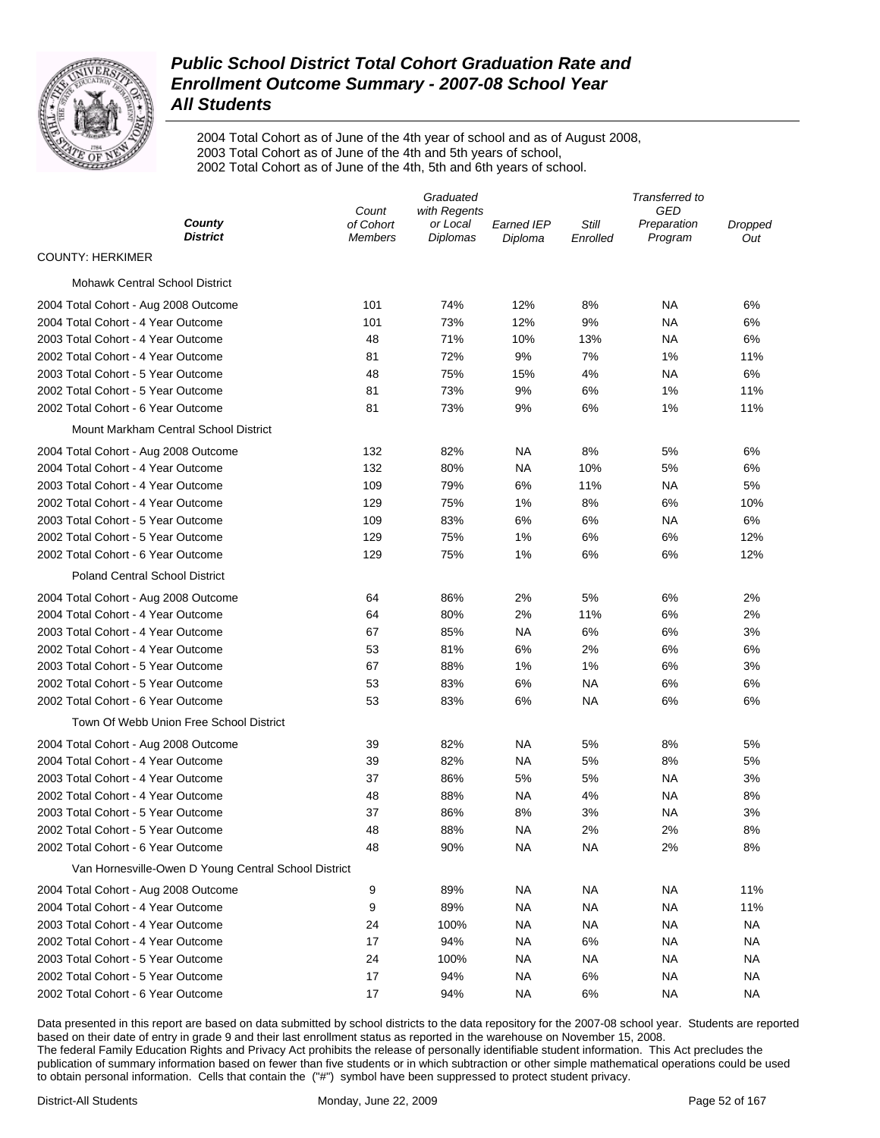

2004 Total Cohort as of June of the 4th year of school and as of August 2008, 2003 Total Cohort as of June of the 4th and 5th years of school, 2002 Total Cohort as of June of the 4th, 5th and 6th years of school.

|                                                      | Graduated                   |                             |                       |                   | Transferred to         |                |
|------------------------------------------------------|-----------------------------|-----------------------------|-----------------------|-------------------|------------------------|----------------|
|                                                      | Count                       | with Regents                |                       |                   | GED                    |                |
| County<br><b>District</b>                            | of Cohort<br><b>Members</b> | or Local<br><b>Diplomas</b> | Earned IEP<br>Diploma | Still<br>Enrolled | Preparation<br>Program | Dropped<br>Out |
| <b>COUNTY: HERKIMER</b>                              |                             |                             |                       |                   |                        |                |
| <b>Mohawk Central School District</b>                |                             |                             |                       |                   |                        |                |
| 2004 Total Cohort - Aug 2008 Outcome                 | 101                         | 74%                         | 12%                   | 8%                | NА                     | 6%             |
| 2004 Total Cohort - 4 Year Outcome                   | 101                         | 73%                         | 12%                   | 9%                | NA                     | 6%             |
| 2003 Total Cohort - 4 Year Outcome                   | 48                          | 71%                         | 10%                   | 13%               | NA                     | 6%             |
| 2002 Total Cohort - 4 Year Outcome                   | 81                          | 72%                         | 9%                    | 7%                | 1%                     | 11%            |
| 2003 Total Cohort - 5 Year Outcome                   | 48                          | 75%                         | 15%                   | 4%                | NA                     | 6%             |
| 2002 Total Cohort - 5 Year Outcome                   | 81                          | 73%                         | 9%                    | 6%                | 1%                     | 11%            |
| 2002 Total Cohort - 6 Year Outcome                   | 81                          | 73%                         | 9%                    | 6%                | 1%                     | 11%            |
| Mount Markham Central School District                |                             |                             |                       |                   |                        |                |
| 2004 Total Cohort - Aug 2008 Outcome                 | 132                         | 82%                         | NA                    | 8%                | 5%                     | 6%             |
| 2004 Total Cohort - 4 Year Outcome                   | 132                         | 80%                         | NA                    | 10%               | 5%                     | 6%             |
| 2003 Total Cohort - 4 Year Outcome                   | 109                         | 79%                         | 6%                    | 11%               | NA                     | 5%             |
| 2002 Total Cohort - 4 Year Outcome                   | 129                         | 75%                         | 1%                    | 8%                | 6%                     | 10%            |
| 2003 Total Cohort - 5 Year Outcome                   | 109                         | 83%                         | 6%                    | 6%                | NA                     | 6%             |
| 2002 Total Cohort - 5 Year Outcome                   | 129                         | 75%                         | 1%                    | 6%                | 6%                     | 12%            |
| 2002 Total Cohort - 6 Year Outcome                   | 129                         | 75%                         | 1%                    | 6%                | 6%                     | 12%            |
| <b>Poland Central School District</b>                |                             |                             |                       |                   |                        |                |
| 2004 Total Cohort - Aug 2008 Outcome                 | 64                          | 86%                         | 2%                    | 5%                | 6%                     | 2%             |
| 2004 Total Cohort - 4 Year Outcome                   | 64                          | 80%                         | 2%                    | 11%               | 6%                     | 2%             |
| 2003 Total Cohort - 4 Year Outcome                   | 67                          | 85%                         | NA                    | 6%                | 6%                     | 3%             |
| 2002 Total Cohort - 4 Year Outcome                   | 53                          | 81%                         | 6%                    | 2%                | 6%                     | 6%             |
| 2003 Total Cohort - 5 Year Outcome                   | 67                          | 88%                         | 1%                    | 1%                | 6%                     | 3%             |
| 2002 Total Cohort - 5 Year Outcome                   | 53                          | 83%                         | 6%                    | NA                | 6%                     | 6%             |
| 2002 Total Cohort - 6 Year Outcome                   | 53                          | 83%                         | 6%                    | <b>NA</b>         | 6%                     | 6%             |
| Town Of Webb Union Free School District              |                             |                             |                       |                   |                        |                |
| 2004 Total Cohort - Aug 2008 Outcome                 | 39                          | 82%                         | NA                    | 5%                | 8%                     | 5%             |
| 2004 Total Cohort - 4 Year Outcome                   | 39                          | 82%                         | NA                    | 5%                | 8%                     | 5%             |
| 2003 Total Cohort - 4 Year Outcome                   | 37                          | 86%                         | 5%                    | 5%                | NA                     | 3%             |
| 2002 Total Cohort - 4 Year Outcome                   | 48                          | 88%                         | NA                    | 4%                | NA                     | 8%             |
| 2003 Total Cohort - 5 Year Outcome                   | 37                          | 86%                         | 8%                    | 3%                | NA                     | 3%             |
| 2002 Total Cohort - 5 Year Outcome                   | 48                          | 88%                         | NA                    | 2%                | 2%                     | 8%             |
| 2002 Total Cohort - 6 Year Outcome                   | 48                          | 90%                         | <b>NA</b>             | <b>NA</b>         | 2%                     | 8%             |
| Van Hornesville-Owen D Young Central School District |                             |                             |                       |                   |                        |                |
| 2004 Total Cohort - Aug 2008 Outcome                 | 9                           | 89%                         | <b>NA</b>             | <b>NA</b>         | <b>NA</b>              | 11%            |
| 2004 Total Cohort - 4 Year Outcome                   | 9                           | 89%                         | <b>NA</b>             | <b>NA</b>         | <b>NA</b>              | 11%            |
| 2003 Total Cohort - 4 Year Outcome                   | 24                          | 100%                        | <b>NA</b>             | <b>NA</b>         | <b>NA</b>              | <b>NA</b>      |
| 2002 Total Cohort - 4 Year Outcome                   | 17                          | 94%                         | <b>NA</b>             | 6%                | <b>NA</b>              | NA             |
| 2003 Total Cohort - 5 Year Outcome                   | 24                          | 100%                        | <b>NA</b>             | <b>NA</b>         | <b>NA</b>              | NA             |
| 2002 Total Cohort - 5 Year Outcome                   | 17                          | 94%                         | <b>NA</b>             | 6%                | <b>NA</b>              | NA             |
| 2002 Total Cohort - 6 Year Outcome                   | 17                          | 94%                         | <b>NA</b>             | 6%                | <b>NA</b>              | <b>NA</b>      |
|                                                      |                             |                             |                       |                   |                        |                |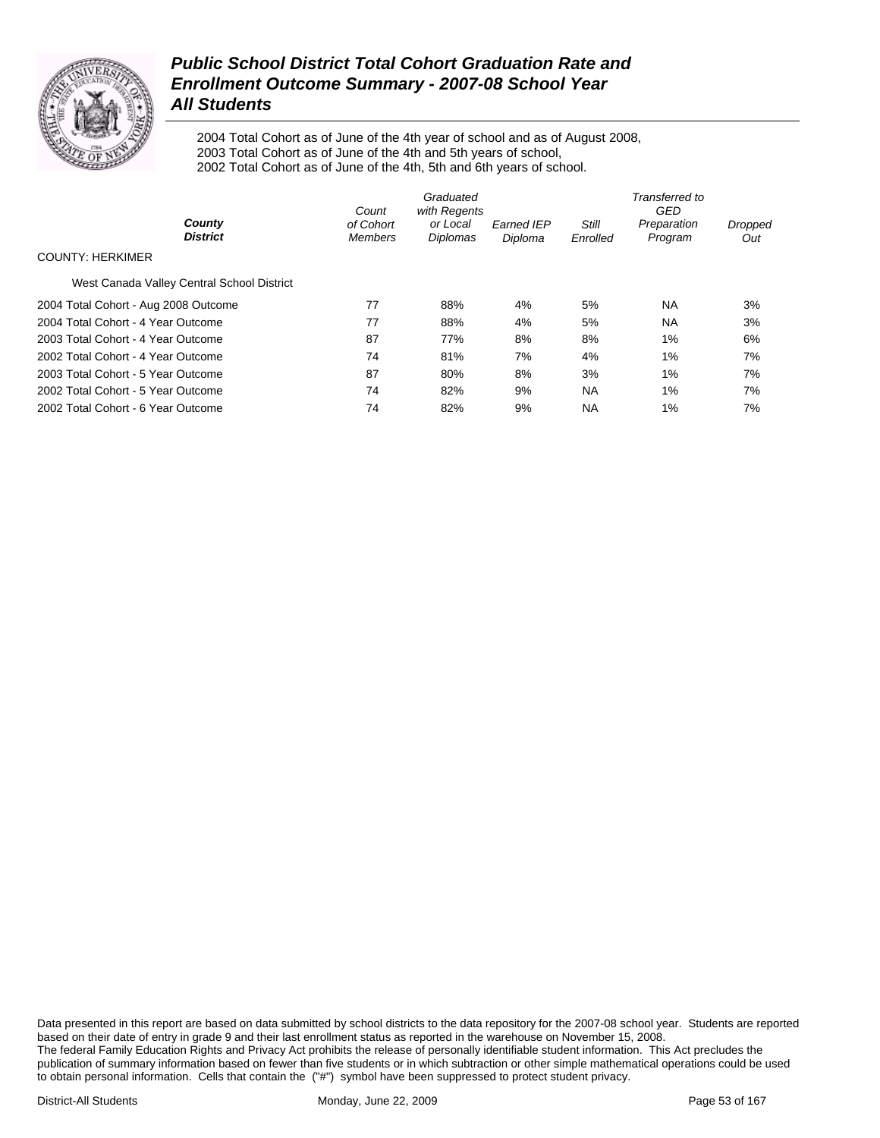

2004 Total Cohort as of June of the 4th year of school and as of August 2008, 2003 Total Cohort as of June of the 4th and 5th years of school, 2002 Total Cohort as of June of the 4th, 5th and 6th years of school.

|                                            | Count                       | Graduated<br>with Regents |                              | Transferred to<br>GED |                        |                |  |
|--------------------------------------------|-----------------------------|---------------------------|------------------------------|-----------------------|------------------------|----------------|--|
| County<br><b>District</b>                  | of Cohort<br><b>Members</b> | or Local<br>Diplomas      | <b>Earned IEP</b><br>Diploma | Still<br>Enrolled     | Preparation<br>Program | Dropped<br>Out |  |
| <b>COUNTY: HERKIMER</b>                    |                             |                           |                              |                       |                        |                |  |
| West Canada Valley Central School District |                             |                           |                              |                       |                        |                |  |
| 2004 Total Cohort - Aug 2008 Outcome       | 77                          | 88%                       | 4%                           | 5%                    | <b>NA</b>              | 3%             |  |
| 2004 Total Cohort - 4 Year Outcome         | 77                          | 88%                       | 4%                           | 5%                    | <b>NA</b>              | 3%             |  |
| 2003 Total Cohort - 4 Year Outcome         | 87                          | 77%                       | 8%                           | 8%                    | $1\%$                  | 6%             |  |
| 2002 Total Cohort - 4 Year Outcome         | 74                          | 81%                       | 7%                           | 4%                    | $1\%$                  | 7%             |  |
| 2003 Total Cohort - 5 Year Outcome         | 87                          | 80%                       | 8%                           | 3%                    | $1\%$                  | 7%             |  |
| 2002 Total Cohort - 5 Year Outcome         | 74                          | 82%                       | 9%                           | <b>NA</b>             | 1%                     | 7%             |  |
| 2002 Total Cohort - 6 Year Outcome         | 74                          | 82%                       | 9%                           | <b>NA</b>             | 1%                     | 7%             |  |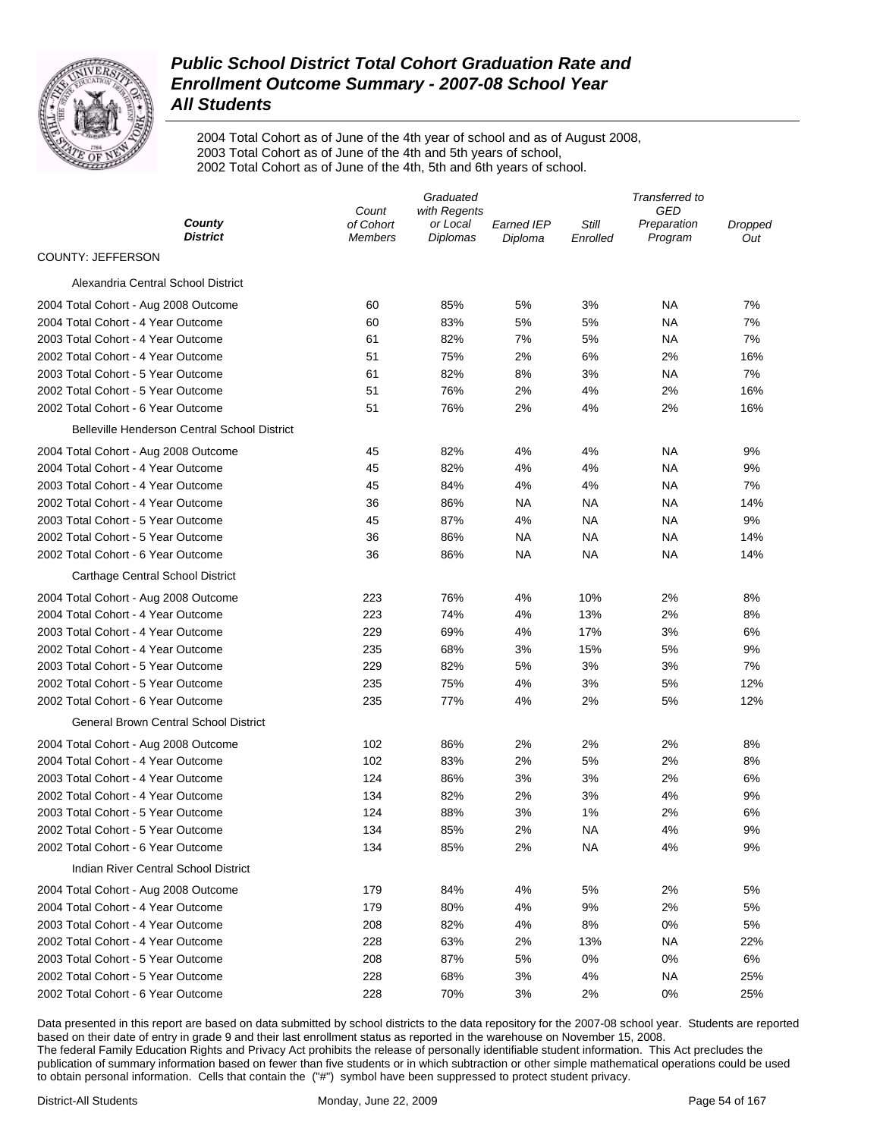

2004 Total Cohort as of June of the 4th year of school and as of August 2008, 2003 Total Cohort as of June of the 4th and 5th years of school, 2002 Total Cohort as of June of the 4th, 5th and 6th years of school.

|                                                     | Graduated                   |                             |                       |                   | Transferred to         |                |
|-----------------------------------------------------|-----------------------------|-----------------------------|-----------------------|-------------------|------------------------|----------------|
|                                                     | Count                       | with Regents                |                       |                   | GED                    |                |
| County<br><b>District</b>                           | of Cohort<br><b>Members</b> | or Local<br><b>Diplomas</b> | Earned IEP<br>Diploma | Still<br>Enrolled | Preparation<br>Program | Dropped<br>Out |
| COUNTY: JEFFERSON                                   |                             |                             |                       |                   |                        |                |
| Alexandria Central School District                  |                             |                             |                       |                   |                        |                |
| 2004 Total Cohort - Aug 2008 Outcome                | 60                          | 85%                         | 5%                    | 3%                | ΝA                     | 7%             |
| 2004 Total Cohort - 4 Year Outcome                  | 60                          | 83%                         | 5%                    | 5%                | ΝA                     | 7%             |
| 2003 Total Cohort - 4 Year Outcome                  | 61                          | 82%                         | 7%                    | 5%                | ΝA                     | 7%             |
| 2002 Total Cohort - 4 Year Outcome                  | 51                          | 75%                         | 2%                    | 6%                | 2%                     | 16%            |
| 2003 Total Cohort - 5 Year Outcome                  | 61                          | 82%                         | 8%                    | 3%                | ΝA                     | 7%             |
| 2002 Total Cohort - 5 Year Outcome                  | 51                          | 76%                         | 2%                    | 4%                | 2%                     | 16%            |
| 2002 Total Cohort - 6 Year Outcome                  | 51                          | 76%                         | 2%                    | 4%                | 2%                     | 16%            |
| <b>Belleville Henderson Central School District</b> |                             |                             |                       |                   |                        |                |
| 2004 Total Cohort - Aug 2008 Outcome                | 45                          | 82%                         | 4%                    | 4%                | ΝA                     | 9%             |
| 2004 Total Cohort - 4 Year Outcome                  | 45                          | 82%                         | 4%                    | 4%                | ΝA                     | 9%             |
| 2003 Total Cohort - 4 Year Outcome                  | 45                          | 84%                         | 4%                    | 4%                | ΝA                     | 7%             |
| 2002 Total Cohort - 4 Year Outcome                  | 36                          | 86%                         | <b>NA</b>             | ΝA                | ΝA                     | 14%            |
| 2003 Total Cohort - 5 Year Outcome                  | 45                          | 87%                         | 4%                    | ΝA                | ΝA                     | 9%             |
| 2002 Total Cohort - 5 Year Outcome                  | 36                          | 86%                         | NA                    | ΝA                | ΝA                     | 14%            |
| 2002 Total Cohort - 6 Year Outcome                  | 36                          | 86%                         | NA                    | ΝA                | ΝA                     | 14%            |
| Carthage Central School District                    |                             |                             |                       |                   |                        |                |
| 2004 Total Cohort - Aug 2008 Outcome                | 223                         | 76%                         | 4%                    | 10%               | 2%                     | 8%             |
| 2004 Total Cohort - 4 Year Outcome                  | 223                         | 74%                         | 4%                    | 13%               | 2%                     | 8%             |
| 2003 Total Cohort - 4 Year Outcome                  | 229                         | 69%                         | 4%                    | 17%               | 3%                     | 6%             |
| 2002 Total Cohort - 4 Year Outcome                  | 235                         | 68%                         | 3%                    | 15%               | 5%                     | 9%             |
| 2003 Total Cohort - 5 Year Outcome                  | 229                         | 82%                         | 5%                    | 3%                | 3%                     | 7%             |
| 2002 Total Cohort - 5 Year Outcome                  | 235                         | 75%                         | 4%                    | 3%                | 5%                     | 12%            |
| 2002 Total Cohort - 6 Year Outcome                  | 235                         | 77%                         | 4%                    | 2%                | 5%                     | 12%            |
| <b>General Brown Central School District</b>        |                             |                             |                       |                   |                        |                |
| 2004 Total Cohort - Aug 2008 Outcome                | 102                         | 86%                         | 2%                    | 2%                | 2%                     | 8%             |
| 2004 Total Cohort - 4 Year Outcome                  | 102                         | 83%                         | 2%                    | 5%                | 2%                     | 8%             |
| 2003 Total Cohort - 4 Year Outcome                  | 124                         | 86%                         | 3%                    | 3%                | 2%                     | 6%             |
| 2002 Total Cohort - 4 Year Outcome                  | 134                         | 82%                         | 2%                    | 3%                | 4%                     | 9%             |
| 2003 Total Cohort - 5 Year Outcome                  | 124                         | 88%                         | 3%                    | 1%                | 2%                     | 6%             |
| 2002 Total Cohort - 5 Year Outcome                  | 134                         | 85%                         | 2%                    | NA                | 4%                     | 9%             |
| 2002 Total Cohort - 6 Year Outcome                  | 134                         | 85%                         | 2%                    | <b>NA</b>         | 4%                     | 9%             |
| Indian River Central School District                |                             |                             |                       |                   |                        |                |
| 2004 Total Cohort - Aug 2008 Outcome                | 179                         | 84%                         | 4%                    | 5%                | 2%                     | 5%             |
| 2004 Total Cohort - 4 Year Outcome                  | 179                         | 80%                         | 4%                    | 9%                | 2%                     | 5%             |
| 2003 Total Cohort - 4 Year Outcome                  | 208                         | 82%                         | 4%                    | 8%                | 0%                     | 5%             |
| 2002 Total Cohort - 4 Year Outcome                  | 228                         | 63%                         | 2%                    | 13%               | <b>NA</b>              | 22%            |
| 2003 Total Cohort - 5 Year Outcome                  | 208                         | 87%                         | 5%                    | 0%                | 0%                     | 6%             |
| 2002 Total Cohort - 5 Year Outcome                  | 228                         | 68%                         | 3%                    | 4%                | ΝA                     | 25%            |
| 2002 Total Cohort - 6 Year Outcome                  | 228                         | 70%                         | 3%                    | 2%                | 0%                     | 25%            |
|                                                     |                             |                             |                       |                   |                        |                |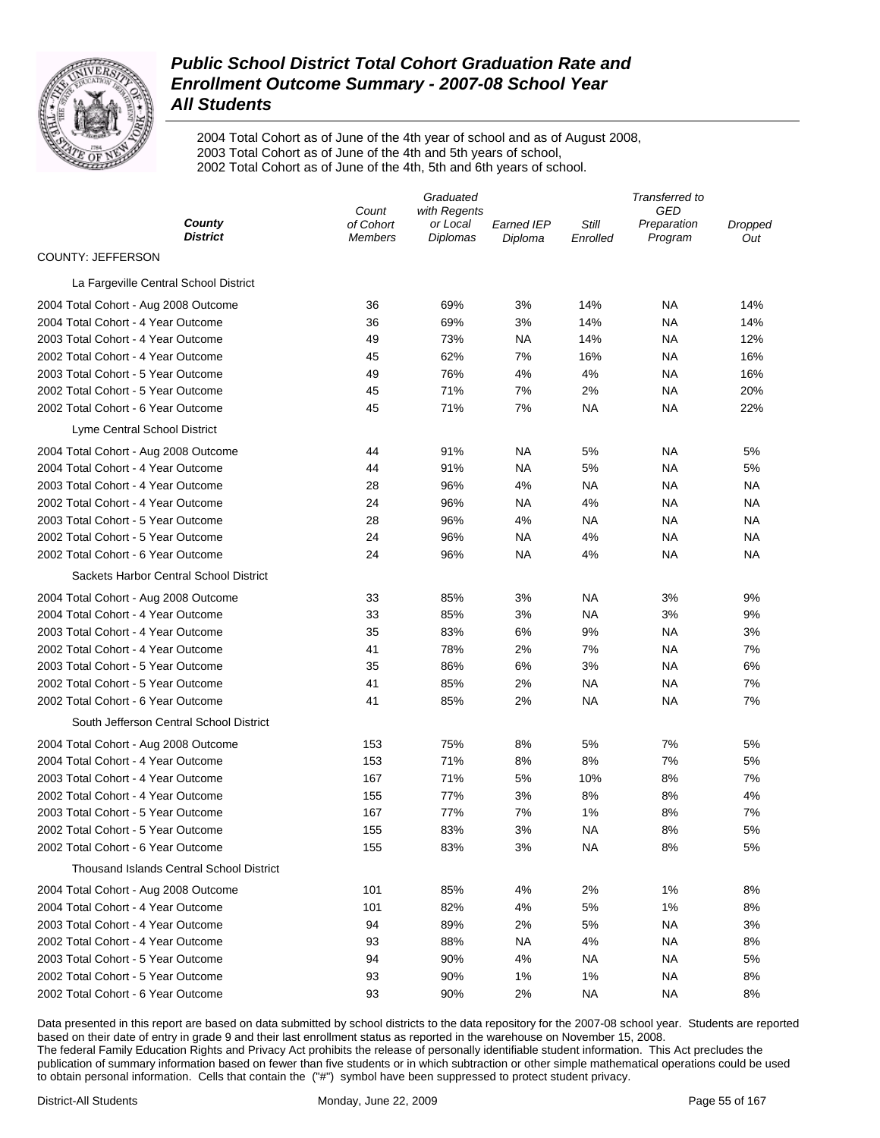

2004 Total Cohort as of June of the 4th year of school and as of August 2008, 2003 Total Cohort as of June of the 4th and 5th years of school, 2002 Total Cohort as of June of the 4th, 5th and 6th years of school.

|                                                 | Graduated            |                      |                              |                   | Transferred to<br>GED<br>Preparation<br>Dropped<br>Program<br>Out |           |  |  |
|-------------------------------------------------|----------------------|----------------------|------------------------------|-------------------|-------------------------------------------------------------------|-----------|--|--|
|                                                 | Count                | with Regents         |                              |                   |                                                                   |           |  |  |
| County<br><b>District</b>                       | of Cohort<br>Members | or Local<br>Diplomas | <b>Earned IEP</b><br>Diploma | Still<br>Enrolled |                                                                   |           |  |  |
| COUNTY: JEFFERSON                               |                      |                      |                              |                   |                                                                   |           |  |  |
| La Fargeville Central School District           |                      |                      |                              |                   |                                                                   |           |  |  |
| 2004 Total Cohort - Aug 2008 Outcome            | 36                   | 69%                  | 3%                           | 14%               | NA                                                                | 14%       |  |  |
| 2004 Total Cohort - 4 Year Outcome              | 36                   | 69%                  | 3%                           | 14%               | NA                                                                | 14%       |  |  |
| 2003 Total Cohort - 4 Year Outcome              | 49                   | 73%                  | ΝA                           | 14%               | NA                                                                | 12%       |  |  |
| 2002 Total Cohort - 4 Year Outcome              | 45                   | 62%                  | 7%                           | 16%               | NA                                                                | 16%       |  |  |
| 2003 Total Cohort - 5 Year Outcome              | 49                   | 76%                  | 4%                           | 4%                | NA                                                                | 16%       |  |  |
| 2002 Total Cohort - 5 Year Outcome              | 45                   | 71%                  | 7%                           | 2%                | NA                                                                | 20%       |  |  |
| 2002 Total Cohort - 6 Year Outcome              | 45                   | 71%                  | 7%                           | ΝA                | NA                                                                | 22%       |  |  |
| Lyme Central School District                    |                      |                      |                              |                   |                                                                   |           |  |  |
| 2004 Total Cohort - Aug 2008 Outcome            | 44                   | 91%                  | <b>NA</b>                    | 5%                | NA                                                                | 5%        |  |  |
| 2004 Total Cohort - 4 Year Outcome              | 44                   | 91%                  | ΝA                           | 5%                | <b>NA</b>                                                         | 5%        |  |  |
| 2003 Total Cohort - 4 Year Outcome              | 28                   | 96%                  | 4%                           | NA                | NA                                                                | ΝA        |  |  |
| 2002 Total Cohort - 4 Year Outcome              | 24                   | 96%                  | ΝA                           | 4%                | NA                                                                | NA        |  |  |
| 2003 Total Cohort - 5 Year Outcome              | 28                   | 96%                  | 4%                           | NA                | NA                                                                | ΝA        |  |  |
| 2002 Total Cohort - 5 Year Outcome              | 24                   | 96%                  | <b>NA</b>                    | 4%                | <b>NA</b>                                                         | <b>NA</b> |  |  |
| 2002 Total Cohort - 6 Year Outcome              | 24                   | 96%                  | ΝA                           | 4%                | NA                                                                | ΝA        |  |  |
| Sackets Harbor Central School District          |                      |                      |                              |                   |                                                                   |           |  |  |
| 2004 Total Cohort - Aug 2008 Outcome            | 33                   | 85%                  | 3%                           | NA                | 3%                                                                | 9%        |  |  |
| 2004 Total Cohort - 4 Year Outcome              | 33                   | 85%                  | 3%                           | NA                | 3%                                                                | 9%        |  |  |
| 2003 Total Cohort - 4 Year Outcome              | 35                   | 83%                  | $6\%$                        | 9%                | NA                                                                | 3%        |  |  |
| 2002 Total Cohort - 4 Year Outcome              | 41                   | 78%                  | 2%                           | 7%                | NA                                                                | 7%        |  |  |
| 2003 Total Cohort - 5 Year Outcome              | 35                   | 86%                  | $6\%$                        | 3%                | NA                                                                | 6%        |  |  |
| 2002 Total Cohort - 5 Year Outcome              | 41                   | 85%                  | 2%                           | NA                | NA                                                                | 7%        |  |  |
| 2002 Total Cohort - 6 Year Outcome              | 41                   | 85%                  | 2%                           | <b>NA</b>         | <b>NA</b>                                                         | 7%        |  |  |
| South Jefferson Central School District         |                      |                      |                              |                   |                                                                   |           |  |  |
| 2004 Total Cohort - Aug 2008 Outcome            | 153                  | 75%                  | 8%                           | 5%                | 7%                                                                | 5%        |  |  |
| 2004 Total Cohort - 4 Year Outcome              | 153                  | 71%                  | 8%                           | 8%                | 7%                                                                | 5%        |  |  |
| 2003 Total Cohort - 4 Year Outcome              | 167                  | 71%                  | 5%                           | 10%               | 8%                                                                | 7%        |  |  |
| 2002 Total Cohort - 4 Year Outcome              | 155                  | 77%                  | 3%                           | 8%                | 8%                                                                | 4%        |  |  |
| 2003 Total Cohort - 5 Year Outcome              | 167                  | 77%                  | 7%                           | 1%                | 8%                                                                | 7%        |  |  |
| 2002 Total Cohort - 5 Year Outcome              | 155                  | 83%                  | 3%                           | <b>NA</b>         | 8%                                                                | 5%        |  |  |
| 2002 Total Cohort - 6 Year Outcome              | 155                  | 83%                  | 3%                           | <b>NA</b>         | 8%                                                                | 5%        |  |  |
| <b>Thousand Islands Central School District</b> |                      |                      |                              |                   |                                                                   |           |  |  |
| 2004 Total Cohort - Aug 2008 Outcome            | 101                  | 85%                  | 4%                           | 2%                | 1%                                                                | 8%        |  |  |
| 2004 Total Cohort - 4 Year Outcome              | 101                  | 82%                  | 4%                           | 5%                | 1%                                                                | 8%        |  |  |
| 2003 Total Cohort - 4 Year Outcome              | 94                   | 89%                  | 2%                           | 5%                | <b>NA</b>                                                         | 3%        |  |  |
| 2002 Total Cohort - 4 Year Outcome              | 93                   | 88%                  | <b>NA</b>                    | 4%                | <b>NA</b>                                                         | 8%        |  |  |
| 2003 Total Cohort - 5 Year Outcome              | 94                   | 90%                  | 4%                           | <b>NA</b>         | <b>NA</b>                                                         | 5%        |  |  |
| 2002 Total Cohort - 5 Year Outcome              | 93                   | 90%                  | 1%                           | 1%                | <b>NA</b>                                                         | 8%        |  |  |
| 2002 Total Cohort - 6 Year Outcome              | 93                   | 90%                  | 2%                           | <b>NA</b>         | <b>NA</b>                                                         | 8%        |  |  |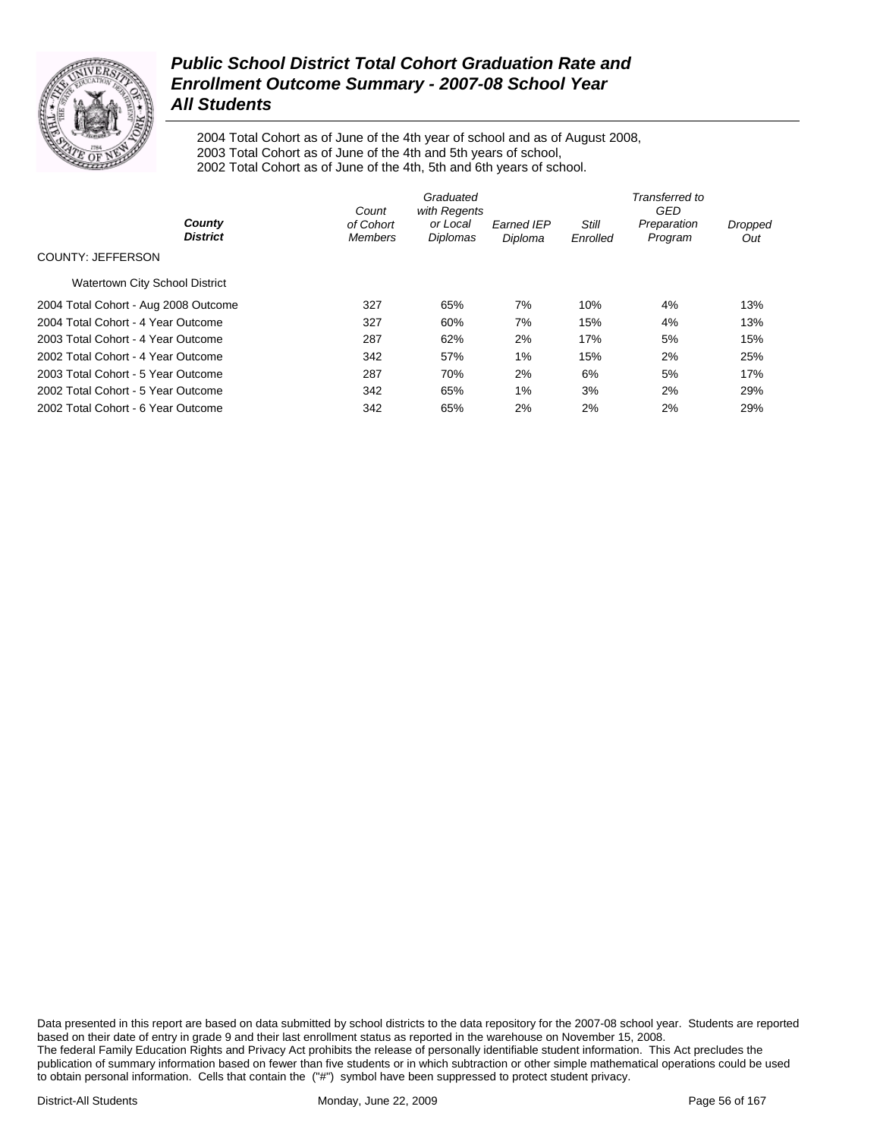

2004 Total Cohort as of June of the 4th year of school and as of August 2008, 2003 Total Cohort as of June of the 4th and 5th years of school, 2002 Total Cohort as of June of the 4th, 5th and 6th years of school.

|                                       | Count                       | Graduated<br>with Regents |                              | Transferred to<br>GED    |                        |                       |  |
|---------------------------------------|-----------------------------|---------------------------|------------------------------|--------------------------|------------------------|-----------------------|--|
| County<br><b>District</b>             | of Cohort<br><b>Members</b> | or Local<br>Diplomas      | <b>Earned IEP</b><br>Diploma | <b>Still</b><br>Enrolled | Preparation<br>Program | <b>Dropped</b><br>Out |  |
| COUNTY: JEFFERSON                     |                             |                           |                              |                          |                        |                       |  |
| <b>Watertown City School District</b> |                             |                           |                              |                          |                        |                       |  |
| 2004 Total Cohort - Aug 2008 Outcome  | 327                         | 65%                       | 7%                           | 10%                      | 4%                     | 13%                   |  |
| 2004 Total Cohort - 4 Year Outcome    | 327                         | 60%                       | 7%                           | 15%                      | 4%                     | 13%                   |  |
| 2003 Total Cohort - 4 Year Outcome    | 287                         | 62%                       | 2%                           | 17%                      | 5%                     | 15%                   |  |
| 2002 Total Cohort - 4 Year Outcome    | 342                         | 57%                       | 1%                           | 15%                      | 2%                     | 25%                   |  |
| 2003 Total Cohort - 5 Year Outcome    | 287                         | 70%                       | 2%                           | 6%                       | 5%                     | 17%                   |  |
| 2002 Total Cohort - 5 Year Outcome    | 342                         | 65%                       | 1%                           | 3%                       | 2%                     | 29%                   |  |
| 2002 Total Cohort - 6 Year Outcome    | 342                         | 65%                       | 2%                           | 2%                       | 2%                     | 29%                   |  |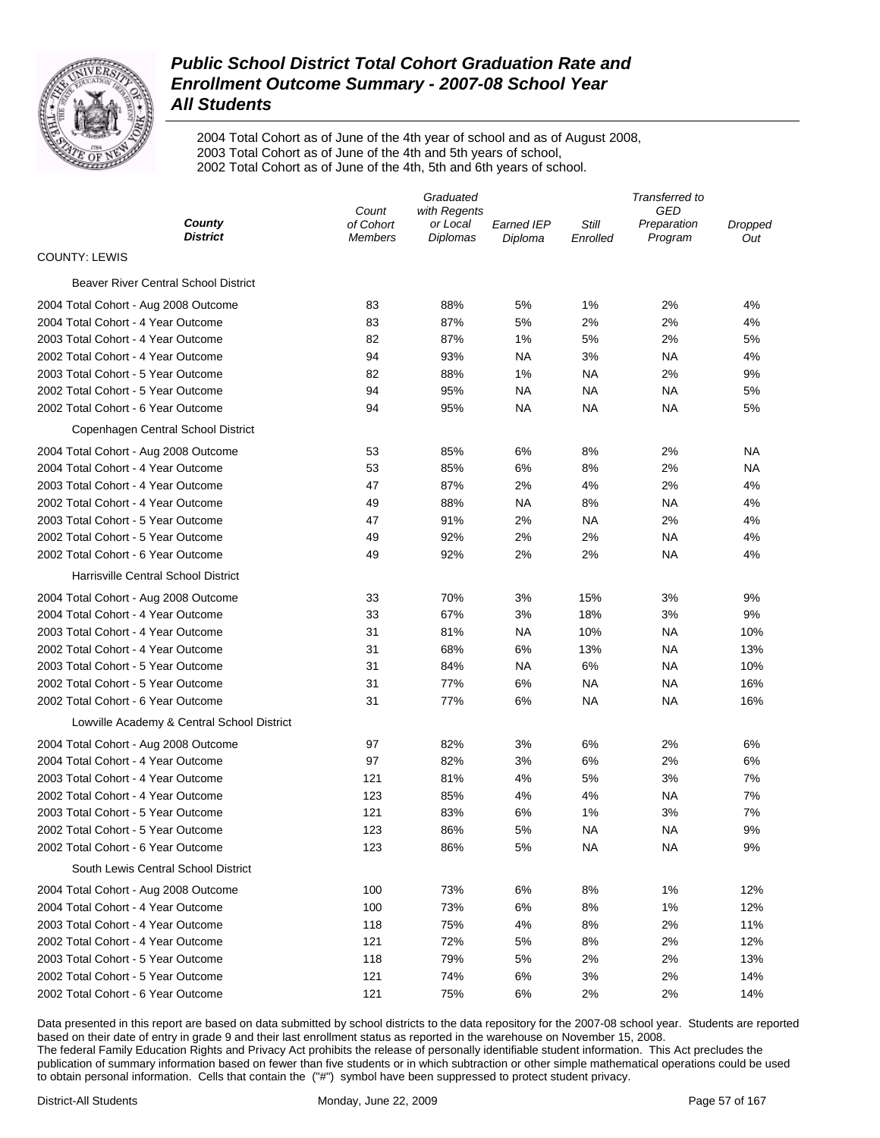

2004 Total Cohort as of June of the 4th year of school and as of August 2008, 2003 Total Cohort as of June of the 4th and 5th years of school, 2002 Total Cohort as of June of the 4th, 5th and 6th years of school.

| GED<br>Count<br>with Regents<br>County<br>of Cohort<br>Still<br>or Local<br><b>Earned IEP</b><br>Preparation<br>Dropped<br>District<br>Diplomas<br>Program<br><b>Members</b><br>Diploma<br>Enrolled<br><b>COUNTY: LEWIS</b><br><b>Beaver River Central School District</b> | Out       |
|----------------------------------------------------------------------------------------------------------------------------------------------------------------------------------------------------------------------------------------------------------------------------|-----------|
|                                                                                                                                                                                                                                                                            |           |
|                                                                                                                                                                                                                                                                            |           |
|                                                                                                                                                                                                                                                                            |           |
|                                                                                                                                                                                                                                                                            |           |
| 83<br>88%<br>1%<br>2%<br>2004 Total Cohort - Aug 2008 Outcome<br>5%                                                                                                                                                                                                        | 4%        |
| 2004 Total Cohort - 4 Year Outcome<br>83<br>87%<br>5%<br>2%<br>2%                                                                                                                                                                                                          | 4%        |
| 87%<br>2003 Total Cohort - 4 Year Outcome<br>82<br>1%<br>5%<br>2%                                                                                                                                                                                                          | 5%        |
| 2002 Total Cohort - 4 Year Outcome<br>94<br>93%<br>NA<br>3%<br>ΝA                                                                                                                                                                                                          | 4%        |
| 2003 Total Cohort - 5 Year Outcome<br>82<br>88%<br>1%<br><b>NA</b><br>2%                                                                                                                                                                                                   | 9%        |
| 2002 Total Cohort - 5 Year Outcome<br>94<br>95%<br>NA<br>ΝA<br>NA                                                                                                                                                                                                          | 5%        |
| 2002 Total Cohort - 6 Year Outcome<br>94<br>95%<br>NA<br>ΝA<br>ΝA                                                                                                                                                                                                          | 5%        |
| Copenhagen Central School District                                                                                                                                                                                                                                         |           |
| 53<br>85%<br>6%<br>8%<br>2%<br>2004 Total Cohort - Aug 2008 Outcome                                                                                                                                                                                                        | NA        |
| 2004 Total Cohort - 4 Year Outcome<br>53<br>85%<br>6%<br>8%<br>2%                                                                                                                                                                                                          | <b>NA</b> |
| 87%<br>2003 Total Cohort - 4 Year Outcome<br>47<br>2%<br>4%<br>2%                                                                                                                                                                                                          | 4%        |
| 2002 Total Cohort - 4 Year Outcome<br>88%<br>NA<br>8%<br>ΝA<br>49                                                                                                                                                                                                          | 4%        |
| 2003 Total Cohort - 5 Year Outcome<br>91%<br>2%<br><b>NA</b><br>2%<br>47                                                                                                                                                                                                   | 4%        |
| 2002 Total Cohort - 5 Year Outcome<br>49<br>92%<br>2%<br>2%<br><b>NA</b>                                                                                                                                                                                                   | 4%        |
| 2%<br>2002 Total Cohort - 6 Year Outcome<br>49<br>92%<br>2%<br>NA                                                                                                                                                                                                          | 4%        |
| Harrisville Central School District                                                                                                                                                                                                                                        |           |
| 33<br>70%<br>3%<br>15%<br>3%<br>2004 Total Cohort - Aug 2008 Outcome                                                                                                                                                                                                       | 9%        |
| 67%<br>2004 Total Cohort - 4 Year Outcome<br>33<br>3%<br>18%<br>3%                                                                                                                                                                                                         | 9%        |
| 2003 Total Cohort - 4 Year Outcome<br>31<br>81%<br><b>NA</b><br>10%<br>ΝA                                                                                                                                                                                                  | 10%       |
| 2002 Total Cohort - 4 Year Outcome<br>31<br>68%<br>6%<br>13%<br>ΝA                                                                                                                                                                                                         | 13%       |
| 2003 Total Cohort - 5 Year Outcome<br>31<br>84%<br>NA<br>6%<br>ΝA                                                                                                                                                                                                          | 10%       |
| 2002 Total Cohort - 5 Year Outcome<br>31<br>77%<br>6%<br>ΝA<br><b>NA</b>                                                                                                                                                                                                   | 16%       |
| 2002 Total Cohort - 6 Year Outcome<br>31<br>77%<br>6%<br>ΝA<br>ΝA                                                                                                                                                                                                          | 16%       |
| Lowville Academy & Central School District                                                                                                                                                                                                                                 |           |
| 97<br>82%<br>3%<br>6%<br>2%<br>2004 Total Cohort - Aug 2008 Outcome                                                                                                                                                                                                        | 6%        |
| 2004 Total Cohort - 4 Year Outcome<br>97<br>82%<br>3%<br>6%<br>2%                                                                                                                                                                                                          | 6%        |
| 2003 Total Cohort - 4 Year Outcome<br>121<br>81%<br>4%<br>5%<br>3%                                                                                                                                                                                                         | 7%        |
| 2002 Total Cohort - 4 Year Outcome<br>123<br>85%<br>4%<br>4%<br>ΝA                                                                                                                                                                                                         | 7%        |
| 2003 Total Cohort - 5 Year Outcome<br>121<br>83%<br>6%<br>1%<br>3%                                                                                                                                                                                                         | 7%        |
| 123<br>86%<br>5%<br>ΝA<br><b>NA</b><br>2002 Total Cohort - 5 Year Outcome                                                                                                                                                                                                  | 9%        |
| 2002 Total Cohort - 6 Year Outcome<br>5%<br><b>NA</b><br><b>NA</b><br>123<br>86%                                                                                                                                                                                           | 9%        |
| South Lewis Central School District                                                                                                                                                                                                                                        |           |
| 6%<br>2004 Total Cohort - Aug 2008 Outcome<br>100<br>73%<br>8%<br>1%                                                                                                                                                                                                       | 12%       |
| 73%<br>6%<br>2004 Total Cohort - 4 Year Outcome<br>100<br>8%<br>1%                                                                                                                                                                                                         | 12%       |
| 75%<br>4%<br>2%<br>2003 Total Cohort - 4 Year Outcome<br>118<br>8%                                                                                                                                                                                                         | 11%       |
| 2002 Total Cohort - 4 Year Outcome<br>121<br>72%<br>5%<br>2%<br>8%                                                                                                                                                                                                         | 12%       |
| 79%<br>5%<br>2003 Total Cohort - 5 Year Outcome<br>118<br>2%<br>2%                                                                                                                                                                                                         | 13%       |
| 2002 Total Cohort - 5 Year Outcome<br>121<br>74%<br>6%<br>2%<br>3%                                                                                                                                                                                                         | 14%       |
| 2002 Total Cohort - 6 Year Outcome<br>121<br>75%<br>6%<br>2%<br>2%                                                                                                                                                                                                         | 14%       |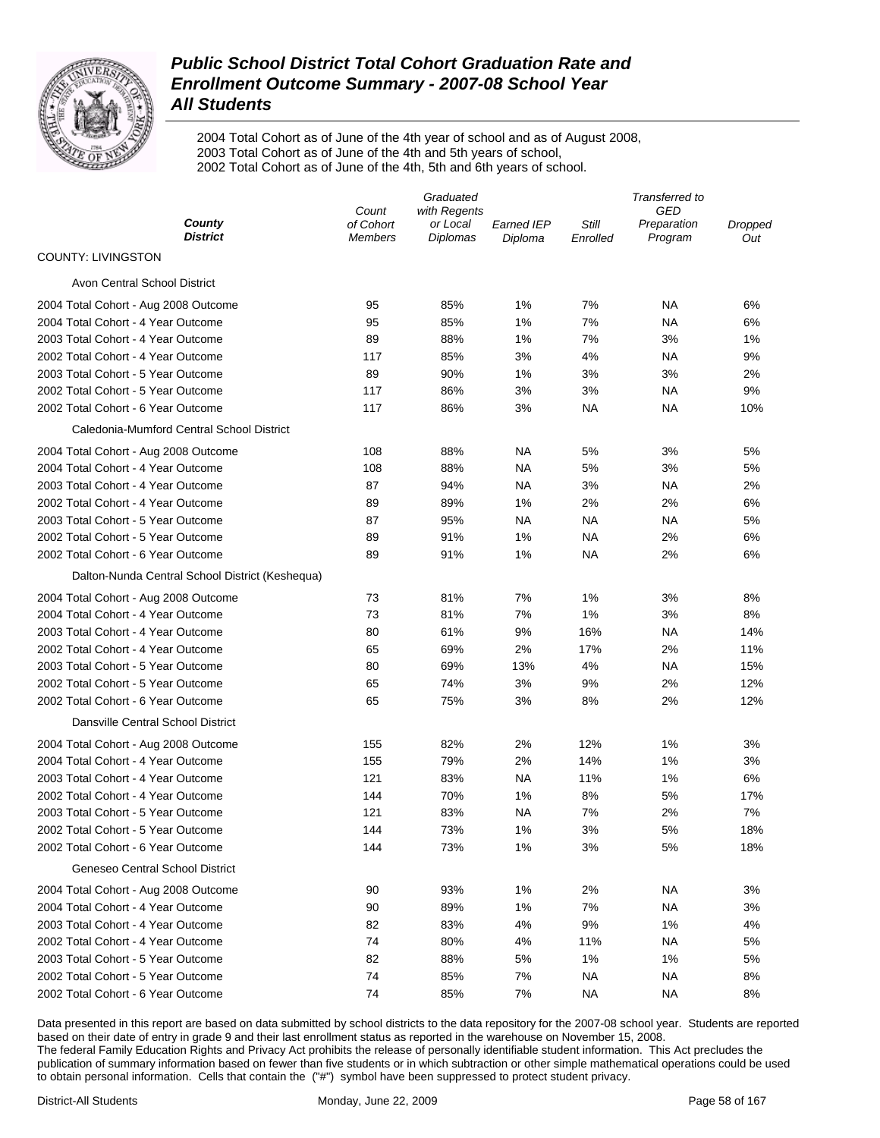

2004 Total Cohort as of June of the 4th year of school and as of August 2008, 2003 Total Cohort as of June of the 4th and 5th years of school, 2002 Total Cohort as of June of the 4th, 5th and 6th years of school.

|                                                 | Graduated          |                          |                   |           | Transferred to<br>GED  |                |  |  |
|-------------------------------------------------|--------------------|--------------------------|-------------------|-----------|------------------------|----------------|--|--|
| County                                          | Count<br>of Cohort | with Regents<br>or Local | <b>Earned IEP</b> | Still     |                        |                |  |  |
| <b>District</b>                                 | <b>Members</b>     | <b>Diplomas</b>          | Diploma           | Enrolled  | Preparation<br>Program | Dropped<br>Out |  |  |
| <b>COUNTY: LIVINGSTON</b>                       |                    |                          |                   |           |                        |                |  |  |
| Avon Central School District                    |                    |                          |                   |           |                        |                |  |  |
| 2004 Total Cohort - Aug 2008 Outcome            | 95                 | 85%                      | 1%                | 7%        | NA                     | 6%             |  |  |
| 2004 Total Cohort - 4 Year Outcome              | 95                 | 85%                      | 1%                | 7%        | NA                     | 6%             |  |  |
| 2003 Total Cohort - 4 Year Outcome              | 89                 | 88%                      | 1%                | 7%        | 3%                     | 1%             |  |  |
| 2002 Total Cohort - 4 Year Outcome              | 117                | 85%                      | 3%                | 4%        | NA                     | 9%             |  |  |
| 2003 Total Cohort - 5 Year Outcome              | 89                 | 90%                      | 1%                | 3%        | 3%                     | 2%             |  |  |
| 2002 Total Cohort - 5 Year Outcome              | 117                | 86%                      | 3%                | 3%        | NA                     | 9%             |  |  |
| 2002 Total Cohort - 6 Year Outcome              | 117                | 86%                      | 3%                | NA        | NA                     | 10%            |  |  |
| Caledonia-Mumford Central School District       |                    |                          |                   |           |                        |                |  |  |
| 2004 Total Cohort - Aug 2008 Outcome            | 108                | 88%                      | NA                | 5%        | 3%                     | 5%             |  |  |
| 2004 Total Cohort - 4 Year Outcome              | 108                | 88%                      | ΝA                | 5%        | 3%                     | 5%             |  |  |
| 2003 Total Cohort - 4 Year Outcome              | 87                 | 94%                      | NA                | 3%        | NA                     | 2%             |  |  |
| 2002 Total Cohort - 4 Year Outcome              | 89                 | 89%                      | 1%                | 2%        | 2%                     | 6%             |  |  |
| 2003 Total Cohort - 5 Year Outcome              | 87                 | 95%                      | ΝA                | NA        | NA                     | 5%             |  |  |
| 2002 Total Cohort - 5 Year Outcome              | 89                 | 91%                      | 1%                | <b>NA</b> | 2%                     | 6%             |  |  |
| 2002 Total Cohort - 6 Year Outcome              | 89                 | 91%                      | 1%                | <b>NA</b> | 2%                     | 6%             |  |  |
| Dalton-Nunda Central School District (Keshequa) |                    |                          |                   |           |                        |                |  |  |
| 2004 Total Cohort - Aug 2008 Outcome            | 73                 | 81%                      | 7%                | 1%        | 3%                     | 8%             |  |  |
| 2004 Total Cohort - 4 Year Outcome              | 73                 | 81%                      | 7%                | 1%        | 3%                     | 8%             |  |  |
| 2003 Total Cohort - 4 Year Outcome              | 80                 | 61%                      | 9%                | 16%       | NA                     | 14%            |  |  |
| 2002 Total Cohort - 4 Year Outcome              | 65                 | 69%                      | 2%                | 17%       | 2%                     | 11%            |  |  |
| 2003 Total Cohort - 5 Year Outcome              | 80                 | 69%                      | 13%               | 4%        | NA                     | 15%            |  |  |
| 2002 Total Cohort - 5 Year Outcome              | 65                 | 74%                      | 3%                | 9%        | 2%                     | 12%            |  |  |
| 2002 Total Cohort - 6 Year Outcome              | 65                 | 75%                      | 3%                | 8%        | 2%                     | 12%            |  |  |
| Dansville Central School District               |                    |                          |                   |           |                        |                |  |  |
| 2004 Total Cohort - Aug 2008 Outcome            | 155                | 82%                      | 2%                | 12%       | 1%                     | 3%             |  |  |
| 2004 Total Cohort - 4 Year Outcome              | 155                | 79%                      | 2%                | 14%       | 1%                     | 3%             |  |  |
| 2003 Total Cohort - 4 Year Outcome              | 121                | 83%                      | <b>NA</b>         | 11%       | 1%                     | 6%             |  |  |
| 2002 Total Cohort - 4 Year Outcome              | 144                | 70%                      | 1%                | 8%        | 5%                     | 17%            |  |  |
| 2003 Total Cohort - 5 Year Outcome              | 121                | 83%                      | <b>NA</b>         | 7%        | 2%                     | 7%             |  |  |
| 2002 Total Cohort - 5 Year Outcome              | 144                | 73%                      | 1%                | 3%        | 5%                     | 18%            |  |  |
| 2002 Total Cohort - 6 Year Outcome              | 144                | 73%                      | 1%                | 3%        | 5%                     | 18%            |  |  |
| Geneseo Central School District                 |                    |                          |                   |           |                        |                |  |  |
| 2004 Total Cohort - Aug 2008 Outcome            | 90                 | 93%                      | 1%                | 2%        | <b>NA</b>              | 3%             |  |  |
| 2004 Total Cohort - 4 Year Outcome              | 90                 | 89%                      | 1%                | 7%        | <b>NA</b>              | 3%             |  |  |
| 2003 Total Cohort - 4 Year Outcome              | 82                 | 83%                      | 4%                | 9%        | 1%                     | 4%             |  |  |
| 2002 Total Cohort - 4 Year Outcome              | 74                 | 80%                      | 4%                | 11%       | <b>NA</b>              | 5%             |  |  |
| 2003 Total Cohort - 5 Year Outcome              | 82                 | 88%                      | 5%                | 1%        | 1%                     | 5%             |  |  |
| 2002 Total Cohort - 5 Year Outcome              | 74                 | 85%                      | 7%                | <b>NA</b> | <b>NA</b>              | 8%             |  |  |
| 2002 Total Cohort - 6 Year Outcome              | 74                 | 85%                      | 7%                | <b>NA</b> | <b>NA</b>              | 8%             |  |  |
|                                                 |                    |                          |                   |           |                        |                |  |  |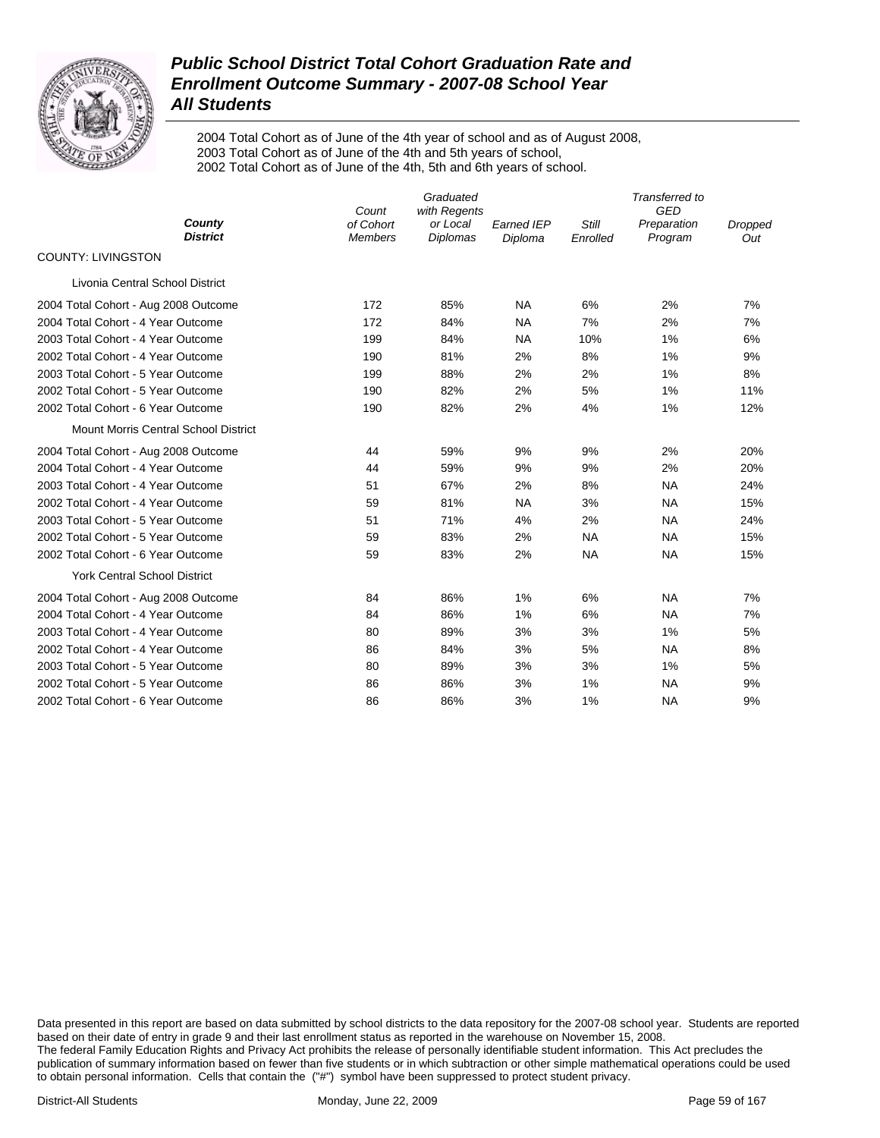

2004 Total Cohort as of June of the 4th year of school and as of August 2008, 2003 Total Cohort as of June of the 4th and 5th years of school, 2002 Total Cohort as of June of the 4th, 5th and 6th years of school.

|                                             | Count                       | Graduated<br>with Regents   |                              |                   | Transferred to<br><b>GED</b> |                       |
|---------------------------------------------|-----------------------------|-----------------------------|------------------------------|-------------------|------------------------------|-----------------------|
| County<br><b>District</b>                   | of Cohort<br><b>Members</b> | or Local<br><b>Diplomas</b> | <b>Earned IEP</b><br>Diploma | Still<br>Enrolled | Preparation<br>Program       | <b>Dropped</b><br>Out |
| <b>COUNTY: LIVINGSTON</b>                   |                             |                             |                              |                   |                              |                       |
| Livonia Central School District             |                             |                             |                              |                   |                              |                       |
| 2004 Total Cohort - Aug 2008 Outcome        | 172                         | 85%                         | <b>NA</b>                    | 6%                | 2%                           | 7%                    |
| 2004 Total Cohort - 4 Year Outcome          | 172                         | 84%                         | <b>NA</b>                    | 7%                | 2%                           | 7%                    |
| 2003 Total Cohort - 4 Year Outcome          | 199                         | 84%                         | <b>NA</b>                    | 10%               | 1%                           | 6%                    |
| 2002 Total Cohort - 4 Year Outcome          | 190                         | 81%                         | 2%                           | 8%                | 1%                           | 9%                    |
| 2003 Total Cohort - 5 Year Outcome          | 199                         | 88%                         | 2%                           | 2%                | 1%                           | 8%                    |
| 2002 Total Cohort - 5 Year Outcome          | 190                         | 82%                         | 2%                           | 5%                | 1%                           | 11%                   |
| 2002 Total Cohort - 6 Year Outcome          | 190                         | 82%                         | 2%                           | 4%                | 1%                           | 12%                   |
| <b>Mount Morris Central School District</b> |                             |                             |                              |                   |                              |                       |
| 2004 Total Cohort - Aug 2008 Outcome        | 44                          | 59%                         | 9%                           | 9%                | 2%                           | 20%                   |
| 2004 Total Cohort - 4 Year Outcome          | 44                          | 59%                         | 9%                           | 9%                | 2%                           | 20%                   |
| 2003 Total Cohort - 4 Year Outcome          | 51                          | 67%                         | 2%                           | 8%                | <b>NA</b>                    | 24%                   |
| 2002 Total Cohort - 4 Year Outcome          | 59                          | 81%                         | <b>NA</b>                    | 3%                | <b>NA</b>                    | 15%                   |
| 2003 Total Cohort - 5 Year Outcome          | 51                          | 71%                         | 4%                           | 2%                | <b>NA</b>                    | 24%                   |
| 2002 Total Cohort - 5 Year Outcome          | 59                          | 83%                         | 2%                           | <b>NA</b>         | <b>NA</b>                    | 15%                   |
| 2002 Total Cohort - 6 Year Outcome          | 59                          | 83%                         | 2%                           | <b>NA</b>         | <b>NA</b>                    | 15%                   |
| <b>York Central School District</b>         |                             |                             |                              |                   |                              |                       |
| 2004 Total Cohort - Aug 2008 Outcome        | 84                          | 86%                         | 1%                           | 6%                | <b>NA</b>                    | 7%                    |
| 2004 Total Cohort - 4 Year Outcome          | 84                          | 86%                         | 1%                           | 6%                | <b>NA</b>                    | 7%                    |
| 2003 Total Cohort - 4 Year Outcome          | 80                          | 89%                         | 3%                           | 3%                | 1%                           | 5%                    |
| 2002 Total Cohort - 4 Year Outcome          | 86                          | 84%                         | 3%                           | 5%                | <b>NA</b>                    | 8%                    |
| 2003 Total Cohort - 5 Year Outcome          | 80                          | 89%                         | 3%                           | 3%                | 1%                           | 5%                    |
| 2002 Total Cohort - 5 Year Outcome          | 86                          | 86%                         | 3%                           | 1%                | <b>NA</b>                    | 9%                    |
| 2002 Total Cohort - 6 Year Outcome          | 86                          | 86%                         | 3%                           | 1%                | <b>NA</b>                    | 9%                    |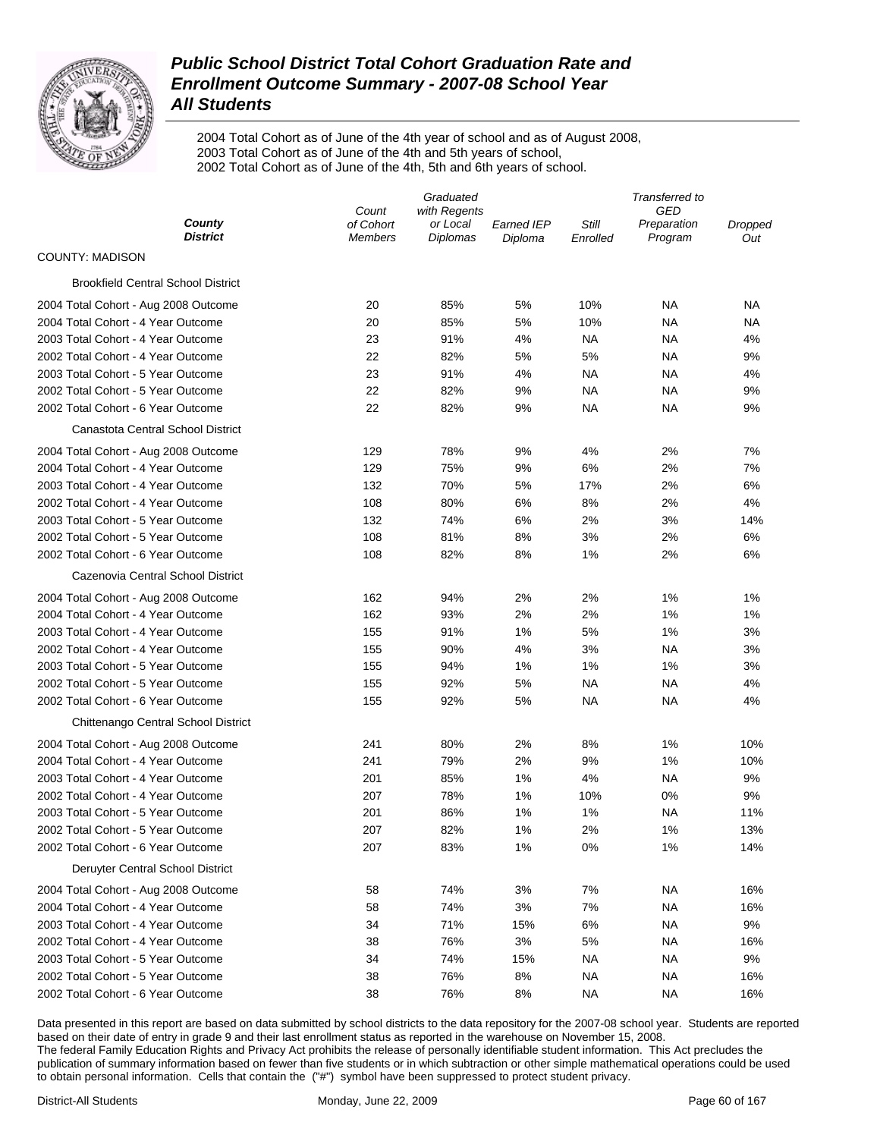

2004 Total Cohort as of June of the 4th year of school and as of August 2008, 2003 Total Cohort as of June of the 4th and 5th years of school, 2002 Total Cohort as of June of the 4th, 5th and 6th years of school.

|                                           | Graduated          |                          |            |           | Transferred to<br>GED<br>Preparation<br>Dropped<br>Program<br>Out<br>NA<br>ΝA<br>NA<br>NA<br>NA<br>4%<br><b>NA</b><br>9%<br>NA<br>4%<br>ΝA<br>9%<br>ΝA<br>9%<br>7%<br>2%<br>2%<br>7% |     |  |
|-------------------------------------------|--------------------|--------------------------|------------|-----------|--------------------------------------------------------------------------------------------------------------------------------------------------------------------------------------|-----|--|
| County                                    | Count<br>of Cohort | with Regents<br>or Local | Earned IEP | Still     |                                                                                                                                                                                      |     |  |
| <b>District</b>                           | <b>Members</b>     | <b>Diplomas</b>          | Diploma    | Enrolled  |                                                                                                                                                                                      |     |  |
| <b>COUNTY: MADISON</b>                    |                    |                          |            |           |                                                                                                                                                                                      |     |  |
| <b>Brookfield Central School District</b> |                    |                          |            |           |                                                                                                                                                                                      |     |  |
| 2004 Total Cohort - Aug 2008 Outcome      | 20                 | 85%                      | 5%         | 10%       |                                                                                                                                                                                      |     |  |
| 2004 Total Cohort - 4 Year Outcome        | 20                 | 85%                      | 5%         | 10%       |                                                                                                                                                                                      |     |  |
| 2003 Total Cohort - 4 Year Outcome        | 23                 | 91%                      | 4%         | NA        |                                                                                                                                                                                      |     |  |
| 2002 Total Cohort - 4 Year Outcome        | 22                 | 82%                      | 5%         | 5%        |                                                                                                                                                                                      |     |  |
| 2003 Total Cohort - 5 Year Outcome        | 23                 | 91%                      | 4%         | NA        |                                                                                                                                                                                      |     |  |
| 2002 Total Cohort - 5 Year Outcome        | 22                 | 82%                      | 9%         | NA        |                                                                                                                                                                                      |     |  |
| 2002 Total Cohort - 6 Year Outcome        | 22                 | 82%                      | 9%         | NA        |                                                                                                                                                                                      |     |  |
| Canastota Central School District         |                    |                          |            |           |                                                                                                                                                                                      |     |  |
| 2004 Total Cohort - Aug 2008 Outcome      | 129                | 78%                      | 9%         | 4%        |                                                                                                                                                                                      |     |  |
| 2004 Total Cohort - 4 Year Outcome        | 129                | 75%                      | 9%         | 6%        |                                                                                                                                                                                      |     |  |
| 2003 Total Cohort - 4 Year Outcome        | 132                | 70%                      | 5%         | 17%       | 2%                                                                                                                                                                                   | 6%  |  |
| 2002 Total Cohort - 4 Year Outcome        | 108                | 80%                      | 6%         | 8%        | 2%                                                                                                                                                                                   | 4%  |  |
| 2003 Total Cohort - 5 Year Outcome        | 132                | 74%                      | 6%         | 2%        | 3%                                                                                                                                                                                   | 14% |  |
| 2002 Total Cohort - 5 Year Outcome        | 108                | 81%                      | 8%         | 3%        | 2%                                                                                                                                                                                   | 6%  |  |
| 2002 Total Cohort - 6 Year Outcome        | 108                | 82%                      | 8%         | 1%        | 2%                                                                                                                                                                                   | 6%  |  |
| Cazenovia Central School District         |                    |                          |            |           |                                                                                                                                                                                      |     |  |
| 2004 Total Cohort - Aug 2008 Outcome      | 162                | 94%                      | 2%         | 2%        | 1%                                                                                                                                                                                   | 1%  |  |
| 2004 Total Cohort - 4 Year Outcome        | 162                | 93%                      | 2%         | 2%        | 1%                                                                                                                                                                                   | 1%  |  |
| 2003 Total Cohort - 4 Year Outcome        | 155                | 91%                      | 1%         | 5%        | 1%                                                                                                                                                                                   | 3%  |  |
| 2002 Total Cohort - 4 Year Outcome        | 155                | 90%                      | 4%         | 3%        | NA                                                                                                                                                                                   | 3%  |  |
| 2003 Total Cohort - 5 Year Outcome        | 155                | 94%                      | 1%         | 1%        | 1%                                                                                                                                                                                   | 3%  |  |
| 2002 Total Cohort - 5 Year Outcome        | 155                | 92%                      | 5%         | <b>NA</b> | <b>NA</b>                                                                                                                                                                            | 4%  |  |
| 2002 Total Cohort - 6 Year Outcome        | 155                | 92%                      | 5%         | <b>NA</b> | <b>NA</b>                                                                                                                                                                            | 4%  |  |
| Chittenango Central School District       |                    |                          |            |           |                                                                                                                                                                                      |     |  |
| 2004 Total Cohort - Aug 2008 Outcome      | 241                | 80%                      | 2%         | 8%        | 1%                                                                                                                                                                                   | 10% |  |
| 2004 Total Cohort - 4 Year Outcome        | 241                | 79%                      | 2%         | 9%        | 1%                                                                                                                                                                                   | 10% |  |
| 2003 Total Cohort - 4 Year Outcome        | 201                | 85%                      | 1%         | 4%        | <b>NA</b>                                                                                                                                                                            | 9%  |  |
| 2002 Total Cohort - 4 Year Outcome        | 207                | 78%                      | 1%         | 10%       | 0%                                                                                                                                                                                   | 9%  |  |
| 2003 Total Cohort - 5 Year Outcome        | 201                | 86%                      | 1%         | 1%        | <b>NA</b>                                                                                                                                                                            | 11% |  |
| 2002 Total Cohort - 5 Year Outcome        | 207                | 82%                      | 1%         | 2%        | 1%                                                                                                                                                                                   | 13% |  |
| 2002 Total Cohort - 6 Year Outcome        | 207                | 83%                      | 1%         | 0%        | 1%                                                                                                                                                                                   | 14% |  |
| Deruyter Central School District          |                    |                          |            |           |                                                                                                                                                                                      |     |  |
| 2004 Total Cohort - Aug 2008 Outcome      | 58                 | 74%                      | 3%         | 7%        | <b>NA</b>                                                                                                                                                                            | 16% |  |
| 2004 Total Cohort - 4 Year Outcome        | 58                 | 74%                      | $3%$       | 7%        | <b>NA</b>                                                                                                                                                                            | 16% |  |
| 2003 Total Cohort - 4 Year Outcome        | 34                 | 71%                      | 15%        | 6%        | <b>NA</b>                                                                                                                                                                            | 9%  |  |
| 2002 Total Cohort - 4 Year Outcome        | 38                 | 76%                      | $3\%$      | 5%        | <b>NA</b>                                                                                                                                                                            | 16% |  |
| 2003 Total Cohort - 5 Year Outcome        | 34                 | 74%                      | 15%        | <b>NA</b> | <b>NA</b>                                                                                                                                                                            | 9%  |  |
| 2002 Total Cohort - 5 Year Outcome        | 38                 | 76%                      | 8%         | <b>NA</b> | <b>NA</b>                                                                                                                                                                            | 16% |  |
| 2002 Total Cohort - 6 Year Outcome        | 38                 | 76%                      | 8%         | <b>NA</b> | <b>NA</b>                                                                                                                                                                            | 16% |  |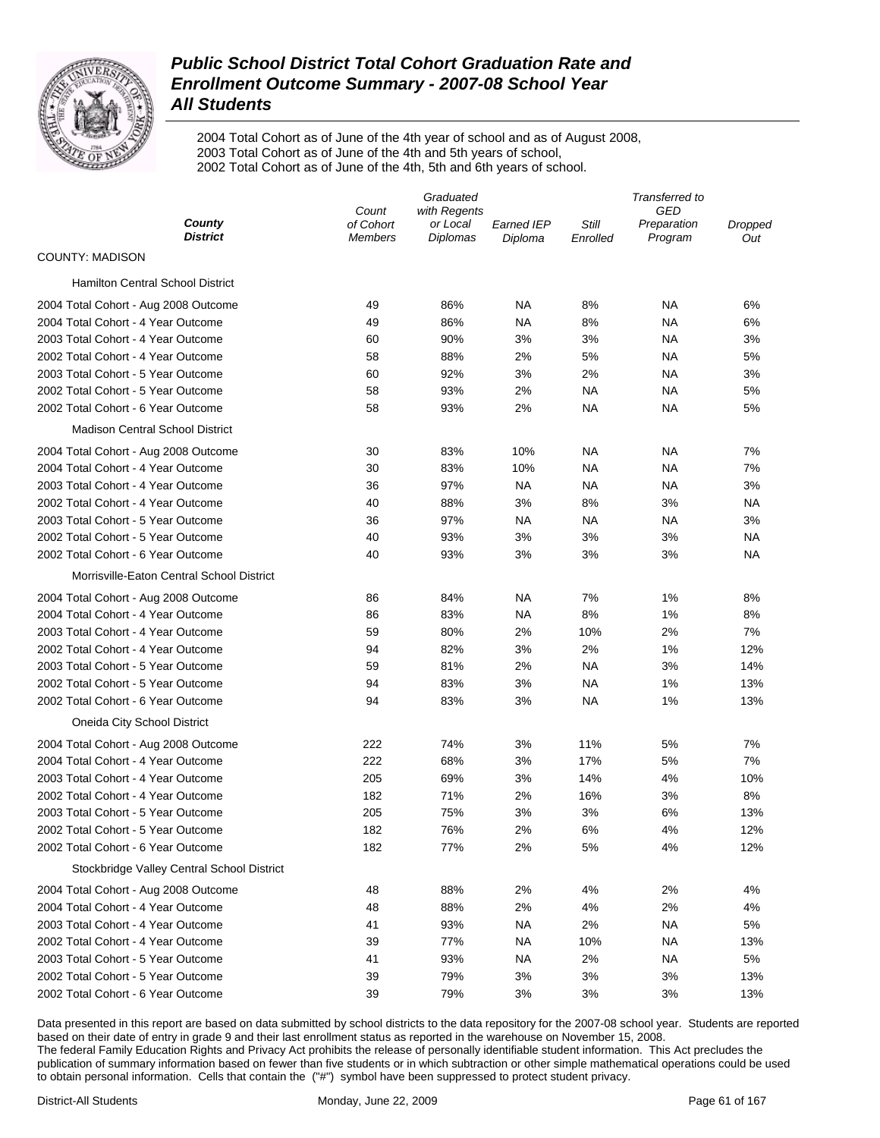

2004 Total Cohort as of June of the 4th year of school and as of August 2008, 2003 Total Cohort as of June of the 4th and 5th years of school, 2002 Total Cohort as of June of the 4th, 5th and 6th years of school.

|                                            | Graduated                   |                             |                       |                   | Transferred to         |                |  |
|--------------------------------------------|-----------------------------|-----------------------------|-----------------------|-------------------|------------------------|----------------|--|
|                                            | Count                       | with Regents                |                       |                   | GED                    |                |  |
| County<br><b>District</b>                  | of Cohort<br><b>Members</b> | or Local<br><b>Diplomas</b> | Earned IEP<br>Diploma | Still<br>Enrolled | Preparation<br>Program | Dropped<br>Out |  |
| <b>COUNTY: MADISON</b>                     |                             |                             |                       |                   |                        |                |  |
| <b>Hamilton Central School District</b>    |                             |                             |                       |                   |                        |                |  |
| 2004 Total Cohort - Aug 2008 Outcome       | 49                          | 86%                         | NA                    | 8%                | ΝA                     | 6%             |  |
| 2004 Total Cohort - 4 Year Outcome         | 49                          | 86%                         | NA                    | 8%                | ΝA                     | 6%             |  |
| 2003 Total Cohort - 4 Year Outcome         | 60                          | 90%                         | 3%                    | 3%                | ΝA                     | 3%             |  |
| 2002 Total Cohort - 4 Year Outcome         | 58                          | 88%                         | 2%                    | 5%                | ΝA                     | 5%             |  |
| 2003 Total Cohort - 5 Year Outcome         | 60                          | 92%                         | 3%                    | 2%                | ΝA                     | 3%             |  |
| 2002 Total Cohort - 5 Year Outcome         | 58                          | 93%                         | 2%                    | ΝA                | ΝA                     | 5%             |  |
| 2002 Total Cohort - 6 Year Outcome         | 58                          | 93%                         | 2%                    | ΝA                | ΝA                     | 5%             |  |
| <b>Madison Central School District</b>     |                             |                             |                       |                   |                        |                |  |
| 2004 Total Cohort - Aug 2008 Outcome       | 30                          | 83%                         | 10%                   | ΝA                | ΝA                     | 7%             |  |
| 2004 Total Cohort - 4 Year Outcome         | 30                          | 83%                         | 10%                   | ΝA                | ΝA                     | 7%             |  |
| 2003 Total Cohort - 4 Year Outcome         | 36                          | 97%                         | <b>NA</b>             | ΝA                | ΝA                     | 3%             |  |
| 2002 Total Cohort - 4 Year Outcome         | 40                          | 88%                         | 3%                    | 8%                | 3%                     | ΝA             |  |
| 2003 Total Cohort - 5 Year Outcome         | 36                          | 97%                         | NA                    | ΝA                | ΝA                     | 3%             |  |
| 2002 Total Cohort - 5 Year Outcome         | 40                          | 93%                         | 3%                    | 3%                | 3%                     | ΝA             |  |
| 2002 Total Cohort - 6 Year Outcome         | 40                          | 93%                         | 3%                    | 3%                | 3%                     | NA             |  |
| Morrisville-Eaton Central School District  |                             |                             |                       |                   |                        |                |  |
| 2004 Total Cohort - Aug 2008 Outcome       | 86                          | 84%                         | NA                    | 7%                | 1%                     | 8%             |  |
| 2004 Total Cohort - 4 Year Outcome         | 86                          | 83%                         | <b>NA</b>             | 8%                | 1%                     | 8%             |  |
| 2003 Total Cohort - 4 Year Outcome         | 59                          | 80%                         | 2%                    | 10%               | 2%                     | 7%             |  |
| 2002 Total Cohort - 4 Year Outcome         | 94                          | 82%                         | 3%                    | 2%                | 1%                     | 12%            |  |
| 2003 Total Cohort - 5 Year Outcome         | 59                          | 81%                         | 2%                    | <b>NA</b>         | 3%                     | 14%            |  |
| 2002 Total Cohort - 5 Year Outcome         | 94                          | 83%                         | 3%                    | NA                | 1%                     | 13%            |  |
| 2002 Total Cohort - 6 Year Outcome         | 94                          | 83%                         | 3%                    | <b>NA</b>         | 1%                     | 13%            |  |
| Oneida City School District                |                             |                             |                       |                   |                        |                |  |
| 2004 Total Cohort - Aug 2008 Outcome       | 222                         | 74%                         | 3%                    | 11%               | 5%                     | 7%             |  |
| 2004 Total Cohort - 4 Year Outcome         | 222                         | 68%                         | 3%                    | 17%               | 5%                     | 7%             |  |
| 2003 Total Cohort - 4 Year Outcome         | 205                         | 69%                         | 3%                    | 14%               | 4%                     | 10%            |  |
| 2002 Total Cohort - 4 Year Outcome         | 182                         | 71%                         | 2%                    | 16%               | 3%                     | 8%             |  |
| 2003 Total Cohort - 5 Year Outcome         | 205                         | 75%                         | 3%                    | 3%                | 6%                     | 13%            |  |
| 2002 Total Cohort - 5 Year Outcome         | 182                         | 76%                         | 2%                    | 6%                | 4%                     | 12%            |  |
| 2002 Total Cohort - 6 Year Outcome         | 182                         | 77%                         | 2%                    | 5%                | 4%                     | 12%            |  |
| Stockbridge Valley Central School District |                             |                             |                       |                   |                        |                |  |
| 2004 Total Cohort - Aug 2008 Outcome       | 48                          | 88%                         | 2%                    | 4%                | 2%                     | 4%             |  |
| 2004 Total Cohort - 4 Year Outcome         | 48                          | 88%                         | 2%                    | 4%                | 2%                     | 4%             |  |
| 2003 Total Cohort - 4 Year Outcome         | 41                          | 93%                         | <b>NA</b>             | 2%                | <b>NA</b>              | 5%             |  |
| 2002 Total Cohort - 4 Year Outcome         | 39                          | 77%                         | <b>NA</b>             | 10%               | <b>NA</b>              | 13%            |  |
| 2003 Total Cohort - 5 Year Outcome         | 41                          | 93%                         | <b>NA</b>             | 2%                | <b>NA</b>              | 5%             |  |
| 2002 Total Cohort - 5 Year Outcome         | 39                          | 79%                         | 3%                    | 3%                | 3%                     | 13%            |  |
| 2002 Total Cohort - 6 Year Outcome         | 39                          | 79%                         | 3%                    | 3%                | 3%                     | 13%            |  |
|                                            |                             |                             |                       |                   |                        |                |  |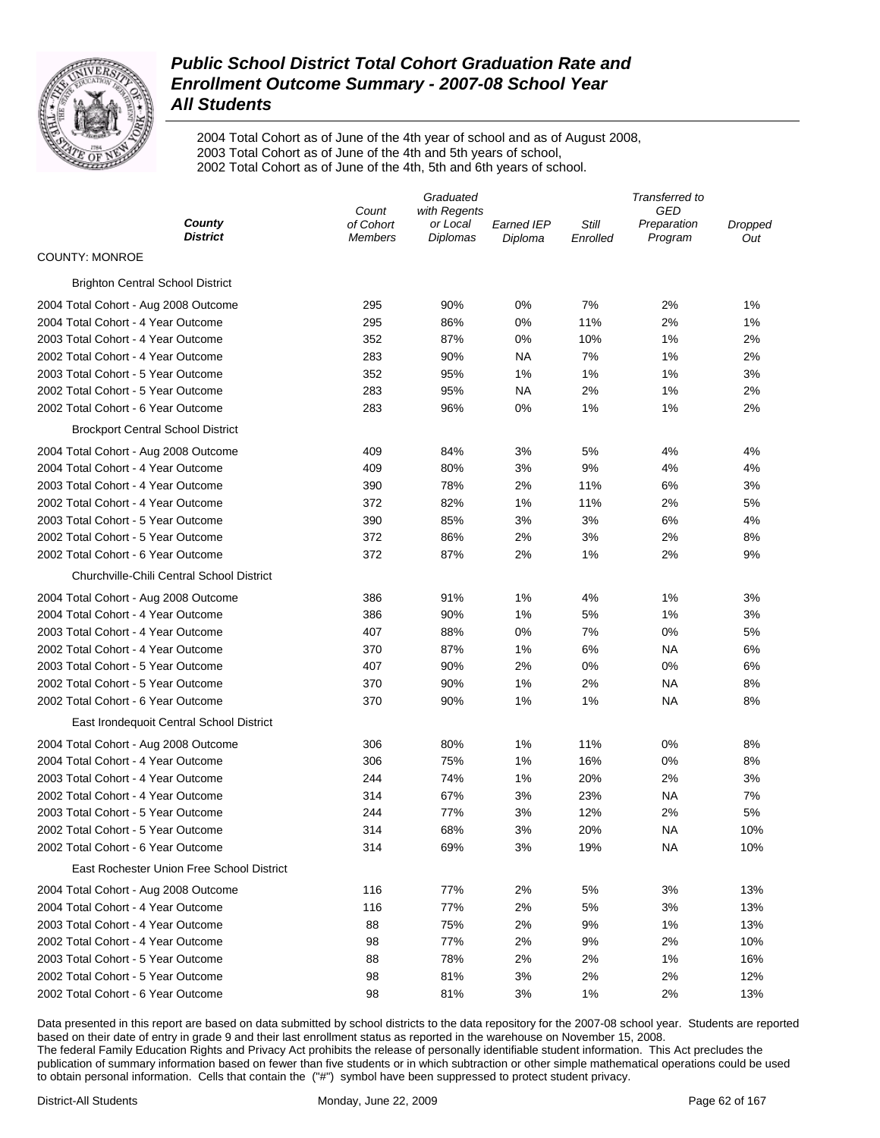

2004 Total Cohort as of June of the 4th year of school and as of August 2008, 2003 Total Cohort as of June of the 4th and 5th years of school, 2002 Total Cohort as of June of the 4th, 5th and 6th years of school.

|                                           | Graduated                   |                             |                       | Transferred to    |                        |                |  |
|-------------------------------------------|-----------------------------|-----------------------------|-----------------------|-------------------|------------------------|----------------|--|
|                                           | Count                       | with Regents                |                       |                   | GED                    |                |  |
| County<br><b>District</b>                 | of Cohort<br><b>Members</b> | or Local<br><b>Diplomas</b> | Earned IEP<br>Diploma | Still<br>Enrolled | Preparation<br>Program | Dropped<br>Out |  |
| <b>COUNTY: MONROE</b>                     |                             |                             |                       |                   |                        |                |  |
| <b>Brighton Central School District</b>   |                             |                             |                       |                   |                        |                |  |
| 2004 Total Cohort - Aug 2008 Outcome      | 295                         | 90%                         | 0%                    | 7%                | 2%                     | 1%             |  |
| 2004 Total Cohort - 4 Year Outcome        | 295                         | 86%                         | 0%                    | 11%               | 2%                     | 1%             |  |
| 2003 Total Cohort - 4 Year Outcome        | 352                         | 87%                         | 0%                    | 10%               | 1%                     | 2%             |  |
| 2002 Total Cohort - 4 Year Outcome        | 283                         | 90%                         | NA                    | 7%                | 1%                     | 2%             |  |
| 2003 Total Cohort - 5 Year Outcome        | 352                         | 95%                         | 1%                    | 1%                | 1%                     | 3%             |  |
| 2002 Total Cohort - 5 Year Outcome        | 283                         | 95%                         | NA                    | 2%                | 1%                     | 2%             |  |
| 2002 Total Cohort - 6 Year Outcome        | 283                         | 96%                         | 0%                    | 1%                | 1%                     | 2%             |  |
| <b>Brockport Central School District</b>  |                             |                             |                       |                   |                        |                |  |
| 2004 Total Cohort - Aug 2008 Outcome      | 409                         | 84%                         | 3%                    | 5%                | 4%                     | 4%             |  |
| 2004 Total Cohort - 4 Year Outcome        | 409                         | 80%                         | 3%                    | 9%                | 4%                     | 4%             |  |
| 2003 Total Cohort - 4 Year Outcome        | 390                         | 78%                         | 2%                    | 11%               | 6%                     | 3%             |  |
| 2002 Total Cohort - 4 Year Outcome        | 372                         | 82%                         | 1%                    | 11%               | 2%                     | 5%             |  |
| 2003 Total Cohort - 5 Year Outcome        | 390                         | 85%                         | 3%                    | 3%                | 6%                     | 4%             |  |
| 2002 Total Cohort - 5 Year Outcome        | 372                         | 86%                         | 2%                    | 3%                | 2%                     | 8%             |  |
| 2002 Total Cohort - 6 Year Outcome        | 372                         | 87%                         | 2%                    | 1%                | 2%                     | 9%             |  |
| Churchville-Chili Central School District |                             |                             |                       |                   |                        |                |  |
| 2004 Total Cohort - Aug 2008 Outcome      | 386                         | 91%                         | 1%                    | 4%                | 1%                     | 3%             |  |
| 2004 Total Cohort - 4 Year Outcome        | 386                         | 90%                         | 1%                    | 5%                | 1%                     | 3%             |  |
| 2003 Total Cohort - 4 Year Outcome        | 407                         | 88%                         | 0%                    | 7%                | 0%                     | 5%             |  |
| 2002 Total Cohort - 4 Year Outcome        | 370                         | 87%                         | 1%                    | 6%                | ΝA                     | 6%             |  |
| 2003 Total Cohort - 5 Year Outcome        | 407                         | 90%                         | 2%                    | 0%                | 0%                     | 6%             |  |
| 2002 Total Cohort - 5 Year Outcome        | 370                         | 90%                         | 1%                    | 2%                | ΝA                     | 8%             |  |
| 2002 Total Cohort - 6 Year Outcome        | 370                         | 90%                         | 1%                    | 1%                | ΝA                     | 8%             |  |
| East Irondequoit Central School District  |                             |                             |                       |                   |                        |                |  |
| 2004 Total Cohort - Aug 2008 Outcome      | 306                         | 80%                         | 1%                    | 11%               | 0%                     | 8%             |  |
| 2004 Total Cohort - 4 Year Outcome        | 306                         | 75%                         | 1%                    | 16%               | 0%                     | 8%             |  |
| 2003 Total Cohort - 4 Year Outcome        | 244                         | 74%                         | 1%                    | 20%               | 2%                     | 3%             |  |
| 2002 Total Cohort - 4 Year Outcome        | 314                         | 67%                         | 3%                    | 23%               | ΝA                     | 7%             |  |
| 2003 Total Cohort - 5 Year Outcome        | 244                         | 77%                         | 3%                    | 12%               | 2%                     | 5%             |  |
| 2002 Total Cohort - 5 Year Outcome        | 314                         | 68%                         | 3%                    | 20%               | NA                     | 10%            |  |
| 2002 Total Cohort - 6 Year Outcome        | 314                         | 69%                         | 3%                    | 19%               | ΝA                     | 10%            |  |
| East Rochester Union Free School District |                             |                             |                       |                   |                        |                |  |
| 2004 Total Cohort - Aug 2008 Outcome      | 116                         | 77%                         | 2%                    | 5%                | 3%                     | 13%            |  |
| 2004 Total Cohort - 4 Year Outcome        | 116                         | 77%                         | 2%                    | 5%                | 3%                     | 13%            |  |
| 2003 Total Cohort - 4 Year Outcome        | 88                          | 75%                         | 2%                    | 9%                | 1%                     | 13%            |  |
| 2002 Total Cohort - 4 Year Outcome        | 98                          | 77%                         | 2%                    | 9%                | 2%                     | 10%            |  |
| 2003 Total Cohort - 5 Year Outcome        | 88                          | 78%                         | 2%                    | 2%                | 1%                     | 16%            |  |
| 2002 Total Cohort - 5 Year Outcome        | 98                          | 81%                         | 3%                    | 2%                | 2%                     | 12%            |  |
| 2002 Total Cohort - 6 Year Outcome        | 98                          | 81%                         | 3%                    | 1%                | 2%                     | 13%            |  |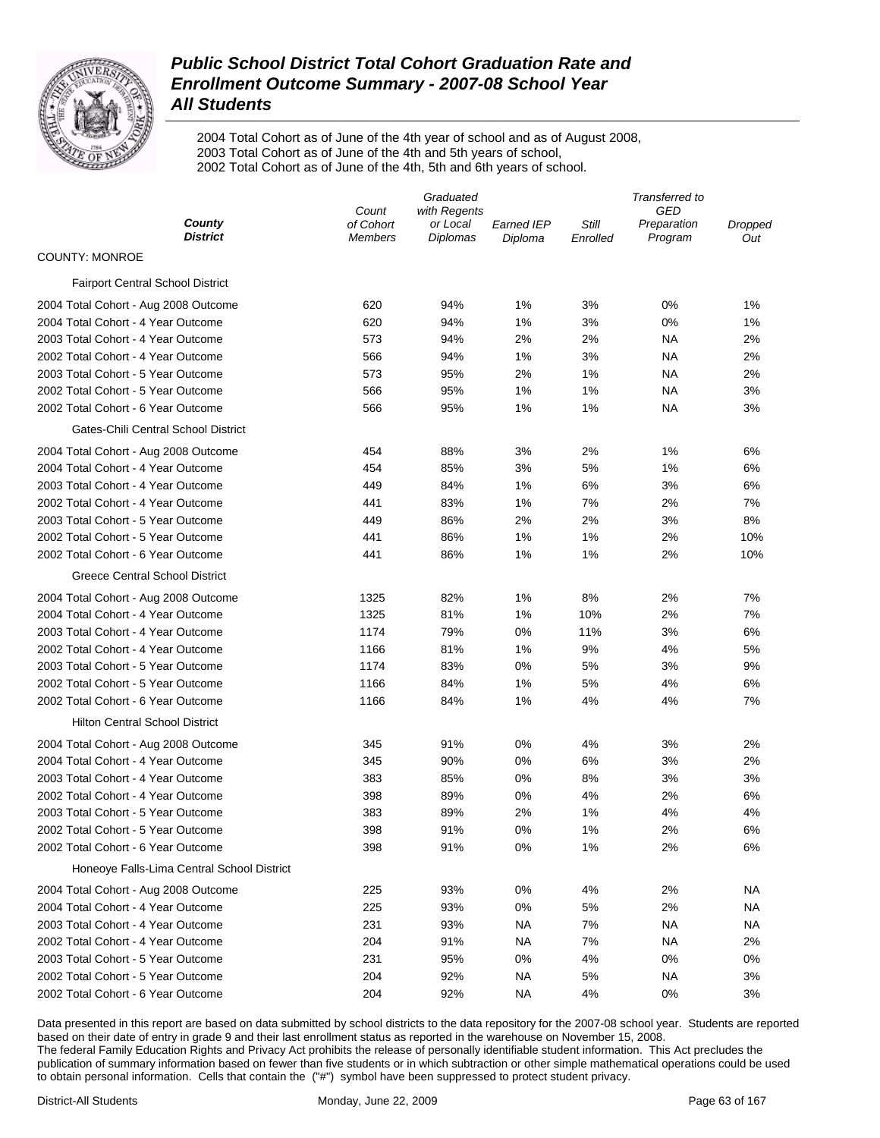

2004 Total Cohort as of June of the 4th year of school and as of August 2008, 2003 Total Cohort as of June of the 4th and 5th years of school, 2002 Total Cohort as of June of the 4th, 5th and 6th years of school.

| County<br>of Cohort<br>Still<br>or Local<br>Earned IEP<br>Preparation<br>Dropped<br><b>District</b><br><b>Diplomas</b><br>Enrolled<br>Program<br><b>Members</b><br>Diploma<br>Out<br><b>COUNTY: MONROE</b><br><b>Fairport Central School District</b><br>620<br>94%<br>1%<br>3%<br>0%<br>1%<br>2004 Total Cohort - Aug 2008 Outcome<br>2004 Total Cohort - 4 Year Outcome<br>620<br>94%<br>1%<br>3%<br>0%<br>1%<br>2003 Total Cohort - 4 Year Outcome<br>573<br>94%<br>2%<br>2%<br>ΝA<br>2%<br>2002 Total Cohort - 4 Year Outcome<br>566<br>94%<br>1%<br>3%<br>ΝA<br>2%<br>2003 Total Cohort - 5 Year Outcome<br>573<br>95%<br>2%<br>1%<br>ΝA<br>2%<br>2002 Total Cohort - 5 Year Outcome<br>566<br>95%<br>1%<br>1%<br>ΝA<br>3%<br>2002 Total Cohort - 6 Year Outcome<br>566<br>95%<br>1%<br>1%<br>ΝA<br>3%<br>Gates-Chili Central School District<br>88%<br>3%<br>2%<br>1%<br>6%<br>2004 Total Cohort - Aug 2008 Outcome<br>454<br>2004 Total Cohort - 4 Year Outcome<br>454<br>85%<br>3%<br>5%<br>1%<br>6%<br>2003 Total Cohort - 4 Year Outcome<br>449<br>84%<br>1%<br>6%<br>3%<br>6%<br>2002 Total Cohort - 4 Year Outcome<br>441<br>83%<br>1%<br>7%<br>2%<br>7%<br>2003 Total Cohort - 5 Year Outcome<br>449<br>86%<br>2%<br>2%<br>3%<br>8%<br>2002 Total Cohort - 5 Year Outcome<br>441<br>86%<br>1%<br>1%<br>2%<br>10%<br>2002 Total Cohort - 6 Year Outcome<br>441<br>86%<br>1%<br>1%<br>2%<br>10%<br>Greece Central School District<br>1325<br>82%<br>1%<br>8%<br>2%<br>7%<br>2004 Total Cohort - Aug 2008 Outcome<br>2004 Total Cohort - 4 Year Outcome<br>1325<br>81%<br>1%<br>10%<br>2%<br>7%<br>2003 Total Cohort - 4 Year Outcome<br>1174<br>79%<br>0%<br>11%<br>3%<br>6%<br>1166<br>81%<br>1%<br>9%<br>2002 Total Cohort - 4 Year Outcome<br>4%<br>5%<br>2003 Total Cohort - 5 Year Outcome<br>1174<br>83%<br>0%<br>5%<br>3%<br>9%<br>2002 Total Cohort - 5 Year Outcome<br>1166<br>84%<br>1%<br>5%<br>6%<br>4%<br>2002 Total Cohort - 6 Year Outcome<br>1166<br>84%<br>1%<br>4%<br>4%<br>7%<br><b>Hilton Central School District</b><br>0%<br>2004 Total Cohort - Aug 2008 Outcome<br>345<br>91%<br>4%<br>3%<br>2%<br>2004 Total Cohort - 4 Year Outcome<br>90%<br>0%<br>6%<br>3%<br>345<br>2%<br>2003 Total Cohort - 4 Year Outcome<br>85%<br>0%<br>8%<br>3%<br>3%<br>383<br>2002 Total Cohort - 4 Year Outcome<br>89%<br>4%<br>2%<br>6%<br>398<br>0%<br>2003 Total Cohort - 5 Year Outcome<br>383<br>89%<br>2%<br>1%<br>4%<br>4%<br>398<br>91%<br>0%<br>1%<br>2%<br>6%<br>2002 Total Cohort - 5 Year Outcome<br>2002 Total Cohort - 6 Year Outcome<br>91%<br>0%<br>398<br>1%<br>2%<br>6%<br>Honeoye Falls-Lima Central School District<br>0%<br>2%<br>2004 Total Cohort - Aug 2008 Outcome<br>225<br>93%<br>4%<br>NA<br>2004 Total Cohort - 4 Year Outcome<br>225<br>93%<br>0%<br>5%<br>2%<br>ΝA<br>231<br>7%<br>2003 Total Cohort - 4 Year Outcome<br>93%<br>NA<br>ΝA<br>ΝA<br>91%<br>7%<br>2002 Total Cohort - 4 Year Outcome<br>204<br>NA.<br>ΝA<br>2%<br>95%<br>2003 Total Cohort - 5 Year Outcome<br>231<br>0%<br>4%<br>0%<br>0%<br>2002 Total Cohort - 5 Year Outcome<br>204<br>92%<br>NA<br>5%<br>ΝA<br>3%<br>2002 Total Cohort - 6 Year Outcome<br>204 | Graduated |              |    | Transferred to |     |    |  |
|----------------------------------------------------------------------------------------------------------------------------------------------------------------------------------------------------------------------------------------------------------------------------------------------------------------------------------------------------------------------------------------------------------------------------------------------------------------------------------------------------------------------------------------------------------------------------------------------------------------------------------------------------------------------------------------------------------------------------------------------------------------------------------------------------------------------------------------------------------------------------------------------------------------------------------------------------------------------------------------------------------------------------------------------------------------------------------------------------------------------------------------------------------------------------------------------------------------------------------------------------------------------------------------------------------------------------------------------------------------------------------------------------------------------------------------------------------------------------------------------------------------------------------------------------------------------------------------------------------------------------------------------------------------------------------------------------------------------------------------------------------------------------------------------------------------------------------------------------------------------------------------------------------------------------------------------------------------------------------------------------------------------------------------------------------------------------------------------------------------------------------------------------------------------------------------------------------------------------------------------------------------------------------------------------------------------------------------------------------------------------------------------------------------------------------------------------------------------------------------------------------------------------------------------------------------------------------------------------------------------------------------------------------------------------------------------------------------------------------------------------------------------------------------------------------------------------------------------------------------------------------------------------------------------------------------------------------------------------------------------------------------------------------------------------------------------------------------------------------------------------------------------------------------------------------|-----------|--------------|----|----------------|-----|----|--|
|                                                                                                                                                                                                                                                                                                                                                                                                                                                                                                                                                                                                                                                                                                                                                                                                                                                                                                                                                                                                                                                                                                                                                                                                                                                                                                                                                                                                                                                                                                                                                                                                                                                                                                                                                                                                                                                                                                                                                                                                                                                                                                                                                                                                                                                                                                                                                                                                                                                                                                                                                                                                                                                                                                                                                                                                                                                                                                                                                                                                                                                                                                                                                                                  | Count     | with Regents |    |                | GED |    |  |
|                                                                                                                                                                                                                                                                                                                                                                                                                                                                                                                                                                                                                                                                                                                                                                                                                                                                                                                                                                                                                                                                                                                                                                                                                                                                                                                                                                                                                                                                                                                                                                                                                                                                                                                                                                                                                                                                                                                                                                                                                                                                                                                                                                                                                                                                                                                                                                                                                                                                                                                                                                                                                                                                                                                                                                                                                                                                                                                                                                                                                                                                                                                                                                                  |           |              |    |                |     |    |  |
|                                                                                                                                                                                                                                                                                                                                                                                                                                                                                                                                                                                                                                                                                                                                                                                                                                                                                                                                                                                                                                                                                                                                                                                                                                                                                                                                                                                                                                                                                                                                                                                                                                                                                                                                                                                                                                                                                                                                                                                                                                                                                                                                                                                                                                                                                                                                                                                                                                                                                                                                                                                                                                                                                                                                                                                                                                                                                                                                                                                                                                                                                                                                                                                  |           |              |    |                |     |    |  |
|                                                                                                                                                                                                                                                                                                                                                                                                                                                                                                                                                                                                                                                                                                                                                                                                                                                                                                                                                                                                                                                                                                                                                                                                                                                                                                                                                                                                                                                                                                                                                                                                                                                                                                                                                                                                                                                                                                                                                                                                                                                                                                                                                                                                                                                                                                                                                                                                                                                                                                                                                                                                                                                                                                                                                                                                                                                                                                                                                                                                                                                                                                                                                                                  |           |              |    |                |     |    |  |
|                                                                                                                                                                                                                                                                                                                                                                                                                                                                                                                                                                                                                                                                                                                                                                                                                                                                                                                                                                                                                                                                                                                                                                                                                                                                                                                                                                                                                                                                                                                                                                                                                                                                                                                                                                                                                                                                                                                                                                                                                                                                                                                                                                                                                                                                                                                                                                                                                                                                                                                                                                                                                                                                                                                                                                                                                                                                                                                                                                                                                                                                                                                                                                                  |           |              |    |                |     |    |  |
|                                                                                                                                                                                                                                                                                                                                                                                                                                                                                                                                                                                                                                                                                                                                                                                                                                                                                                                                                                                                                                                                                                                                                                                                                                                                                                                                                                                                                                                                                                                                                                                                                                                                                                                                                                                                                                                                                                                                                                                                                                                                                                                                                                                                                                                                                                                                                                                                                                                                                                                                                                                                                                                                                                                                                                                                                                                                                                                                                                                                                                                                                                                                                                                  |           |              |    |                |     |    |  |
|                                                                                                                                                                                                                                                                                                                                                                                                                                                                                                                                                                                                                                                                                                                                                                                                                                                                                                                                                                                                                                                                                                                                                                                                                                                                                                                                                                                                                                                                                                                                                                                                                                                                                                                                                                                                                                                                                                                                                                                                                                                                                                                                                                                                                                                                                                                                                                                                                                                                                                                                                                                                                                                                                                                                                                                                                                                                                                                                                                                                                                                                                                                                                                                  |           |              |    |                |     |    |  |
|                                                                                                                                                                                                                                                                                                                                                                                                                                                                                                                                                                                                                                                                                                                                                                                                                                                                                                                                                                                                                                                                                                                                                                                                                                                                                                                                                                                                                                                                                                                                                                                                                                                                                                                                                                                                                                                                                                                                                                                                                                                                                                                                                                                                                                                                                                                                                                                                                                                                                                                                                                                                                                                                                                                                                                                                                                                                                                                                                                                                                                                                                                                                                                                  |           |              |    |                |     |    |  |
|                                                                                                                                                                                                                                                                                                                                                                                                                                                                                                                                                                                                                                                                                                                                                                                                                                                                                                                                                                                                                                                                                                                                                                                                                                                                                                                                                                                                                                                                                                                                                                                                                                                                                                                                                                                                                                                                                                                                                                                                                                                                                                                                                                                                                                                                                                                                                                                                                                                                                                                                                                                                                                                                                                                                                                                                                                                                                                                                                                                                                                                                                                                                                                                  |           |              |    |                |     |    |  |
|                                                                                                                                                                                                                                                                                                                                                                                                                                                                                                                                                                                                                                                                                                                                                                                                                                                                                                                                                                                                                                                                                                                                                                                                                                                                                                                                                                                                                                                                                                                                                                                                                                                                                                                                                                                                                                                                                                                                                                                                                                                                                                                                                                                                                                                                                                                                                                                                                                                                                                                                                                                                                                                                                                                                                                                                                                                                                                                                                                                                                                                                                                                                                                                  |           |              |    |                |     |    |  |
|                                                                                                                                                                                                                                                                                                                                                                                                                                                                                                                                                                                                                                                                                                                                                                                                                                                                                                                                                                                                                                                                                                                                                                                                                                                                                                                                                                                                                                                                                                                                                                                                                                                                                                                                                                                                                                                                                                                                                                                                                                                                                                                                                                                                                                                                                                                                                                                                                                                                                                                                                                                                                                                                                                                                                                                                                                                                                                                                                                                                                                                                                                                                                                                  |           |              |    |                |     |    |  |
|                                                                                                                                                                                                                                                                                                                                                                                                                                                                                                                                                                                                                                                                                                                                                                                                                                                                                                                                                                                                                                                                                                                                                                                                                                                                                                                                                                                                                                                                                                                                                                                                                                                                                                                                                                                                                                                                                                                                                                                                                                                                                                                                                                                                                                                                                                                                                                                                                                                                                                                                                                                                                                                                                                                                                                                                                                                                                                                                                                                                                                                                                                                                                                                  |           |              |    |                |     |    |  |
|                                                                                                                                                                                                                                                                                                                                                                                                                                                                                                                                                                                                                                                                                                                                                                                                                                                                                                                                                                                                                                                                                                                                                                                                                                                                                                                                                                                                                                                                                                                                                                                                                                                                                                                                                                                                                                                                                                                                                                                                                                                                                                                                                                                                                                                                                                                                                                                                                                                                                                                                                                                                                                                                                                                                                                                                                                                                                                                                                                                                                                                                                                                                                                                  |           |              |    |                |     |    |  |
|                                                                                                                                                                                                                                                                                                                                                                                                                                                                                                                                                                                                                                                                                                                                                                                                                                                                                                                                                                                                                                                                                                                                                                                                                                                                                                                                                                                                                                                                                                                                                                                                                                                                                                                                                                                                                                                                                                                                                                                                                                                                                                                                                                                                                                                                                                                                                                                                                                                                                                                                                                                                                                                                                                                                                                                                                                                                                                                                                                                                                                                                                                                                                                                  |           |              |    |                |     |    |  |
|                                                                                                                                                                                                                                                                                                                                                                                                                                                                                                                                                                                                                                                                                                                                                                                                                                                                                                                                                                                                                                                                                                                                                                                                                                                                                                                                                                                                                                                                                                                                                                                                                                                                                                                                                                                                                                                                                                                                                                                                                                                                                                                                                                                                                                                                                                                                                                                                                                                                                                                                                                                                                                                                                                                                                                                                                                                                                                                                                                                                                                                                                                                                                                                  |           |              |    |                |     |    |  |
|                                                                                                                                                                                                                                                                                                                                                                                                                                                                                                                                                                                                                                                                                                                                                                                                                                                                                                                                                                                                                                                                                                                                                                                                                                                                                                                                                                                                                                                                                                                                                                                                                                                                                                                                                                                                                                                                                                                                                                                                                                                                                                                                                                                                                                                                                                                                                                                                                                                                                                                                                                                                                                                                                                                                                                                                                                                                                                                                                                                                                                                                                                                                                                                  |           |              |    |                |     |    |  |
|                                                                                                                                                                                                                                                                                                                                                                                                                                                                                                                                                                                                                                                                                                                                                                                                                                                                                                                                                                                                                                                                                                                                                                                                                                                                                                                                                                                                                                                                                                                                                                                                                                                                                                                                                                                                                                                                                                                                                                                                                                                                                                                                                                                                                                                                                                                                                                                                                                                                                                                                                                                                                                                                                                                                                                                                                                                                                                                                                                                                                                                                                                                                                                                  |           |              |    |                |     |    |  |
|                                                                                                                                                                                                                                                                                                                                                                                                                                                                                                                                                                                                                                                                                                                                                                                                                                                                                                                                                                                                                                                                                                                                                                                                                                                                                                                                                                                                                                                                                                                                                                                                                                                                                                                                                                                                                                                                                                                                                                                                                                                                                                                                                                                                                                                                                                                                                                                                                                                                                                                                                                                                                                                                                                                                                                                                                                                                                                                                                                                                                                                                                                                                                                                  |           |              |    |                |     |    |  |
|                                                                                                                                                                                                                                                                                                                                                                                                                                                                                                                                                                                                                                                                                                                                                                                                                                                                                                                                                                                                                                                                                                                                                                                                                                                                                                                                                                                                                                                                                                                                                                                                                                                                                                                                                                                                                                                                                                                                                                                                                                                                                                                                                                                                                                                                                                                                                                                                                                                                                                                                                                                                                                                                                                                                                                                                                                                                                                                                                                                                                                                                                                                                                                                  |           |              |    |                |     |    |  |
|                                                                                                                                                                                                                                                                                                                                                                                                                                                                                                                                                                                                                                                                                                                                                                                                                                                                                                                                                                                                                                                                                                                                                                                                                                                                                                                                                                                                                                                                                                                                                                                                                                                                                                                                                                                                                                                                                                                                                                                                                                                                                                                                                                                                                                                                                                                                                                                                                                                                                                                                                                                                                                                                                                                                                                                                                                                                                                                                                                                                                                                                                                                                                                                  |           |              |    |                |     |    |  |
|                                                                                                                                                                                                                                                                                                                                                                                                                                                                                                                                                                                                                                                                                                                                                                                                                                                                                                                                                                                                                                                                                                                                                                                                                                                                                                                                                                                                                                                                                                                                                                                                                                                                                                                                                                                                                                                                                                                                                                                                                                                                                                                                                                                                                                                                                                                                                                                                                                                                                                                                                                                                                                                                                                                                                                                                                                                                                                                                                                                                                                                                                                                                                                                  |           |              |    |                |     |    |  |
|                                                                                                                                                                                                                                                                                                                                                                                                                                                                                                                                                                                                                                                                                                                                                                                                                                                                                                                                                                                                                                                                                                                                                                                                                                                                                                                                                                                                                                                                                                                                                                                                                                                                                                                                                                                                                                                                                                                                                                                                                                                                                                                                                                                                                                                                                                                                                                                                                                                                                                                                                                                                                                                                                                                                                                                                                                                                                                                                                                                                                                                                                                                                                                                  |           |              |    |                |     |    |  |
|                                                                                                                                                                                                                                                                                                                                                                                                                                                                                                                                                                                                                                                                                                                                                                                                                                                                                                                                                                                                                                                                                                                                                                                                                                                                                                                                                                                                                                                                                                                                                                                                                                                                                                                                                                                                                                                                                                                                                                                                                                                                                                                                                                                                                                                                                                                                                                                                                                                                                                                                                                                                                                                                                                                                                                                                                                                                                                                                                                                                                                                                                                                                                                                  |           |              |    |                |     |    |  |
|                                                                                                                                                                                                                                                                                                                                                                                                                                                                                                                                                                                                                                                                                                                                                                                                                                                                                                                                                                                                                                                                                                                                                                                                                                                                                                                                                                                                                                                                                                                                                                                                                                                                                                                                                                                                                                                                                                                                                                                                                                                                                                                                                                                                                                                                                                                                                                                                                                                                                                                                                                                                                                                                                                                                                                                                                                                                                                                                                                                                                                                                                                                                                                                  |           |              |    |                |     |    |  |
|                                                                                                                                                                                                                                                                                                                                                                                                                                                                                                                                                                                                                                                                                                                                                                                                                                                                                                                                                                                                                                                                                                                                                                                                                                                                                                                                                                                                                                                                                                                                                                                                                                                                                                                                                                                                                                                                                                                                                                                                                                                                                                                                                                                                                                                                                                                                                                                                                                                                                                                                                                                                                                                                                                                                                                                                                                                                                                                                                                                                                                                                                                                                                                                  |           |              |    |                |     |    |  |
|                                                                                                                                                                                                                                                                                                                                                                                                                                                                                                                                                                                                                                                                                                                                                                                                                                                                                                                                                                                                                                                                                                                                                                                                                                                                                                                                                                                                                                                                                                                                                                                                                                                                                                                                                                                                                                                                                                                                                                                                                                                                                                                                                                                                                                                                                                                                                                                                                                                                                                                                                                                                                                                                                                                                                                                                                                                                                                                                                                                                                                                                                                                                                                                  |           |              |    |                |     |    |  |
|                                                                                                                                                                                                                                                                                                                                                                                                                                                                                                                                                                                                                                                                                                                                                                                                                                                                                                                                                                                                                                                                                                                                                                                                                                                                                                                                                                                                                                                                                                                                                                                                                                                                                                                                                                                                                                                                                                                                                                                                                                                                                                                                                                                                                                                                                                                                                                                                                                                                                                                                                                                                                                                                                                                                                                                                                                                                                                                                                                                                                                                                                                                                                                                  |           |              |    |                |     |    |  |
|                                                                                                                                                                                                                                                                                                                                                                                                                                                                                                                                                                                                                                                                                                                                                                                                                                                                                                                                                                                                                                                                                                                                                                                                                                                                                                                                                                                                                                                                                                                                                                                                                                                                                                                                                                                                                                                                                                                                                                                                                                                                                                                                                                                                                                                                                                                                                                                                                                                                                                                                                                                                                                                                                                                                                                                                                                                                                                                                                                                                                                                                                                                                                                                  |           |              |    |                |     |    |  |
|                                                                                                                                                                                                                                                                                                                                                                                                                                                                                                                                                                                                                                                                                                                                                                                                                                                                                                                                                                                                                                                                                                                                                                                                                                                                                                                                                                                                                                                                                                                                                                                                                                                                                                                                                                                                                                                                                                                                                                                                                                                                                                                                                                                                                                                                                                                                                                                                                                                                                                                                                                                                                                                                                                                                                                                                                                                                                                                                                                                                                                                                                                                                                                                  |           |              |    |                |     |    |  |
|                                                                                                                                                                                                                                                                                                                                                                                                                                                                                                                                                                                                                                                                                                                                                                                                                                                                                                                                                                                                                                                                                                                                                                                                                                                                                                                                                                                                                                                                                                                                                                                                                                                                                                                                                                                                                                                                                                                                                                                                                                                                                                                                                                                                                                                                                                                                                                                                                                                                                                                                                                                                                                                                                                                                                                                                                                                                                                                                                                                                                                                                                                                                                                                  |           |              |    |                |     |    |  |
|                                                                                                                                                                                                                                                                                                                                                                                                                                                                                                                                                                                                                                                                                                                                                                                                                                                                                                                                                                                                                                                                                                                                                                                                                                                                                                                                                                                                                                                                                                                                                                                                                                                                                                                                                                                                                                                                                                                                                                                                                                                                                                                                                                                                                                                                                                                                                                                                                                                                                                                                                                                                                                                                                                                                                                                                                                                                                                                                                                                                                                                                                                                                                                                  |           |              |    |                |     |    |  |
|                                                                                                                                                                                                                                                                                                                                                                                                                                                                                                                                                                                                                                                                                                                                                                                                                                                                                                                                                                                                                                                                                                                                                                                                                                                                                                                                                                                                                                                                                                                                                                                                                                                                                                                                                                                                                                                                                                                                                                                                                                                                                                                                                                                                                                                                                                                                                                                                                                                                                                                                                                                                                                                                                                                                                                                                                                                                                                                                                                                                                                                                                                                                                                                  |           |              |    |                |     |    |  |
|                                                                                                                                                                                                                                                                                                                                                                                                                                                                                                                                                                                                                                                                                                                                                                                                                                                                                                                                                                                                                                                                                                                                                                                                                                                                                                                                                                                                                                                                                                                                                                                                                                                                                                                                                                                                                                                                                                                                                                                                                                                                                                                                                                                                                                                                                                                                                                                                                                                                                                                                                                                                                                                                                                                                                                                                                                                                                                                                                                                                                                                                                                                                                                                  |           |              |    |                |     |    |  |
|                                                                                                                                                                                                                                                                                                                                                                                                                                                                                                                                                                                                                                                                                                                                                                                                                                                                                                                                                                                                                                                                                                                                                                                                                                                                                                                                                                                                                                                                                                                                                                                                                                                                                                                                                                                                                                                                                                                                                                                                                                                                                                                                                                                                                                                                                                                                                                                                                                                                                                                                                                                                                                                                                                                                                                                                                                                                                                                                                                                                                                                                                                                                                                                  |           |              |    |                |     |    |  |
|                                                                                                                                                                                                                                                                                                                                                                                                                                                                                                                                                                                                                                                                                                                                                                                                                                                                                                                                                                                                                                                                                                                                                                                                                                                                                                                                                                                                                                                                                                                                                                                                                                                                                                                                                                                                                                                                                                                                                                                                                                                                                                                                                                                                                                                                                                                                                                                                                                                                                                                                                                                                                                                                                                                                                                                                                                                                                                                                                                                                                                                                                                                                                                                  |           |              |    |                |     |    |  |
|                                                                                                                                                                                                                                                                                                                                                                                                                                                                                                                                                                                                                                                                                                                                                                                                                                                                                                                                                                                                                                                                                                                                                                                                                                                                                                                                                                                                                                                                                                                                                                                                                                                                                                                                                                                                                                                                                                                                                                                                                                                                                                                                                                                                                                                                                                                                                                                                                                                                                                                                                                                                                                                                                                                                                                                                                                                                                                                                                                                                                                                                                                                                                                                  |           |              |    |                |     |    |  |
|                                                                                                                                                                                                                                                                                                                                                                                                                                                                                                                                                                                                                                                                                                                                                                                                                                                                                                                                                                                                                                                                                                                                                                                                                                                                                                                                                                                                                                                                                                                                                                                                                                                                                                                                                                                                                                                                                                                                                                                                                                                                                                                                                                                                                                                                                                                                                                                                                                                                                                                                                                                                                                                                                                                                                                                                                                                                                                                                                                                                                                                                                                                                                                                  |           |              |    |                |     |    |  |
|                                                                                                                                                                                                                                                                                                                                                                                                                                                                                                                                                                                                                                                                                                                                                                                                                                                                                                                                                                                                                                                                                                                                                                                                                                                                                                                                                                                                                                                                                                                                                                                                                                                                                                                                                                                                                                                                                                                                                                                                                                                                                                                                                                                                                                                                                                                                                                                                                                                                                                                                                                                                                                                                                                                                                                                                                                                                                                                                                                                                                                                                                                                                                                                  |           |              |    |                |     |    |  |
|                                                                                                                                                                                                                                                                                                                                                                                                                                                                                                                                                                                                                                                                                                                                                                                                                                                                                                                                                                                                                                                                                                                                                                                                                                                                                                                                                                                                                                                                                                                                                                                                                                                                                                                                                                                                                                                                                                                                                                                                                                                                                                                                                                                                                                                                                                                                                                                                                                                                                                                                                                                                                                                                                                                                                                                                                                                                                                                                                                                                                                                                                                                                                                                  |           |              |    |                |     |    |  |
|                                                                                                                                                                                                                                                                                                                                                                                                                                                                                                                                                                                                                                                                                                                                                                                                                                                                                                                                                                                                                                                                                                                                                                                                                                                                                                                                                                                                                                                                                                                                                                                                                                                                                                                                                                                                                                                                                                                                                                                                                                                                                                                                                                                                                                                                                                                                                                                                                                                                                                                                                                                                                                                                                                                                                                                                                                                                                                                                                                                                                                                                                                                                                                                  |           |              |    |                |     |    |  |
|                                                                                                                                                                                                                                                                                                                                                                                                                                                                                                                                                                                                                                                                                                                                                                                                                                                                                                                                                                                                                                                                                                                                                                                                                                                                                                                                                                                                                                                                                                                                                                                                                                                                                                                                                                                                                                                                                                                                                                                                                                                                                                                                                                                                                                                                                                                                                                                                                                                                                                                                                                                                                                                                                                                                                                                                                                                                                                                                                                                                                                                                                                                                                                                  |           |              |    |                |     |    |  |
|                                                                                                                                                                                                                                                                                                                                                                                                                                                                                                                                                                                                                                                                                                                                                                                                                                                                                                                                                                                                                                                                                                                                                                                                                                                                                                                                                                                                                                                                                                                                                                                                                                                                                                                                                                                                                                                                                                                                                                                                                                                                                                                                                                                                                                                                                                                                                                                                                                                                                                                                                                                                                                                                                                                                                                                                                                                                                                                                                                                                                                                                                                                                                                                  |           |              |    |                |     |    |  |
|                                                                                                                                                                                                                                                                                                                                                                                                                                                                                                                                                                                                                                                                                                                                                                                                                                                                                                                                                                                                                                                                                                                                                                                                                                                                                                                                                                                                                                                                                                                                                                                                                                                                                                                                                                                                                                                                                                                                                                                                                                                                                                                                                                                                                                                                                                                                                                                                                                                                                                                                                                                                                                                                                                                                                                                                                                                                                                                                                                                                                                                                                                                                                                                  |           | 92%          | NA | 4%             | 0%  | 3% |  |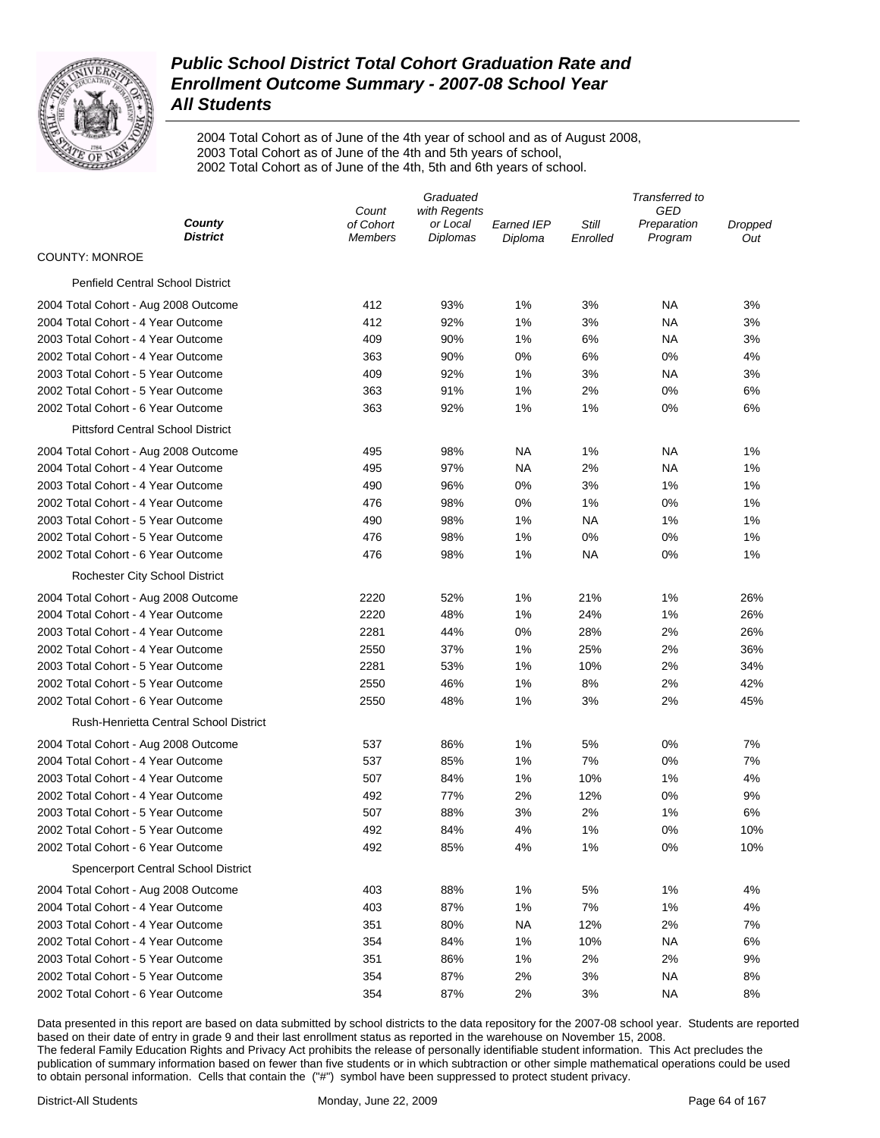

2004 Total Cohort as of June of the 4th year of school and as of August 2008, 2003 Total Cohort as of June of the 4th and 5th years of school, 2002 Total Cohort as of June of the 4th, 5th and 6th years of school.

|                                            | Graduated                   |                             |                       | Transferred to    |                        |                |  |
|--------------------------------------------|-----------------------------|-----------------------------|-----------------------|-------------------|------------------------|----------------|--|
|                                            | Count                       | with Regents                |                       |                   | GED                    |                |  |
| County<br><b>District</b>                  | of Cohort<br><b>Members</b> | or Local<br><b>Diplomas</b> | Earned IEP<br>Diploma | Still<br>Enrolled | Preparation<br>Program | Dropped<br>Out |  |
| <b>COUNTY: MONROE</b>                      |                             |                             |                       |                   |                        |                |  |
| <b>Penfield Central School District</b>    |                             |                             |                       |                   |                        |                |  |
| 2004 Total Cohort - Aug 2008 Outcome       | 412                         | 93%                         | 1%                    | 3%                | ΝA                     | 3%             |  |
| 2004 Total Cohort - 4 Year Outcome         | 412                         | 92%                         | 1%                    | 3%                | ΝA                     | 3%             |  |
| 2003 Total Cohort - 4 Year Outcome         | 409                         | 90%                         | 1%                    | 6%                | ΝA                     | 3%             |  |
| 2002 Total Cohort - 4 Year Outcome         | 363                         | 90%                         | 0%                    | 6%                | 0%                     | 4%             |  |
| 2003 Total Cohort - 5 Year Outcome         | 409                         | 92%                         | 1%                    | 3%                | ΝA                     | 3%             |  |
| 2002 Total Cohort - 5 Year Outcome         | 363                         | 91%                         | 1%                    | 2%                | 0%                     | 6%             |  |
| 2002 Total Cohort - 6 Year Outcome         | 363                         | 92%                         | 1%                    | 1%                | 0%                     | 6%             |  |
| <b>Pittsford Central School District</b>   |                             |                             |                       |                   |                        |                |  |
| 2004 Total Cohort - Aug 2008 Outcome       | 495                         | 98%                         | NA                    | 1%                | ΝA                     | 1%             |  |
| 2004 Total Cohort - 4 Year Outcome         | 495                         | 97%                         | NA                    | 2%                | ΝA                     | 1%             |  |
| 2003 Total Cohort - 4 Year Outcome         | 490                         | 96%                         | 0%                    | 3%                | 1%                     | 1%             |  |
| 2002 Total Cohort - 4 Year Outcome         | 476                         | 98%                         | 0%                    | 1%                | 0%                     | 1%             |  |
| 2003 Total Cohort - 5 Year Outcome         | 490                         | 98%                         | 1%                    | ΝA                | 1%                     | 1%             |  |
| 2002 Total Cohort - 5 Year Outcome         | 476                         | 98%                         | 1%                    | 0%                | 0%                     | 1%             |  |
| 2002 Total Cohort - 6 Year Outcome         | 476                         | 98%                         | 1%                    | ΝA                | 0%                     | 1%             |  |
| <b>Rochester City School District</b>      |                             |                             |                       |                   |                        |                |  |
| 2004 Total Cohort - Aug 2008 Outcome       | 2220                        | 52%                         | 1%                    | 21%               | 1%                     | 26%            |  |
| 2004 Total Cohort - 4 Year Outcome         | 2220                        | 48%                         | 1%                    | 24%               | 1%                     | 26%            |  |
| 2003 Total Cohort - 4 Year Outcome         | 2281                        | 44%                         | 0%                    | 28%               | 2%                     | 26%            |  |
| 2002 Total Cohort - 4 Year Outcome         | 2550                        | 37%                         | 1%                    | 25%               | 2%                     | 36%            |  |
| 2003 Total Cohort - 5 Year Outcome         | 2281                        | 53%                         | 1%                    | 10%               | 2%                     | 34%            |  |
| 2002 Total Cohort - 5 Year Outcome         | 2550                        | 46%                         | 1%                    | 8%                | 2%                     | 42%            |  |
| 2002 Total Cohort - 6 Year Outcome         | 2550                        | 48%                         | 1%                    | 3%                | 2%                     | 45%            |  |
| Rush-Henrietta Central School District     |                             |                             |                       |                   |                        |                |  |
| 2004 Total Cohort - Aug 2008 Outcome       | 537                         | 86%                         | 1%                    | 5%                | 0%                     | 7%             |  |
| 2004 Total Cohort - 4 Year Outcome         | 537                         | 85%                         | 1%                    | 7%                | 0%                     | 7%             |  |
| 2003 Total Cohort - 4 Year Outcome         | 507                         | 84%                         | 1%                    | 10%               | 1%                     | 4%             |  |
| 2002 Total Cohort - 4 Year Outcome         | 492                         | 77%                         | 2%                    | 12%               | 0%                     | 9%             |  |
| 2003 Total Cohort - 5 Year Outcome         | 507                         | 88%                         | 3%                    | 2%                | 1%                     | 6%             |  |
| 2002 Total Cohort - 5 Year Outcome         | 492                         | 84%                         | 4%                    | 1%                | 0%                     | 10%            |  |
| 2002 Total Cohort - 6 Year Outcome         | 492                         | 85%                         | 4%                    | 1%                | 0%                     | 10%            |  |
| <b>Spencerport Central School District</b> |                             |                             |                       |                   |                        |                |  |
| 2004 Total Cohort - Aug 2008 Outcome       | 403                         | 88%                         | 1%                    | 5%                | 1%                     | 4%             |  |
| 2004 Total Cohort - 4 Year Outcome         | 403                         | 87%                         | 1%                    | 7%                | 1%                     | 4%             |  |
| 2003 Total Cohort - 4 Year Outcome         | 351                         | 80%                         | <b>NA</b>             | 12%               | 2%                     | 7%             |  |
| 2002 Total Cohort - 4 Year Outcome         | 354                         | 84%                         | 1%                    | 10%               | <b>NA</b>              | 6%             |  |
| 2003 Total Cohort - 5 Year Outcome         | 351                         | 86%                         | 1%                    | 2%                | 2%                     | 9%             |  |
| 2002 Total Cohort - 5 Year Outcome         | 354                         | 87%                         | 2%                    | 3%                | <b>NA</b>              | 8%             |  |
| 2002 Total Cohort - 6 Year Outcome         | 354                         | 87%                         | 2%                    | 3%                | <b>NA</b>              | 8%             |  |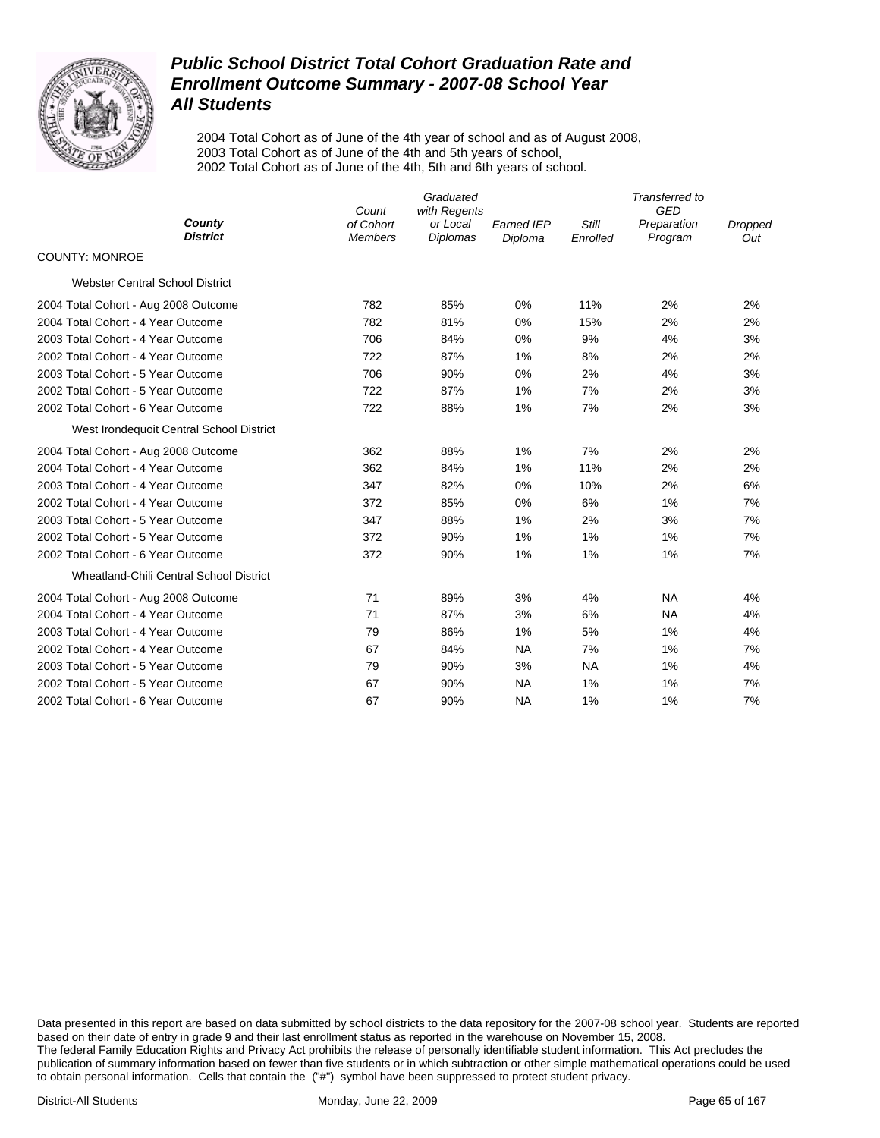

2004 Total Cohort as of June of the 4th year of school and as of August 2008, 2003 Total Cohort as of June of the 4th and 5th years of school, 2002 Total Cohort as of June of the 4th, 5th and 6th years of school.

|                                          | Count                       | Transferred to<br><b>GED</b>                |                              |                          |                        |                       |
|------------------------------------------|-----------------------------|---------------------------------------------|------------------------------|--------------------------|------------------------|-----------------------|
| County<br><b>District</b>                | of Cohort<br><b>Members</b> | with Regents<br>or Local<br><b>Diplomas</b> | <b>Earned IEP</b><br>Diploma | <b>Still</b><br>Enrolled | Preparation<br>Program | <b>Dropped</b><br>Out |
| <b>COUNTY: MONROE</b>                    |                             |                                             |                              |                          |                        |                       |
| <b>Webster Central School District</b>   |                             |                                             |                              |                          |                        |                       |
| 2004 Total Cohort - Aug 2008 Outcome     | 782                         | 85%                                         | 0%                           | 11%                      | 2%                     | 2%                    |
| 2004 Total Cohort - 4 Year Outcome       | 782                         | 81%                                         | 0%                           | 15%                      | 2%                     | 2%                    |
| 2003 Total Cohort - 4 Year Outcome       | 706                         | 84%                                         | 0%                           | 9%                       | 4%                     | 3%                    |
| 2002 Total Cohort - 4 Year Outcome       | 722                         | 87%                                         | 1%                           | 8%                       | 2%                     | 2%                    |
| 2003 Total Cohort - 5 Year Outcome       | 706                         | 90%                                         | 0%                           | 2%                       | 4%                     | 3%                    |
| 2002 Total Cohort - 5 Year Outcome       | 722                         | 87%                                         | 1%                           | 7%                       | 2%                     | 3%                    |
| 2002 Total Cohort - 6 Year Outcome       | 722                         | 88%                                         | 1%                           | 7%                       | 2%                     | 3%                    |
| West Irondequoit Central School District |                             |                                             |                              |                          |                        |                       |
| 2004 Total Cohort - Aug 2008 Outcome     | 362                         | 88%                                         | 1%                           | 7%                       | 2%                     | 2%                    |
| 2004 Total Cohort - 4 Year Outcome       | 362                         | 84%                                         | 1%                           | 11%                      | 2%                     | 2%                    |
| 2003 Total Cohort - 4 Year Outcome       | 347                         | 82%                                         | 0%                           | 10%                      | 2%                     | 6%                    |
| 2002 Total Cohort - 4 Year Outcome       | 372                         | 85%                                         | 0%                           | 6%                       | 1%                     | 7%                    |
| 2003 Total Cohort - 5 Year Outcome       | 347                         | 88%                                         | 1%                           | 2%                       | 3%                     | 7%                    |
| 2002 Total Cohort - 5 Year Outcome       | 372                         | 90%                                         | 1%                           | 1%                       | 1%                     | 7%                    |
| 2002 Total Cohort - 6 Year Outcome       | 372                         | 90%                                         | 1%                           | 1%                       | 1%                     | 7%                    |
| Wheatland-Chili Central School District  |                             |                                             |                              |                          |                        |                       |
| 2004 Total Cohort - Aug 2008 Outcome     | 71                          | 89%                                         | 3%                           | 4%                       | <b>NA</b>              | 4%                    |
| 2004 Total Cohort - 4 Year Outcome       | 71                          | 87%                                         | 3%                           | 6%                       | <b>NA</b>              | 4%                    |
| 2003 Total Cohort - 4 Year Outcome       | 79                          | 86%                                         | 1%                           | 5%                       | 1%                     | 4%                    |
| 2002 Total Cohort - 4 Year Outcome       | 67                          | 84%                                         | <b>NA</b>                    | 7%                       | 1%                     | 7%                    |
| 2003 Total Cohort - 5 Year Outcome       | 79                          | 90%                                         | 3%                           | <b>NA</b>                | 1%                     | 4%                    |
| 2002 Total Cohort - 5 Year Outcome       | 67                          | 90%                                         | <b>NA</b>                    | 1%                       | 1%                     | 7%                    |
| 2002 Total Cohort - 6 Year Outcome       | 67                          | 90%                                         | <b>NA</b>                    | 1%                       | 1%                     | 7%                    |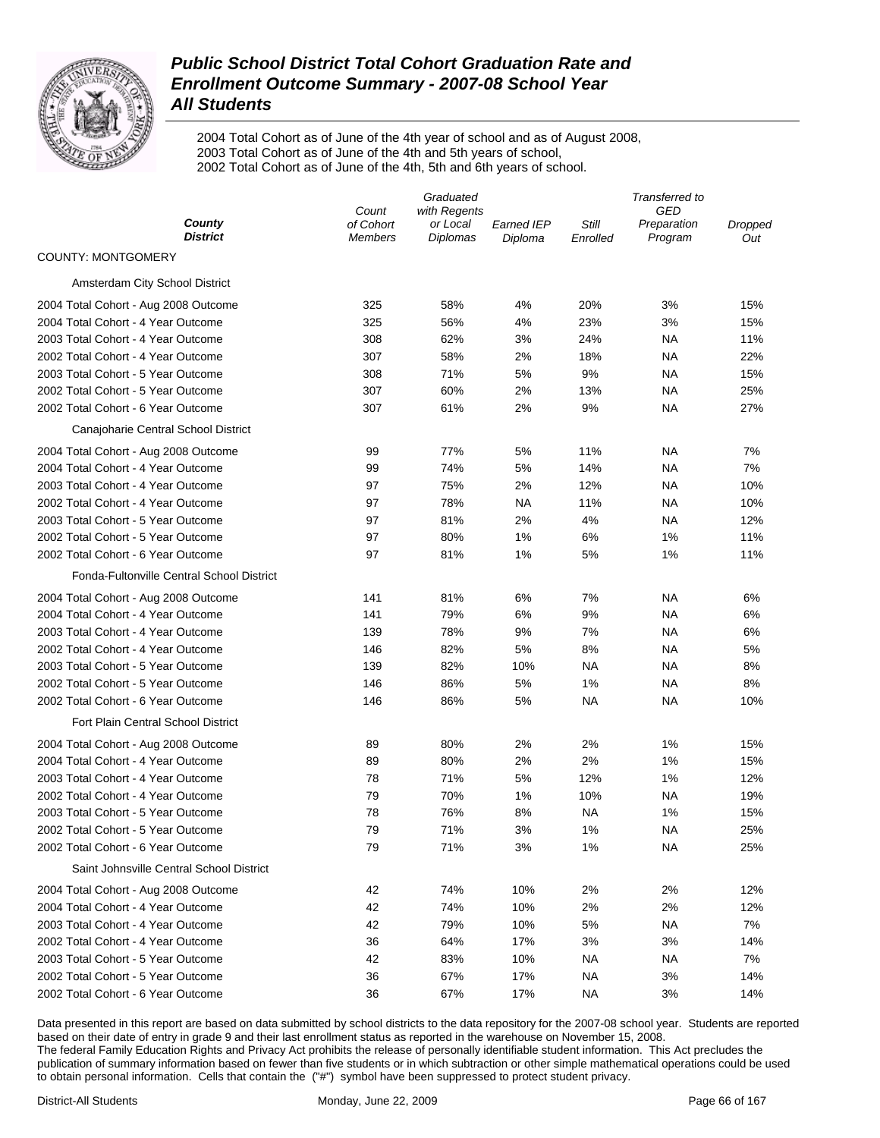

2004 Total Cohort as of June of the 4th year of school and as of August 2008, 2003 Total Cohort as of June of the 4th and 5th years of school, 2002 Total Cohort as of June of the 4th, 5th and 6th years of school.

|                                                                          |                             | Graduated                   |                              |                   | Transferred to         |                |  |
|--------------------------------------------------------------------------|-----------------------------|-----------------------------|------------------------------|-------------------|------------------------|----------------|--|
|                                                                          | Count                       | with Regents                |                              |                   | GED                    |                |  |
| County<br><b>District</b>                                                | of Cohort<br><b>Members</b> | or Local<br><b>Diplomas</b> | <b>Earned IEP</b><br>Diploma | Still<br>Enrolled | Preparation<br>Program | Dropped<br>Out |  |
| <b>COUNTY: MONTGOMERY</b>                                                |                             |                             |                              |                   |                        |                |  |
| Amsterdam City School District                                           |                             |                             |                              |                   |                        |                |  |
| 2004 Total Cohort - Aug 2008 Outcome                                     | 325                         | 58%                         | 4%                           | 20%               | 3%                     | 15%            |  |
| 2004 Total Cohort - 4 Year Outcome                                       | 325                         | 56%                         | 4%                           | 23%               | 3%                     | 15%            |  |
| 2003 Total Cohort - 4 Year Outcome                                       | 308                         | 62%                         | 3%                           | 24%               | NА                     | 11%            |  |
| 2002 Total Cohort - 4 Year Outcome                                       | 307                         | 58%                         | 2%                           | 18%               | NА                     | 22%            |  |
| 2003 Total Cohort - 5 Year Outcome                                       | 308                         | 71%                         | 5%                           | 9%                | NА                     | 15%            |  |
| 2002 Total Cohort - 5 Year Outcome                                       | 307                         | 60%                         | 2%                           | 13%               | NA                     | 25%            |  |
| 2002 Total Cohort - 6 Year Outcome                                       | 307                         | 61%                         | 2%                           | 9%                | NA                     | 27%            |  |
| Canajoharie Central School District                                      |                             |                             |                              |                   |                        |                |  |
| 2004 Total Cohort - Aug 2008 Outcome                                     | 99                          | 77%                         | 5%                           | 11%               | ΝA                     | 7%             |  |
| 2004 Total Cohort - 4 Year Outcome                                       | 99                          | 74%                         | 5%                           | 14%               | NA                     | 7%             |  |
| 2003 Total Cohort - 4 Year Outcome                                       | 97                          | 75%                         | 2%                           | 12%               | NA                     | 10%            |  |
| 2002 Total Cohort - 4 Year Outcome                                       | 97                          | 78%                         | NA                           | 11%               | NA                     | 10%            |  |
| 2003 Total Cohort - 5 Year Outcome                                       | 97                          | 81%                         | 2%                           | 4%                | NA                     | 12%            |  |
| 2002 Total Cohort - 5 Year Outcome                                       | 97                          | 80%                         | 1%                           | 6%                | 1%                     | 11%            |  |
| 2002 Total Cohort - 6 Year Outcome                                       | 97                          | 81%                         | 1%                           | 5%                | 1%                     | 11%            |  |
| Fonda-Fultonville Central School District                                |                             |                             |                              |                   |                        |                |  |
| 2004 Total Cohort - Aug 2008 Outcome                                     | 141                         | 81%                         | 6%                           | 7%                | ΝA                     | 6%             |  |
| 2004 Total Cohort - 4 Year Outcome                                       | 141                         | 79%                         | 6%                           | 9%                | NA                     | 6%             |  |
| 2003 Total Cohort - 4 Year Outcome                                       | 139                         | 78%                         | 9%                           | 7%                | NA                     | 6%             |  |
| 2002 Total Cohort - 4 Year Outcome                                       | 146                         | 82%                         | 5%                           | 8%                | NA                     | 5%             |  |
| 2003 Total Cohort - 5 Year Outcome                                       | 139                         | 82%                         | 10%                          | NA                | NA                     | 8%             |  |
| 2002 Total Cohort - 5 Year Outcome                                       | 146                         | 86%                         | $5%$                         | 1%                | NA                     | 8%             |  |
| 2002 Total Cohort - 6 Year Outcome                                       | 146                         | 86%                         | 5%                           | NA                | NA                     | 10%            |  |
| Fort Plain Central School District                                       |                             |                             |                              |                   |                        |                |  |
| 2004 Total Cohort - Aug 2008 Outcome                                     | 89                          | 80%                         | 2%                           | 2%                | 1%                     | 15%            |  |
| 2004 Total Cohort - 4 Year Outcome                                       | 89                          | 80%                         | 2%                           | 2%                | 1%                     | 15%            |  |
| 2003 Total Cohort - 4 Year Outcome                                       | 78                          | 71%                         | 5%                           | 12%               | 1%                     | 12%            |  |
| 2002 Total Cohort - 4 Year Outcome                                       | 79                          | 70%                         | 1%                           | 10%               | NA                     | 19%            |  |
| 2003 Total Cohort - 5 Year Outcome                                       | 78                          | 76%                         | 8%                           | <b>NA</b>         | 1%                     | 15%            |  |
| 2002 Total Cohort - 5 Year Outcome                                       | 79                          | 71%                         | 3%                           | 1%                | NA                     | 25%            |  |
| 2002 Total Cohort - 6 Year Outcome                                       | 79                          | 71%                         | 3%                           | 1%                | <b>NA</b>              | 25%            |  |
| Saint Johnsville Central School District                                 |                             |                             |                              |                   |                        |                |  |
|                                                                          |                             |                             |                              |                   |                        |                |  |
| 2004 Total Cohort - Aug 2008 Outcome                                     | 42                          | 74%                         | 10%                          | 2%                | 2%                     | 12%            |  |
| 2004 Total Cohort - 4 Year Outcome                                       | 42                          | 74%                         | 10%                          | 2%                | 2%                     | 12%            |  |
| 2003 Total Cohort - 4 Year Outcome                                       | 42                          | 79%                         | 10%                          | 5%                | <b>NA</b>              | 7%             |  |
| 2002 Total Cohort - 4 Year Outcome                                       | 36                          | 64%                         | 17%                          | 3%                | 3%                     | 14%            |  |
| 2003 Total Cohort - 5 Year Outcome<br>2002 Total Cohort - 5 Year Outcome | 42                          | 83%                         | 10%                          | NА                | <b>NA</b>              | 7%             |  |
|                                                                          | 36                          | 67%                         | 17%                          | <b>NA</b>         | 3%                     | 14%            |  |
| 2002 Total Cohort - 6 Year Outcome                                       | 36                          | 67%                         | 17%                          | <b>NA</b>         | 3%                     | 14%            |  |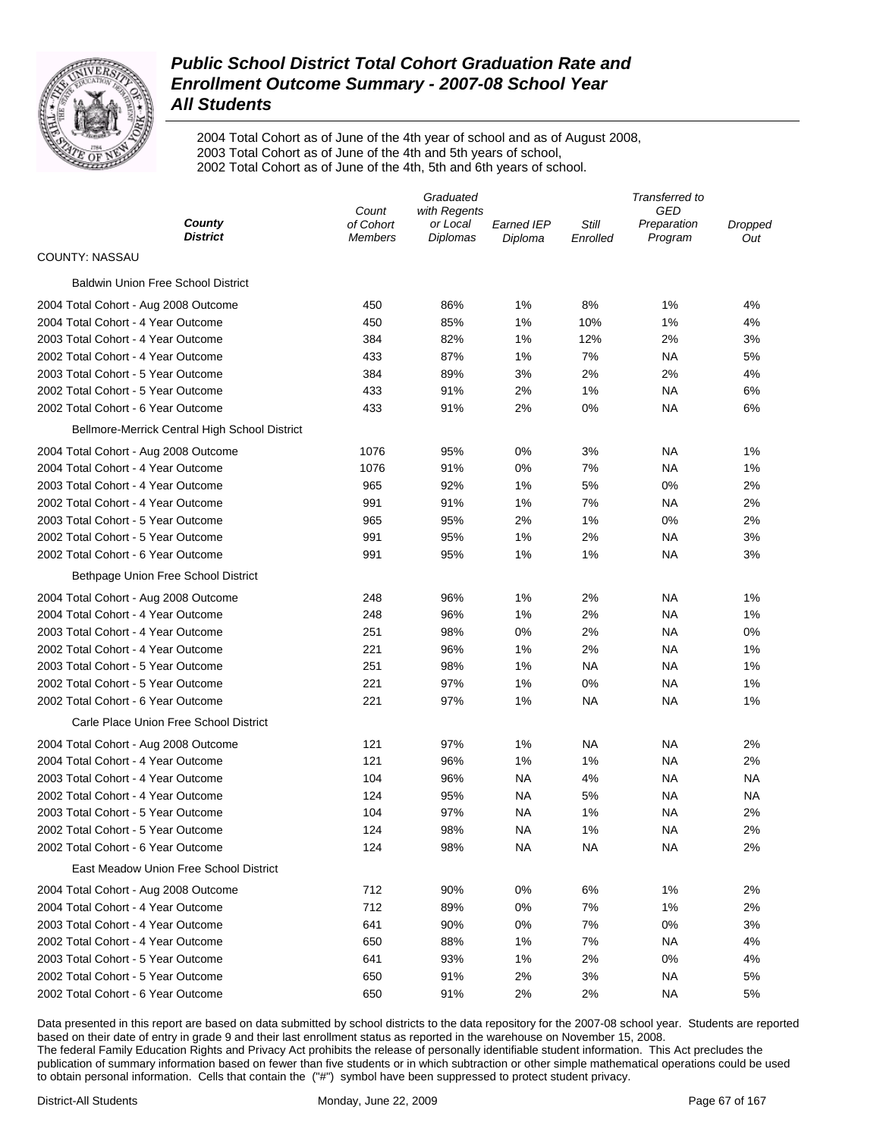

2004 Total Cohort as of June of the 4th year of school and as of August 2008, 2003 Total Cohort as of June of the 4th and 5th years of school, 2002 Total Cohort as of June of the 4th, 5th and 6th years of school.

|                                               | Graduated          |                          |                   | Transferred to |                           |           |
|-----------------------------------------------|--------------------|--------------------------|-------------------|----------------|---------------------------|-----------|
| County                                        | Count<br>of Cohort | with Regents<br>or Local | <b>Earned IEP</b> | Still          | <b>GED</b><br>Preparation | Dropped   |
| <b>District</b>                               | Members            | Diplomas                 | Diploma           | Enrolled       | Program                   | Out       |
| COUNTY: NASSAU                                |                    |                          |                   |                |                           |           |
| <b>Baldwin Union Free School District</b>     |                    |                          |                   |                |                           |           |
| 2004 Total Cohort - Aug 2008 Outcome          | 450                | 86%                      | 1%                | 8%             | 1%                        | 4%        |
| 2004 Total Cohort - 4 Year Outcome            | 450                | 85%                      | 1%                | 10%            | 1%                        | 4%        |
| 2003 Total Cohort - 4 Year Outcome            | 384                | 82%                      | 1%                | 12%            | 2%                        | 3%        |
| 2002 Total Cohort - 4 Year Outcome            | 433                | 87%                      | 1%                | 7%             | NA                        | 5%        |
| 2003 Total Cohort - 5 Year Outcome            | 384                | 89%                      | 3%                | 2%             | 2%                        | 4%        |
| 2002 Total Cohort - 5 Year Outcome            | 433                | 91%                      | 2%                | 1%             | NA                        | 6%        |
| 2002 Total Cohort - 6 Year Outcome            | 433                | 91%                      | 2%                | 0%             | NA                        | 6%        |
| Bellmore-Merrick Central High School District |                    |                          |                   |                |                           |           |
| 2004 Total Cohort - Aug 2008 Outcome          | 1076               | 95%                      | 0%                | 3%             | ΝA                        | 1%        |
| 2004 Total Cohort - 4 Year Outcome            | 1076               | 91%                      | 0%                | 7%             | NA                        | 1%        |
| 2003 Total Cohort - 4 Year Outcome            | 965                | 92%                      | 1%                | 5%             | 0%                        | 2%        |
| 2002 Total Cohort - 4 Year Outcome            | 991                | 91%                      | 1%                | 7%             | NA                        | 2%        |
| 2003 Total Cohort - 5 Year Outcome            | 965                | 95%                      | 2%                | 1%             | 0%                        | 2%        |
| 2002 Total Cohort - 5 Year Outcome            | 991                | 95%                      | 1%                | 2%             | NA                        | 3%        |
| 2002 Total Cohort - 6 Year Outcome            | 991                | 95%                      | 1%                | 1%             | NA                        | 3%        |
| Bethpage Union Free School District           |                    |                          |                   |                |                           |           |
| 2004 Total Cohort - Aug 2008 Outcome          | 248                | 96%                      | 1%                | 2%             | ΝA                        | 1%        |
| 2004 Total Cohort - 4 Year Outcome            | 248                | 96%                      | 1%                | 2%             | NA                        | 1%        |
| 2003 Total Cohort - 4 Year Outcome            | 251                | 98%                      | 0%                | 2%             | NA                        | 0%        |
| 2002 Total Cohort - 4 Year Outcome            | 221                | 96%                      | 1%                | 2%             | NA                        | 1%        |
| 2003 Total Cohort - 5 Year Outcome            | 251                | 98%                      | 1%                | NA             | NA                        | 1%        |
| 2002 Total Cohort - 5 Year Outcome            | 221                | 97%                      | 1%                | 0%             | NA                        | 1%        |
| 2002 Total Cohort - 6 Year Outcome            | 221                | 97%                      | 1%                | NA             | NA                        | 1%        |
| Carle Place Union Free School District        |                    |                          |                   |                |                           |           |
| 2004 Total Cohort - Aug 2008 Outcome          | 121                | 97%                      | 1%                | NA             | NA                        | 2%        |
| 2004 Total Cohort - 4 Year Outcome            | 121                | 96%                      | 1%                | 1%             | ΝA                        | 2%        |
| 2003 Total Cohort - 4 Year Outcome            | 104                | 96%                      | <b>NA</b>         | 4%             | NA                        | <b>NA</b> |
| 2002 Total Cohort - 4 Year Outcome            | 124                | 95%                      | <b>NA</b>         | 5%             | NA                        | NА        |
| 2003 Total Cohort - 5 Year Outcome            | 104                | 97%                      | ΝA                | 1%             | ΝA                        | 2%        |
| 2002 Total Cohort - 5 Year Outcome            | 124                | 98%                      | NA                | 1%             | ΝA                        | 2%        |
| 2002 Total Cohort - 6 Year Outcome            | 124                | 98%                      | <b>NA</b>         | <b>NA</b>      | <b>NA</b>                 | 2%        |
| East Meadow Union Free School District        |                    |                          |                   |                |                           |           |
| 2004 Total Cohort - Aug 2008 Outcome          | 712                | 90%                      | 0%                | 6%             | 1%                        | 2%        |
| 2004 Total Cohort - 4 Year Outcome            | 712                | 89%                      | 0%                | 7%             | 1%                        | 2%        |
| 2003 Total Cohort - 4 Year Outcome            | 641                | 90%                      | 0%                | 7%             | 0%                        | 3%        |
| 2002 Total Cohort - 4 Year Outcome            | 650                | 88%                      | 1%                | 7%             | ΝA                        | 4%        |
| 2003 Total Cohort - 5 Year Outcome            | 641                | 93%                      | 1%                | 2%             | 0%                        | 4%        |
| 2002 Total Cohort - 5 Year Outcome            | 650                | 91%                      | 2%                | 3%             | NА                        | 5%        |
| 2002 Total Cohort - 6 Year Outcome            | 650                | 91%                      | 2%                | 2%             | ΝA                        | 5%        |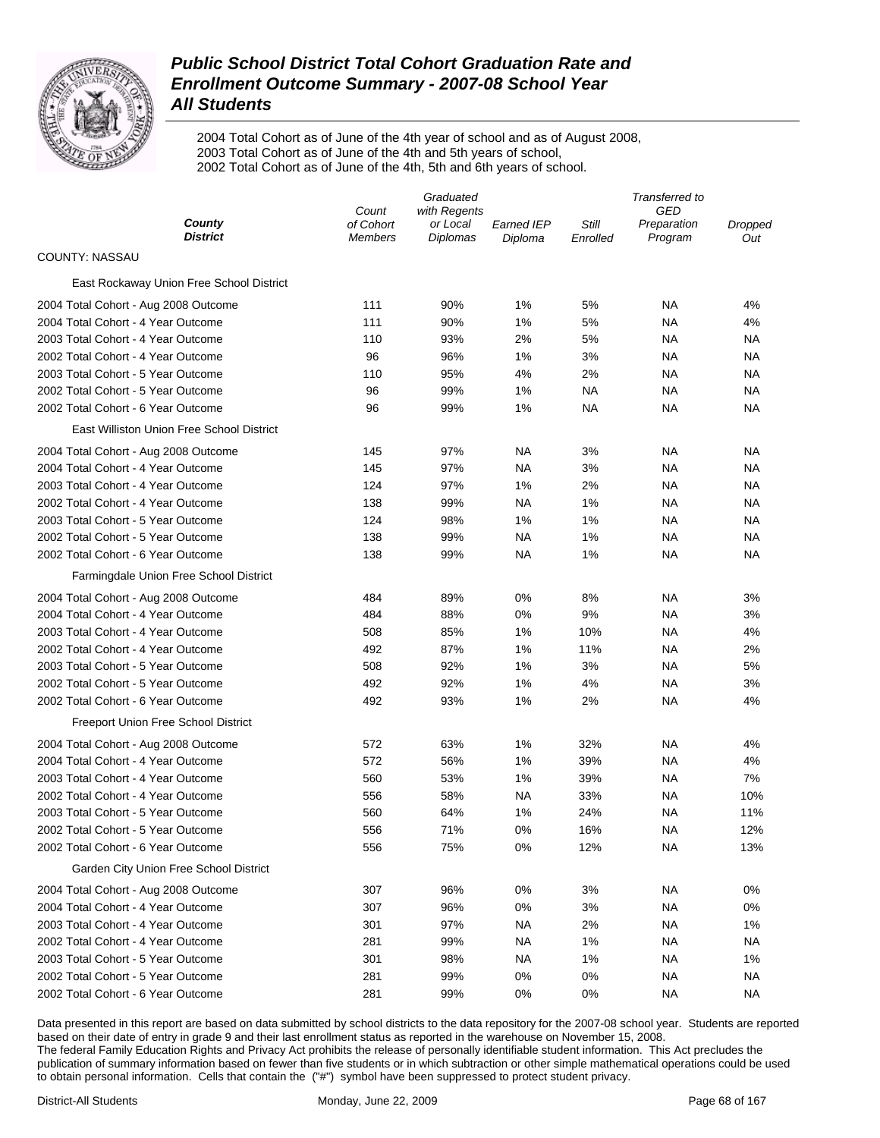

2004 Total Cohort as of June of the 4th year of school and as of August 2008, 2003 Total Cohort as of June of the 4th and 5th years of school, 2002 Total Cohort as of June of the 4th, 5th and 6th years of school.

|                                           | Graduated          |                          |            |          | Transferred to            |         |  |
|-------------------------------------------|--------------------|--------------------------|------------|----------|---------------------------|---------|--|
| County                                    | Count<br>of Cohort | with Regents<br>or Local | Earned IEP | Still    | <b>GED</b><br>Preparation | Dropped |  |
| <b>District</b>                           | <b>Members</b>     | Diplomas                 | Diploma    | Enrolled | Program                   | Out     |  |
| COUNTY: NASSAU                            |                    |                          |            |          |                           |         |  |
| East Rockaway Union Free School District  |                    |                          |            |          |                           |         |  |
| 2004 Total Cohort - Aug 2008 Outcome      | 111                | 90%                      | 1%         | 5%       | ΝA                        | 4%      |  |
| 2004 Total Cohort - 4 Year Outcome        | 111                | 90%                      | 1%         | 5%       | NA                        | 4%      |  |
| 2003 Total Cohort - 4 Year Outcome        | 110                | 93%                      | 2%         | 5%       | NA                        | ΝA      |  |
| 2002 Total Cohort - 4 Year Outcome        | 96                 | 96%                      | 1%         | 3%       | ΝA                        | ΝA      |  |
| 2003 Total Cohort - 5 Year Outcome        | 110                | 95%                      | 4%         | 2%       | NA                        | ΝA      |  |
| 2002 Total Cohort - 5 Year Outcome        | 96                 | 99%                      | 1%         | NA       | NA                        | ΝA      |  |
| 2002 Total Cohort - 6 Year Outcome        | 96                 | 99%                      | 1%         | NA       | NA                        | ΝA      |  |
| East Williston Union Free School District |                    |                          |            |          |                           |         |  |
| 2004 Total Cohort - Aug 2008 Outcome      | 145                | 97%                      | NA         | 3%       | NA                        | ΝA      |  |
| 2004 Total Cohort - 4 Year Outcome        | 145                | 97%                      | NA         | 3%       | NA                        | ΝA      |  |
| 2003 Total Cohort - 4 Year Outcome        | 124                | 97%                      | 1%         | 2%       | NA                        | ΝA      |  |
| 2002 Total Cohort - 4 Year Outcome        | 138                | 99%                      | ΝA         | 1%       | NA                        | ΝA      |  |
| 2003 Total Cohort - 5 Year Outcome        | 124                | 98%                      | 1%         | 1%       | NA                        | ΝA      |  |
| 2002 Total Cohort - 5 Year Outcome        | 138                | 99%                      | NA         | 1%       | NA                        | ΝA      |  |
| 2002 Total Cohort - 6 Year Outcome        | 138                | 99%                      | NA         | 1%       | NA                        | ΝA      |  |
| Farmingdale Union Free School District    |                    |                          |            |          |                           |         |  |
| 2004 Total Cohort - Aug 2008 Outcome      | 484                | 89%                      | 0%         | 8%       | ΝA                        | 3%      |  |
| 2004 Total Cohort - 4 Year Outcome        | 484                | 88%                      | 0%         | 9%       | NA                        | 3%      |  |
| 2003 Total Cohort - 4 Year Outcome        | 508                | 85%                      | 1%         | 10%      | NA                        | 4%      |  |
| 2002 Total Cohort - 4 Year Outcome        | 492                | 87%                      | 1%         | 11%      | NA                        | 2%      |  |
| 2003 Total Cohort - 5 Year Outcome        | 508                | 92%                      | 1%         | 3%       | NA                        | 5%      |  |
| 2002 Total Cohort - 5 Year Outcome        | 492                | 92%                      | 1%         | 4%       | NA                        | 3%      |  |
| 2002 Total Cohort - 6 Year Outcome        | 492                | 93%                      | 1%         | 2%       | NA                        | 4%      |  |
| Freeport Union Free School District       |                    |                          |            |          |                           |         |  |
| 2004 Total Cohort - Aug 2008 Outcome      | 572                | 63%                      | 1%         | 32%      | <b>NA</b>                 | 4%      |  |
| 2004 Total Cohort - 4 Year Outcome        | 572                | 56%                      | 1%         | 39%      | NA                        | 4%      |  |
| 2003 Total Cohort - 4 Year Outcome        | 560                | 53%                      | 1%         | 39%      | NA                        | 7%      |  |
| 2002 Total Cohort - 4 Year Outcome        | 556                | 58%                      | <b>NA</b>  | 33%      | ΝA                        | 10%     |  |
| 2003 Total Cohort - 5 Year Outcome        | 560                | 64%                      | 1%         | 24%      | NA                        | 11%     |  |
| 2002 Total Cohort - 5 Year Outcome        | 556                | 71%                      | 0%         | 16%      | ΝA                        | 12%     |  |
| 2002 Total Cohort - 6 Year Outcome        | 556                | 75%                      | 0%         | 12%      | <b>NA</b>                 | 13%     |  |
| Garden City Union Free School District    |                    |                          |            |          |                           |         |  |
| 2004 Total Cohort - Aug 2008 Outcome      | 307                | 96%                      | 0%         | 3%       | <b>NA</b>                 | 0%      |  |
| 2004 Total Cohort - 4 Year Outcome        | 307                | 96%                      | 0%         | 3%       | ΝA                        | 0%      |  |
| 2003 Total Cohort - 4 Year Outcome        | 301                | 97%                      | NA         | 2%       | ΝA                        | 1%      |  |
| 2002 Total Cohort - 4 Year Outcome        | 281                | 99%                      | NA         | 1%       | ΝA                        | ΝA      |  |
| 2003 Total Cohort - 5 Year Outcome        | 301                | 98%                      | <b>NA</b>  | 1%       | ΝA                        | 1%      |  |
| 2002 Total Cohort - 5 Year Outcome        | 281                | 99%                      | 0%         | 0%       | ΝA                        | ΝA      |  |
| 2002 Total Cohort - 6 Year Outcome        | 281                | 99%                      | 0%         | 0%       | NA                        | ΝA      |  |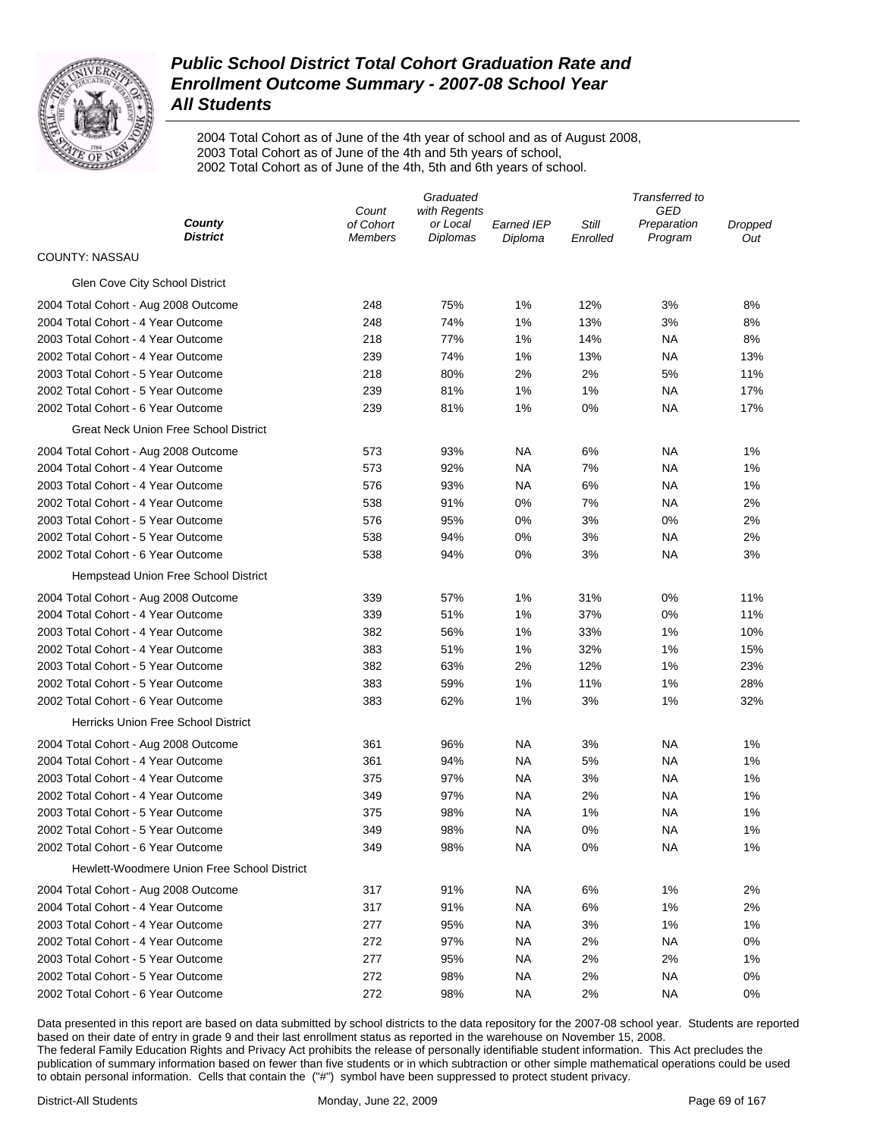

2004 Total Cohort as of June of the 4th year of school and as of August 2008, 2003 Total Cohort as of June of the 4th and 5th years of school, 2002 Total Cohort as of June of the 4th, 5th and 6th years of school.

|                                             | Graduated                   |                             |                       |                   | Transferred to         |                |  |  |
|---------------------------------------------|-----------------------------|-----------------------------|-----------------------|-------------------|------------------------|----------------|--|--|
|                                             | Count                       | with Regents                |                       |                   | GED                    |                |  |  |
| County<br><b>District</b>                   | of Cohort<br><b>Members</b> | or Local<br><b>Diplomas</b> | Earned IEP<br>Diploma | Still<br>Enrolled | Preparation<br>Program | Dropped<br>Out |  |  |
| COUNTY: NASSAU                              |                             |                             |                       |                   |                        |                |  |  |
| Glen Cove City School District              |                             |                             |                       |                   |                        |                |  |  |
| 2004 Total Cohort - Aug 2008 Outcome        | 248                         | 75%                         | 1%                    | 12%               | 3%                     | 8%             |  |  |
| 2004 Total Cohort - 4 Year Outcome          | 248                         | 74%                         | 1%                    | 13%               | 3%                     | 8%             |  |  |
| 2003 Total Cohort - 4 Year Outcome          | 218                         | 77%                         | 1%                    | 14%               | ΝA                     | 8%             |  |  |
| 2002 Total Cohort - 4 Year Outcome          | 239                         | 74%                         | 1%                    | 13%               | ΝA                     | 13%            |  |  |
| 2003 Total Cohort - 5 Year Outcome          | 218                         | 80%                         | 2%                    | 2%                | 5%                     | 11%            |  |  |
| 2002 Total Cohort - 5 Year Outcome          | 239                         | 81%                         | 1%                    | 1%                | ΝA                     | 17%            |  |  |
| 2002 Total Cohort - 6 Year Outcome          | 239                         | 81%                         | 1%                    | 0%                | ΝA                     | 17%            |  |  |
| Great Neck Union Free School District       |                             |                             |                       |                   |                        |                |  |  |
| 2004 Total Cohort - Aug 2008 Outcome        | 573                         | 93%                         | NA                    | 6%                | ΝA                     | 1%             |  |  |
| 2004 Total Cohort - 4 Year Outcome          | 573                         | 92%                         | NA                    | 7%                | ΝA                     | 1%             |  |  |
| 2003 Total Cohort - 4 Year Outcome          | 576                         | 93%                         | <b>NA</b>             | 6%                | ΝA                     | 1%             |  |  |
| 2002 Total Cohort - 4 Year Outcome          | 538                         | 91%                         | 0%                    | 7%                | ΝA                     | 2%             |  |  |
| 2003 Total Cohort - 5 Year Outcome          | 576                         | 95%                         | 0%                    | 3%                | 0%                     | 2%             |  |  |
| 2002 Total Cohort - 5 Year Outcome          | 538                         | 94%                         | 0%                    | 3%                | ΝA                     | 2%             |  |  |
| 2002 Total Cohort - 6 Year Outcome          | 538                         | 94%                         | 0%                    | 3%                | ΝA                     | 3%             |  |  |
| Hempstead Union Free School District        |                             |                             |                       |                   |                        |                |  |  |
| 2004 Total Cohort - Aug 2008 Outcome        | 339                         | 57%                         | 1%                    | 31%               | 0%                     | 11%            |  |  |
| 2004 Total Cohort - 4 Year Outcome          | 339                         | 51%                         | 1%                    | 37%               | 0%                     | 11%            |  |  |
| 2003 Total Cohort - 4 Year Outcome          | 382                         | 56%                         | 1%                    | 33%               | 1%                     | 10%            |  |  |
| 2002 Total Cohort - 4 Year Outcome          | 383                         | 51%                         | 1%                    | 32%               | 1%                     | 15%            |  |  |
| 2003 Total Cohort - 5 Year Outcome          | 382                         | 63%                         | 2%                    | 12%               | 1%                     | 23%            |  |  |
| 2002 Total Cohort - 5 Year Outcome          | 383                         | 59%                         | 1%                    | 11%               | 1%                     | 28%            |  |  |
| 2002 Total Cohort - 6 Year Outcome          | 383                         | 62%                         | 1%                    | 3%                | 1%                     | 32%            |  |  |
| <b>Herricks Union Free School District</b>  |                             |                             |                       |                   |                        |                |  |  |
| 2004 Total Cohort - Aug 2008 Outcome        | 361                         | 96%                         | NA                    | 3%                | NA                     | 1%             |  |  |
| 2004 Total Cohort - 4 Year Outcome          | 361                         | 94%                         | <b>NA</b>             | 5%                | <b>NA</b>              | 1%             |  |  |
| 2003 Total Cohort - 4 Year Outcome          | 375                         | 97%                         | <b>NA</b>             | 3%                | <b>NA</b>              | 1%             |  |  |
| 2002 Total Cohort - 4 Year Outcome          | 349                         | 97%                         | NA                    | 2%                | NA                     | 1%             |  |  |
| 2003 Total Cohort - 5 Year Outcome          | 375                         | 98%                         | NA                    | 1%                | NA                     | 1%             |  |  |
| 2002 Total Cohort - 5 Year Outcome          | 349                         | 98%                         | <b>NA</b>             | 0%                | NA                     | 1%             |  |  |
| 2002 Total Cohort - 6 Year Outcome          | 349                         | 98%                         | <b>NA</b>             | 0%                | ΝA                     | 1%             |  |  |
| Hewlett-Woodmere Union Free School District |                             |                             |                       |                   |                        |                |  |  |
| 2004 Total Cohort - Aug 2008 Outcome        | 317                         | 91%                         | NA.                   | 6%                | 1%                     | 2%             |  |  |
| 2004 Total Cohort - 4 Year Outcome          | 317                         | 91%                         | <b>NA</b>             | 6%                | 1%                     | 2%             |  |  |
| 2003 Total Cohort - 4 Year Outcome          | 277                         | 95%                         | <b>NA</b>             | 3%                | 1%                     | 1%             |  |  |
| 2002 Total Cohort - 4 Year Outcome          | 272                         | 97%                         | NA                    | 2%                | <b>NA</b>              | 0%             |  |  |
| 2003 Total Cohort - 5 Year Outcome          | 277                         | 95%                         | NA.                   | 2%                | 2%                     | 1%             |  |  |
| 2002 Total Cohort - 5 Year Outcome          | 272                         | 98%                         | <b>NA</b>             | 2%                | ΝA                     | 0%             |  |  |
| 2002 Total Cohort - 6 Year Outcome          | 272                         | 98%                         | <b>NA</b>             | 2%                | <b>NA</b>              | 0%             |  |  |
|                                             |                             |                             |                       |                   |                        |                |  |  |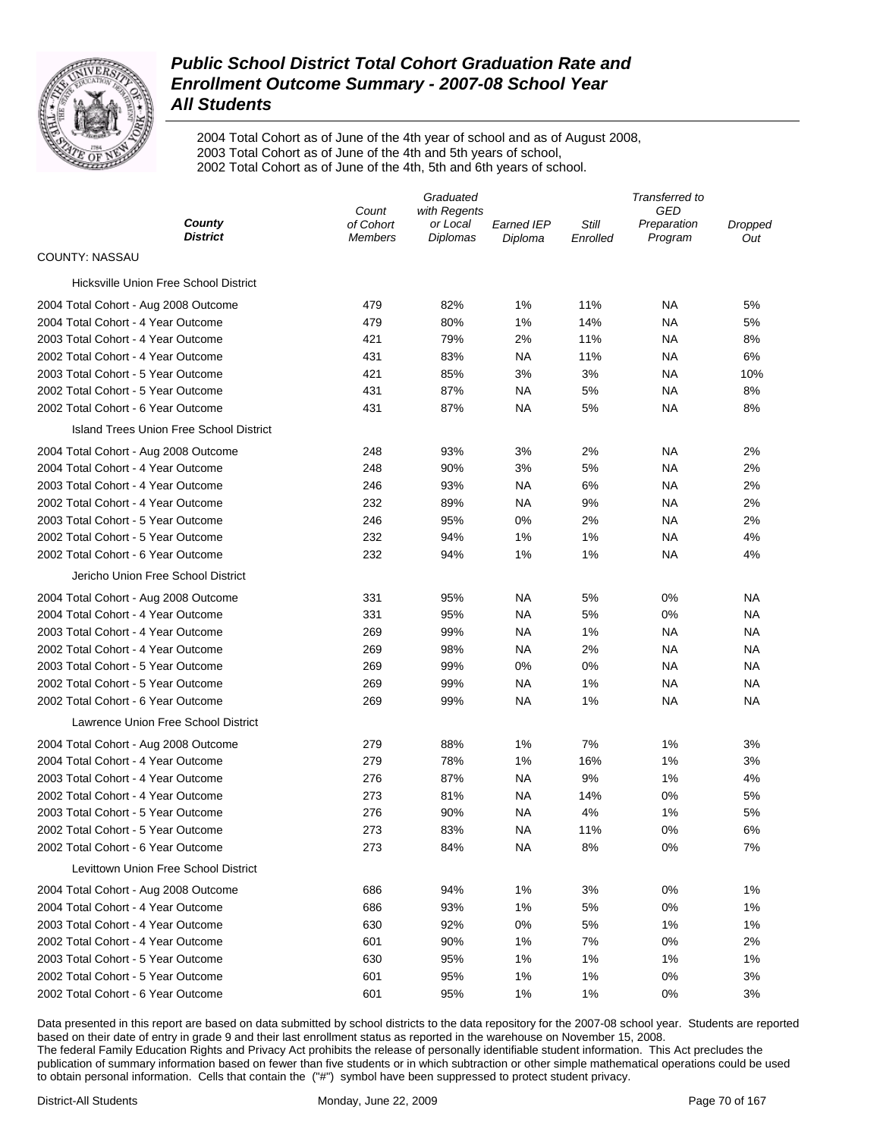

2004 Total Cohort as of June of the 4th year of school and as of August 2008, 2003 Total Cohort as of June of the 4th and 5th years of school, 2002 Total Cohort as of June of the 4th, 5th and 6th years of school.

|                                         | Graduated            |                             |                              | Transferred to    |                        |                |  |
|-----------------------------------------|----------------------|-----------------------------|------------------------------|-------------------|------------------------|----------------|--|
|                                         | Count                | with Regents                |                              |                   | GED                    |                |  |
| County<br><b>District</b>               | of Cohort<br>Members | or Local<br><b>Diplomas</b> | <b>Earned IEP</b><br>Diploma | Still<br>Enrolled | Preparation<br>Program | Dropped<br>Out |  |
| COUNTY: NASSAU                          |                      |                             |                              |                   |                        |                |  |
| Hicksville Union Free School District   |                      |                             |                              |                   |                        |                |  |
| 2004 Total Cohort - Aug 2008 Outcome    | 479                  | 82%                         | 1%                           | 11%               | ΝA                     | 5%             |  |
| 2004 Total Cohort - 4 Year Outcome      | 479                  | 80%                         | 1%                           | 14%               | NA                     | 5%             |  |
| 2003 Total Cohort - 4 Year Outcome      | 421                  | 79%                         | 2%                           | 11%               | <b>NA</b>              | 8%             |  |
| 2002 Total Cohort - 4 Year Outcome      | 431                  | 83%                         | ΝA                           | 11%               | NA                     | 6%             |  |
| 2003 Total Cohort - 5 Year Outcome      | 421                  | 85%                         | 3%                           | 3%                | NA                     | 10%            |  |
| 2002 Total Cohort - 5 Year Outcome      | 431                  | 87%                         | ΝA                           | 5%                | <b>NA</b>              | 8%             |  |
| 2002 Total Cohort - 6 Year Outcome      | 431                  | 87%                         | ΝA                           | 5%                | ΝA                     | 8%             |  |
| Island Trees Union Free School District |                      |                             |                              |                   |                        |                |  |
| 2004 Total Cohort - Aug 2008 Outcome    | 248                  | 93%                         | 3%                           | 2%                | <b>NA</b>              | 2%             |  |
| 2004 Total Cohort - 4 Year Outcome      | 248                  | 90%                         | 3%                           | 5%                | ΝA                     | 2%             |  |
| 2003 Total Cohort - 4 Year Outcome      | 246                  | 93%                         | ΝA                           | 6%                | NA                     | 2%             |  |
| 2002 Total Cohort - 4 Year Outcome      | 232                  | 89%                         | ΝA                           | 9%                | NA                     | 2%             |  |
| 2003 Total Cohort - 5 Year Outcome      | 246                  | 95%                         | 0%                           | 2%                | NA                     | 2%             |  |
| 2002 Total Cohort - 5 Year Outcome      | 232                  | 94%                         | 1%                           | 1%                | NA                     | 4%             |  |
| 2002 Total Cohort - 6 Year Outcome      | 232                  | 94%                         | 1%                           | 1%                | <b>NA</b>              | 4%             |  |
| Jericho Union Free School District      |                      |                             |                              |                   |                        |                |  |
| 2004 Total Cohort - Aug 2008 Outcome    | 331                  | 95%                         | ΝA                           | 5%                | 0%                     | NA.            |  |
| 2004 Total Cohort - 4 Year Outcome      | 331                  | 95%                         | <b>NA</b>                    | 5%                | 0%                     | NА             |  |
| 2003 Total Cohort - 4 Year Outcome      | 269                  | 99%                         | ΝA                           | 1%                | <b>NA</b>              | NА             |  |
| 2002 Total Cohort - 4 Year Outcome      | 269                  | 98%                         | NA                           | 2%                | NA                     | NА             |  |
| 2003 Total Cohort - 5 Year Outcome      | 269                  | 99%                         | 0%                           | 0%                | NA                     | NА             |  |
| 2002 Total Cohort - 5 Year Outcome      | 269                  | 99%                         | NA                           | 1%                | NA                     | NА             |  |
| 2002 Total Cohort - 6 Year Outcome      | 269                  | 99%                         | ΝA                           | 1%                | NA                     | NA             |  |
| Lawrence Union Free School District     |                      |                             |                              |                   |                        |                |  |
| 2004 Total Cohort - Aug 2008 Outcome    | 279                  | 88%                         | 1%                           | 7%                | 1%                     | 3%             |  |
| 2004 Total Cohort - 4 Year Outcome      | 279                  | 78%                         | 1%                           | 16%               | 1%                     | 3%             |  |
| 2003 Total Cohort - 4 Year Outcome      | 276                  | 87%                         | ΝA                           | 9%                | 1%                     | 4%             |  |
| 2002 Total Cohort - 4 Year Outcome      | 273                  | 81%                         | NA                           | 14%               | 0%                     | 5%             |  |
| 2003 Total Cohort - 5 Year Outcome      | 276                  | 90%                         | NA                           | 4%                | 1%                     | 5%             |  |
| 2002 Total Cohort - 5 Year Outcome      | 273                  | 83%                         | NA                           | 11%               | 0%                     | 6%             |  |
| 2002 Total Cohort - 6 Year Outcome      | 273                  | 84%                         | ΝA                           | 8%                | 0%                     | 7%             |  |
| Levittown Union Free School District    |                      |                             |                              |                   |                        |                |  |
| 2004 Total Cohort - Aug 2008 Outcome    | 686                  | 94%                         | 1%                           | 3%                | 0%                     | 1%             |  |
| 2004 Total Cohort - 4 Year Outcome      | 686                  | 93%                         | 1%                           | 5%                | 0%                     | 1%             |  |
| 2003 Total Cohort - 4 Year Outcome      | 630                  | 92%                         | 0%                           | 5%                | 1%                     | 1%             |  |
| 2002 Total Cohort - 4 Year Outcome      | 601                  | 90%                         | 1%                           | 7%                | 0%                     | 2%             |  |
| 2003 Total Cohort - 5 Year Outcome      | 630                  | 95%                         | 1%                           | 1%                | 1%                     | 1%             |  |
| 2002 Total Cohort - 5 Year Outcome      | 601                  | 95%                         | 1%                           | 1%                | 0%                     | 3%             |  |
| 2002 Total Cohort - 6 Year Outcome      | 601                  | 95%                         | 1%                           | 1%                | 0%                     | 3%             |  |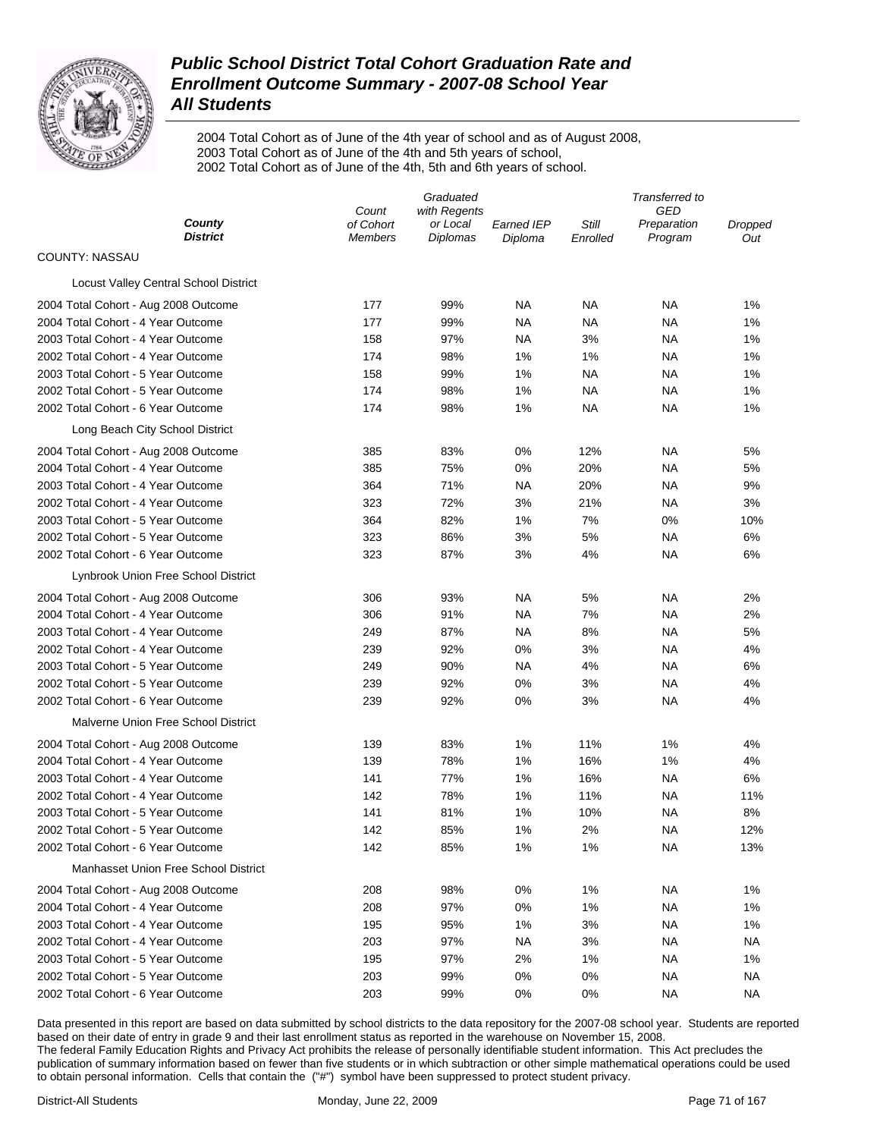

2004 Total Cohort as of June of the 4th year of school and as of August 2008, 2003 Total Cohort as of June of the 4th and 5th years of school, 2002 Total Cohort as of June of the 4th, 5th and 6th years of school.

|                                       | Graduated                   |                             |                       |                   | Transferred to         |                |  |
|---------------------------------------|-----------------------------|-----------------------------|-----------------------|-------------------|------------------------|----------------|--|
|                                       | Count                       | with Regents                |                       |                   | GED                    |                |  |
| County<br><b>District</b>             | of Cohort<br><b>Members</b> | or Local<br><b>Diplomas</b> | Earned IEP<br>Diploma | Still<br>Enrolled | Preparation<br>Program | Dropped<br>Out |  |
| COUNTY: NASSAU                        |                             |                             |                       |                   |                        |                |  |
| Locust Valley Central School District |                             |                             |                       |                   |                        |                |  |
| 2004 Total Cohort - Aug 2008 Outcome  | 177                         | 99%                         | NA                    | ΝA                | ΝA                     | 1%             |  |
| 2004 Total Cohort - 4 Year Outcome    | 177                         | 99%                         | NA                    | ΝA                | ΝA                     | 1%             |  |
| 2003 Total Cohort - 4 Year Outcome    | 158                         | 97%                         | <b>NA</b>             | 3%                | ΝA                     | 1%             |  |
| 2002 Total Cohort - 4 Year Outcome    | 174                         | 98%                         | 1%                    | 1%                | ΝA                     | 1%             |  |
| 2003 Total Cohort - 5 Year Outcome    | 158                         | 99%                         | 1%                    | ΝA                | ΝA                     | 1%             |  |
| 2002 Total Cohort - 5 Year Outcome    | 174                         | 98%                         | 1%                    | ΝA                | ΝA                     | 1%             |  |
| 2002 Total Cohort - 6 Year Outcome    | 174                         | 98%                         | 1%                    | ΝA                | ΝA                     | 1%             |  |
| Long Beach City School District       |                             |                             |                       |                   |                        |                |  |
| 2004 Total Cohort - Aug 2008 Outcome  | 385                         | 83%                         | 0%                    | 12%               | ΝA                     | 5%             |  |
| 2004 Total Cohort - 4 Year Outcome    | 385                         | 75%                         | 0%                    | 20%               | ΝA                     | 5%             |  |
| 2003 Total Cohort - 4 Year Outcome    | 364                         | 71%                         | <b>NA</b>             | 20%               | ΝA                     | 9%             |  |
| 2002 Total Cohort - 4 Year Outcome    | 323                         | 72%                         | 3%                    | 21%               | ΝA                     | 3%             |  |
| 2003 Total Cohort - 5 Year Outcome    | 364                         | 82%                         | 1%                    | 7%                | 0%                     | 10%            |  |
| 2002 Total Cohort - 5 Year Outcome    | 323                         | 86%                         | 3%                    | 5%                | ΝA                     | 6%             |  |
| 2002 Total Cohort - 6 Year Outcome    | 323                         | 87%                         | 3%                    | 4%                | ΝA                     | 6%             |  |
| Lynbrook Union Free School District   |                             |                             |                       |                   |                        |                |  |
| 2004 Total Cohort - Aug 2008 Outcome  | 306                         | 93%                         | NA                    | 5%                | ΝA                     | 2%             |  |
| 2004 Total Cohort - 4 Year Outcome    | 306                         | 91%                         | <b>NA</b>             | 7%                | ΝA                     | 2%             |  |
| 2003 Total Cohort - 4 Year Outcome    | 249                         | 87%                         | NA                    | 8%                | ΝA                     | 5%             |  |
| 2002 Total Cohort - 4 Year Outcome    | 239                         | 92%                         | 0%                    | 3%                | NA                     | 4%             |  |
| 2003 Total Cohort - 5 Year Outcome    | 249                         | 90%                         | <b>NA</b>             | 4%                | <b>NA</b>              | 6%             |  |
| 2002 Total Cohort - 5 Year Outcome    | 239                         | 92%                         | $0\%$                 | 3%                | NA                     | 4%             |  |
| 2002 Total Cohort - 6 Year Outcome    | 239                         | 92%                         | 0%                    | 3%                | NA                     | 4%             |  |
| Malverne Union Free School District   |                             |                             |                       |                   |                        |                |  |
| 2004 Total Cohort - Aug 2008 Outcome  | 139                         | 83%                         | 1%                    | 11%               | 1%                     | 4%             |  |
| 2004 Total Cohort - 4 Year Outcome    | 139                         | 78%                         | 1%                    | 16%               | 1%                     | 4%             |  |
| 2003 Total Cohort - 4 Year Outcome    | 141                         | 77%                         | 1%                    | 16%               | <b>NA</b>              | 6%             |  |
| 2002 Total Cohort - 4 Year Outcome    | 142                         | 78%                         | 1%                    | 11%               | NA                     | 11%            |  |
| 2003 Total Cohort - 5 Year Outcome    | 141                         | 81%                         | 1%                    | 10%               | NA                     | 8%             |  |
| 2002 Total Cohort - 5 Year Outcome    | 142                         | 85%                         | 1%                    | 2%                | NA                     | 12%            |  |
| 2002 Total Cohort - 6 Year Outcome    | 142                         | 85%                         | 1%                    | 1%                | <b>NA</b>              | 13%            |  |
| Manhasset Union Free School District  |                             |                             |                       |                   |                        |                |  |
| 2004 Total Cohort - Aug 2008 Outcome  | 208                         | 98%                         | 0%                    | 1%                | ΝA                     | 1%             |  |
| 2004 Total Cohort - 4 Year Outcome    | 208                         | 97%                         | 0%                    | 1%                | <b>NA</b>              | 1%             |  |
| 2003 Total Cohort - 4 Year Outcome    | 195                         | 95%                         | 1%                    | 3%                | <b>NA</b>              | 1%             |  |
| 2002 Total Cohort - 4 Year Outcome    | 203                         | 97%                         | <b>NA</b>             | 3%                | <b>NA</b>              | ΝA             |  |
| 2003 Total Cohort - 5 Year Outcome    | 195                         | 97%                         | 2%                    | 1%                | <b>NA</b>              | 1%             |  |
| 2002 Total Cohort - 5 Year Outcome    | 203                         | 99%                         | 0%                    | 0%                | <b>NA</b>              | ΝA             |  |
| 2002 Total Cohort - 6 Year Outcome    | 203                         | 99%                         | 0%                    | 0%                | <b>NA</b>              | ΝA             |  |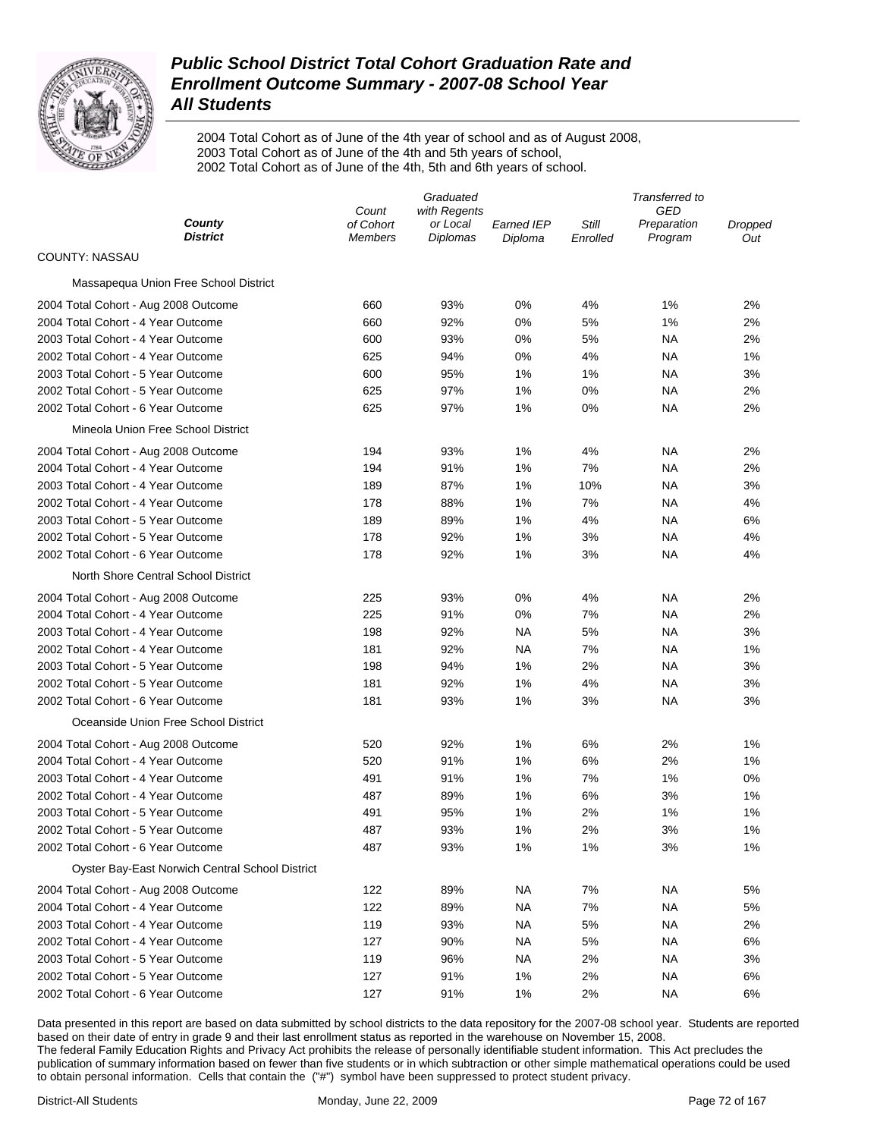

2004 Total Cohort as of June of the 4th year of school and as of August 2008, 2003 Total Cohort as of June of the 4th and 5th years of school, 2002 Total Cohort as of June of the 4th, 5th and 6th years of school.

|                                                 | Graduated                   |                             |                       |                   | Transferred to         |                |  |  |
|-------------------------------------------------|-----------------------------|-----------------------------|-----------------------|-------------------|------------------------|----------------|--|--|
|                                                 | Count                       | with Regents                |                       |                   | GED                    |                |  |  |
| County<br><b>District</b>                       | of Cohort<br><b>Members</b> | or Local<br><b>Diplomas</b> | Earned IEP<br>Diploma | Still<br>Enrolled | Preparation<br>Program | Dropped<br>Out |  |  |
| COUNTY: NASSAU                                  |                             |                             |                       |                   |                        |                |  |  |
| Massapequa Union Free School District           |                             |                             |                       |                   |                        |                |  |  |
| 2004 Total Cohort - Aug 2008 Outcome            | 660                         | 93%                         | 0%                    | 4%                | 1%                     | 2%             |  |  |
| 2004 Total Cohort - 4 Year Outcome              | 660                         | 92%                         | 0%                    | 5%                | 1%                     | 2%             |  |  |
| 2003 Total Cohort - 4 Year Outcome              | 600                         | 93%                         | 0%                    | 5%                | ΝA                     | 2%             |  |  |
| 2002 Total Cohort - 4 Year Outcome              | 625                         | 94%                         | 0%                    | 4%                | ΝA                     | 1%             |  |  |
| 2003 Total Cohort - 5 Year Outcome              | 600                         | 95%                         | 1%                    | 1%                | ΝA                     | 3%             |  |  |
| 2002 Total Cohort - 5 Year Outcome              | 625                         | 97%                         | 1%                    | 0%                | ΝA                     | 2%             |  |  |
| 2002 Total Cohort - 6 Year Outcome              | 625                         | 97%                         | 1%                    | 0%                | ΝA                     | 2%             |  |  |
| Mineola Union Free School District              |                             |                             |                       |                   |                        |                |  |  |
| 2004 Total Cohort - Aug 2008 Outcome            | 194                         | 93%                         | 1%                    | 4%                | ΝA                     | 2%             |  |  |
| 2004 Total Cohort - 4 Year Outcome              | 194                         | 91%                         | 1%                    | 7%                | ΝA                     | 2%             |  |  |
| 2003 Total Cohort - 4 Year Outcome              | 189                         | 87%                         | 1%                    | 10%               | ΝA                     | 3%             |  |  |
| 2002 Total Cohort - 4 Year Outcome              | 178                         | 88%                         | 1%                    | 7%                | ΝA                     | 4%             |  |  |
| 2003 Total Cohort - 5 Year Outcome              | 189                         | 89%                         | 1%                    | 4%                | ΝA                     | 6%             |  |  |
| 2002 Total Cohort - 5 Year Outcome              | 178                         | 92%                         | 1%                    | 3%                | ΝA                     | 4%             |  |  |
| 2002 Total Cohort - 6 Year Outcome              | 178                         | 92%                         | 1%                    | 3%                | ΝA                     | 4%             |  |  |
| North Shore Central School District             |                             |                             |                       |                   |                        |                |  |  |
| 2004 Total Cohort - Aug 2008 Outcome            | 225                         | 93%                         | 0%                    | 4%                | ΝA                     | 2%             |  |  |
| 2004 Total Cohort - 4 Year Outcome              | 225                         | 91%                         | 0%                    | 7%                | ΝA                     | 2%             |  |  |
| 2003 Total Cohort - 4 Year Outcome              | 198                         | 92%                         | NA                    | 5%                | ΝA                     | 3%             |  |  |
| 2002 Total Cohort - 4 Year Outcome              | 181                         | 92%                         | NA                    | 7%                | NA                     | 1%             |  |  |
| 2003 Total Cohort - 5 Year Outcome              | 198                         | 94%                         | 1%                    | 2%                | <b>NA</b>              | 3%             |  |  |
| 2002 Total Cohort - 5 Year Outcome              | 181                         | 92%                         | 1%                    | 4%                | NA                     | 3%             |  |  |
| 2002 Total Cohort - 6 Year Outcome              | 181                         | 93%                         | 1%                    | 3%                | NA                     | 3%             |  |  |
| Oceanside Union Free School District            |                             |                             |                       |                   |                        |                |  |  |
| 2004 Total Cohort - Aug 2008 Outcome            | 520                         | 92%                         | 1%                    | 6%                | 2%                     | 1%             |  |  |
| 2004 Total Cohort - 4 Year Outcome              | 520                         | 91%                         | 1%                    | 6%                | 2%                     | 1%             |  |  |
| 2003 Total Cohort - 4 Year Outcome              | 491                         | 91%                         | 1%                    | 7%                | 1%                     | 0%             |  |  |
| 2002 Total Cohort - 4 Year Outcome              | 487                         | 89%                         | 1%                    | 6%                | 3%                     | 1%             |  |  |
| 2003 Total Cohort - 5 Year Outcome              | 491                         | 95%                         | 1%                    | 2%                | 1%                     | 1%             |  |  |
| 2002 Total Cohort - 5 Year Outcome              | 487                         | 93%                         | 1%                    | 2%                | 3%                     | 1%             |  |  |
| 2002 Total Cohort - 6 Year Outcome              | 487                         | 93%                         | 1%                    | 1%                | 3%                     | 1%             |  |  |
| Oyster Bay-East Norwich Central School District |                             |                             |                       |                   |                        |                |  |  |
| 2004 Total Cohort - Aug 2008 Outcome            | 122                         | 89%                         | <b>NA</b>             | 7%                | <b>NA</b>              | 5%             |  |  |
| 2004 Total Cohort - 4 Year Outcome              | 122                         | 89%                         | <b>NA</b>             | 7%                | <b>NA</b>              | 5%             |  |  |
| 2003 Total Cohort - 4 Year Outcome              | 119                         | 93%                         | <b>NA</b>             | 5%                | <b>NA</b>              | 2%             |  |  |
| 2002 Total Cohort - 4 Year Outcome              | 127                         | 90%                         | <b>NA</b>             | 5%                | <b>NA</b>              | 6%             |  |  |
| 2003 Total Cohort - 5 Year Outcome              | 119                         | 96%                         | <b>NA</b>             | 2%                | <b>NA</b>              | 3%             |  |  |
| 2002 Total Cohort - 5 Year Outcome              | 127                         | 91%                         | 1%                    | 2%                | <b>NA</b>              | 6%             |  |  |
| 2002 Total Cohort - 6 Year Outcome              | 127                         | 91%                         | 1%                    | 2%                | <b>NA</b>              | 6%             |  |  |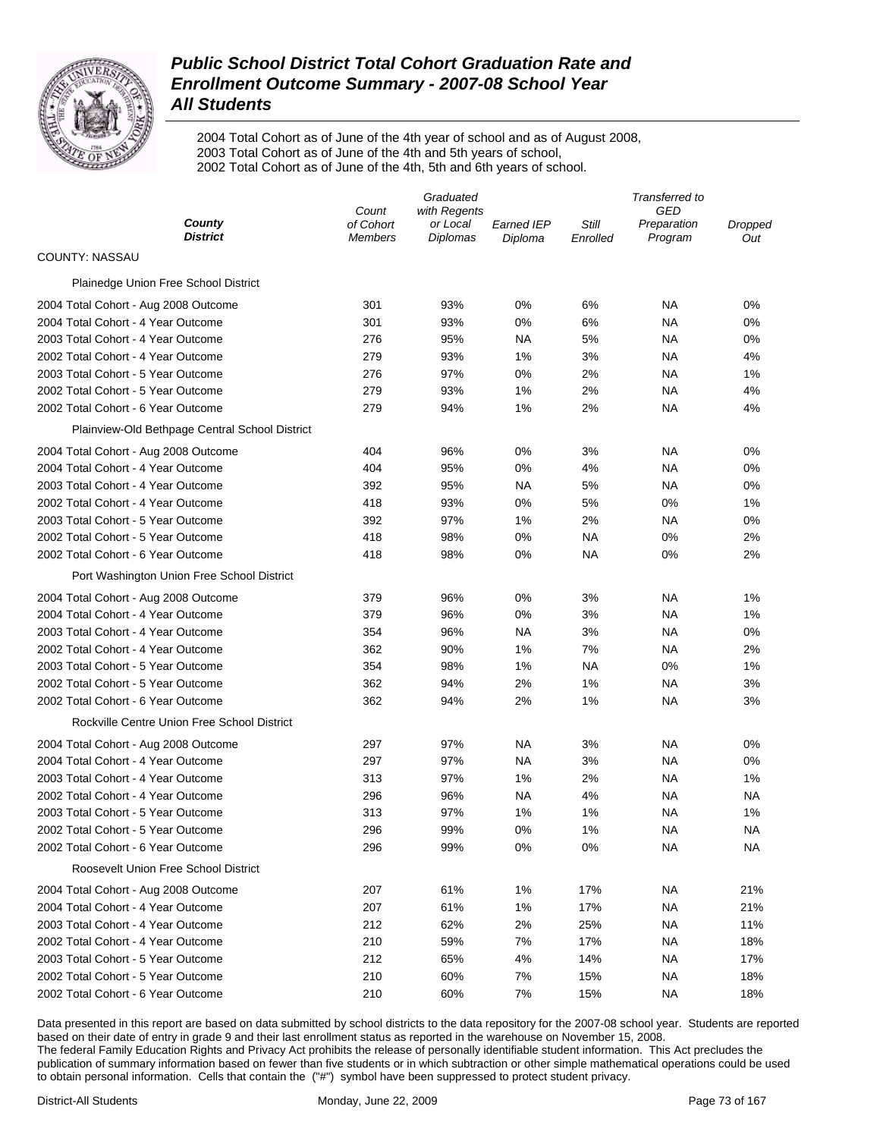

2004 Total Cohort as of June of the 4th year of school and as of August 2008, 2003 Total Cohort as of June of the 4th and 5th years of school, 2002 Total Cohort as of June of the 4th, 5th and 6th years of school.

| County<br>of Cohort<br>Still<br>or Local<br><b>Earned IEP</b><br>Preparation<br>Dropped<br><b>District</b><br>Diplomas<br>Program<br>Members<br>Diploma<br>Enrolled<br>Out<br>COUNTY: NASSAU<br>Plainedge Union Free School District<br>93%<br>0%<br>0%<br>2004 Total Cohort - Aug 2008 Outcome<br>301<br>6%<br>ΝA<br>2004 Total Cohort - 4 Year Outcome<br>301<br>93%<br>0%<br>6%<br>ΝA<br>0%<br>2003 Total Cohort - 4 Year Outcome<br>276<br>95%<br>ΝA<br>5%<br>NA<br>0%<br>2002 Total Cohort - 4 Year Outcome<br>279<br>93%<br>1%<br>3%<br>NA<br>4%<br>2003 Total Cohort - 5 Year Outcome<br>276<br>97%<br>0%<br>2%<br>NA<br>1%<br>2002 Total Cohort - 5 Year Outcome<br>279<br>93%<br>1%<br>2%<br>NA<br>4% | Graduated |              |  | Transferred to |  |  |
|----------------------------------------------------------------------------------------------------------------------------------------------------------------------------------------------------------------------------------------------------------------------------------------------------------------------------------------------------------------------------------------------------------------------------------------------------------------------------------------------------------------------------------------------------------------------------------------------------------------------------------------------------------------------------------------------------------------|-----------|--------------|--|----------------|--|--|
|                                                                                                                                                                                                                                                                                                                                                                                                                                                                                                                                                                                                                                                                                                                | Count     | with Regents |  | <b>GED</b>     |  |  |
|                                                                                                                                                                                                                                                                                                                                                                                                                                                                                                                                                                                                                                                                                                                |           |              |  |                |  |  |
|                                                                                                                                                                                                                                                                                                                                                                                                                                                                                                                                                                                                                                                                                                                |           |              |  |                |  |  |
|                                                                                                                                                                                                                                                                                                                                                                                                                                                                                                                                                                                                                                                                                                                |           |              |  |                |  |  |
|                                                                                                                                                                                                                                                                                                                                                                                                                                                                                                                                                                                                                                                                                                                |           |              |  |                |  |  |
|                                                                                                                                                                                                                                                                                                                                                                                                                                                                                                                                                                                                                                                                                                                |           |              |  |                |  |  |
|                                                                                                                                                                                                                                                                                                                                                                                                                                                                                                                                                                                                                                                                                                                |           |              |  |                |  |  |
|                                                                                                                                                                                                                                                                                                                                                                                                                                                                                                                                                                                                                                                                                                                |           |              |  |                |  |  |
|                                                                                                                                                                                                                                                                                                                                                                                                                                                                                                                                                                                                                                                                                                                |           |              |  |                |  |  |
|                                                                                                                                                                                                                                                                                                                                                                                                                                                                                                                                                                                                                                                                                                                |           |              |  |                |  |  |
| 279<br>2002 Total Cohort - 6 Year Outcome<br>94%<br>1%<br>2%<br>NA<br>4%                                                                                                                                                                                                                                                                                                                                                                                                                                                                                                                                                                                                                                       |           |              |  |                |  |  |
| Plainview-Old Bethpage Central School District                                                                                                                                                                                                                                                                                                                                                                                                                                                                                                                                                                                                                                                                 |           |              |  |                |  |  |
| 404<br>0%<br>3%<br>2004 Total Cohort - Aug 2008 Outcome<br>96%<br>ΝA<br>0%                                                                                                                                                                                                                                                                                                                                                                                                                                                                                                                                                                                                                                     |           |              |  |                |  |  |
| 2004 Total Cohort - 4 Year Outcome<br>404<br>95%<br>0%<br>4%<br>NA<br>0%                                                                                                                                                                                                                                                                                                                                                                                                                                                                                                                                                                                                                                       |           |              |  |                |  |  |
| 2003 Total Cohort - 4 Year Outcome<br>392<br>95%<br>ΝA<br>5%<br>NA<br>0%                                                                                                                                                                                                                                                                                                                                                                                                                                                                                                                                                                                                                                       |           |              |  |                |  |  |
| 2002 Total Cohort - 4 Year Outcome<br>418<br>93%<br>0%<br>5%<br>0%<br>1%                                                                                                                                                                                                                                                                                                                                                                                                                                                                                                                                                                                                                                       |           |              |  |                |  |  |
| 97%<br>2003 Total Cohort - 5 Year Outcome<br>392<br>1%<br>2%<br>NA<br>0%                                                                                                                                                                                                                                                                                                                                                                                                                                                                                                                                                                                                                                       |           |              |  |                |  |  |
| 2002 Total Cohort - 5 Year Outcome<br>418<br>98%<br>0%<br>NA<br>0%<br>2%                                                                                                                                                                                                                                                                                                                                                                                                                                                                                                                                                                                                                                       |           |              |  |                |  |  |
| 2002 Total Cohort - 6 Year Outcome<br>418<br>98%<br>0%<br>NA<br>0%<br>2%                                                                                                                                                                                                                                                                                                                                                                                                                                                                                                                                                                                                                                       |           |              |  |                |  |  |
| Port Washington Union Free School District                                                                                                                                                                                                                                                                                                                                                                                                                                                                                                                                                                                                                                                                     |           |              |  |                |  |  |
| 3%<br>1%<br>2004 Total Cohort - Aug 2008 Outcome<br>379<br>96%<br>0%<br>ΝA                                                                                                                                                                                                                                                                                                                                                                                                                                                                                                                                                                                                                                     |           |              |  |                |  |  |
| 2004 Total Cohort - 4 Year Outcome<br>379<br>96%<br>0%<br>3%<br>NA<br>1%                                                                                                                                                                                                                                                                                                                                                                                                                                                                                                                                                                                                                                       |           |              |  |                |  |  |
| 2003 Total Cohort - 4 Year Outcome<br>354<br>96%<br>ΝA<br>3%<br>NA<br>0%                                                                                                                                                                                                                                                                                                                                                                                                                                                                                                                                                                                                                                       |           |              |  |                |  |  |
| 2002 Total Cohort - 4 Year Outcome<br>362<br>90%<br>1%<br>7%<br>NA<br>2%                                                                                                                                                                                                                                                                                                                                                                                                                                                                                                                                                                                                                                       |           |              |  |                |  |  |
| 2003 Total Cohort - 5 Year Outcome<br>354<br>98%<br>1%<br>ΝA<br>0%<br>1%                                                                                                                                                                                                                                                                                                                                                                                                                                                                                                                                                                                                                                       |           |              |  |                |  |  |
| 2002 Total Cohort - 5 Year Outcome<br>362<br>94%<br>2%<br>1%<br>NA<br>3%                                                                                                                                                                                                                                                                                                                                                                                                                                                                                                                                                                                                                                       |           |              |  |                |  |  |
| 2002 Total Cohort - 6 Year Outcome<br>362<br>94%<br>2%<br>1%<br>ΝA<br>3%                                                                                                                                                                                                                                                                                                                                                                                                                                                                                                                                                                                                                                       |           |              |  |                |  |  |
| Rockville Centre Union Free School District                                                                                                                                                                                                                                                                                                                                                                                                                                                                                                                                                                                                                                                                    |           |              |  |                |  |  |
| 297<br>97%<br>NA<br>3%<br>NA<br>0%<br>2004 Total Cohort - Aug 2008 Outcome                                                                                                                                                                                                                                                                                                                                                                                                                                                                                                                                                                                                                                     |           |              |  |                |  |  |
| 2004 Total Cohort - 4 Year Outcome<br>297<br>97%<br><b>NA</b><br>3%<br>ΝA<br>0%                                                                                                                                                                                                                                                                                                                                                                                                                                                                                                                                                                                                                                |           |              |  |                |  |  |
| 2003 Total Cohort - 4 Year Outcome<br>313<br>97%<br>1%<br>2%<br>NA<br>1%                                                                                                                                                                                                                                                                                                                                                                                                                                                                                                                                                                                                                                       |           |              |  |                |  |  |
| 2002 Total Cohort - 4 Year Outcome<br>296<br>96%<br><b>NA</b><br>4%<br>ΝA<br>NA                                                                                                                                                                                                                                                                                                                                                                                                                                                                                                                                                                                                                                |           |              |  |                |  |  |
| 2003 Total Cohort - 5 Year Outcome<br>313<br>97%<br>1%<br>1%<br>ΝA<br>1%                                                                                                                                                                                                                                                                                                                                                                                                                                                                                                                                                                                                                                       |           |              |  |                |  |  |
| 296<br>99%<br>0%<br>1%<br>2002 Total Cohort - 5 Year Outcome<br>ΝA<br>ΝA                                                                                                                                                                                                                                                                                                                                                                                                                                                                                                                                                                                                                                       |           |              |  |                |  |  |
| 2002 Total Cohort - 6 Year Outcome<br>99%<br>0%<br>0%<br><b>NA</b><br>296<br>NA                                                                                                                                                                                                                                                                                                                                                                                                                                                                                                                                                                                                                                |           |              |  |                |  |  |
| Roosevelt Union Free School District                                                                                                                                                                                                                                                                                                                                                                                                                                                                                                                                                                                                                                                                           |           |              |  |                |  |  |
| 61%<br>2004 Total Cohort - Aug 2008 Outcome<br>207<br>1%<br>17%<br>NA<br>21%                                                                                                                                                                                                                                                                                                                                                                                                                                                                                                                                                                                                                                   |           |              |  |                |  |  |
| 207<br>61%<br>1%<br>17%<br>21%<br>2004 Total Cohort - 4 Year Outcome<br>ΝA                                                                                                                                                                                                                                                                                                                                                                                                                                                                                                                                                                                                                                     |           |              |  |                |  |  |
| 212<br>62%<br>2%<br>25%<br>11%<br>2003 Total Cohort - 4 Year Outcome<br>ΝA                                                                                                                                                                                                                                                                                                                                                                                                                                                                                                                                                                                                                                     |           |              |  |                |  |  |
| 210<br>7%<br>17%<br>18%<br>2002 Total Cohort - 4 Year Outcome<br>59%<br>ΝA                                                                                                                                                                                                                                                                                                                                                                                                                                                                                                                                                                                                                                     |           |              |  |                |  |  |
| 212<br>65%<br>4%<br>14%<br>17%<br>2003 Total Cohort - 5 Year Outcome<br>ΝA                                                                                                                                                                                                                                                                                                                                                                                                                                                                                                                                                                                                                                     |           |              |  |                |  |  |
| 2002 Total Cohort - 5 Year Outcome<br>210<br>60%<br>7%<br>15%<br>18%<br>ΝA                                                                                                                                                                                                                                                                                                                                                                                                                                                                                                                                                                                                                                     |           |              |  |                |  |  |
| 2002 Total Cohort - 6 Year Outcome<br>210<br>7%<br>18%<br>60%<br>15%<br>NA                                                                                                                                                                                                                                                                                                                                                                                                                                                                                                                                                                                                                                     |           |              |  |                |  |  |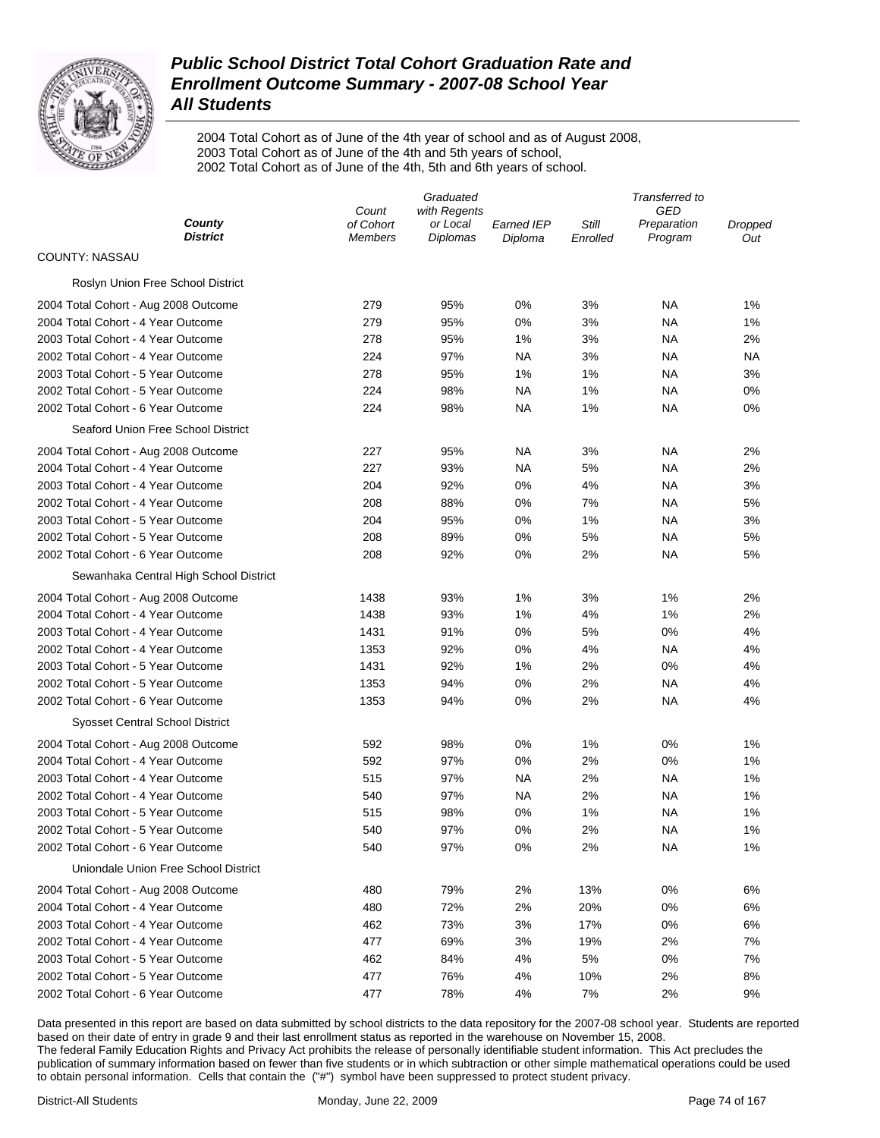

2004 Total Cohort as of June of the 4th year of school and as of August 2008, 2003 Total Cohort as of June of the 4th and 5th years of school, 2002 Total Cohort as of June of the 4th, 5th and 6th years of school.

|                                        | Graduated                   |                             |                       |                   | Transferred to         |                |  |
|----------------------------------------|-----------------------------|-----------------------------|-----------------------|-------------------|------------------------|----------------|--|
|                                        | Count                       | with Regents                |                       |                   | GED                    |                |  |
| County<br><b>District</b>              | of Cohort<br><b>Members</b> | or Local<br><b>Diplomas</b> | Earned IEP<br>Diploma | Still<br>Enrolled | Preparation<br>Program | Dropped<br>Out |  |
| COUNTY: NASSAU                         |                             |                             |                       |                   |                        |                |  |
| Roslyn Union Free School District      |                             |                             |                       |                   |                        |                |  |
| 2004 Total Cohort - Aug 2008 Outcome   | 279                         | 95%                         | 0%                    | 3%                | ΝA                     | 1%             |  |
| 2004 Total Cohort - 4 Year Outcome     | 279                         | 95%                         | 0%                    | 3%                | ΝA                     | 1%             |  |
| 2003 Total Cohort - 4 Year Outcome     | 278                         | 95%                         | 1%                    | 3%                | ΝA                     | 2%             |  |
| 2002 Total Cohort - 4 Year Outcome     | 224                         | 97%                         | NA                    | 3%                | ΝA                     | NA             |  |
| 2003 Total Cohort - 5 Year Outcome     | 278                         | 95%                         | 1%                    | 1%                | ΝA                     | 3%             |  |
| 2002 Total Cohort - 5 Year Outcome     | 224                         | 98%                         | <b>NA</b>             | 1%                | ΝA                     | 0%             |  |
| 2002 Total Cohort - 6 Year Outcome     | 224                         | 98%                         | NA                    | 1%                | ΝA                     | 0%             |  |
| Seaford Union Free School District     |                             |                             |                       |                   |                        |                |  |
| 2004 Total Cohort - Aug 2008 Outcome   | 227                         | 95%                         | NA                    | 3%                | ΝA                     | 2%             |  |
| 2004 Total Cohort - 4 Year Outcome     | 227                         | 93%                         | NA                    | 5%                | ΝA                     | 2%             |  |
| 2003 Total Cohort - 4 Year Outcome     | 204                         | 92%                         | 0%                    | 4%                | ΝA                     | 3%             |  |
| 2002 Total Cohort - 4 Year Outcome     | 208                         | 88%                         | 0%                    | 7%                | ΝA                     | 5%             |  |
| 2003 Total Cohort - 5 Year Outcome     | 204                         | 95%                         | 0%                    | 1%                | ΝA                     | 3%             |  |
| 2002 Total Cohort - 5 Year Outcome     | 208                         | 89%                         | 0%                    | 5%                | ΝA                     | 5%             |  |
| 2002 Total Cohort - 6 Year Outcome     | 208                         | 92%                         | 0%                    | 2%                | ΝA                     | 5%             |  |
| Sewanhaka Central High School District |                             |                             |                       |                   |                        |                |  |
| 2004 Total Cohort - Aug 2008 Outcome   | 1438                        | 93%                         | 1%                    | 3%                | 1%                     | 2%             |  |
| 2004 Total Cohort - 4 Year Outcome     | 1438                        | 93%                         | 1%                    | 4%                | 1%                     | 2%             |  |
| 2003 Total Cohort - 4 Year Outcome     | 1431                        | 91%                         | 0%                    | 5%                | 0%                     | 4%             |  |
| 2002 Total Cohort - 4 Year Outcome     | 1353                        | 92%                         | 0%                    | 4%                | ΝA                     | 4%             |  |
| 2003 Total Cohort - 5 Year Outcome     | 1431                        | 92%                         | 1%                    | 2%                | 0%                     | 4%             |  |
| 2002 Total Cohort - 5 Year Outcome     | 1353                        | 94%                         | 0%                    | 2%                | ΝA                     | 4%             |  |
| 2002 Total Cohort - 6 Year Outcome     | 1353                        | 94%                         | 0%                    | 2%                | NA                     | 4%             |  |
| Syosset Central School District        |                             |                             |                       |                   |                        |                |  |
| 2004 Total Cohort - Aug 2008 Outcome   | 592                         | 98%                         | 0%                    | 1%                | 0%                     | 1%             |  |
| 2004 Total Cohort - 4 Year Outcome     | 592                         | 97%                         | 0%                    | 2%                | 0%                     | 1%             |  |
| 2003 Total Cohort - 4 Year Outcome     | 515                         | 97%                         | <b>NA</b>             | 2%                | <b>NA</b>              | 1%             |  |
| 2002 Total Cohort - 4 Year Outcome     | 540                         | 97%                         | <b>NA</b>             | 2%                | NA                     | 1%             |  |
| 2003 Total Cohort - 5 Year Outcome     | 515                         | 98%                         | 0%                    | 1%                | NA                     | 1%             |  |
| 2002 Total Cohort - 5 Year Outcome     | 540                         | 97%                         | 0%                    | 2%                | NA                     | 1%             |  |
| 2002 Total Cohort - 6 Year Outcome     | 540                         | 97%                         | 0%                    | 2%                | ΝA                     | 1%             |  |
| Uniondale Union Free School District   |                             |                             |                       |                   |                        |                |  |
| 2004 Total Cohort - Aug 2008 Outcome   | 480                         | 79%                         | 2%                    | 13%               | 0%                     | 6%             |  |
| 2004 Total Cohort - 4 Year Outcome     | 480                         | 72%                         | 2%                    | 20%               | 0%                     | 6%             |  |
| 2003 Total Cohort - 4 Year Outcome     | 462                         | 73%                         | 3%                    | 17%               | 0%                     | 6%             |  |
| 2002 Total Cohort - 4 Year Outcome     | 477                         | 69%                         | 3%                    | 19%               | 2%                     | 7%             |  |
| 2003 Total Cohort - 5 Year Outcome     | 462                         | 84%                         | 4%                    | 5%                | 0%                     | 7%             |  |
| 2002 Total Cohort - 5 Year Outcome     | 477                         | 76%                         | 4%                    | 10%               | 2%                     | 8%             |  |
| 2002 Total Cohort - 6 Year Outcome     | 477                         | 78%                         | 4%                    | 7%                | 2%                     | 9%             |  |
|                                        |                             |                             |                       |                   |                        |                |  |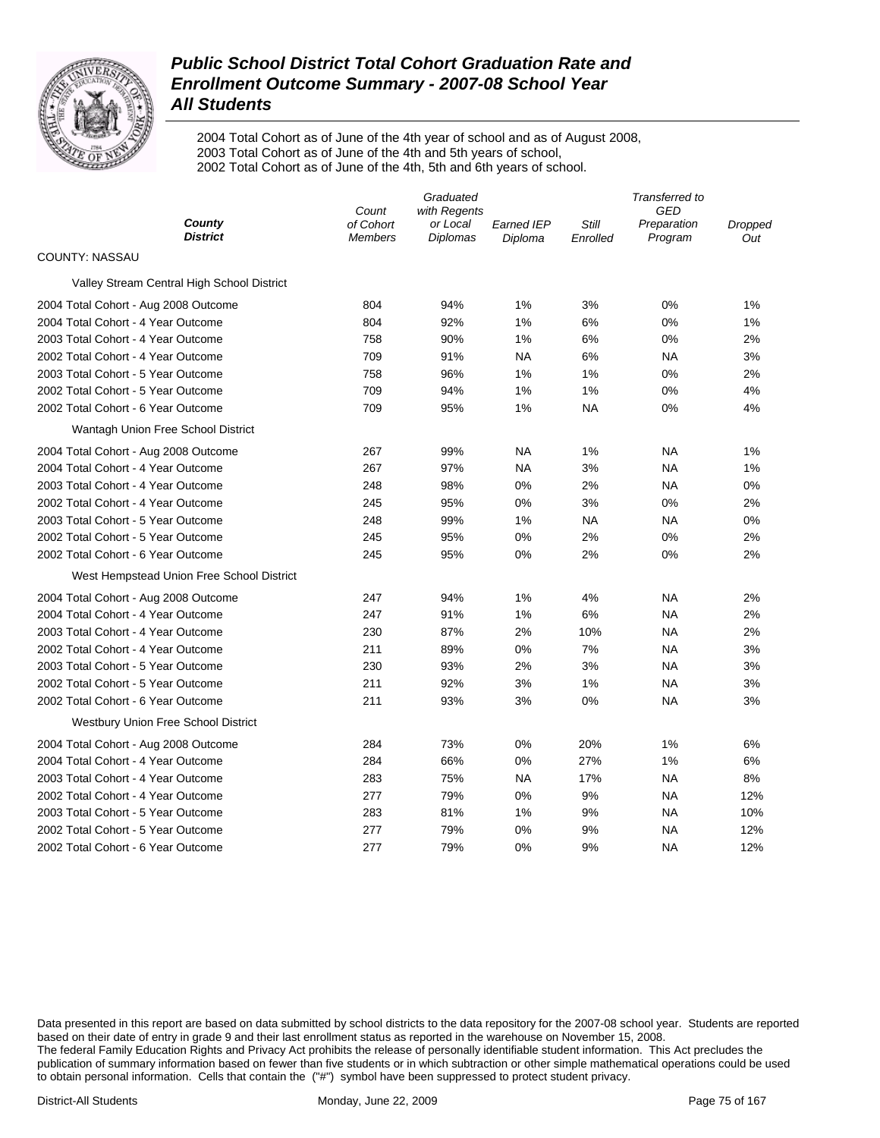

2004 Total Cohort as of June of the 4th year of school and as of August 2008, 2003 Total Cohort as of June of the 4th and 5th years of school, 2002 Total Cohort as of June of the 4th, 5th and 6th years of school.

|                                            | Count                       | Graduated<br>with Regents |                              |                          | Transferred to<br>GED  |                |
|--------------------------------------------|-----------------------------|---------------------------|------------------------------|--------------------------|------------------------|----------------|
| County<br><b>District</b>                  | of Cohort<br><b>Members</b> | or Local<br>Diplomas      | <b>Earned IEP</b><br>Diploma | <b>Still</b><br>Enrolled | Preparation<br>Program | Dropped<br>Out |
| <b>COUNTY: NASSAU</b>                      |                             |                           |                              |                          |                        |                |
| Valley Stream Central High School District |                             |                           |                              |                          |                        |                |
| 2004 Total Cohort - Aug 2008 Outcome       | 804                         | 94%                       | 1%                           | 3%                       | 0%                     | 1%             |
| 2004 Total Cohort - 4 Year Outcome         | 804                         | 92%                       | 1%                           | 6%                       | 0%                     | 1%             |
| 2003 Total Cohort - 4 Year Outcome         | 758                         | 90%                       | 1%                           | 6%                       | 0%                     | 2%             |
| 2002 Total Cohort - 4 Year Outcome         | 709                         | 91%                       | <b>NA</b>                    | 6%                       | <b>NA</b>              | 3%             |
| 2003 Total Cohort - 5 Year Outcome         | 758                         | 96%                       | 1%                           | 1%                       | 0%                     | 2%             |
| 2002 Total Cohort - 5 Year Outcome         | 709                         | 94%                       | 1%                           | 1%                       | 0%                     | 4%             |
| 2002 Total Cohort - 6 Year Outcome         | 709                         | 95%                       | 1%                           | ΝA                       | 0%                     | 4%             |
| Wantagh Union Free School District         |                             |                           |                              |                          |                        |                |
| 2004 Total Cohort - Aug 2008 Outcome       | 267                         | 99%                       | <b>NA</b>                    | 1%                       | ΝA                     | 1%             |
| 2004 Total Cohort - 4 Year Outcome         | 267                         | 97%                       | <b>NA</b>                    | 3%                       | NA                     | 1%             |
| 2003 Total Cohort - 4 Year Outcome         | 248                         | 98%                       | 0%                           | 2%                       | NA                     | 0%             |
| 2002 Total Cohort - 4 Year Outcome         | 245                         | 95%                       | 0%                           | 3%                       | 0%                     | 2%             |
| 2003 Total Cohort - 5 Year Outcome         | 248                         | 99%                       | 1%                           | ΝA                       | <b>NA</b>              | 0%             |
| 2002 Total Cohort - 5 Year Outcome         | 245                         | 95%                       | 0%                           | 2%                       | 0%                     | 2%             |
| 2002 Total Cohort - 6 Year Outcome         | 245                         | 95%                       | 0%                           | 2%                       | 0%                     | 2%             |
| West Hempstead Union Free School District  |                             |                           |                              |                          |                        |                |
| 2004 Total Cohort - Aug 2008 Outcome       | 247                         | 94%                       | 1%                           | 4%                       | <b>NA</b>              | 2%             |
| 2004 Total Cohort - 4 Year Outcome         | 247                         | 91%                       | 1%                           | 6%                       | <b>NA</b>              | 2%             |
| 2003 Total Cohort - 4 Year Outcome         | 230                         | 87%                       | 2%                           | 10%                      | NA                     | 2%             |
| 2002 Total Cohort - 4 Year Outcome         | 211                         | 89%                       | 0%                           | 7%                       | NA                     | 3%             |
| 2003 Total Cohort - 5 Year Outcome         | 230                         | 93%                       | 2%                           | 3%                       | NA                     | 3%             |
| 2002 Total Cohort - 5 Year Outcome         | 211                         | 92%                       | 3%                           | 1%                       | NA                     | 3%             |
| 2002 Total Cohort - 6 Year Outcome         | 211                         | 93%                       | 3%                           | 0%                       | <b>NA</b>              | 3%             |
| Westbury Union Free School District        |                             |                           |                              |                          |                        |                |
| 2004 Total Cohort - Aug 2008 Outcome       | 284                         | 73%                       | 0%                           | 20%                      | 1%                     | 6%             |
| 2004 Total Cohort - 4 Year Outcome         | 284                         | 66%                       | 0%                           | 27%                      | 1%                     | 6%             |
| 2003 Total Cohort - 4 Year Outcome         | 283                         | 75%                       | <b>NA</b>                    | 17%                      | NA                     | 8%             |
| 2002 Total Cohort - 4 Year Outcome         | 277                         | 79%                       | 0%                           | 9%                       | NA                     | 12%            |
| 2003 Total Cohort - 5 Year Outcome         | 283                         | 81%                       | 1%                           | 9%                       | NA                     | 10%            |
| 2002 Total Cohort - 5 Year Outcome         | 277                         | 79%                       | 0%                           | 9%                       | <b>NA</b>              | 12%            |
| 2002 Total Cohort - 6 Year Outcome         | 277                         | 79%                       | 0%                           | 9%                       | <b>NA</b>              | 12%            |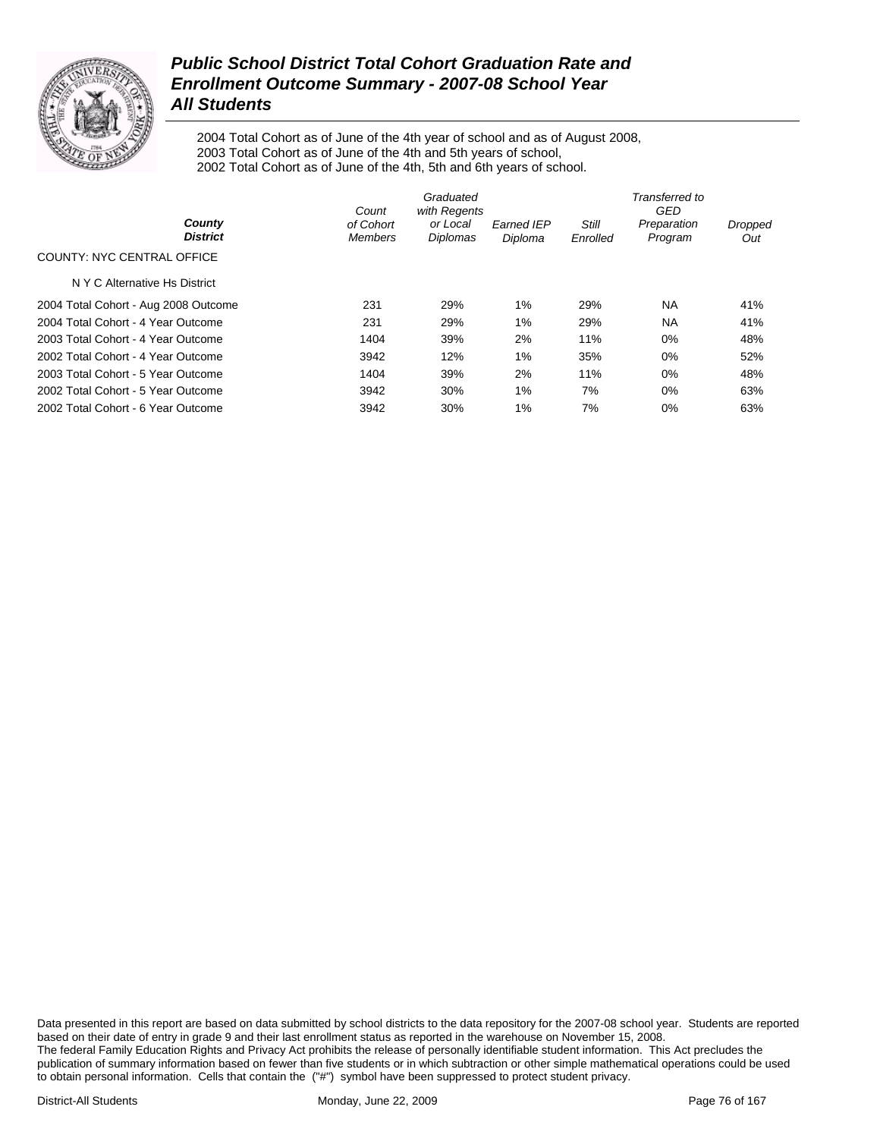

2004 Total Cohort as of June of the 4th year of school and as of August 2008, 2003 Total Cohort as of June of the 4th and 5th years of school, 2002 Total Cohort as of June of the 4th, 5th and 6th years of school.

|                                      | Count                       | Graduated<br>with Regents |                              |                   | Transferred to<br>GED  |                |
|--------------------------------------|-----------------------------|---------------------------|------------------------------|-------------------|------------------------|----------------|
| County<br><b>District</b>            | of Cohort<br><b>Members</b> | or Local<br>Diplomas      | <b>Earned IEP</b><br>Diploma | Still<br>Enrolled | Preparation<br>Program | Dropped<br>Out |
| COUNTY: NYC CENTRAL OFFICE           |                             |                           |                              |                   |                        |                |
| N Y C Alternative Hs District        |                             |                           |                              |                   |                        |                |
| 2004 Total Cohort - Aug 2008 Outcome | 231                         | 29%                       | 1%                           | 29%               | NA.                    | 41%            |
| 2004 Total Cohort - 4 Year Outcome   | 231                         | 29%                       | 1%                           | 29%               | NA                     | 41%            |
| 2003 Total Cohort - 4 Year Outcome   | 1404                        | 39%                       | 2%                           | 11%               | 0%                     | 48%            |
| 2002 Total Cohort - 4 Year Outcome   | 3942                        | 12%                       | 1%                           | 35%               | 0%                     | 52%            |
| 2003 Total Cohort - 5 Year Outcome   | 1404                        | 39%                       | 2%                           | 11%               | 0%                     | 48%            |
| 2002 Total Cohort - 5 Year Outcome   | 3942                        | 30%                       | 1%                           | 7%                | 0%                     | 63%            |
| 2002 Total Cohort - 6 Year Outcome   | 3942                        | 30%                       | 1%                           | 7%                | 0%                     | 63%            |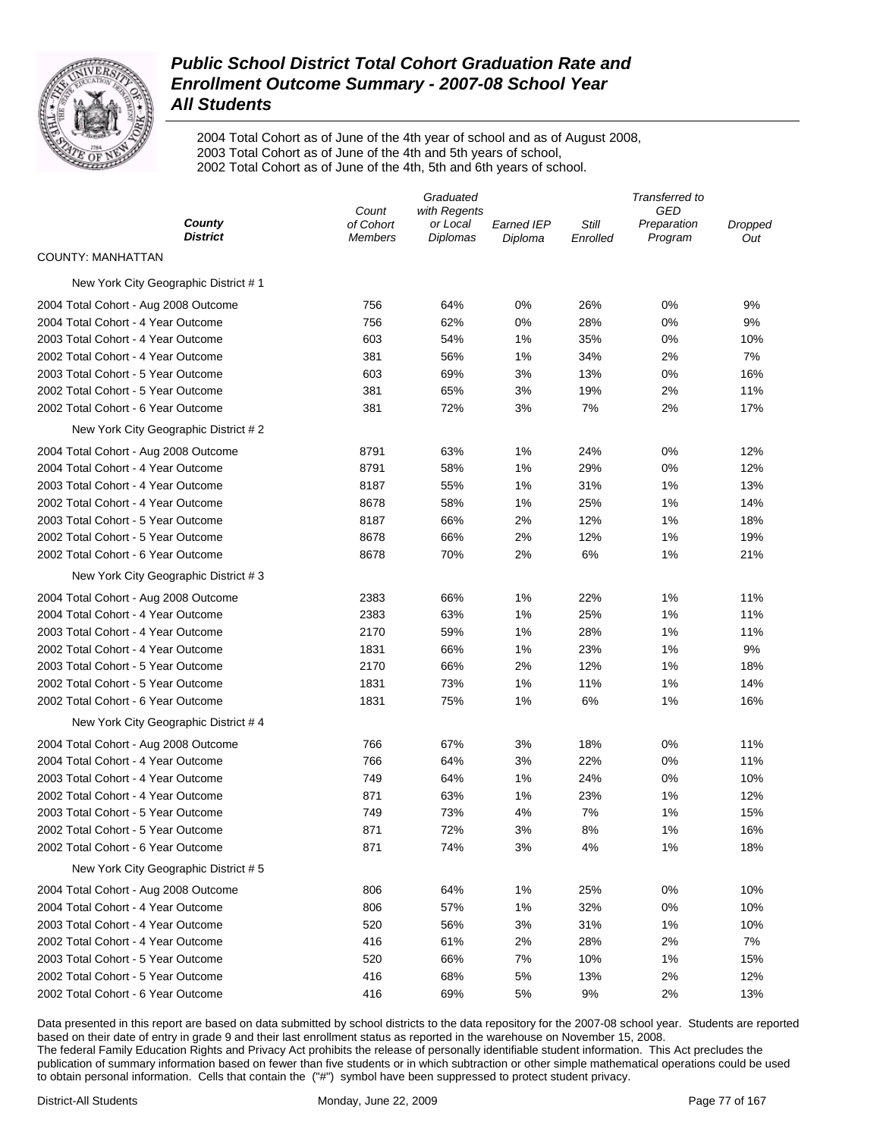

2004 Total Cohort as of June of the 4th year of school and as of August 2008, 2003 Total Cohort as of June of the 4th and 5th years of school, 2002 Total Cohort as of June of the 4th, 5th and 6th years of school.

|                                      |                             | Graduated            |                              |                   | Transferred to         |                |
|--------------------------------------|-----------------------------|----------------------|------------------------------|-------------------|------------------------|----------------|
|                                      | Count                       | with Regents         |                              |                   | GED                    |                |
| County<br><b>District</b>            | of Cohort<br><b>Members</b> | or Local<br>Diplomas | <b>Earned IEP</b><br>Diploma | Still<br>Enrolled | Preparation<br>Program | Dropped<br>Out |
| COUNTY: MANHATTAN                    |                             |                      |                              |                   |                        |                |
| New York City Geographic District #1 |                             |                      |                              |                   |                        |                |
| 2004 Total Cohort - Aug 2008 Outcome | 756                         | 64%                  | 0%                           | 26%               | 0%                     | 9%             |
| 2004 Total Cohort - 4 Year Outcome   | 756                         | 62%                  | 0%                           | 28%               | 0%                     | 9%             |
| 2003 Total Cohort - 4 Year Outcome   | 603                         | 54%                  | 1%                           | 35%               | 0%                     | 10%            |
| 2002 Total Cohort - 4 Year Outcome   | 381                         | 56%                  | 1%                           | 34%               | 2%                     | 7%             |
| 2003 Total Cohort - 5 Year Outcome   | 603                         | 69%                  | 3%                           | 13%               | 0%                     | 16%            |
| 2002 Total Cohort - 5 Year Outcome   | 381                         | 65%                  | 3%                           | 19%               | 2%                     | 11%            |
| 2002 Total Cohort - 6 Year Outcome   | 381                         | 72%                  | 3%                           | 7%                | 2%                     | 17%            |
| New York City Geographic District #2 |                             |                      |                              |                   |                        |                |
| 2004 Total Cohort - Aug 2008 Outcome | 8791                        | 63%                  | 1%                           | 24%               | 0%                     | 12%            |
| 2004 Total Cohort - 4 Year Outcome   | 8791                        | 58%                  | 1%                           | 29%               | 0%                     | 12%            |
| 2003 Total Cohort - 4 Year Outcome   | 8187                        | 55%                  | 1%                           | 31%               | 1%                     | 13%            |
| 2002 Total Cohort - 4 Year Outcome   | 8678                        | 58%                  | 1%                           | 25%               | 1%                     | 14%            |
| 2003 Total Cohort - 5 Year Outcome   | 8187                        | 66%                  | 2%                           | 12%               | 1%                     | 18%            |
| 2002 Total Cohort - 5 Year Outcome   | 8678                        | 66%                  | 2%                           | 12%               | 1%                     | 19%            |
| 2002 Total Cohort - 6 Year Outcome   | 8678                        | 70%                  | 2%                           | 6%                | 1%                     | 21%            |
| New York City Geographic District #3 |                             |                      |                              |                   |                        |                |
| 2004 Total Cohort - Aug 2008 Outcome | 2383                        | 66%                  | 1%                           | 22%               | 1%                     | 11%            |
| 2004 Total Cohort - 4 Year Outcome   | 2383                        | 63%                  | 1%                           | 25%               | 1%                     | 11%            |
| 2003 Total Cohort - 4 Year Outcome   | 2170                        | 59%                  | 1%                           | 28%               | 1%                     | 11%            |
| 2002 Total Cohort - 4 Year Outcome   | 1831                        | 66%                  | 1%                           | 23%               | 1%                     | 9%             |
| 2003 Total Cohort - 5 Year Outcome   | 2170                        | 66%                  | 2%                           | 12%               | 1%                     | 18%            |
| 2002 Total Cohort - 5 Year Outcome   | 1831                        | 73%                  | 1%                           | 11%               | 1%                     | 14%            |
| 2002 Total Cohort - 6 Year Outcome   | 1831                        | 75%                  | 1%                           | 6%                | 1%                     | 16%            |
| New York City Geographic District #4 |                             |                      |                              |                   |                        |                |
| 2004 Total Cohort - Aug 2008 Outcome | 766                         | 67%                  | 3%                           | 18%               | 0%                     | 11%            |
| 2004 Total Cohort - 4 Year Outcome   | 766                         | 64%                  | 3%                           | 22%               | 0%                     | 11%            |
| 2003 Total Cohort - 4 Year Outcome   | 749                         | 64%                  | 1%                           | 24%               | 0%                     | 10%            |
| 2002 Total Cohort - 4 Year Outcome   | 871                         | 63%                  | 1%                           | 23%               | 1%                     | 12%            |
| 2003 Total Cohort - 5 Year Outcome   | 749                         | 73%                  | 4%                           | 7%                | 1%                     | 15%            |
| 2002 Total Cohort - 5 Year Outcome   | 871                         | 72%                  | 3%                           | 8%                | 1%                     | 16%            |
| 2002 Total Cohort - 6 Year Outcome   | 871                         | 74%                  | 3%                           | 4%                | 1%                     | 18%            |
| New York City Geographic District #5 |                             |                      |                              |                   |                        |                |
| 2004 Total Cohort - Aug 2008 Outcome | 806                         | 64%                  | 1%                           | 25%               | 0%                     | 10%            |
| 2004 Total Cohort - 4 Year Outcome   | 806                         | 57%                  | 1%                           | 32%               | 0%                     | 10%            |
| 2003 Total Cohort - 4 Year Outcome   | 520                         | 56%                  | 3%                           | 31%               | 1%                     | 10%            |
| 2002 Total Cohort - 4 Year Outcome   | 416                         | 61%                  | 2%                           | 28%               | 2%                     | 7%             |
| 2003 Total Cohort - 5 Year Outcome   | 520                         | 66%                  | 7%                           | 10%               | 1%                     | 15%            |
| 2002 Total Cohort - 5 Year Outcome   | 416                         | 68%                  | 5%                           | 13%               | 2%                     | 12%            |
| 2002 Total Cohort - 6 Year Outcome   | 416                         | 69%                  | 5%                           | 9%                | 2%                     | 13%            |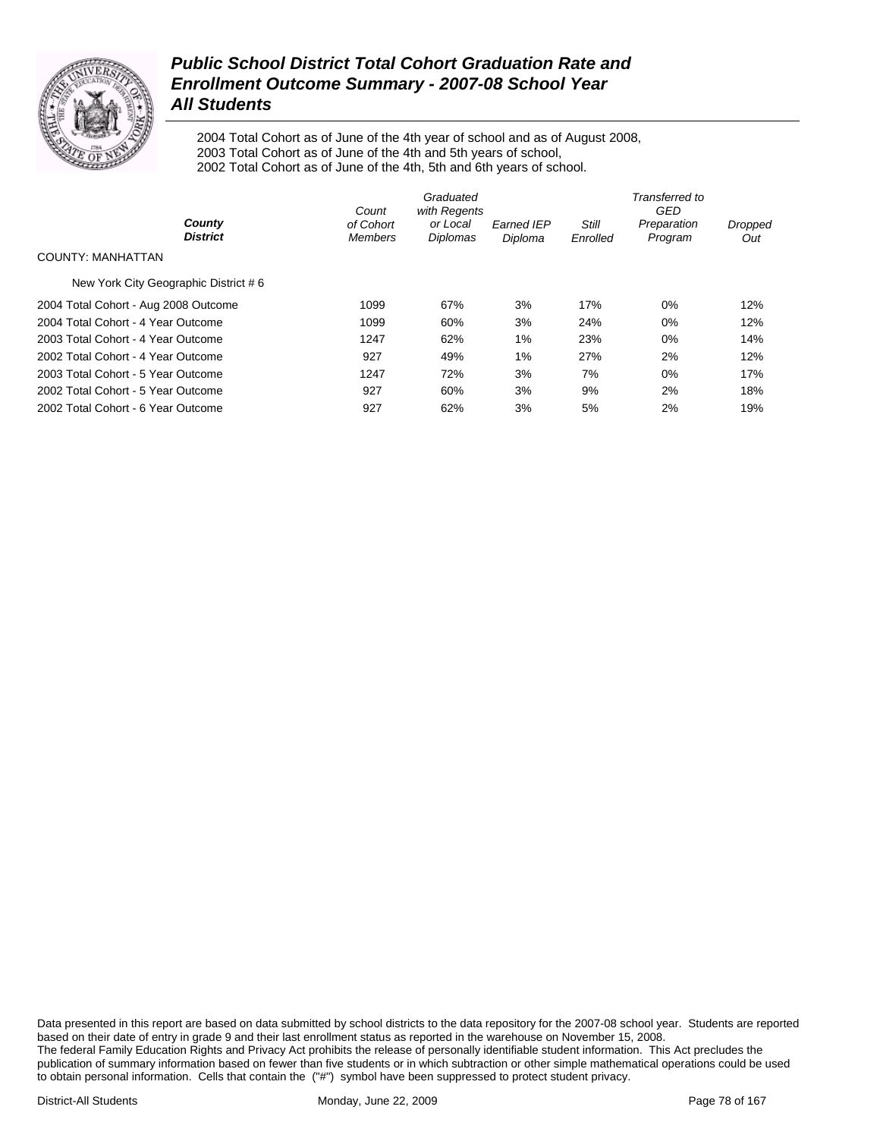

2004 Total Cohort as of June of the 4th year of school and as of August 2008, 2003 Total Cohort as of June of the 4th and 5th years of school, 2002 Total Cohort as of June of the 4th, 5th and 6th years of school.

|                                      | Count                       | Graduated<br>with Regents |                              |                          | Transferred to<br>GED  |                |
|--------------------------------------|-----------------------------|---------------------------|------------------------------|--------------------------|------------------------|----------------|
| County<br><b>District</b>            | of Cohort<br><b>Members</b> | or Local<br>Diplomas      | <b>Earned IEP</b><br>Diploma | <b>Still</b><br>Enrolled | Preparation<br>Program | Dropped<br>Out |
| COUNTY: MANHATTAN                    |                             |                           |                              |                          |                        |                |
| New York City Geographic District #6 |                             |                           |                              |                          |                        |                |
| 2004 Total Cohort - Aug 2008 Outcome | 1099                        | 67%                       | 3%                           | 17%                      | 0%                     | 12%            |
| 2004 Total Cohort - 4 Year Outcome   | 1099                        | 60%                       | 3%                           | 24%                      | $0\%$                  | 12%            |
| 2003 Total Cohort - 4 Year Outcome   | 1247                        | 62%                       | $1\%$                        | 23%                      | $0\%$                  | 14%            |
| 2002 Total Cohort - 4 Year Outcome   | 927                         | 49%                       | 1%                           | 27%                      | 2%                     | 12%            |
| 2003 Total Cohort - 5 Year Outcome   | 1247                        | 72%                       | 3%                           | 7%                       | 0%                     | 17%            |
| 2002 Total Cohort - 5 Year Outcome   | 927                         | 60%                       | 3%                           | 9%                       | 2%                     | 18%            |
| 2002 Total Cohort - 6 Year Outcome   | 927                         | 62%                       | 3%                           | 5%                       | 2%                     | 19%            |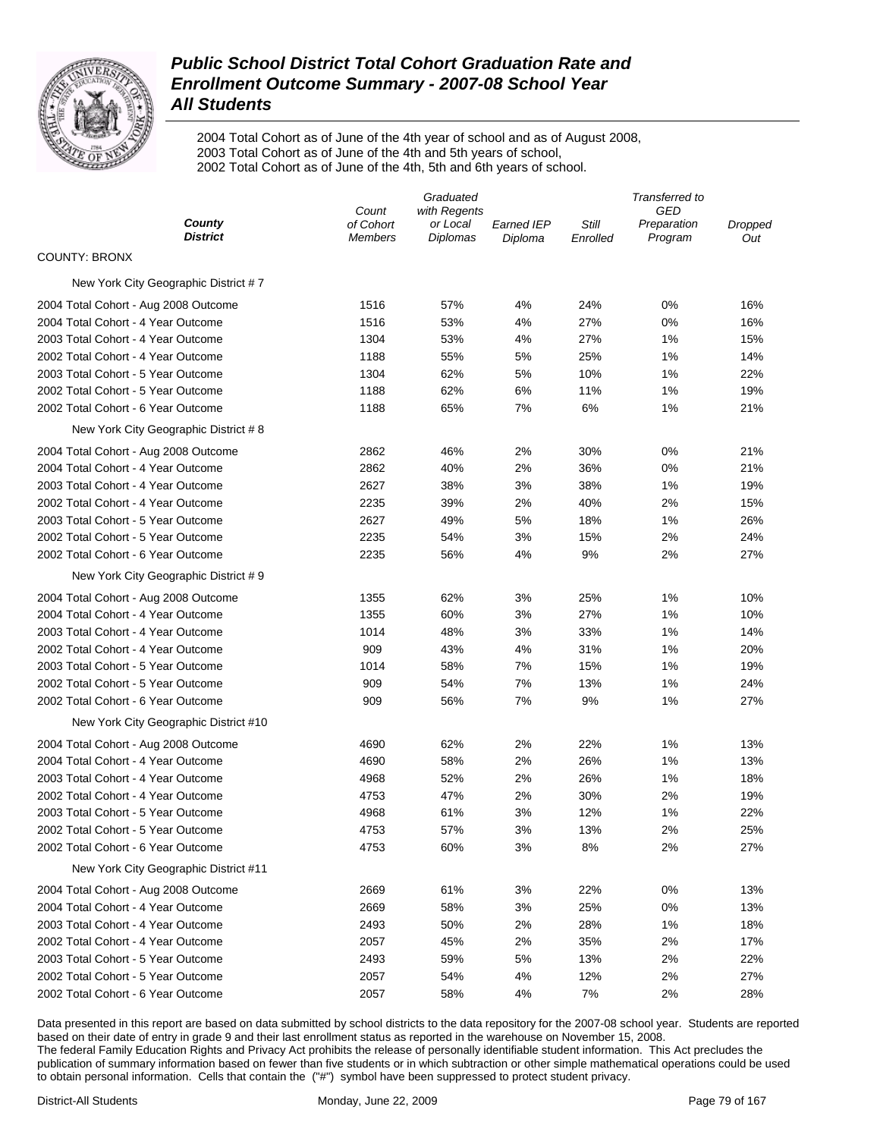

2004 Total Cohort as of June of the 4th year of school and as of August 2008, 2003 Total Cohort as of June of the 4th and 5th years of school, 2002 Total Cohort as of June of the 4th, 5th and 6th years of school.

| County<br>of Cohort<br><b>Earned IEP</b><br>Still<br>or Local<br>Preparation<br><b>District</b><br>Diplomas<br>Program<br><b>Members</b><br>Diploma<br>Enrolled<br>Out<br>COUNTY: BRONX<br>New York City Geographic District #7<br>57%<br>4%<br>24%<br>0%<br>16%<br>2004 Total Cohort - Aug 2008 Outcome<br>1516<br>2004 Total Cohort - 4 Year Outcome<br>1516<br>53%<br>4%<br>27%<br>0%<br>16%<br>27%<br>2003 Total Cohort - 4 Year Outcome<br>1304<br>53%<br>4%<br>1%<br>15%<br>2002 Total Cohort - 4 Year Outcome<br>1188<br>55%<br>5%<br>25%<br>1%<br>14%<br>2003 Total Cohort - 5 Year Outcome<br>1304<br>62%<br>5%<br>10%<br>1%<br>22%<br>2002 Total Cohort - 5 Year Outcome<br>1188<br>62%<br>6%<br>11%<br>1%<br>19% | Graduated |              |  | Transferred to |     |         |  |
|-----------------------------------------------------------------------------------------------------------------------------------------------------------------------------------------------------------------------------------------------------------------------------------------------------------------------------------------------------------------------------------------------------------------------------------------------------------------------------------------------------------------------------------------------------------------------------------------------------------------------------------------------------------------------------------------------------------------------------|-----------|--------------|--|----------------|-----|---------|--|
|                                                                                                                                                                                                                                                                                                                                                                                                                                                                                                                                                                                                                                                                                                                             | Count     | with Regents |  |                | GED | Dropped |  |
|                                                                                                                                                                                                                                                                                                                                                                                                                                                                                                                                                                                                                                                                                                                             |           |              |  |                |     |         |  |
|                                                                                                                                                                                                                                                                                                                                                                                                                                                                                                                                                                                                                                                                                                                             |           |              |  |                |     |         |  |
|                                                                                                                                                                                                                                                                                                                                                                                                                                                                                                                                                                                                                                                                                                                             |           |              |  |                |     |         |  |
|                                                                                                                                                                                                                                                                                                                                                                                                                                                                                                                                                                                                                                                                                                                             |           |              |  |                |     |         |  |
|                                                                                                                                                                                                                                                                                                                                                                                                                                                                                                                                                                                                                                                                                                                             |           |              |  |                |     |         |  |
|                                                                                                                                                                                                                                                                                                                                                                                                                                                                                                                                                                                                                                                                                                                             |           |              |  |                |     |         |  |
|                                                                                                                                                                                                                                                                                                                                                                                                                                                                                                                                                                                                                                                                                                                             |           |              |  |                |     |         |  |
|                                                                                                                                                                                                                                                                                                                                                                                                                                                                                                                                                                                                                                                                                                                             |           |              |  |                |     |         |  |
|                                                                                                                                                                                                                                                                                                                                                                                                                                                                                                                                                                                                                                                                                                                             |           |              |  |                |     |         |  |
| 6%<br>2002 Total Cohort - 6 Year Outcome<br>1188<br>65%<br>7%<br>1%<br>21%                                                                                                                                                                                                                                                                                                                                                                                                                                                                                                                                                                                                                                                  |           |              |  |                |     |         |  |
| New York City Geographic District #8                                                                                                                                                                                                                                                                                                                                                                                                                                                                                                                                                                                                                                                                                        |           |              |  |                |     |         |  |
| 2%<br>0%<br>21%<br>2004 Total Cohort - Aug 2008 Outcome<br>2862<br>46%<br>30%                                                                                                                                                                                                                                                                                                                                                                                                                                                                                                                                                                                                                                               |           |              |  |                |     |         |  |
| 2%<br>21%<br>2004 Total Cohort - 4 Year Outcome<br>2862<br>40%<br>36%<br>0%                                                                                                                                                                                                                                                                                                                                                                                                                                                                                                                                                                                                                                                 |           |              |  |                |     |         |  |
| 2627<br>3%<br>19%<br>2003 Total Cohort - 4 Year Outcome<br>38%<br>38%<br>1%                                                                                                                                                                                                                                                                                                                                                                                                                                                                                                                                                                                                                                                 |           |              |  |                |     |         |  |
| 2%<br>2002 Total Cohort - 4 Year Outcome<br>2235<br>39%<br>2%<br>40%<br>15%                                                                                                                                                                                                                                                                                                                                                                                                                                                                                                                                                                                                                                                 |           |              |  |                |     |         |  |
| 2003 Total Cohort - 5 Year Outcome<br>2627<br>49%<br>5%<br>18%<br>1%<br>26%                                                                                                                                                                                                                                                                                                                                                                                                                                                                                                                                                                                                                                                 |           |              |  |                |     |         |  |
| 3%<br>2%<br>24%<br>2002 Total Cohort - 5 Year Outcome<br>2235<br>54%<br>15%                                                                                                                                                                                                                                                                                                                                                                                                                                                                                                                                                                                                                                                 |           |              |  |                |     |         |  |
| 9%<br>2%<br>27%<br>2002 Total Cohort - 6 Year Outcome<br>2235<br>56%<br>4%                                                                                                                                                                                                                                                                                                                                                                                                                                                                                                                                                                                                                                                  |           |              |  |                |     |         |  |
| New York City Geographic District #9                                                                                                                                                                                                                                                                                                                                                                                                                                                                                                                                                                                                                                                                                        |           |              |  |                |     |         |  |
| 3%<br>25%<br>1%<br>2004 Total Cohort - Aug 2008 Outcome<br>1355<br>62%<br>10%                                                                                                                                                                                                                                                                                                                                                                                                                                                                                                                                                                                                                                               |           |              |  |                |     |         |  |
| 3%<br>27%<br>2004 Total Cohort - 4 Year Outcome<br>1355<br>60%<br>1%<br>10%                                                                                                                                                                                                                                                                                                                                                                                                                                                                                                                                                                                                                                                 |           |              |  |                |     |         |  |
| 2003 Total Cohort - 4 Year Outcome<br>1014<br>48%<br>3%<br>33%<br>1%<br>14%                                                                                                                                                                                                                                                                                                                                                                                                                                                                                                                                                                                                                                                 |           |              |  |                |     |         |  |
| 2002 Total Cohort - 4 Year Outcome<br>909<br>43%<br>4%<br>31%<br>1%<br>20%                                                                                                                                                                                                                                                                                                                                                                                                                                                                                                                                                                                                                                                  |           |              |  |                |     |         |  |
| 2003 Total Cohort - 5 Year Outcome<br>1014<br>58%<br>7%<br>15%<br>1%<br>19%                                                                                                                                                                                                                                                                                                                                                                                                                                                                                                                                                                                                                                                 |           |              |  |                |     |         |  |
| 2002 Total Cohort - 5 Year Outcome<br>909<br>54%<br>7%<br>13%<br>1%<br>24%                                                                                                                                                                                                                                                                                                                                                                                                                                                                                                                                                                                                                                                  |           |              |  |                |     |         |  |
| 2002 Total Cohort - 6 Year Outcome<br>909<br>56%<br>7%<br>9%<br>1%<br>27%                                                                                                                                                                                                                                                                                                                                                                                                                                                                                                                                                                                                                                                   |           |              |  |                |     |         |  |
| New York City Geographic District #10                                                                                                                                                                                                                                                                                                                                                                                                                                                                                                                                                                                                                                                                                       |           |              |  |                |     |         |  |
| 4690<br>62%<br>2%<br>22%<br>1%<br>13%<br>2004 Total Cohort - Aug 2008 Outcome                                                                                                                                                                                                                                                                                                                                                                                                                                                                                                                                                                                                                                               |           |              |  |                |     |         |  |
| 2004 Total Cohort - 4 Year Outcome<br>4690<br>58%<br>2%<br>26%<br>1%<br>13%                                                                                                                                                                                                                                                                                                                                                                                                                                                                                                                                                                                                                                                 |           |              |  |                |     |         |  |
| 2003 Total Cohort - 4 Year Outcome<br>4968<br>52%<br>2%<br>26%<br>1%<br>18%                                                                                                                                                                                                                                                                                                                                                                                                                                                                                                                                                                                                                                                 |           |              |  |                |     |         |  |
| 2002 Total Cohort - 4 Year Outcome<br>4753<br>47%<br>2%<br>30%<br>2%<br>19%                                                                                                                                                                                                                                                                                                                                                                                                                                                                                                                                                                                                                                                 |           |              |  |                |     |         |  |
| 22%<br>2003 Total Cohort - 5 Year Outcome<br>4968<br>61%<br>3%<br>12%<br>1%                                                                                                                                                                                                                                                                                                                                                                                                                                                                                                                                                                                                                                                 |           |              |  |                |     |         |  |
| 4753<br>57%<br>3%<br>13%<br>2%<br>25%<br>2002 Total Cohort - 5 Year Outcome                                                                                                                                                                                                                                                                                                                                                                                                                                                                                                                                                                                                                                                 |           |              |  |                |     |         |  |
| 2002 Total Cohort - 6 Year Outcome<br>60%<br>3%<br>8%<br>2%<br>27%<br>4753                                                                                                                                                                                                                                                                                                                                                                                                                                                                                                                                                                                                                                                  |           |              |  |                |     |         |  |
| New York City Geographic District #11                                                                                                                                                                                                                                                                                                                                                                                                                                                                                                                                                                                                                                                                                       |           |              |  |                |     |         |  |
| 61%<br>3%<br>22%<br>0%<br>13%<br>2004 Total Cohort - Aug 2008 Outcome<br>2669                                                                                                                                                                                                                                                                                                                                                                                                                                                                                                                                                                                                                                               |           |              |  |                |     |         |  |
| 2669<br>58%<br>3%<br>25%<br>0%<br>13%<br>2004 Total Cohort - 4 Year Outcome                                                                                                                                                                                                                                                                                                                                                                                                                                                                                                                                                                                                                                                 |           |              |  |                |     |         |  |
| 2493<br>50%<br>2%<br>28%<br>18%<br>2003 Total Cohort - 4 Year Outcome<br>1%                                                                                                                                                                                                                                                                                                                                                                                                                                                                                                                                                                                                                                                 |           |              |  |                |     |         |  |
| 2057<br>45%<br>2%<br>35%<br>2%<br>17%<br>2002 Total Cohort - 4 Year Outcome                                                                                                                                                                                                                                                                                                                                                                                                                                                                                                                                                                                                                                                 |           |              |  |                |     |         |  |
| 2493<br>59%<br>5%<br>13%<br>2%<br>22%<br>2003 Total Cohort - 5 Year Outcome                                                                                                                                                                                                                                                                                                                                                                                                                                                                                                                                                                                                                                                 |           |              |  |                |     |         |  |
| 2002 Total Cohort - 5 Year Outcome<br>2057<br>54%<br>4%<br>12%<br>2%<br>27%                                                                                                                                                                                                                                                                                                                                                                                                                                                                                                                                                                                                                                                 |           |              |  |                |     |         |  |
| 2002 Total Cohort - 6 Year Outcome<br>2057<br>58%<br>4%<br>7%<br>2%<br>28%                                                                                                                                                                                                                                                                                                                                                                                                                                                                                                                                                                                                                                                  |           |              |  |                |     |         |  |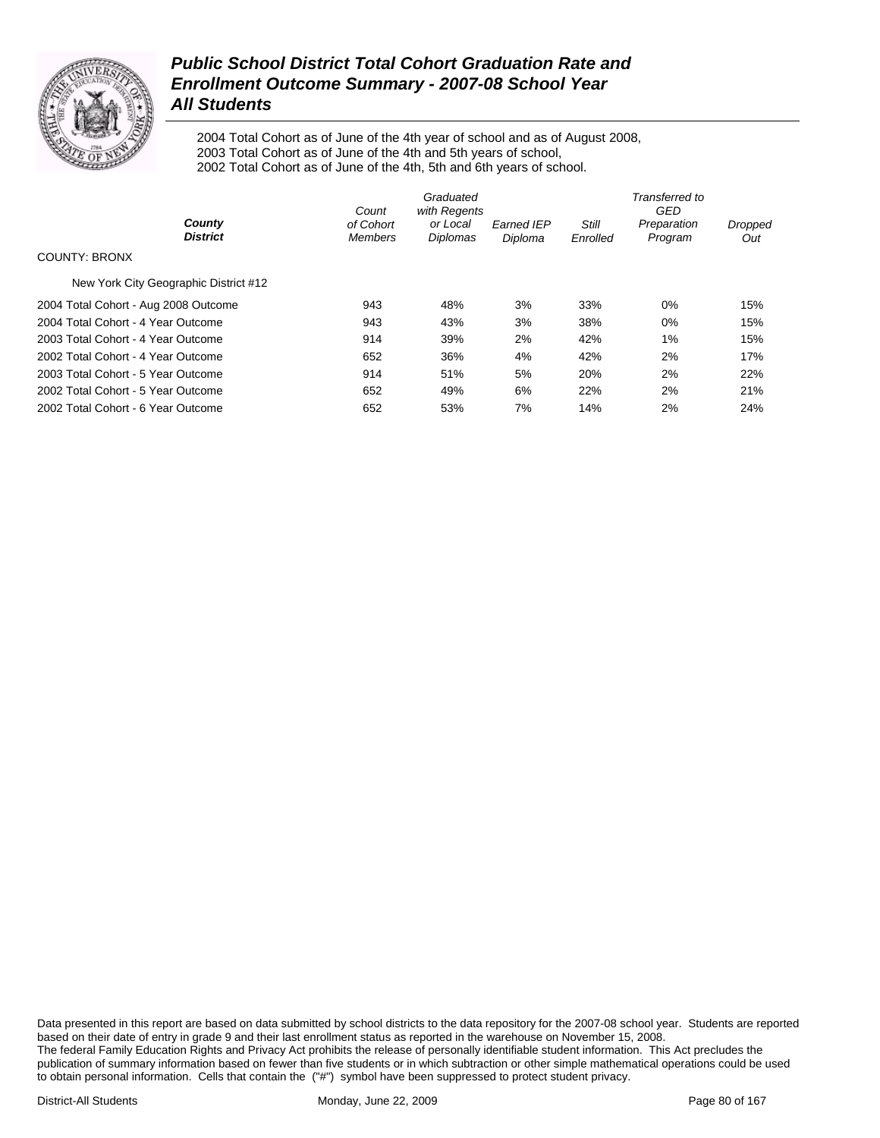

2004 Total Cohort as of June of the 4th year of school and as of August 2008, 2003 Total Cohort as of June of the 4th and 5th years of school, 2002 Total Cohort as of June of the 4th, 5th and 6th years of school.

|                                       | Count                       | Graduated<br>with Regents |                              |                          | Transferred to<br>GED  |                |
|---------------------------------------|-----------------------------|---------------------------|------------------------------|--------------------------|------------------------|----------------|
| County<br><b>District</b>             | of Cohort<br><b>Members</b> | or Local<br>Diplomas      | <b>Earned IEP</b><br>Diploma | <b>Still</b><br>Enrolled | Preparation<br>Program | Dropped<br>Out |
| <b>COUNTY: BRONX</b>                  |                             |                           |                              |                          |                        |                |
| New York City Geographic District #12 |                             |                           |                              |                          |                        |                |
| 2004 Total Cohort - Aug 2008 Outcome  | 943                         | 48%                       | 3%                           | 33%                      | 0%                     | 15%            |
| 2004 Total Cohort - 4 Year Outcome    | 943                         | 43%                       | 3%                           | 38%                      | 0%                     | 15%            |
| 2003 Total Cohort - 4 Year Outcome    | 914                         | 39%                       | 2%                           | 42%                      | 1%                     | 15%            |
| 2002 Total Cohort - 4 Year Outcome    | 652                         | 36%                       | 4%                           | 42%                      | 2%                     | 17%            |
| 2003 Total Cohort - 5 Year Outcome    | 914                         | 51%                       | 5%                           | 20%                      | 2%                     | 22%            |
| 2002 Total Cohort - 5 Year Outcome    | 652                         | 49%                       | 6%                           | 22%                      | 2%                     | 21%            |
| 2002 Total Cohort - 6 Year Outcome    | 652                         | 53%                       | 7%                           | 14%                      | 2%                     | 24%            |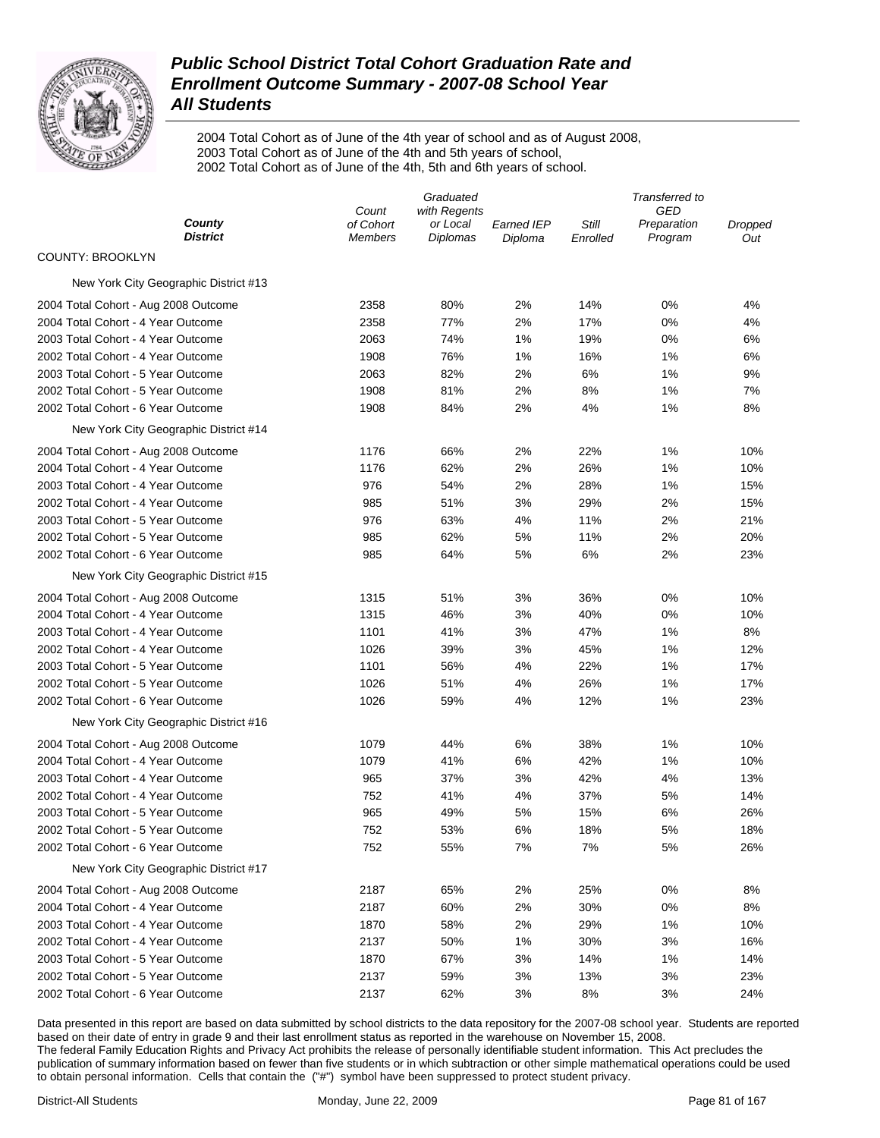

2004 Total Cohort as of June of the 4th year of school and as of August 2008, 2003 Total Cohort as of June of the 4th and 5th years of school, 2002 Total Cohort as of June of the 4th, 5th and 6th years of school.

|                                       |                             | Graduated<br>Transferred to |                       |                   |                        |                |  |
|---------------------------------------|-----------------------------|-----------------------------|-----------------------|-------------------|------------------------|----------------|--|
|                                       | Count                       | with Regents                |                       |                   | GED                    |                |  |
| County<br><b>District</b>             | of Cohort<br><b>Members</b> | or Local<br>Diplomas        | Earned IEP<br>Diploma | Still<br>Enrolled | Preparation<br>Program | Dropped<br>Out |  |
| <b>COUNTY: BROOKLYN</b>               |                             |                             |                       |                   |                        |                |  |
| New York City Geographic District #13 |                             |                             |                       |                   |                        |                |  |
| 2004 Total Cohort - Aug 2008 Outcome  | 2358                        | 80%                         | 2%                    | 14%               | 0%                     | 4%             |  |
| 2004 Total Cohort - 4 Year Outcome    | 2358                        | 77%                         | 2%                    | 17%               | 0%                     | 4%             |  |
| 2003 Total Cohort - 4 Year Outcome    | 2063                        | 74%                         | 1%                    | 19%               | 0%                     | 6%             |  |
| 2002 Total Cohort - 4 Year Outcome    | 1908                        | 76%                         | 1%                    | 16%               | 1%                     | 6%             |  |
| 2003 Total Cohort - 5 Year Outcome    | 2063                        | 82%                         | 2%                    | 6%                | 1%                     | 9%             |  |
| 2002 Total Cohort - 5 Year Outcome    | 1908                        | 81%                         | 2%                    | 8%                | 1%                     | 7%             |  |
| 2002 Total Cohort - 6 Year Outcome    | 1908                        | 84%                         | 2%                    | 4%                | 1%                     | 8%             |  |
| New York City Geographic District #14 |                             |                             |                       |                   |                        |                |  |
| 2004 Total Cohort - Aug 2008 Outcome  | 1176                        | 66%                         | 2%                    | 22%               | 1%                     | 10%            |  |
| 2004 Total Cohort - 4 Year Outcome    | 1176                        | 62%                         | 2%                    | 26%               | 1%                     | 10%            |  |
| 2003 Total Cohort - 4 Year Outcome    | 976                         | 54%                         | 2%                    | 28%               | 1%                     | 15%            |  |
| 2002 Total Cohort - 4 Year Outcome    | 985                         | 51%                         | 3%                    | 29%               | 2%                     | 15%            |  |
| 2003 Total Cohort - 5 Year Outcome    | 976                         | 63%                         | 4%                    | 11%               | 2%                     | 21%            |  |
| 2002 Total Cohort - 5 Year Outcome    | 985                         | 62%                         | 5%                    | 11%               | 2%                     | 20%            |  |
| 2002 Total Cohort - 6 Year Outcome    | 985                         | 64%                         | 5%                    | 6%                | 2%                     | 23%            |  |
| New York City Geographic District #15 |                             |                             |                       |                   |                        |                |  |
| 2004 Total Cohort - Aug 2008 Outcome  | 1315                        | 51%                         | 3%                    | 36%               | 0%                     | 10%            |  |
| 2004 Total Cohort - 4 Year Outcome    | 1315                        | 46%                         | 3%                    | 40%               | 0%                     | 10%            |  |
| 2003 Total Cohort - 4 Year Outcome    | 1101                        | 41%                         | 3%                    | 47%               | 1%                     | 8%             |  |
| 2002 Total Cohort - 4 Year Outcome    | 1026                        | 39%                         | 3%                    | 45%               | 1%                     | 12%            |  |
| 2003 Total Cohort - 5 Year Outcome    | 1101                        | 56%                         | 4%                    | 22%               | 1%                     | 17%            |  |
| 2002 Total Cohort - 5 Year Outcome    | 1026                        | 51%                         | 4%                    | 26%               | 1%                     | 17%            |  |
| 2002 Total Cohort - 6 Year Outcome    | 1026                        | 59%                         | 4%                    | 12%               | 1%                     | 23%            |  |
| New York City Geographic District #16 |                             |                             |                       |                   |                        |                |  |
| 2004 Total Cohort - Aug 2008 Outcome  | 1079                        | 44%                         | 6%                    | 38%               | 1%                     | 10%            |  |
| 2004 Total Cohort - 4 Year Outcome    | 1079                        | 41%                         | 6%                    | 42%               | 1%                     | 10%            |  |
| 2003 Total Cohort - 4 Year Outcome    | 965                         | 37%                         | 3%                    | 42%               | 4%                     | 13%            |  |
| 2002 Total Cohort - 4 Year Outcome    | 752                         | 41%                         | 4%                    | 37%               | 5%                     | 14%            |  |
| 2003 Total Cohort - 5 Year Outcome    | 965                         | 49%                         | 5%                    | 15%               | 6%                     | 26%            |  |
| 2002 Total Cohort - 5 Year Outcome    | 752                         | 53%                         | 6%                    | 18%               | 5%                     | 18%            |  |
| 2002 Total Cohort - 6 Year Outcome    | 752                         | 55%                         | 7%                    | 7%                | 5%                     | 26%            |  |
| New York City Geographic District #17 |                             |                             |                       |                   |                        |                |  |
| 2004 Total Cohort - Aug 2008 Outcome  | 2187                        | 65%                         | 2%                    | 25%               | 0%                     | 8%             |  |
| 2004 Total Cohort - 4 Year Outcome    | 2187                        | 60%                         | 2%                    | 30%               | 0%                     | 8%             |  |
| 2003 Total Cohort - 4 Year Outcome    | 1870                        | 58%                         | 2%                    | 29%               | 1%                     | 10%            |  |
| 2002 Total Cohort - 4 Year Outcome    | 2137                        | 50%                         | 1%                    | 30%               | 3%                     | 16%            |  |
| 2003 Total Cohort - 5 Year Outcome    | 1870                        | 67%                         | 3%                    | 14%               | 1%                     | 14%            |  |
| 2002 Total Cohort - 5 Year Outcome    | 2137                        | 59%                         | 3%                    | 13%               | 3%                     | 23%            |  |
| 2002 Total Cohort - 6 Year Outcome    | 2137                        | 62%                         | 3%                    | 8%                | 3%                     | 24%            |  |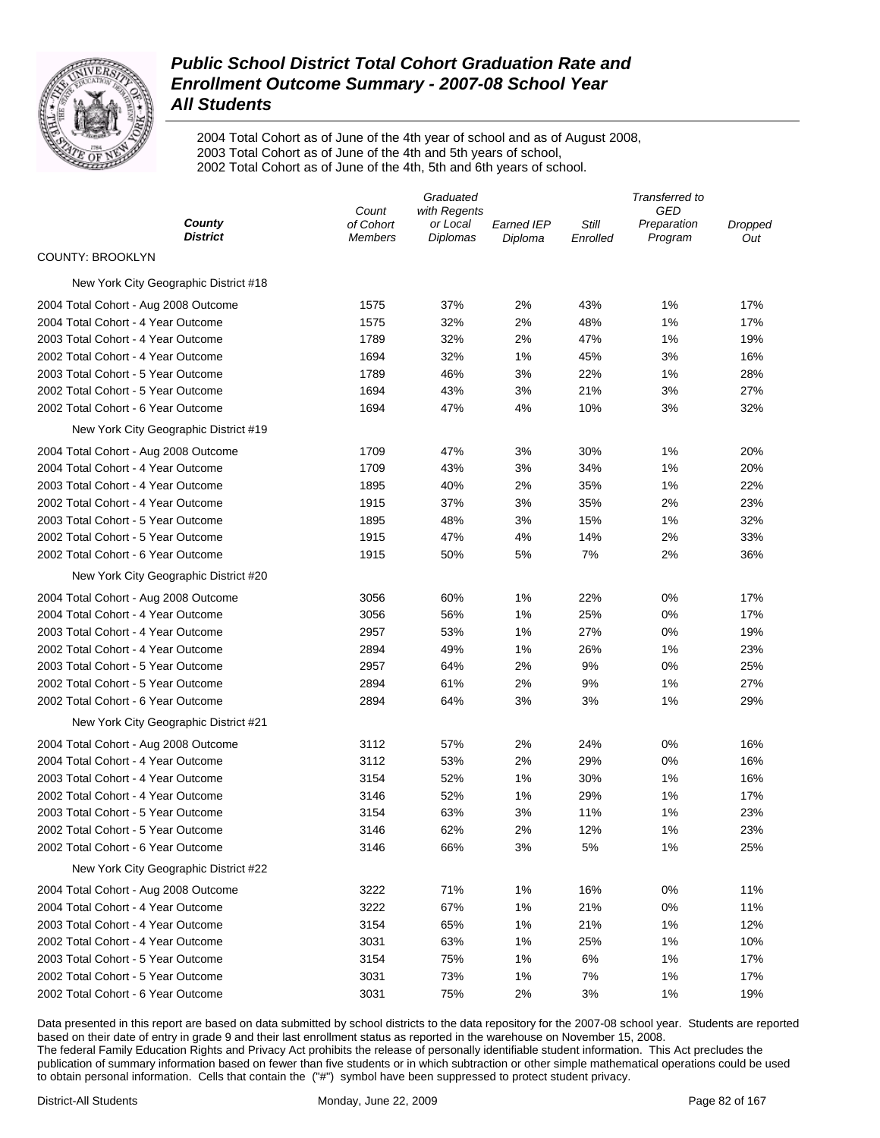

2004 Total Cohort as of June of the 4th year of school and as of August 2008, 2003 Total Cohort as of June of the 4th and 5th years of school, 2002 Total Cohort as of June of the 4th, 5th and 6th years of school.

|                                       |                             | Graduated            |                              |                   | Transferred to         |                |
|---------------------------------------|-----------------------------|----------------------|------------------------------|-------------------|------------------------|----------------|
|                                       | Count                       | with Regents         |                              |                   | GED                    |                |
| County<br><b>District</b>             | of Cohort<br><b>Members</b> | or Local<br>Diplomas | <b>Earned IEP</b><br>Diploma | Still<br>Enrolled | Preparation<br>Program | Dropped<br>Out |
| <b>COUNTY: BROOKLYN</b>               |                             |                      |                              |                   |                        |                |
| New York City Geographic District #18 |                             |                      |                              |                   |                        |                |
| 2004 Total Cohort - Aug 2008 Outcome  | 1575                        | 37%                  | 2%                           | 43%               | 1%                     | 17%            |
| 2004 Total Cohort - 4 Year Outcome    | 1575                        | 32%                  | 2%                           | 48%               | 1%                     | 17%            |
| 2003 Total Cohort - 4 Year Outcome    | 1789                        | 32%                  | 2%                           | 47%               | 1%                     | 19%            |
| 2002 Total Cohort - 4 Year Outcome    | 1694                        | 32%                  | 1%                           | 45%               | 3%                     | 16%            |
| 2003 Total Cohort - 5 Year Outcome    | 1789                        | 46%                  | 3%                           | 22%               | 1%                     | 28%            |
| 2002 Total Cohort - 5 Year Outcome    | 1694                        | 43%                  | 3%                           | 21%               | 3%                     | 27%            |
| 2002 Total Cohort - 6 Year Outcome    | 1694                        | 47%                  | 4%                           | 10%               | 3%                     | 32%            |
| New York City Geographic District #19 |                             |                      |                              |                   |                        |                |
| 2004 Total Cohort - Aug 2008 Outcome  | 1709                        | 47%                  | 3%                           | 30%               | 1%                     | 20%            |
| 2004 Total Cohort - 4 Year Outcome    | 1709                        | 43%                  | 3%                           | 34%               | 1%                     | 20%            |
| 2003 Total Cohort - 4 Year Outcome    | 1895                        | 40%                  | 2%                           | 35%               | 1%                     | 22%            |
| 2002 Total Cohort - 4 Year Outcome    | 1915                        | 37%                  | 3%                           | 35%               | 2%                     | 23%            |
| 2003 Total Cohort - 5 Year Outcome    | 1895                        | 48%                  | 3%                           | 15%               | 1%                     | 32%            |
| 2002 Total Cohort - 5 Year Outcome    | 1915                        | 47%                  | 4%                           | 14%               | 2%                     | 33%            |
| 2002 Total Cohort - 6 Year Outcome    | 1915                        | 50%                  | 5%                           | 7%                | 2%                     | 36%            |
| New York City Geographic District #20 |                             |                      |                              |                   |                        |                |
| 2004 Total Cohort - Aug 2008 Outcome  | 3056                        | 60%                  | 1%                           | 22%               | 0%                     | 17%            |
| 2004 Total Cohort - 4 Year Outcome    | 3056                        | 56%                  | 1%                           | 25%               | 0%                     | 17%            |
| 2003 Total Cohort - 4 Year Outcome    | 2957                        | 53%                  | 1%                           | 27%               | 0%                     | 19%            |
| 2002 Total Cohort - 4 Year Outcome    | 2894                        | 49%                  | 1%                           | 26%               | 1%                     | 23%            |
| 2003 Total Cohort - 5 Year Outcome    | 2957                        | 64%                  | 2%                           | 9%                | 0%                     | 25%            |
| 2002 Total Cohort - 5 Year Outcome    | 2894                        | 61%                  | 2%                           | 9%                | 1%                     | 27%            |
| 2002 Total Cohort - 6 Year Outcome    | 2894                        | 64%                  | 3%                           | 3%                | 1%                     | 29%            |
| New York City Geographic District #21 |                             |                      |                              |                   |                        |                |
| 2004 Total Cohort - Aug 2008 Outcome  | 3112                        | 57%                  | 2%                           | 24%               | 0%                     | 16%            |
| 2004 Total Cohort - 4 Year Outcome    | 3112                        | 53%                  | 2%                           | 29%               | 0%                     | 16%            |
| 2003 Total Cohort - 4 Year Outcome    | 3154                        | 52%                  | 1%                           | 30%               | 1%                     | 16%            |
| 2002 Total Cohort - 4 Year Outcome    | 3146                        | 52%                  | 1%                           | 29%               | 1%                     | 17%            |
| 2003 Total Cohort - 5 Year Outcome    | 3154                        | 63%                  | 3%                           | 11%               | 1%                     | 23%            |
| 2002 Total Cohort - 5 Year Outcome    | 3146                        | 62%                  | 2%                           | 12%               | 1%                     | 23%            |
| 2002 Total Cohort - 6 Year Outcome    | 3146                        | 66%                  | 3%                           | 5%                | 1%                     | 25%            |
| New York City Geographic District #22 |                             |                      |                              |                   |                        |                |
| 2004 Total Cohort - Aug 2008 Outcome  | 3222                        | 71%                  | 1%                           | 16%               | 0%                     | 11%            |
| 2004 Total Cohort - 4 Year Outcome    | 3222                        | 67%                  | 1%                           | 21%               | 0%                     | 11%            |
| 2003 Total Cohort - 4 Year Outcome    | 3154                        | 65%                  | 1%                           | 21%               | 1%                     | 12%            |
| 2002 Total Cohort - 4 Year Outcome    | 3031                        | 63%                  | 1%                           | 25%               | 1%                     | 10%            |
| 2003 Total Cohort - 5 Year Outcome    | 3154                        | 75%                  | 1%                           | 6%                | 1%                     | 17%            |
| 2002 Total Cohort - 5 Year Outcome    | 3031                        | 73%                  | 1%                           | 7%                | 1%                     | 17%            |
| 2002 Total Cohort - 6 Year Outcome    | 3031                        | 75%                  | 2%                           | 3%                | 1%                     | 19%            |
|                                       |                             |                      |                              |                   |                        |                |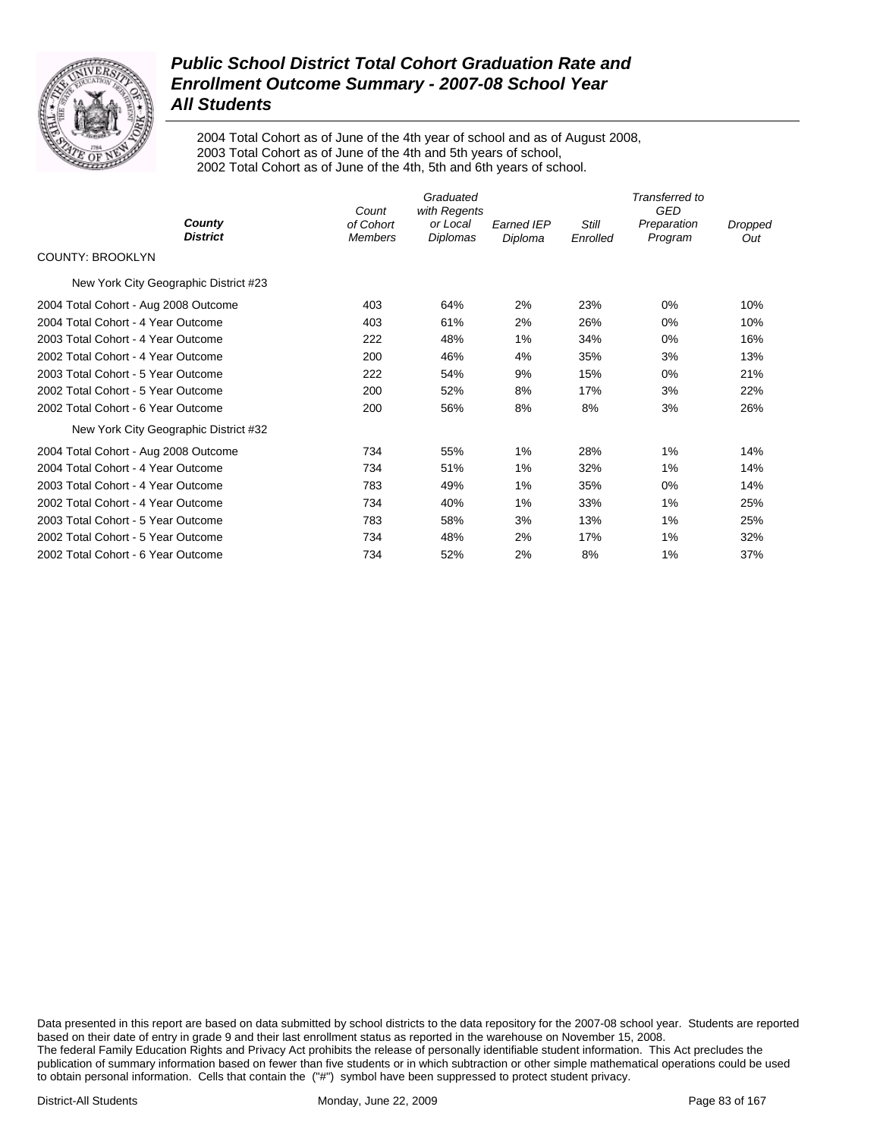

2004 Total Cohort as of June of the 4th year of school and as of August 2008, 2003 Total Cohort as of June of the 4th and 5th years of school, 2002 Total Cohort as of June of the 4th, 5th and 6th years of school.

|                                       | Count                       | Graduated<br>with Regents |                              |                          | Transferred to<br><b>GED</b> |                |
|---------------------------------------|-----------------------------|---------------------------|------------------------------|--------------------------|------------------------------|----------------|
| County<br><b>District</b>             | of Cohort<br><b>Members</b> | or Local<br>Diplomas      | <b>Earned IEP</b><br>Diploma | <b>Still</b><br>Enrolled | Preparation<br>Program       | Dropped<br>Out |
| <b>COUNTY: BROOKLYN</b>               |                             |                           |                              |                          |                              |                |
| New York City Geographic District #23 |                             |                           |                              |                          |                              |                |
| 2004 Total Cohort - Aug 2008 Outcome  | 403                         | 64%                       | 2%                           | 23%                      | 0%                           | 10%            |
| 2004 Total Cohort - 4 Year Outcome    | 403                         | 61%                       | 2%                           | 26%                      | 0%                           | 10%            |
| 2003 Total Cohort - 4 Year Outcome    | 222                         | 48%                       | $1\%$                        | 34%                      | 0%                           | 16%            |
| 2002 Total Cohort - 4 Year Outcome    | 200                         | 46%                       | 4%                           | 35%                      | 3%                           | 13%            |
| 2003 Total Cohort - 5 Year Outcome    | 222                         | 54%                       | 9%                           | 15%                      | 0%                           | 21%            |
| 2002 Total Cohort - 5 Year Outcome    | 200                         | 52%                       | 8%                           | 17%                      | 3%                           | 22%            |
| 2002 Total Cohort - 6 Year Outcome    | 200                         | 56%                       | 8%                           | 8%                       | 3%                           | 26%            |
| New York City Geographic District #32 |                             |                           |                              |                          |                              |                |
| 2004 Total Cohort - Aug 2008 Outcome  | 734                         | 55%                       | $1\%$                        | 28%                      | $1\%$                        | 14%            |
| 2004 Total Cohort - 4 Year Outcome    | 734                         | 51%                       | $1\%$                        | 32%                      | $1\%$                        | 14%            |
| 2003 Total Cohort - 4 Year Outcome    | 783                         | 49%                       | $1\%$                        | 35%                      | $0\%$                        | 14%            |
| 2002 Total Cohort - 4 Year Outcome    | 734                         | 40%                       | 1%                           | 33%                      | 1%                           | 25%            |
| 2003 Total Cohort - 5 Year Outcome    | 783                         | 58%                       | 3%                           | 13%                      | 1%                           | 25%            |
| 2002 Total Cohort - 5 Year Outcome    | 734                         | 48%                       | 2%                           | 17%                      | $1\%$                        | 32%            |
| 2002 Total Cohort - 6 Year Outcome    | 734                         | 52%                       | 2%                           | 8%                       | 1%                           | 37%            |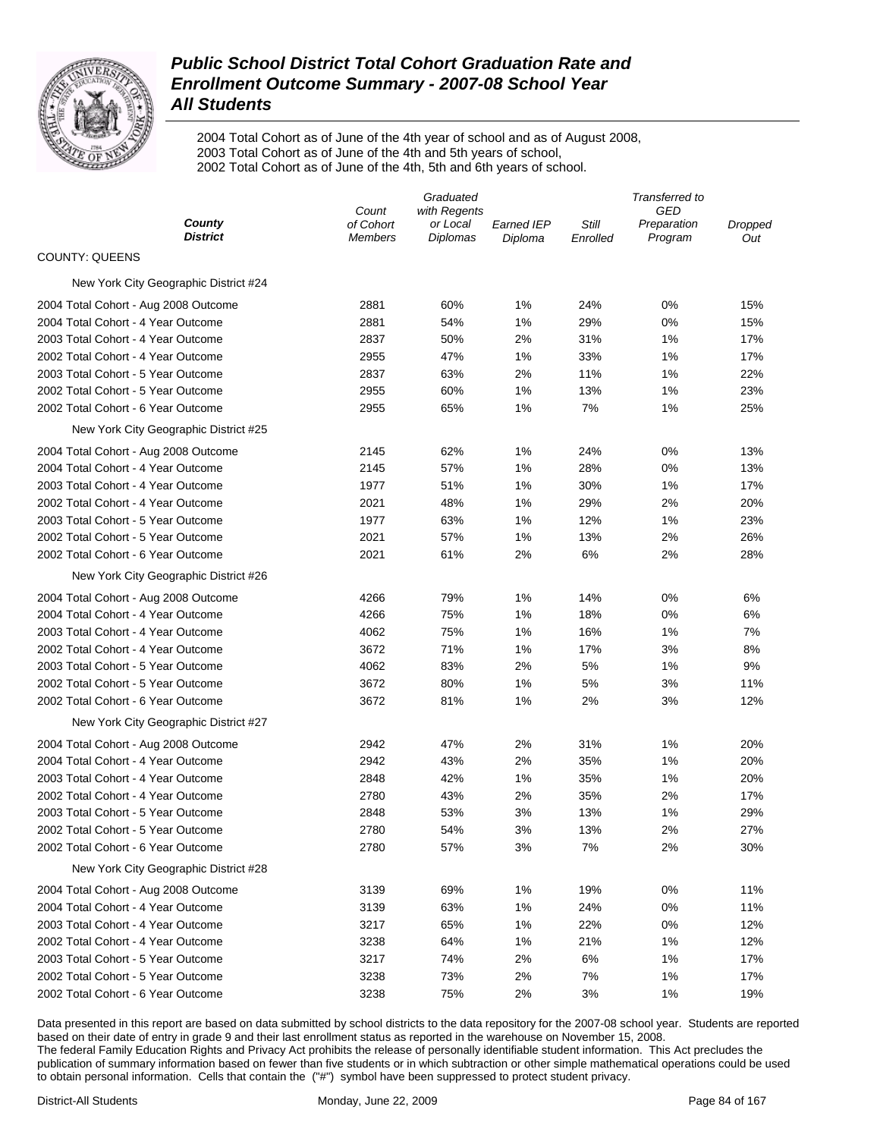

2004 Total Cohort as of June of the 4th year of school and as of August 2008, 2003 Total Cohort as of June of the 4th and 5th years of school, 2002 Total Cohort as of June of the 4th, 5th and 6th years of school.

|                                       |                             | Graduated            |                              |                   | Transferred to         |                |  |
|---------------------------------------|-----------------------------|----------------------|------------------------------|-------------------|------------------------|----------------|--|
|                                       | Count                       | with Regents         |                              |                   | GED                    |                |  |
| County<br><b>District</b>             | of Cohort<br><b>Members</b> | or Local<br>Diplomas | <b>Earned IEP</b><br>Diploma | Still<br>Enrolled | Preparation<br>Program | Dropped<br>Out |  |
| <b>COUNTY: QUEENS</b>                 |                             |                      |                              |                   |                        |                |  |
| New York City Geographic District #24 |                             |                      |                              |                   |                        |                |  |
| 2004 Total Cohort - Aug 2008 Outcome  | 2881                        | 60%                  | 1%                           | 24%               | 0%                     | 15%            |  |
| 2004 Total Cohort - 4 Year Outcome    | 2881                        | 54%                  | 1%                           | 29%               | 0%                     | 15%            |  |
| 2003 Total Cohort - 4 Year Outcome    | 2837                        | 50%                  | 2%                           | 31%               | 1%                     | 17%            |  |
| 2002 Total Cohort - 4 Year Outcome    | 2955                        | 47%                  | 1%                           | 33%               | 1%                     | 17%            |  |
| 2003 Total Cohort - 5 Year Outcome    | 2837                        | 63%                  | 2%                           | 11%               | 1%                     | 22%            |  |
| 2002 Total Cohort - 5 Year Outcome    | 2955                        | 60%                  | 1%                           | 13%               | 1%                     | 23%            |  |
| 2002 Total Cohort - 6 Year Outcome    | 2955                        | 65%                  | 1%                           | 7%                | 1%                     | 25%            |  |
| New York City Geographic District #25 |                             |                      |                              |                   |                        |                |  |
| 2004 Total Cohort - Aug 2008 Outcome  | 2145                        | 62%                  | 1%                           | 24%               | 0%                     | 13%            |  |
| 2004 Total Cohort - 4 Year Outcome    | 2145                        | 57%                  | 1%                           | 28%               | 0%                     | 13%            |  |
| 2003 Total Cohort - 4 Year Outcome    | 1977                        | 51%                  | 1%                           | 30%               | 1%                     | 17%            |  |
| 2002 Total Cohort - 4 Year Outcome    | 2021                        | 48%                  | 1%                           | 29%               | 2%                     | 20%            |  |
| 2003 Total Cohort - 5 Year Outcome    | 1977                        | 63%                  | 1%                           | 12%               | 1%                     | 23%            |  |
| 2002 Total Cohort - 5 Year Outcome    | 2021                        | 57%                  | 1%                           | 13%               | 2%                     | 26%            |  |
| 2002 Total Cohort - 6 Year Outcome    | 2021                        | 61%                  | 2%                           | 6%                | 2%                     | 28%            |  |
| New York City Geographic District #26 |                             |                      |                              |                   |                        |                |  |
| 2004 Total Cohort - Aug 2008 Outcome  | 4266                        | 79%                  | 1%                           | 14%               | 0%                     | 6%             |  |
| 2004 Total Cohort - 4 Year Outcome    | 4266                        | 75%                  | 1%                           | 18%               | 0%                     | 6%             |  |
| 2003 Total Cohort - 4 Year Outcome    | 4062                        | 75%                  | 1%                           | 16%               | 1%                     | 7%             |  |
| 2002 Total Cohort - 4 Year Outcome    | 3672                        | 71%                  | 1%                           | 17%               | 3%                     | 8%             |  |
| 2003 Total Cohort - 5 Year Outcome    | 4062                        | 83%                  | 2%                           | 5%                | 1%                     | 9%             |  |
| 2002 Total Cohort - 5 Year Outcome    | 3672                        | 80%                  | 1%                           | 5%                | 3%                     | 11%            |  |
| 2002 Total Cohort - 6 Year Outcome    | 3672                        | 81%                  | 1%                           | 2%                | 3%                     | 12%            |  |
| New York City Geographic District #27 |                             |                      |                              |                   |                        |                |  |
| 2004 Total Cohort - Aug 2008 Outcome  | 2942                        | 47%                  | 2%                           | 31%               | 1%                     | 20%            |  |
| 2004 Total Cohort - 4 Year Outcome    | 2942                        | 43%                  | 2%                           | 35%               | 1%                     | 20%            |  |
| 2003 Total Cohort - 4 Year Outcome    | 2848                        | 42%                  | 1%                           | 35%               | 1%                     | 20%            |  |
| 2002 Total Cohort - 4 Year Outcome    | 2780                        | 43%                  | 2%                           | 35%               | 2%                     | 17%            |  |
| 2003 Total Cohort - 5 Year Outcome    | 2848                        | 53%                  | 3%                           | 13%               | 1%                     | 29%            |  |
| 2002 Total Cohort - 5 Year Outcome    | 2780                        | 54%                  | 3%                           | 13%               | 2%                     | 27%            |  |
| 2002 Total Cohort - 6 Year Outcome    | 2780                        | 57%                  | 3%                           | 7%                | 2%                     | 30%            |  |
| New York City Geographic District #28 |                             |                      |                              |                   |                        |                |  |
| 2004 Total Cohort - Aug 2008 Outcome  | 3139                        | 69%                  | 1%                           | 19%               | 0%                     | 11%            |  |
| 2004 Total Cohort - 4 Year Outcome    | 3139                        | 63%                  | 1%                           | 24%               | 0%                     | 11%            |  |
| 2003 Total Cohort - 4 Year Outcome    | 3217                        | 65%                  | 1%                           | 22%               | 0%                     | 12%            |  |
| 2002 Total Cohort - 4 Year Outcome    | 3238                        | 64%                  | 1%                           | 21%               | 1%                     | 12%            |  |
| 2003 Total Cohort - 5 Year Outcome    | 3217                        | 74%                  | 2%                           | 6%                | 1%                     | 17%            |  |
| 2002 Total Cohort - 5 Year Outcome    | 3238                        | 73%                  | 2%                           | 7%                | 1%                     | 17%            |  |
| 2002 Total Cohort - 6 Year Outcome    | 3238                        | 75%                  | 2%                           | 3%                | 1%                     | 19%            |  |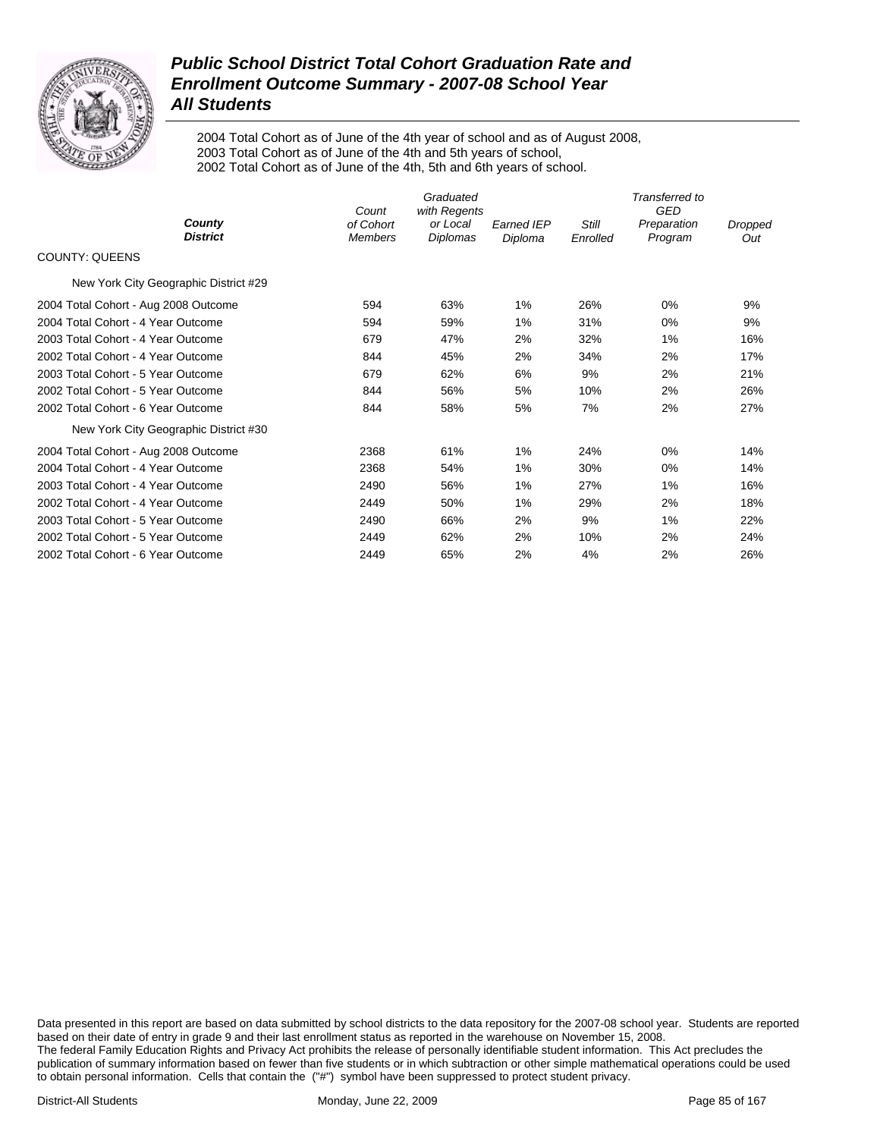

2004 Total Cohort as of June of the 4th year of school and as of August 2008, 2003 Total Cohort as of June of the 4th and 5th years of school, 2002 Total Cohort as of June of the 4th, 5th and 6th years of school.

| County                                | Count                       | Graduated<br>with Regents |                              |                   | Transferred to<br><b>GED</b> |                |
|---------------------------------------|-----------------------------|---------------------------|------------------------------|-------------------|------------------------------|----------------|
| <b>District</b>                       | of Cohort<br><b>Members</b> | or Local<br>Diplomas      | <b>Earned IEP</b><br>Diploma | Still<br>Enrolled | Preparation<br>Program       | Dropped<br>Out |
| <b>COUNTY: QUEENS</b>                 |                             |                           |                              |                   |                              |                |
| New York City Geographic District #29 |                             |                           |                              |                   |                              |                |
| 2004 Total Cohort - Aug 2008 Outcome  | 594                         | 63%                       | 1%                           | 26%               | 0%                           | 9%             |
| 2004 Total Cohort - 4 Year Outcome    | 594                         | 59%                       | 1%                           | 31%               | 0%                           | 9%             |
| 2003 Total Cohort - 4 Year Outcome    | 679                         | 47%                       | 2%                           | 32%               | 1%                           | 16%            |
| 2002 Total Cohort - 4 Year Outcome    | 844                         | 45%                       | 2%                           | 34%               | 2%                           | 17%            |
| 2003 Total Cohort - 5 Year Outcome    | 679                         | 62%                       | 6%                           | 9%                | 2%                           | 21%            |
| 2002 Total Cohort - 5 Year Outcome    | 844                         | 56%                       | 5%                           | 10%               | 2%                           | 26%            |
| 2002 Total Cohort - 6 Year Outcome    | 844                         | 58%                       | 5%                           | 7%                | 2%                           | 27%            |
| New York City Geographic District #30 |                             |                           |                              |                   |                              |                |
| 2004 Total Cohort - Aug 2008 Outcome  | 2368                        | 61%                       | 1%                           | 24%               | 0%                           | 14%            |
| 2004 Total Cohort - 4 Year Outcome    | 2368                        | 54%                       | 1%                           | 30%               | $0\%$                        | 14%            |
| 2003 Total Cohort - 4 Year Outcome    | 2490                        | 56%                       | 1%                           | 27%               | $1\%$                        | 16%            |
| 2002 Total Cohort - 4 Year Outcome    | 2449                        | 50%                       | 1%                           | 29%               | 2%                           | 18%            |
| 2003 Total Cohort - 5 Year Outcome    | 2490                        | 66%                       | 2%                           | 9%                | 1%                           | 22%            |
| 2002 Total Cohort - 5 Year Outcome    | 2449                        | 62%                       | 2%                           | 10%               | 2%                           | 24%            |
| 2002 Total Cohort - 6 Year Outcome    | 2449                        | 65%                       | 2%                           | 4%                | 2%                           | 26%            |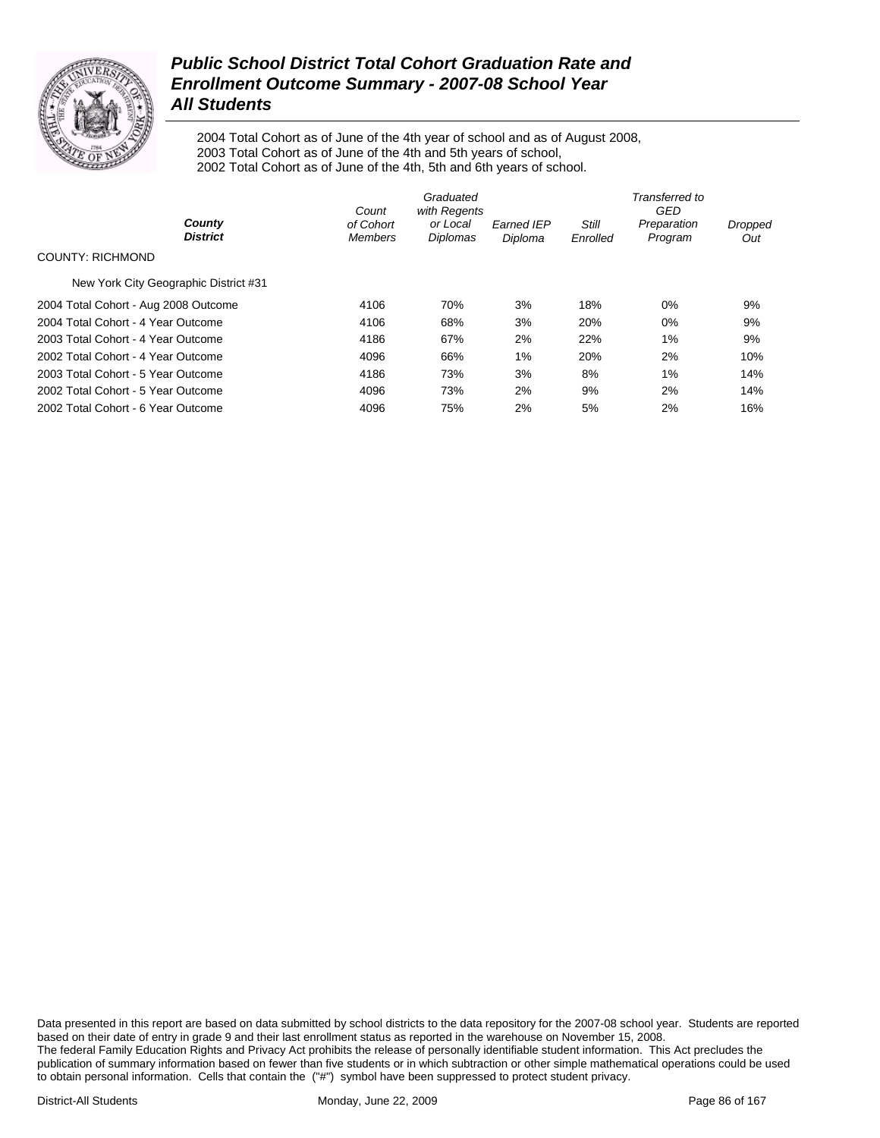

2004 Total Cohort as of June of the 4th year of school and as of August 2008, 2003 Total Cohort as of June of the 4th and 5th years of school, 2002 Total Cohort as of June of the 4th, 5th and 6th years of school.

|                                       | Graduated<br>with Regents<br>Count |                      |                              | Transferred to<br>GED |                        |                |  |
|---------------------------------------|------------------------------------|----------------------|------------------------------|-----------------------|------------------------|----------------|--|
| County<br><b>District</b>             | of Cohort<br><b>Members</b>        | or Local<br>Diplomas | <b>Earned IEP</b><br>Diploma | Still<br>Enrolled     | Preparation<br>Program | Dropped<br>Out |  |
| COUNTY: RICHMOND                      |                                    |                      |                              |                       |                        |                |  |
| New York City Geographic District #31 |                                    |                      |                              |                       |                        |                |  |
| 2004 Total Cohort - Aug 2008 Outcome  | 4106                               | 70%                  | 3%                           | 18%                   | 0%                     | 9%             |  |
| 2004 Total Cohort - 4 Year Outcome    | 4106                               | 68%                  | 3%                           | 20%                   | 0%                     | 9%             |  |
| 2003 Total Cohort - 4 Year Outcome    | 4186                               | 67%                  | 2%                           | 22%                   | 1%                     | 9%             |  |
| 2002 Total Cohort - 4 Year Outcome    | 4096                               | 66%                  | 1%                           | 20%                   | 2%                     | 10%            |  |
| 2003 Total Cohort - 5 Year Outcome    | 4186                               | 73%                  | 3%                           | 8%                    | 1%                     | 14%            |  |
| 2002 Total Cohort - 5 Year Outcome    | 4096                               | 73%                  | 2%                           | 9%                    | 2%                     | 14%            |  |
| 2002 Total Cohort - 6 Year Outcome    | 4096                               | 75%                  | 2%                           | 5%                    | 2%                     | 16%            |  |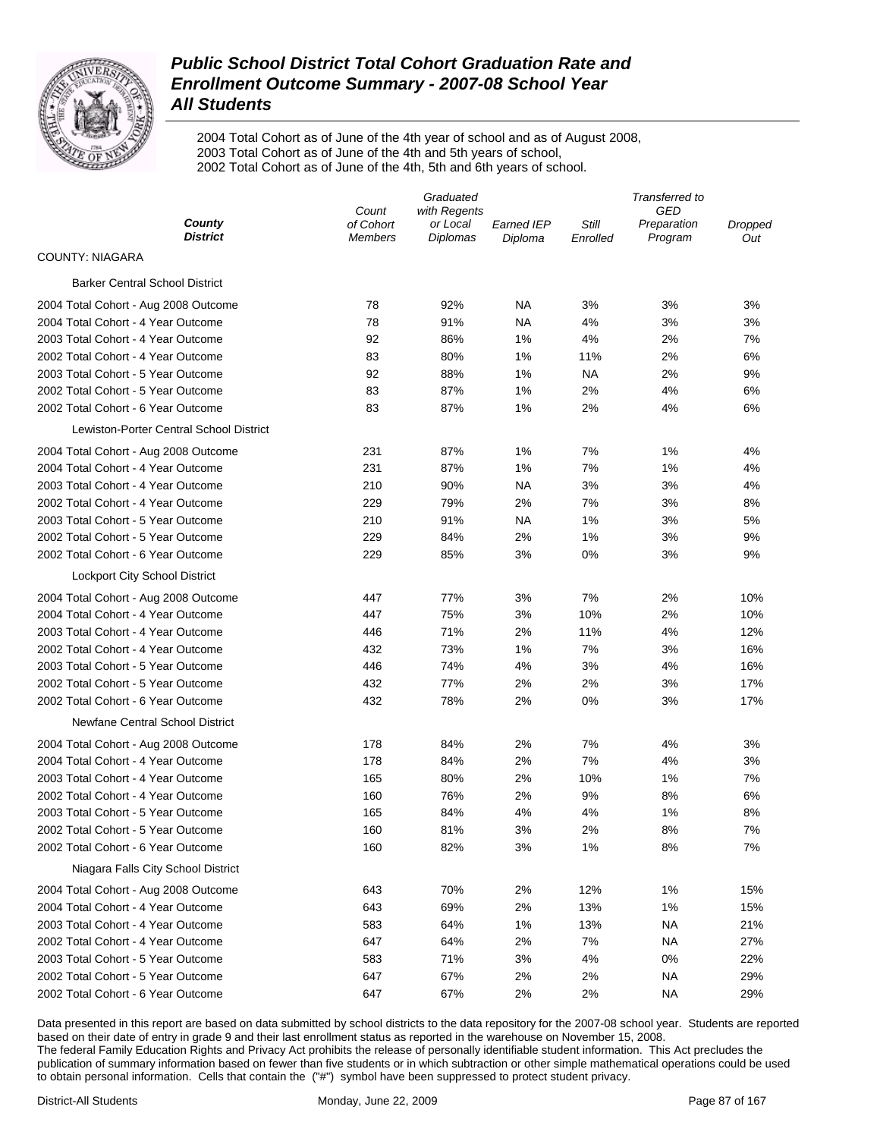

2004 Total Cohort as of June of the 4th year of school and as of August 2008, 2003 Total Cohort as of June of the 4th and 5th years of school, 2002 Total Cohort as of June of the 4th, 5th and 6th years of school.

|                                         | Graduated                   |                             |                              | Transferred to    |                        |                |
|-----------------------------------------|-----------------------------|-----------------------------|------------------------------|-------------------|------------------------|----------------|
| County                                  | Count                       | with Regents                |                              |                   | GED                    |                |
| <b>District</b>                         | of Cohort<br><b>Members</b> | or Local<br><b>Diplomas</b> | <b>Earned IEP</b><br>Diploma | Still<br>Enrolled | Preparation<br>Program | Dropped<br>Out |
| <b>COUNTY: NIAGARA</b>                  |                             |                             |                              |                   |                        |                |
| <b>Barker Central School District</b>   |                             |                             |                              |                   |                        |                |
| 2004 Total Cohort - Aug 2008 Outcome    | 78                          | 92%                         | NA                           | 3%                | 3%                     | 3%             |
| 2004 Total Cohort - 4 Year Outcome      | 78                          | 91%                         | NA                           | 4%                | 3%                     | 3%             |
| 2003 Total Cohort - 4 Year Outcome      | 92                          | 86%                         | 1%                           | 4%                | 2%                     | 7%             |
| 2002 Total Cohort - 4 Year Outcome      | 83                          | 80%                         | 1%                           | 11%               | 2%                     | 6%             |
| 2003 Total Cohort - 5 Year Outcome      | 92                          | 88%                         | 1%                           | ΝA                | 2%                     | 9%             |
| 2002 Total Cohort - 5 Year Outcome      | 83                          | 87%                         | 1%                           | 2%                | 4%                     | 6%             |
| 2002 Total Cohort - 6 Year Outcome      | 83                          | 87%                         | 1%                           | 2%                | 4%                     | 6%             |
| Lewiston-Porter Central School District |                             |                             |                              |                   |                        |                |
| 2004 Total Cohort - Aug 2008 Outcome    | 231                         | 87%                         | 1%                           | 7%                | 1%                     | 4%             |
| 2004 Total Cohort - 4 Year Outcome      | 231                         | 87%                         | 1%                           | 7%                | 1%                     | 4%             |
| 2003 Total Cohort - 4 Year Outcome      | 210                         | 90%                         | NA                           | 3%                | 3%                     | 4%             |
| 2002 Total Cohort - 4 Year Outcome      | 229                         | 79%                         | 2%                           | 7%                | 3%                     | 8%             |
| 2003 Total Cohort - 5 Year Outcome      | 210                         | 91%                         | <b>NA</b>                    | 1%                | 3%                     | 5%             |
| 2002 Total Cohort - 5 Year Outcome      | 229                         | 84%                         | 2%                           | 1%                | 3%                     | 9%             |
| 2002 Total Cohort - 6 Year Outcome      | 229                         | 85%                         | 3%                           | 0%                | 3%                     | 9%             |
| <b>Lockport City School District</b>    |                             |                             |                              |                   |                        |                |
| 2004 Total Cohort - Aug 2008 Outcome    | 447                         | 77%                         | 3%                           | 7%                | 2%                     | 10%            |
| 2004 Total Cohort - 4 Year Outcome      | 447                         | 75%                         | 3%                           | 10%               | 2%                     | 10%            |
| 2003 Total Cohort - 4 Year Outcome      | 446                         | 71%                         | 2%                           | 11%               | 4%                     | 12%            |
| 2002 Total Cohort - 4 Year Outcome      | 432                         | 73%                         | 1%                           | 7%                | 3%                     | 16%            |
| 2003 Total Cohort - 5 Year Outcome      | 446                         | 74%                         | 4%                           | 3%                | 4%                     | 16%            |
| 2002 Total Cohort - 5 Year Outcome      | 432                         | 77%                         | 2%                           | 2%                | 3%                     | 17%            |
| 2002 Total Cohort - 6 Year Outcome      | 432                         | 78%                         | 2%                           | 0%                | 3%                     | 17%            |
| Newfane Central School District         |                             |                             |                              |                   |                        |                |
| 2004 Total Cohort - Aug 2008 Outcome    | 178                         | 84%                         | 2%                           | 7%                | 4%                     | 3%             |
| 2004 Total Cohort - 4 Year Outcome      | 178                         | 84%                         | 2%                           | 7%                | 4%                     | 3%             |
| 2003 Total Cohort - 4 Year Outcome      | 165                         | 80%                         | 2%                           | 10%               | 1%                     | 7%             |
| 2002 Total Cohort - 4 Year Outcome      | 160                         | 76%                         | 2%                           | 9%                | 8%                     | 6%             |
| 2003 Total Cohort - 5 Year Outcome      | 165                         | 84%                         | 4%                           | 4%                | 1%                     | 8%             |
| 2002 Total Cohort - 5 Year Outcome      | 160                         | 81%                         | 3%                           | 2%                | 8%                     | 7%             |
| 2002 Total Cohort - 6 Year Outcome      | 160                         | 82%                         | 3%                           | 1%                | 8%                     | 7%             |
| Niagara Falls City School District      |                             |                             |                              |                   |                        |                |
| 2004 Total Cohort - Aug 2008 Outcome    | 643                         | 70%                         | 2%                           | 12%               | 1%                     | 15%            |
| 2004 Total Cohort - 4 Year Outcome      | 643                         | 69%                         | 2%                           | 13%               | 1%                     | 15%            |
| 2003 Total Cohort - 4 Year Outcome      | 583                         | 64%                         | 1%                           | 13%               | <b>NA</b>              | 21%            |
| 2002 Total Cohort - 4 Year Outcome      | 647                         | 64%                         | 2%                           | 7%                | <b>NA</b>              | 27%            |
| 2003 Total Cohort - 5 Year Outcome      | 583                         | 71%                         | 3%                           | 4%                | 0%                     | 22%            |
| 2002 Total Cohort - 5 Year Outcome      | 647                         | 67%                         | 2%                           | 2%                | <b>NA</b>              | 29%            |
| 2002 Total Cohort - 6 Year Outcome      | 647                         | 67%                         | 2%                           | 2%                | <b>NA</b>              | 29%            |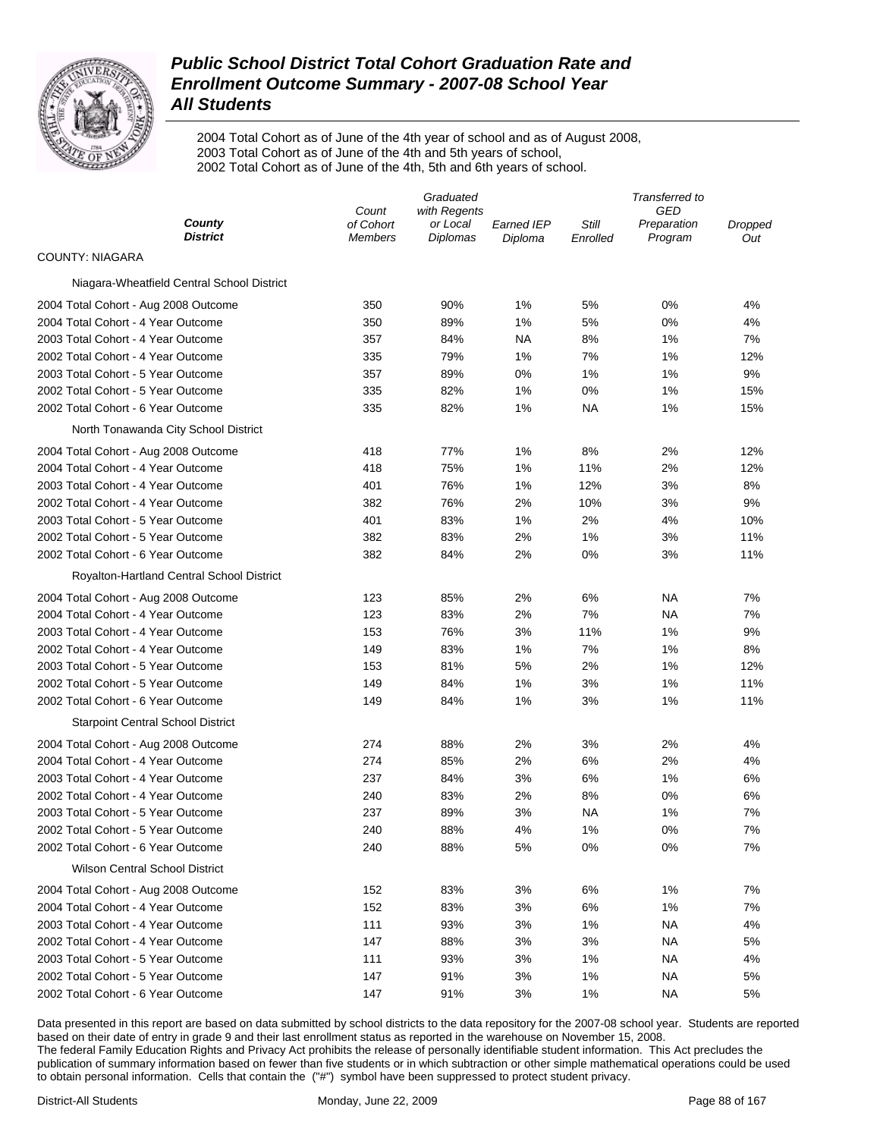

2004 Total Cohort as of June of the 4th year of school and as of August 2008, 2003 Total Cohort as of June of the 4th and 5th years of school, 2002 Total Cohort as of June of the 4th, 5th and 6th years of school.

|                                                                          | Graduated                   |                      |                       | Transferred to    |                        |                |  |
|--------------------------------------------------------------------------|-----------------------------|----------------------|-----------------------|-------------------|------------------------|----------------|--|
|                                                                          | Count                       | with Regents         |                       |                   | GED                    |                |  |
| County<br><b>District</b>                                                | of Cohort<br><b>Members</b> | or Local<br>Diplomas | Earned IEP<br>Diploma | Still<br>Enrolled | Preparation<br>Program | Dropped<br>Out |  |
| <b>COUNTY: NIAGARA</b>                                                   |                             |                      |                       |                   |                        |                |  |
| Niagara-Wheatfield Central School District                               |                             |                      |                       |                   |                        |                |  |
| 2004 Total Cohort - Aug 2008 Outcome                                     | 350                         | 90%                  | 1%                    | 5%                | 0%                     | 4%             |  |
| 2004 Total Cohort - 4 Year Outcome                                       | 350                         | 89%                  | 1%                    | 5%                | 0%                     | 4%             |  |
| 2003 Total Cohort - 4 Year Outcome                                       | 357                         | 84%                  | NA                    | 8%                | 1%                     | 7%             |  |
| 2002 Total Cohort - 4 Year Outcome                                       | 335                         | 79%                  | 1%                    | 7%                | 1%                     | 12%            |  |
| 2003 Total Cohort - 5 Year Outcome                                       | 357                         | 89%                  | 0%                    | 1%                | 1%                     | 9%             |  |
| 2002 Total Cohort - 5 Year Outcome                                       | 335                         | 82%                  | 1%                    | 0%                | 1%                     | 15%            |  |
| 2002 Total Cohort - 6 Year Outcome                                       | 335                         | 82%                  | 1%                    | NA                | 1%                     | 15%            |  |
| North Tonawanda City School District                                     |                             |                      |                       |                   |                        |                |  |
| 2004 Total Cohort - Aug 2008 Outcome                                     | 418                         | 77%                  | 1%                    | 8%                | 2%                     | 12%            |  |
| 2004 Total Cohort - 4 Year Outcome                                       | 418                         | 75%                  | 1%                    | 11%               | 2%                     | 12%            |  |
| 2003 Total Cohort - 4 Year Outcome                                       | 401                         | 76%                  | 1%                    | 12%               | 3%                     | 8%             |  |
| 2002 Total Cohort - 4 Year Outcome                                       | 382                         | 76%                  | 2%                    | 10%               | 3%                     | 9%             |  |
| 2003 Total Cohort - 5 Year Outcome                                       | 401                         | 83%                  | 1%                    | 2%                | 4%                     | 10%            |  |
| 2002 Total Cohort - 5 Year Outcome                                       | 382                         | 83%                  | 2%                    | 1%                | 3%                     | 11%            |  |
| 2002 Total Cohort - 6 Year Outcome                                       | 382                         | 84%                  | 2%                    | 0%                | 3%                     | 11%            |  |
| Royalton-Hartland Central School District                                |                             |                      |                       |                   |                        |                |  |
| 2004 Total Cohort - Aug 2008 Outcome                                     | 123                         | 85%                  | 2%                    | 6%                | ΝA                     | 7%             |  |
| 2004 Total Cohort - 4 Year Outcome                                       | 123                         | 83%                  | 2%                    | 7%                | ΝA                     | 7%             |  |
| 2003 Total Cohort - 4 Year Outcome                                       | 153                         | 76%                  | 3%                    | 11%               | 1%                     | 9%             |  |
| 2002 Total Cohort - 4 Year Outcome                                       | 149                         | 83%                  | 1%                    | 7%                | 1%                     | 8%             |  |
| 2003 Total Cohort - 5 Year Outcome                                       | 153                         | 81%                  | 5%                    | 2%                | 1%                     | 12%            |  |
| 2002 Total Cohort - 5 Year Outcome                                       | 149                         | 84%                  | 1%                    | 3%                | 1%                     | 11%            |  |
| 2002 Total Cohort - 6 Year Outcome                                       | 149                         | 84%                  | 1%                    | 3%                | 1%                     | 11%            |  |
| <b>Starpoint Central School District</b>                                 |                             |                      |                       |                   |                        |                |  |
| 2004 Total Cohort - Aug 2008 Outcome                                     | 274                         | 88%                  | 2%                    | 3%                | 2%                     | 4%             |  |
| 2004 Total Cohort - 4 Year Outcome                                       | 274                         | 85%                  | 2%                    | 6%                | 2%                     | 4%             |  |
| 2003 Total Cohort - 4 Year Outcome                                       | 237                         | 84%                  | 3%                    | 6%                | 1%                     | 6%             |  |
| 2002 Total Cohort - 4 Year Outcome                                       | 240                         | 83%                  | 2%                    | 8%                | 0%                     | 6%             |  |
| 2003 Total Cohort - 5 Year Outcome                                       | 237                         | 89%                  | 3%                    | ΝA                | 1%                     | 7%             |  |
|                                                                          | 240                         | 88%                  | 4%                    | 1%                | 0%                     | 7%             |  |
| 2002 Total Cohort - 5 Year Outcome<br>2002 Total Cohort - 6 Year Outcome | 240                         | 88%                  | 5%                    | 0%                | 0%                     | 7%             |  |
| <b>Wilson Central School District</b>                                    |                             |                      |                       |                   |                        |                |  |
|                                                                          |                             |                      |                       |                   |                        |                |  |
| 2004 Total Cohort - Aug 2008 Outcome                                     | 152                         | 83%                  | 3%                    | 6%                | 1%                     | 7%             |  |
| 2004 Total Cohort - 4 Year Outcome                                       | 152                         | 83%                  | 3%                    | 6%                | 1%                     | 7%             |  |
| 2003 Total Cohort - 4 Year Outcome                                       | 111                         | 93%                  | 3%                    | 1%                | ΝA                     | 4%             |  |
| 2002 Total Cohort - 4 Year Outcome                                       | 147                         | 88%                  | 3%                    | 3%                | ΝA                     | 5%             |  |
| 2003 Total Cohort - 5 Year Outcome                                       | 111                         | 93%                  | 3%                    | 1%                | ΝA                     | 4%             |  |
| 2002 Total Cohort - 5 Year Outcome                                       | 147                         | 91%                  | 3%                    | 1%                | ΝA                     | 5%             |  |
| 2002 Total Cohort - 6 Year Outcome                                       | 147                         | 91%                  | 3%                    | 1%                | <b>NA</b>              | 5%             |  |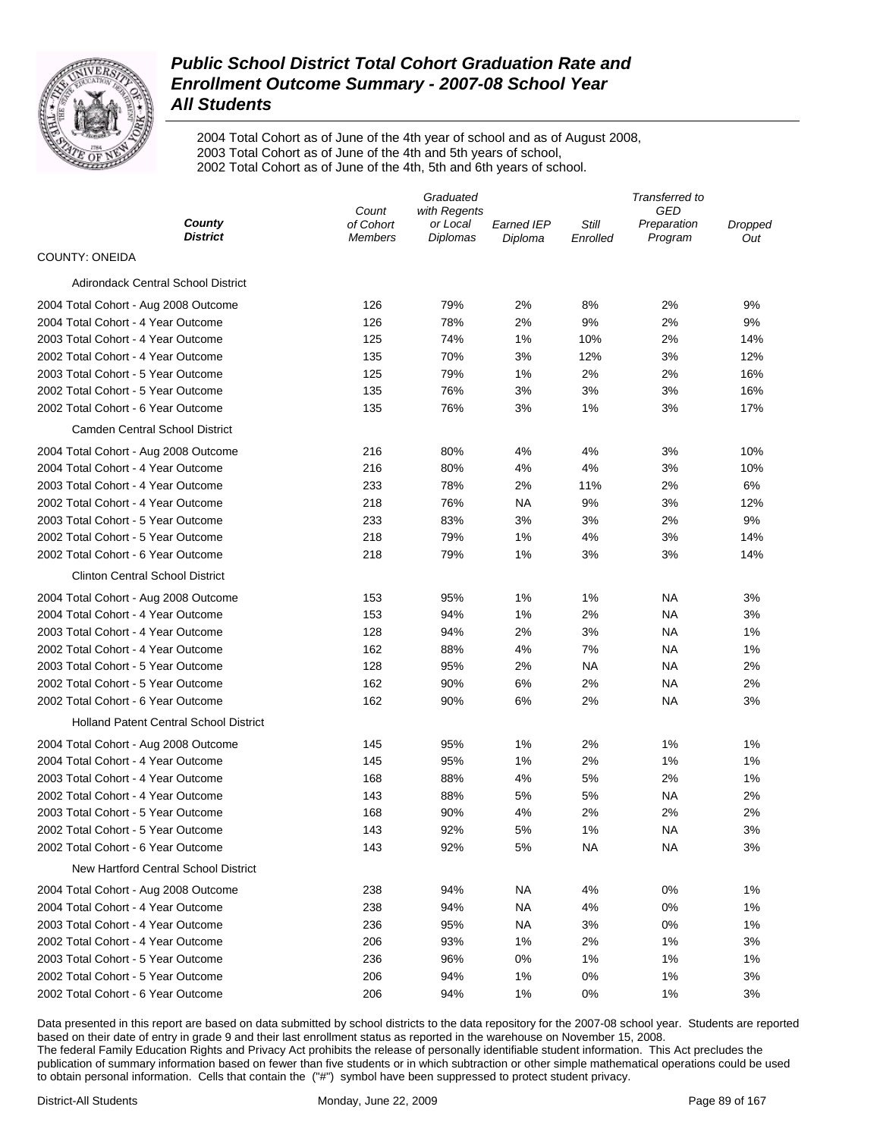

2004 Total Cohort as of June of the 4th year of school and as of August 2008, 2003 Total Cohort as of June of the 4th and 5th years of school, 2002 Total Cohort as of June of the 4th, 5th and 6th years of school.

|                                               | Graduated                   |                      |                              | Transferred to    |                        |                |  |
|-----------------------------------------------|-----------------------------|----------------------|------------------------------|-------------------|------------------------|----------------|--|
|                                               | Count<br>with Regents       |                      |                              | GED               |                        |                |  |
| County<br><b>District</b>                     | of Cohort<br><b>Members</b> | or Local<br>Diplomas | <b>Earned IEP</b><br>Diploma | Still<br>Enrolled | Preparation<br>Program | Dropped<br>Out |  |
| <b>COUNTY: ONEIDA</b>                         |                             |                      |                              |                   |                        |                |  |
| Adirondack Central School District            |                             |                      |                              |                   |                        |                |  |
| 2004 Total Cohort - Aug 2008 Outcome          | 126                         | 79%                  | 2%                           | 8%                | 2%                     | 9%             |  |
| 2004 Total Cohort - 4 Year Outcome            | 126                         | 78%                  | 2%                           | 9%                | 2%                     | 9%             |  |
| 2003 Total Cohort - 4 Year Outcome            | 125                         | 74%                  | 1%                           | 10%               | 2%                     | 14%            |  |
| 2002 Total Cohort - 4 Year Outcome            | 135                         | 70%                  | 3%                           | 12%               | 3%                     | 12%            |  |
| 2003 Total Cohort - 5 Year Outcome            | 125                         | 79%                  | 1%                           | 2%                | 2%                     | 16%            |  |
| 2002 Total Cohort - 5 Year Outcome            | 135                         | 76%                  | 3%                           | 3%                | 3%                     | 16%            |  |
| 2002 Total Cohort - 6 Year Outcome            | 135                         | 76%                  | 3%                           | 1%                | 3%                     | 17%            |  |
| <b>Camden Central School District</b>         |                             |                      |                              |                   |                        |                |  |
| 2004 Total Cohort - Aug 2008 Outcome          | 216                         | 80%                  | 4%                           | 4%                | 3%                     | 10%            |  |
| 2004 Total Cohort - 4 Year Outcome            | 216                         | 80%                  | 4%                           | 4%                | 3%                     | 10%            |  |
| 2003 Total Cohort - 4 Year Outcome            | 233                         | 78%                  | 2%                           | 11%               | 2%                     | 6%             |  |
| 2002 Total Cohort - 4 Year Outcome            | 218                         | 76%                  | <b>NA</b>                    | 9%                | 3%                     | 12%            |  |
| 2003 Total Cohort - 5 Year Outcome            | 233                         | 83%                  | 3%                           | 3%                | 2%                     | 9%             |  |
| 2002 Total Cohort - 5 Year Outcome            | 218                         | 79%                  | 1%                           | 4%                | 3%                     | 14%            |  |
| 2002 Total Cohort - 6 Year Outcome            | 218                         | 79%                  | 1%                           | 3%                | 3%                     | 14%            |  |
| <b>Clinton Central School District</b>        |                             |                      |                              |                   |                        |                |  |
| 2004 Total Cohort - Aug 2008 Outcome          | 153                         | 95%                  | 1%                           | 1%                | NА                     | 3%             |  |
| 2004 Total Cohort - 4 Year Outcome            | 153                         | 94%                  | 1%                           | 2%                | <b>NA</b>              | 3%             |  |
| 2003 Total Cohort - 4 Year Outcome            | 128                         | 94%                  | 2%                           | 3%                | <b>NA</b>              | 1%             |  |
| 2002 Total Cohort - 4 Year Outcome            | 162                         | 88%                  | 4%                           | 7%                | <b>NA</b>              | 1%             |  |
| 2003 Total Cohort - 5 Year Outcome            | 128                         | 95%                  | 2%                           | NA                | <b>NA</b>              | 2%             |  |
| 2002 Total Cohort - 5 Year Outcome            | 162                         | 90%                  | $6\%$                        | 2%                | <b>NA</b>              | 2%             |  |
| 2002 Total Cohort - 6 Year Outcome            | 162                         | 90%                  | $6\%$                        | 2%                | <b>NA</b>              | 3%             |  |
| <b>Holland Patent Central School District</b> |                             |                      |                              |                   |                        |                |  |
| 2004 Total Cohort - Aug 2008 Outcome          | 145                         | 95%                  | 1%                           | 2%                | 1%                     | 1%             |  |
| 2004 Total Cohort - 4 Year Outcome            | 145                         | 95%                  | 1%                           | 2%                | 1%                     | 1%             |  |
| 2003 Total Cohort - 4 Year Outcome            | 168                         | 88%                  | 4%                           | 5%                | 2%                     | 1%             |  |
| 2002 Total Cohort - 4 Year Outcome            | 143                         | 88%                  | 5%                           | 5%                | <b>NA</b>              | 2%             |  |
| 2003 Total Cohort - 5 Year Outcome            | 168                         | 90%                  | 4%                           | 2%                | 2%                     | 2%             |  |
| 2002 Total Cohort - 5 Year Outcome            | 143                         | 92%                  | 5%                           | 1%                | <b>NA</b>              | 3%             |  |
| 2002 Total Cohort - 6 Year Outcome            | 143                         | 92%                  | 5%                           | <b>NA</b>         | <b>NA</b>              | 3%             |  |
| New Hartford Central School District          |                             |                      |                              |                   |                        |                |  |
| 2004 Total Cohort - Aug 2008 Outcome          | 238                         | 94%                  | <b>NA</b>                    | 4%                | 0%                     | 1%             |  |
| 2004 Total Cohort - 4 Year Outcome            | 238                         | 94%                  | <b>NA</b>                    | 4%                | 0%                     | 1%             |  |
| 2003 Total Cohort - 4 Year Outcome            | 236                         | 95%                  | <b>NA</b>                    | 3%                | 0%                     | 1%             |  |
| 2002 Total Cohort - 4 Year Outcome            | 206                         | 93%                  | 1%                           | 2%                | 1%                     | 3%             |  |
| 2003 Total Cohort - 5 Year Outcome            | 236                         | 96%                  | 0%                           | 1%                | 1%                     | 1%             |  |
| 2002 Total Cohort - 5 Year Outcome            | 206                         | 94%                  | 1%                           | 0%                | 1%                     | 3%             |  |
| 2002 Total Cohort - 6 Year Outcome            | 206                         | 94%                  | 1%                           | 0%                | 1%                     | 3%             |  |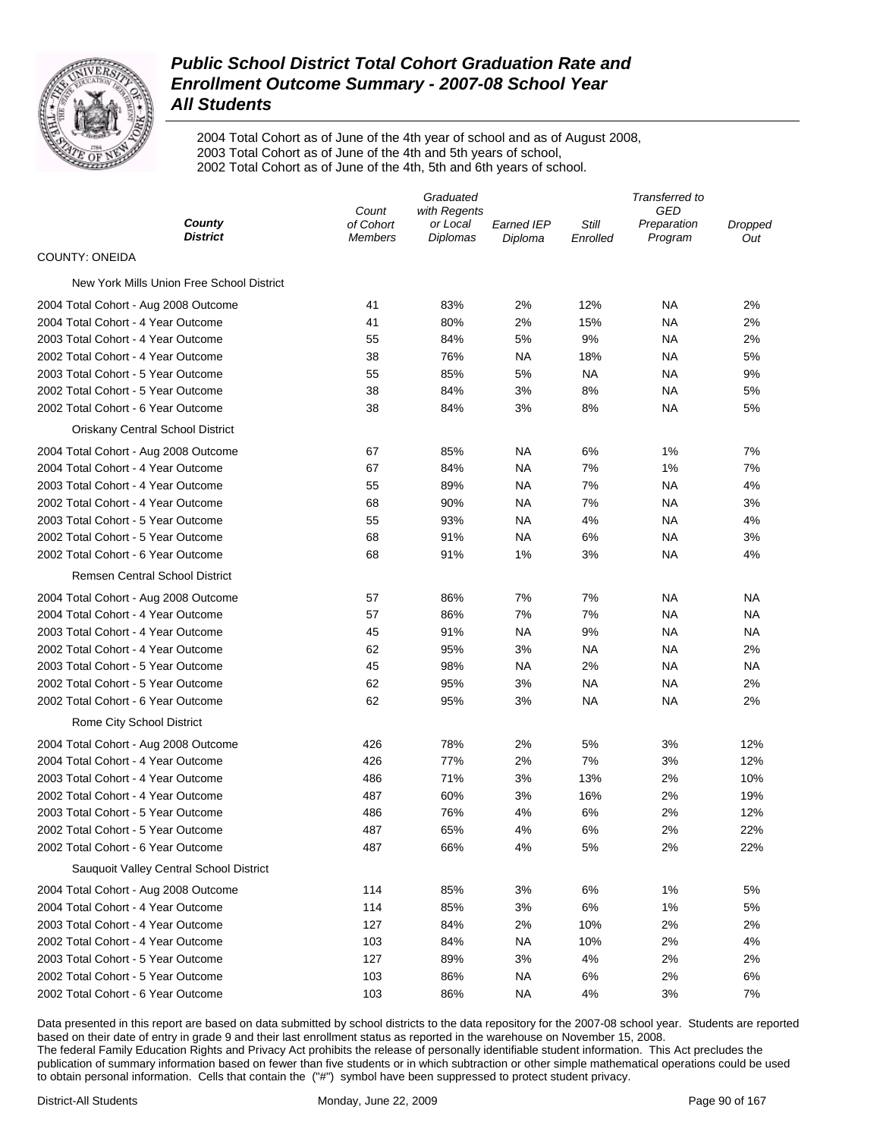

2004 Total Cohort as of June of the 4th year of school and as of August 2008, 2003 Total Cohort as of June of the 4th and 5th years of school, 2002 Total Cohort as of June of the 4th, 5th and 6th years of school.

|                                           | Graduated                            |                                      |                              | Transferred to    |                               |                |
|-------------------------------------------|--------------------------------------|--------------------------------------|------------------------------|-------------------|-------------------------------|----------------|
| County<br><b>District</b>                 | Count<br>of Cohort<br><b>Members</b> | with Regents<br>or Local<br>Diplomas | <b>Earned IEP</b><br>Diploma | Still<br>Enrolled | GED<br>Preparation<br>Program | Dropped<br>Out |
| <b>COUNTY: ONEIDA</b>                     |                                      |                                      |                              |                   |                               |                |
| New York Mills Union Free School District |                                      |                                      |                              |                   |                               |                |
| 2004 Total Cohort - Aug 2008 Outcome      | 41                                   | 83%                                  | 2%                           | 12%               | ΝA                            | 2%             |
| 2004 Total Cohort - 4 Year Outcome        | 41                                   | 80%                                  | 2%                           | 15%               | ΝA                            | 2%             |
| 2003 Total Cohort - 4 Year Outcome        | 55                                   | 84%                                  | 5%                           | 9%                | ΝA                            | 2%             |
| 2002 Total Cohort - 4 Year Outcome        | 38                                   | 76%                                  | <b>NA</b>                    | 18%               | ΝA                            | 5%             |
| 2003 Total Cohort - 5 Year Outcome        | 55                                   | 85%                                  | 5%                           | NA                | ΝA                            | 9%             |
| 2002 Total Cohort - 5 Year Outcome        | 38                                   | 84%                                  | 3%                           | 8%                | ΝA                            | 5%             |
| 2002 Total Cohort - 6 Year Outcome        | 38                                   | 84%                                  | 3%                           | 8%                | ΝA                            | 5%             |
| Oriskany Central School District          |                                      |                                      |                              |                   |                               |                |
| 2004 Total Cohort - Aug 2008 Outcome      | 67                                   | 85%                                  | <b>NA</b>                    | 6%                | 1%                            | 7%             |
| 2004 Total Cohort - 4 Year Outcome        | 67                                   | 84%                                  | NA                           | 7%                | 1%                            | 7%             |
| 2003 Total Cohort - 4 Year Outcome        | 55                                   | 89%                                  | NA                           | 7%                | <b>NA</b>                     | 4%             |
| 2002 Total Cohort - 4 Year Outcome        | 68                                   | 90%                                  | <b>NA</b>                    | 7%                | ΝA                            | 3%             |
| 2003 Total Cohort - 5 Year Outcome        | 55                                   | 93%                                  | <b>NA</b>                    | 4%                | ΝA                            | 4%             |
| 2002 Total Cohort - 5 Year Outcome        | 68                                   | 91%                                  | NA                           | 6%                | ΝA                            | 3%             |
| 2002 Total Cohort - 6 Year Outcome        | 68                                   | 91%                                  | 1%                           | 3%                | ΝA                            | 4%             |
| <b>Remsen Central School District</b>     |                                      |                                      |                              |                   |                               |                |
| 2004 Total Cohort - Aug 2008 Outcome      | 57                                   | 86%                                  | 7%                           | 7%                | ΝA                            | ΝA             |
| 2004 Total Cohort - 4 Year Outcome        | 57                                   | 86%                                  | 7%                           | 7%                | ΝA                            | <b>NA</b>      |
| 2003 Total Cohort - 4 Year Outcome        | 45                                   | 91%                                  | NA                           | 9%                | ΝA                            | NA             |
| 2002 Total Cohort - 4 Year Outcome        | 62                                   | 95%                                  | 3%                           | ΝA                | ΝA                            | 2%             |
| 2003 Total Cohort - 5 Year Outcome        | 45                                   | 98%                                  | NA                           | 2%                | ΝA                            | <b>NA</b>      |
| 2002 Total Cohort - 5 Year Outcome        | 62                                   | 95%                                  | 3%                           | ΝA                | ΝA                            | 2%             |
| 2002 Total Cohort - 6 Year Outcome        | 62                                   | 95%                                  | 3%                           | ΝA                | <b>NA</b>                     | 2%             |
| Rome City School District                 |                                      |                                      |                              |                   |                               |                |
| 2004 Total Cohort - Aug 2008 Outcome      | 426                                  | 78%                                  | 2%                           | 5%                | 3%                            | 12%            |
| 2004 Total Cohort - 4 Year Outcome        | 426                                  | 77%                                  | 2%                           | 7%                | 3%                            | 12%            |
| 2003 Total Cohort - 4 Year Outcome        | 486                                  | 71%                                  | 3%                           | 13%               | 2%                            | 10%            |
| 2002 Total Cohort - 4 Year Outcome        | 487                                  | 60%                                  | 3%                           | 16%               | 2%                            | 19%            |
| 2003 Total Cohort - 5 Year Outcome        | 486                                  | 76%                                  | 4%                           | 6%                | 2%                            | 12%            |
| 2002 Total Cohort - 5 Year Outcome        | 487                                  | 65%                                  | 4%                           | 6%                | 2%                            | 22%            |
| 2002 Total Cohort - 6 Year Outcome        | 487                                  | 66%                                  | 4%                           | 5%                | 2%                            | 22%            |
| Sauquoit Valley Central School District   |                                      |                                      |                              |                   |                               |                |
| 2004 Total Cohort - Aug 2008 Outcome      | 114                                  | 85%                                  | 3%                           | 6%                | 1%                            | 5%             |
| 2004 Total Cohort - 4 Year Outcome        | 114                                  | 85%                                  | 3%                           | 6%                | 1%                            | 5%             |
| 2003 Total Cohort - 4 Year Outcome        | 127                                  | 84%                                  | 2%                           | 10%               | 2%                            | 2%             |
| 2002 Total Cohort - 4 Year Outcome        | 103                                  | 84%                                  | <b>NA</b>                    | 10%               | 2%                            | 4%             |
| 2003 Total Cohort - 5 Year Outcome        | 127                                  | 89%                                  | 3%                           | 4%                | 2%                            | 2%             |
| 2002 Total Cohort - 5 Year Outcome        | 103                                  | 86%                                  | <b>NA</b>                    | 6%                | 2%                            | 6%             |
| 2002 Total Cohort - 6 Year Outcome        | 103                                  | 86%                                  | <b>NA</b>                    | 4%                | 3%                            | 7%             |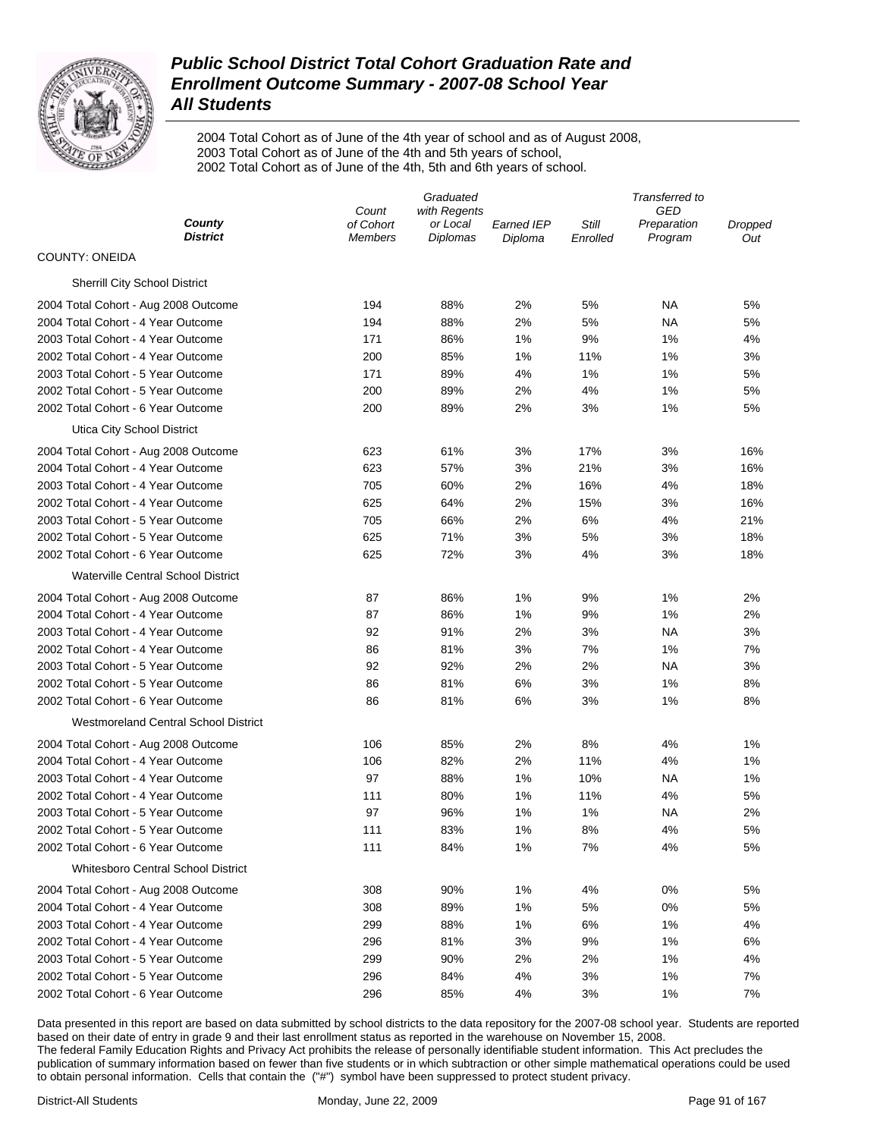

2004 Total Cohort as of June of the 4th year of school and as of August 2008, 2003 Total Cohort as of June of the 4th and 5th years of school, 2002 Total Cohort as of June of the 4th, 5th and 6th years of school.

|                                             |                             | Transferred to              |                              |                   |                        |                |  |
|---------------------------------------------|-----------------------------|-----------------------------|------------------------------|-------------------|------------------------|----------------|--|
|                                             | with Regents<br>Count       |                             |                              | GED               |                        |                |  |
| County<br><b>District</b>                   | of Cohort<br><b>Members</b> | or Local<br><b>Diplomas</b> | <b>Earned IEP</b><br>Diploma | Still<br>Enrolled | Preparation<br>Program | Dropped<br>Out |  |
| <b>COUNTY: ONEIDA</b>                       |                             |                             |                              |                   |                        |                |  |
| <b>Sherrill City School District</b>        |                             |                             |                              |                   |                        |                |  |
| 2004 Total Cohort - Aug 2008 Outcome        | 194                         | 88%                         | 2%                           | 5%                | NА                     | 5%             |  |
| 2004 Total Cohort - 4 Year Outcome          | 194                         | 88%                         | 2%                           | 5%                | NA                     | 5%             |  |
| 2003 Total Cohort - 4 Year Outcome          | 171                         | 86%                         | 1%                           | 9%                | 1%                     | 4%             |  |
| 2002 Total Cohort - 4 Year Outcome          | 200                         | 85%                         | 1%                           | 11%               | 1%                     | 3%             |  |
| 2003 Total Cohort - 5 Year Outcome          | 171                         | 89%                         | 4%                           | 1%                | 1%                     | 5%             |  |
| 2002 Total Cohort - 5 Year Outcome          | 200                         | 89%                         | 2%                           | 4%                | 1%                     | 5%             |  |
| 2002 Total Cohort - 6 Year Outcome          | 200                         | 89%                         | 2%                           | 3%                | 1%                     | 5%             |  |
| Utica City School District                  |                             |                             |                              |                   |                        |                |  |
| 2004 Total Cohort - Aug 2008 Outcome        | 623                         | 61%                         | 3%                           | 17%               | 3%                     | 16%            |  |
| 2004 Total Cohort - 4 Year Outcome          | 623                         | 57%                         | 3%                           | 21%               | 3%                     | 16%            |  |
| 2003 Total Cohort - 4 Year Outcome          | 705                         | 60%                         | 2%                           | 16%               | 4%                     | 18%            |  |
| 2002 Total Cohort - 4 Year Outcome          | 625                         | 64%                         | 2%                           | 15%               | 3%                     | 16%            |  |
| 2003 Total Cohort - 5 Year Outcome          | 705                         | 66%                         | 2%                           | 6%                | 4%                     | 21%            |  |
| 2002 Total Cohort - 5 Year Outcome          | 625                         | 71%                         | 3%                           | 5%                | 3%                     | 18%            |  |
| 2002 Total Cohort - 6 Year Outcome          | 625                         | 72%                         | 3%                           | 4%                | 3%                     | 18%            |  |
| <b>Waterville Central School District</b>   |                             |                             |                              |                   |                        |                |  |
| 2004 Total Cohort - Aug 2008 Outcome        | 87                          | 86%                         | 1%                           | 9%                | 1%                     | 2%             |  |
| 2004 Total Cohort - 4 Year Outcome          | 87                          | 86%                         | 1%                           | 9%                | 1%                     | 2%             |  |
| 2003 Total Cohort - 4 Year Outcome          | 92                          | 91%                         | 2%                           | 3%                | NA                     | 3%             |  |
| 2002 Total Cohort - 4 Year Outcome          | 86                          | 81%                         | 3%                           | 7%                | 1%                     | 7%             |  |
| 2003 Total Cohort - 5 Year Outcome          | 92                          | 92%                         | 2%                           | 2%                | NA                     | 3%             |  |
| 2002 Total Cohort - 5 Year Outcome          | 86                          | 81%                         | 6%                           | 3%                | 1%                     | 8%             |  |
| 2002 Total Cohort - 6 Year Outcome          | 86                          | 81%                         | 6%                           | 3%                | 1%                     | 8%             |  |
| <b>Westmoreland Central School District</b> |                             |                             |                              |                   |                        |                |  |
| 2004 Total Cohort - Aug 2008 Outcome        | 106                         | 85%                         | 2%                           | 8%                | 4%                     | 1%             |  |
| 2004 Total Cohort - 4 Year Outcome          | 106                         | 82%                         | 2%                           | 11%               | 4%                     | 1%             |  |
| 2003 Total Cohort - 4 Year Outcome          | 97                          | 88%                         | 1%                           | 10%               | NA                     | 1%             |  |
| 2002 Total Cohort - 4 Year Outcome          | 111                         | 80%                         | 1%                           | 11%               | 4%                     | 5%             |  |
| 2003 Total Cohort - 5 Year Outcome          | 97                          | 96%                         | 1%                           | 1%                | NA                     | 2%             |  |
| 2002 Total Cohort - 5 Year Outcome          | 111                         | 83%                         | 1%                           | 8%                | 4%                     | 5%             |  |
| 2002 Total Cohort - 6 Year Outcome          | 111                         | 84%                         | 1%                           | 7%                | 4%                     | 5%             |  |
| <b>Whitesboro Central School District</b>   |                             |                             |                              |                   |                        |                |  |
| 2004 Total Cohort - Aug 2008 Outcome        | 308                         | 90%                         | 1%                           | 4%                | 0%                     | 5%             |  |
| 2004 Total Cohort - 4 Year Outcome          | 308                         | 89%                         | 1%                           | 5%                | 0%                     | 5%             |  |
| 2003 Total Cohort - 4 Year Outcome          | 299                         | 88%                         | 1%                           | 6%                | 1%                     | 4%             |  |
| 2002 Total Cohort - 4 Year Outcome          | 296                         | 81%                         | 3%                           | 9%                | 1%                     | 6%             |  |
| 2003 Total Cohort - 5 Year Outcome          | 299                         | 90%                         | 2%                           | 2%                | 1%                     | 4%             |  |
| 2002 Total Cohort - 5 Year Outcome          | 296                         | 84%                         | 4%                           | 3%                | 1%                     | 7%             |  |
| 2002 Total Cohort - 6 Year Outcome          | 296                         | 85%                         | 4%                           | 3%                | 1%                     | 7%             |  |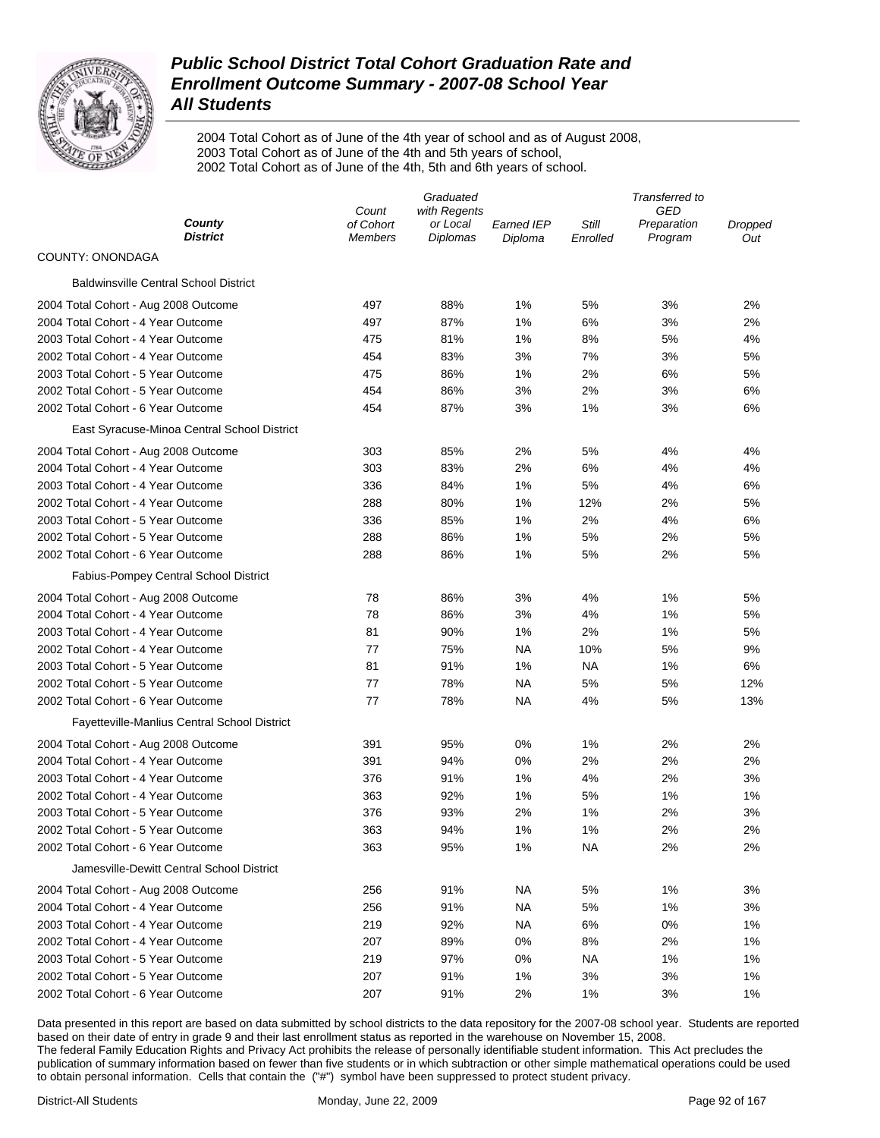

2004 Total Cohort as of June of the 4th year of school and as of August 2008, 2003 Total Cohort as of June of the 4th and 5th years of school, 2002 Total Cohort as of June of the 4th, 5th and 6th years of school.

|                                              |                             | Graduated            |                       | Transferred to    |                        |                |  |
|----------------------------------------------|-----------------------------|----------------------|-----------------------|-------------------|------------------------|----------------|--|
|                                              | Count                       | with Regents         |                       |                   | GED                    |                |  |
| County<br><b>District</b>                    | of Cohort<br><b>Members</b> | or Local<br>Diplomas | Earned IEP<br>Diploma | Still<br>Enrolled | Preparation<br>Program | Dropped<br>Out |  |
| COUNTY: ONONDAGA                             |                             |                      |                       |                   |                        |                |  |
| <b>Baldwinsville Central School District</b> |                             |                      |                       |                   |                        |                |  |
| 2004 Total Cohort - Aug 2008 Outcome         | 497                         | 88%                  | 1%                    | 5%                | 3%                     | 2%             |  |
| 2004 Total Cohort - 4 Year Outcome           | 497                         | 87%                  | 1%                    | 6%                | 3%                     | 2%             |  |
| 2003 Total Cohort - 4 Year Outcome           | 475                         | 81%                  | 1%                    | 8%                | 5%                     | 4%             |  |
| 2002 Total Cohort - 4 Year Outcome           | 454                         | 83%                  | 3%                    | 7%                | 3%                     | 5%             |  |
| 2003 Total Cohort - 5 Year Outcome           | 475                         | 86%                  | 1%                    | 2%                | 6%                     | 5%             |  |
| 2002 Total Cohort - 5 Year Outcome           | 454                         | 86%                  | 3%                    | 2%                | 3%                     | 6%             |  |
| 2002 Total Cohort - 6 Year Outcome           | 454                         | 87%                  | 3%                    | 1%                | 3%                     | 6%             |  |
| East Syracuse-Minoa Central School District  |                             |                      |                       |                   |                        |                |  |
| 2004 Total Cohort - Aug 2008 Outcome         | 303                         | 85%                  | 2%                    | 5%                | 4%                     | 4%             |  |
| 2004 Total Cohort - 4 Year Outcome           | 303                         | 83%                  | 2%                    | 6%                | 4%                     | 4%             |  |
| 2003 Total Cohort - 4 Year Outcome           | 336                         | 84%                  | 1%                    | 5%                | 4%                     | 6%             |  |
| 2002 Total Cohort - 4 Year Outcome           | 288                         | 80%                  | 1%                    | 12%               | 2%                     | 5%             |  |
| 2003 Total Cohort - 5 Year Outcome           | 336                         | 85%                  | 1%                    | 2%                | 4%                     | 6%             |  |
| 2002 Total Cohort - 5 Year Outcome           | 288                         | 86%                  | 1%                    | 5%                | 2%                     | 5%             |  |
| 2002 Total Cohort - 6 Year Outcome           | 288                         | 86%                  | 1%                    | 5%                | 2%                     | 5%             |  |
| Fabius-Pompey Central School District        |                             |                      |                       |                   |                        |                |  |
| 2004 Total Cohort - Aug 2008 Outcome         | 78                          | 86%                  | 3%                    | 4%                | 1%                     | 5%             |  |
| 2004 Total Cohort - 4 Year Outcome           | 78                          | 86%                  | 3%                    | 4%                | 1%                     | 5%             |  |
| 2003 Total Cohort - 4 Year Outcome           | 81                          | 90%                  | 1%                    | 2%                | 1%                     | 5%             |  |
| 2002 Total Cohort - 4 Year Outcome           | 77                          | 75%                  | NA                    | 10%               | 5%                     | 9%             |  |
| 2003 Total Cohort - 5 Year Outcome           | 81                          | 91%                  | 1%                    | NA                | 1%                     | 6%             |  |
| 2002 Total Cohort - 5 Year Outcome           | 77                          | 78%                  | NA                    | 5%                | 5%                     | 12%            |  |
| 2002 Total Cohort - 6 Year Outcome           | 77                          | 78%                  | NA                    | 4%                | 5%                     | 13%            |  |
| Fayetteville-Manlius Central School District |                             |                      |                       |                   |                        |                |  |
| 2004 Total Cohort - Aug 2008 Outcome         | 391                         | 95%                  | 0%                    | 1%                | 2%                     | 2%             |  |
| 2004 Total Cohort - 4 Year Outcome           | 391                         | 94%                  | 0%                    | 2%                | 2%                     | 2%             |  |
| 2003 Total Cohort - 4 Year Outcome           | 376                         | 91%                  | 1%                    | 4%                | 2%                     | 3%             |  |
| 2002 Total Cohort - 4 Year Outcome           | 363                         | 92%                  | 1%                    | 5%                | 1%                     | 1%             |  |
| 2003 Total Cohort - 5 Year Outcome           | 376                         | 93%                  | 2%                    | 1%                | 2%                     | 3%             |  |
| 2002 Total Cohort - 5 Year Outcome           | 363                         | 94%                  | 1%                    | 1%                | 2%                     | 2%             |  |
| 2002 Total Cohort - 6 Year Outcome           | 363                         | 95%                  | 1%                    | ΝA                | 2%                     | 2%             |  |
| Jamesville-Dewitt Central School District    |                             |                      |                       |                   |                        |                |  |
| 2004 Total Cohort - Aug 2008 Outcome         | 256                         | 91%                  | NA.                   | 5%                | 1%                     | 3%             |  |
| 2004 Total Cohort - 4 Year Outcome           | 256                         | 91%                  | NA                    | 5%                | 1%                     | 3%             |  |
| 2003 Total Cohort - 4 Year Outcome           | 219                         | 92%                  | NA                    | 6%                | 0%                     | 1%             |  |
| 2002 Total Cohort - 4 Year Outcome           | 207                         | 89%                  | 0%                    | 8%                | 2%                     | 1%             |  |
| 2003 Total Cohort - 5 Year Outcome           | 219                         | 97%                  | 0%                    | NA                | 1%                     | 1%             |  |
| 2002 Total Cohort - 5 Year Outcome           | 207                         | 91%                  | 1%                    | 3%                | 3%                     | 1%             |  |
| 2002 Total Cohort - 6 Year Outcome           | 207                         | 91%                  | 2%                    | 1%                | 3%                     | 1%             |  |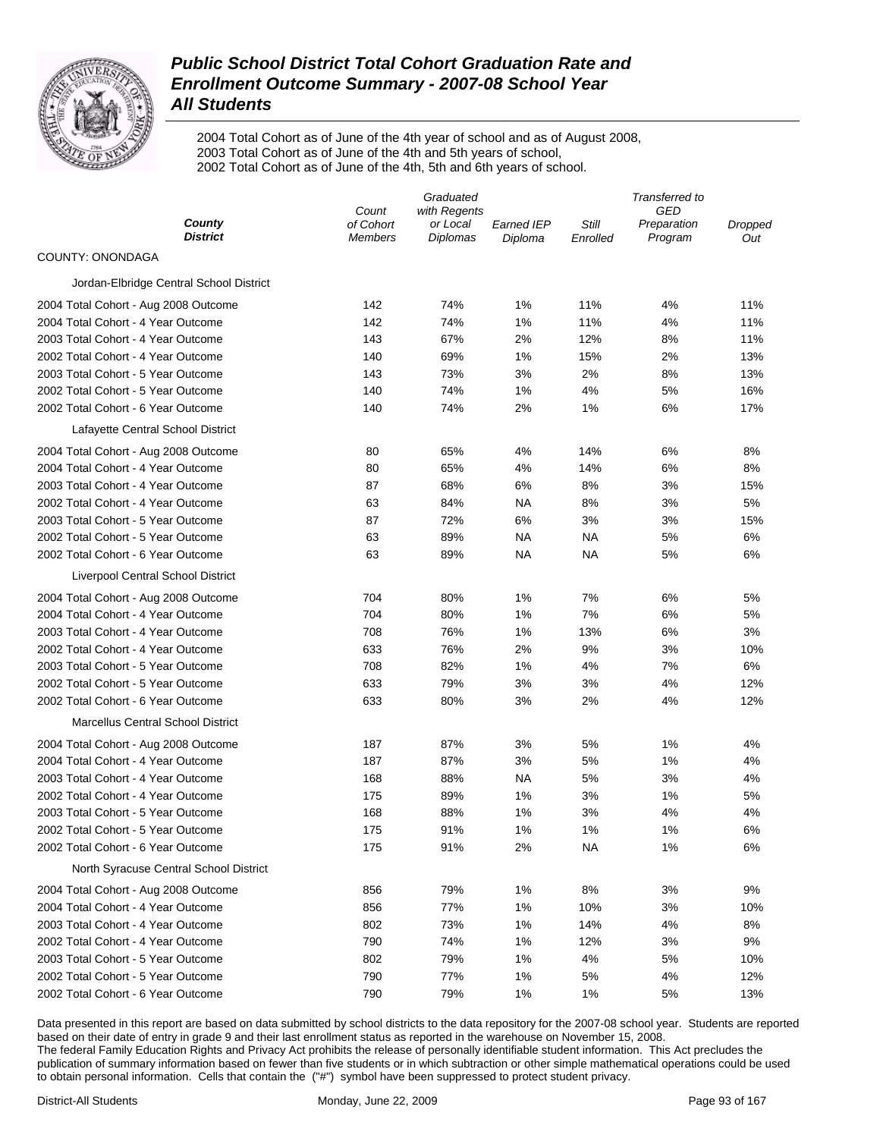

2004 Total Cohort as of June of the 4th year of school and as of August 2008, 2003 Total Cohort as of June of the 4th and 5th years of school, 2002 Total Cohort as of June of the 4th, 5th and 6th years of school.

|                                          | Graduated                   |                             |                       | Transferred to    |                        |                |  |
|------------------------------------------|-----------------------------|-----------------------------|-----------------------|-------------------|------------------------|----------------|--|
|                                          | with Regents<br>Count       |                             |                       | GED               |                        |                |  |
| County<br><b>District</b>                | of Cohort<br><b>Members</b> | or Local<br><b>Diplomas</b> | Earned IEP<br>Diploma | Still<br>Enrolled | Preparation<br>Program | Dropped<br>Out |  |
| COUNTY: ONONDAGA                         |                             |                             |                       |                   |                        |                |  |
| Jordan-Elbridge Central School District  |                             |                             |                       |                   |                        |                |  |
| 2004 Total Cohort - Aug 2008 Outcome     | 142                         | 74%                         | 1%                    | 11%               | 4%                     | 11%            |  |
| 2004 Total Cohort - 4 Year Outcome       | 142                         | 74%                         | 1%                    | 11%               | 4%                     | 11%            |  |
| 2003 Total Cohort - 4 Year Outcome       | 143                         | 67%                         | 2%                    | 12%               | 8%                     | 11%            |  |
| 2002 Total Cohort - 4 Year Outcome       | 140                         | 69%                         | 1%                    | 15%               | 2%                     | 13%            |  |
| 2003 Total Cohort - 5 Year Outcome       | 143                         | 73%                         | 3%                    | 2%                | 8%                     | 13%            |  |
| 2002 Total Cohort - 5 Year Outcome       | 140                         | 74%                         | 1%                    | 4%                | 5%                     | 16%            |  |
| 2002 Total Cohort - 6 Year Outcome       | 140                         | 74%                         | 2%                    | 1%                | 6%                     | 17%            |  |
| Lafayette Central School District        |                             |                             |                       |                   |                        |                |  |
| 2004 Total Cohort - Aug 2008 Outcome     | 80                          | 65%                         | 4%                    | 14%               | 6%                     | 8%             |  |
| 2004 Total Cohort - 4 Year Outcome       | 80                          | 65%                         | 4%                    | 14%               | 6%                     | 8%             |  |
| 2003 Total Cohort - 4 Year Outcome       | 87                          | 68%                         | 6%                    | 8%                | 3%                     | 15%            |  |
| 2002 Total Cohort - 4 Year Outcome       | 63                          | 84%                         | <b>NA</b>             | 8%                | 3%                     | 5%             |  |
| 2003 Total Cohort - 5 Year Outcome       | 87                          | 72%                         | 6%                    | 3%                | 3%                     | 15%            |  |
| 2002 Total Cohort - 5 Year Outcome       | 63                          | 89%                         | <b>NA</b>             | ΝA                | 5%                     | 6%             |  |
| 2002 Total Cohort - 6 Year Outcome       | 63                          | 89%                         | <b>NA</b>             | ΝA                | 5%                     | 6%             |  |
| Liverpool Central School District        |                             |                             |                       |                   |                        |                |  |
| 2004 Total Cohort - Aug 2008 Outcome     | 704                         | 80%                         | 1%                    | 7%                | 6%                     | 5%             |  |
| 2004 Total Cohort - 4 Year Outcome       | 704                         | 80%                         | 1%                    | 7%                | 6%                     | 5%             |  |
| 2003 Total Cohort - 4 Year Outcome       | 708                         | 76%                         | 1%                    | 13%               | 6%                     | 3%             |  |
| 2002 Total Cohort - 4 Year Outcome       | 633                         | 76%                         | 2%                    | 9%                | 3%                     | 10%            |  |
| 2003 Total Cohort - 5 Year Outcome       | 708                         | 82%                         | 1%                    | 4%                | 7%                     | 6%             |  |
| 2002 Total Cohort - 5 Year Outcome       | 633                         | 79%                         | 3%                    | 3%                | 4%                     | 12%            |  |
| 2002 Total Cohort - 6 Year Outcome       | 633                         | 80%                         | 3%                    | 2%                | 4%                     | 12%            |  |
| <b>Marcellus Central School District</b> |                             |                             |                       |                   |                        |                |  |
| 2004 Total Cohort - Aug 2008 Outcome     | 187                         | 87%                         | 3%                    | 5%                | 1%                     | 4%             |  |
| 2004 Total Cohort - 4 Year Outcome       | 187                         | 87%                         | 3%                    | 5%                | 1%                     | 4%             |  |
| 2003 Total Cohort - 4 Year Outcome       | 168                         | 88%                         | <b>NA</b>             | 5%                | 3%                     | 4%             |  |
| 2002 Total Cohort - 4 Year Outcome       | 175                         | 89%                         | 1%                    | 3%                | 1%                     | 5%             |  |
| 2003 Total Cohort - 5 Year Outcome       | 168                         | 88%                         | 1%                    | 3%                | 4%                     | 4%             |  |
| 2002 Total Cohort - 5 Year Outcome       | 175                         | 91%                         | 1%                    | 1%                | 1%                     | 6%             |  |
| 2002 Total Cohort - 6 Year Outcome       | 175                         | 91%                         | 2%                    | <b>NA</b>         | 1%                     | 6%             |  |
| North Syracuse Central School District   |                             |                             |                       |                   |                        |                |  |
| 2004 Total Cohort - Aug 2008 Outcome     | 856                         | 79%                         | 1%                    | 8%                | 3%                     | 9%             |  |
| 2004 Total Cohort - 4 Year Outcome       | 856                         | 77%                         | 1%                    | 10%               | 3%                     | 10%            |  |
| 2003 Total Cohort - 4 Year Outcome       | 802                         | 73%                         | 1%                    | 14%               | 4%                     | 8%             |  |
| 2002 Total Cohort - 4 Year Outcome       | 790                         | 74%                         | 1%                    | 12%               | 3%                     | 9%             |  |
| 2003 Total Cohort - 5 Year Outcome       | 802                         | 79%                         | 1%                    | 4%                | 5%                     | 10%            |  |
| 2002 Total Cohort - 5 Year Outcome       | 790                         | 77%                         | 1%                    | 5%                | 4%                     | 12%            |  |
| 2002 Total Cohort - 6 Year Outcome       | 790                         | 79%                         | 1%                    | 1%                | 5%                     | 13%            |  |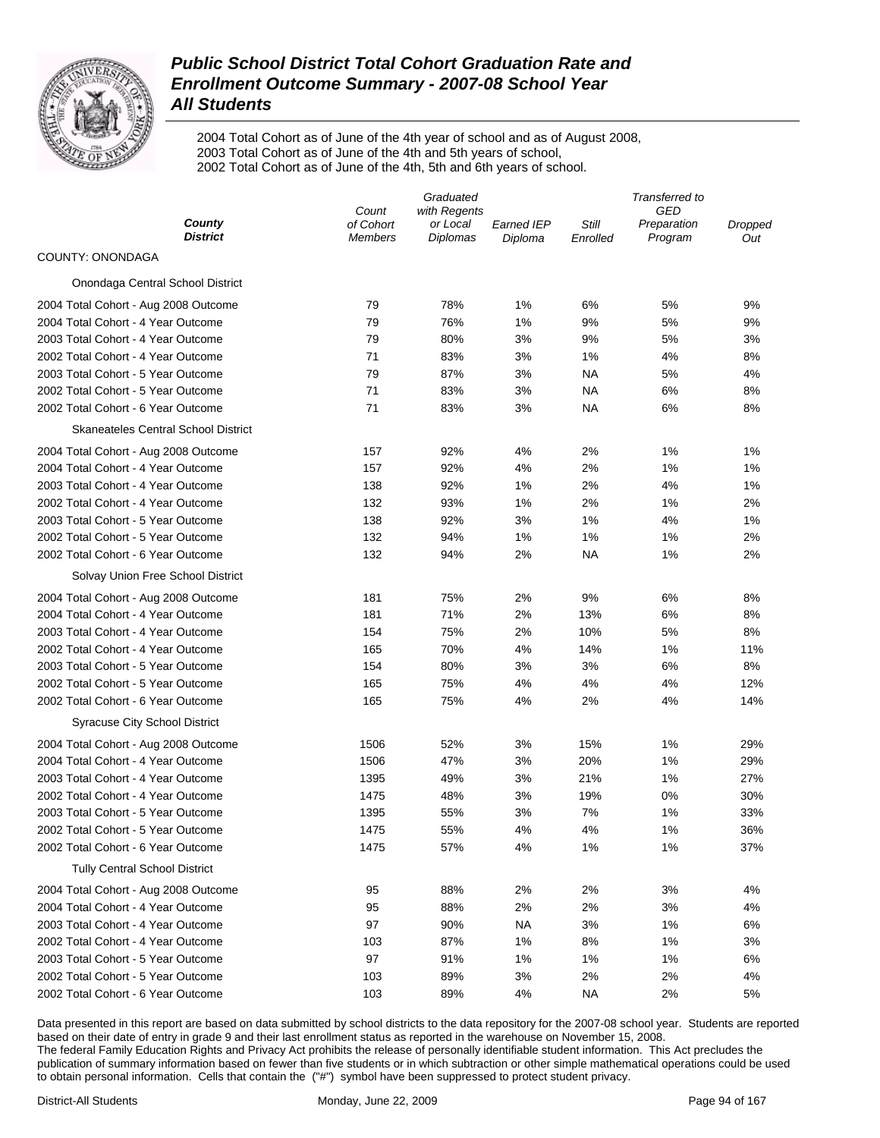

2004 Total Cohort as of June of the 4th year of school and as of August 2008, 2003 Total Cohort as of June of the 4th and 5th years of school, 2002 Total Cohort as of June of the 4th, 5th and 6th years of school.

|                                            | Graduated                   |                      |                       |                   | Transferred to         |                |  |  |
|--------------------------------------------|-----------------------------|----------------------|-----------------------|-------------------|------------------------|----------------|--|--|
| County                                     | Count                       | with Regents         |                       |                   | GED                    |                |  |  |
| <b>District</b>                            | of Cohort<br><b>Members</b> | or Local<br>Diplomas | Earned IEP<br>Diploma | Still<br>Enrolled | Preparation<br>Program | Dropped<br>Out |  |  |
| COUNTY: ONONDAGA                           |                             |                      |                       |                   |                        |                |  |  |
| Onondaga Central School District           |                             |                      |                       |                   |                        |                |  |  |
| 2004 Total Cohort - Aug 2008 Outcome       | 79                          | 78%                  | 1%                    | 6%                | 5%                     | 9%             |  |  |
| 2004 Total Cohort - 4 Year Outcome         | 79                          | 76%                  | 1%                    | 9%                | 5%                     | 9%             |  |  |
| 2003 Total Cohort - 4 Year Outcome         | 79                          | 80%                  | 3%                    | 9%                | 5%                     | 3%             |  |  |
| 2002 Total Cohort - 4 Year Outcome         | 71                          | 83%                  | 3%                    | 1%                | 4%                     | 8%             |  |  |
| 2003 Total Cohort - 5 Year Outcome         | 79                          | 87%                  | 3%                    | <b>NA</b>         | 5%                     | 4%             |  |  |
| 2002 Total Cohort - 5 Year Outcome         | 71                          | 83%                  | 3%                    | NA                | 6%                     | 8%             |  |  |
| 2002 Total Cohort - 6 Year Outcome         | 71                          | 83%                  | 3%                    | NA                | 6%                     | 8%             |  |  |
| <b>Skaneateles Central School District</b> |                             |                      |                       |                   |                        |                |  |  |
| 2004 Total Cohort - Aug 2008 Outcome       | 157                         | 92%                  | 4%                    | 2%                | 1%                     | 1%             |  |  |
| 2004 Total Cohort - 4 Year Outcome         | 157                         | 92%                  | 4%                    | 2%                | 1%                     | 1%             |  |  |
| 2003 Total Cohort - 4 Year Outcome         | 138                         | 92%                  | 1%                    | 2%                | 4%                     | 1%             |  |  |
| 2002 Total Cohort - 4 Year Outcome         | 132                         | 93%                  | 1%                    | 2%                | 1%                     | 2%             |  |  |
| 2003 Total Cohort - 5 Year Outcome         | 138                         | 92%                  | 3%                    | 1%                | 4%                     | 1%             |  |  |
| 2002 Total Cohort - 5 Year Outcome         | 132                         | 94%                  | 1%                    | 1%                | 1%                     | 2%             |  |  |
| 2002 Total Cohort - 6 Year Outcome         | 132                         | 94%                  | 2%                    | <b>NA</b>         | 1%                     | 2%             |  |  |
| Solvay Union Free School District          |                             |                      |                       |                   |                        |                |  |  |
| 2004 Total Cohort - Aug 2008 Outcome       | 181                         | 75%                  | 2%                    | 9%                | 6%                     | 8%             |  |  |
| 2004 Total Cohort - 4 Year Outcome         | 181                         | 71%                  | 2%                    | 13%               | 6%                     | 8%             |  |  |
| 2003 Total Cohort - 4 Year Outcome         | 154                         | 75%                  | 2%                    | 10%               | 5%                     | 8%             |  |  |
| 2002 Total Cohort - 4 Year Outcome         | 165                         | 70%                  | 4%                    | 14%               | 1%                     | 11%            |  |  |
| 2003 Total Cohort - 5 Year Outcome         | 154                         | 80%                  | 3%                    | 3%                | 6%                     | 8%             |  |  |
| 2002 Total Cohort - 5 Year Outcome         | 165                         | 75%                  | 4%                    | 4%                | 4%                     | 12%            |  |  |
| 2002 Total Cohort - 6 Year Outcome         | 165                         | 75%                  | 4%                    | 2%                | 4%                     | 14%            |  |  |
| <b>Syracuse City School District</b>       |                             |                      |                       |                   |                        |                |  |  |
| 2004 Total Cohort - Aug 2008 Outcome       | 1506                        | 52%                  | 3%                    | 15%               | 1%                     | 29%            |  |  |
| 2004 Total Cohort - 4 Year Outcome         | 1506                        | 47%                  | 3%                    | 20%               | 1%                     | 29%            |  |  |
| 2003 Total Cohort - 4 Year Outcome         | 1395                        | 49%                  | 3%                    | 21%               | 1%                     | 27%            |  |  |
| 2002 Total Cohort - 4 Year Outcome         | 1475                        | 48%                  | 3%                    | 19%               | 0%                     | 30%            |  |  |
| 2003 Total Cohort - 5 Year Outcome         | 1395                        | 55%                  | 3%                    | 7%                | 1%                     | 33%            |  |  |
| 2002 Total Cohort - 5 Year Outcome         | 1475                        | 55%                  | 4%                    | 4%                | 1%                     | 36%            |  |  |
| 2002 Total Cohort - 6 Year Outcome         | 1475                        | 57%                  | 4%                    | 1%                | 1%                     | 37%            |  |  |
| <b>Tully Central School District</b>       |                             |                      |                       |                   |                        |                |  |  |
| 2004 Total Cohort - Aug 2008 Outcome       | 95                          | 88%                  | 2%                    | 2%                | 3%                     | 4%             |  |  |
| 2004 Total Cohort - 4 Year Outcome         | 95                          | 88%                  | 2%                    | 2%                | 3%                     | 4%             |  |  |
| 2003 Total Cohort - 4 Year Outcome         | 97                          | 90%                  | <b>NA</b>             | 3%                | 1%                     | 6%             |  |  |
| 2002 Total Cohort - 4 Year Outcome         | 103                         | 87%                  | 1%                    | 8%                | 1%                     | 3%             |  |  |
| 2003 Total Cohort - 5 Year Outcome         | 97                          | 91%                  | 1%                    | 1%                | 1%                     | 6%             |  |  |
| 2002 Total Cohort - 5 Year Outcome         | 103                         | 89%                  | 3%                    | 2%                | 2%                     | 4%             |  |  |
| 2002 Total Cohort - 6 Year Outcome         | 103                         | 89%                  | 4%                    | <b>NA</b>         | 2%                     | 5%             |  |  |
|                                            |                             |                      |                       |                   |                        |                |  |  |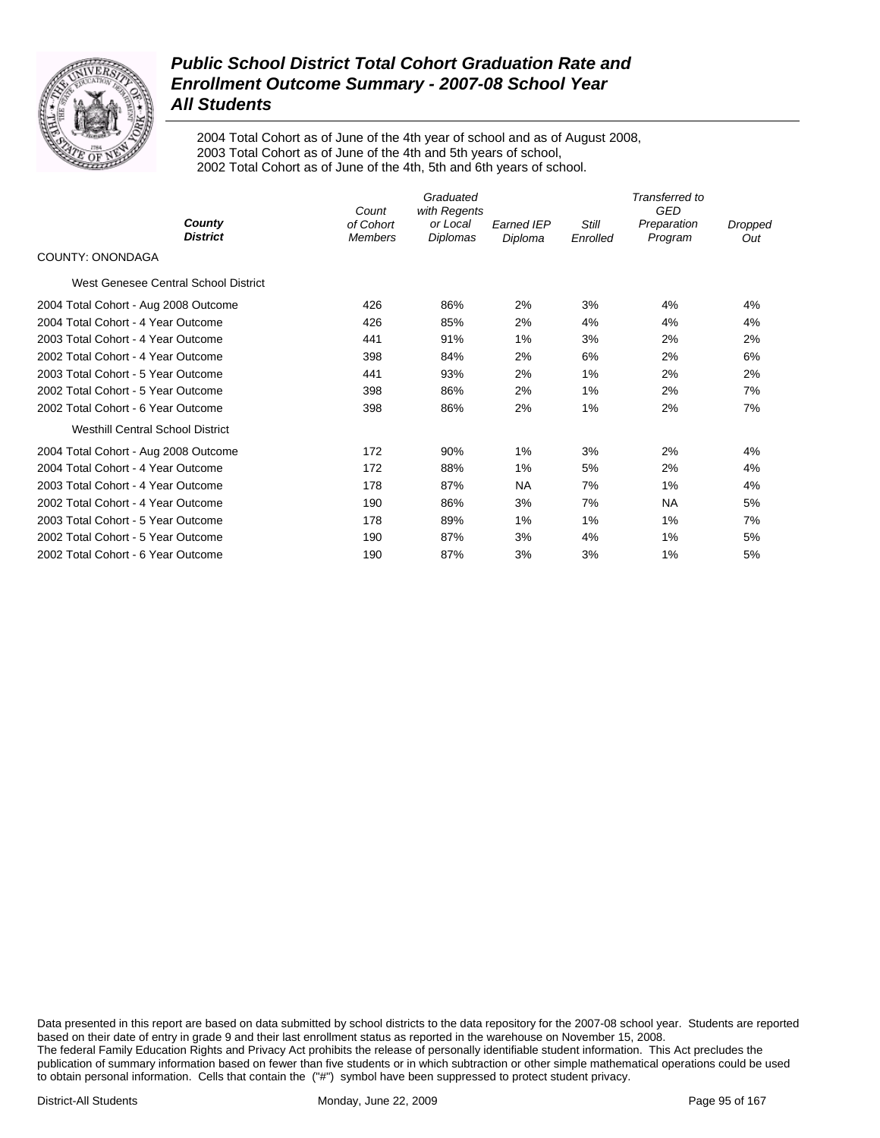

2004 Total Cohort as of June of the 4th year of school and as of August 2008, 2003 Total Cohort as of June of the 4th and 5th years of school, 2002 Total Cohort as of June of the 4th, 5th and 6th years of school.

|                                         | Graduated<br>with Regents<br>Count |                      |                              | Transferred to<br><b>GED</b> |                        |                |  |
|-----------------------------------------|------------------------------------|----------------------|------------------------------|------------------------------|------------------------|----------------|--|
| County<br><b>District</b>               | of Cohort<br><b>Members</b>        | or Local<br>Diplomas | <b>Earned IEP</b><br>Diploma | Still<br>Enrolled            | Preparation<br>Program | Dropped<br>Out |  |
| COUNTY: ONONDAGA                        |                                    |                      |                              |                              |                        |                |  |
| West Genesee Central School District    |                                    |                      |                              |                              |                        |                |  |
| 2004 Total Cohort - Aug 2008 Outcome    | 426                                | 86%                  | 2%                           | 3%                           | 4%                     | 4%             |  |
| 2004 Total Cohort - 4 Year Outcome      | 426                                | 85%                  | 2%                           | 4%                           | 4%                     | 4%             |  |
| 2003 Total Cohort - 4 Year Outcome      | 441                                | 91%                  | 1%                           | 3%                           | 2%                     | 2%             |  |
| 2002 Total Cohort - 4 Year Outcome      | 398                                | 84%                  | 2%                           | 6%                           | 2%                     | 6%             |  |
| 2003 Total Cohort - 5 Year Outcome      | 441                                | 93%                  | 2%                           | 1%                           | 2%                     | 2%             |  |
| 2002 Total Cohort - 5 Year Outcome      | 398                                | 86%                  | 2%                           | 1%                           | 2%                     | 7%             |  |
| 2002 Total Cohort - 6 Year Outcome      | 398                                | 86%                  | 2%                           | 1%                           | 2%                     | 7%             |  |
| <b>Westhill Central School District</b> |                                    |                      |                              |                              |                        |                |  |
| 2004 Total Cohort - Aug 2008 Outcome    | 172                                | 90%                  | 1%                           | 3%                           | 2%                     | 4%             |  |
| 2004 Total Cohort - 4 Year Outcome      | 172                                | 88%                  | 1%                           | 5%                           | 2%                     | 4%             |  |
| 2003 Total Cohort - 4 Year Outcome      | 178                                | 87%                  | <b>NA</b>                    | 7%                           | 1%                     | 4%             |  |
| 2002 Total Cohort - 4 Year Outcome      | 190                                | 86%                  | 3%                           | 7%                           | NA                     | 5%             |  |
| 2003 Total Cohort - 5 Year Outcome      | 178                                | 89%                  | 1%                           | 1%                           | 1%                     | 7%             |  |
| 2002 Total Cohort - 5 Year Outcome      | 190                                | 87%                  | 3%                           | 4%                           | 1%                     | 5%             |  |
| 2002 Total Cohort - 6 Year Outcome      | 190                                | 87%                  | 3%                           | 3%                           | 1%                     | 5%             |  |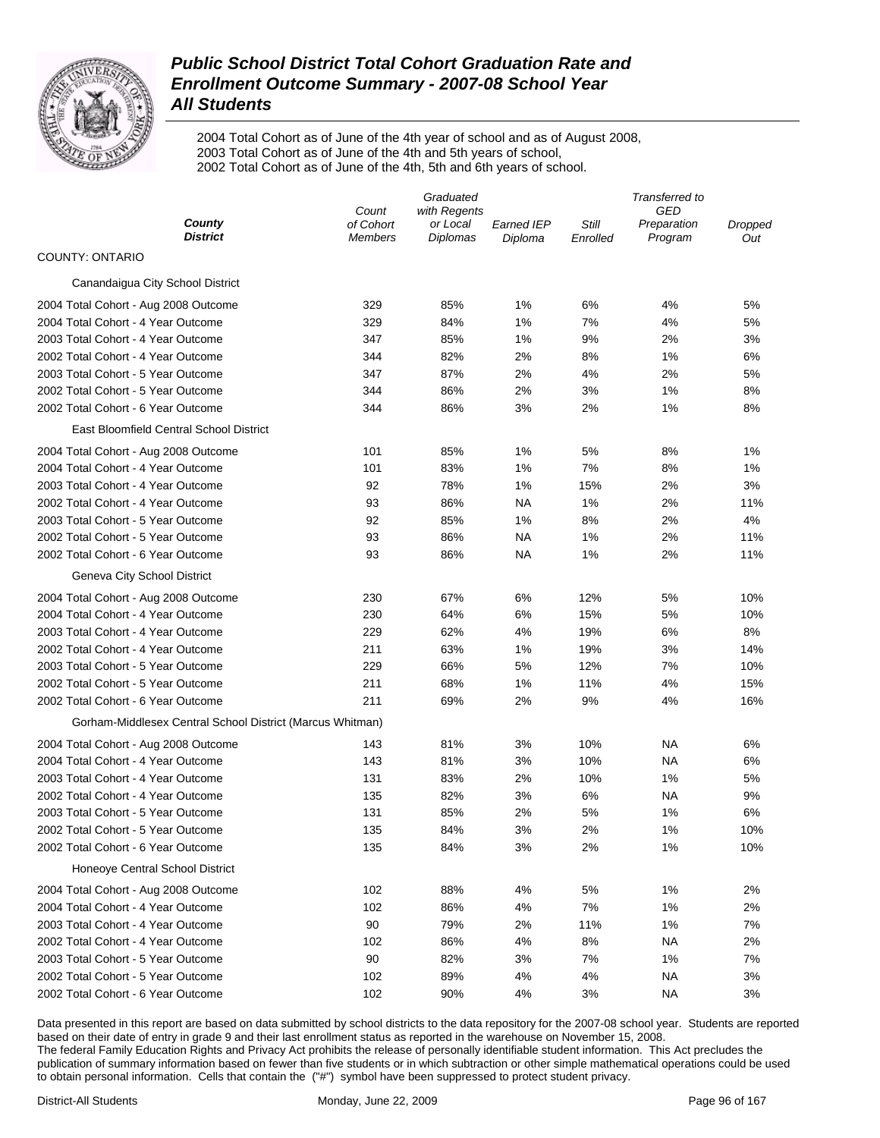

2004 Total Cohort as of June of the 4th year of school and as of August 2008, 2003 Total Cohort as of June of the 4th and 5th years of school, 2002 Total Cohort as of June of the 4th, 5th and 6th years of school.

|                                                           |                             | Graduated                   |                       | Transferred to    |                        |                |  |
|-----------------------------------------------------------|-----------------------------|-----------------------------|-----------------------|-------------------|------------------------|----------------|--|
|                                                           | with Regents<br>Count       |                             |                       | GED               |                        |                |  |
| County<br><b>District</b>                                 | of Cohort<br><b>Members</b> | or Local<br><b>Diplomas</b> | Earned IEP<br>Diploma | Still<br>Enrolled | Preparation<br>Program | Dropped<br>Out |  |
| <b>COUNTY: ONTARIO</b>                                    |                             |                             |                       |                   |                        |                |  |
| Canandaigua City School District                          |                             |                             |                       |                   |                        |                |  |
| 2004 Total Cohort - Aug 2008 Outcome                      | 329                         | 85%                         | 1%                    | 6%                | 4%                     | 5%             |  |
| 2004 Total Cohort - 4 Year Outcome                        | 329                         | 84%                         | 1%                    | 7%                | 4%                     | 5%             |  |
| 2003 Total Cohort - 4 Year Outcome                        | 347                         | 85%                         | 1%                    | 9%                | 2%                     | 3%             |  |
| 2002 Total Cohort - 4 Year Outcome                        | 344                         | 82%                         | 2%                    | 8%                | 1%                     | 6%             |  |
| 2003 Total Cohort - 5 Year Outcome                        | 347                         | 87%                         | 2%                    | 4%                | 2%                     | 5%             |  |
| 2002 Total Cohort - 5 Year Outcome                        | 344                         | 86%                         | 2%                    | 3%                | 1%                     | 8%             |  |
| 2002 Total Cohort - 6 Year Outcome                        | 344                         | 86%                         | 3%                    | 2%                | 1%                     | 8%             |  |
| East Bloomfield Central School District                   |                             |                             |                       |                   |                        |                |  |
| 2004 Total Cohort - Aug 2008 Outcome                      | 101                         | 85%                         | 1%                    | 5%                | 8%                     | 1%             |  |
| 2004 Total Cohort - 4 Year Outcome                        | 101                         | 83%                         | 1%                    | 7%                | 8%                     | 1%             |  |
| 2003 Total Cohort - 4 Year Outcome                        | 92                          | 78%                         | 1%                    | 15%               | 2%                     | 3%             |  |
| 2002 Total Cohort - 4 Year Outcome                        | 93                          | 86%                         | <b>NA</b>             | 1%                | 2%                     | 11%            |  |
| 2003 Total Cohort - 5 Year Outcome                        | 92                          | 85%                         | 1%                    | 8%                | 2%                     | 4%             |  |
| 2002 Total Cohort - 5 Year Outcome                        | 93                          | 86%                         | <b>NA</b>             | 1%                | 2%                     | 11%            |  |
| 2002 Total Cohort - 6 Year Outcome                        | 93                          | 86%                         | <b>NA</b>             | 1%                | 2%                     | 11%            |  |
| Geneva City School District                               |                             |                             |                       |                   |                        |                |  |
| 2004 Total Cohort - Aug 2008 Outcome                      | 230                         | 67%                         | 6%                    | 12%               | 5%                     | 10%            |  |
| 2004 Total Cohort - 4 Year Outcome                        | 230                         | 64%                         | 6%                    | 15%               | 5%                     | 10%            |  |
| 2003 Total Cohort - 4 Year Outcome                        | 229                         | 62%                         | 4%                    | 19%               | 6%                     | 8%             |  |
| 2002 Total Cohort - 4 Year Outcome                        | 211                         | 63%                         | 1%                    | 19%               | 3%                     | 14%            |  |
| 2003 Total Cohort - 5 Year Outcome                        | 229                         | 66%                         | 5%                    | 12%               | 7%                     | 10%            |  |
| 2002 Total Cohort - 5 Year Outcome                        | 211                         | 68%                         | 1%                    | 11%               | 4%                     | 15%            |  |
| 2002 Total Cohort - 6 Year Outcome                        | 211                         | 69%                         | 2%                    | 9%                | 4%                     | 16%            |  |
| Gorham-Middlesex Central School District (Marcus Whitman) |                             |                             |                       |                   |                        |                |  |
| 2004 Total Cohort - Aug 2008 Outcome                      | 143                         | 81%                         | 3%                    | 10%               | NA                     | 6%             |  |
| 2004 Total Cohort - 4 Year Outcome                        | 143                         | 81%                         | 3%                    | 10%               | NA                     | 6%             |  |
| 2003 Total Cohort - 4 Year Outcome                        | 131                         | 83%                         | 2%                    | 10%               | 1%                     | 5%             |  |
| 2002 Total Cohort - 4 Year Outcome                        | 135                         | 82%                         | 3%                    | 6%                | NA                     | 9%             |  |
| 2003 Total Cohort - 5 Year Outcome                        | 131                         | 85%                         | 2%                    | 5%                | 1%                     | 6%             |  |
| 2002 Total Cohort - 5 Year Outcome                        | 135                         | 84%                         | 3%                    | 2%                | 1%                     | 10%            |  |
| 2002 Total Cohort - 6 Year Outcome                        | 135                         | 84%                         | 3%                    | 2%                | 1%                     | 10%            |  |
| Honeoye Central School District                           |                             |                             |                       |                   |                        |                |  |
| 2004 Total Cohort - Aug 2008 Outcome                      | 102                         | 88%                         | 4%                    | 5%                | 1%                     | 2%             |  |
| 2004 Total Cohort - 4 Year Outcome                        | 102                         | 86%                         | 4%                    | 7%                | 1%                     | 2%             |  |
| 2003 Total Cohort - 4 Year Outcome                        | 90                          | 79%                         | 2%                    | 11%               | 1%                     | 7%             |  |
| 2002 Total Cohort - 4 Year Outcome                        | 102                         | 86%                         | 4%                    | 8%                | <b>NA</b>              | 2%             |  |
| 2003 Total Cohort - 5 Year Outcome                        | 90                          | 82%                         | 3%                    | 7%                | 1%                     | 7%             |  |
| 2002 Total Cohort - 5 Year Outcome                        | 102                         | 89%                         | 4%                    | 4%                | <b>NA</b>              | 3%             |  |
| 2002 Total Cohort - 6 Year Outcome                        | 102                         | 90%                         | 4%                    | 3%                | <b>NA</b>              | 3%             |  |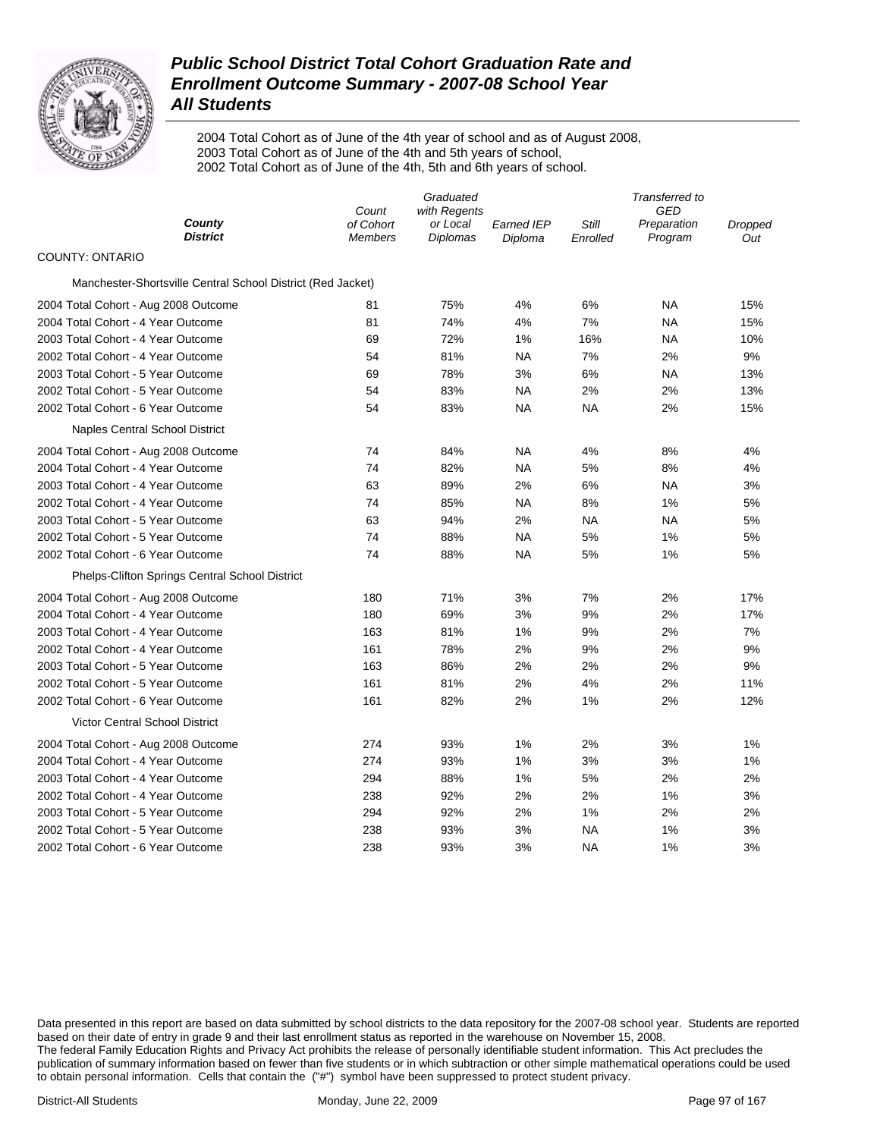

2004 Total Cohort as of June of the 4th year of school and as of August 2008, 2003 Total Cohort as of June of the 4th and 5th years of school, 2002 Total Cohort as of June of the 4th, 5th and 6th years of school.

|                                                             | Count                       | Graduated<br>with Regents |                              |                   | Transferred to<br>GED  |                |
|-------------------------------------------------------------|-----------------------------|---------------------------|------------------------------|-------------------|------------------------|----------------|
| County<br><b>District</b>                                   | of Cohort<br><b>Members</b> | or Local<br>Diplomas      | <b>Earned IEP</b><br>Diploma | Still<br>Enrolled | Preparation<br>Program | Dropped<br>Out |
| <b>COUNTY: ONTARIO</b>                                      |                             |                           |                              |                   |                        |                |
| Manchester-Shortsville Central School District (Red Jacket) |                             |                           |                              |                   |                        |                |
| 2004 Total Cohort - Aug 2008 Outcome                        | 81                          | 75%                       | 4%                           | 6%                | <b>NA</b>              | 15%            |
| 2004 Total Cohort - 4 Year Outcome                          | 81                          | 74%                       | 4%                           | 7%                | NA                     | 15%            |
| 2003 Total Cohort - 4 Year Outcome                          | 69                          | 72%                       | 1%                           | 16%               | <b>NA</b>              | 10%            |
| 2002 Total Cohort - 4 Year Outcome                          | 54                          | 81%                       | <b>NA</b>                    | 7%                | 2%                     | 9%             |
| 2003 Total Cohort - 5 Year Outcome                          | 69                          | 78%                       | 3%                           | 6%                | <b>NA</b>              | 13%            |
| 2002 Total Cohort - 5 Year Outcome                          | 54                          | 83%                       | <b>NA</b>                    | 2%                | 2%                     | 13%            |
| 2002 Total Cohort - 6 Year Outcome                          | 54                          | 83%                       | <b>NA</b>                    | <b>NA</b>         | 2%                     | 15%            |
| <b>Naples Central School District</b>                       |                             |                           |                              |                   |                        |                |
| 2004 Total Cohort - Aug 2008 Outcome                        | 74                          | 84%                       | NA                           | 4%                | 8%                     | 4%             |
| 2004 Total Cohort - 4 Year Outcome                          | 74                          | 82%                       | <b>NA</b>                    | 5%                | 8%                     | 4%             |
| 2003 Total Cohort - 4 Year Outcome                          | 63                          | 89%                       | 2%                           | 6%                | NA                     | 3%             |
| 2002 Total Cohort - 4 Year Outcome                          | 74                          | 85%                       | <b>NA</b>                    | 8%                | 1%                     | 5%             |
| 2003 Total Cohort - 5 Year Outcome                          | 63                          | 94%                       | 2%                           | <b>NA</b>         | <b>NA</b>              | 5%             |
| 2002 Total Cohort - 5 Year Outcome                          | 74                          | 88%                       | <b>NA</b>                    | 5%                | 1%                     | 5%             |
| 2002 Total Cohort - 6 Year Outcome                          | 74                          | 88%                       | NA                           | 5%                | 1%                     | 5%             |
| Phelps-Clifton Springs Central School District              |                             |                           |                              |                   |                        |                |
| 2004 Total Cohort - Aug 2008 Outcome                        | 180                         | 71%                       | 3%                           | 7%                | 2%                     | 17%            |
| 2004 Total Cohort - 4 Year Outcome                          | 180                         | 69%                       | 3%                           | 9%                | 2%                     | 17%            |
| 2003 Total Cohort - 4 Year Outcome                          | 163                         | 81%                       | 1%                           | 9%                | 2%                     | 7%             |
| 2002 Total Cohort - 4 Year Outcome                          | 161                         | 78%                       | 2%                           | 9%                | 2%                     | 9%             |
| 2003 Total Cohort - 5 Year Outcome                          | 163                         | 86%                       | 2%                           | 2%                | 2%                     | 9%             |
| 2002 Total Cohort - 5 Year Outcome                          | 161                         | 81%                       | 2%                           | 4%                | 2%                     | 11%            |
| 2002 Total Cohort - 6 Year Outcome                          | 161                         | 82%                       | 2%                           | $1\%$             | 2%                     | 12%            |
| <b>Victor Central School District</b>                       |                             |                           |                              |                   |                        |                |
| 2004 Total Cohort - Aug 2008 Outcome                        | 274                         | 93%                       | 1%                           | 2%                | 3%                     | 1%             |
| 2004 Total Cohort - 4 Year Outcome                          | 274                         | 93%                       | 1%                           | 3%                | 3%                     | 1%             |
| 2003 Total Cohort - 4 Year Outcome                          | 294                         | 88%                       | 1%                           | 5%                | 2%                     | 2%             |
| 2002 Total Cohort - 4 Year Outcome                          | 238                         | 92%                       | 2%                           | 2%                | 1%                     | 3%             |
| 2003 Total Cohort - 5 Year Outcome                          | 294                         | 92%                       | 2%                           | 1%                | 2%                     | 2%             |
| 2002 Total Cohort - 5 Year Outcome                          | 238                         | 93%                       | 3%                           | ΝA                | 1%                     | 3%             |
| 2002 Total Cohort - 6 Year Outcome                          | 238                         | 93%                       | 3%                           | <b>NA</b>         | 1%                     | 3%             |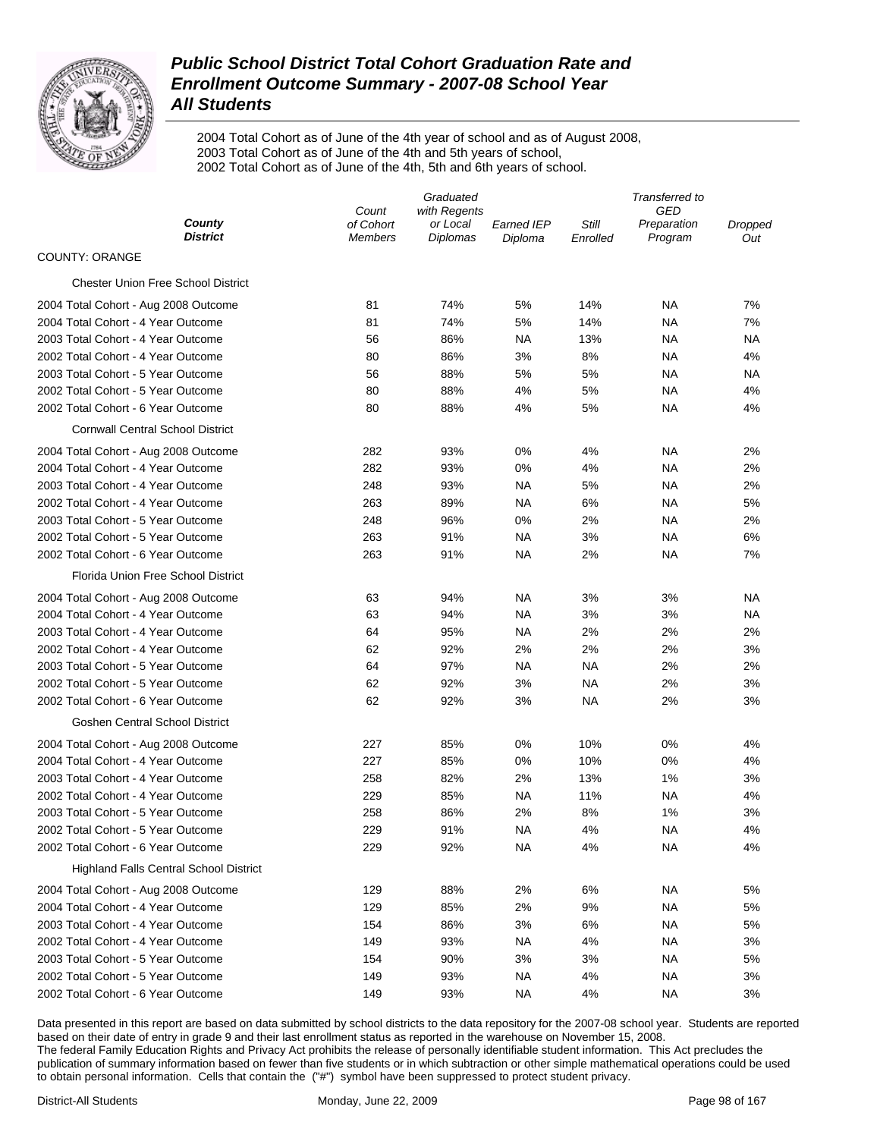

2004 Total Cohort as of June of the 4th year of school and as of August 2008, 2003 Total Cohort as of June of the 4th and 5th years of school, 2002 Total Cohort as of June of the 4th, 5th and 6th years of school.

| with Regents<br>GED<br>Count<br>County                                                                                                                |                |
|-------------------------------------------------------------------------------------------------------------------------------------------------------|----------------|
|                                                                                                                                                       |                |
| of Cohort<br>Still<br>or Local<br>Earned IEP<br>Preparation<br><b>District</b><br><b>Diplomas</b><br>Enrolled<br>Program<br><b>Members</b><br>Diploma | Dropped<br>Out |
| <b>COUNTY: ORANGE</b>                                                                                                                                 |                |
| <b>Chester Union Free School District</b>                                                                                                             |                |
| 74%<br>5%<br>14%<br><b>NA</b><br>2004 Total Cohort - Aug 2008 Outcome<br>81                                                                           | 7%             |
| 2004 Total Cohort - 4 Year Outcome<br>74%<br>5%<br>14%<br>ΝA<br>81                                                                                    | 7%             |
| 2003 Total Cohort - 4 Year Outcome<br>56<br>86%<br>NA<br>13%<br>ΝA                                                                                    | NA             |
| 2002 Total Cohort - 4 Year Outcome<br>86%<br>3%<br>8%<br>ΝA<br>80                                                                                     | 4%             |
| 2003 Total Cohort - 5 Year Outcome<br>88%<br>5%<br>5%<br>ΝA<br>56                                                                                     | ΝA             |
| 2002 Total Cohort - 5 Year Outcome<br>80<br>88%<br>4%<br>5%<br>ΝA                                                                                     | 4%             |
| 2002 Total Cohort - 6 Year Outcome<br>80<br>88%<br>4%<br>5%<br>ΝA                                                                                     | 4%             |
| <b>Cornwall Central School District</b>                                                                                                               |                |
| 282<br>93%<br>0%<br>4%<br>ΝA<br>2004 Total Cohort - Aug 2008 Outcome                                                                                  | 2%             |
| 2004 Total Cohort - 4 Year Outcome<br>282<br>93%<br>0%<br>4%<br>ΝA                                                                                    | 2%             |
| 2003 Total Cohort - 4 Year Outcome<br>248<br>93%<br><b>NA</b><br>5%<br>ΝA                                                                             | 2%             |
| 2002 Total Cohort - 4 Year Outcome<br>263<br>89%<br>NA<br>6%<br>ΝA                                                                                    | 5%             |
| 2003 Total Cohort - 5 Year Outcome<br>248<br>96%<br>0%<br>2%<br>ΝA                                                                                    | 2%             |
| 2002 Total Cohort - 5 Year Outcome<br>263<br>91%<br><b>NA</b><br>3%<br>ΝA                                                                             | 6%             |
| 2002 Total Cohort - 6 Year Outcome<br>263<br>91%<br>NA<br>2%<br>ΝA                                                                                    | 7%             |
| Florida Union Free School District                                                                                                                    |                |
| 63<br>94%<br>NA<br>3%<br>2004 Total Cohort - Aug 2008 Outcome<br>3%                                                                                   | NA             |
| 2004 Total Cohort - 4 Year Outcome<br>63<br>94%<br>NA<br>3%<br>3%                                                                                     | NA             |
| 2003 Total Cohort - 4 Year Outcome<br>95%<br>NA<br>2%<br>2%<br>64                                                                                     | 2%             |
| 92%<br>2%<br>2%<br>2%<br>2002 Total Cohort - 4 Year Outcome<br>62                                                                                     | 3%             |
| 2003 Total Cohort - 5 Year Outcome<br>97%<br><b>NA</b><br>ΝA<br>2%<br>64                                                                              | 2%             |
| 2002 Total Cohort - 5 Year Outcome<br>62<br>92%<br>3%<br>ΝA<br>2%                                                                                     | 3%             |
| 2002 Total Cohort - 6 Year Outcome<br>62<br>92%<br>3%<br>ΝA<br>2%                                                                                     | 3%             |
| <b>Goshen Central School District</b>                                                                                                                 |                |
| 227<br>0%<br>10%<br>2004 Total Cohort - Aug 2008 Outcome<br>85%<br>0%                                                                                 | 4%             |
| 2004 Total Cohort - 4 Year Outcome<br>227<br>85%<br>0%<br>10%<br>0%                                                                                   | 4%             |
| 2003 Total Cohort - 4 Year Outcome<br>258<br>82%<br>2%<br>13%<br>1%                                                                                   | 3%             |
| 2002 Total Cohort - 4 Year Outcome<br>229<br>85%<br>11%<br>NA<br>ΝA                                                                                   | 4%             |
| 2003 Total Cohort - 5 Year Outcome<br>258<br>86%<br>2%<br>8%<br>1%                                                                                    | 3%             |
| 229<br>91%<br>4%<br>2002 Total Cohort - 5 Year Outcome<br>ΝA<br>ΝA                                                                                    | 4%             |
| 2002 Total Cohort - 6 Year Outcome<br>92%<br>229<br>NA.<br>4%<br>ΝA                                                                                   | 4%             |
| <b>Highland Falls Central School District</b>                                                                                                         |                |
| 2%<br>2004 Total Cohort - Aug 2008 Outcome<br>129<br>88%<br>6%<br>ΝA                                                                                  | 5%             |
| 85%<br>2%<br>2004 Total Cohort - 4 Year Outcome<br>129<br>9%<br>ΝA                                                                                    | 5%             |
| 3%<br>2003 Total Cohort - 4 Year Outcome<br>154<br>86%<br>6%<br>ΝA                                                                                    | 5%             |
| 2002 Total Cohort - 4 Year Outcome<br>149<br>93%<br>NA.<br>4%<br>ΝA                                                                                   | 3%             |
| 2003 Total Cohort - 5 Year Outcome<br>154<br>90%<br>3%<br>3%<br>ΝA                                                                                    | 5%             |
| 2002 Total Cohort - 5 Year Outcome<br>149<br>93%<br>NA<br>4%<br>ΝA                                                                                    | 3%             |
| 2002 Total Cohort - 6 Year Outcome<br>149<br>93%<br>NA<br>4%<br>ΝA                                                                                    | 3%             |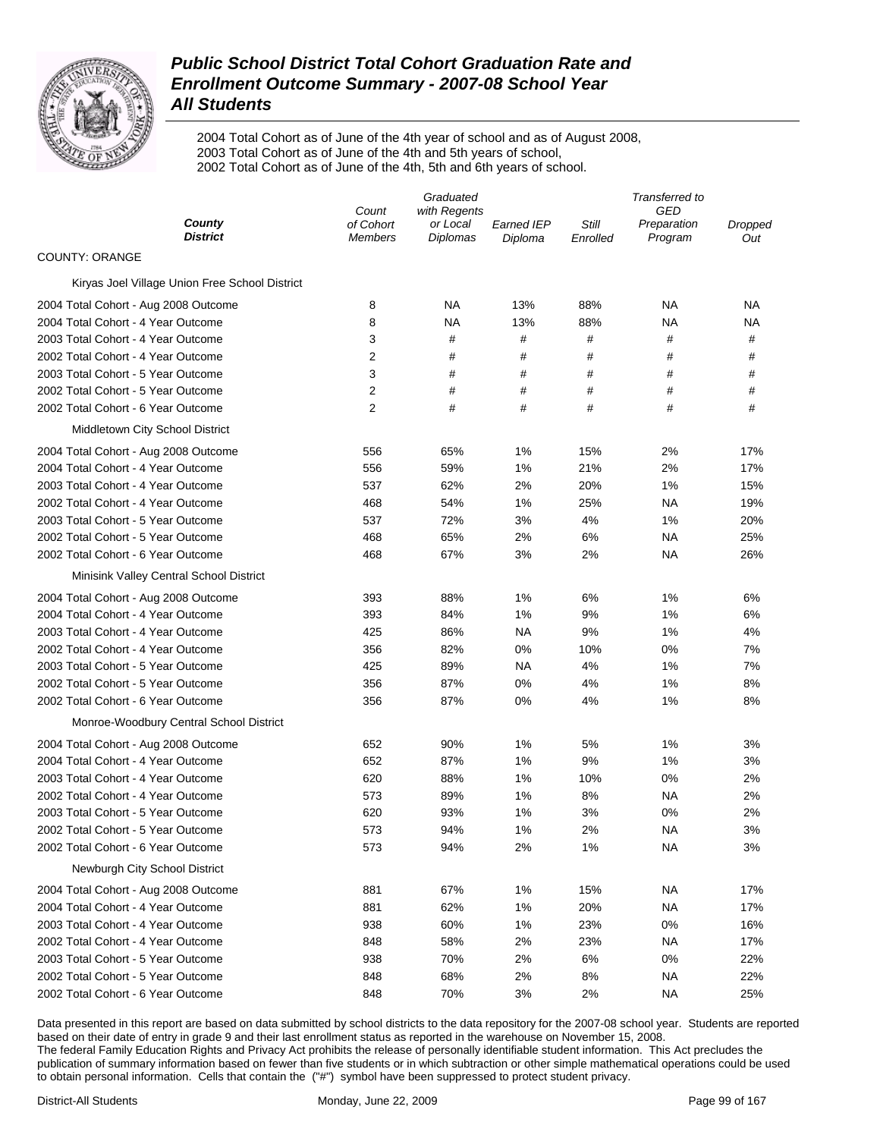

2004 Total Cohort as of June of the 4th year of school and as of August 2008, 2003 Total Cohort as of June of the 4th and 5th years of school, 2002 Total Cohort as of June of the 4th, 5th and 6th years of school.

|                                                | Graduated          |                          |            | Transferred to |                           |         |
|------------------------------------------------|--------------------|--------------------------|------------|----------------|---------------------------|---------|
| County                                         | Count<br>of Cohort | with Regents<br>or Local | Earned IEP | Still          | <b>GED</b><br>Preparation | Dropped |
| <b>District</b>                                | <b>Members</b>     | Diplomas                 | Diploma    | Enrolled       | Program                   | Out     |
| <b>COUNTY: ORANGE</b>                          |                    |                          |            |                |                           |         |
| Kiryas Joel Village Union Free School District |                    |                          |            |                |                           |         |
| 2004 Total Cohort - Aug 2008 Outcome           | 8                  | ΝA                       | 13%        | 88%            | ΝA                        | ΝA      |
| 2004 Total Cohort - 4 Year Outcome             | 8                  | <b>NA</b>                | 13%        | 88%            | NA                        | NA      |
| 2003 Total Cohort - 4 Year Outcome             | 3                  | #                        | #          | #              | #                         | #       |
| 2002 Total Cohort - 4 Year Outcome             | 2                  | #                        | #          | #              | #                         | #       |
| 2003 Total Cohort - 5 Year Outcome             | 3                  | #                        | #          | #              | #                         | #       |
| 2002 Total Cohort - 5 Year Outcome             | $\overline{2}$     | #                        | #          | #              | #                         | #       |
| 2002 Total Cohort - 6 Year Outcome             | $\overline{2}$     | #                        | #          | #              | #                         | #       |
| Middletown City School District                |                    |                          |            |                |                           |         |
| 2004 Total Cohort - Aug 2008 Outcome           | 556                | 65%                      | 1%         | 15%            | 2%                        | 17%     |
| 2004 Total Cohort - 4 Year Outcome             | 556                | 59%                      | 1%         | 21%            | 2%                        | 17%     |
| 2003 Total Cohort - 4 Year Outcome             | 537                | 62%                      | 2%         | 20%            | 1%                        | 15%     |
| 2002 Total Cohort - 4 Year Outcome             | 468                | 54%                      | 1%         | 25%            | NA                        | 19%     |
| 2003 Total Cohort - 5 Year Outcome             | 537                | 72%                      | 3%         | 4%             | 1%                        | 20%     |
| 2002 Total Cohort - 5 Year Outcome             | 468                | 65%                      | 2%         | 6%             | NA                        | 25%     |
| 2002 Total Cohort - 6 Year Outcome             | 468                | 67%                      | 3%         | 2%             | NA                        | 26%     |
| Minisink Valley Central School District        |                    |                          |            |                |                           |         |
| 2004 Total Cohort - Aug 2008 Outcome           | 393                | 88%                      | 1%         | 6%             | 1%                        | 6%      |
| 2004 Total Cohort - 4 Year Outcome             | 393                | 84%                      | 1%         | 9%             | 1%                        | 6%      |
| 2003 Total Cohort - 4 Year Outcome             | 425                | 86%                      | NA         | 9%             | 1%                        | 4%      |
| 2002 Total Cohort - 4 Year Outcome             | 356                | 82%                      | 0%         | 10%            | 0%                        | 7%      |
| 2003 Total Cohort - 5 Year Outcome             | 425                | 89%                      | NA         | 4%             | 1%                        | 7%      |
| 2002 Total Cohort - 5 Year Outcome             | 356                | 87%                      | 0%         | 4%             | 1%                        | 8%      |
| 2002 Total Cohort - 6 Year Outcome             | 356                | 87%                      | 0%         | 4%             | 1%                        | 8%      |
| Monroe-Woodbury Central School District        |                    |                          |            |                |                           |         |
| 2004 Total Cohort - Aug 2008 Outcome           | 652                | 90%                      | 1%         | 5%             | 1%                        | 3%      |
| 2004 Total Cohort - 4 Year Outcome             | 652                | 87%                      | 1%         | 9%             | 1%                        | 3%      |
| 2003 Total Cohort - 4 Year Outcome             | 620                | 88%                      | 1%         | 10%            | 0%                        | 2%      |
| 2002 Total Cohort - 4 Year Outcome             | 573                | 89%                      | 1%         | 8%             | <b>NA</b>                 | 2%      |
| 2003 Total Cohort - 5 Year Outcome             | 620                | 93%                      | 1%         | 3%             | 0%                        | 2%      |
| 2002 Total Cohort - 5 Year Outcome             | 573                | 94%                      | 1%         | 2%             | ΝA                        | 3%      |
| 2002 Total Cohort - 6 Year Outcome             | 573                | 94%                      | 2%         | 1%             | ΝA                        | 3%      |
| Newburgh City School District                  |                    |                          |            |                |                           |         |
| 2004 Total Cohort - Aug 2008 Outcome           | 881                | 67%                      | 1%         | 15%            | ΝA                        | 17%     |
| 2004 Total Cohort - 4 Year Outcome             | 881                | 62%                      | 1%         | 20%            | ΝA                        | 17%     |
| 2003 Total Cohort - 4 Year Outcome             | 938                | 60%                      | 1%         | 23%            | 0%                        | 16%     |
| 2002 Total Cohort - 4 Year Outcome             | 848                | 58%                      | 2%         | 23%            | ΝA                        | 17%     |
| 2003 Total Cohort - 5 Year Outcome             | 938                | 70%                      | 2%         | 6%             | 0%                        | 22%     |
| 2002 Total Cohort - 5 Year Outcome             | 848                | 68%                      | 2%         | 8%             | ΝA                        | 22%     |
| 2002 Total Cohort - 6 Year Outcome             | 848                | 70%                      | 3%         | 2%             | NA                        | 25%     |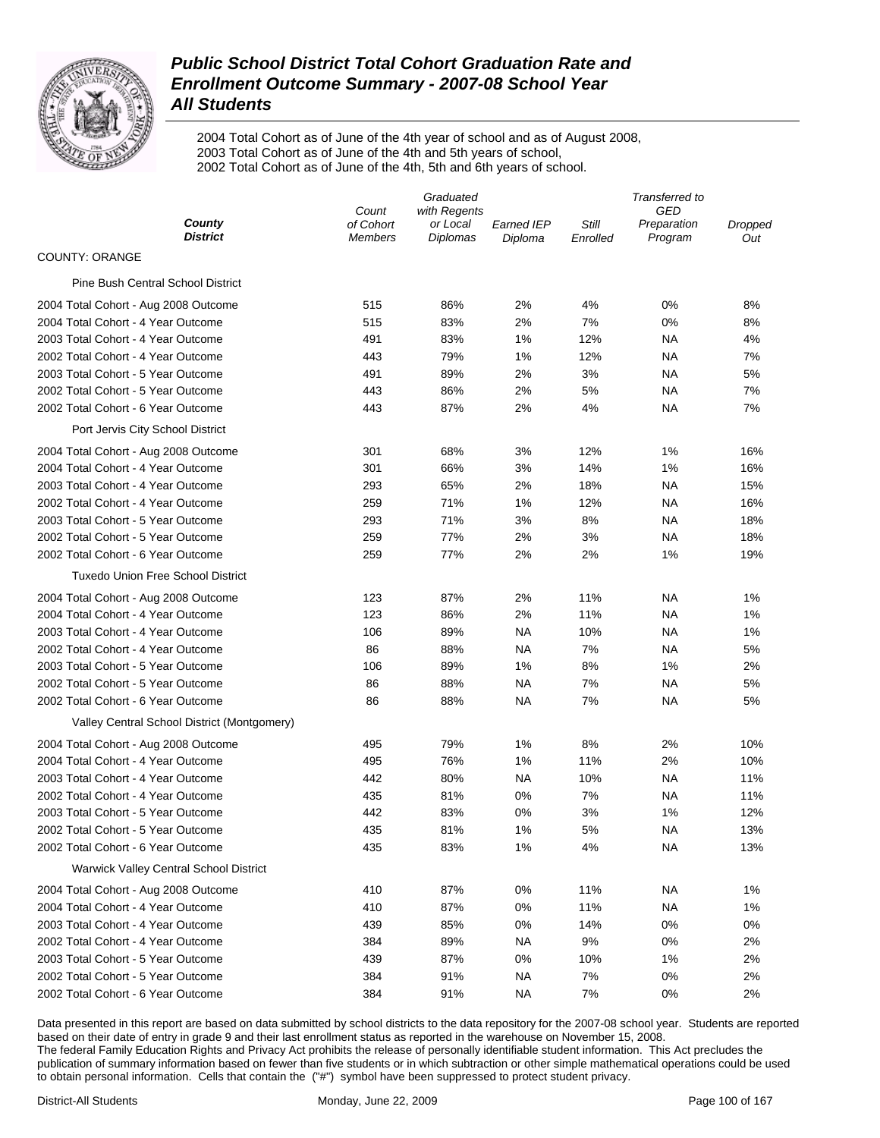

2004 Total Cohort as of June of the 4th year of school and as of August 2008, 2003 Total Cohort as of June of the 4th and 5th years of school, 2002 Total Cohort as of June of the 4th, 5th and 6th years of school.

| GED<br>Count<br>with Regents<br>County<br>of Cohort<br>or Local<br>Still<br><b>Earned IEP</b><br>Preparation<br>Dropped<br><b>District</b><br><b>Diplomas</b><br>Program<br><b>Members</b><br>Diploma<br>Enrolled<br>Out<br><b>COUNTY: ORANGE</b><br><b>Pine Bush Central School District</b><br>86%<br>0%<br>8%<br>2004 Total Cohort - Aug 2008 Outcome<br>515<br>2%<br>4%<br>2004 Total Cohort - 4 Year Outcome<br>515<br>83%<br>2%<br>7%<br>0%<br>8%<br>2003 Total Cohort - 4 Year Outcome<br>83%<br>1%<br>12%<br>491<br>ΝA<br>4%<br>2002 Total Cohort - 4 Year Outcome<br>79%<br>1%<br>12%<br>7%<br>443<br>ΝA<br>2003 Total Cohort - 5 Year Outcome<br>89%<br>2%<br>3%<br>5%<br>491<br>ΝA<br>2002 Total Cohort - 5 Year Outcome<br>86%<br>2%<br>5%<br>7%<br>443<br>ΝA<br>87%<br>2002 Total Cohort - 6 Year Outcome<br>2%<br>4%<br>NA<br>7%<br>443<br>Port Jervis City School District<br>12%<br>2004 Total Cohort - Aug 2008 Outcome<br>301<br>68%<br>3%<br>1%<br>16%<br>2004 Total Cohort - 4 Year Outcome<br>301<br>66%<br>3%<br>14%<br>1%<br>16%<br>2003 Total Cohort - 4 Year Outcome<br>293<br>65%<br>2%<br>18%<br>NA<br>15%<br>2002 Total Cohort - 4 Year Outcome<br>71%<br>1%<br>12%<br>NA<br>16%<br>259<br>2003 Total Cohort - 5 Year Outcome<br>71%<br>3%<br>8%<br>NA<br>18%<br>293<br>77%<br>2002 Total Cohort - 5 Year Outcome<br>259<br>2%<br>3%<br>NA<br>18%<br>2002 Total Cohort - 6 Year Outcome<br>259<br>77%<br>2%<br>2%<br>1%<br>19%<br><b>Tuxedo Union Free School District</b><br>87%<br>11%<br>2004 Total Cohort - Aug 2008 Outcome<br>123<br>2%<br>ΝA<br>1%<br>2004 Total Cohort - 4 Year Outcome<br>123<br>86%<br>2%<br>11%<br>1%<br>ΝA<br>2003 Total Cohort - 4 Year Outcome<br>89%<br>NA<br>10%<br>106<br>ΝA<br>1%<br>2002 Total Cohort - 4 Year Outcome<br>86<br>88%<br><b>NA</b><br>7%<br>NA<br>5%<br>2003 Total Cohort - 5 Year Outcome<br>106<br>89%<br>1%<br>8%<br>1%<br>2%<br>2002 Total Cohort - 5 Year Outcome<br>86<br>88%<br>NA<br>7%<br>NA<br>5%<br>7%<br>2002 Total Cohort - 6 Year Outcome<br>86<br>88%<br>NA<br>NA<br>5% |
|---------------------------------------------------------------------------------------------------------------------------------------------------------------------------------------------------------------------------------------------------------------------------------------------------------------------------------------------------------------------------------------------------------------------------------------------------------------------------------------------------------------------------------------------------------------------------------------------------------------------------------------------------------------------------------------------------------------------------------------------------------------------------------------------------------------------------------------------------------------------------------------------------------------------------------------------------------------------------------------------------------------------------------------------------------------------------------------------------------------------------------------------------------------------------------------------------------------------------------------------------------------------------------------------------------------------------------------------------------------------------------------------------------------------------------------------------------------------------------------------------------------------------------------------------------------------------------------------------------------------------------------------------------------------------------------------------------------------------------------------------------------------------------------------------------------------------------------------------------------------------------------------------------------------------------------------------------------------------------------------------------------------------------------------------------------------|
|                                                                                                                                                                                                                                                                                                                                                                                                                                                                                                                                                                                                                                                                                                                                                                                                                                                                                                                                                                                                                                                                                                                                                                                                                                                                                                                                                                                                                                                                                                                                                                                                                                                                                                                                                                                                                                                                                                                                                                                                                                                                     |
|                                                                                                                                                                                                                                                                                                                                                                                                                                                                                                                                                                                                                                                                                                                                                                                                                                                                                                                                                                                                                                                                                                                                                                                                                                                                                                                                                                                                                                                                                                                                                                                                                                                                                                                                                                                                                                                                                                                                                                                                                                                                     |
|                                                                                                                                                                                                                                                                                                                                                                                                                                                                                                                                                                                                                                                                                                                                                                                                                                                                                                                                                                                                                                                                                                                                                                                                                                                                                                                                                                                                                                                                                                                                                                                                                                                                                                                                                                                                                                                                                                                                                                                                                                                                     |
|                                                                                                                                                                                                                                                                                                                                                                                                                                                                                                                                                                                                                                                                                                                                                                                                                                                                                                                                                                                                                                                                                                                                                                                                                                                                                                                                                                                                                                                                                                                                                                                                                                                                                                                                                                                                                                                                                                                                                                                                                                                                     |
|                                                                                                                                                                                                                                                                                                                                                                                                                                                                                                                                                                                                                                                                                                                                                                                                                                                                                                                                                                                                                                                                                                                                                                                                                                                                                                                                                                                                                                                                                                                                                                                                                                                                                                                                                                                                                                                                                                                                                                                                                                                                     |
|                                                                                                                                                                                                                                                                                                                                                                                                                                                                                                                                                                                                                                                                                                                                                                                                                                                                                                                                                                                                                                                                                                                                                                                                                                                                                                                                                                                                                                                                                                                                                                                                                                                                                                                                                                                                                                                                                                                                                                                                                                                                     |
|                                                                                                                                                                                                                                                                                                                                                                                                                                                                                                                                                                                                                                                                                                                                                                                                                                                                                                                                                                                                                                                                                                                                                                                                                                                                                                                                                                                                                                                                                                                                                                                                                                                                                                                                                                                                                                                                                                                                                                                                                                                                     |
|                                                                                                                                                                                                                                                                                                                                                                                                                                                                                                                                                                                                                                                                                                                                                                                                                                                                                                                                                                                                                                                                                                                                                                                                                                                                                                                                                                                                                                                                                                                                                                                                                                                                                                                                                                                                                                                                                                                                                                                                                                                                     |
|                                                                                                                                                                                                                                                                                                                                                                                                                                                                                                                                                                                                                                                                                                                                                                                                                                                                                                                                                                                                                                                                                                                                                                                                                                                                                                                                                                                                                                                                                                                                                                                                                                                                                                                                                                                                                                                                                                                                                                                                                                                                     |
|                                                                                                                                                                                                                                                                                                                                                                                                                                                                                                                                                                                                                                                                                                                                                                                                                                                                                                                                                                                                                                                                                                                                                                                                                                                                                                                                                                                                                                                                                                                                                                                                                                                                                                                                                                                                                                                                                                                                                                                                                                                                     |
|                                                                                                                                                                                                                                                                                                                                                                                                                                                                                                                                                                                                                                                                                                                                                                                                                                                                                                                                                                                                                                                                                                                                                                                                                                                                                                                                                                                                                                                                                                                                                                                                                                                                                                                                                                                                                                                                                                                                                                                                                                                                     |
|                                                                                                                                                                                                                                                                                                                                                                                                                                                                                                                                                                                                                                                                                                                                                                                                                                                                                                                                                                                                                                                                                                                                                                                                                                                                                                                                                                                                                                                                                                                                                                                                                                                                                                                                                                                                                                                                                                                                                                                                                                                                     |
|                                                                                                                                                                                                                                                                                                                                                                                                                                                                                                                                                                                                                                                                                                                                                                                                                                                                                                                                                                                                                                                                                                                                                                                                                                                                                                                                                                                                                                                                                                                                                                                                                                                                                                                                                                                                                                                                                                                                                                                                                                                                     |
|                                                                                                                                                                                                                                                                                                                                                                                                                                                                                                                                                                                                                                                                                                                                                                                                                                                                                                                                                                                                                                                                                                                                                                                                                                                                                                                                                                                                                                                                                                                                                                                                                                                                                                                                                                                                                                                                                                                                                                                                                                                                     |
|                                                                                                                                                                                                                                                                                                                                                                                                                                                                                                                                                                                                                                                                                                                                                                                                                                                                                                                                                                                                                                                                                                                                                                                                                                                                                                                                                                                                                                                                                                                                                                                                                                                                                                                                                                                                                                                                                                                                                                                                                                                                     |
|                                                                                                                                                                                                                                                                                                                                                                                                                                                                                                                                                                                                                                                                                                                                                                                                                                                                                                                                                                                                                                                                                                                                                                                                                                                                                                                                                                                                                                                                                                                                                                                                                                                                                                                                                                                                                                                                                                                                                                                                                                                                     |
|                                                                                                                                                                                                                                                                                                                                                                                                                                                                                                                                                                                                                                                                                                                                                                                                                                                                                                                                                                                                                                                                                                                                                                                                                                                                                                                                                                                                                                                                                                                                                                                                                                                                                                                                                                                                                                                                                                                                                                                                                                                                     |
|                                                                                                                                                                                                                                                                                                                                                                                                                                                                                                                                                                                                                                                                                                                                                                                                                                                                                                                                                                                                                                                                                                                                                                                                                                                                                                                                                                                                                                                                                                                                                                                                                                                                                                                                                                                                                                                                                                                                                                                                                                                                     |
|                                                                                                                                                                                                                                                                                                                                                                                                                                                                                                                                                                                                                                                                                                                                                                                                                                                                                                                                                                                                                                                                                                                                                                                                                                                                                                                                                                                                                                                                                                                                                                                                                                                                                                                                                                                                                                                                                                                                                                                                                                                                     |
|                                                                                                                                                                                                                                                                                                                                                                                                                                                                                                                                                                                                                                                                                                                                                                                                                                                                                                                                                                                                                                                                                                                                                                                                                                                                                                                                                                                                                                                                                                                                                                                                                                                                                                                                                                                                                                                                                                                                                                                                                                                                     |
|                                                                                                                                                                                                                                                                                                                                                                                                                                                                                                                                                                                                                                                                                                                                                                                                                                                                                                                                                                                                                                                                                                                                                                                                                                                                                                                                                                                                                                                                                                                                                                                                                                                                                                                                                                                                                                                                                                                                                                                                                                                                     |
|                                                                                                                                                                                                                                                                                                                                                                                                                                                                                                                                                                                                                                                                                                                                                                                                                                                                                                                                                                                                                                                                                                                                                                                                                                                                                                                                                                                                                                                                                                                                                                                                                                                                                                                                                                                                                                                                                                                                                                                                                                                                     |
|                                                                                                                                                                                                                                                                                                                                                                                                                                                                                                                                                                                                                                                                                                                                                                                                                                                                                                                                                                                                                                                                                                                                                                                                                                                                                                                                                                                                                                                                                                                                                                                                                                                                                                                                                                                                                                                                                                                                                                                                                                                                     |
|                                                                                                                                                                                                                                                                                                                                                                                                                                                                                                                                                                                                                                                                                                                                                                                                                                                                                                                                                                                                                                                                                                                                                                                                                                                                                                                                                                                                                                                                                                                                                                                                                                                                                                                                                                                                                                                                                                                                                                                                                                                                     |
|                                                                                                                                                                                                                                                                                                                                                                                                                                                                                                                                                                                                                                                                                                                                                                                                                                                                                                                                                                                                                                                                                                                                                                                                                                                                                                                                                                                                                                                                                                                                                                                                                                                                                                                                                                                                                                                                                                                                                                                                                                                                     |
|                                                                                                                                                                                                                                                                                                                                                                                                                                                                                                                                                                                                                                                                                                                                                                                                                                                                                                                                                                                                                                                                                                                                                                                                                                                                                                                                                                                                                                                                                                                                                                                                                                                                                                                                                                                                                                                                                                                                                                                                                                                                     |
|                                                                                                                                                                                                                                                                                                                                                                                                                                                                                                                                                                                                                                                                                                                                                                                                                                                                                                                                                                                                                                                                                                                                                                                                                                                                                                                                                                                                                                                                                                                                                                                                                                                                                                                                                                                                                                                                                                                                                                                                                                                                     |
| Valley Central School District (Montgomery)                                                                                                                                                                                                                                                                                                                                                                                                                                                                                                                                                                                                                                                                                                                                                                                                                                                                                                                                                                                                                                                                                                                                                                                                                                                                                                                                                                                                                                                                                                                                                                                                                                                                                                                                                                                                                                                                                                                                                                                                                         |
| 79%<br>1%<br>8%<br>2%<br>10%<br>2004 Total Cohort - Aug 2008 Outcome<br>495                                                                                                                                                                                                                                                                                                                                                                                                                                                                                                                                                                                                                                                                                                                                                                                                                                                                                                                                                                                                                                                                                                                                                                                                                                                                                                                                                                                                                                                                                                                                                                                                                                                                                                                                                                                                                                                                                                                                                                                         |
| 2004 Total Cohort - 4 Year Outcome<br>495<br>76%<br>1%<br>11%<br>2%<br>10%                                                                                                                                                                                                                                                                                                                                                                                                                                                                                                                                                                                                                                                                                                                                                                                                                                                                                                                                                                                                                                                                                                                                                                                                                                                                                                                                                                                                                                                                                                                                                                                                                                                                                                                                                                                                                                                                                                                                                                                          |
| 2003 Total Cohort - 4 Year Outcome<br>442<br>80%<br><b>NA</b><br>10%<br>NA<br>11%                                                                                                                                                                                                                                                                                                                                                                                                                                                                                                                                                                                                                                                                                                                                                                                                                                                                                                                                                                                                                                                                                                                                                                                                                                                                                                                                                                                                                                                                                                                                                                                                                                                                                                                                                                                                                                                                                                                                                                                   |
| 7%<br>2002 Total Cohort - 4 Year Outcome<br>435<br>81%<br>0%<br>NA<br>11%                                                                                                                                                                                                                                                                                                                                                                                                                                                                                                                                                                                                                                                                                                                                                                                                                                                                                                                                                                                                                                                                                                                                                                                                                                                                                                                                                                                                                                                                                                                                                                                                                                                                                                                                                                                                                                                                                                                                                                                           |
| 12%<br>2003 Total Cohort - 5 Year Outcome<br>442<br>83%<br>0%<br>3%<br>1%                                                                                                                                                                                                                                                                                                                                                                                                                                                                                                                                                                                                                                                                                                                                                                                                                                                                                                                                                                                                                                                                                                                                                                                                                                                                                                                                                                                                                                                                                                                                                                                                                                                                                                                                                                                                                                                                                                                                                                                           |
| 5%<br>2002 Total Cohort - 5 Year Outcome<br>435<br>81%<br>1%<br>NA<br>13%                                                                                                                                                                                                                                                                                                                                                                                                                                                                                                                                                                                                                                                                                                                                                                                                                                                                                                                                                                                                                                                                                                                                                                                                                                                                                                                                                                                                                                                                                                                                                                                                                                                                                                                                                                                                                                                                                                                                                                                           |
| 2002 Total Cohort - 6 Year Outcome<br>83%<br>1%<br>4%<br><b>NA</b><br>13%<br>435                                                                                                                                                                                                                                                                                                                                                                                                                                                                                                                                                                                                                                                                                                                                                                                                                                                                                                                                                                                                                                                                                                                                                                                                                                                                                                                                                                                                                                                                                                                                                                                                                                                                                                                                                                                                                                                                                                                                                                                    |
| <b>Warwick Valley Central School District</b>                                                                                                                                                                                                                                                                                                                                                                                                                                                                                                                                                                                                                                                                                                                                                                                                                                                                                                                                                                                                                                                                                                                                                                                                                                                                                                                                                                                                                                                                                                                                                                                                                                                                                                                                                                                                                                                                                                                                                                                                                       |
| 87%<br>0%<br>11%<br><b>NA</b><br>1%<br>2004 Total Cohort - Aug 2008 Outcome<br>410                                                                                                                                                                                                                                                                                                                                                                                                                                                                                                                                                                                                                                                                                                                                                                                                                                                                                                                                                                                                                                                                                                                                                                                                                                                                                                                                                                                                                                                                                                                                                                                                                                                                                                                                                                                                                                                                                                                                                                                  |
| 2004 Total Cohort - 4 Year Outcome<br>410<br>87%<br>0%<br>11%<br><b>NA</b><br>1%                                                                                                                                                                                                                                                                                                                                                                                                                                                                                                                                                                                                                                                                                                                                                                                                                                                                                                                                                                                                                                                                                                                                                                                                                                                                                                                                                                                                                                                                                                                                                                                                                                                                                                                                                                                                                                                                                                                                                                                    |
| 2003 Total Cohort - 4 Year Outcome<br>439<br>85%<br>0%<br>14%<br>0%<br>0%                                                                                                                                                                                                                                                                                                                                                                                                                                                                                                                                                                                                                                                                                                                                                                                                                                                                                                                                                                                                                                                                                                                                                                                                                                                                                                                                                                                                                                                                                                                                                                                                                                                                                                                                                                                                                                                                                                                                                                                           |
| 2002 Total Cohort - 4 Year Outcome<br>384<br>89%<br><b>NA</b><br>9%<br>0%<br>2%                                                                                                                                                                                                                                                                                                                                                                                                                                                                                                                                                                                                                                                                                                                                                                                                                                                                                                                                                                                                                                                                                                                                                                                                                                                                                                                                                                                                                                                                                                                                                                                                                                                                                                                                                                                                                                                                                                                                                                                     |
| 2003 Total Cohort - 5 Year Outcome<br>439<br>87%<br>0%<br>10%<br>1%<br>2%                                                                                                                                                                                                                                                                                                                                                                                                                                                                                                                                                                                                                                                                                                                                                                                                                                                                                                                                                                                                                                                                                                                                                                                                                                                                                                                                                                                                                                                                                                                                                                                                                                                                                                                                                                                                                                                                                                                                                                                           |
| 2002 Total Cohort - 5 Year Outcome<br>384<br>91%<br><b>NA</b><br>7%<br>0%<br>2%                                                                                                                                                                                                                                                                                                                                                                                                                                                                                                                                                                                                                                                                                                                                                                                                                                                                                                                                                                                                                                                                                                                                                                                                                                                                                                                                                                                                                                                                                                                                                                                                                                                                                                                                                                                                                                                                                                                                                                                     |
| 2002 Total Cohort - 6 Year Outcome<br>384<br>91%<br><b>NA</b><br>7%<br>0%<br>2%                                                                                                                                                                                                                                                                                                                                                                                                                                                                                                                                                                                                                                                                                                                                                                                                                                                                                                                                                                                                                                                                                                                                                                                                                                                                                                                                                                                                                                                                                                                                                                                                                                                                                                                                                                                                                                                                                                                                                                                     |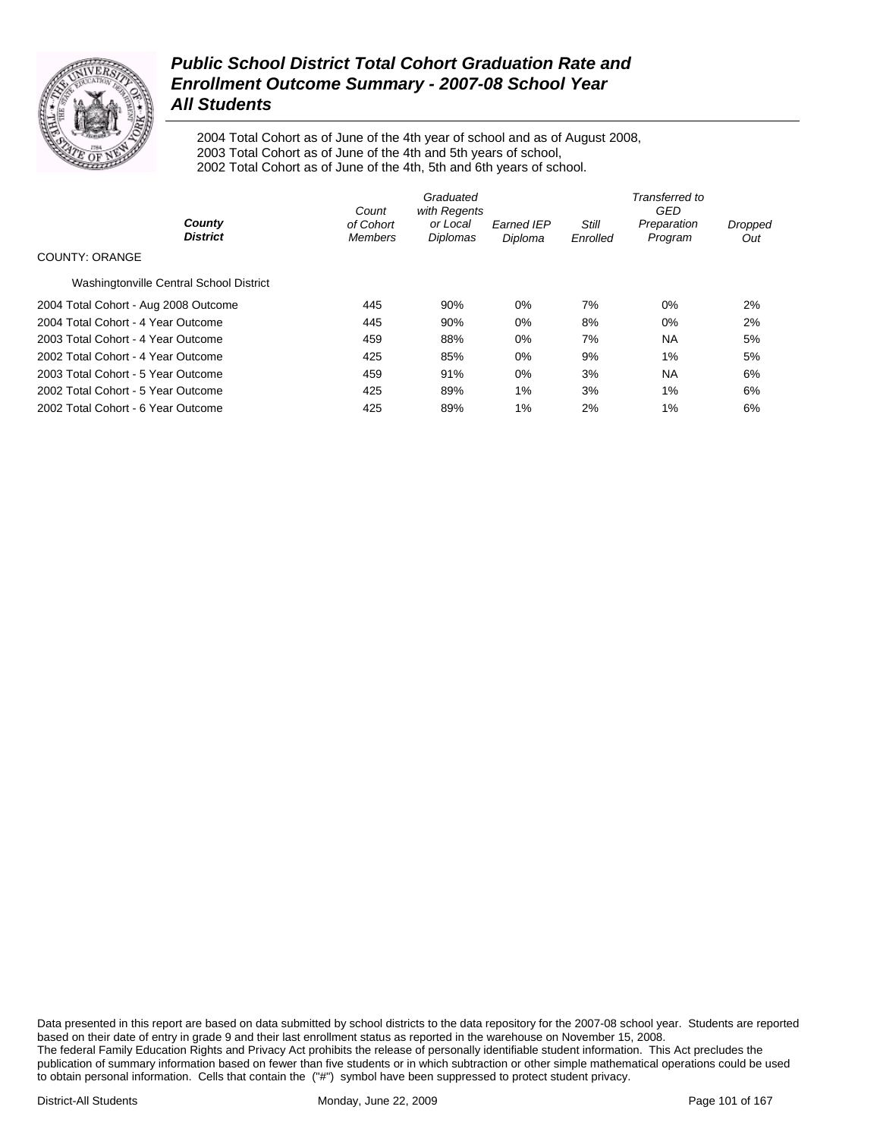

2004 Total Cohort as of June of the 4th year of school and as of August 2008, 2003 Total Cohort as of June of the 4th and 5th years of school, 2002 Total Cohort as of June of the 4th, 5th and 6th years of school.

|                                         | Count                       | Graduated<br>with Regents |                              |                   | Transferred to<br>GED  |                |
|-----------------------------------------|-----------------------------|---------------------------|------------------------------|-------------------|------------------------|----------------|
| County<br><b>District</b>               | of Cohort<br><b>Members</b> | or Local<br>Diplomas      | <b>Earned IEP</b><br>Diploma | Still<br>Enrolled | Preparation<br>Program | Dropped<br>Out |
| COUNTY: ORANGE                          |                             |                           |                              |                   |                        |                |
| Washingtonville Central School District |                             |                           |                              |                   |                        |                |
| 2004 Total Cohort - Aug 2008 Outcome    | 445                         | 90%                       | 0%                           | 7%                | 0%                     | 2%             |
| 2004 Total Cohort - 4 Year Outcome      | 445                         | 90%                       | 0%                           | 8%                | 0%                     | 2%             |
| 2003 Total Cohort - 4 Year Outcome      | 459                         | 88%                       | 0%                           | 7%                | <b>NA</b>              | 5%             |
| 2002 Total Cohort - 4 Year Outcome      | 425                         | 85%                       | 0%                           | 9%                | 1%                     | 5%             |
| 2003 Total Cohort - 5 Year Outcome      | 459                         | 91%                       | 0%                           | 3%                | <b>NA</b>              | 6%             |
| 2002 Total Cohort - 5 Year Outcome      | 425                         | 89%                       | 1%                           | 3%                | 1%                     | 6%             |
| 2002 Total Cohort - 6 Year Outcome      | 425                         | 89%                       | 1%                           | 2%                | 1%                     | 6%             |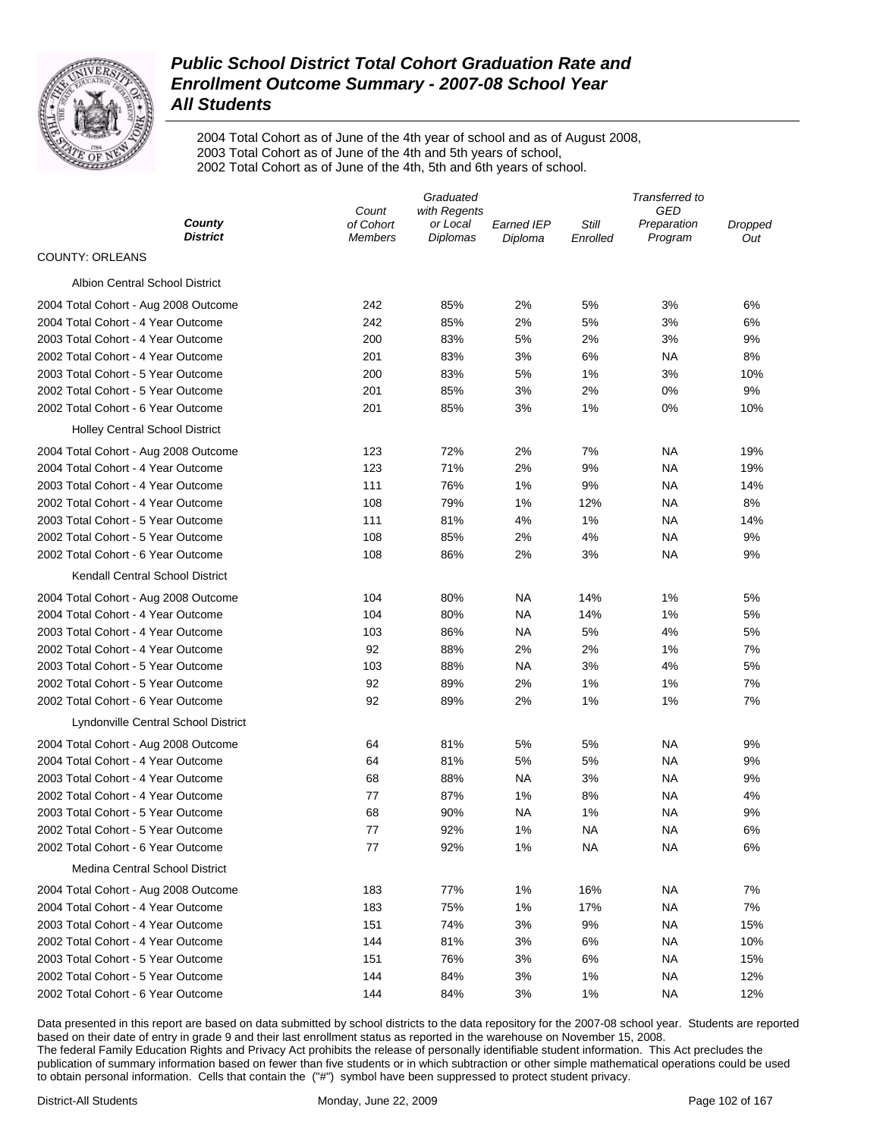

2004 Total Cohort as of June of the 4th year of school and as of August 2008, 2003 Total Cohort as of June of the 4th and 5th years of school, 2002 Total Cohort as of June of the 4th, 5th and 6th years of school.

| County<br>of Cohort<br>or Local<br>Still<br>Earned IEP<br>Preparation<br>Dropped<br><b>District</b><br><b>Diplomas</b><br>Program<br><b>Members</b><br>Diploma<br>Enrolled<br>Out<br><b>COUNTY: ORLEANS</b><br><b>Albion Central School District</b><br>242<br>85%<br>2%<br>5%<br>3%<br>6%<br>2004 Total Cohort - Aug 2008 Outcome<br>2004 Total Cohort - 4 Year Outcome<br>242<br>85%<br>2%<br>5%<br>3%<br>6%<br>2003 Total Cohort - 4 Year Outcome<br>200<br>83%<br>5%<br>2%<br>3%<br>9%<br>2002 Total Cohort - 4 Year Outcome<br>201<br>83%<br>3%<br>6%<br>8%<br>ΝA<br>2003 Total Cohort - 5 Year Outcome<br>83%<br>5%<br>1%<br>3%<br>200<br>10%<br>2002 Total Cohort - 5 Year Outcome<br>201<br>85%<br>3%<br>2%<br>0%<br>9%<br>2002 Total Cohort - 6 Year Outcome<br>201<br>85%<br>3%<br>1%<br>0%<br>10%<br><b>Holley Central School District</b><br>72%<br>2%<br>7%<br>2004 Total Cohort - Aug 2008 Outcome<br>123<br>ΝA<br>19%<br>2004 Total Cohort - 4 Year Outcome<br>123<br>71%<br>2%<br>9%<br>ΝA<br>19%<br>2003 Total Cohort - 4 Year Outcome<br>111<br>76%<br>1%<br>9%<br>ΝA<br>14%<br>2002 Total Cohort - 4 Year Outcome<br>108<br>79%<br>1%<br>12%<br>ΝA<br>8%<br>2003 Total Cohort - 5 Year Outcome<br>111<br>81%<br>4%<br>1%<br>ΝA<br>14%<br>2002 Total Cohort - 5 Year Outcome<br>108<br>85%<br>2%<br>4%<br>ΝA<br>9%<br>2002 Total Cohort - 6 Year Outcome<br>108<br>86%<br>2%<br>3%<br>ΝA<br>9%<br>Kendall Central School District<br>2004 Total Cohort - Aug 2008 Outcome<br>104<br>80%<br>NA<br>14%<br>1%<br>5%<br>2004 Total Cohort - 4 Year Outcome<br>104<br>80%<br><b>NA</b><br>14%<br>1%<br>5%<br>2003 Total Cohort - 4 Year Outcome<br>103<br>86%<br>NA<br>5%<br>4%<br>5%<br>92<br>2002 Total Cohort - 4 Year Outcome<br>88%<br>2%<br>2%<br>1%<br>7%<br>2003 Total Cohort - 5 Year Outcome<br>103<br>88%<br><b>NA</b><br>3%<br>4%<br>5%<br>92<br>89%<br>2%<br>2002 Total Cohort - 5 Year Outcome<br>1%<br>1%<br>7%<br>92<br>2%<br>2002 Total Cohort - 6 Year Outcome<br>89%<br>1%<br>1%<br>7% | Graduated             |  |  | Transferred to |  |  |  |
|------------------------------------------------------------------------------------------------------------------------------------------------------------------------------------------------------------------------------------------------------------------------------------------------------------------------------------------------------------------------------------------------------------------------------------------------------------------------------------------------------------------------------------------------------------------------------------------------------------------------------------------------------------------------------------------------------------------------------------------------------------------------------------------------------------------------------------------------------------------------------------------------------------------------------------------------------------------------------------------------------------------------------------------------------------------------------------------------------------------------------------------------------------------------------------------------------------------------------------------------------------------------------------------------------------------------------------------------------------------------------------------------------------------------------------------------------------------------------------------------------------------------------------------------------------------------------------------------------------------------------------------------------------------------------------------------------------------------------------------------------------------------------------------------------------------------------------------------------------------------------------------------------------------------------------------------------------------------------------------------------------------------|-----------------------|--|--|----------------|--|--|--|
|                                                                                                                                                                                                                                                                                                                                                                                                                                                                                                                                                                                                                                                                                                                                                                                                                                                                                                                                                                                                                                                                                                                                                                                                                                                                                                                                                                                                                                                                                                                                                                                                                                                                                                                                                                                                                                                                                                                                                                                                                        | with Regents<br>Count |  |  | GED            |  |  |  |
|                                                                                                                                                                                                                                                                                                                                                                                                                                                                                                                                                                                                                                                                                                                                                                                                                                                                                                                                                                                                                                                                                                                                                                                                                                                                                                                                                                                                                                                                                                                                                                                                                                                                                                                                                                                                                                                                                                                                                                                                                        |                       |  |  |                |  |  |  |
|                                                                                                                                                                                                                                                                                                                                                                                                                                                                                                                                                                                                                                                                                                                                                                                                                                                                                                                                                                                                                                                                                                                                                                                                                                                                                                                                                                                                                                                                                                                                                                                                                                                                                                                                                                                                                                                                                                                                                                                                                        |                       |  |  |                |  |  |  |
|                                                                                                                                                                                                                                                                                                                                                                                                                                                                                                                                                                                                                                                                                                                                                                                                                                                                                                                                                                                                                                                                                                                                                                                                                                                                                                                                                                                                                                                                                                                                                                                                                                                                                                                                                                                                                                                                                                                                                                                                                        |                       |  |  |                |  |  |  |
|                                                                                                                                                                                                                                                                                                                                                                                                                                                                                                                                                                                                                                                                                                                                                                                                                                                                                                                                                                                                                                                                                                                                                                                                                                                                                                                                                                                                                                                                                                                                                                                                                                                                                                                                                                                                                                                                                                                                                                                                                        |                       |  |  |                |  |  |  |
|                                                                                                                                                                                                                                                                                                                                                                                                                                                                                                                                                                                                                                                                                                                                                                                                                                                                                                                                                                                                                                                                                                                                                                                                                                                                                                                                                                                                                                                                                                                                                                                                                                                                                                                                                                                                                                                                                                                                                                                                                        |                       |  |  |                |  |  |  |
|                                                                                                                                                                                                                                                                                                                                                                                                                                                                                                                                                                                                                                                                                                                                                                                                                                                                                                                                                                                                                                                                                                                                                                                                                                                                                                                                                                                                                                                                                                                                                                                                                                                                                                                                                                                                                                                                                                                                                                                                                        |                       |  |  |                |  |  |  |
|                                                                                                                                                                                                                                                                                                                                                                                                                                                                                                                                                                                                                                                                                                                                                                                                                                                                                                                                                                                                                                                                                                                                                                                                                                                                                                                                                                                                                                                                                                                                                                                                                                                                                                                                                                                                                                                                                                                                                                                                                        |                       |  |  |                |  |  |  |
|                                                                                                                                                                                                                                                                                                                                                                                                                                                                                                                                                                                                                                                                                                                                                                                                                                                                                                                                                                                                                                                                                                                                                                                                                                                                                                                                                                                                                                                                                                                                                                                                                                                                                                                                                                                                                                                                                                                                                                                                                        |                       |  |  |                |  |  |  |
|                                                                                                                                                                                                                                                                                                                                                                                                                                                                                                                                                                                                                                                                                                                                                                                                                                                                                                                                                                                                                                                                                                                                                                                                                                                                                                                                                                                                                                                                                                                                                                                                                                                                                                                                                                                                                                                                                                                                                                                                                        |                       |  |  |                |  |  |  |
|                                                                                                                                                                                                                                                                                                                                                                                                                                                                                                                                                                                                                                                                                                                                                                                                                                                                                                                                                                                                                                                                                                                                                                                                                                                                                                                                                                                                                                                                                                                                                                                                                                                                                                                                                                                                                                                                                                                                                                                                                        |                       |  |  |                |  |  |  |
|                                                                                                                                                                                                                                                                                                                                                                                                                                                                                                                                                                                                                                                                                                                                                                                                                                                                                                                                                                                                                                                                                                                                                                                                                                                                                                                                                                                                                                                                                                                                                                                                                                                                                                                                                                                                                                                                                                                                                                                                                        |                       |  |  |                |  |  |  |
|                                                                                                                                                                                                                                                                                                                                                                                                                                                                                                                                                                                                                                                                                                                                                                                                                                                                                                                                                                                                                                                                                                                                                                                                                                                                                                                                                                                                                                                                                                                                                                                                                                                                                                                                                                                                                                                                                                                                                                                                                        |                       |  |  |                |  |  |  |
|                                                                                                                                                                                                                                                                                                                                                                                                                                                                                                                                                                                                                                                                                                                                                                                                                                                                                                                                                                                                                                                                                                                                                                                                                                                                                                                                                                                                                                                                                                                                                                                                                                                                                                                                                                                                                                                                                                                                                                                                                        |                       |  |  |                |  |  |  |
|                                                                                                                                                                                                                                                                                                                                                                                                                                                                                                                                                                                                                                                                                                                                                                                                                                                                                                                                                                                                                                                                                                                                                                                                                                                                                                                                                                                                                                                                                                                                                                                                                                                                                                                                                                                                                                                                                                                                                                                                                        |                       |  |  |                |  |  |  |
|                                                                                                                                                                                                                                                                                                                                                                                                                                                                                                                                                                                                                                                                                                                                                                                                                                                                                                                                                                                                                                                                                                                                                                                                                                                                                                                                                                                                                                                                                                                                                                                                                                                                                                                                                                                                                                                                                                                                                                                                                        |                       |  |  |                |  |  |  |
|                                                                                                                                                                                                                                                                                                                                                                                                                                                                                                                                                                                                                                                                                                                                                                                                                                                                                                                                                                                                                                                                                                                                                                                                                                                                                                                                                                                                                                                                                                                                                                                                                                                                                                                                                                                                                                                                                                                                                                                                                        |                       |  |  |                |  |  |  |
|                                                                                                                                                                                                                                                                                                                                                                                                                                                                                                                                                                                                                                                                                                                                                                                                                                                                                                                                                                                                                                                                                                                                                                                                                                                                                                                                                                                                                                                                                                                                                                                                                                                                                                                                                                                                                                                                                                                                                                                                                        |                       |  |  |                |  |  |  |
|                                                                                                                                                                                                                                                                                                                                                                                                                                                                                                                                                                                                                                                                                                                                                                                                                                                                                                                                                                                                                                                                                                                                                                                                                                                                                                                                                                                                                                                                                                                                                                                                                                                                                                                                                                                                                                                                                                                                                                                                                        |                       |  |  |                |  |  |  |
|                                                                                                                                                                                                                                                                                                                                                                                                                                                                                                                                                                                                                                                                                                                                                                                                                                                                                                                                                                                                                                                                                                                                                                                                                                                                                                                                                                                                                                                                                                                                                                                                                                                                                                                                                                                                                                                                                                                                                                                                                        |                       |  |  |                |  |  |  |
|                                                                                                                                                                                                                                                                                                                                                                                                                                                                                                                                                                                                                                                                                                                                                                                                                                                                                                                                                                                                                                                                                                                                                                                                                                                                                                                                                                                                                                                                                                                                                                                                                                                                                                                                                                                                                                                                                                                                                                                                                        |                       |  |  |                |  |  |  |
|                                                                                                                                                                                                                                                                                                                                                                                                                                                                                                                                                                                                                                                                                                                                                                                                                                                                                                                                                                                                                                                                                                                                                                                                                                                                                                                                                                                                                                                                                                                                                                                                                                                                                                                                                                                                                                                                                                                                                                                                                        |                       |  |  |                |  |  |  |
|                                                                                                                                                                                                                                                                                                                                                                                                                                                                                                                                                                                                                                                                                                                                                                                                                                                                                                                                                                                                                                                                                                                                                                                                                                                                                                                                                                                                                                                                                                                                                                                                                                                                                                                                                                                                                                                                                                                                                                                                                        |                       |  |  |                |  |  |  |
|                                                                                                                                                                                                                                                                                                                                                                                                                                                                                                                                                                                                                                                                                                                                                                                                                                                                                                                                                                                                                                                                                                                                                                                                                                                                                                                                                                                                                                                                                                                                                                                                                                                                                                                                                                                                                                                                                                                                                                                                                        |                       |  |  |                |  |  |  |
|                                                                                                                                                                                                                                                                                                                                                                                                                                                                                                                                                                                                                                                                                                                                                                                                                                                                                                                                                                                                                                                                                                                                                                                                                                                                                                                                                                                                                                                                                                                                                                                                                                                                                                                                                                                                                                                                                                                                                                                                                        |                       |  |  |                |  |  |  |
|                                                                                                                                                                                                                                                                                                                                                                                                                                                                                                                                                                                                                                                                                                                                                                                                                                                                                                                                                                                                                                                                                                                                                                                                                                                                                                                                                                                                                                                                                                                                                                                                                                                                                                                                                                                                                                                                                                                                                                                                                        |                       |  |  |                |  |  |  |
|                                                                                                                                                                                                                                                                                                                                                                                                                                                                                                                                                                                                                                                                                                                                                                                                                                                                                                                                                                                                                                                                                                                                                                                                                                                                                                                                                                                                                                                                                                                                                                                                                                                                                                                                                                                                                                                                                                                                                                                                                        |                       |  |  |                |  |  |  |
| Lyndonville Central School District                                                                                                                                                                                                                                                                                                                                                                                                                                                                                                                                                                                                                                                                                                                                                                                                                                                                                                                                                                                                                                                                                                                                                                                                                                                                                                                                                                                                                                                                                                                                                                                                                                                                                                                                                                                                                                                                                                                                                                                    |                       |  |  |                |  |  |  |
| 5%<br>81%<br>5%<br>NA<br>9%<br>2004 Total Cohort - Aug 2008 Outcome<br>64                                                                                                                                                                                                                                                                                                                                                                                                                                                                                                                                                                                                                                                                                                                                                                                                                                                                                                                                                                                                                                                                                                                                                                                                                                                                                                                                                                                                                                                                                                                                                                                                                                                                                                                                                                                                                                                                                                                                              |                       |  |  |                |  |  |  |
| 81%<br>5%<br>2004 Total Cohort - 4 Year Outcome<br>5%<br><b>NA</b><br>9%<br>64                                                                                                                                                                                                                                                                                                                                                                                                                                                                                                                                                                                                                                                                                                                                                                                                                                                                                                                                                                                                                                                                                                                                                                                                                                                                                                                                                                                                                                                                                                                                                                                                                                                                                                                                                                                                                                                                                                                                         |                       |  |  |                |  |  |  |
| 2003 Total Cohort - 4 Year Outcome<br>68<br>88%<br><b>NA</b><br>3%<br><b>NA</b><br>9%                                                                                                                                                                                                                                                                                                                                                                                                                                                                                                                                                                                                                                                                                                                                                                                                                                                                                                                                                                                                                                                                                                                                                                                                                                                                                                                                                                                                                                                                                                                                                                                                                                                                                                                                                                                                                                                                                                                                  |                       |  |  |                |  |  |  |
| 87%<br>2002 Total Cohort - 4 Year Outcome<br>77<br>1%<br>8%<br>NA<br>4%                                                                                                                                                                                                                                                                                                                                                                                                                                                                                                                                                                                                                                                                                                                                                                                                                                                                                                                                                                                                                                                                                                                                                                                                                                                                                                                                                                                                                                                                                                                                                                                                                                                                                                                                                                                                                                                                                                                                                |                       |  |  |                |  |  |  |
| 68<br>2003 Total Cohort - 5 Year Outcome<br>90%<br>NA<br>1%<br>NA<br>9%                                                                                                                                                                                                                                                                                                                                                                                                                                                                                                                                                                                                                                                                                                                                                                                                                                                                                                                                                                                                                                                                                                                                                                                                                                                                                                                                                                                                                                                                                                                                                                                                                                                                                                                                                                                                                                                                                                                                                |                       |  |  |                |  |  |  |
| 92%<br>1%<br>2002 Total Cohort - 5 Year Outcome<br>77<br>NA<br>NA<br>6%                                                                                                                                                                                                                                                                                                                                                                                                                                                                                                                                                                                                                                                                                                                                                                                                                                                                                                                                                                                                                                                                                                                                                                                                                                                                                                                                                                                                                                                                                                                                                                                                                                                                                                                                                                                                                                                                                                                                                |                       |  |  |                |  |  |  |
| 2002 Total Cohort - 6 Year Outcome<br>77<br>92%<br>1%<br><b>NA</b><br><b>NA</b><br>6%                                                                                                                                                                                                                                                                                                                                                                                                                                                                                                                                                                                                                                                                                                                                                                                                                                                                                                                                                                                                                                                                                                                                                                                                                                                                                                                                                                                                                                                                                                                                                                                                                                                                                                                                                                                                                                                                                                                                  |                       |  |  |                |  |  |  |
| <b>Medina Central School District</b>                                                                                                                                                                                                                                                                                                                                                                                                                                                                                                                                                                                                                                                                                                                                                                                                                                                                                                                                                                                                                                                                                                                                                                                                                                                                                                                                                                                                                                                                                                                                                                                                                                                                                                                                                                                                                                                                                                                                                                                  |                       |  |  |                |  |  |  |
| 183<br>77%<br>1%<br>16%<br>7%<br>2004 Total Cohort - Aug 2008 Outcome<br>ΝA                                                                                                                                                                                                                                                                                                                                                                                                                                                                                                                                                                                                                                                                                                                                                                                                                                                                                                                                                                                                                                                                                                                                                                                                                                                                                                                                                                                                                                                                                                                                                                                                                                                                                                                                                                                                                                                                                                                                            |                       |  |  |                |  |  |  |
| 2004 Total Cohort - 4 Year Outcome<br>183<br>75%<br>1%<br>17%<br><b>NA</b><br>7%                                                                                                                                                                                                                                                                                                                                                                                                                                                                                                                                                                                                                                                                                                                                                                                                                                                                                                                                                                                                                                                                                                                                                                                                                                                                                                                                                                                                                                                                                                                                                                                                                                                                                                                                                                                                                                                                                                                                       |                       |  |  |                |  |  |  |
| 2003 Total Cohort - 4 Year Outcome<br>151<br>74%<br>3%<br>9%<br><b>NA</b><br>15%                                                                                                                                                                                                                                                                                                                                                                                                                                                                                                                                                                                                                                                                                                                                                                                                                                                                                                                                                                                                                                                                                                                                                                                                                                                                                                                                                                                                                                                                                                                                                                                                                                                                                                                                                                                                                                                                                                                                       |                       |  |  |                |  |  |  |
| 2002 Total Cohort - 4 Year Outcome<br>144<br>81%<br>3%<br>6%<br>10%<br>ΝA                                                                                                                                                                                                                                                                                                                                                                                                                                                                                                                                                                                                                                                                                                                                                                                                                                                                                                                                                                                                                                                                                                                                                                                                                                                                                                                                                                                                                                                                                                                                                                                                                                                                                                                                                                                                                                                                                                                                              |                       |  |  |                |  |  |  |
| 2003 Total Cohort - 5 Year Outcome<br>151<br>76%<br>3%<br>6%<br>15%<br>ΝA                                                                                                                                                                                                                                                                                                                                                                                                                                                                                                                                                                                                                                                                                                                                                                                                                                                                                                                                                                                                                                                                                                                                                                                                                                                                                                                                                                                                                                                                                                                                                                                                                                                                                                                                                                                                                                                                                                                                              |                       |  |  |                |  |  |  |
| 2002 Total Cohort - 5 Year Outcome<br>144<br>84%<br>3%<br>1%<br><b>NA</b><br>12%                                                                                                                                                                                                                                                                                                                                                                                                                                                                                                                                                                                                                                                                                                                                                                                                                                                                                                                                                                                                                                                                                                                                                                                                                                                                                                                                                                                                                                                                                                                                                                                                                                                                                                                                                                                                                                                                                                                                       |                       |  |  |                |  |  |  |
| 2002 Total Cohort - 6 Year Outcome<br>144<br>84%<br>3%<br>1%<br><b>NA</b><br>12%                                                                                                                                                                                                                                                                                                                                                                                                                                                                                                                                                                                                                                                                                                                                                                                                                                                                                                                                                                                                                                                                                                                                                                                                                                                                                                                                                                                                                                                                                                                                                                                                                                                                                                                                                                                                                                                                                                                                       |                       |  |  |                |  |  |  |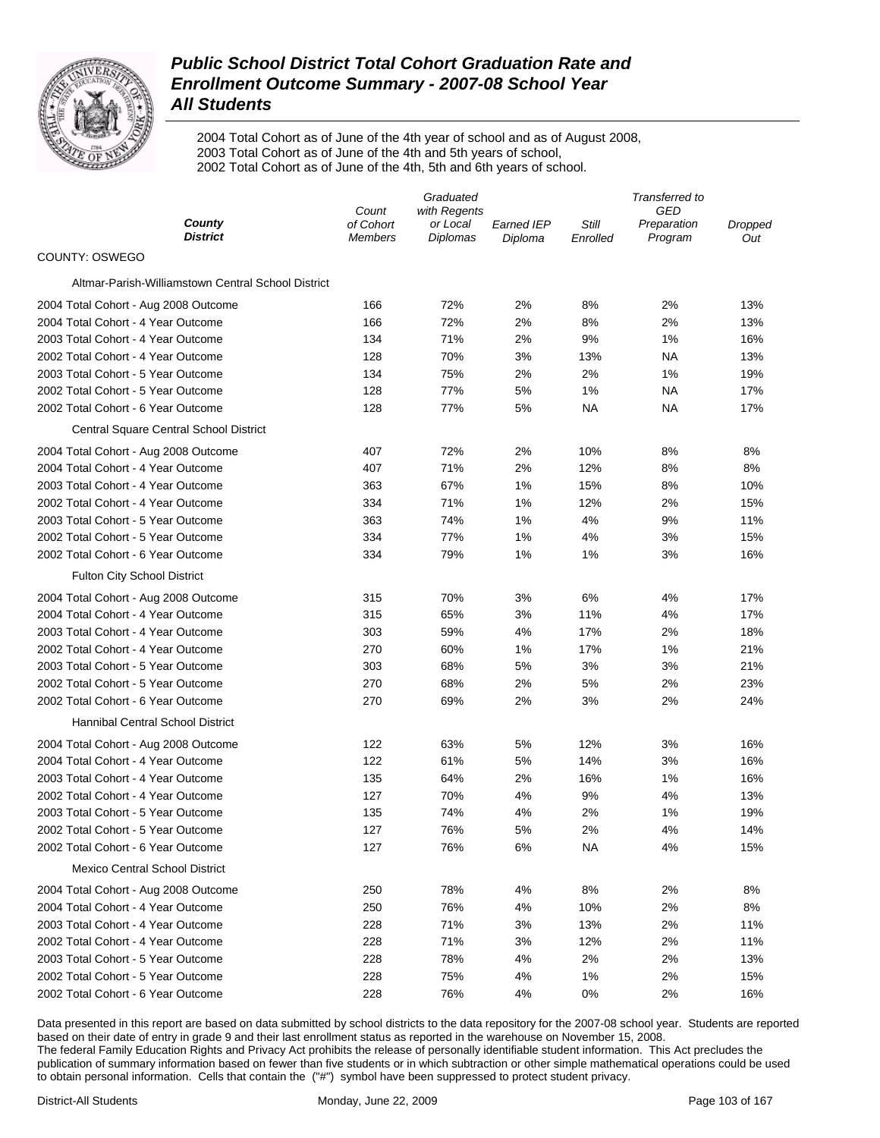

2004 Total Cohort as of June of the 4th year of school and as of August 2008, 2003 Total Cohort as of June of the 4th and 5th years of school, 2002 Total Cohort as of June of the 4th, 5th and 6th years of school.

|                                                    | Graduated          |                          |            | Transferred to |                           |         |
|----------------------------------------------------|--------------------|--------------------------|------------|----------------|---------------------------|---------|
| County                                             | Count<br>of Cohort | with Regents<br>or Local | Earned IEP | Still          | <b>GED</b><br>Preparation | Dropped |
| <b>District</b>                                    | <b>Members</b>     | Diplomas                 | Diploma    | Enrolled       | Program                   | Out     |
| COUNTY: OSWEGO                                     |                    |                          |            |                |                           |         |
| Altmar-Parish-Williamstown Central School District |                    |                          |            |                |                           |         |
| 2004 Total Cohort - Aug 2008 Outcome               | 166                | 72%                      | 2%         | 8%             | 2%                        | 13%     |
| 2004 Total Cohort - 4 Year Outcome                 | 166                | 72%                      | 2%         | 8%             | 2%                        | 13%     |
| 2003 Total Cohort - 4 Year Outcome                 | 134                | 71%                      | 2%         | 9%             | 1%                        | 16%     |
| 2002 Total Cohort - 4 Year Outcome                 | 128                | 70%                      | 3%         | 13%            | ΝA                        | 13%     |
| 2003 Total Cohort - 5 Year Outcome                 | 134                | 75%                      | 2%         | 2%             | 1%                        | 19%     |
| 2002 Total Cohort - 5 Year Outcome                 | 128                | 77%                      | 5%         | 1%             | ΝA                        | 17%     |
| 2002 Total Cohort - 6 Year Outcome                 | 128                | 77%                      | 5%         | ΝA             | ΝA                        | 17%     |
| Central Square Central School District             |                    |                          |            |                |                           |         |
| 2004 Total Cohort - Aug 2008 Outcome               | 407                | 72%                      | 2%         | 10%            | 8%                        | 8%      |
| 2004 Total Cohort - 4 Year Outcome                 | 407                | 71%                      | 2%         | 12%            | 8%                        | 8%      |
| 2003 Total Cohort - 4 Year Outcome                 | 363                | 67%                      | 1%         | 15%            | 8%                        | 10%     |
| 2002 Total Cohort - 4 Year Outcome                 | 334                | 71%                      | 1%         | 12%            | 2%                        | 15%     |
| 2003 Total Cohort - 5 Year Outcome                 | 363                | 74%                      | 1%         | 4%             | 9%                        | 11%     |
| 2002 Total Cohort - 5 Year Outcome                 | 334                | 77%                      | 1%         | 4%             | 3%                        | 15%     |
| 2002 Total Cohort - 6 Year Outcome                 | 334                | 79%                      | 1%         | 1%             | 3%                        | 16%     |
| <b>Fulton City School District</b>                 |                    |                          |            |                |                           |         |
| 2004 Total Cohort - Aug 2008 Outcome               | 315                | 70%                      | 3%         | 6%             | 4%                        | 17%     |
| 2004 Total Cohort - 4 Year Outcome                 | 315                | 65%                      | 3%         | 11%            | 4%                        | 17%     |
| 2003 Total Cohort - 4 Year Outcome                 | 303                | 59%                      | 4%         | 17%            | 2%                        | 18%     |
| 2002 Total Cohort - 4 Year Outcome                 | 270                | 60%                      | 1%         | 17%            | 1%                        | 21%     |
| 2003 Total Cohort - 5 Year Outcome                 | 303                | 68%                      | 5%         | 3%             | 3%                        | 21%     |
| 2002 Total Cohort - 5 Year Outcome                 | 270                | 68%                      | 2%         | 5%             | 2%                        | 23%     |
| 2002 Total Cohort - 6 Year Outcome                 | 270                | 69%                      | 2%         | 3%             | 2%                        | 24%     |
| Hannibal Central School District                   |                    |                          |            |                |                           |         |
| 2004 Total Cohort - Aug 2008 Outcome               | 122                | 63%                      | 5%         | 12%            | 3%                        | 16%     |
| 2004 Total Cohort - 4 Year Outcome                 | 122                | 61%                      | 5%         | 14%            | 3%                        | 16%     |
| 2003 Total Cohort - 4 Year Outcome                 | 135                | 64%                      | 2%         | 16%            | 1%                        | 16%     |
| 2002 Total Cohort - 4 Year Outcome                 | 127                | 70%                      | 4%         | 9%             | 4%                        | 13%     |
| 2003 Total Cohort - 5 Year Outcome                 | 135                | 74%                      | 4%         | 2%             | 1%                        | 19%     |
| 2002 Total Cohort - 5 Year Outcome                 | 127                | 76%                      | 5%         | 2%             | 4%                        | 14%     |
| 2002 Total Cohort - 6 Year Outcome                 | 127                | 76%                      | 6%         | ΝA             | 4%                        | 15%     |
| <b>Mexico Central School District</b>              |                    |                          |            |                |                           |         |
| 2004 Total Cohort - Aug 2008 Outcome               | 250                | 78%                      | 4%         | 8%             | 2%                        | 8%      |
| 2004 Total Cohort - 4 Year Outcome                 | 250                | 76%                      | 4%         | 10%            | 2%                        | 8%      |
| 2003 Total Cohort - 4 Year Outcome                 | 228                | 71%                      | 3%         | 13%            | 2%                        | 11%     |
| 2002 Total Cohort - 4 Year Outcome                 | 228                | 71%                      | 3%         | 12%            | 2%                        | 11%     |
| 2003 Total Cohort - 5 Year Outcome                 | 228                | 78%                      | 4%         | 2%             | 2%                        | 13%     |
| 2002 Total Cohort - 5 Year Outcome                 | 228                | 75%                      | 4%         | 1%             | 2%                        | 15%     |
| 2002 Total Cohort - 6 Year Outcome                 | 228                | 76%                      | 4%         | 0%             | 2%                        | 16%     |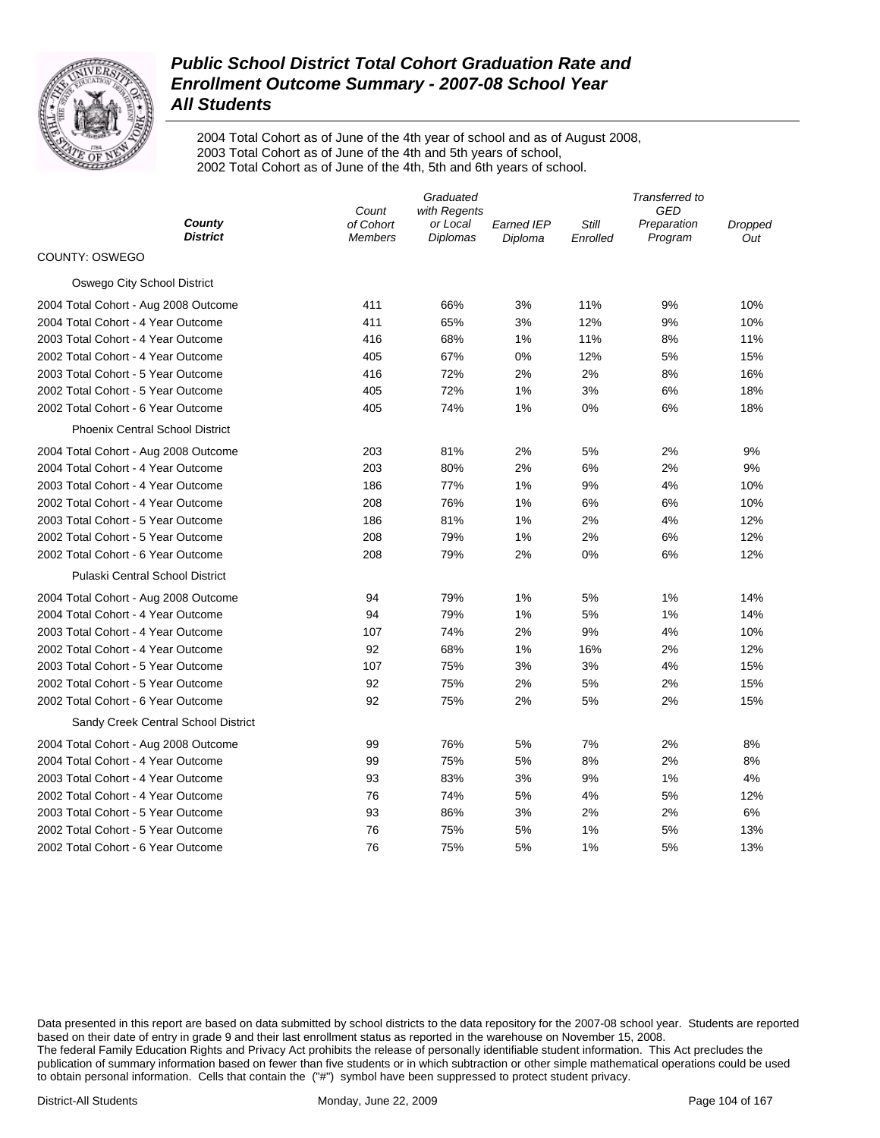

2004 Total Cohort as of June of the 4th year of school and as of August 2008, 2003 Total Cohort as of June of the 4th and 5th years of school, 2002 Total Cohort as of June of the 4th, 5th and 6th years of school.

|                                        | Count          | Transferred to<br><b>GED</b> |                   |          |             |         |
|----------------------------------------|----------------|------------------------------|-------------------|----------|-------------|---------|
| County<br><b>District</b>              | of Cohort      | with Regents<br>or Local     | <b>Earned IEP</b> | Still    | Preparation | Dropped |
| COUNTY: OSWEGO                         | <b>Members</b> | Diplomas                     | Diploma           | Enrolled | Program     | Out     |
|                                        |                |                              |                   |          |             |         |
| Oswego City School District            |                |                              |                   |          |             |         |
| 2004 Total Cohort - Aug 2008 Outcome   | 411            | 66%                          | 3%                | 11%      | 9%          | 10%     |
| 2004 Total Cohort - 4 Year Outcome     | 411            | 65%                          | 3%                | 12%      | 9%          | 10%     |
| 2003 Total Cohort - 4 Year Outcome     | 416            | 68%                          | 1%                | 11%      | 8%          | 11%     |
| 2002 Total Cohort - 4 Year Outcome     | 405            | 67%                          | 0%                | 12%      | 5%          | 15%     |
| 2003 Total Cohort - 5 Year Outcome     | 416            | 72%                          | 2%                | 2%       | 8%          | 16%     |
| 2002 Total Cohort - 5 Year Outcome     | 405            | 72%                          | 1%                | 3%       | 6%          | 18%     |
| 2002 Total Cohort - 6 Year Outcome     | 405            | 74%                          | 1%                | 0%       | 6%          | 18%     |
| <b>Phoenix Central School District</b> |                |                              |                   |          |             |         |
| 2004 Total Cohort - Aug 2008 Outcome   | 203            | 81%                          | 2%                | 5%       | 2%          | 9%      |
| 2004 Total Cohort - 4 Year Outcome     | 203            | 80%                          | 2%                | 6%       | 2%          | 9%      |
| 2003 Total Cohort - 4 Year Outcome     | 186            | 77%                          | 1%                | 9%       | 4%          | 10%     |
| 2002 Total Cohort - 4 Year Outcome     | 208            | 76%                          | 1%                | 6%       | 6%          | 10%     |
| 2003 Total Cohort - 5 Year Outcome     | 186            | 81%                          | 1%                | 2%       | 4%          | 12%     |
| 2002 Total Cohort - 5 Year Outcome     | 208            | 79%                          | 1%                | 2%       | 6%          | 12%     |
| 2002 Total Cohort - 6 Year Outcome     | 208            | 79%                          | 2%                | 0%       | 6%          | 12%     |
| <b>Pulaski Central School District</b> |                |                              |                   |          |             |         |
| 2004 Total Cohort - Aug 2008 Outcome   | 94             | 79%                          | 1%                | 5%       | 1%          | 14%     |
| 2004 Total Cohort - 4 Year Outcome     | 94             | 79%                          | 1%                | 5%       | 1%          | 14%     |
| 2003 Total Cohort - 4 Year Outcome     | 107            | 74%                          | 2%                | 9%       | 4%          | 10%     |
| 2002 Total Cohort - 4 Year Outcome     | 92             | 68%                          | 1%                | 16%      | 2%          | 12%     |
| 2003 Total Cohort - 5 Year Outcome     | 107            | 75%                          | 3%                | 3%       | 4%          | 15%     |
| 2002 Total Cohort - 5 Year Outcome     | 92             | 75%                          | 2%                | 5%       | 2%          | 15%     |
| 2002 Total Cohort - 6 Year Outcome     | 92             | 75%                          | 2%                | 5%       | 2%          | 15%     |
| Sandy Creek Central School District    |                |                              |                   |          |             |         |
| 2004 Total Cohort - Aug 2008 Outcome   | 99             | 76%                          | 5%                | 7%       | 2%          | 8%      |
| 2004 Total Cohort - 4 Year Outcome     | 99             | 75%                          | 5%                | 8%       | 2%          | 8%      |
| 2003 Total Cohort - 4 Year Outcome     | 93             | 83%                          | 3%                | 9%       | 1%          | 4%      |
| 2002 Total Cohort - 4 Year Outcome     | 76             | 74%                          | 5%                | 4%       | 5%          | 12%     |
| 2003 Total Cohort - 5 Year Outcome     | 93             | 86%                          | 3%                | 2%       | 2%          | 6%      |
| 2002 Total Cohort - 5 Year Outcome     | 76             | 75%                          | 5%                | 1%       | 5%          | 13%     |
| 2002 Total Cohort - 6 Year Outcome     | 76             | 75%                          | 5%                | 1%       | 5%          | 13%     |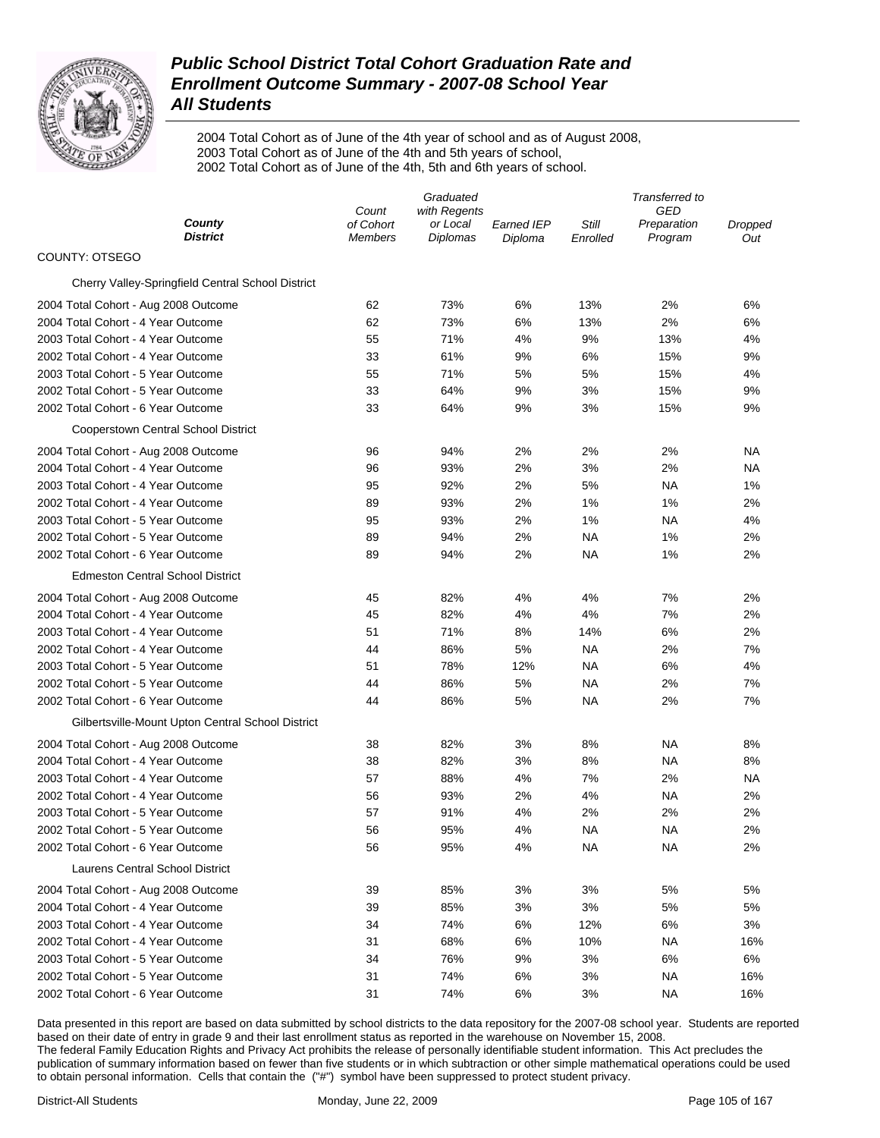

2004 Total Cohort as of June of the 4th year of school and as of August 2008, 2003 Total Cohort as of June of the 4th and 5th years of school, 2002 Total Cohort as of June of the 4th, 5th and 6th years of school.

|                                                   | Graduated                            |                                             |                       | Transferred to    |                               |                |
|---------------------------------------------------|--------------------------------------|---------------------------------------------|-----------------------|-------------------|-------------------------------|----------------|
| County<br><b>District</b>                         | Count<br>of Cohort<br><b>Members</b> | with Regents<br>or Local<br><b>Diplomas</b> | Earned IEP<br>Diploma | Still<br>Enrolled | GED<br>Preparation<br>Program | Dropped<br>Out |
| COUNTY: OTSEGO                                    |                                      |                                             |                       |                   |                               |                |
| Cherry Valley-Springfield Central School District |                                      |                                             |                       |                   |                               |                |
| 2004 Total Cohort - Aug 2008 Outcome              | 62                                   | 73%                                         | 6%                    | 13%               | 2%                            | 6%             |
| 2004 Total Cohort - 4 Year Outcome                | 62                                   | 73%                                         | 6%                    | 13%               | 2%                            | 6%             |
| 2003 Total Cohort - 4 Year Outcome                | 55                                   | 71%                                         | 4%                    | 9%                | 13%                           | 4%             |
| 2002 Total Cohort - 4 Year Outcome                | 33                                   | 61%                                         | 9%                    | 6%                | 15%                           | 9%             |
| 2003 Total Cohort - 5 Year Outcome                | 55                                   | 71%                                         | 5%                    | 5%                | 15%                           | 4%             |
| 2002 Total Cohort - 5 Year Outcome                | 33                                   | 64%                                         | 9%                    | 3%                | 15%                           | 9%             |
| 2002 Total Cohort - 6 Year Outcome                | 33                                   | 64%                                         | 9%                    | 3%                | 15%                           | 9%             |
| Cooperstown Central School District               |                                      |                                             |                       |                   |                               |                |
| 2004 Total Cohort - Aug 2008 Outcome              | 96                                   | 94%                                         | 2%                    | 2%                | 2%                            | NА             |
| 2004 Total Cohort - 4 Year Outcome                | 96                                   | 93%                                         | 2%                    | 3%                | 2%                            | <b>NA</b>      |
| 2003 Total Cohort - 4 Year Outcome                | 95                                   | 92%                                         | 2%                    | 5%                | NA                            | 1%             |
| 2002 Total Cohort - 4 Year Outcome                | 89                                   | 93%                                         | 2%                    | 1%                | 1%                            | 2%             |
| 2003 Total Cohort - 5 Year Outcome                | 95                                   | 93%                                         | 2%                    | 1%                | <b>NA</b>                     | 4%             |
| 2002 Total Cohort - 5 Year Outcome                | 89                                   | 94%                                         | 2%                    | NA                | 1%                            | 2%             |
| 2002 Total Cohort - 6 Year Outcome                | 89                                   | 94%                                         | 2%                    | <b>NA</b>         | 1%                            | 2%             |
| <b>Edmeston Central School District</b>           |                                      |                                             |                       |                   |                               |                |
| 2004 Total Cohort - Aug 2008 Outcome              | 45                                   | 82%                                         | 4%                    | 4%                | 7%                            | 2%             |
| 2004 Total Cohort - 4 Year Outcome                | 45                                   | 82%                                         | 4%                    | 4%                | 7%                            | 2%             |
| 2003 Total Cohort - 4 Year Outcome                | 51                                   | 71%                                         | 8%                    | 14%               | 6%                            | 2%             |
| 2002 Total Cohort - 4 Year Outcome                | 44                                   | 86%                                         | 5%                    | NA                | 2%                            | 7%             |
| 2003 Total Cohort - 5 Year Outcome                | 51                                   | 78%                                         | 12%                   | NA                | 6%                            | 4%             |
| 2002 Total Cohort - 5 Year Outcome                | 44                                   | 86%                                         | 5%                    | NA                | 2%                            | 7%             |
| 2002 Total Cohort - 6 Year Outcome                | 44                                   | 86%                                         | 5%                    | NA                | 2%                            | 7%             |
| Gilbertsville-Mount Upton Central School District |                                      |                                             |                       |                   |                               |                |
| 2004 Total Cohort - Aug 2008 Outcome              | 38                                   | 82%                                         | 3%                    | 8%                | NA                            | 8%             |
| 2004 Total Cohort - 4 Year Outcome                | 38                                   | 82%                                         | 3%                    | 8%                | NA                            | 8%             |
| 2003 Total Cohort - 4 Year Outcome                | 57                                   | 88%                                         | 4%                    | 7%                | 2%                            | NA             |
| 2002 Total Cohort - 4 Year Outcome                | 56                                   | 93%                                         | 2%                    | 4%                | NA                            | 2%             |
| 2003 Total Cohort - 5 Year Outcome                | 57                                   | 91%                                         | 4%                    | 2%                | 2%                            | 2%             |
| 2002 Total Cohort - 5 Year Outcome                | 56                                   | 95%                                         | 4%                    | <b>NA</b>         | NA                            | 2%             |
| 2002 Total Cohort - 6 Year Outcome                | 56                                   | 95%                                         | 4%                    | ΝA                | ΝA                            | 2%             |
| Laurens Central School District                   |                                      |                                             |                       |                   |                               |                |
| 2004 Total Cohort - Aug 2008 Outcome              | 39                                   | 85%                                         | 3%                    | 3%                | 5%                            | 5%             |
| 2004 Total Cohort - 4 Year Outcome                | 39                                   | 85%                                         | 3%                    | 3%                | 5%                            | 5%             |
| 2003 Total Cohort - 4 Year Outcome                | 34                                   | 74%                                         | 6%                    | 12%               | 6%                            | 3%             |
| 2002 Total Cohort - 4 Year Outcome                | 31                                   | 68%                                         | 6%                    | 10%               | <b>NA</b>                     | 16%            |
| 2003 Total Cohort - 5 Year Outcome                | 34                                   | 76%                                         | 9%                    | 3%                | 6%                            | 6%             |
| 2002 Total Cohort - 5 Year Outcome                | 31                                   | 74%                                         | 6%                    | 3%                | <b>NA</b>                     | 16%            |
| 2002 Total Cohort - 6 Year Outcome                | 31                                   | 74%                                         | 6%                    | 3%                | <b>NA</b>                     | 16%            |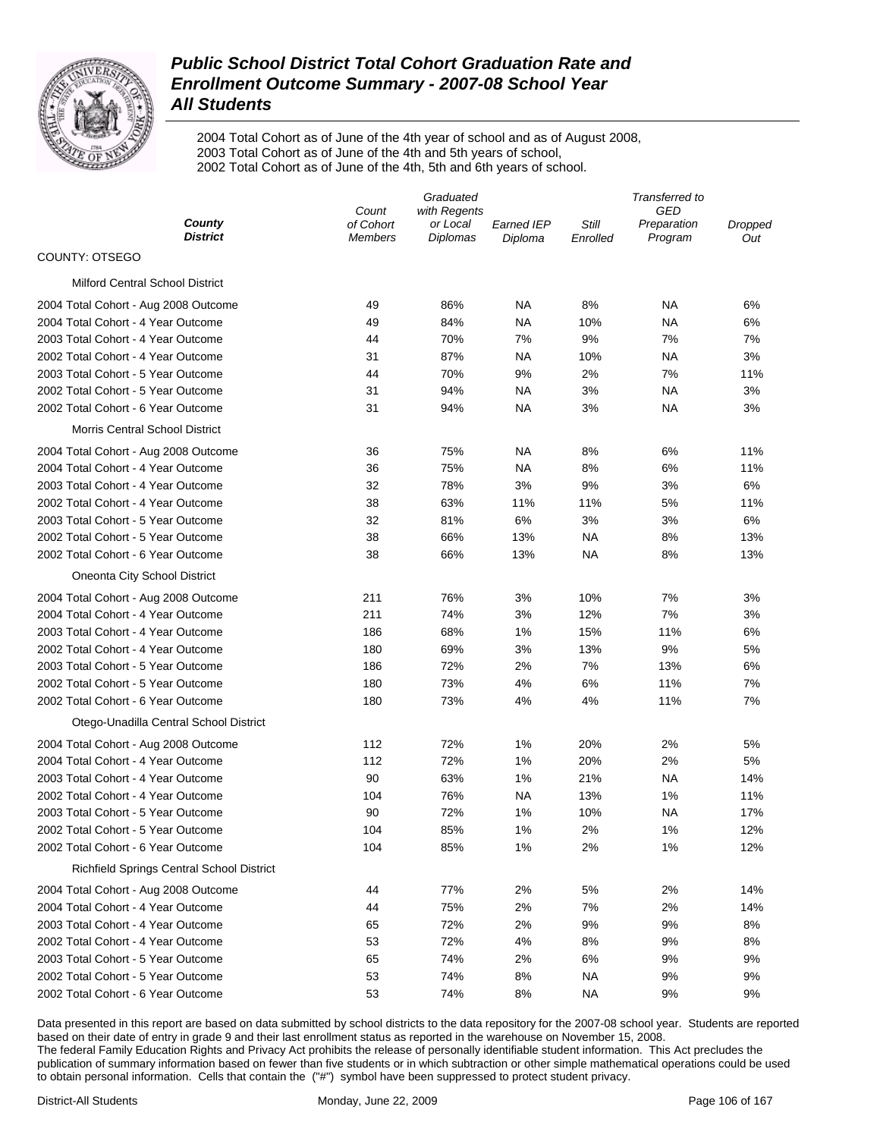

2004 Total Cohort as of June of the 4th year of school and as of August 2008, 2003 Total Cohort as of June of the 4th and 5th years of school, 2002 Total Cohort as of June of the 4th, 5th and 6th years of school.

|                                           |                    | Graduated                | Transferred to    |           |                    |         |
|-------------------------------------------|--------------------|--------------------------|-------------------|-----------|--------------------|---------|
| County                                    | Count<br>of Cohort | with Regents<br>or Local | <b>Earned IEP</b> | Still     | GED<br>Preparation | Dropped |
| <b>District</b>                           | Members            | Diplomas                 | Diploma           | Enrolled  | Program            | Out     |
| COUNTY: OTSEGO                            |                    |                          |                   |           |                    |         |
| <b>Milford Central School District</b>    |                    |                          |                   |           |                    |         |
| 2004 Total Cohort - Aug 2008 Outcome      | 49                 | 86%                      | NA                | 8%        | NA                 | 6%      |
| 2004 Total Cohort - 4 Year Outcome        | 49                 | 84%                      | NA                | 10%       | NA                 | 6%      |
| 2003 Total Cohort - 4 Year Outcome        | 44                 | 70%                      | 7%                | 9%        | 7%                 | 7%      |
| 2002 Total Cohort - 4 Year Outcome        | 31                 | 87%                      | NA                | 10%       | NA                 | 3%      |
| 2003 Total Cohort - 5 Year Outcome        | 44                 | 70%                      | 9%                | 2%        | 7%                 | 11%     |
| 2002 Total Cohort - 5 Year Outcome        | 31                 | 94%                      | <b>NA</b>         | 3%        | <b>NA</b>          | 3%      |
| 2002 Total Cohort - 6 Year Outcome        | 31                 | 94%                      | NA                | 3%        | NA                 | 3%      |
| Morris Central School District            |                    |                          |                   |           |                    |         |
| 2004 Total Cohort - Aug 2008 Outcome      | 36                 | 75%                      | <b>NA</b>         | 8%        | 6%                 | 11%     |
| 2004 Total Cohort - 4 Year Outcome        | 36                 | 75%                      | ΝA                | 8%        | 6%                 | 11%     |
| 2003 Total Cohort - 4 Year Outcome        | 32                 | 78%                      | 3%                | 9%        | 3%                 | 6%      |
| 2002 Total Cohort - 4 Year Outcome        | 38                 | 63%                      | 11%               | 11%       | 5%                 | 11%     |
| 2003 Total Cohort - 5 Year Outcome        | 32                 | 81%                      | 6%                | 3%        | 3%                 | 6%      |
| 2002 Total Cohort - 5 Year Outcome        | 38                 | 66%                      | 13%               | <b>NA</b> | 8%                 | 13%     |
| 2002 Total Cohort - 6 Year Outcome        | 38                 | 66%                      | 13%               | NA        | 8%                 | 13%     |
| Oneonta City School District              |                    |                          |                   |           |                    |         |
| 2004 Total Cohort - Aug 2008 Outcome      | 211                | 76%                      | 3%                | 10%       | 7%                 | 3%      |
| 2004 Total Cohort - 4 Year Outcome        | 211                | 74%                      | 3%                | 12%       | 7%                 | 3%      |
| 2003 Total Cohort - 4 Year Outcome        | 186                | 68%                      | 1%                | 15%       | 11%                | 6%      |
| 2002 Total Cohort - 4 Year Outcome        | 180                | 69%                      | 3%                | 13%       | 9%                 | 5%      |
| 2003 Total Cohort - 5 Year Outcome        | 186                | 72%                      | 2%                | 7%        | 13%                | 6%      |
| 2002 Total Cohort - 5 Year Outcome        | 180                | 73%                      | 4%                | 6%        | 11%                | 7%      |
| 2002 Total Cohort - 6 Year Outcome        | 180                | 73%                      | 4%                | 4%        | 11%                | 7%      |
| Otego-Unadilla Central School District    |                    |                          |                   |           |                    |         |
| 2004 Total Cohort - Aug 2008 Outcome      | 112                | 72%                      | 1%                | 20%       | 2%                 | 5%      |
| 2004 Total Cohort - 4 Year Outcome        | 112                | 72%                      | 1%                | 20%       | 2%                 | 5%      |
| 2003 Total Cohort - 4 Year Outcome        | 90                 | 63%                      | 1%                | 21%       | NA                 | 14%     |
| 2002 Total Cohort - 4 Year Outcome        | 104                | 76%                      | NA                | 13%       | 1%                 | 11%     |
| 2003 Total Cohort - 5 Year Outcome        | 90                 | 72%                      | 1%                | 10%       | NA                 | 17%     |
| 2002 Total Cohort - 5 Year Outcome        | 104                | 85%                      | 1%                | 2%        | 1%                 | 12%     |
| 2002 Total Cohort - 6 Year Outcome        | 104                | 85%                      | 1%                | 2%        | 1%                 | 12%     |
| Richfield Springs Central School District |                    |                          |                   |           |                    |         |
| 2004 Total Cohort - Aug 2008 Outcome      | 44                 | 77%                      | 2%                | 5%        | 2%                 | 14%     |
| 2004 Total Cohort - 4 Year Outcome        | 44                 | 75%                      | 2%                | 7%        | 2%                 | 14%     |
| 2003 Total Cohort - 4 Year Outcome        | 65                 | 72%                      | 2%                | 9%        | 9%                 | 8%      |
| 2002 Total Cohort - 4 Year Outcome        | 53                 | 72%                      | 4%                | 8%        | 9%                 | 8%      |
| 2003 Total Cohort - 5 Year Outcome        | 65                 | 74%                      | 2%                | 6%        | 9%                 | 9%      |
| 2002 Total Cohort - 5 Year Outcome        | 53                 | 74%                      | 8%                | ΝA        | 9%                 | 9%      |
| 2002 Total Cohort - 6 Year Outcome        | 53                 | 74%                      | 8%                | NA        | 9%                 | 9%      |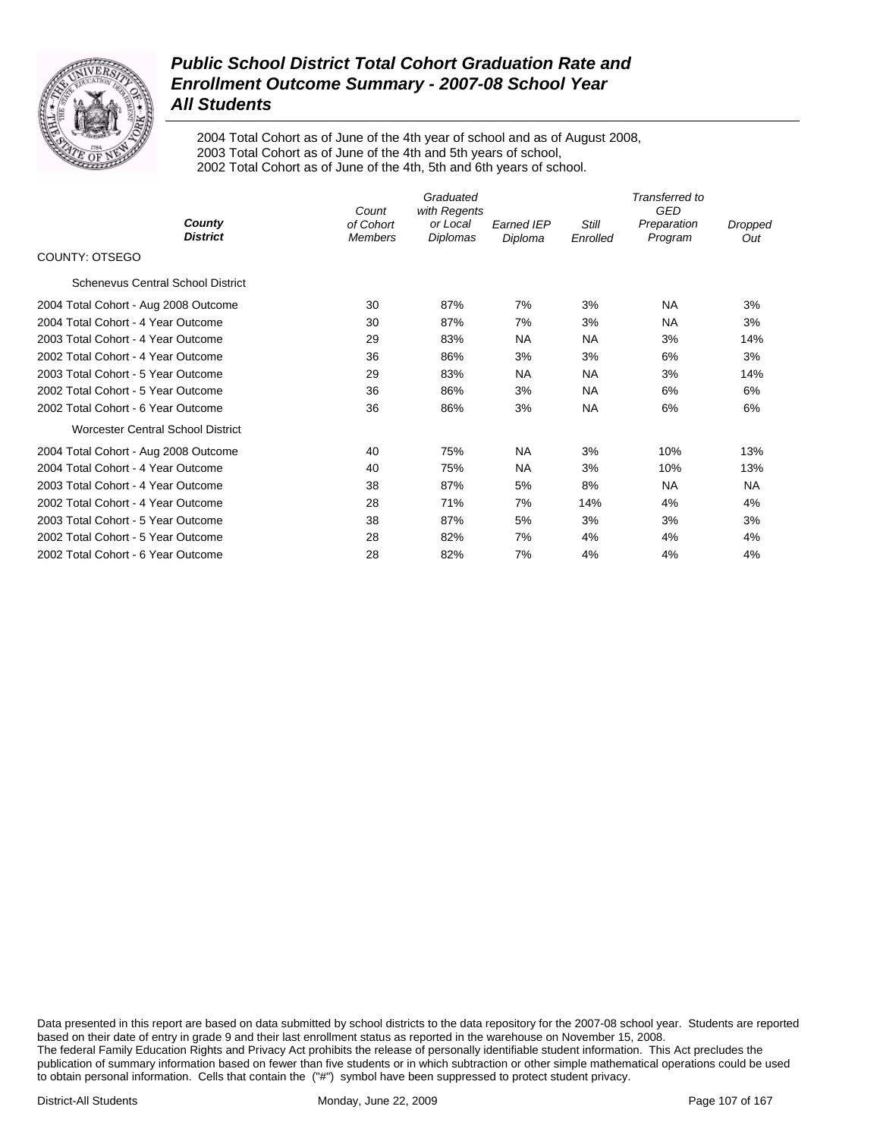

2004 Total Cohort as of June of the 4th year of school and as of August 2008, 2003 Total Cohort as of June of the 4th and 5th years of school, 2002 Total Cohort as of June of the 4th, 5th and 6th years of school.

|                                          |                                      | Transferred to<br><b>GED</b>         |                              |                          |                        |                |
|------------------------------------------|--------------------------------------|--------------------------------------|------------------------------|--------------------------|------------------------|----------------|
| County<br><b>District</b>                | Count<br>of Cohort<br><b>Members</b> | with Regents<br>or Local<br>Diplomas | <b>Earned IEP</b><br>Diploma | <b>Still</b><br>Enrolled | Preparation<br>Program | Dropped<br>Out |
| COUNTY: OTSEGO                           |                                      |                                      |                              |                          |                        |                |
| <b>Schenevus Central School District</b> |                                      |                                      |                              |                          |                        |                |
| 2004 Total Cohort - Aug 2008 Outcome     | 30                                   | 87%                                  | 7%                           | 3%                       | <b>NA</b>              | 3%             |
| 2004 Total Cohort - 4 Year Outcome       | 30                                   | 87%                                  | 7%                           | 3%                       | <b>NA</b>              | 3%             |
| 2003 Total Cohort - 4 Year Outcome       | 29                                   | 83%                                  | <b>NA</b>                    | <b>NA</b>                | 3%                     | 14%            |
| 2002 Total Cohort - 4 Year Outcome       | 36                                   | 86%                                  | 3%                           | 3%                       | 6%                     | 3%             |
| 2003 Total Cohort - 5 Year Outcome       | 29                                   | 83%                                  | <b>NA</b>                    | <b>NA</b>                | 3%                     | 14%            |
| 2002 Total Cohort - 5 Year Outcome       | 36                                   | 86%                                  | 3%                           | <b>NA</b>                | 6%                     | 6%             |
| 2002 Total Cohort - 6 Year Outcome       | 36                                   | 86%                                  | 3%                           | <b>NA</b>                | 6%                     | 6%             |
| <b>Worcester Central School District</b> |                                      |                                      |                              |                          |                        |                |
| 2004 Total Cohort - Aug 2008 Outcome     | 40                                   | 75%                                  | <b>NA</b>                    | 3%                       | 10%                    | 13%            |
| 2004 Total Cohort - 4 Year Outcome       | 40                                   | 75%                                  | <b>NA</b>                    | 3%                       | 10%                    | 13%            |
| 2003 Total Cohort - 4 Year Outcome       | 38                                   | 87%                                  | 5%                           | 8%                       | <b>NA</b>              | <b>NA</b>      |
| 2002 Total Cohort - 4 Year Outcome       | 28                                   | 71%                                  | 7%                           | 14%                      | 4%                     | 4%             |
| 2003 Total Cohort - 5 Year Outcome       | 38                                   | 87%                                  | 5%                           | 3%                       | 3%                     | 3%             |
| 2002 Total Cohort - 5 Year Outcome       | 28                                   | 82%                                  | 7%                           | 4%                       | 4%                     | 4%             |
| 2002 Total Cohort - 6 Year Outcome       | 28                                   | 82%                                  | 7%                           | 4%                       | 4%                     | 4%             |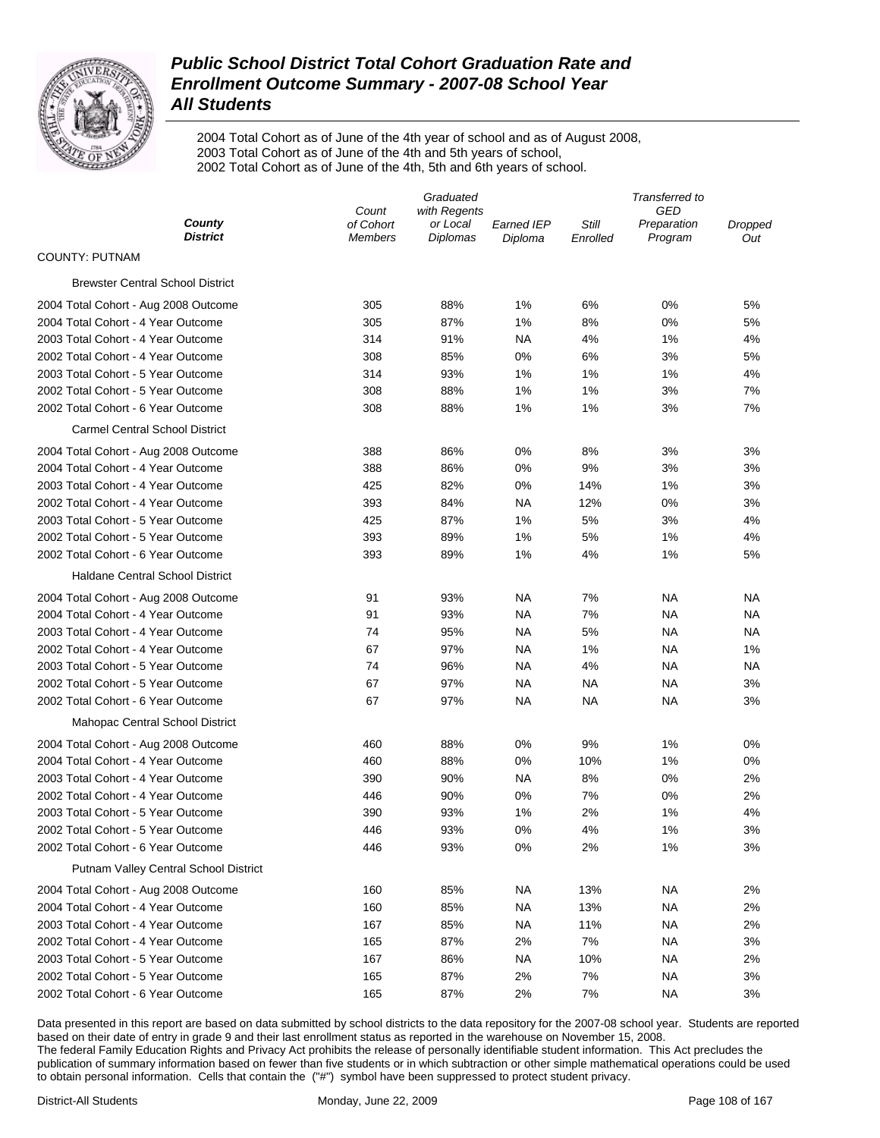

2004 Total Cohort as of June of the 4th year of school and as of August 2008, 2003 Total Cohort as of June of the 4th and 5th years of school, 2002 Total Cohort as of June of the 4th, 5th and 6th years of school.

|                                              | Graduated                   |                             |                       | Transferred to    |                        |                |  |
|----------------------------------------------|-----------------------------|-----------------------------|-----------------------|-------------------|------------------------|----------------|--|
|                                              | Count                       | with Regents                |                       |                   | GED                    |                |  |
| County<br><b>District</b>                    | of Cohort<br><b>Members</b> | or Local<br><b>Diplomas</b> | Earned IEP<br>Diploma | Still<br>Enrolled | Preparation<br>Program | Dropped<br>Out |  |
| <b>COUNTY: PUTNAM</b>                        |                             |                             |                       |                   |                        |                |  |
| <b>Brewster Central School District</b>      |                             |                             |                       |                   |                        |                |  |
| 2004 Total Cohort - Aug 2008 Outcome         | 305                         | 88%                         | 1%                    | 6%                | 0%                     | 5%             |  |
| 2004 Total Cohort - 4 Year Outcome           | 305                         | 87%                         | 1%                    | 8%                | 0%                     | 5%             |  |
| 2003 Total Cohort - 4 Year Outcome           | 314                         | 91%                         | NA                    | 4%                | 1%                     | 4%             |  |
| 2002 Total Cohort - 4 Year Outcome           | 308                         | 85%                         | 0%                    | 6%                | 3%                     | 5%             |  |
| 2003 Total Cohort - 5 Year Outcome           | 314                         | 93%                         | 1%                    | 1%                | 1%                     | 4%             |  |
| 2002 Total Cohort - 5 Year Outcome           | 308                         | 88%                         | 1%                    | 1%                | 3%                     | 7%             |  |
| 2002 Total Cohort - 6 Year Outcome           | 308                         | 88%                         | 1%                    | 1%                | 3%                     | 7%             |  |
| <b>Carmel Central School District</b>        |                             |                             |                       |                   |                        |                |  |
| 2004 Total Cohort - Aug 2008 Outcome         | 388                         | 86%                         | 0%                    | 8%                | 3%                     | 3%             |  |
| 2004 Total Cohort - 4 Year Outcome           | 388                         | 86%                         | 0%                    | 9%                | 3%                     | 3%             |  |
| 2003 Total Cohort - 4 Year Outcome           | 425                         | 82%                         | 0%                    | 14%               | 1%                     | 3%             |  |
| 2002 Total Cohort - 4 Year Outcome           | 393                         | 84%                         | NA                    | 12%               | 0%                     | 3%             |  |
| 2003 Total Cohort - 5 Year Outcome           | 425                         | 87%                         | 1%                    | 5%                | 3%                     | 4%             |  |
| 2002 Total Cohort - 5 Year Outcome           | 393                         | 89%                         | 1%                    | 5%                | 1%                     | 4%             |  |
| 2002 Total Cohort - 6 Year Outcome           | 393                         | 89%                         | 1%                    | 4%                | 1%                     | 5%             |  |
| <b>Haldane Central School District</b>       |                             |                             |                       |                   |                        |                |  |
| 2004 Total Cohort - Aug 2008 Outcome         | 91                          | 93%                         | <b>NA</b>             | 7%                | ΝA                     | NA             |  |
| 2004 Total Cohort - 4 Year Outcome           | 91                          | 93%                         | NA                    | 7%                | ΝA                     | ΝA             |  |
| 2003 Total Cohort - 4 Year Outcome           | 74                          | 95%                         | NA                    | 5%                | ΝA                     | ΝA             |  |
| 2002 Total Cohort - 4 Year Outcome           | 67                          | 97%                         | NA                    | 1%                | ΝA                     | 1%             |  |
| 2003 Total Cohort - 5 Year Outcome           | 74                          | 96%                         | <b>NA</b>             | 4%                | ΝA                     | ΝA             |  |
| 2002 Total Cohort - 5 Year Outcome           | 67                          | 97%                         | NA                    | ΝA                | ΝA                     | 3%             |  |
| 2002 Total Cohort - 6 Year Outcome           | 67                          | 97%                         | NA                    | ΝA                | ΝA                     | 3%             |  |
| Mahopac Central School District              |                             |                             |                       |                   |                        |                |  |
| 2004 Total Cohort - Aug 2008 Outcome         | 460                         | 88%                         | 0%                    | 9%                | 1%                     | 0%             |  |
| 2004 Total Cohort - 4 Year Outcome           | 460                         | 88%                         | 0%                    | 10%               | 1%                     | 0%             |  |
| 2003 Total Cohort - 4 Year Outcome           | 390                         | 90%                         | <b>NA</b>             | 8%                | 0%                     | 2%             |  |
| 2002 Total Cohort - 4 Year Outcome           | 446                         | 90%                         | 0%                    | 7%                | 0%                     | 2%             |  |
| 2003 Total Cohort - 5 Year Outcome           | 390                         | 93%                         | 1%                    | 2%                | 1%                     | 4%             |  |
| 2002 Total Cohort - 5 Year Outcome           | 446                         | 93%                         | 0%                    | 4%                | 1%                     | 3%             |  |
| 2002 Total Cohort - 6 Year Outcome           | 446                         | 93%                         | 0%                    | 2%                | 1%                     | 3%             |  |
| <b>Putnam Valley Central School District</b> |                             |                             |                       |                   |                        |                |  |
| 2004 Total Cohort - Aug 2008 Outcome         | 160                         | 85%                         | NA.                   | 13%               | ΝA                     | 2%             |  |
| 2004 Total Cohort - 4 Year Outcome           | 160                         | 85%                         | NA                    | 13%               | ΝA                     | 2%             |  |
| 2003 Total Cohort - 4 Year Outcome           | 167                         | 85%                         | NA                    | 11%               | ΝA                     | 2%             |  |
| 2002 Total Cohort - 4 Year Outcome           | 165                         | 87%                         | 2%                    | 7%                | ΝA                     | 3%             |  |
| 2003 Total Cohort - 5 Year Outcome           | 167                         | 86%                         | NA.                   | 10%               | ΝA                     | 2%             |  |
| 2002 Total Cohort - 5 Year Outcome           | 165                         | 87%                         | 2%                    | 7%                | ΝA                     | 3%             |  |
| 2002 Total Cohort - 6 Year Outcome           | 165                         | 87%                         | 2%                    | 7%                | ΝA                     | 3%             |  |
|                                              |                             |                             |                       |                   |                        |                |  |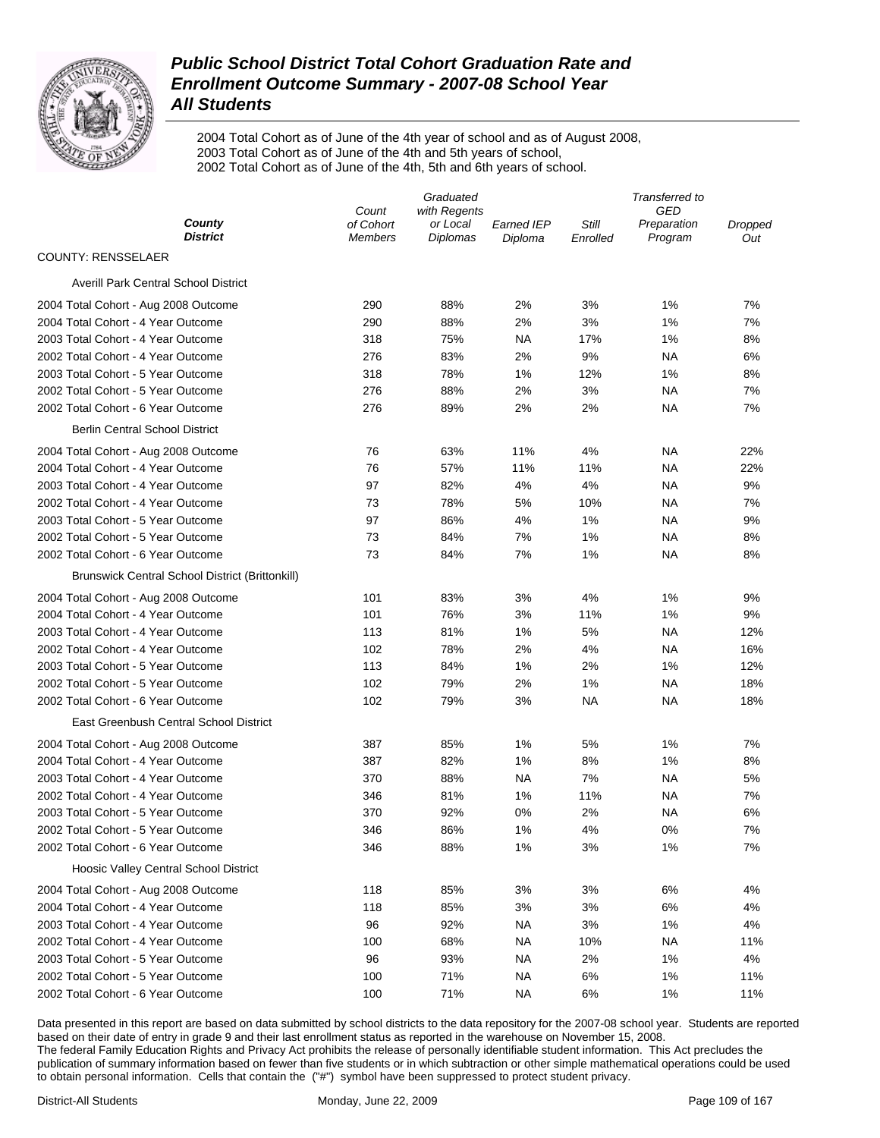

2004 Total Cohort as of June of the 4th year of school and as of August 2008, 2003 Total Cohort as of June of the 4th and 5th years of school, 2002 Total Cohort as of June of the 4th, 5th and 6th years of school.

|                                                        | Graduated                   |                      |            | Transferred to    |                        |                |
|--------------------------------------------------------|-----------------------------|----------------------|------------|-------------------|------------------------|----------------|
| County                                                 | Count                       | with Regents         | Earned IEP |                   | GED                    |                |
| District                                               | of Cohort<br><b>Members</b> | or Local<br>Diplomas | Diploma    | Still<br>Enrolled | Preparation<br>Program | Dropped<br>Out |
| <b>COUNTY: RENSSELAER</b>                              |                             |                      |            |                   |                        |                |
| <b>Averill Park Central School District</b>            |                             |                      |            |                   |                        |                |
| 2004 Total Cohort - Aug 2008 Outcome                   | 290                         | 88%                  | 2%         | 3%                | 1%                     | 7%             |
| 2004 Total Cohort - 4 Year Outcome                     | 290                         | 88%                  | 2%         | 3%                | 1%                     | 7%             |
| 2003 Total Cohort - 4 Year Outcome                     | 318                         | 75%                  | ΝA         | 17%               | 1%                     | 8%             |
| 2002 Total Cohort - 4 Year Outcome                     | 276                         | 83%                  | 2%         | 9%                | NA                     | 6%             |
| 2003 Total Cohort - 5 Year Outcome                     | 318                         | 78%                  | 1%         | 12%               | 1%                     | 8%             |
| 2002 Total Cohort - 5 Year Outcome                     | 276                         | 88%                  | 2%         | 3%                | <b>NA</b>              | 7%             |
| 2002 Total Cohort - 6 Year Outcome                     | 276                         | 89%                  | 2%         | 2%                | <b>NA</b>              | 7%             |
| <b>Berlin Central School District</b>                  |                             |                      |            |                   |                        |                |
| 2004 Total Cohort - Aug 2008 Outcome                   | 76                          | 63%                  | 11%        | 4%                | NA                     | 22%            |
| 2004 Total Cohort - 4 Year Outcome                     | 76                          | 57%                  | 11%        | 11%               | NA                     | 22%            |
| 2003 Total Cohort - 4 Year Outcome                     | 97                          | 82%                  | 4%         | 4%                | <b>NA</b>              | 9%             |
| 2002 Total Cohort - 4 Year Outcome                     | 73                          | 78%                  | 5%         | 10%               | NA                     | 7%             |
| 2003 Total Cohort - 5 Year Outcome                     | 97                          | 86%                  | 4%         | 1%                | NA                     | 9%             |
| 2002 Total Cohort - 5 Year Outcome                     | 73                          | 84%                  | 7%         | 1%                | <b>NA</b>              | 8%             |
| 2002 Total Cohort - 6 Year Outcome                     | 73                          | 84%                  | 7%         | 1%                | <b>NA</b>              | 8%             |
| <b>Brunswick Central School District (Brittonkill)</b> |                             |                      |            |                   |                        |                |
| 2004 Total Cohort - Aug 2008 Outcome                   | 101                         | 83%                  | 3%         | 4%                | 1%                     | 9%             |
| 2004 Total Cohort - 4 Year Outcome                     | 101                         | 76%                  | 3%         | 11%               | 1%                     | 9%             |
| 2003 Total Cohort - 4 Year Outcome                     | 113                         | 81%                  | 1%         | 5%                | <b>NA</b>              | 12%            |
| 2002 Total Cohort - 4 Year Outcome                     | 102                         | 78%                  | 2%         | 4%                | NA                     | 16%            |
| 2003 Total Cohort - 5 Year Outcome                     | 113                         | 84%                  | 1%         | 2%                | 1%                     | 12%            |
| 2002 Total Cohort - 5 Year Outcome                     | 102                         | 79%                  | 2%         | 1%                | <b>NA</b>              | 18%            |
| 2002 Total Cohort - 6 Year Outcome                     | 102                         | 79%                  | 3%         | <b>NA</b>         | <b>NA</b>              | 18%            |
| East Greenbush Central School District                 |                             |                      |            |                   |                        |                |
| 2004 Total Cohort - Aug 2008 Outcome                   | 387                         | 85%                  | 1%         | 5%                | 1%                     | 7%             |
| 2004 Total Cohort - 4 Year Outcome                     | 387                         | 82%                  | 1%         | 8%                | 1%                     | 8%             |
| 2003 Total Cohort - 4 Year Outcome                     | 370                         | 88%                  | ΝA         | 7%                | NA                     | 5%             |
| 2002 Total Cohort - 4 Year Outcome                     | 346                         | 81%                  | 1%         | 11%               | NA                     | 7%             |
| 2003 Total Cohort - 5 Year Outcome                     | 370                         | 92%                  | 0%         | 2%                | NA                     | 6%             |
| 2002 Total Cohort - 5 Year Outcome                     | 346                         | 86%                  | 1%         | 4%                | 0%                     | 7%             |
| 2002 Total Cohort - 6 Year Outcome                     | 346                         | 88%                  | 1%         | 3%                | 1%                     | 7%             |
| <b>Hoosic Valley Central School District</b>           |                             |                      |            |                   |                        |                |
| 2004 Total Cohort - Aug 2008 Outcome                   | 118                         | 85%                  | 3%         | 3%                | 6%                     | 4%             |
| 2004 Total Cohort - 4 Year Outcome                     | 118                         | 85%                  | 3%         | 3%                | 6%                     | 4%             |
| 2003 Total Cohort - 4 Year Outcome                     | 96                          | 92%                  | <b>NA</b>  | 3%                | 1%                     | 4%             |
| 2002 Total Cohort - 4 Year Outcome                     | 100                         | 68%                  | <b>NA</b>  | 10%               | <b>NA</b>              | 11%            |
| 2003 Total Cohort - 5 Year Outcome                     | 96                          | 93%                  | <b>NA</b>  | 2%                | 1%                     | 4%             |
| 2002 Total Cohort - 5 Year Outcome                     | 100                         | 71%                  | <b>NA</b>  | 6%                | 1%                     | 11%            |
| 2002 Total Cohort - 6 Year Outcome                     | 100                         | 71%                  | <b>NA</b>  | 6%                | 1%                     | 11%            |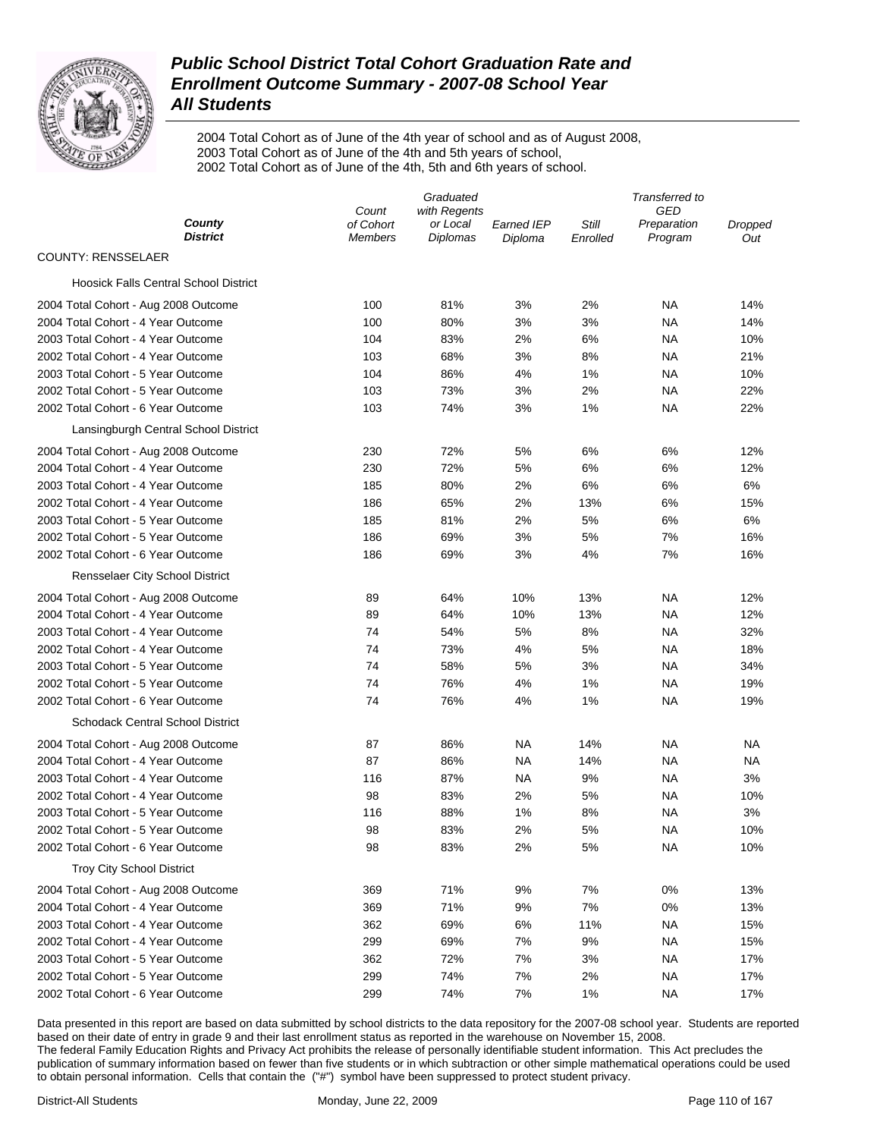

2004 Total Cohort as of June of the 4th year of school and as of August 2008, 2003 Total Cohort as of June of the 4th and 5th years of school, 2002 Total Cohort as of June of the 4th, 5th and 6th years of school.

|                                              | Graduated          |                          |                   | Transferred to |                        |                |
|----------------------------------------------|--------------------|--------------------------|-------------------|----------------|------------------------|----------------|
| County                                       | Count<br>of Cohort | with Regents<br>or Local | <b>Earned IEP</b> | Still          | GED                    |                |
| <b>District</b>                              | <b>Members</b>     | <b>Diplomas</b>          | Diploma           | Enrolled       | Preparation<br>Program | Dropped<br>Out |
| <b>COUNTY: RENSSELAER</b>                    |                    |                          |                   |                |                        |                |
| <b>Hoosick Falls Central School District</b> |                    |                          |                   |                |                        |                |
| 2004 Total Cohort - Aug 2008 Outcome         | 100                | 81%                      | 3%                | 2%             | NA                     | 14%            |
| 2004 Total Cohort - 4 Year Outcome           | 100                | 80%                      | 3%                | 3%             | NA                     | 14%            |
| 2003 Total Cohort - 4 Year Outcome           | 104                | 83%                      | 2%                | 6%             | NA                     | 10%            |
| 2002 Total Cohort - 4 Year Outcome           | 103                | 68%                      | 3%                | 8%             | NA                     | 21%            |
| 2003 Total Cohort - 5 Year Outcome           | 104                | 86%                      | 4%                | 1%             | NA                     | 10%            |
| 2002 Total Cohort - 5 Year Outcome           | 103                | 73%                      | 3%                | 2%             | NA                     | 22%            |
| 2002 Total Cohort - 6 Year Outcome           | 103                | 74%                      | 3%                | 1%             | NA                     | 22%            |
| Lansingburgh Central School District         |                    |                          |                   |                |                        |                |
| 2004 Total Cohort - Aug 2008 Outcome         | 230                | 72%                      | 5%                | 6%             | 6%                     | 12%            |
| 2004 Total Cohort - 4 Year Outcome           | 230                | 72%                      | 5%                | 6%             | 6%                     | 12%            |
| 2003 Total Cohort - 4 Year Outcome           | 185                | 80%                      | 2%                | 6%             | 6%                     | 6%             |
| 2002 Total Cohort - 4 Year Outcome           | 186                | 65%                      | 2%                | 13%            | 6%                     | 15%            |
| 2003 Total Cohort - 5 Year Outcome           | 185                | 81%                      | 2%                | 5%             | 6%                     | 6%             |
| 2002 Total Cohort - 5 Year Outcome           | 186                | 69%                      | 3%                | 5%             | 7%                     | 16%            |
| 2002 Total Cohort - 6 Year Outcome           | 186                | 69%                      | 3%                | 4%             | 7%                     | 16%            |
| Rensselaer City School District              |                    |                          |                   |                |                        |                |
| 2004 Total Cohort - Aug 2008 Outcome         | 89                 | 64%                      | 10%               | 13%            | NA                     | 12%            |
| 2004 Total Cohort - 4 Year Outcome           | 89                 | 64%                      | 10%               | 13%            | <b>NA</b>              | 12%            |
| 2003 Total Cohort - 4 Year Outcome           | 74                 | 54%                      | 5%                | 8%             | NA                     | 32%            |
| 2002 Total Cohort - 4 Year Outcome           | 74                 | 73%                      | 4%                | 5%             | NA                     | 18%            |
| 2003 Total Cohort - 5 Year Outcome           | 74                 | 58%                      | 5%                | 3%             | <b>NA</b>              | 34%            |
| 2002 Total Cohort - 5 Year Outcome           | 74                 | 76%                      | 4%                | 1%             | NA                     | 19%            |
| 2002 Total Cohort - 6 Year Outcome           | 74                 | 76%                      | 4%                | 1%             | <b>NA</b>              | 19%            |
| <b>Schodack Central School District</b>      |                    |                          |                   |                |                        |                |
| 2004 Total Cohort - Aug 2008 Outcome         | 87                 | 86%                      | NA                | 14%            | NA                     | NA             |
| 2004 Total Cohort - 4 Year Outcome           | 87                 | 86%                      | NA                | 14%            | NA                     | <b>NA</b>      |
| 2003 Total Cohort - 4 Year Outcome           | 116                | 87%                      | <b>NA</b>         | 9%             | <b>NA</b>              | 3%             |
| 2002 Total Cohort - 4 Year Outcome           | 98                 | 83%                      | 2%                | 5%             | <b>NA</b>              | 10%            |
| 2003 Total Cohort - 5 Year Outcome           | 116                | 88%                      | 1%                | 8%             | <b>NA</b>              | 3%             |
| 2002 Total Cohort - 5 Year Outcome           | 98                 | 83%                      | 2%                | 5%             | <b>NA</b>              | 10%            |
| 2002 Total Cohort - 6 Year Outcome           | 98                 | 83%                      | 2%                | 5%             | <b>NA</b>              | 10%            |
| <b>Troy City School District</b>             |                    |                          |                   |                |                        |                |
| 2004 Total Cohort - Aug 2008 Outcome         | 369                | 71%                      | 9%                | 7%             | 0%                     | 13%            |
| 2004 Total Cohort - 4 Year Outcome           | 369                | 71%                      | 9%                | 7%             | 0%                     | 13%            |
| 2003 Total Cohort - 4 Year Outcome           | 362                | 69%                      | 6%                | 11%            | <b>NA</b>              | 15%            |
| 2002 Total Cohort - 4 Year Outcome           | 299                | 69%                      | 7%                | 9%             | <b>NA</b>              | 15%            |
| 2003 Total Cohort - 5 Year Outcome           | 362                | 72%                      | 7%                | 3%             | <b>NA</b>              | 17%            |
| 2002 Total Cohort - 5 Year Outcome           | 299                | 74%                      | 7%                | 2%             | <b>NA</b>              | 17%            |
| 2002 Total Cohort - 6 Year Outcome           | 299                | 74%                      | 7%                | 1%             | <b>NA</b>              | 17%            |
|                                              |                    |                          |                   |                |                        |                |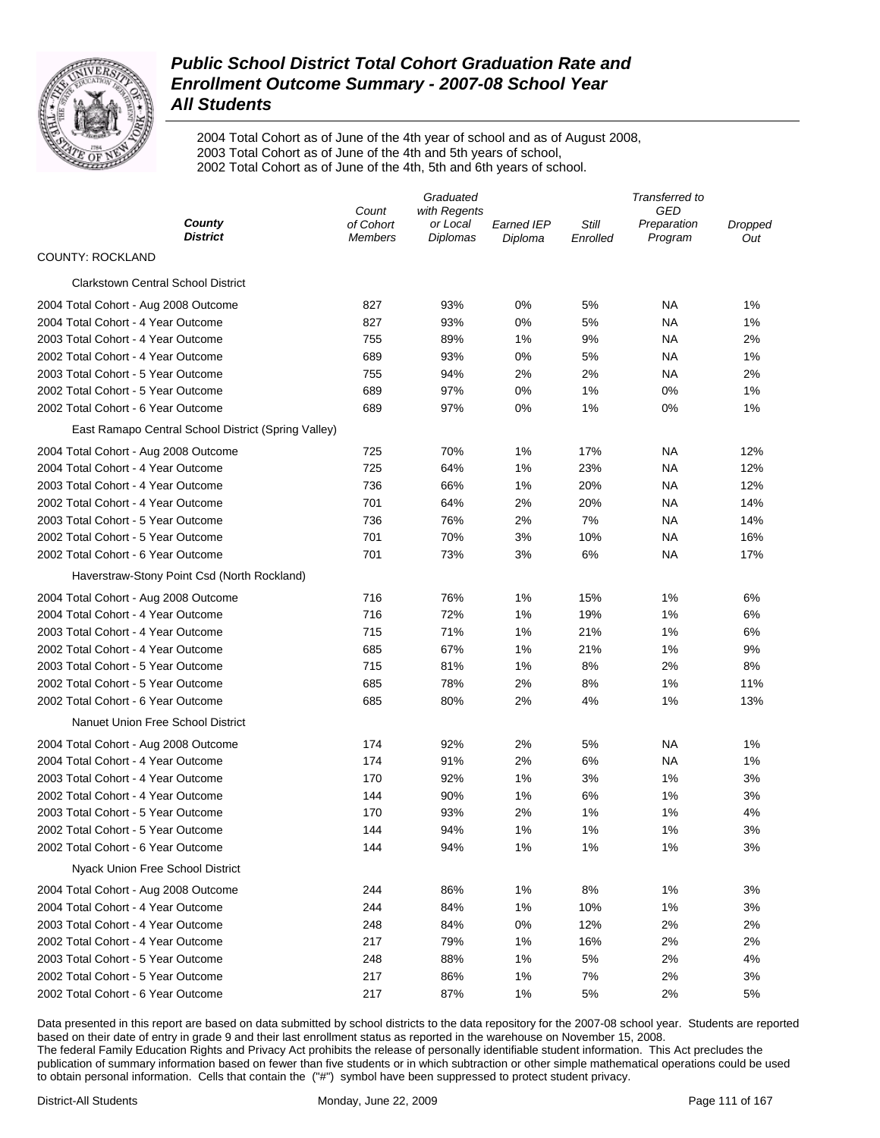

2004 Total Cohort as of June of the 4th year of school and as of August 2008, 2003 Total Cohort as of June of the 4th and 5th years of school, 2002 Total Cohort as of June of the 4th, 5th and 6th years of school.

|                                                     | Graduated          |                          |                   | Transferred to |                    |         |
|-----------------------------------------------------|--------------------|--------------------------|-------------------|----------------|--------------------|---------|
| County                                              | Count<br>of Cohort | with Regents<br>or Local | <b>Earned IEP</b> | Still          | GED<br>Preparation | Dropped |
| District                                            | <b>Members</b>     | Diplomas                 | Diploma           | Enrolled       | Program            | Out     |
| <b>COUNTY: ROCKLAND</b>                             |                    |                          |                   |                |                    |         |
| <b>Clarkstown Central School District</b>           |                    |                          |                   |                |                    |         |
| 2004 Total Cohort - Aug 2008 Outcome                | 827                | 93%                      | 0%                | 5%             | NA                 | 1%      |
| 2004 Total Cohort - 4 Year Outcome                  | 827                | 93%                      | 0%                | 5%             | ΝA                 | 1%      |
| 2003 Total Cohort - 4 Year Outcome                  | 755                | 89%                      | 1%                | 9%             | ΝA                 | 2%      |
| 2002 Total Cohort - 4 Year Outcome                  | 689                | 93%                      | 0%                | 5%             | ΝA                 | 1%      |
| 2003 Total Cohort - 5 Year Outcome                  | 755                | 94%                      | 2%                | 2%             | <b>NA</b>          | 2%      |
| 2002 Total Cohort - 5 Year Outcome                  | 689                | 97%                      | 0%                | 1%             | 0%                 | 1%      |
| 2002 Total Cohort - 6 Year Outcome                  | 689                | 97%                      | 0%                | 1%             | 0%                 | 1%      |
| East Ramapo Central School District (Spring Valley) |                    |                          |                   |                |                    |         |
| 2004 Total Cohort - Aug 2008 Outcome                | 725                | 70%                      | 1%                | 17%            | ΝA                 | 12%     |
| 2004 Total Cohort - 4 Year Outcome                  | 725                | 64%                      | 1%                | 23%            | ΝA                 | 12%     |
| 2003 Total Cohort - 4 Year Outcome                  | 736                | 66%                      | 1%                | 20%            | <b>NA</b>          | 12%     |
| 2002 Total Cohort - 4 Year Outcome                  | 701                | 64%                      | 2%                | 20%            | ΝA                 | 14%     |
| 2003 Total Cohort - 5 Year Outcome                  | 736                | 76%                      | 2%                | 7%             | <b>NA</b>          | 14%     |
| 2002 Total Cohort - 5 Year Outcome                  | 701                | 70%                      | 3%                | 10%            | <b>NA</b>          | 16%     |
| 2002 Total Cohort - 6 Year Outcome                  | 701                | 73%                      | 3%                | 6%             | NA                 | 17%     |
| Haverstraw-Stony Point Csd (North Rockland)         |                    |                          |                   |                |                    |         |
| 2004 Total Cohort - Aug 2008 Outcome                | 716                | 76%                      | 1%                | 15%            | 1%                 | 6%      |
| 2004 Total Cohort - 4 Year Outcome                  | 716                | 72%                      | 1%                | 19%            | 1%                 | 6%      |
| 2003 Total Cohort - 4 Year Outcome                  | 715                | 71%                      | 1%                | 21%            | 1%                 | 6%      |
| 2002 Total Cohort - 4 Year Outcome                  | 685                | 67%                      | 1%                | 21%            | 1%                 | 9%      |
| 2003 Total Cohort - 5 Year Outcome                  | 715                | 81%                      | 1%                | 8%             | 2%                 | 8%      |
| 2002 Total Cohort - 5 Year Outcome                  | 685                | 78%                      | 2%                | 8%             | 1%                 | 11%     |
| 2002 Total Cohort - 6 Year Outcome                  | 685                | 80%                      | 2%                | 4%             | 1%                 | 13%     |
| Nanuet Union Free School District                   |                    |                          |                   |                |                    |         |
| 2004 Total Cohort - Aug 2008 Outcome                | 174                | 92%                      | 2%                | 5%             | ΝA                 | 1%      |
| 2004 Total Cohort - 4 Year Outcome                  | 174                | 91%                      | 2%                | 6%             | ΝA                 | 1%      |
| 2003 Total Cohort - 4 Year Outcome                  | 170                | 92%                      | 1%                | 3%             | 1%                 | 3%      |
| 2002 Total Cohort - 4 Year Outcome                  | 144                | 90%                      | 1%                | 6%             | 1%                 | 3%      |
| 2003 Total Cohort - 5 Year Outcome                  | 170                | 93%                      | 2%                | 1%             | 1%                 | 4%      |
| 2002 Total Cohort - 5 Year Outcome                  | 144                | 94%                      | 1%                | 1%             | 1%                 | 3%      |
| 2002 Total Cohort - 6 Year Outcome                  | 144                | 94%                      | 1%                | 1%             | 1%                 | 3%      |
| Nyack Union Free School District                    |                    |                          |                   |                |                    |         |
| 2004 Total Cohort - Aug 2008 Outcome                | 244                | 86%                      | 1%                | 8%             | 1%                 | 3%      |
| 2004 Total Cohort - 4 Year Outcome                  | 244                | 84%                      | 1%                | 10%            | 1%                 | 3%      |
| 2003 Total Cohort - 4 Year Outcome                  | 248                | 84%                      | 0%                | 12%            | 2%                 | 2%      |
| 2002 Total Cohort - 4 Year Outcome                  | 217                | 79%                      | 1%                | 16%            | 2%                 | 2%      |
| 2003 Total Cohort - 5 Year Outcome                  | 248                | 88%                      | 1%                | 5%             | 2%                 | 4%      |
| 2002 Total Cohort - 5 Year Outcome                  | 217                | 86%                      | 1%                | 7%             | 2%                 | 3%      |
| 2002 Total Cohort - 6 Year Outcome                  | 217                | 87%                      | 1%                | 5%             | 2%                 | 5%      |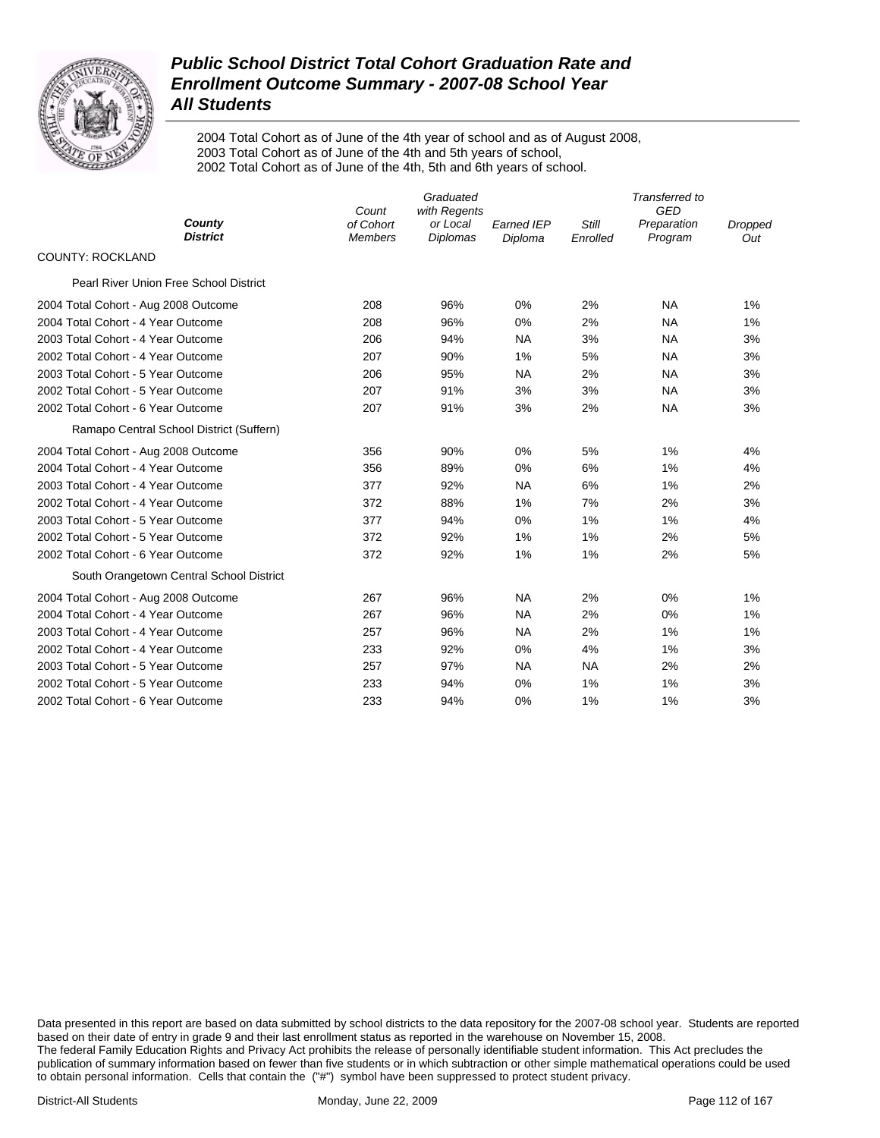

2004 Total Cohort as of June of the 4th year of school and as of August 2008, 2003 Total Cohort as of June of the 4th and 5th years of school, 2002 Total Cohort as of June of the 4th, 5th and 6th years of school.

|                                          | Count                       | Graduated<br>with Regents   | Transferred to<br><b>GED</b> |                   |                        |                |
|------------------------------------------|-----------------------------|-----------------------------|------------------------------|-------------------|------------------------|----------------|
| County<br><b>District</b>                | of Cohort<br><b>Members</b> | or Local<br><b>Diplomas</b> | <b>Earned IEP</b><br>Diploma | Still<br>Enrolled | Preparation<br>Program | Dropped<br>Out |
| COUNTY: ROCKLAND                         |                             |                             |                              |                   |                        |                |
| Pearl River Union Free School District   |                             |                             |                              |                   |                        |                |
| 2004 Total Cohort - Aug 2008 Outcome     | 208                         | 96%                         | $0\%$                        | 2%                | <b>NA</b>              | 1%             |
| 2004 Total Cohort - 4 Year Outcome       | 208                         | 96%                         | $0\%$                        | 2%                | <b>NA</b>              | 1%             |
| 2003 Total Cohort - 4 Year Outcome       | 206                         | 94%                         | <b>NA</b>                    | 3%                | <b>NA</b>              | 3%             |
| 2002 Total Cohort - 4 Year Outcome       | 207                         | 90%                         | 1%                           | 5%                | <b>NA</b>              | 3%             |
| 2003 Total Cohort - 5 Year Outcome       | 206                         | 95%                         | <b>NA</b>                    | 2%                | <b>NA</b>              | 3%             |
| 2002 Total Cohort - 5 Year Outcome       | 207                         | 91%                         | 3%                           | 3%                | <b>NA</b>              | 3%             |
| 2002 Total Cohort - 6 Year Outcome       | 207                         | 91%                         | 3%                           | 2%                | <b>NA</b>              | 3%             |
| Ramapo Central School District (Suffern) |                             |                             |                              |                   |                        |                |
| 2004 Total Cohort - Aug 2008 Outcome     | 356                         | 90%                         | 0%                           | 5%                | 1%                     | 4%             |
| 2004 Total Cohort - 4 Year Outcome       | 356                         | 89%                         | 0%                           | 6%                | 1%                     | 4%             |
| 2003 Total Cohort - 4 Year Outcome       | 377                         | 92%                         | <b>NA</b>                    | 6%                | 1%                     | 2%             |
| 2002 Total Cohort - 4 Year Outcome       | 372                         | 88%                         | 1%                           | 7%                | 2%                     | 3%             |
| 2003 Total Cohort - 5 Year Outcome       | 377                         | 94%                         | 0%                           | 1%                | 1%                     | 4%             |
| 2002 Total Cohort - 5 Year Outcome       | 372                         | 92%                         | 1%                           | 1%                | 2%                     | 5%             |
| 2002 Total Cohort - 6 Year Outcome       | 372                         | 92%                         | 1%                           | 1%                | 2%                     | 5%             |
| South Orangetown Central School District |                             |                             |                              |                   |                        |                |
| 2004 Total Cohort - Aug 2008 Outcome     | 267                         | 96%                         | <b>NA</b>                    | 2%                | 0%                     | 1%             |
| 2004 Total Cohort - 4 Year Outcome       | 267                         | 96%                         | <b>NA</b>                    | 2%                | 0%                     | 1%             |
| 2003 Total Cohort - 4 Year Outcome       | 257                         | 96%                         | <b>NA</b>                    | 2%                | 1%                     | 1%             |
| 2002 Total Cohort - 4 Year Outcome       | 233                         | 92%                         | 0%                           | 4%                | 1%                     | 3%             |
| 2003 Total Cohort - 5 Year Outcome       | 257                         | 97%                         | <b>NA</b>                    | <b>NA</b>         | 2%                     | 2%             |
| 2002 Total Cohort - 5 Year Outcome       | 233                         | 94%                         | $0\%$                        | 1%                | 1%                     | 3%             |
| 2002 Total Cohort - 6 Year Outcome       | 233                         | 94%                         | 0%                           | 1%                | 1%                     | 3%             |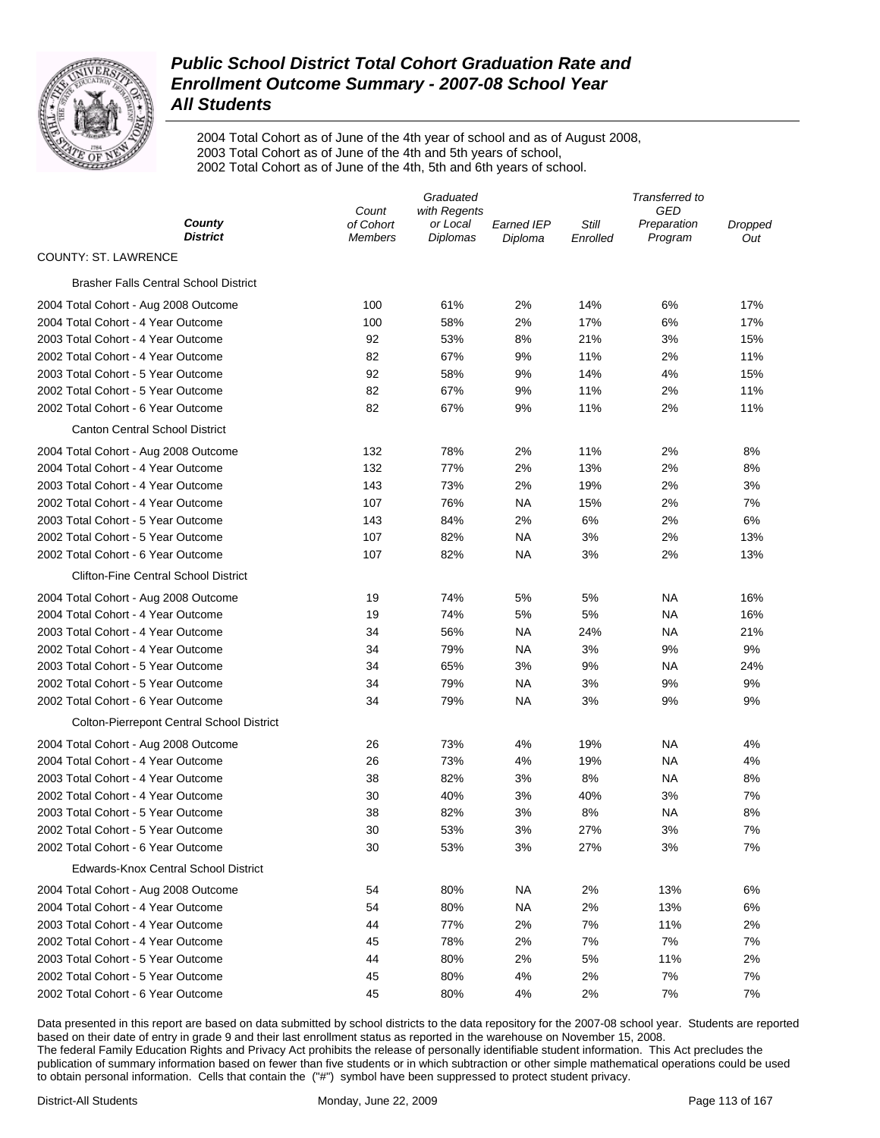

2004 Total Cohort as of June of the 4th year of school and as of August 2008, 2003 Total Cohort as of June of the 4th and 5th years of school, 2002 Total Cohort as of June of the 4th, 5th and 6th years of school.

|                                                  | Graduated                   |                      |                              | Transferred to    |                        |                |  |
|--------------------------------------------------|-----------------------------|----------------------|------------------------------|-------------------|------------------------|----------------|--|
|                                                  | Count<br>with Regents       |                      |                              | GED               |                        |                |  |
| County<br><b>District</b>                        | of Cohort<br><b>Members</b> | or Local<br>Diplomas | <b>Earned IEP</b><br>Diploma | Still<br>Enrolled | Preparation<br>Program | Dropped<br>Out |  |
| <b>COUNTY: ST. LAWRENCE</b>                      |                             |                      |                              |                   |                        |                |  |
| <b>Brasher Falls Central School District</b>     |                             |                      |                              |                   |                        |                |  |
| 2004 Total Cohort - Aug 2008 Outcome             | 100                         | 61%                  | 2%                           | 14%               | 6%                     | 17%            |  |
| 2004 Total Cohort - 4 Year Outcome               | 100                         | 58%                  | 2%                           | 17%               | 6%                     | 17%            |  |
| 2003 Total Cohort - 4 Year Outcome               | 92                          | 53%                  | 8%                           | 21%               | 3%                     | 15%            |  |
| 2002 Total Cohort - 4 Year Outcome               | 82                          | 67%                  | 9%                           | 11%               | 2%                     | 11%            |  |
| 2003 Total Cohort - 5 Year Outcome               | 92                          | 58%                  | 9%                           | 14%               | 4%                     | 15%            |  |
| 2002 Total Cohort - 5 Year Outcome               | 82                          | 67%                  | 9%                           | 11%               | 2%                     | 11%            |  |
| 2002 Total Cohort - 6 Year Outcome               | 82                          | 67%                  | 9%                           | 11%               | 2%                     | 11%            |  |
| <b>Canton Central School District</b>            |                             |                      |                              |                   |                        |                |  |
| 2004 Total Cohort - Aug 2008 Outcome             | 132                         | 78%                  | 2%                           | 11%               | 2%                     | 8%             |  |
| 2004 Total Cohort - 4 Year Outcome               | 132                         | 77%                  | 2%                           | 13%               | 2%                     | 8%             |  |
| 2003 Total Cohort - 4 Year Outcome               | 143                         | 73%                  | 2%                           | 19%               | 2%                     | 3%             |  |
| 2002 Total Cohort - 4 Year Outcome               | 107                         | 76%                  | <b>NA</b>                    | 15%               | 2%                     | 7%             |  |
| 2003 Total Cohort - 5 Year Outcome               | 143                         | 84%                  | 2%                           | 6%                | 2%                     | 6%             |  |
| 2002 Total Cohort - 5 Year Outcome               | 107                         | 82%                  | <b>NA</b>                    | 3%                | 2%                     | 13%            |  |
| 2002 Total Cohort - 6 Year Outcome               | 107                         | 82%                  | <b>NA</b>                    | 3%                | 2%                     | 13%            |  |
| <b>Clifton-Fine Central School District</b>      |                             |                      |                              |                   |                        |                |  |
| 2004 Total Cohort - Aug 2008 Outcome             | 19                          | 74%                  | 5%                           | 5%                | <b>NA</b>              | 16%            |  |
| 2004 Total Cohort - 4 Year Outcome               | 19                          | 74%                  | 5%                           | 5%                | <b>NA</b>              | 16%            |  |
| 2003 Total Cohort - 4 Year Outcome               | 34                          | 56%                  | <b>NA</b>                    | 24%               | <b>NA</b>              | 21%            |  |
| 2002 Total Cohort - 4 Year Outcome               | 34                          | 79%                  | <b>NA</b>                    | 3%                | 9%                     | 9%             |  |
| 2003 Total Cohort - 5 Year Outcome               | 34                          | 65%                  | 3%                           | 9%                | <b>NA</b>              | 24%            |  |
| 2002 Total Cohort - 5 Year Outcome               | 34                          | 79%                  | <b>NA</b>                    | 3%                | 9%                     | 9%             |  |
| 2002 Total Cohort - 6 Year Outcome               | 34                          | 79%                  | <b>NA</b>                    | 3%                | 9%                     | 9%             |  |
| <b>Colton-Pierrepont Central School District</b> |                             |                      |                              |                   |                        |                |  |
| 2004 Total Cohort - Aug 2008 Outcome             | 26                          | 73%                  | 4%                           | 19%               | <b>NA</b>              | 4%             |  |
| 2004 Total Cohort - 4 Year Outcome               | 26                          | 73%                  | 4%                           | 19%               | <b>NA</b>              | 4%             |  |
| 2003 Total Cohort - 4 Year Outcome               | 38                          | 82%                  | 3%                           | 8%                | <b>NA</b>              | 8%             |  |
| 2002 Total Cohort - 4 Year Outcome               | 30                          | 40%                  | 3%                           | 40%               | 3%                     | 7%             |  |
| 2003 Total Cohort - 5 Year Outcome               | 38                          | 82%                  | 3%                           | 8%                | <b>NA</b>              | 8%             |  |
| 2002 Total Cohort - 5 Year Outcome               | 30                          | 53%                  | 3%                           | 27%               | 3%                     | 7%             |  |
| 2002 Total Cohort - 6 Year Outcome               | 30                          | 53%                  | 3%                           | 27%               | 3%                     | 7%             |  |
| <b>Edwards-Knox Central School District</b>      |                             |                      |                              |                   |                        |                |  |
| 2004 Total Cohort - Aug 2008 Outcome             | 54                          | 80%                  | <b>NA</b>                    | 2%                | 13%                    | 6%             |  |
| 2004 Total Cohort - 4 Year Outcome               | 54                          | 80%                  | <b>NA</b>                    | 2%                | 13%                    | 6%             |  |
| 2003 Total Cohort - 4 Year Outcome               | 44                          | 77%                  | 2%                           | 7%                | 11%                    | 2%             |  |
| 2002 Total Cohort - 4 Year Outcome               | 45                          | 78%                  | 2%                           | 7%                | 7%                     | 7%             |  |
| 2003 Total Cohort - 5 Year Outcome               | 44                          | 80%                  | 2%                           | 5%                | 11%                    | 2%             |  |
| 2002 Total Cohort - 5 Year Outcome               | 45                          | 80%                  | 4%                           | 2%                | 7%                     | 7%             |  |
| 2002 Total Cohort - 6 Year Outcome               | 45                          | 80%                  | 4%                           | 2%                | 7%                     | 7%             |  |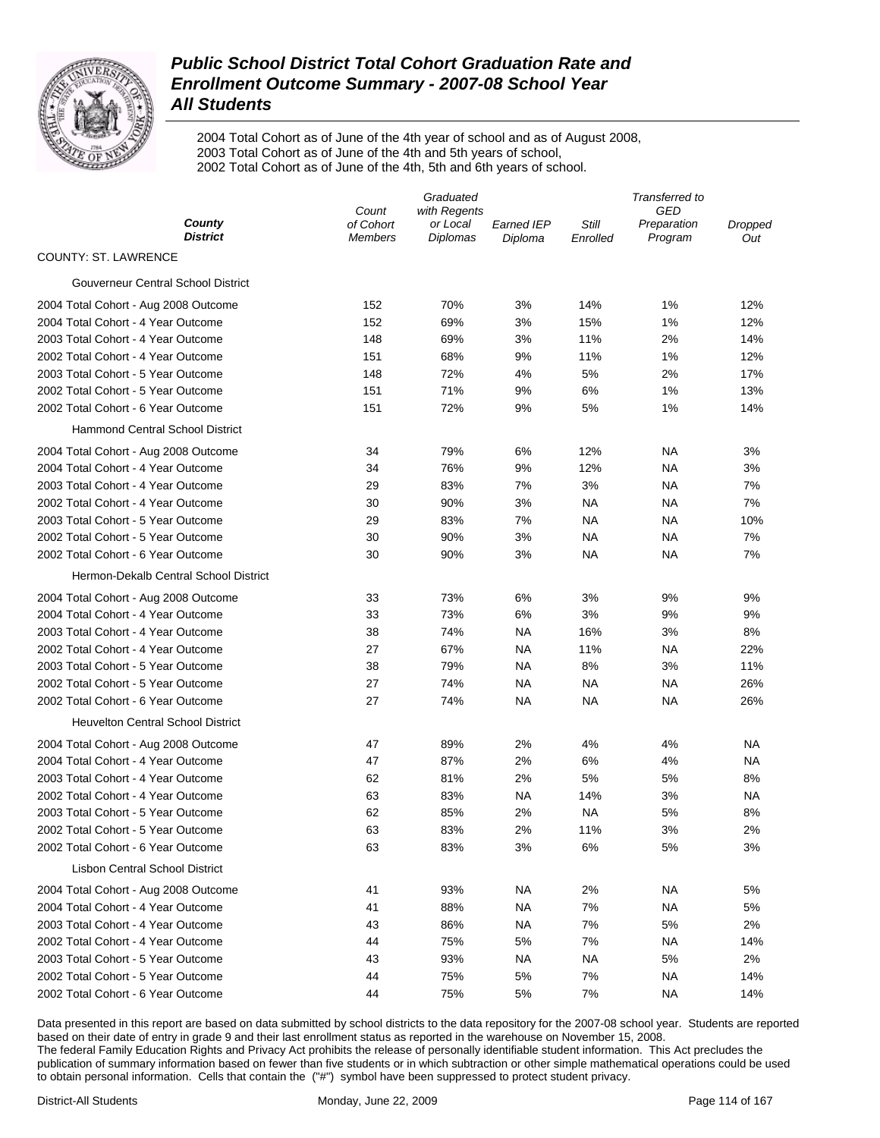

2004 Total Cohort as of June of the 4th year of school and as of August 2008, 2003 Total Cohort as of June of the 4th and 5th years of school, 2002 Total Cohort as of June of the 4th, 5th and 6th years of school.

|                                          | Graduated          |                          |            | Transferred to |                    |           |
|------------------------------------------|--------------------|--------------------------|------------|----------------|--------------------|-----------|
| County                                   | Count<br>of Cohort | with Regents<br>or Local | Earned IEP | Still          | GED<br>Preparation | Dropped   |
| <b>District</b>                          | <b>Members</b>     | Diplomas                 | Diploma    | Enrolled       | Program            | Out       |
| <b>COUNTY: ST. LAWRENCE</b>              |                    |                          |            |                |                    |           |
| Gouverneur Central School District       |                    |                          |            |                |                    |           |
| 2004 Total Cohort - Aug 2008 Outcome     | 152                | 70%                      | 3%         | 14%            | 1%                 | 12%       |
| 2004 Total Cohort - 4 Year Outcome       | 152                | 69%                      | 3%         | 15%            | 1%                 | 12%       |
| 2003 Total Cohort - 4 Year Outcome       | 148                | 69%                      | 3%         | 11%            | 2%                 | 14%       |
| 2002 Total Cohort - 4 Year Outcome       | 151                | 68%                      | 9%         | 11%            | 1%                 | 12%       |
| 2003 Total Cohort - 5 Year Outcome       | 148                | 72%                      | 4%         | 5%             | 2%                 | 17%       |
| 2002 Total Cohort - 5 Year Outcome       | 151                | 71%                      | 9%         | 6%             | 1%                 | 13%       |
| 2002 Total Cohort - 6 Year Outcome       | 151                | 72%                      | 9%         | 5%             | 1%                 | 14%       |
| <b>Hammond Central School District</b>   |                    |                          |            |                |                    |           |
| 2004 Total Cohort - Aug 2008 Outcome     | 34                 | 79%                      | 6%         | 12%            | NA                 | 3%        |
| 2004 Total Cohort - 4 Year Outcome       | 34                 | 76%                      | 9%         | 12%            | NA                 | 3%        |
| 2003 Total Cohort - 4 Year Outcome       | 29                 | 83%                      | 7%         | 3%             | <b>NA</b>          | 7%        |
| 2002 Total Cohort - 4 Year Outcome       | 30                 | 90%                      | 3%         | <b>NA</b>      | NA                 | 7%        |
| 2003 Total Cohort - 5 Year Outcome       | 29                 | 83%                      | 7%         | <b>NA</b>      | NA                 | 10%       |
| 2002 Total Cohort - 5 Year Outcome       | 30                 | 90%                      | 3%         | <b>NA</b>      | <b>NA</b>          | 7%        |
| 2002 Total Cohort - 6 Year Outcome       | 30                 | 90%                      | 3%         | <b>NA</b>      | <b>NA</b>          | 7%        |
| Hermon-Dekalb Central School District    |                    |                          |            |                |                    |           |
| 2004 Total Cohort - Aug 2008 Outcome     | 33                 | 73%                      | 6%         | 3%             | 9%                 | 9%        |
| 2004 Total Cohort - 4 Year Outcome       | 33                 | 73%                      | 6%         | 3%             | 9%                 | 9%        |
| 2003 Total Cohort - 4 Year Outcome       | 38                 | 74%                      | NA         | 16%            | 3%                 | 8%        |
| 2002 Total Cohort - 4 Year Outcome       | 27                 | 67%                      | NA         | 11%            | ΝA                 | 22%       |
| 2003 Total Cohort - 5 Year Outcome       | 38                 | 79%                      | NA.        | 8%             | 3%                 | 11%       |
| 2002 Total Cohort - 5 Year Outcome       | 27                 | 74%                      | NA         | NA             | ΝA                 | 26%       |
| 2002 Total Cohort - 6 Year Outcome       | 27                 | 74%                      | NA         | <b>NA</b>      | <b>NA</b>          | 26%       |
| <b>Heuvelton Central School District</b> |                    |                          |            |                |                    |           |
| 2004 Total Cohort - Aug 2008 Outcome     | 47                 | 89%                      | 2%         | 4%             | 4%                 | ΝA        |
| 2004 Total Cohort - 4 Year Outcome       | 47                 | 87%                      | 2%         | 6%             | 4%                 | NA        |
| 2003 Total Cohort - 4 Year Outcome       | 62                 | 81%                      | 2%         | 5%             | 5%                 | 8%        |
| 2002 Total Cohort - 4 Year Outcome       | 63                 | 83%                      | NA         | 14%            | 3%                 | <b>NA</b> |
| 2003 Total Cohort - 5 Year Outcome       | 62                 | 85%                      | 2%         | <b>NA</b>      | 5%                 | 8%        |
| 2002 Total Cohort - 5 Year Outcome       | 63                 | 83%                      | 2%         | 11%            | 3%                 | 2%        |
| 2002 Total Cohort - 6 Year Outcome       | 63                 | 83%                      | 3%         | 6%             | 5%                 | 3%        |
| <b>Lisbon Central School District</b>    |                    |                          |            |                |                    |           |
| 2004 Total Cohort - Aug 2008 Outcome     | 41                 | 93%                      | NA.        | 2%             | ΝA                 | 5%        |
| 2004 Total Cohort - 4 Year Outcome       | 41                 | 88%                      | <b>NA</b>  | 7%             | <b>NA</b>          | 5%        |
| 2003 Total Cohort - 4 Year Outcome       | 43                 | 86%                      | <b>NA</b>  | 7%             | 5%                 | 2%        |
| 2002 Total Cohort - 4 Year Outcome       | 44                 | 75%                      | 5%         | 7%             | <b>NA</b>          | 14%       |
| 2003 Total Cohort - 5 Year Outcome       | 43                 | 93%                      | <b>NA</b>  | <b>NA</b>      | 5%                 | 2%        |
| 2002 Total Cohort - 5 Year Outcome       | 44                 | 75%                      | 5%         | 7%             | <b>NA</b>          | 14%       |
| 2002 Total Cohort - 6 Year Outcome       | 44                 | 75%                      | 5%         | 7%             | <b>NA</b>          | 14%       |
|                                          |                    |                          |            |                |                    |           |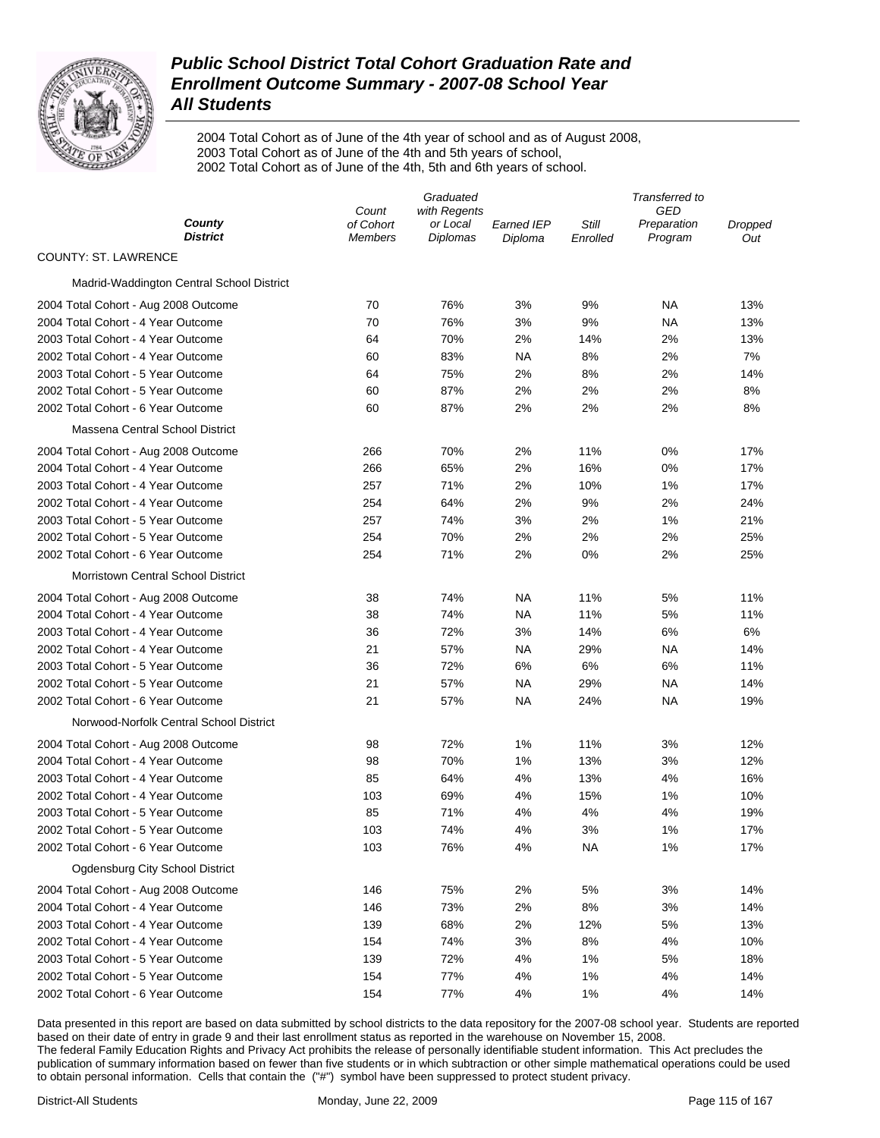

2004 Total Cohort as of June of the 4th year of school and as of August 2008, 2003 Total Cohort as of June of the 4th and 5th years of school, 2002 Total Cohort as of June of the 4th, 5th and 6th years of school.

|                                           | Graduated                   |                             |                       | Transferred to    |                        |                |
|-------------------------------------------|-----------------------------|-----------------------------|-----------------------|-------------------|------------------------|----------------|
|                                           | with Regents<br>Count       |                             |                       | GED               |                        |                |
| County<br><b>District</b>                 | of Cohort<br><b>Members</b> | or Local<br><b>Diplomas</b> | Earned IEP<br>Diploma | Still<br>Enrolled | Preparation<br>Program | Dropped<br>Out |
| <b>COUNTY: ST. LAWRENCE</b>               |                             |                             |                       |                   |                        |                |
| Madrid-Waddington Central School District |                             |                             |                       |                   |                        |                |
| 2004 Total Cohort - Aug 2008 Outcome      | 70                          | 76%                         | 3%                    | 9%                | ΝA                     | 13%            |
| 2004 Total Cohort - 4 Year Outcome        | 70                          | 76%                         | 3%                    | 9%                | ΝA                     | 13%            |
| 2003 Total Cohort - 4 Year Outcome        | 64                          | 70%                         | 2%                    | 14%               | 2%                     | 13%            |
| 2002 Total Cohort - 4 Year Outcome        | 60                          | 83%                         | NA                    | 8%                | 2%                     | 7%             |
| 2003 Total Cohort - 5 Year Outcome        | 64                          | 75%                         | 2%                    | 8%                | 2%                     | 14%            |
| 2002 Total Cohort - 5 Year Outcome        | 60                          | 87%                         | 2%                    | 2%                | 2%                     | 8%             |
| 2002 Total Cohort - 6 Year Outcome        | 60                          | 87%                         | 2%                    | 2%                | 2%                     | 8%             |
| Massena Central School District           |                             |                             |                       |                   |                        |                |
| 2004 Total Cohort - Aug 2008 Outcome      | 266                         | 70%                         | 2%                    | 11%               | 0%                     | 17%            |
| 2004 Total Cohort - 4 Year Outcome        | 266                         | 65%                         | 2%                    | 16%               | 0%                     | 17%            |
| 2003 Total Cohort - 4 Year Outcome        | 257                         | 71%                         | 2%                    | 10%               | 1%                     | 17%            |
| 2002 Total Cohort - 4 Year Outcome        | 254                         | 64%                         | 2%                    | 9%                | 2%                     | 24%            |
| 2003 Total Cohort - 5 Year Outcome        | 257                         | 74%                         | 3%                    | 2%                | 1%                     | 21%            |
| 2002 Total Cohort - 5 Year Outcome        | 254                         | 70%                         | 2%                    | 2%                | 2%                     | 25%            |
| 2002 Total Cohort - 6 Year Outcome        | 254                         | 71%                         | 2%                    | 0%                | 2%                     | 25%            |
| <b>Morristown Central School District</b> |                             |                             |                       |                   |                        |                |
| 2004 Total Cohort - Aug 2008 Outcome      | 38                          | 74%                         | NA                    | 11%               | 5%                     | 11%            |
| 2004 Total Cohort - 4 Year Outcome        | 38                          | 74%                         | <b>NA</b>             | 11%               | 5%                     | 11%            |
| 2003 Total Cohort - 4 Year Outcome        | 36                          | 72%                         | 3%                    | 14%               | 6%                     | 6%             |
| 2002 Total Cohort - 4 Year Outcome        | 21                          | 57%                         | <b>NA</b>             | 29%               | NA                     | 14%            |
| 2003 Total Cohort - 5 Year Outcome        | 36                          | 72%                         | 6%                    | 6%                | 6%                     | 11%            |
| 2002 Total Cohort - 5 Year Outcome        | 21                          | 57%                         | NA                    | 29%               | ΝA                     | 14%            |
| 2002 Total Cohort - 6 Year Outcome        | 21                          | 57%                         | NA                    | 24%               | NA                     | 19%            |
| Norwood-Norfolk Central School District   |                             |                             |                       |                   |                        |                |
| 2004 Total Cohort - Aug 2008 Outcome      | 98                          | 72%                         | 1%                    | 11%               | 3%                     | 12%            |
| 2004 Total Cohort - 4 Year Outcome        | 98                          | 70%                         | 1%                    | 13%               | 3%                     | 12%            |
| 2003 Total Cohort - 4 Year Outcome        | 85                          | 64%                         | 4%                    | 13%               | 4%                     | 16%            |
| 2002 Total Cohort - 4 Year Outcome        | 103                         | 69%                         | 4%                    | 15%               | 1%                     | 10%            |
| 2003 Total Cohort - 5 Year Outcome        | 85                          | 71%                         | 4%                    | 4%                | 4%                     | 19%            |
| 2002 Total Cohort - 5 Year Outcome        | 103                         | 74%                         | 4%                    | 3%                | 1%                     | 17%            |
| 2002 Total Cohort - 6 Year Outcome        | 103                         | 76%                         | 4%                    | <b>NA</b>         | 1%                     | 17%            |
| Ogdensburg City School District           |                             |                             |                       |                   |                        |                |
| 2004 Total Cohort - Aug 2008 Outcome      | 146                         | 75%                         | 2%                    | 5%                | 3%                     | 14%            |
| 2004 Total Cohort - 4 Year Outcome        | 146                         | 73%                         | 2%                    | 8%                | 3%                     | 14%            |
| 2003 Total Cohort - 4 Year Outcome        | 139                         | 68%                         | 2%                    | 12%               | 5%                     | 13%            |
| 2002 Total Cohort - 4 Year Outcome        | 154                         | 74%                         | 3%                    | 8%                | 4%                     | 10%            |
| 2003 Total Cohort - 5 Year Outcome        | 139                         | 72%                         | 4%                    | 1%                | 5%                     | 18%            |
| 2002 Total Cohort - 5 Year Outcome        | 154                         | 77%                         | 4%                    | 1%                | 4%                     | 14%            |
| 2002 Total Cohort - 6 Year Outcome        | 154                         | 77%                         | 4%                    | 1%                | 4%                     | 14%            |
|                                           |                             |                             |                       |                   |                        |                |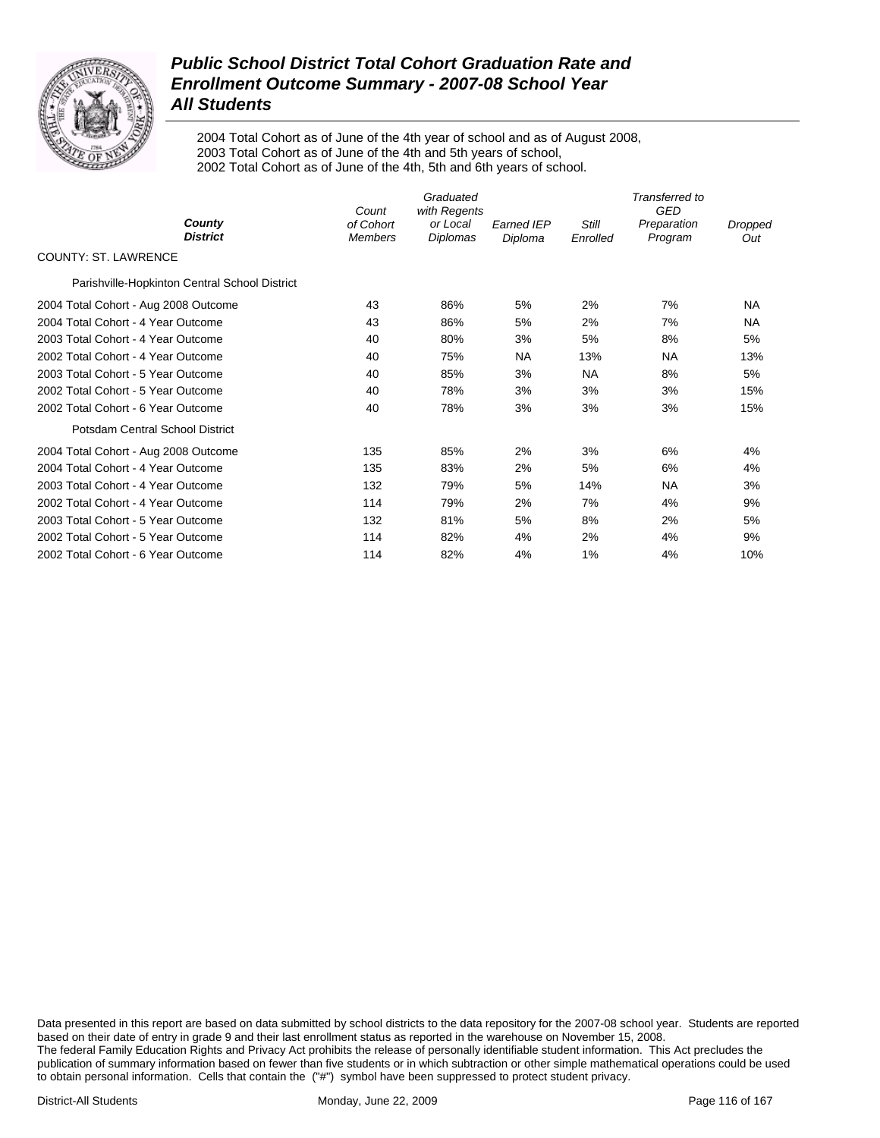

2004 Total Cohort as of June of the 4th year of school and as of August 2008, 2003 Total Cohort as of June of the 4th and 5th years of school, 2002 Total Cohort as of June of the 4th, 5th and 6th years of school.

|                                               | Graduated<br>with Regents<br>Count |                      |                              | Transferred to<br><b>GED</b> |                        |                |  |
|-----------------------------------------------|------------------------------------|----------------------|------------------------------|------------------------------|------------------------|----------------|--|
| County<br><b>District</b>                     | of Cohort<br><b>Members</b>        | or Local<br>Diplomas | <b>Earned IEP</b><br>Diploma | Still<br>Enrolled            | Preparation<br>Program | Dropped<br>Out |  |
| <b>COUNTY: ST. LAWRENCE</b>                   |                                    |                      |                              |                              |                        |                |  |
| Parishville-Hopkinton Central School District |                                    |                      |                              |                              |                        |                |  |
| 2004 Total Cohort - Aug 2008 Outcome          | 43                                 | 86%                  | 5%                           | 2%                           | 7%                     | <b>NA</b>      |  |
| 2004 Total Cohort - 4 Year Outcome            | 43                                 | 86%                  | 5%                           | 2%                           | 7%                     | <b>NA</b>      |  |
| 2003 Total Cohort - 4 Year Outcome            | 40                                 | 80%                  | 3%                           | 5%                           | 8%                     | 5%             |  |
| 2002 Total Cohort - 4 Year Outcome            | 40                                 | 75%                  | NA.                          | 13%                          | NA                     | 13%            |  |
| 2003 Total Cohort - 5 Year Outcome            | 40                                 | 85%                  | 3%                           | NA                           | 8%                     | 5%             |  |
| 2002 Total Cohort - 5 Year Outcome            | 40                                 | 78%                  | 3%                           | 3%                           | 3%                     | 15%            |  |
| 2002 Total Cohort - 6 Year Outcome            | 40                                 | 78%                  | 3%                           | 3%                           | 3%                     | 15%            |  |
| Potsdam Central School District               |                                    |                      |                              |                              |                        |                |  |
| 2004 Total Cohort - Aug 2008 Outcome          | 135                                | 85%                  | 2%                           | 3%                           | 6%                     | 4%             |  |
| 2004 Total Cohort - 4 Year Outcome            | 135                                | 83%                  | 2%                           | 5%                           | 6%                     | 4%             |  |
| 2003 Total Cohort - 4 Year Outcome            | 132                                | 79%                  | 5%                           | 14%                          | <b>NA</b>              | 3%             |  |
| 2002 Total Cohort - 4 Year Outcome            | 114                                | 79%                  | 2%                           | 7%                           | 4%                     | 9%             |  |
| 2003 Total Cohort - 5 Year Outcome            | 132                                | 81%                  | 5%                           | 8%                           | 2%                     | 5%             |  |
| 2002 Total Cohort - 5 Year Outcome            | 114                                | 82%                  | 4%                           | 2%                           | 4%                     | 9%             |  |
| 2002 Total Cohort - 6 Year Outcome            | 114                                | 82%                  | 4%                           | 1%                           | 4%                     | 10%            |  |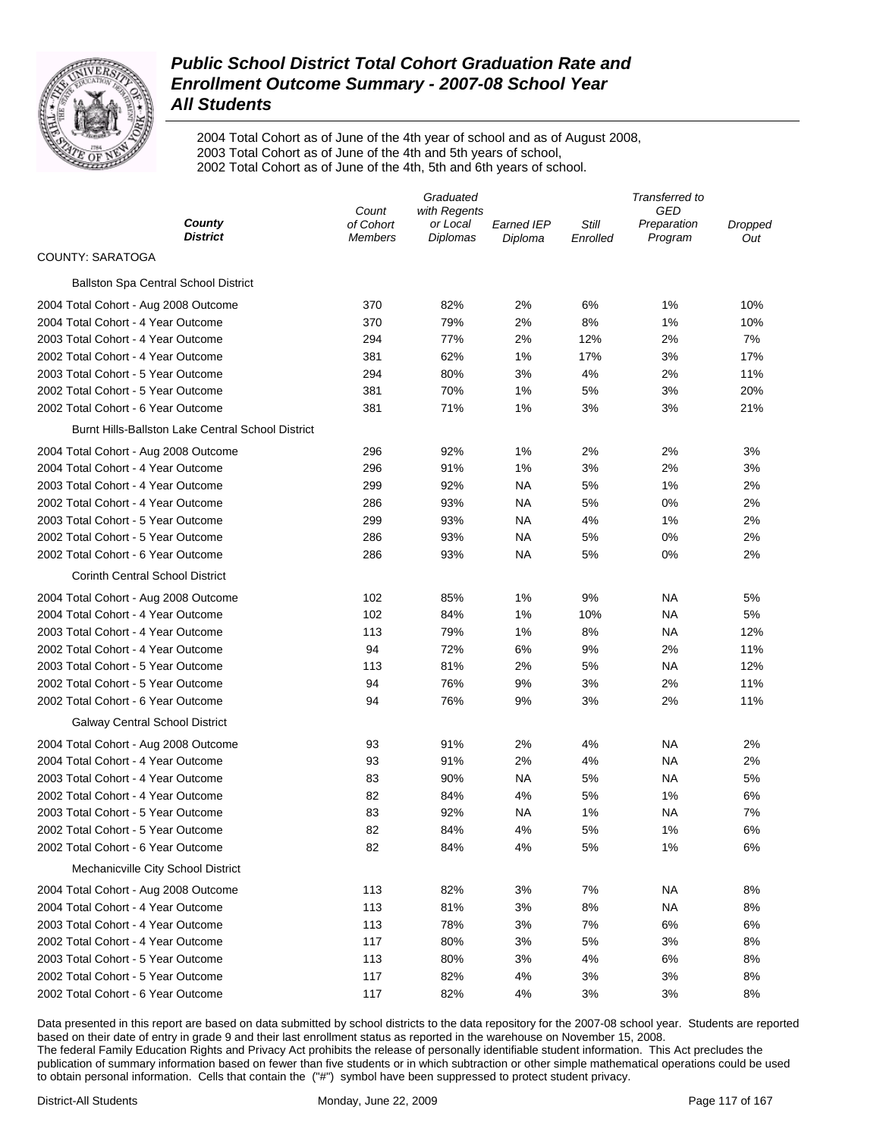

2004 Total Cohort as of June of the 4th year of school and as of August 2008, 2003 Total Cohort as of June of the 4th and 5th years of school, 2002 Total Cohort as of June of the 4th, 5th and 6th years of school.

|                                                   | Graduated          |                          |                   | Transferred to |                    |         |
|---------------------------------------------------|--------------------|--------------------------|-------------------|----------------|--------------------|---------|
| County                                            | Count<br>of Cohort | with Regents<br>or Local | <b>Earned IEP</b> | Still          | GED<br>Preparation | Dropped |
| <b>District</b>                                   | <b>Members</b>     | Diplomas                 | Diploma           | Enrolled       | Program            | Out     |
| <b>COUNTY: SARATOGA</b>                           |                    |                          |                   |                |                    |         |
| <b>Ballston Spa Central School District</b>       |                    |                          |                   |                |                    |         |
| 2004 Total Cohort - Aug 2008 Outcome              | 370                | 82%                      | 2%                | 6%             | 1%                 | 10%     |
| 2004 Total Cohort - 4 Year Outcome                | 370                | 79%                      | 2%                | 8%             | 1%                 | 10%     |
| 2003 Total Cohort - 4 Year Outcome                | 294                | 77%                      | 2%                | 12%            | 2%                 | 7%      |
| 2002 Total Cohort - 4 Year Outcome                | 381                | 62%                      | 1%                | 17%            | 3%                 | 17%     |
| 2003 Total Cohort - 5 Year Outcome                | 294                | 80%                      | 3%                | 4%             | 2%                 | 11%     |
| 2002 Total Cohort - 5 Year Outcome                | 381                | 70%                      | 1%                | 5%             | 3%                 | 20%     |
| 2002 Total Cohort - 6 Year Outcome                | 381                | 71%                      | 1%                | 3%             | 3%                 | 21%     |
| Burnt Hills-Ballston Lake Central School District |                    |                          |                   |                |                    |         |
| 2004 Total Cohort - Aug 2008 Outcome              | 296                | 92%                      | 1%                | 2%             | 2%                 | 3%      |
| 2004 Total Cohort - 4 Year Outcome                | 296                | 91%                      | 1%                | 3%             | 2%                 | 3%      |
| 2003 Total Cohort - 4 Year Outcome                | 299                | 92%                      | <b>NA</b>         | 5%             | 1%                 | 2%      |
| 2002 Total Cohort - 4 Year Outcome                | 286                | 93%                      | <b>NA</b>         | 5%             | $0\%$              | 2%      |
| 2003 Total Cohort - 5 Year Outcome                | 299                | 93%                      | <b>NA</b>         | 4%             | 1%                 | 2%      |
| 2002 Total Cohort - 5 Year Outcome                | 286                | 93%                      | <b>NA</b>         | 5%             | $0\%$              | 2%      |
| 2002 Total Cohort - 6 Year Outcome                | 286                | 93%                      | NA                | 5%             | 0%                 | 2%      |
| <b>Corinth Central School District</b>            |                    |                          |                   |                |                    |         |
| 2004 Total Cohort - Aug 2008 Outcome              | 102                | 85%                      | 1%                | 9%             | <b>NA</b>          | 5%      |
| 2004 Total Cohort - 4 Year Outcome                | 102                | 84%                      | 1%                | 10%            | ΝA                 | 5%      |
| 2003 Total Cohort - 4 Year Outcome                | 113                | 79%                      | 1%                | 8%             | ΝA                 | 12%     |
| 2002 Total Cohort - 4 Year Outcome                | 94                 | 72%                      | 6%                | 9%             | 2%                 | 11%     |
| 2003 Total Cohort - 5 Year Outcome                | 113                | 81%                      | 2%                | 5%             | ΝA                 | 12%     |
| 2002 Total Cohort - 5 Year Outcome                | 94                 | 76%                      | 9%                | 3%             | 2%                 | 11%     |
| 2002 Total Cohort - 6 Year Outcome                | 94                 | 76%                      | 9%                | 3%             | 2%                 | 11%     |
| <b>Galway Central School District</b>             |                    |                          |                   |                |                    |         |
| 2004 Total Cohort - Aug 2008 Outcome              | 93                 | 91%                      | 2%                | 4%             | ΝA                 | 2%      |
| 2004 Total Cohort - 4 Year Outcome                | 93                 | 91%                      | 2%                | 4%             | ΝA                 | 2%      |
| 2003 Total Cohort - 4 Year Outcome                | 83                 | 90%                      | NA                | 5%             | ΝA                 | 5%      |
| 2002 Total Cohort - 4 Year Outcome                | 82                 | 84%                      | 4%                | 5%             | 1%                 | 6%      |
| 2003 Total Cohort - 5 Year Outcome                | 83                 | 92%                      | NA                | 1%             | ΝA                 | 7%      |
| 2002 Total Cohort - 5 Year Outcome                | 82                 | 84%                      | 4%                | 5%             | 1%                 | 6%      |
| 2002 Total Cohort - 6 Year Outcome                | 82                 | 84%                      | 4%                | 5%             | 1%                 | 6%      |
| Mechanicville City School District                |                    |                          |                   |                |                    |         |
|                                                   |                    |                          |                   |                |                    |         |
| 2004 Total Cohort - Aug 2008 Outcome              | 113                | 82%                      | 3%                | 7%             | <b>NA</b>          | 8%      |
| 2004 Total Cohort - 4 Year Outcome                | 113                | 81%                      | 3%                | 8%             | ΝA                 | 8%      |
| 2003 Total Cohort - 4 Year Outcome                | 113                | 78%                      | 3%                | 7%             | 6%                 | 6%      |
| 2002 Total Cohort - 4 Year Outcome                | 117                | 80%                      | 3%                | 5%             | 3%                 | 8%      |
| 2003 Total Cohort - 5 Year Outcome                | 113                | 80%                      | 3%                | 4%             | 6%                 | 8%      |
| 2002 Total Cohort - 5 Year Outcome                | 117                | 82%                      | 4%                | 3%             | 3%                 | 8%      |
| 2002 Total Cohort - 6 Year Outcome                | 117                | 82%                      | 4%                | 3%             | 3%                 | 8%      |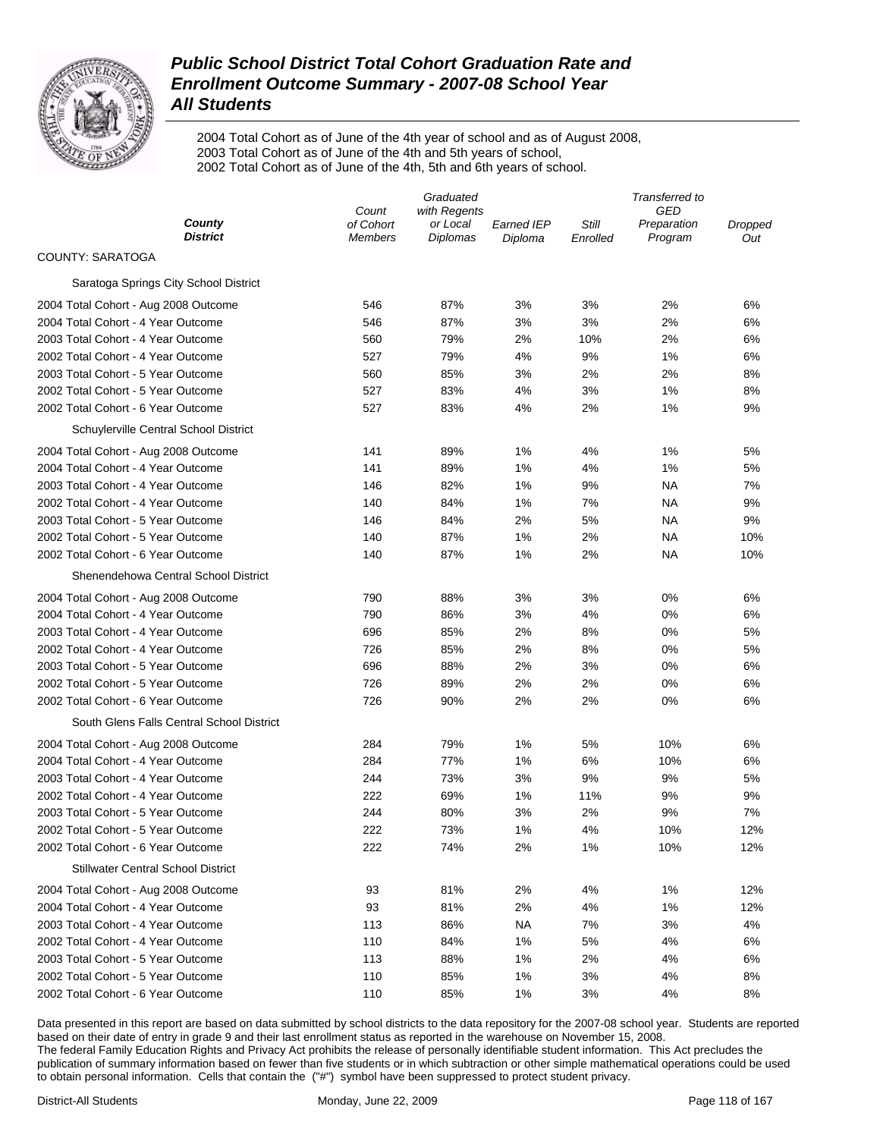

2004 Total Cohort as of June of the 4th year of school and as of August 2008, 2003 Total Cohort as of June of the 4th and 5th years of school, 2002 Total Cohort as of June of the 4th, 5th and 6th years of school.

|                                           | Graduated            |                      |                              | Transferred to    |                        |                |
|-------------------------------------------|----------------------|----------------------|------------------------------|-------------------|------------------------|----------------|
|                                           | Count                | with Regents         |                              |                   | GED                    |                |
| County<br><b>District</b>                 | of Cohort<br>Members | or Local<br>Diplomas | <b>Earned IEP</b><br>Diploma | Still<br>Enrolled | Preparation<br>Program | Dropped<br>Out |
| COUNTY: SARATOGA                          |                      |                      |                              |                   |                        |                |
| Saratoga Springs City School District     |                      |                      |                              |                   |                        |                |
| 2004 Total Cohort - Aug 2008 Outcome      | 546                  | 87%                  | 3%                           | 3%                | 2%                     | 6%             |
| 2004 Total Cohort - 4 Year Outcome        | 546                  | 87%                  | 3%                           | 3%                | 2%                     | 6%             |
| 2003 Total Cohort - 4 Year Outcome        | 560                  | 79%                  | 2%                           | 10%               | 2%                     | 6%             |
| 2002 Total Cohort - 4 Year Outcome        | 527                  | 79%                  | 4%                           | 9%                | 1%                     | 6%             |
| 2003 Total Cohort - 5 Year Outcome        | 560                  | 85%                  | 3%                           | 2%                | 2%                     | 8%             |
| 2002 Total Cohort - 5 Year Outcome        | 527                  | 83%                  | 4%                           | 3%                | 1%                     | 8%             |
| 2002 Total Cohort - 6 Year Outcome        | 527                  | 83%                  | 4%                           | 2%                | 1%                     | 9%             |
| Schuylerville Central School District     |                      |                      |                              |                   |                        |                |
| 2004 Total Cohort - Aug 2008 Outcome      | 141                  | 89%                  | 1%                           | 4%                | 1%                     | 5%             |
| 2004 Total Cohort - 4 Year Outcome        | 141                  | 89%                  | 1%                           | 4%                | 1%                     | 5%             |
| 2003 Total Cohort - 4 Year Outcome        | 146                  | 82%                  | 1%                           | 9%                | <b>NA</b>              | 7%             |
| 2002 Total Cohort - 4 Year Outcome        | 140                  | 84%                  | 1%                           | 7%                | NA                     | 9%             |
| 2003 Total Cohort - 5 Year Outcome        | 146                  | 84%                  | 2%                           | 5%                | NA                     | 9%             |
| 2002 Total Cohort - 5 Year Outcome        | 140                  | 87%                  | 1%                           | 2%                | <b>NA</b>              | 10%            |
| 2002 Total Cohort - 6 Year Outcome        | 140                  | 87%                  | 1%                           | 2%                | NA                     | 10%            |
| Shenendehowa Central School District      |                      |                      |                              |                   |                        |                |
| 2004 Total Cohort - Aug 2008 Outcome      | 790                  | 88%                  | 3%                           | 3%                | 0%                     | 6%             |
| 2004 Total Cohort - 4 Year Outcome        | 790                  | 86%                  | 3%                           | 4%                | 0%                     | 6%             |
| 2003 Total Cohort - 4 Year Outcome        | 696                  | 85%                  | 2%                           | 8%                | 0%                     | 5%             |
| 2002 Total Cohort - 4 Year Outcome        | 726                  | 85%                  | 2%                           | 8%                | 0%                     | 5%             |
| 2003 Total Cohort - 5 Year Outcome        | 696                  | 88%                  | 2%                           | 3%                | 0%                     | 6%             |
| 2002 Total Cohort - 5 Year Outcome        | 726                  | 89%                  | 2%                           | 2%                | 0%                     | 6%             |
| 2002 Total Cohort - 6 Year Outcome        | 726                  | 90%                  | 2%                           | 2%                | 0%                     | 6%             |
| South Glens Falls Central School District |                      |                      |                              |                   |                        |                |
| 2004 Total Cohort - Aug 2008 Outcome      | 284                  | 79%                  | 1%                           | 5%                | 10%                    | 6%             |
| 2004 Total Cohort - 4 Year Outcome        | 284                  | 77%                  | 1%                           | 6%                | 10%                    | 6%             |
| 2003 Total Cohort - 4 Year Outcome        | 244                  | 73%                  | 3%                           | 9%                | 9%                     | 5%             |
| 2002 Total Cohort - 4 Year Outcome        | 222                  | 69%                  | 1%                           | 11%               | 9%                     | 9%             |
| 2003 Total Cohort - 5 Year Outcome        | 244                  | 80%                  | 3%                           | 2%                | 9%                     | 7%             |
| 2002 Total Cohort - 5 Year Outcome        | 222                  | 73%                  | 1%                           | 4%                | 10%                    | 12%            |
| 2002 Total Cohort - 6 Year Outcome        | 222                  | 74%                  | 2%                           | 1%                | 10%                    | 12%            |
| <b>Stillwater Central School District</b> |                      |                      |                              |                   |                        |                |
| 2004 Total Cohort - Aug 2008 Outcome      | 93                   | 81%                  | 2%                           | 4%                | 1%                     | 12%            |
| 2004 Total Cohort - 4 Year Outcome        | 93                   | 81%                  | 2%                           | 4%                | 1%                     | 12%            |
| 2003 Total Cohort - 4 Year Outcome        | 113                  | 86%                  | <b>NA</b>                    | 7%                | 3%                     | 4%             |
| 2002 Total Cohort - 4 Year Outcome        | 110                  | 84%                  | 1%                           | 5%                | 4%                     | 6%             |
| 2003 Total Cohort - 5 Year Outcome        | 113                  | 88%                  | 1%                           | 2%                | 4%                     | 6%             |
| 2002 Total Cohort - 5 Year Outcome        | 110                  | 85%                  | 1%                           | 3%                | 4%                     | 8%             |
| 2002 Total Cohort - 6 Year Outcome        | 110                  | 85%                  | 1%                           | 3%                | 4%                     | 8%             |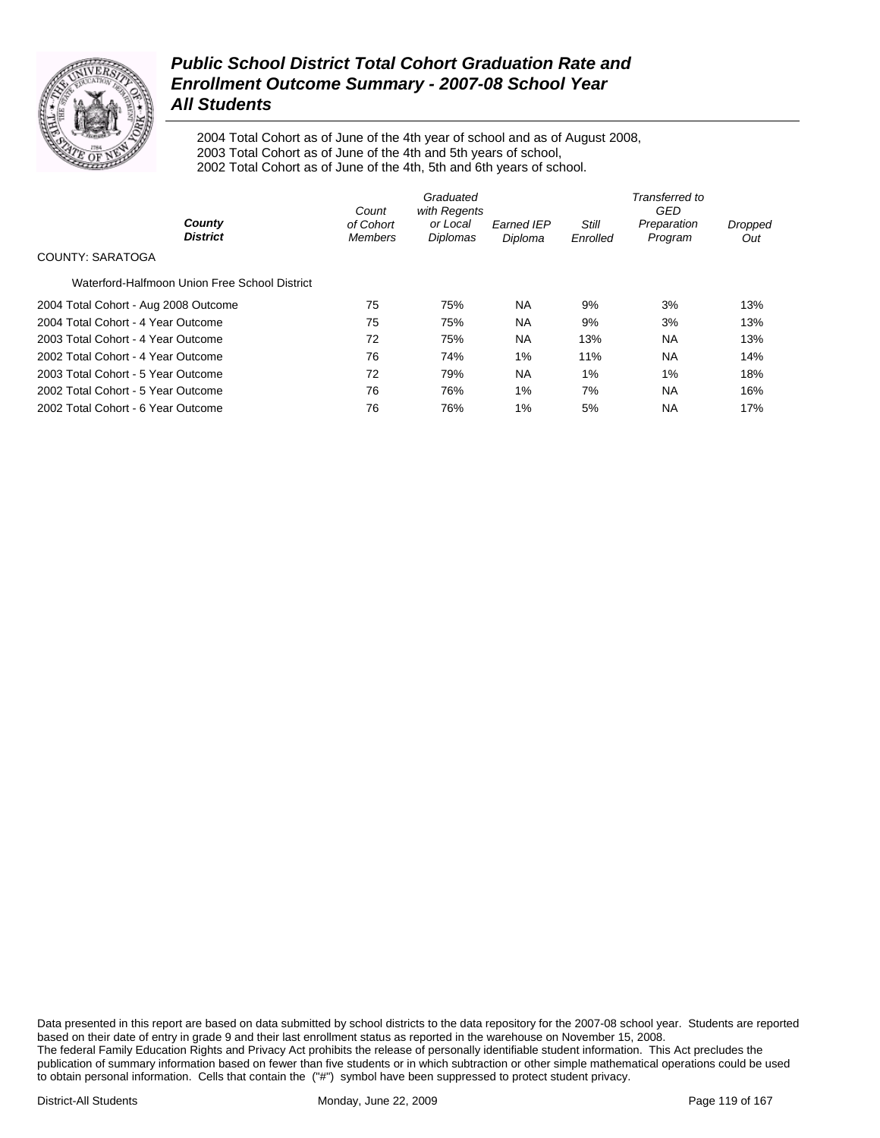

2004 Total Cohort as of June of the 4th year of school and as of August 2008, 2003 Total Cohort as of June of the 4th and 5th years of school, 2002 Total Cohort as of June of the 4th, 5th and 6th years of school.

|                                               | Count                       | Graduated<br>with Regents |                              |                          | Transferred to<br>GED  |                |
|-----------------------------------------------|-----------------------------|---------------------------|------------------------------|--------------------------|------------------------|----------------|
| County<br><b>District</b>                     | of Cohort<br><b>Members</b> | or Local<br>Diplomas      | <b>Earned IEP</b><br>Diploma | <b>Still</b><br>Enrolled | Preparation<br>Program | Dropped<br>Out |
| COUNTY: SARATOGA                              |                             |                           |                              |                          |                        |                |
| Waterford-Halfmoon Union Free School District |                             |                           |                              |                          |                        |                |
| 2004 Total Cohort - Aug 2008 Outcome          | 75                          | 75%                       | <b>NA</b>                    | 9%                       | 3%                     | 13%            |
| 2004 Total Cohort - 4 Year Outcome            | 75                          | 75%                       | <b>NA</b>                    | 9%                       | 3%                     | 13%            |
| 2003 Total Cohort - 4 Year Outcome            | 72                          | 75%                       | <b>NA</b>                    | 13%                      | <b>NA</b>              | 13%            |
| 2002 Total Cohort - 4 Year Outcome            | 76                          | 74%                       | 1%                           | 11%                      | <b>NA</b>              | 14%            |
| 2003 Total Cohort - 5 Year Outcome            | 72                          | 79%                       | <b>NA</b>                    | $1\%$                    | $1\%$                  | 18%            |
| 2002 Total Cohort - 5 Year Outcome            | 76                          | 76%                       | 1%                           | 7%                       | <b>NA</b>              | 16%            |
| 2002 Total Cohort - 6 Year Outcome            | 76                          | 76%                       | 1%                           | 5%                       | <b>NA</b>              | 17%            |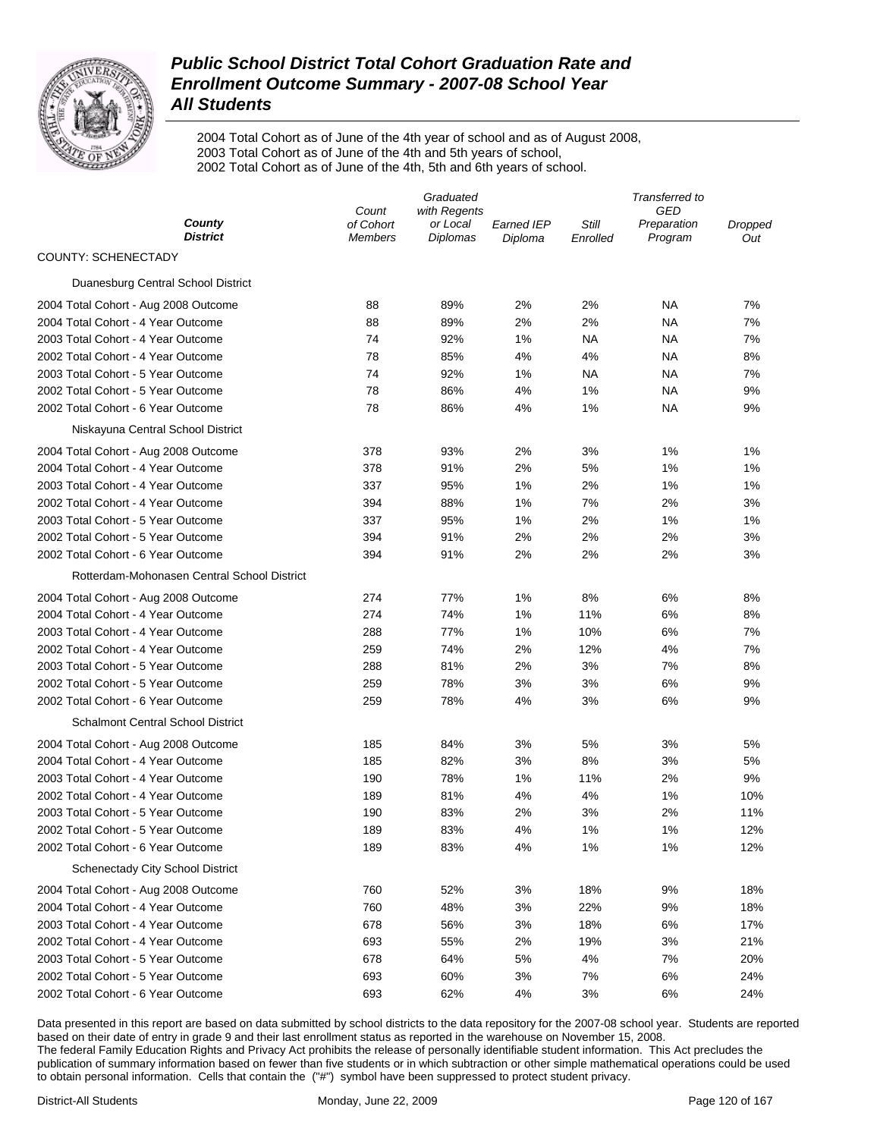

2004 Total Cohort as of June of the 4th year of school and as of August 2008, 2003 Total Cohort as of June of the 4th and 5th years of school, 2002 Total Cohort as of June of the 4th, 5th and 6th years of school.

|                                             | Graduated                   |                             |                              | Transferred to    |                        |                |
|---------------------------------------------|-----------------------------|-----------------------------|------------------------------|-------------------|------------------------|----------------|
| County                                      | Count                       | with Regents                |                              |                   | GED                    |                |
| <b>District</b>                             | of Cohort<br><b>Members</b> | or Local<br><b>Diplomas</b> | <b>Earned IEP</b><br>Diploma | Still<br>Enrolled | Preparation<br>Program | Dropped<br>Out |
| <b>COUNTY: SCHENECTADY</b>                  |                             |                             |                              |                   |                        |                |
| Duanesburg Central School District          |                             |                             |                              |                   |                        |                |
| 2004 Total Cohort - Aug 2008 Outcome        | 88                          | 89%                         | 2%                           | 2%                | NA                     | 7%             |
| 2004 Total Cohort - 4 Year Outcome          | 88                          | 89%                         | 2%                           | 2%                | NA                     | 7%             |
| 2003 Total Cohort - 4 Year Outcome          | 74                          | 92%                         | 1%                           | NA                | NA                     | 7%             |
| 2002 Total Cohort - 4 Year Outcome          | 78                          | 85%                         | 4%                           | 4%                | NA                     | 8%             |
| 2003 Total Cohort - 5 Year Outcome          | 74                          | 92%                         | 1%                           | NA                | NA                     | 7%             |
| 2002 Total Cohort - 5 Year Outcome          | 78                          | 86%                         | 4%                           | 1%                | NA                     | 9%             |
| 2002 Total Cohort - 6 Year Outcome          | 78                          | 86%                         | 4%                           | 1%                | NA                     | 9%             |
| Niskayuna Central School District           |                             |                             |                              |                   |                        |                |
| 2004 Total Cohort - Aug 2008 Outcome        | 378                         | 93%                         | 2%                           | 3%                | 1%                     | 1%             |
| 2004 Total Cohort - 4 Year Outcome          | 378                         | 91%                         | 2%                           | 5%                | 1%                     | 1%             |
| 2003 Total Cohort - 4 Year Outcome          | 337                         | 95%                         | 1%                           | 2%                | 1%                     | 1%             |
| 2002 Total Cohort - 4 Year Outcome          | 394                         | 88%                         | 1%                           | 7%                | 2%                     | 3%             |
| 2003 Total Cohort - 5 Year Outcome          | 337                         | 95%                         | 1%                           | 2%                | 1%                     | 1%             |
| 2002 Total Cohort - 5 Year Outcome          | 394                         | 91%                         | 2%                           | 2%                | 2%                     | 3%             |
| 2002 Total Cohort - 6 Year Outcome          | 394                         | 91%                         | 2%                           | 2%                | 2%                     | 3%             |
| Rotterdam-Mohonasen Central School District |                             |                             |                              |                   |                        |                |
| 2004 Total Cohort - Aug 2008 Outcome        | 274                         | 77%                         | 1%                           | 8%                | 6%                     | 8%             |
| 2004 Total Cohort - 4 Year Outcome          | 274                         | 74%                         | 1%                           | 11%               | 6%                     | 8%             |
| 2003 Total Cohort - 4 Year Outcome          | 288                         | 77%                         | $1\%$                        | 10%               | 6%                     | 7%             |
| 2002 Total Cohort - 4 Year Outcome          | 259                         | 74%                         | 2%                           | 12%               | 4%                     | 7%             |
| 2003 Total Cohort - 5 Year Outcome          | 288                         | 81%                         | 2%                           | 3%                | 7%                     | 8%             |
| 2002 Total Cohort - 5 Year Outcome          | 259                         | 78%                         | 3%                           | 3%                | 6%                     | 9%             |
| 2002 Total Cohort - 6 Year Outcome          | 259                         | 78%                         | 4%                           | 3%                | 6%                     | 9%             |
| <b>Schalmont Central School District</b>    |                             |                             |                              |                   |                        |                |
| 2004 Total Cohort - Aug 2008 Outcome        | 185                         | 84%                         | 3%                           | 5%                | 3%                     | 5%             |
| 2004 Total Cohort - 4 Year Outcome          | 185                         | 82%                         | 3%                           | 8%                | 3%                     | 5%             |
| 2003 Total Cohort - 4 Year Outcome          | 190                         | 78%                         | 1%                           | 11%               | 2%                     | 9%             |
| 2002 Total Cohort - 4 Year Outcome          | 189                         | 81%                         | 4%                           | 4%                | 1%                     | 10%            |
| 2003 Total Cohort - 5 Year Outcome          | 190                         | 83%                         | 2%                           | 3%                | 2%                     | 11%            |
| 2002 Total Cohort - 5 Year Outcome          | 189                         | 83%                         | 4%                           | 1%                | 1%                     | 12%            |
| 2002 Total Cohort - 6 Year Outcome          | 189                         | 83%                         | 4%                           | 1%                | 1%                     | 12%            |
| <b>Schenectady City School District</b>     |                             |                             |                              |                   |                        |                |
| 2004 Total Cohort - Aug 2008 Outcome        | 760                         | 52%                         | 3%                           | 18%               | 9%                     | 18%            |
| 2004 Total Cohort - 4 Year Outcome          | 760                         | 48%                         | 3%                           | 22%               | 9%                     | 18%            |
| 2003 Total Cohort - 4 Year Outcome          | 678                         | 56%                         | 3%                           | 18%               | 6%                     | 17%            |
| 2002 Total Cohort - 4 Year Outcome          | 693                         | 55%                         | 2%                           | 19%               | 3%                     | 21%            |
| 2003 Total Cohort - 5 Year Outcome          | 678                         | 64%                         | 5%                           | 4%                | 7%                     | 20%            |
| 2002 Total Cohort - 5 Year Outcome          | 693                         | 60%                         | 3%                           | 7%                | 6%                     | 24%            |
| 2002 Total Cohort - 6 Year Outcome          | 693                         | 62%                         | 4%                           | 3%                | 6%                     | 24%            |
|                                             |                             |                             |                              |                   |                        |                |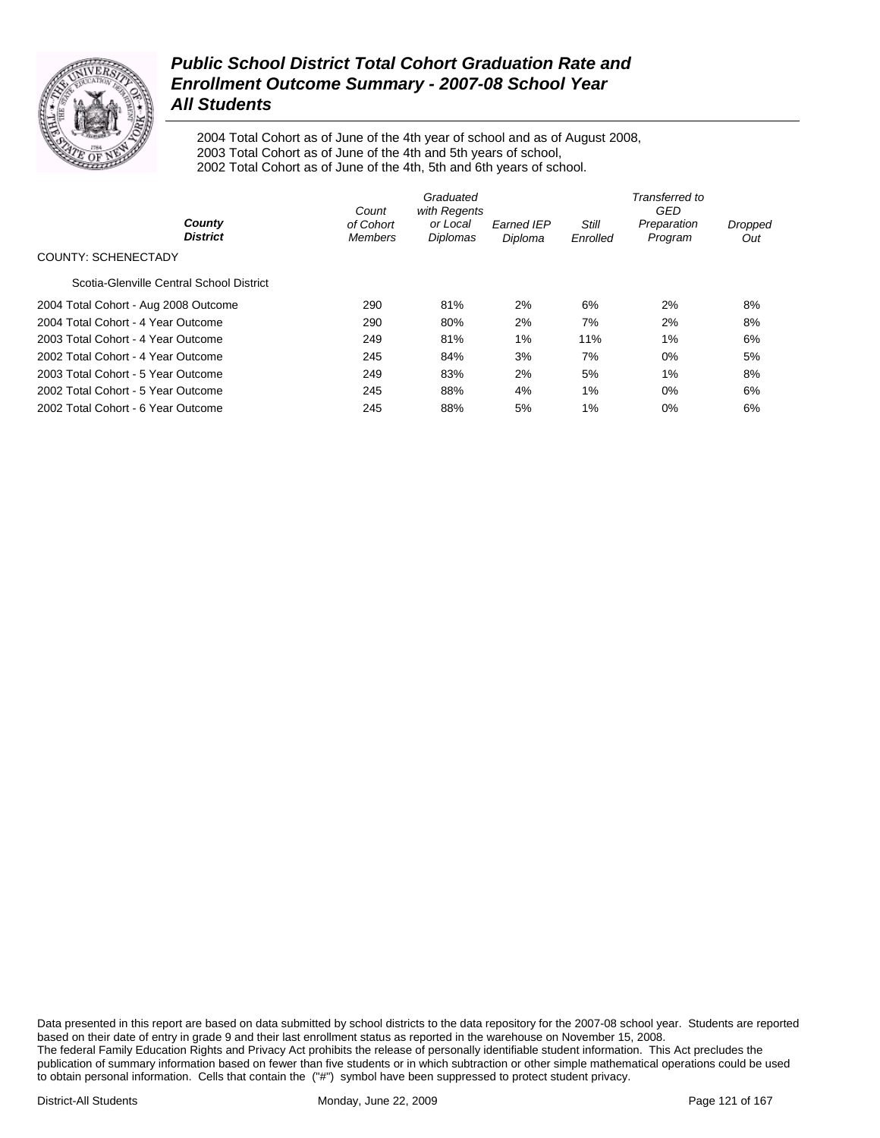

2004 Total Cohort as of June of the 4th year of school and as of August 2008, 2003 Total Cohort as of June of the 4th and 5th years of school, 2002 Total Cohort as of June of the 4th, 5th and 6th years of school.

|                                          | Graduated<br>with Regents<br>Count |                      |                              | Transferred to<br>GED |                        |                |  |
|------------------------------------------|------------------------------------|----------------------|------------------------------|-----------------------|------------------------|----------------|--|
| County<br><b>District</b>                | of Cohort<br><b>Members</b>        | or Local<br>Diplomas | <b>Earned IEP</b><br>Diploma | Still<br>Enrolled     | Preparation<br>Program | Dropped<br>Out |  |
| <b>COUNTY: SCHENECTADY</b>               |                                    |                      |                              |                       |                        |                |  |
| Scotia-Glenville Central School District |                                    |                      |                              |                       |                        |                |  |
| 2004 Total Cohort - Aug 2008 Outcome     | 290                                | 81%                  | 2%                           | 6%                    | 2%                     | 8%             |  |
| 2004 Total Cohort - 4 Year Outcome       | 290                                | 80%                  | 2%                           | 7%                    | 2%                     | 8%             |  |
| 2003 Total Cohort - 4 Year Outcome       | 249                                | 81%                  | 1%                           | 11%                   | 1%                     | 6%             |  |
| 2002 Total Cohort - 4 Year Outcome       | 245                                | 84%                  | 3%                           | 7%                    | 0%                     | 5%             |  |
| 2003 Total Cohort - 5 Year Outcome       | 249                                | 83%                  | 2%                           | 5%                    | $1\%$                  | 8%             |  |
| 2002 Total Cohort - 5 Year Outcome       | 245                                | 88%                  | 4%                           | 1%                    | $0\%$                  | 6%             |  |
| 2002 Total Cohort - 6 Year Outcome       | 245                                | 88%                  | 5%                           | 1%                    | $0\%$                  | 6%             |  |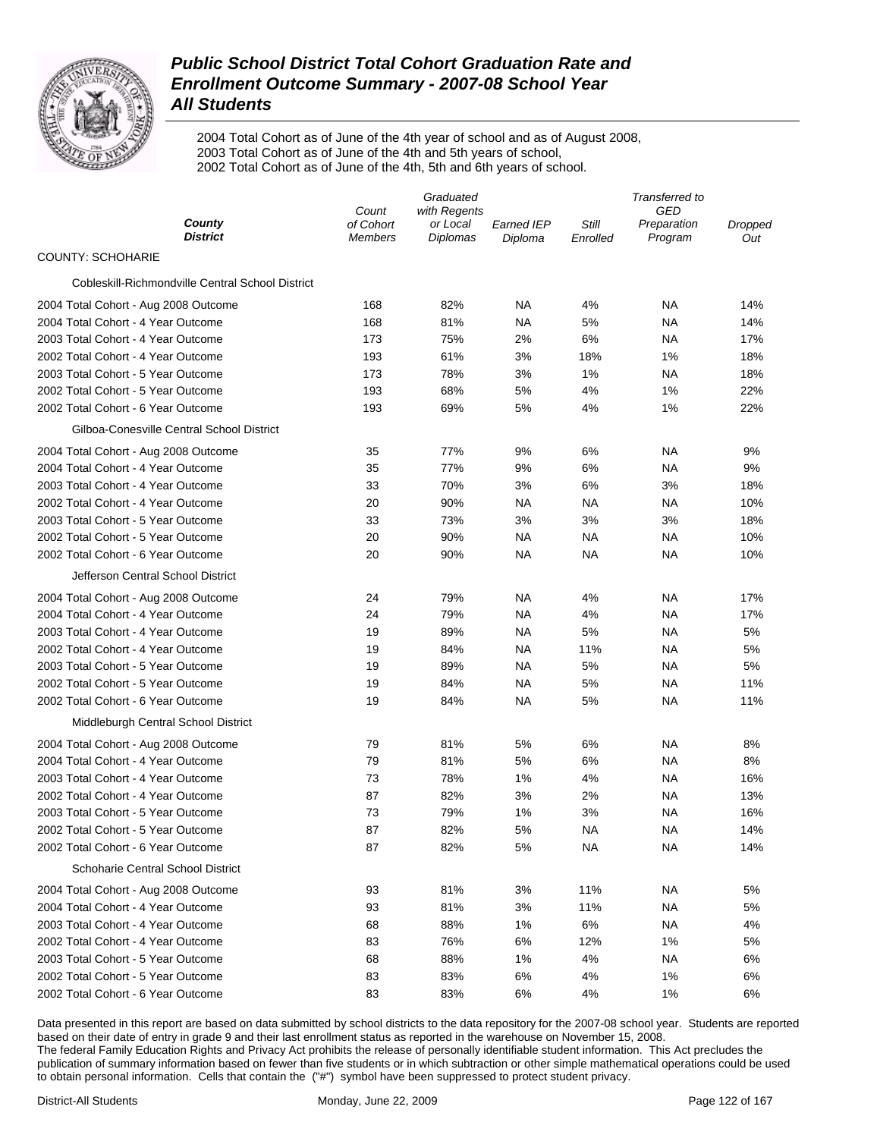

2004 Total Cohort as of June of the 4th year of school and as of August 2008, 2003 Total Cohort as of June of the 4th and 5th years of school, 2002 Total Cohort as of June of the 4th, 5th and 6th years of school.

|                                                  | Graduated                     |                                      |                       | Transferred to    |                                      |                |
|--------------------------------------------------|-------------------------------|--------------------------------------|-----------------------|-------------------|--------------------------------------|----------------|
| County<br><b>District</b>                        | Count<br>of Cohort<br>Members | with Regents<br>or Local<br>Diplomas | Earned IEP<br>Diploma | Still<br>Enrolled | <b>GED</b><br>Preparation<br>Program | Dropped<br>Out |
| <b>COUNTY: SCHOHARIE</b>                         |                               |                                      |                       |                   |                                      |                |
| Cobleskill-Richmondville Central School District |                               |                                      |                       |                   |                                      |                |
| 2004 Total Cohort - Aug 2008 Outcome             | 168                           | 82%                                  | NA                    | 4%                | ΝA                                   | 14%            |
| 2004 Total Cohort - 4 Year Outcome               | 168                           | 81%                                  | ΝA                    | 5%                | NA                                   | 14%            |
| 2003 Total Cohort - 4 Year Outcome               | 173                           | 75%                                  | 2%                    | 6%                | NA                                   | 17%            |
| 2002 Total Cohort - 4 Year Outcome               | 193                           | 61%                                  | 3%                    | 18%               | 1%                                   | 18%            |
| 2003 Total Cohort - 5 Year Outcome               | 173                           | 78%                                  | 3%                    | 1%                | NA                                   | 18%            |
| 2002 Total Cohort - 5 Year Outcome               | 193                           | 68%                                  | 5%                    | 4%                | 1%                                   | 22%            |
| 2002 Total Cohort - 6 Year Outcome               | 193                           | 69%                                  | 5%                    | 4%                | 1%                                   | 22%            |
| Gilboa-Conesville Central School District        |                               |                                      |                       |                   |                                      |                |
| 2004 Total Cohort - Aug 2008 Outcome             | 35                            | 77%                                  | 9%                    | 6%                | NA                                   | 9%             |
| 2004 Total Cohort - 4 Year Outcome               | 35                            | 77%                                  | 9%                    | 6%                | NA                                   | 9%             |
| 2003 Total Cohort - 4 Year Outcome               | 33                            | 70%                                  | 3%                    | 6%                | 3%                                   | 18%            |
| 2002 Total Cohort - 4 Year Outcome               | 20                            | 90%                                  | ΝA                    | NA                | NA                                   | 10%            |
| 2003 Total Cohort - 5 Year Outcome               | 33                            | 73%                                  | 3%                    | 3%                | 3%                                   | 18%            |
| 2002 Total Cohort - 5 Year Outcome               | 20                            | 90%                                  | NA                    | NA                | ΝA                                   | 10%            |
| 2002 Total Cohort - 6 Year Outcome               | 20                            | 90%                                  | NA                    | NA                | ΝA                                   | 10%            |
| Jefferson Central School District                |                               |                                      |                       |                   |                                      |                |
| 2004 Total Cohort - Aug 2008 Outcome             | 24                            | 79%                                  | NA                    | 4%                | ΝA                                   | 17%            |
| 2004 Total Cohort - 4 Year Outcome               | 24                            | 79%                                  | NA                    | 4%                | NA                                   | 17%            |
| 2003 Total Cohort - 4 Year Outcome               | 19                            | 89%                                  | NA                    | 5%                | NA                                   | 5%             |
| 2002 Total Cohort - 4 Year Outcome               | 19                            | 84%                                  | NA                    | 11%               | NA                                   | 5%             |
| 2003 Total Cohort - 5 Year Outcome               | 19                            | 89%                                  | NA                    | 5%                | NA                                   | 5%             |
| 2002 Total Cohort - 5 Year Outcome               | 19                            | 84%                                  | NA                    | 5%                | NA                                   | 11%            |
| 2002 Total Cohort - 6 Year Outcome               | 19                            | 84%                                  | NA                    | 5%                | NA                                   | 11%            |
| Middleburgh Central School District              |                               |                                      |                       |                   |                                      |                |
| 2004 Total Cohort - Aug 2008 Outcome             | 79                            | 81%                                  | 5%                    | 6%                | NA                                   | 8%             |
| 2004 Total Cohort - 4 Year Outcome               | 79                            | 81%                                  | 5%                    | 6%                | NA                                   | 8%             |
| 2003 Total Cohort - 4 Year Outcome               | 73                            | 78%                                  | 1%                    | 4%                | NA                                   | 16%            |
| 2002 Total Cohort - 4 Year Outcome               | 87                            | 82%                                  | 3%                    | 2%                | <b>NA</b>                            | 13%            |
| 2003 Total Cohort - 5 Year Outcome               | 73                            | 79%                                  | 1%                    | 3%                | NA                                   | 16%            |
| 2002 Total Cohort - 5 Year Outcome               | 87                            | 82%                                  | 5%                    | NА                | ΝA                                   | 14%            |
| 2002 Total Cohort - 6 Year Outcome               | 87                            | 82%                                  | 5%                    | NA                | ΝA                                   | 14%            |
| Schoharie Central School District                |                               |                                      |                       |                   |                                      |                |
| 2004 Total Cohort - Aug 2008 Outcome             | 93                            | 81%                                  | 3%                    | 11%               | ΝA                                   | 5%             |
| 2004 Total Cohort - 4 Year Outcome               | 93                            | 81%                                  | 3%                    | 11%               | ΝA                                   | 5%             |
| 2003 Total Cohort - 4 Year Outcome               | 68                            | 88%                                  | 1%                    | 6%                | ΝA                                   | 4%             |
| 2002 Total Cohort - 4 Year Outcome               | 83                            | 76%                                  | 6%                    | 12%               | 1%                                   | 5%             |
| 2003 Total Cohort - 5 Year Outcome               | 68                            | 88%                                  | 1%                    | 4%                | ΝA                                   | 6%             |
| 2002 Total Cohort - 5 Year Outcome               | 83                            | 83%                                  | 6%                    | 4%                | 1%                                   | 6%             |
| 2002 Total Cohort - 6 Year Outcome               | 83                            | 83%                                  | 6%                    | 4%                | 1%                                   | 6%             |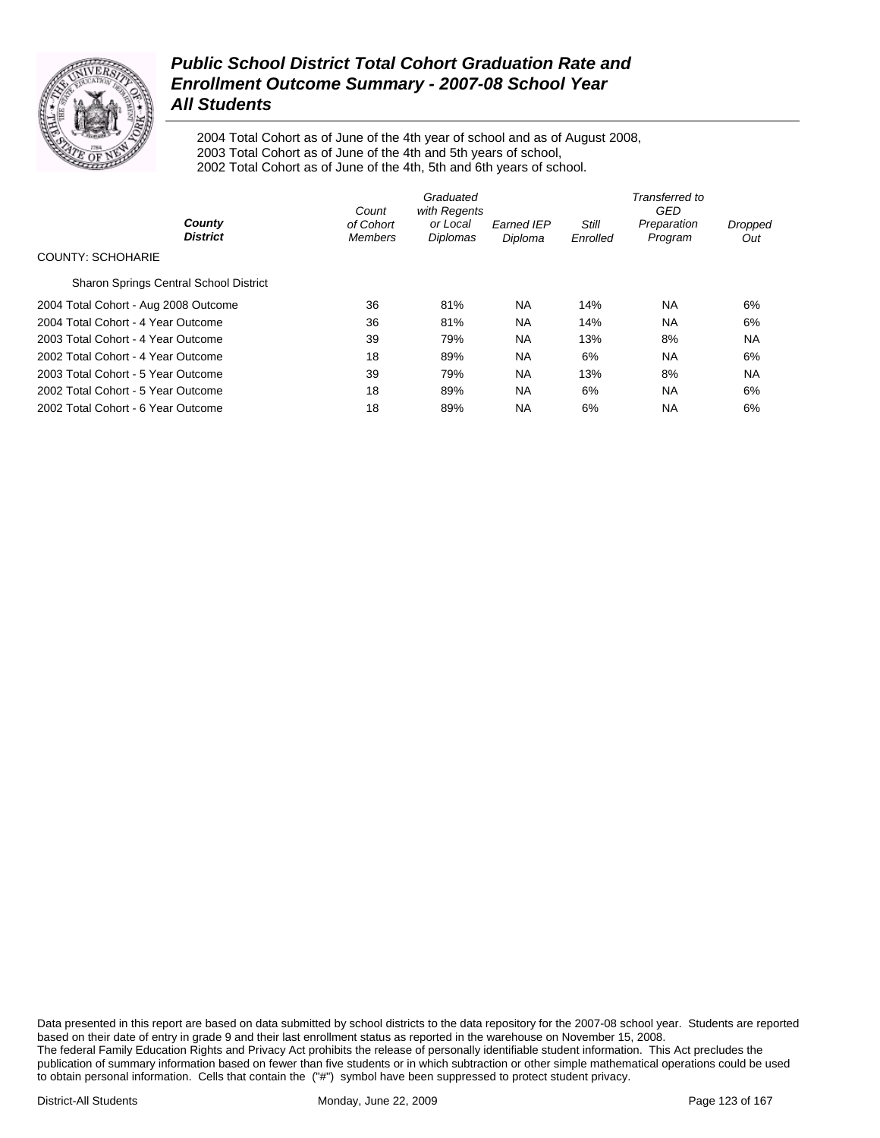

2004 Total Cohort as of June of the 4th year of school and as of August 2008, 2003 Total Cohort as of June of the 4th and 5th years of school, 2002 Total Cohort as of June of the 4th, 5th and 6th years of school.

|                                               | Count                       |                                      | Transferred to<br>GED        |                          |                        |                |  |
|-----------------------------------------------|-----------------------------|--------------------------------------|------------------------------|--------------------------|------------------------|----------------|--|
| County<br><b>District</b>                     | of Cohort<br><b>Members</b> | with Regents<br>or Local<br>Diplomas | <b>Earned IEP</b><br>Diploma | <b>Still</b><br>Enrolled | Preparation<br>Program | Dropped<br>Out |  |
| <b>COUNTY: SCHOHARIE</b>                      |                             |                                      |                              |                          |                        |                |  |
| <b>Sharon Springs Central School District</b> |                             |                                      |                              |                          |                        |                |  |
| 2004 Total Cohort - Aug 2008 Outcome          | 36                          | 81%                                  | NA.                          | 14%                      | NA.                    | 6%             |  |
| 2004 Total Cohort - 4 Year Outcome            | 36                          | 81%                                  | <b>NA</b>                    | 14%                      | <b>NA</b>              | 6%             |  |
| 2003 Total Cohort - 4 Year Outcome            | 39                          | 79%                                  | <b>NA</b>                    | 13%                      | 8%                     | <b>NA</b>      |  |
| 2002 Total Cohort - 4 Year Outcome            | 18                          | 89%                                  | <b>NA</b>                    | 6%                       | <b>NA</b>              | 6%             |  |
| 2003 Total Cohort - 5 Year Outcome            | 39                          | 79%                                  | <b>NA</b>                    | 13%                      | 8%                     | <b>NA</b>      |  |
| 2002 Total Cohort - 5 Year Outcome            | 18                          | 89%                                  | <b>NA</b>                    | 6%                       | <b>NA</b>              | 6%             |  |
| 2002 Total Cohort - 6 Year Outcome            | 18                          | 89%                                  | <b>NA</b>                    | 6%                       | <b>NA</b>              | 6%             |  |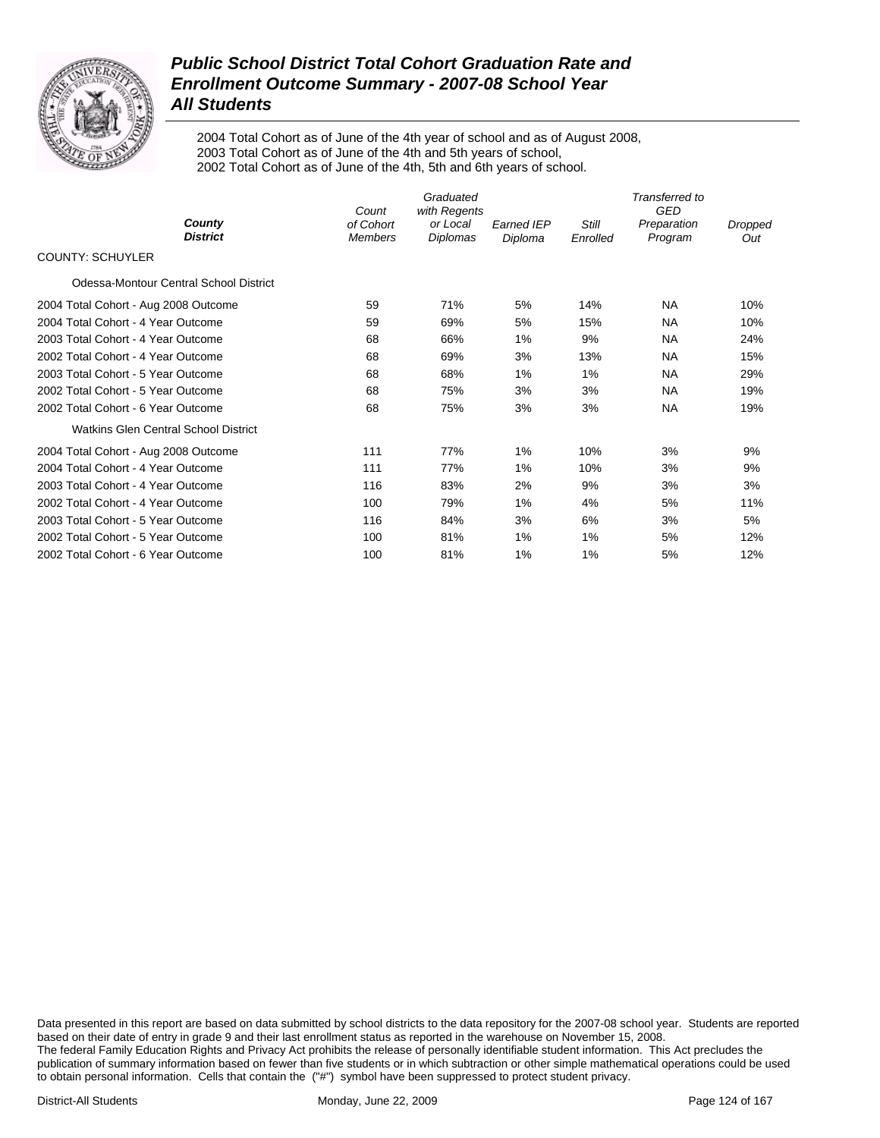

2004 Total Cohort as of June of the 4th year of school and as of August 2008, 2003 Total Cohort as of June of the 4th and 5th years of school, 2002 Total Cohort as of June of the 4th, 5th and 6th years of school.

|                                        | Count                       | Graduated<br>with Regents |                              |                          | Transferred to<br><b>GED</b> |                |
|----------------------------------------|-----------------------------|---------------------------|------------------------------|--------------------------|------------------------------|----------------|
| County<br><b>District</b>              | of Cohort<br><b>Members</b> | or Local<br>Diplomas      | <b>Earned IEP</b><br>Diploma | <b>Still</b><br>Enrolled | Preparation<br>Program       | Dropped<br>Out |
| <b>COUNTY: SCHUYLER</b>                |                             |                           |                              |                          |                              |                |
| Odessa-Montour Central School District |                             |                           |                              |                          |                              |                |
| 2004 Total Cohort - Aug 2008 Outcome   | 59                          | 71%                       | 5%                           | 14%                      | NA.                          | 10%            |
| 2004 Total Cohort - 4 Year Outcome     | 59                          | 69%                       | 5%                           | 15%                      | <b>NA</b>                    | 10%            |
| 2003 Total Cohort - 4 Year Outcome     | 68                          | 66%                       | $1\%$                        | 9%                       | <b>NA</b>                    | 24%            |
| 2002 Total Cohort - 4 Year Outcome     | 68                          | 69%                       | 3%                           | 13%                      | <b>NA</b>                    | 15%            |
| 2003 Total Cohort - 5 Year Outcome     | 68                          | 68%                       | $1\%$                        | $1\%$                    | <b>NA</b>                    | 29%            |
| 2002 Total Cohort - 5 Year Outcome     | 68                          | 75%                       | 3%                           | 3%                       | <b>NA</b>                    | 19%            |
| 2002 Total Cohort - 6 Year Outcome     | 68                          | 75%                       | 3%                           | 3%                       | <b>NA</b>                    | 19%            |
| Watkins Glen Central School District   |                             |                           |                              |                          |                              |                |
| 2004 Total Cohort - Aug 2008 Outcome   | 111                         | 77%                       | $1\%$                        | 10%                      | 3%                           | 9%             |
| 2004 Total Cohort - 4 Year Outcome     | 111                         | 77%                       | $1\%$                        | 10%                      | 3%                           | 9%             |
| 2003 Total Cohort - 4 Year Outcome     | 116                         | 83%                       | 2%                           | 9%                       | 3%                           | 3%             |
| 2002 Total Cohort - 4 Year Outcome     | 100                         | 79%                       | 1%                           | 4%                       | 5%                           | 11%            |
| 2003 Total Cohort - 5 Year Outcome     | 116                         | 84%                       | 3%                           | 6%                       | 3%                           | 5%             |
| 2002 Total Cohort - 5 Year Outcome     | 100                         | 81%                       | 1%                           | $1\%$                    | 5%                           | 12%            |
| 2002 Total Cohort - 6 Year Outcome     | 100                         | 81%                       | $1\%$                        | $1\%$                    | 5%                           | 12%            |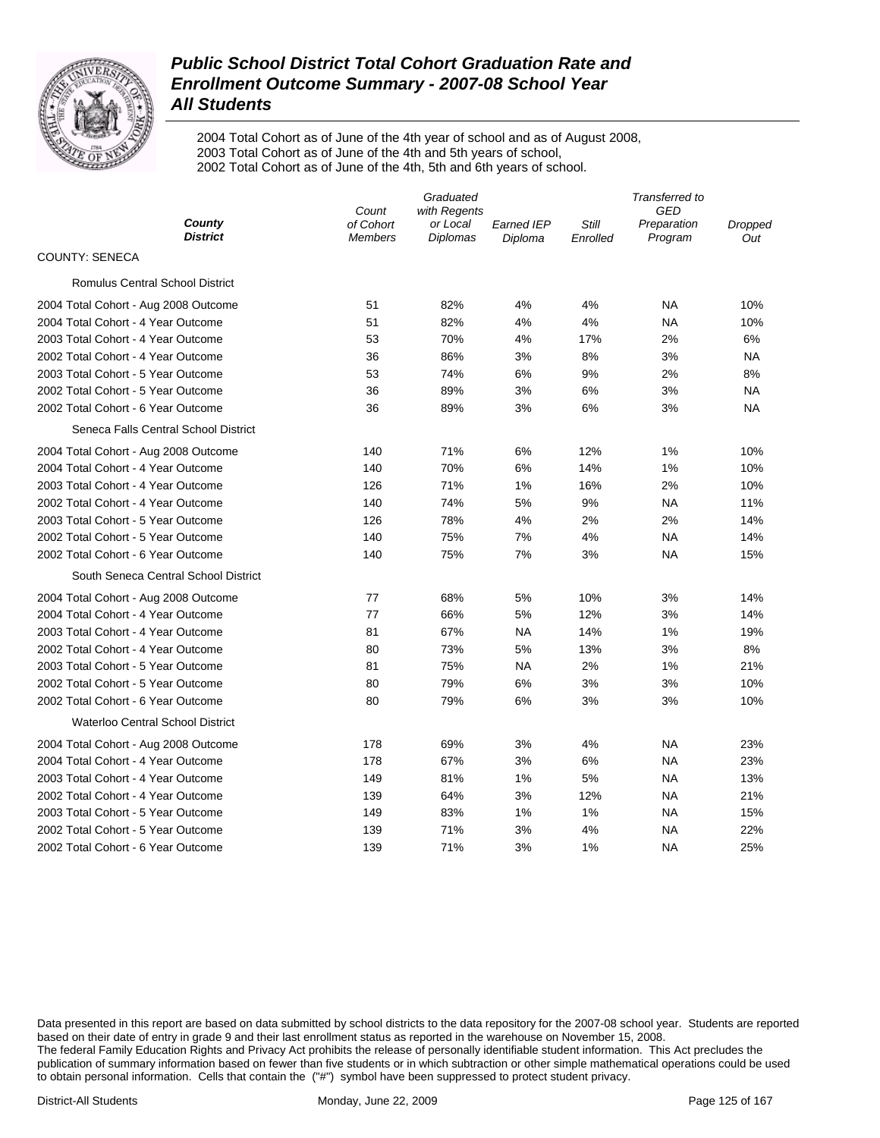

2004 Total Cohort as of June of the 4th year of school and as of August 2008, 2003 Total Cohort as of June of the 4th and 5th years of school, 2002 Total Cohort as of June of the 4th, 5th and 6th years of school.

|                                         | Graduated<br>with Regents<br>Count |                      |                              | Transferred to<br><b>GED</b> |                        |                |
|-----------------------------------------|------------------------------------|----------------------|------------------------------|------------------------------|------------------------|----------------|
| County<br><b>District</b>               | of Cohort<br><b>Members</b>        | or Local<br>Diplomas | <b>Earned IEP</b><br>Diploma | Still<br>Enrolled            | Preparation<br>Program | Dropped<br>Out |
| <b>COUNTY: SENECA</b>                   |                                    |                      |                              |                              |                        |                |
| <b>Romulus Central School District</b>  |                                    |                      |                              |                              |                        |                |
| 2004 Total Cohort - Aug 2008 Outcome    | 51                                 | 82%                  | 4%                           | 4%                           | <b>NA</b>              | 10%            |
| 2004 Total Cohort - 4 Year Outcome      | 51                                 | 82%                  | 4%                           | 4%                           | <b>NA</b>              | 10%            |
| 2003 Total Cohort - 4 Year Outcome      | 53                                 | 70%                  | 4%                           | 17%                          | 2%                     | 6%             |
| 2002 Total Cohort - 4 Year Outcome      | 36                                 | 86%                  | 3%                           | 8%                           | 3%                     | NA             |
| 2003 Total Cohort - 5 Year Outcome      | 53                                 | 74%                  | 6%                           | 9%                           | 2%                     | 8%             |
| 2002 Total Cohort - 5 Year Outcome      | 36                                 | 89%                  | 3%                           | $6\%$                        | 3%                     | <b>NA</b>      |
| 2002 Total Cohort - 6 Year Outcome      | 36                                 | 89%                  | 3%                           | 6%                           | 3%                     | <b>NA</b>      |
| Seneca Falls Central School District    |                                    |                      |                              |                              |                        |                |
| 2004 Total Cohort - Aug 2008 Outcome    | 140                                | 71%                  | 6%                           | 12%                          | 1%                     | 10%            |
| 2004 Total Cohort - 4 Year Outcome      | 140                                | 70%                  | 6%                           | 14%                          | 1%                     | 10%            |
| 2003 Total Cohort - 4 Year Outcome      | 126                                | 71%                  | 1%                           | 16%                          | 2%                     | 10%            |
| 2002 Total Cohort - 4 Year Outcome      | 140                                | 74%                  | 5%                           | 9%                           | <b>NA</b>              | 11%            |
| 2003 Total Cohort - 5 Year Outcome      | 126                                | 78%                  | 4%                           | 2%                           | 2%                     | 14%            |
| 2002 Total Cohort - 5 Year Outcome      | 140                                | 75%                  | 7%                           | 4%                           | NA                     | 14%            |
| 2002 Total Cohort - 6 Year Outcome      | 140                                | 75%                  | 7%                           | 3%                           | <b>NA</b>              | 15%            |
| South Seneca Central School District    |                                    |                      |                              |                              |                        |                |
| 2004 Total Cohort - Aug 2008 Outcome    | 77                                 | 68%                  | 5%                           | 10%                          | 3%                     | 14%            |
| 2004 Total Cohort - 4 Year Outcome      | 77                                 | 66%                  | 5%                           | 12%                          | 3%                     | 14%            |
| 2003 Total Cohort - 4 Year Outcome      | 81                                 | 67%                  | <b>NA</b>                    | 14%                          | 1%                     | 19%            |
| 2002 Total Cohort - 4 Year Outcome      | 80                                 | 73%                  | 5%                           | 13%                          | 3%                     | 8%             |
| 2003 Total Cohort - 5 Year Outcome      | 81                                 | 75%                  | <b>NA</b>                    | 2%                           | 1%                     | 21%            |
| 2002 Total Cohort - 5 Year Outcome      | 80                                 | 79%                  | 6%                           | 3%                           | 3%                     | 10%            |
| 2002 Total Cohort - 6 Year Outcome      | 80                                 | 79%                  | 6%                           | 3%                           | 3%                     | 10%            |
| <b>Waterloo Central School District</b> |                                    |                      |                              |                              |                        |                |
| 2004 Total Cohort - Aug 2008 Outcome    | 178                                | 69%                  | 3%                           | 4%                           | NA                     | 23%            |
| 2004 Total Cohort - 4 Year Outcome      | 178                                | 67%                  | 3%                           | 6%                           | NA                     | 23%            |
| 2003 Total Cohort - 4 Year Outcome      | 149                                | 81%                  | 1%                           | 5%                           | NA                     | 13%            |
| 2002 Total Cohort - 4 Year Outcome      | 139                                | 64%                  | 3%                           | 12%                          | <b>NA</b>              | 21%            |
| 2003 Total Cohort - 5 Year Outcome      | 149                                | 83%                  | 1%                           | 1%                           | NA                     | 15%            |
| 2002 Total Cohort - 5 Year Outcome      | 139                                | 71%                  | 3%                           | 4%                           | NA                     | 22%            |
| 2002 Total Cohort - 6 Year Outcome      | 139                                | 71%                  | 3%                           | 1%                           | <b>NA</b>              | 25%            |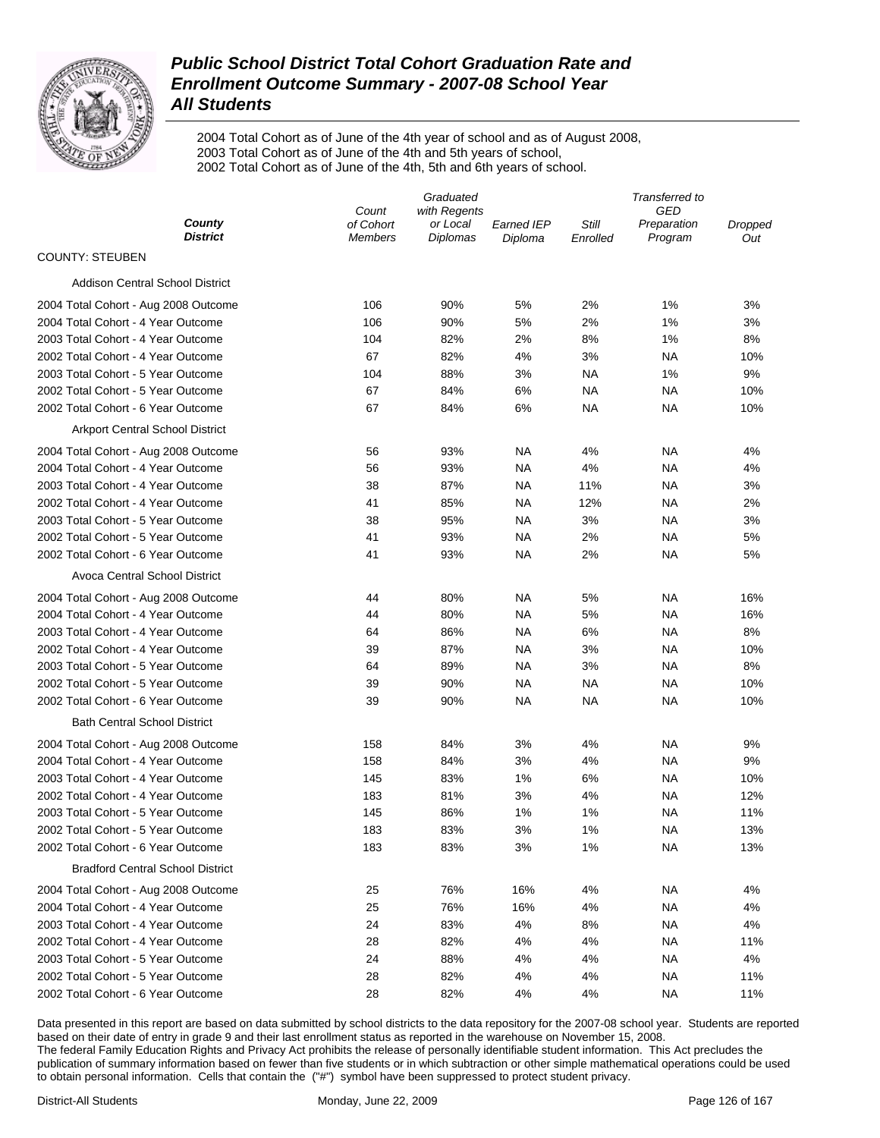

2004 Total Cohort as of June of the 4th year of school and as of August 2008, 2003 Total Cohort as of June of the 4th and 5th years of school, 2002 Total Cohort as of June of the 4th, 5th and 6th years of school.

|                                         | Graduated                   |                             |                       | Transferred to    |                        |                |
|-----------------------------------------|-----------------------------|-----------------------------|-----------------------|-------------------|------------------------|----------------|
|                                         | Count                       | with Regents                |                       |                   | GED                    |                |
| County<br><b>District</b>               | of Cohort<br><b>Members</b> | or Local<br><b>Diplomas</b> | Earned IEP<br>Diploma | Still<br>Enrolled | Preparation<br>Program | Dropped<br>Out |
| <b>COUNTY: STEUBEN</b>                  |                             |                             |                       |                   |                        |                |
| <b>Addison Central School District</b>  |                             |                             |                       |                   |                        |                |
| 2004 Total Cohort - Aug 2008 Outcome    | 106                         | 90%                         | 5%                    | 2%                | 1%                     | 3%             |
| 2004 Total Cohort - 4 Year Outcome      | 106                         | 90%                         | 5%                    | 2%                | 1%                     | 3%             |
| 2003 Total Cohort - 4 Year Outcome      | 104                         | 82%                         | 2%                    | 8%                | 1%                     | 8%             |
| 2002 Total Cohort - 4 Year Outcome      | 67                          | 82%                         | 4%                    | 3%                | ΝA                     | 10%            |
| 2003 Total Cohort - 5 Year Outcome      | 104                         | 88%                         | 3%                    | ΝA                | 1%                     | 9%             |
| 2002 Total Cohort - 5 Year Outcome      | 67                          | 84%                         | 6%                    | ΝA                | ΝA                     | 10%            |
| 2002 Total Cohort - 6 Year Outcome      | 67                          | 84%                         | 6%                    | ΝA                | ΝA                     | 10%            |
| <b>Arkport Central School District</b>  |                             |                             |                       |                   |                        |                |
| 2004 Total Cohort - Aug 2008 Outcome    | 56                          | 93%                         | NA                    | 4%                | ΝA                     | 4%             |
| 2004 Total Cohort - 4 Year Outcome      | 56                          | 93%                         | NA                    | 4%                | ΝA                     | 4%             |
| 2003 Total Cohort - 4 Year Outcome      | 38                          | 87%                         | ΝA                    | 11%               | ΝA                     | 3%             |
| 2002 Total Cohort - 4 Year Outcome      | 41                          | 85%                         | <b>NA</b>             | 12%               | ΝA                     | 2%             |
| 2003 Total Cohort - 5 Year Outcome      | 38                          | 95%                         | NA                    | 3%                | ΝA                     | 3%             |
| 2002 Total Cohort - 5 Year Outcome      | 41                          | 93%                         | <b>NA</b>             | 2%                | ΝA                     | 5%             |
| 2002 Total Cohort - 6 Year Outcome      | 41                          | 93%                         | <b>NA</b>             | 2%                | ΝA                     | 5%             |
| <b>Avoca Central School District</b>    |                             |                             |                       |                   |                        |                |
| 2004 Total Cohort - Aug 2008 Outcome    | 44                          | 80%                         | NA                    | 5%                | ΝA                     | 16%            |
| 2004 Total Cohort - 4 Year Outcome      | 44                          | 80%                         | <b>NA</b>             | 5%                | ΝA                     | 16%            |
| 2003 Total Cohort - 4 Year Outcome      | 64                          | 86%                         | NA                    | 6%                | ΝA                     | 8%             |
| 2002 Total Cohort - 4 Year Outcome      | 39                          | 87%                         | <b>NA</b>             | 3%                | NA                     | 10%            |
| 2003 Total Cohort - 5 Year Outcome      | 64                          | 89%                         | <b>NA</b>             | 3%                | <b>NA</b>              | 8%             |
| 2002 Total Cohort - 5 Year Outcome      | 39                          | 90%                         | NA                    | NA                | NA                     | 10%            |
| 2002 Total Cohort - 6 Year Outcome      | 39                          | 90%                         | NA                    | NA                | NA                     | 10%            |
| <b>Bath Central School District</b>     |                             |                             |                       |                   |                        |                |
| 2004 Total Cohort - Aug 2008 Outcome    | 158                         | 84%                         | 3%                    | 4%                | NA                     | 9%             |
| 2004 Total Cohort - 4 Year Outcome      | 158                         | 84%                         | 3%                    | 4%                | <b>NA</b>              | 9%             |
| 2003 Total Cohort - 4 Year Outcome      | 145                         | 83%                         | 1%                    | 6%                | <b>NA</b>              | 10%            |
| 2002 Total Cohort - 4 Year Outcome      | 183                         | 81%                         | 3%                    | 4%                | NA                     | 12%            |
| 2003 Total Cohort - 5 Year Outcome      | 145                         | 86%                         | 1%                    | 1%                | NA                     | 11%            |
| 2002 Total Cohort - 5 Year Outcome      | 183                         | 83%                         | 3%                    | 1%                | NA                     | 13%            |
| 2002 Total Cohort - 6 Year Outcome      | 183                         | 83%                         | 3%                    | 1%                | <b>NA</b>              | 13%            |
| <b>Bradford Central School District</b> |                             |                             |                       |                   |                        |                |
| 2004 Total Cohort - Aug 2008 Outcome    | 25                          | 76%                         | 16%                   | 4%                | ΝA                     | 4%             |
| 2004 Total Cohort - 4 Year Outcome      | 25                          | 76%                         | 16%                   | 4%                | <b>NA</b>              | 4%             |
| 2003 Total Cohort - 4 Year Outcome      | 24                          | 83%                         | 4%                    | 8%                | <b>NA</b>              | 4%             |
| 2002 Total Cohort - 4 Year Outcome      | 28                          | 82%                         | 4%                    | 4%                | <b>NA</b>              | 11%            |
| 2003 Total Cohort - 5 Year Outcome      | 24                          | 88%                         | 4%                    | 4%                | <b>NA</b>              | 4%             |
| 2002 Total Cohort - 5 Year Outcome      | 28                          | 82%                         | 4%                    | 4%                | <b>NA</b>              | 11%            |
| 2002 Total Cohort - 6 Year Outcome      | 28                          | 82%                         | 4%                    | 4%                | <b>NA</b>              | 11%            |
|                                         |                             |                             |                       |                   |                        |                |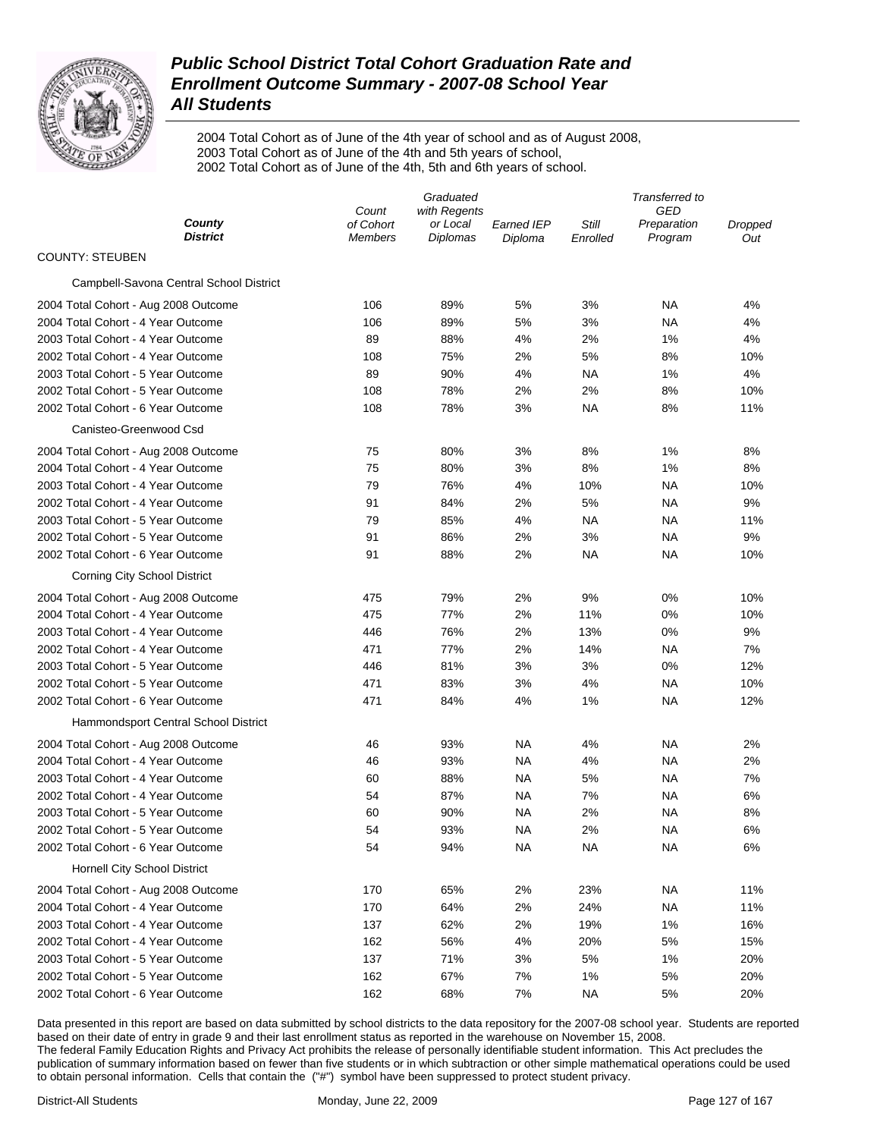

2004 Total Cohort as of June of the 4th year of school and as of August 2008, 2003 Total Cohort as of June of the 4th and 5th years of school, 2002 Total Cohort as of June of the 4th, 5th and 6th years of school.

|                                         | Graduated                   |                             |                       | Transferred to    |                        |                |
|-----------------------------------------|-----------------------------|-----------------------------|-----------------------|-------------------|------------------------|----------------|
|                                         | Count                       | with Regents                |                       |                   | GED                    |                |
| County<br><b>District</b>               | of Cohort<br><b>Members</b> | or Local<br><b>Diplomas</b> | Earned IEP<br>Diploma | Still<br>Enrolled | Preparation<br>Program | Dropped<br>Out |
| <b>COUNTY: STEUBEN</b>                  |                             |                             |                       |                   |                        |                |
| Campbell-Savona Central School District |                             |                             |                       |                   |                        |                |
| 2004 Total Cohort - Aug 2008 Outcome    | 106                         | 89%                         | 5%                    | 3%                | ΝA                     | 4%             |
| 2004 Total Cohort - 4 Year Outcome      | 106                         | 89%                         | 5%                    | 3%                | ΝA                     | 4%             |
| 2003 Total Cohort - 4 Year Outcome      | 89                          | 88%                         | 4%                    | 2%                | 1%                     | 4%             |
| 2002 Total Cohort - 4 Year Outcome      | 108                         | 75%                         | 2%                    | 5%                | 8%                     | 10%            |
| 2003 Total Cohort - 5 Year Outcome      | 89                          | 90%                         | 4%                    | ΝA                | 1%                     | 4%             |
| 2002 Total Cohort - 5 Year Outcome      | 108                         | 78%                         | 2%                    | 2%                | 8%                     | 10%            |
| 2002 Total Cohort - 6 Year Outcome      | 108                         | 78%                         | 3%                    | ΝA                | 8%                     | 11%            |
| Canisteo-Greenwood Csd                  |                             |                             |                       |                   |                        |                |
| 2004 Total Cohort - Aug 2008 Outcome    | 75                          | 80%                         | 3%                    | 8%                | 1%                     | 8%             |
| 2004 Total Cohort - 4 Year Outcome      | 75                          | 80%                         | 3%                    | 8%                | 1%                     | 8%             |
| 2003 Total Cohort - 4 Year Outcome      | 79                          | 76%                         | 4%                    | 10%               | ΝA                     | 10%            |
| 2002 Total Cohort - 4 Year Outcome      | 91                          | 84%                         | 2%                    | 5%                | ΝA                     | 9%             |
| 2003 Total Cohort - 5 Year Outcome      | 79                          | 85%                         | 4%                    | ΝA                | ΝA                     | 11%            |
| 2002 Total Cohort - 5 Year Outcome      | 91                          | 86%                         | 2%                    | 3%                | ΝA                     | 9%             |
| 2002 Total Cohort - 6 Year Outcome      | 91                          | 88%                         | 2%                    | ΝA                | ΝA                     | 10%            |
| <b>Corning City School District</b>     |                             |                             |                       |                   |                        |                |
| 2004 Total Cohort - Aug 2008 Outcome    | 475                         | 79%                         | 2%                    | 9%                | 0%                     | 10%            |
| 2004 Total Cohort - 4 Year Outcome      | 475                         | 77%                         | 2%                    | 11%               | 0%                     | 10%            |
| 2003 Total Cohort - 4 Year Outcome      | 446                         | 76%                         | 2%                    | 13%               | 0%                     | 9%             |
| 2002 Total Cohort - 4 Year Outcome      | 471                         | 77%                         | 2%                    | 14%               | ΝA                     | 7%             |
| 2003 Total Cohort - 5 Year Outcome      | 446                         | 81%                         | 3%                    | 3%                | 0%                     | 12%            |
| 2002 Total Cohort - 5 Year Outcome      | 471                         | 83%                         | 3%                    | 4%                | ΝA                     | 10%            |
| 2002 Total Cohort - 6 Year Outcome      | 471                         | 84%                         | 4%                    | 1%                | NA                     | 12%            |
| Hammondsport Central School District    |                             |                             |                       |                   |                        |                |
| 2004 Total Cohort - Aug 2008 Outcome    | 46                          | 93%                         | NA                    | 4%                | NA                     | 2%             |
| 2004 Total Cohort - 4 Year Outcome      | 46                          | 93%                         | NA                    | 4%                | <b>NA</b>              | 2%             |
| 2003 Total Cohort - 4 Year Outcome      | 60                          | 88%                         | <b>NA</b>             | 5%                | <b>NA</b>              | 7%             |
| 2002 Total Cohort - 4 Year Outcome      | 54                          | 87%                         | NA                    | 7%                | NA                     | 6%             |
| 2003 Total Cohort - 5 Year Outcome      | 60                          | 90%                         | NA                    | 2%                | NA                     | 8%             |
| 2002 Total Cohort - 5 Year Outcome      | 54                          | 93%                         | <b>NA</b>             | 2%                | NA                     | 6%             |
| 2002 Total Cohort - 6 Year Outcome      | 54                          | 94%                         | <b>NA</b>             | <b>NA</b>         | <b>NA</b>              | 6%             |
| <b>Hornell City School District</b>     |                             |                             |                       |                   |                        |                |
| 2004 Total Cohort - Aug 2008 Outcome    | 170                         | 65%                         | 2%                    | 23%               | <b>NA</b>              | 11%            |
| 2004 Total Cohort - 4 Year Outcome      | 170                         | 64%                         | 2%                    | 24%               | <b>NA</b>              | 11%            |
| 2003 Total Cohort - 4 Year Outcome      | 137                         | 62%                         | 2%                    | 19%               | 1%                     | 16%            |
| 2002 Total Cohort - 4 Year Outcome      | 162                         | 56%                         | 4%                    | 20%               | 5%                     | 15%            |
| 2003 Total Cohort - 5 Year Outcome      | 137                         | 71%                         | 3%                    | 5%                | 1%                     | 20%            |
| 2002 Total Cohort - 5 Year Outcome      | 162                         | 67%                         | 7%                    | 1%                | 5%                     | 20%            |
| 2002 Total Cohort - 6 Year Outcome      | 162                         | 68%                         | 7%                    | <b>NA</b>         | 5%                     | 20%            |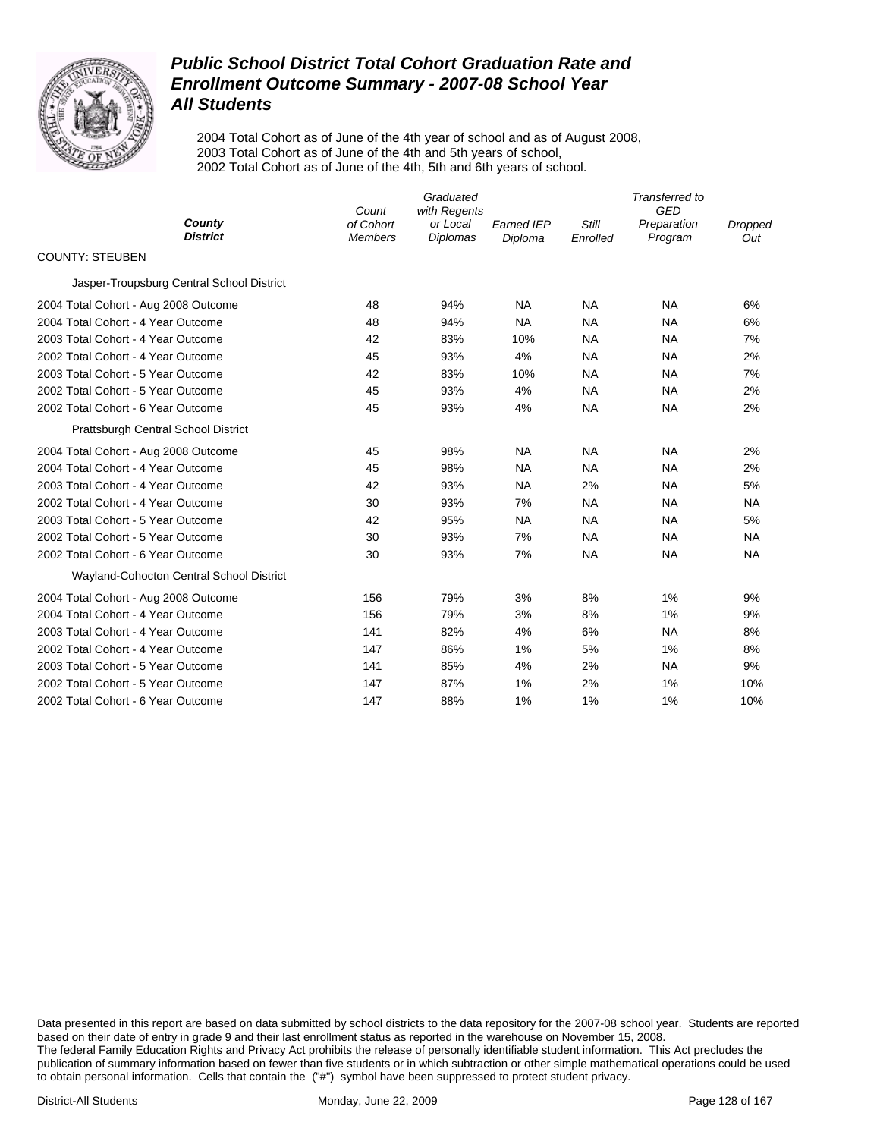

2004 Total Cohort as of June of the 4th year of school and as of August 2008, 2003 Total Cohort as of June of the 4th and 5th years of school, 2002 Total Cohort as of June of the 4th, 5th and 6th years of school.

|                                           | Count                       | Graduated<br>with Regents | Transferred to<br>GED |                   |                        |                |
|-------------------------------------------|-----------------------------|---------------------------|-----------------------|-------------------|------------------------|----------------|
| County<br><b>District</b>                 | of Cohort<br><b>Members</b> | or Local<br>Diplomas      | Earned IEP<br>Diploma | Still<br>Enrolled | Preparation<br>Program | Dropped<br>Out |
| <b>COUNTY: STEUBEN</b>                    |                             |                           |                       |                   |                        |                |
| Jasper-Troupsburg Central School District |                             |                           |                       |                   |                        |                |
| 2004 Total Cohort - Aug 2008 Outcome      | 48                          | 94%                       | <b>NA</b>             | <b>NA</b>         | <b>NA</b>              | 6%             |
| 2004 Total Cohort - 4 Year Outcome        | 48                          | 94%                       | <b>NA</b>             | <b>NA</b>         | <b>NA</b>              | 6%             |
| 2003 Total Cohort - 4 Year Outcome        | 42                          | 83%                       | 10%                   | <b>NA</b>         | <b>NA</b>              | 7%             |
| 2002 Total Cohort - 4 Year Outcome        | 45                          | 93%                       | 4%                    | <b>NA</b>         | <b>NA</b>              | 2%             |
| 2003 Total Cohort - 5 Year Outcome        | 42                          | 83%                       | 10%                   | <b>NA</b>         | <b>NA</b>              | 7%             |
| 2002 Total Cohort - 5 Year Outcome        | 45                          | 93%                       | 4%                    | NA                | <b>NA</b>              | 2%             |
| 2002 Total Cohort - 6 Year Outcome        | 45                          | 93%                       | 4%                    | <b>NA</b>         | <b>NA</b>              | 2%             |
| Prattsburgh Central School District       |                             |                           |                       |                   |                        |                |
| 2004 Total Cohort - Aug 2008 Outcome      | 45                          | 98%                       | <b>NA</b>             | <b>NA</b>         | <b>NA</b>              | 2%             |
| 2004 Total Cohort - 4 Year Outcome        | 45                          | 98%                       | NA                    | <b>NA</b>         | <b>NA</b>              | 2%             |
| 2003 Total Cohort - 4 Year Outcome        | 42                          | 93%                       | <b>NA</b>             | 2%                | <b>NA</b>              | 5%             |
| 2002 Total Cohort - 4 Year Outcome        | 30                          | 93%                       | 7%                    | <b>NA</b>         | <b>NA</b>              | <b>NA</b>      |
| 2003 Total Cohort - 5 Year Outcome        | 42                          | 95%                       | <b>NA</b>             | <b>NA</b>         | <b>NA</b>              | 5%             |
| 2002 Total Cohort - 5 Year Outcome        | 30                          | 93%                       | 7%                    | <b>NA</b>         | <b>NA</b>              | <b>NA</b>      |
| 2002 Total Cohort - 6 Year Outcome        | 30                          | 93%                       | 7%                    | <b>NA</b>         | <b>NA</b>              | <b>NA</b>      |
| Wayland-Cohocton Central School District  |                             |                           |                       |                   |                        |                |
| 2004 Total Cohort - Aug 2008 Outcome      | 156                         | 79%                       | 3%                    | 8%                | 1%                     | 9%             |
| 2004 Total Cohort - 4 Year Outcome        | 156                         | 79%                       | 3%                    | 8%                | 1%                     | 9%             |
| 2003 Total Cohort - 4 Year Outcome        | 141                         | 82%                       | 4%                    | 6%                | <b>NA</b>              | 8%             |
| 2002 Total Cohort - 4 Year Outcome        | 147                         | 86%                       | 1%                    | 5%                | 1%                     | 8%             |
| 2003 Total Cohort - 5 Year Outcome        | 141                         | 85%                       | 4%                    | 2%                | <b>NA</b>              | 9%             |
| 2002 Total Cohort - 5 Year Outcome        | 147                         | 87%                       | 1%                    | 2%                | 1%                     | 10%            |
| 2002 Total Cohort - 6 Year Outcome        | 147                         | 88%                       | 1%                    | 1%                | 1%                     | 10%            |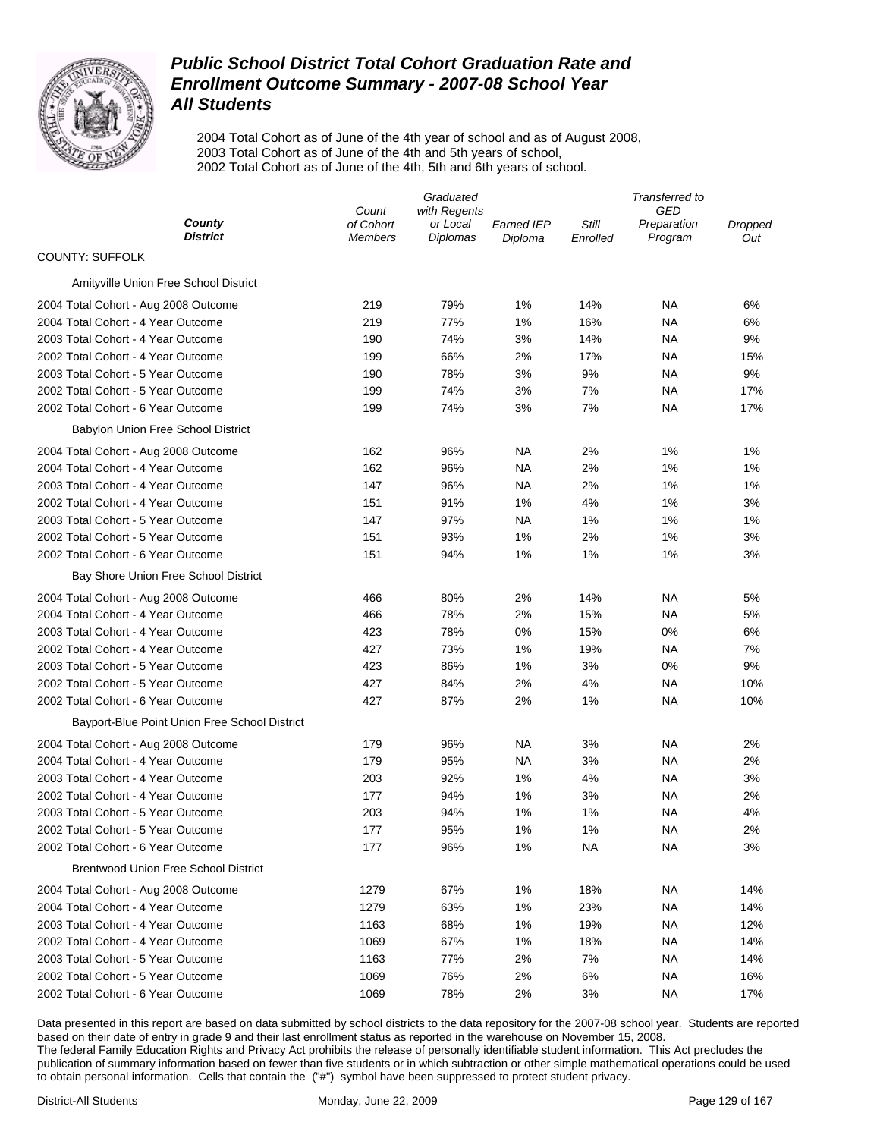

2004 Total Cohort as of June of the 4th year of school and as of August 2008, 2003 Total Cohort as of June of the 4th and 5th years of school, 2002 Total Cohort as of June of the 4th, 5th and 6th years of school.

|                                               | Graduated                   |                             |                              | Transferred to    |                        |                |
|-----------------------------------------------|-----------------------------|-----------------------------|------------------------------|-------------------|------------------------|----------------|
|                                               | Count                       | with Regents                |                              |                   | GED                    |                |
| County<br><b>District</b>                     | of Cohort<br><b>Members</b> | or Local<br><b>Diplomas</b> | <b>Earned IEP</b><br>Diploma | Still<br>Enrolled | Preparation<br>Program | Dropped<br>Out |
| <b>COUNTY: SUFFOLK</b>                        |                             |                             |                              |                   |                        |                |
| Amityville Union Free School District         |                             |                             |                              |                   |                        |                |
| 2004 Total Cohort - Aug 2008 Outcome          | 219                         | 79%                         | 1%                           | 14%               | NA                     | 6%             |
| 2004 Total Cohort - 4 Year Outcome            | 219                         | 77%                         | 1%                           | 16%               | NA                     | 6%             |
| 2003 Total Cohort - 4 Year Outcome            | 190                         | 74%                         | 3%                           | 14%               | NA                     | 9%             |
| 2002 Total Cohort - 4 Year Outcome            | 199                         | 66%                         | 2%                           | 17%               | NA                     | 15%            |
| 2003 Total Cohort - 5 Year Outcome            | 190                         | 78%                         | 3%                           | 9%                | NA                     | 9%             |
| 2002 Total Cohort - 5 Year Outcome            | 199                         | 74%                         | 3%                           | 7%                | ΝA                     | 17%            |
| 2002 Total Cohort - 6 Year Outcome            | 199                         | 74%                         | 3%                           | 7%                | NA                     | 17%            |
| Babylon Union Free School District            |                             |                             |                              |                   |                        |                |
| 2004 Total Cohort - Aug 2008 Outcome          | 162                         | 96%                         | NA                           | 2%                | 1%                     | 1%             |
| 2004 Total Cohort - 4 Year Outcome            | 162                         | 96%                         | NA                           | 2%                | 1%                     | 1%             |
| 2003 Total Cohort - 4 Year Outcome            | 147                         | 96%                         | NA                           | 2%                | 1%                     | 1%             |
| 2002 Total Cohort - 4 Year Outcome            | 151                         | 91%                         | 1%                           | 4%                | 1%                     | 3%             |
| 2003 Total Cohort - 5 Year Outcome            | 147                         | 97%                         | NA                           | 1%                | 1%                     | 1%             |
| 2002 Total Cohort - 5 Year Outcome            | 151                         | 93%                         | 1%                           | 2%                | 1%                     | 3%             |
| 2002 Total Cohort - 6 Year Outcome            | 151                         | 94%                         | 1%                           | 1%                | 1%                     | 3%             |
| Bay Shore Union Free School District          |                             |                             |                              |                   |                        |                |
| 2004 Total Cohort - Aug 2008 Outcome          | 466                         | 80%                         | 2%                           | 14%               | NA                     | 5%             |
| 2004 Total Cohort - 4 Year Outcome            | 466                         | 78%                         | 2%                           | 15%               | NA                     | 5%             |
| 2003 Total Cohort - 4 Year Outcome            | 423                         | 78%                         | $0\%$                        | 15%               | 0%                     | 6%             |
| 2002 Total Cohort - 4 Year Outcome            | 427                         | 73%                         | 1%                           | 19%               | NA                     | 7%             |
| 2003 Total Cohort - 5 Year Outcome            | 423                         | 86%                         | 1%                           | 3%                | 0%                     | 9%             |
| 2002 Total Cohort - 5 Year Outcome            | 427                         | 84%                         | 2%                           | 4%                | NA                     | 10%            |
| 2002 Total Cohort - 6 Year Outcome            | 427                         | 87%                         | 2%                           | 1%                | <b>NA</b>              | 10%            |
| Bayport-Blue Point Union Free School District |                             |                             |                              |                   |                        |                |
| 2004 Total Cohort - Aug 2008 Outcome          | 179                         | 96%                         | NA                           | 3%                | NA                     | 2%             |
| 2004 Total Cohort - 4 Year Outcome            | 179                         | 95%                         | NA                           | 3%                | NA                     | 2%             |
| 2003 Total Cohort - 4 Year Outcome            | 203                         | 92%                         | 1%                           | 4%                | <b>NA</b>              | 3%             |
| 2002 Total Cohort - 4 Year Outcome            | 177                         | 94%                         | 1%                           | 3%                | NA                     | 2%             |
| 2003 Total Cohort - 5 Year Outcome            | 203                         | 94%                         | 1%                           | 1%                | NA                     | 4%             |
| 2002 Total Cohort - 5 Year Outcome            | 177                         | 95%                         | 1%                           | 1%                | <b>NA</b>              | 2%             |
| 2002 Total Cohort - 6 Year Outcome            | 177                         | 96%                         | 1%                           | <b>NA</b>         | <b>NA</b>              | 3%             |
| <b>Brentwood Union Free School District</b>   |                             |                             |                              |                   |                        |                |
| 2004 Total Cohort - Aug 2008 Outcome          | 1279                        | 67%                         | 1%                           | 18%               | <b>NA</b>              | 14%            |
| 2004 Total Cohort - 4 Year Outcome            | 1279                        | 63%                         | 1%                           | 23%               | <b>NA</b>              | 14%            |
| 2003 Total Cohort - 4 Year Outcome            | 1163                        | 68%                         | 1%                           | 19%               | <b>NA</b>              | 12%            |
| 2002 Total Cohort - 4 Year Outcome            | 1069                        | 67%                         | 1%                           | 18%               | <b>NA</b>              | 14%            |
| 2003 Total Cohort - 5 Year Outcome            | 1163                        | 77%                         | 2%                           | 7%                | <b>NA</b>              | 14%            |
| 2002 Total Cohort - 5 Year Outcome            | 1069                        | 76%                         | 2%                           | 6%                | <b>NA</b>              | 16%            |
| 2002 Total Cohort - 6 Year Outcome            | 1069                        | 78%                         | 2%                           | 3%                | <b>NA</b>              | 17%            |
|                                               |                             |                             |                              |                   |                        |                |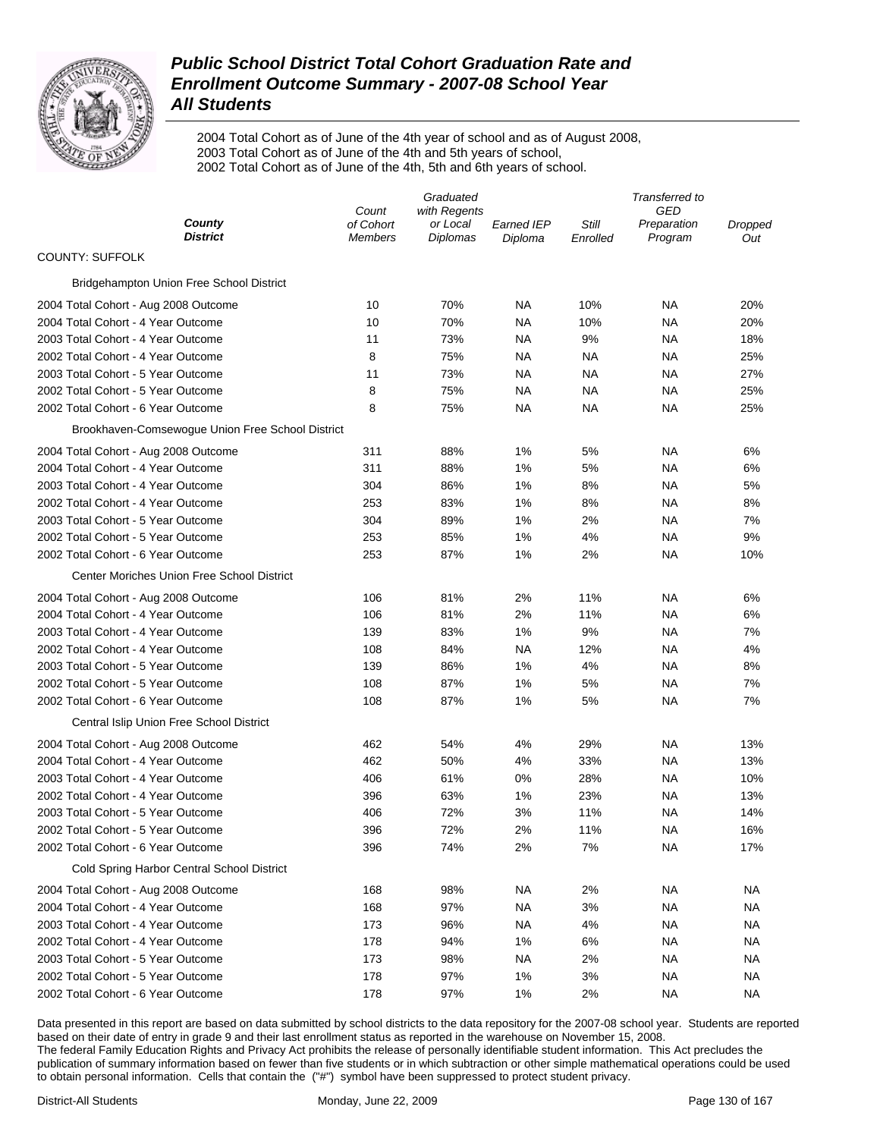

2004 Total Cohort as of June of the 4th year of school and as of August 2008, 2003 Total Cohort as of June of the 4th and 5th years of school, 2002 Total Cohort as of June of the 4th, 5th and 6th years of school.

|                                                  | Graduated          |                          |            | Transferred to |                           |                |
|--------------------------------------------------|--------------------|--------------------------|------------|----------------|---------------------------|----------------|
| County                                           | Count<br>of Cohort | with Regents<br>or Local | Earned IEP | Still          | <b>GED</b><br>Preparation |                |
| <b>District</b>                                  | <b>Members</b>     | Diplomas                 | Diploma    | Enrolled       | Program                   | Dropped<br>Out |
| <b>COUNTY: SUFFOLK</b>                           |                    |                          |            |                |                           |                |
| Bridgehampton Union Free School District         |                    |                          |            |                |                           |                |
| 2004 Total Cohort - Aug 2008 Outcome             | 10                 | 70%                      | NA.        | 10%            | ΝA                        | 20%            |
| 2004 Total Cohort - 4 Year Outcome               | 10                 | 70%                      | NA         | 10%            | NA                        | 20%            |
| 2003 Total Cohort - 4 Year Outcome               | 11                 | 73%                      | NA         | 9%             | ΝA                        | 18%            |
| 2002 Total Cohort - 4 Year Outcome               | 8                  | 75%                      | NA.        | NА             | ΝA                        | 25%            |
| 2003 Total Cohort - 5 Year Outcome               | 11                 | 73%                      | NA.        | NА             | ΝA                        | 27%            |
| 2002 Total Cohort - 5 Year Outcome               | 8                  | 75%                      | NA.        | <b>NA</b>      | ΝA                        | 25%            |
| 2002 Total Cohort - 6 Year Outcome               | 8                  | 75%                      | NA.        | <b>NA</b>      | NA                        | 25%            |
| Brookhaven-Comsewogue Union Free School District |                    |                          |            |                |                           |                |
| 2004 Total Cohort - Aug 2008 Outcome             | 311                | 88%                      | 1%         | 5%             | ΝA                        | 6%             |
| 2004 Total Cohort - 4 Year Outcome               | 311                | 88%                      | 1%         | 5%             | NA                        | 6%             |
| 2003 Total Cohort - 4 Year Outcome               | 304                | 86%                      | 1%         | 8%             | NA                        | 5%             |
| 2002 Total Cohort - 4 Year Outcome               | 253                | 83%                      | 1%         | 8%             | NA                        | 8%             |
| 2003 Total Cohort - 5 Year Outcome               | 304                | 89%                      | 1%         | 2%             | NA                        | 7%             |
| 2002 Total Cohort - 5 Year Outcome               | 253                | 85%                      | 1%         | 4%             | NA                        | 9%             |
| 2002 Total Cohort - 6 Year Outcome               | 253                | 87%                      | 1%         | 2%             | NA                        | 10%            |
| Center Moriches Union Free School District       |                    |                          |            |                |                           |                |
| 2004 Total Cohort - Aug 2008 Outcome             | 106                | 81%                      | 2%         | 11%            | ΝA                        | 6%             |
| 2004 Total Cohort - 4 Year Outcome               | 106                | 81%                      | 2%         | 11%            | ΝA                        | 6%             |
| 2003 Total Cohort - 4 Year Outcome               | 139                | 83%                      | 1%         | 9%             | ΝA                        | 7%             |
| 2002 Total Cohort - 4 Year Outcome               | 108                | 84%                      | NA.        | 12%            | ΝA                        | 4%             |
| 2003 Total Cohort - 5 Year Outcome               | 139                | 86%                      | 1%         | 4%             | ΝA                        | 8%             |
| 2002 Total Cohort - 5 Year Outcome               | 108                | 87%                      | 1%         | 5%             | NA                        | 7%             |
| 2002 Total Cohort - 6 Year Outcome               | 108                | 87%                      | 1%         | 5%             | NA                        | 7%             |
| Central Islip Union Free School District         |                    |                          |            |                |                           |                |
| 2004 Total Cohort - Aug 2008 Outcome             | 462                | 54%                      | 4%         | 29%            | NA                        | 13%            |
| 2004 Total Cohort - 4 Year Outcome               | 462                | 50%                      | 4%         | 33%            | NA                        | 13%            |
| 2003 Total Cohort - 4 Year Outcome               | 406                | 61%                      | 0%         | 28%            | NA                        | 10%            |
| 2002 Total Cohort - 4 Year Outcome               | 396                | 63%                      | 1%         | 23%            | NA                        | 13%            |
| 2003 Total Cohort - 5 Year Outcome               | 406                | 72%                      | 3%         | 11%            | NA                        | 14%            |
| 2002 Total Cohort - 5 Year Outcome               | 396                | 72%                      | 2%         | 11%            | NA                        | 16%            |
| 2002 Total Cohort - 6 Year Outcome               | 396                | 74%                      | 2%         | 7%             | NA                        | 17%            |
| Cold Spring Harbor Central School District       |                    |                          |            |                |                           |                |
| 2004 Total Cohort - Aug 2008 Outcome             | 168                | 98%                      | NA         | 2%             | NA                        | NA             |
| 2004 Total Cohort - 4 Year Outcome               | 168                | 97%                      | <b>NA</b>  | 3%             | NA                        | NA             |
| 2003 Total Cohort - 4 Year Outcome               | 173                | 96%                      | NA.        | 4%             | NA                        | NA             |
| 2002 Total Cohort - 4 Year Outcome               | 178                | 94%                      | 1%         | 6%             | NA                        | NA             |
| 2003 Total Cohort - 5 Year Outcome               | 173                | 98%                      | NA.        | 2%             | NA                        | NA             |
| 2002 Total Cohort - 5 Year Outcome               | 178                | 97%                      | 1%         | 3%             | NA                        | NA             |
| 2002 Total Cohort - 6 Year Outcome               | 178                | 97%                      | 1%         | 2%             | NA.                       | NA             |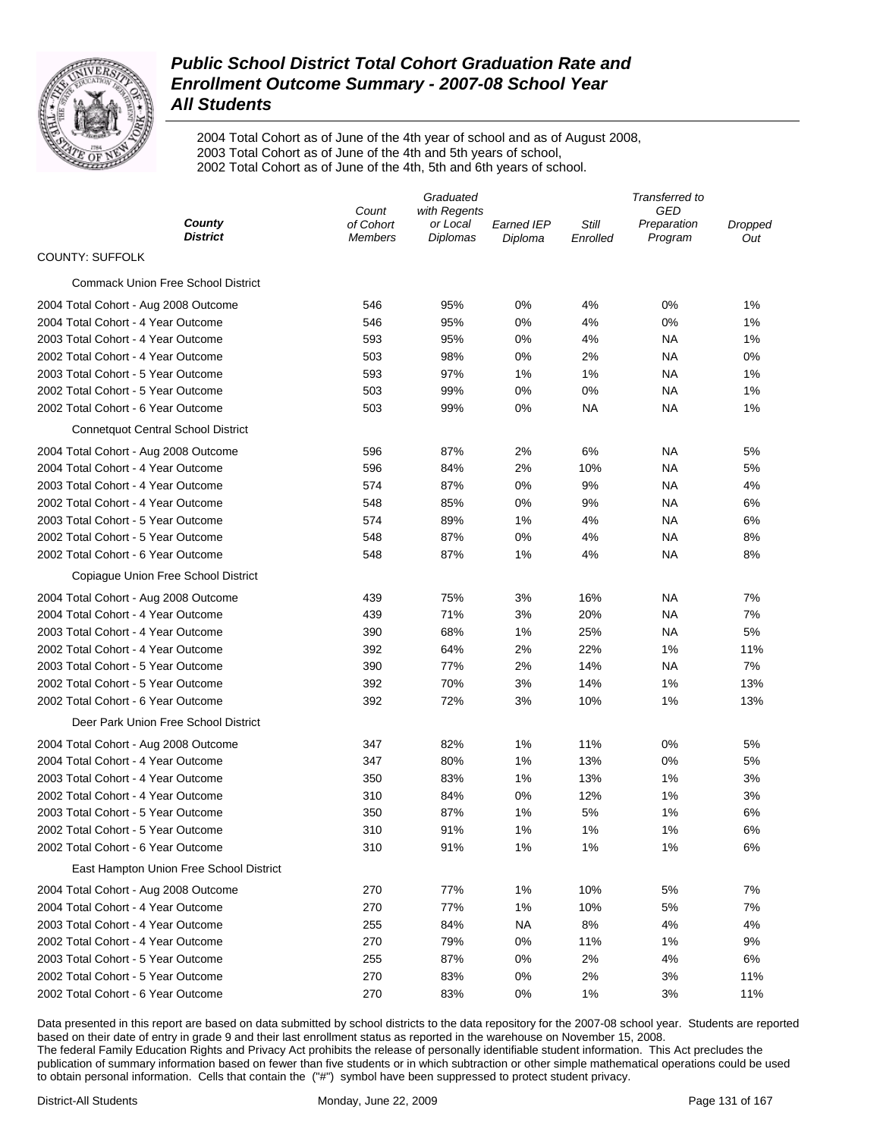

2004 Total Cohort as of June of the 4th year of school and as of August 2008, 2003 Total Cohort as of June of the 4th and 5th years of school, 2002 Total Cohort as of June of the 4th, 5th and 6th years of school.

| Count<br>County<br>of Cohort<br>Still<br>or Local<br><b>Earned IEP</b><br>Preparation<br>Dropped<br><b>District</b><br>Diplomas<br>Program<br>Members<br>Diploma<br>Enrolled<br>Out<br><b>COUNTY: SUFFOLK</b><br><b>Commack Union Free School District</b><br>2004 Total Cohort - Aug 2008 Outcome<br>546<br>95%<br>0%<br>4%<br>0%<br>1%<br>2004 Total Cohort - 4 Year Outcome<br>546<br>95%<br>0%<br>4%<br>0%<br>1%<br>2003 Total Cohort - 4 Year Outcome<br>593<br>95%<br>0%<br>4%<br>NA<br>1%<br>2002 Total Cohort - 4 Year Outcome<br>503<br>98%<br>2%<br>NA<br>0%<br>0%<br>2003 Total Cohort - 5 Year Outcome<br>593<br>97%<br>1%<br>1%<br>NA<br>1%<br>2002 Total Cohort - 5 Year Outcome<br>503<br>99%<br>0%<br>0%<br>NA<br>1%<br>2002 Total Cohort - 6 Year Outcome<br>503<br>99%<br>0%<br>ΝA<br>NA<br>1%<br><b>Connetquot Central School District</b><br>87%<br>NA<br>2004 Total Cohort - Aug 2008 Outcome<br>596<br>2%<br>6%<br>5%<br>2004 Total Cohort - 4 Year Outcome<br>596<br>84%<br>2%<br>10%<br>ΝA<br>5%<br>2003 Total Cohort - 4 Year Outcome<br>574<br>87%<br>0%<br>9%<br>NA<br>4%<br>2002 Total Cohort - 4 Year Outcome<br>85%<br>0%<br>9%<br>NA<br>548<br>6%<br>2003 Total Cohort - 5 Year Outcome<br>574<br>89%<br>1%<br>4%<br>NA<br>6%<br>2002 Total Cohort - 5 Year Outcome<br>548<br>87%<br>0%<br>4%<br>NA<br>8%<br>2002 Total Cohort - 6 Year Outcome<br>548<br>87%<br>1%<br>4%<br>NA<br>8%<br>Copiague Union Free School District<br>75%<br>16%<br>7%<br>2004 Total Cohort - Aug 2008 Outcome<br>439<br>3%<br>ΝA<br>2004 Total Cohort - 4 Year Outcome<br>71%<br>3%<br>20%<br>NA<br>7%<br>439<br>2003 Total Cohort - 4 Year Outcome<br>390<br>68%<br>1%<br>25%<br>NA<br>5%<br>2%<br>2002 Total Cohort - 4 Year Outcome<br>392<br>64%<br>22%<br>1%<br>11%<br>2%<br>7%<br>2003 Total Cohort - 5 Year Outcome<br>390<br>77%<br>14%<br>NA<br>70%<br>3%<br>14%<br>1%<br>2002 Total Cohort - 5 Year Outcome<br>392<br>13%<br>392<br>72%<br>3%<br>10%<br>1%<br>2002 Total Cohort - 6 Year Outcome<br>13%<br>Deer Park Union Free School District<br>1%<br>347<br>82%<br>11%<br>0%<br>5%<br>2004 Total Cohort - Aug 2008 Outcome<br>13%<br>2004 Total Cohort - 4 Year Outcome<br>347<br>80%<br>1%<br>0%<br>5%<br>$1\%$<br>13%<br>2003 Total Cohort - 4 Year Outcome<br>350<br>83%<br>1%<br>3%<br>12%<br>2002 Total Cohort - 4 Year Outcome<br>310<br>84%<br>0%<br>1%<br>3%<br>5%<br>2003 Total Cohort - 5 Year Outcome<br>350<br>87%<br>1%<br>1%<br>6%<br>1%<br>6%<br>2002 Total Cohort - 5 Year Outcome<br>310<br>91%<br>1%<br>1%<br>2002 Total Cohort - 6 Year Outcome<br>310<br>91%<br>1%<br>1%<br>1%<br>6%<br>East Hampton Union Free School District<br>270<br>77%<br>1%<br>10%<br>5%<br>7%<br>2004 Total Cohort - Aug 2008 Outcome |                                    |     | Graduated    |    |     | Transferred to |    |  |  |
|------------------------------------------------------------------------------------------------------------------------------------------------------------------------------------------------------------------------------------------------------------------------------------------------------------------------------------------------------------------------------------------------------------------------------------------------------------------------------------------------------------------------------------------------------------------------------------------------------------------------------------------------------------------------------------------------------------------------------------------------------------------------------------------------------------------------------------------------------------------------------------------------------------------------------------------------------------------------------------------------------------------------------------------------------------------------------------------------------------------------------------------------------------------------------------------------------------------------------------------------------------------------------------------------------------------------------------------------------------------------------------------------------------------------------------------------------------------------------------------------------------------------------------------------------------------------------------------------------------------------------------------------------------------------------------------------------------------------------------------------------------------------------------------------------------------------------------------------------------------------------------------------------------------------------------------------------------------------------------------------------------------------------------------------------------------------------------------------------------------------------------------------------------------------------------------------------------------------------------------------------------------------------------------------------------------------------------------------------------------------------------------------------------------------------------------------------------------------------------------------------------------------------------------------------------------------------------------------------------------------------------------------------------------------------------------------------------------------------------------------------------|------------------------------------|-----|--------------|----|-----|----------------|----|--|--|
|                                                                                                                                                                                                                                                                                                                                                                                                                                                                                                                                                                                                                                                                                                                                                                                                                                                                                                                                                                                                                                                                                                                                                                                                                                                                                                                                                                                                                                                                                                                                                                                                                                                                                                                                                                                                                                                                                                                                                                                                                                                                                                                                                                                                                                                                                                                                                                                                                                                                                                                                                                                                                                                                                                                                                            |                                    |     | with Regents |    |     | GED            |    |  |  |
|                                                                                                                                                                                                                                                                                                                                                                                                                                                                                                                                                                                                                                                                                                                                                                                                                                                                                                                                                                                                                                                                                                                                                                                                                                                                                                                                                                                                                                                                                                                                                                                                                                                                                                                                                                                                                                                                                                                                                                                                                                                                                                                                                                                                                                                                                                                                                                                                                                                                                                                                                                                                                                                                                                                                                            |                                    |     |              |    |     |                |    |  |  |
|                                                                                                                                                                                                                                                                                                                                                                                                                                                                                                                                                                                                                                                                                                                                                                                                                                                                                                                                                                                                                                                                                                                                                                                                                                                                                                                                                                                                                                                                                                                                                                                                                                                                                                                                                                                                                                                                                                                                                                                                                                                                                                                                                                                                                                                                                                                                                                                                                                                                                                                                                                                                                                                                                                                                                            |                                    |     |              |    |     |                |    |  |  |
|                                                                                                                                                                                                                                                                                                                                                                                                                                                                                                                                                                                                                                                                                                                                                                                                                                                                                                                                                                                                                                                                                                                                                                                                                                                                                                                                                                                                                                                                                                                                                                                                                                                                                                                                                                                                                                                                                                                                                                                                                                                                                                                                                                                                                                                                                                                                                                                                                                                                                                                                                                                                                                                                                                                                                            |                                    |     |              |    |     |                |    |  |  |
|                                                                                                                                                                                                                                                                                                                                                                                                                                                                                                                                                                                                                                                                                                                                                                                                                                                                                                                                                                                                                                                                                                                                                                                                                                                                                                                                                                                                                                                                                                                                                                                                                                                                                                                                                                                                                                                                                                                                                                                                                                                                                                                                                                                                                                                                                                                                                                                                                                                                                                                                                                                                                                                                                                                                                            |                                    |     |              |    |     |                |    |  |  |
|                                                                                                                                                                                                                                                                                                                                                                                                                                                                                                                                                                                                                                                                                                                                                                                                                                                                                                                                                                                                                                                                                                                                                                                                                                                                                                                                                                                                                                                                                                                                                                                                                                                                                                                                                                                                                                                                                                                                                                                                                                                                                                                                                                                                                                                                                                                                                                                                                                                                                                                                                                                                                                                                                                                                                            |                                    |     |              |    |     |                |    |  |  |
|                                                                                                                                                                                                                                                                                                                                                                                                                                                                                                                                                                                                                                                                                                                                                                                                                                                                                                                                                                                                                                                                                                                                                                                                                                                                                                                                                                                                                                                                                                                                                                                                                                                                                                                                                                                                                                                                                                                                                                                                                                                                                                                                                                                                                                                                                                                                                                                                                                                                                                                                                                                                                                                                                                                                                            |                                    |     |              |    |     |                |    |  |  |
|                                                                                                                                                                                                                                                                                                                                                                                                                                                                                                                                                                                                                                                                                                                                                                                                                                                                                                                                                                                                                                                                                                                                                                                                                                                                                                                                                                                                                                                                                                                                                                                                                                                                                                                                                                                                                                                                                                                                                                                                                                                                                                                                                                                                                                                                                                                                                                                                                                                                                                                                                                                                                                                                                                                                                            |                                    |     |              |    |     |                |    |  |  |
|                                                                                                                                                                                                                                                                                                                                                                                                                                                                                                                                                                                                                                                                                                                                                                                                                                                                                                                                                                                                                                                                                                                                                                                                                                                                                                                                                                                                                                                                                                                                                                                                                                                                                                                                                                                                                                                                                                                                                                                                                                                                                                                                                                                                                                                                                                                                                                                                                                                                                                                                                                                                                                                                                                                                                            |                                    |     |              |    |     |                |    |  |  |
|                                                                                                                                                                                                                                                                                                                                                                                                                                                                                                                                                                                                                                                                                                                                                                                                                                                                                                                                                                                                                                                                                                                                                                                                                                                                                                                                                                                                                                                                                                                                                                                                                                                                                                                                                                                                                                                                                                                                                                                                                                                                                                                                                                                                                                                                                                                                                                                                                                                                                                                                                                                                                                                                                                                                                            |                                    |     |              |    |     |                |    |  |  |
|                                                                                                                                                                                                                                                                                                                                                                                                                                                                                                                                                                                                                                                                                                                                                                                                                                                                                                                                                                                                                                                                                                                                                                                                                                                                                                                                                                                                                                                                                                                                                                                                                                                                                                                                                                                                                                                                                                                                                                                                                                                                                                                                                                                                                                                                                                                                                                                                                                                                                                                                                                                                                                                                                                                                                            |                                    |     |              |    |     |                |    |  |  |
|                                                                                                                                                                                                                                                                                                                                                                                                                                                                                                                                                                                                                                                                                                                                                                                                                                                                                                                                                                                                                                                                                                                                                                                                                                                                                                                                                                                                                                                                                                                                                                                                                                                                                                                                                                                                                                                                                                                                                                                                                                                                                                                                                                                                                                                                                                                                                                                                                                                                                                                                                                                                                                                                                                                                                            |                                    |     |              |    |     |                |    |  |  |
|                                                                                                                                                                                                                                                                                                                                                                                                                                                                                                                                                                                                                                                                                                                                                                                                                                                                                                                                                                                                                                                                                                                                                                                                                                                                                                                                                                                                                                                                                                                                                                                                                                                                                                                                                                                                                                                                                                                                                                                                                                                                                                                                                                                                                                                                                                                                                                                                                                                                                                                                                                                                                                                                                                                                                            |                                    |     |              |    |     |                |    |  |  |
|                                                                                                                                                                                                                                                                                                                                                                                                                                                                                                                                                                                                                                                                                                                                                                                                                                                                                                                                                                                                                                                                                                                                                                                                                                                                                                                                                                                                                                                                                                                                                                                                                                                                                                                                                                                                                                                                                                                                                                                                                                                                                                                                                                                                                                                                                                                                                                                                                                                                                                                                                                                                                                                                                                                                                            |                                    |     |              |    |     |                |    |  |  |
|                                                                                                                                                                                                                                                                                                                                                                                                                                                                                                                                                                                                                                                                                                                                                                                                                                                                                                                                                                                                                                                                                                                                                                                                                                                                                                                                                                                                                                                                                                                                                                                                                                                                                                                                                                                                                                                                                                                                                                                                                                                                                                                                                                                                                                                                                                                                                                                                                                                                                                                                                                                                                                                                                                                                                            |                                    |     |              |    |     |                |    |  |  |
|                                                                                                                                                                                                                                                                                                                                                                                                                                                                                                                                                                                                                                                                                                                                                                                                                                                                                                                                                                                                                                                                                                                                                                                                                                                                                                                                                                                                                                                                                                                                                                                                                                                                                                                                                                                                                                                                                                                                                                                                                                                                                                                                                                                                                                                                                                                                                                                                                                                                                                                                                                                                                                                                                                                                                            |                                    |     |              |    |     |                |    |  |  |
|                                                                                                                                                                                                                                                                                                                                                                                                                                                                                                                                                                                                                                                                                                                                                                                                                                                                                                                                                                                                                                                                                                                                                                                                                                                                                                                                                                                                                                                                                                                                                                                                                                                                                                                                                                                                                                                                                                                                                                                                                                                                                                                                                                                                                                                                                                                                                                                                                                                                                                                                                                                                                                                                                                                                                            |                                    |     |              |    |     |                |    |  |  |
|                                                                                                                                                                                                                                                                                                                                                                                                                                                                                                                                                                                                                                                                                                                                                                                                                                                                                                                                                                                                                                                                                                                                                                                                                                                                                                                                                                                                                                                                                                                                                                                                                                                                                                                                                                                                                                                                                                                                                                                                                                                                                                                                                                                                                                                                                                                                                                                                                                                                                                                                                                                                                                                                                                                                                            |                                    |     |              |    |     |                |    |  |  |
|                                                                                                                                                                                                                                                                                                                                                                                                                                                                                                                                                                                                                                                                                                                                                                                                                                                                                                                                                                                                                                                                                                                                                                                                                                                                                                                                                                                                                                                                                                                                                                                                                                                                                                                                                                                                                                                                                                                                                                                                                                                                                                                                                                                                                                                                                                                                                                                                                                                                                                                                                                                                                                                                                                                                                            |                                    |     |              |    |     |                |    |  |  |
|                                                                                                                                                                                                                                                                                                                                                                                                                                                                                                                                                                                                                                                                                                                                                                                                                                                                                                                                                                                                                                                                                                                                                                                                                                                                                                                                                                                                                                                                                                                                                                                                                                                                                                                                                                                                                                                                                                                                                                                                                                                                                                                                                                                                                                                                                                                                                                                                                                                                                                                                                                                                                                                                                                                                                            |                                    |     |              |    |     |                |    |  |  |
|                                                                                                                                                                                                                                                                                                                                                                                                                                                                                                                                                                                                                                                                                                                                                                                                                                                                                                                                                                                                                                                                                                                                                                                                                                                                                                                                                                                                                                                                                                                                                                                                                                                                                                                                                                                                                                                                                                                                                                                                                                                                                                                                                                                                                                                                                                                                                                                                                                                                                                                                                                                                                                                                                                                                                            |                                    |     |              |    |     |                |    |  |  |
|                                                                                                                                                                                                                                                                                                                                                                                                                                                                                                                                                                                                                                                                                                                                                                                                                                                                                                                                                                                                                                                                                                                                                                                                                                                                                                                                                                                                                                                                                                                                                                                                                                                                                                                                                                                                                                                                                                                                                                                                                                                                                                                                                                                                                                                                                                                                                                                                                                                                                                                                                                                                                                                                                                                                                            |                                    |     |              |    |     |                |    |  |  |
|                                                                                                                                                                                                                                                                                                                                                                                                                                                                                                                                                                                                                                                                                                                                                                                                                                                                                                                                                                                                                                                                                                                                                                                                                                                                                                                                                                                                                                                                                                                                                                                                                                                                                                                                                                                                                                                                                                                                                                                                                                                                                                                                                                                                                                                                                                                                                                                                                                                                                                                                                                                                                                                                                                                                                            |                                    |     |              |    |     |                |    |  |  |
|                                                                                                                                                                                                                                                                                                                                                                                                                                                                                                                                                                                                                                                                                                                                                                                                                                                                                                                                                                                                                                                                                                                                                                                                                                                                                                                                                                                                                                                                                                                                                                                                                                                                                                                                                                                                                                                                                                                                                                                                                                                                                                                                                                                                                                                                                                                                                                                                                                                                                                                                                                                                                                                                                                                                                            |                                    |     |              |    |     |                |    |  |  |
|                                                                                                                                                                                                                                                                                                                                                                                                                                                                                                                                                                                                                                                                                                                                                                                                                                                                                                                                                                                                                                                                                                                                                                                                                                                                                                                                                                                                                                                                                                                                                                                                                                                                                                                                                                                                                                                                                                                                                                                                                                                                                                                                                                                                                                                                                                                                                                                                                                                                                                                                                                                                                                                                                                                                                            |                                    |     |              |    |     |                |    |  |  |
|                                                                                                                                                                                                                                                                                                                                                                                                                                                                                                                                                                                                                                                                                                                                                                                                                                                                                                                                                                                                                                                                                                                                                                                                                                                                                                                                                                                                                                                                                                                                                                                                                                                                                                                                                                                                                                                                                                                                                                                                                                                                                                                                                                                                                                                                                                                                                                                                                                                                                                                                                                                                                                                                                                                                                            |                                    |     |              |    |     |                |    |  |  |
|                                                                                                                                                                                                                                                                                                                                                                                                                                                                                                                                                                                                                                                                                                                                                                                                                                                                                                                                                                                                                                                                                                                                                                                                                                                                                                                                                                                                                                                                                                                                                                                                                                                                                                                                                                                                                                                                                                                                                                                                                                                                                                                                                                                                                                                                                                                                                                                                                                                                                                                                                                                                                                                                                                                                                            |                                    |     |              |    |     |                |    |  |  |
|                                                                                                                                                                                                                                                                                                                                                                                                                                                                                                                                                                                                                                                                                                                                                                                                                                                                                                                                                                                                                                                                                                                                                                                                                                                                                                                                                                                                                                                                                                                                                                                                                                                                                                                                                                                                                                                                                                                                                                                                                                                                                                                                                                                                                                                                                                                                                                                                                                                                                                                                                                                                                                                                                                                                                            |                                    |     |              |    |     |                |    |  |  |
|                                                                                                                                                                                                                                                                                                                                                                                                                                                                                                                                                                                                                                                                                                                                                                                                                                                                                                                                                                                                                                                                                                                                                                                                                                                                                                                                                                                                                                                                                                                                                                                                                                                                                                                                                                                                                                                                                                                                                                                                                                                                                                                                                                                                                                                                                                                                                                                                                                                                                                                                                                                                                                                                                                                                                            |                                    |     |              |    |     |                |    |  |  |
|                                                                                                                                                                                                                                                                                                                                                                                                                                                                                                                                                                                                                                                                                                                                                                                                                                                                                                                                                                                                                                                                                                                                                                                                                                                                                                                                                                                                                                                                                                                                                                                                                                                                                                                                                                                                                                                                                                                                                                                                                                                                                                                                                                                                                                                                                                                                                                                                                                                                                                                                                                                                                                                                                                                                                            |                                    |     |              |    |     |                |    |  |  |
|                                                                                                                                                                                                                                                                                                                                                                                                                                                                                                                                                                                                                                                                                                                                                                                                                                                                                                                                                                                                                                                                                                                                                                                                                                                                                                                                                                                                                                                                                                                                                                                                                                                                                                                                                                                                                                                                                                                                                                                                                                                                                                                                                                                                                                                                                                                                                                                                                                                                                                                                                                                                                                                                                                                                                            |                                    |     |              |    |     |                |    |  |  |
|                                                                                                                                                                                                                                                                                                                                                                                                                                                                                                                                                                                                                                                                                                                                                                                                                                                                                                                                                                                                                                                                                                                                                                                                                                                                                                                                                                                                                                                                                                                                                                                                                                                                                                                                                                                                                                                                                                                                                                                                                                                                                                                                                                                                                                                                                                                                                                                                                                                                                                                                                                                                                                                                                                                                                            |                                    |     |              |    |     |                |    |  |  |
|                                                                                                                                                                                                                                                                                                                                                                                                                                                                                                                                                                                                                                                                                                                                                                                                                                                                                                                                                                                                                                                                                                                                                                                                                                                                                                                                                                                                                                                                                                                                                                                                                                                                                                                                                                                                                                                                                                                                                                                                                                                                                                                                                                                                                                                                                                                                                                                                                                                                                                                                                                                                                                                                                                                                                            |                                    |     |              |    |     |                |    |  |  |
|                                                                                                                                                                                                                                                                                                                                                                                                                                                                                                                                                                                                                                                                                                                                                                                                                                                                                                                                                                                                                                                                                                                                                                                                                                                                                                                                                                                                                                                                                                                                                                                                                                                                                                                                                                                                                                                                                                                                                                                                                                                                                                                                                                                                                                                                                                                                                                                                                                                                                                                                                                                                                                                                                                                                                            |                                    |     |              |    |     |                |    |  |  |
|                                                                                                                                                                                                                                                                                                                                                                                                                                                                                                                                                                                                                                                                                                                                                                                                                                                                                                                                                                                                                                                                                                                                                                                                                                                                                                                                                                                                                                                                                                                                                                                                                                                                                                                                                                                                                                                                                                                                                                                                                                                                                                                                                                                                                                                                                                                                                                                                                                                                                                                                                                                                                                                                                                                                                            |                                    |     |              |    |     |                |    |  |  |
|                                                                                                                                                                                                                                                                                                                                                                                                                                                                                                                                                                                                                                                                                                                                                                                                                                                                                                                                                                                                                                                                                                                                                                                                                                                                                                                                                                                                                                                                                                                                                                                                                                                                                                                                                                                                                                                                                                                                                                                                                                                                                                                                                                                                                                                                                                                                                                                                                                                                                                                                                                                                                                                                                                                                                            |                                    |     |              |    |     |                |    |  |  |
|                                                                                                                                                                                                                                                                                                                                                                                                                                                                                                                                                                                                                                                                                                                                                                                                                                                                                                                                                                                                                                                                                                                                                                                                                                                                                                                                                                                                                                                                                                                                                                                                                                                                                                                                                                                                                                                                                                                                                                                                                                                                                                                                                                                                                                                                                                                                                                                                                                                                                                                                                                                                                                                                                                                                                            |                                    |     |              |    |     |                |    |  |  |
|                                                                                                                                                                                                                                                                                                                                                                                                                                                                                                                                                                                                                                                                                                                                                                                                                                                                                                                                                                                                                                                                                                                                                                                                                                                                                                                                                                                                                                                                                                                                                                                                                                                                                                                                                                                                                                                                                                                                                                                                                                                                                                                                                                                                                                                                                                                                                                                                                                                                                                                                                                                                                                                                                                                                                            | 2004 Total Cohort - 4 Year Outcome | 270 | 77%          | 1% | 10% | 5%             | 7% |  |  |
| 2003 Total Cohort - 4 Year Outcome<br>255<br>84%<br><b>NA</b><br>8%<br>4%<br>4%                                                                                                                                                                                                                                                                                                                                                                                                                                                                                                                                                                                                                                                                                                                                                                                                                                                                                                                                                                                                                                                                                                                                                                                                                                                                                                                                                                                                                                                                                                                                                                                                                                                                                                                                                                                                                                                                                                                                                                                                                                                                                                                                                                                                                                                                                                                                                                                                                                                                                                                                                                                                                                                                            |                                    |     |              |    |     |                |    |  |  |
| 2002 Total Cohort - 4 Year Outcome<br>270<br>79%<br>0%<br>11%<br>1%<br>9%                                                                                                                                                                                                                                                                                                                                                                                                                                                                                                                                                                                                                                                                                                                                                                                                                                                                                                                                                                                                                                                                                                                                                                                                                                                                                                                                                                                                                                                                                                                                                                                                                                                                                                                                                                                                                                                                                                                                                                                                                                                                                                                                                                                                                                                                                                                                                                                                                                                                                                                                                                                                                                                                                  |                                    |     |              |    |     |                |    |  |  |
| 2003 Total Cohort - 5 Year Outcome<br>255<br>87%<br>0%<br>2%<br>4%<br>6%                                                                                                                                                                                                                                                                                                                                                                                                                                                                                                                                                                                                                                                                                                                                                                                                                                                                                                                                                                                                                                                                                                                                                                                                                                                                                                                                                                                                                                                                                                                                                                                                                                                                                                                                                                                                                                                                                                                                                                                                                                                                                                                                                                                                                                                                                                                                                                                                                                                                                                                                                                                                                                                                                   |                                    |     |              |    |     |                |    |  |  |
| 2002 Total Cohort - 5 Year Outcome<br>270<br>83%<br>0%<br>2%<br>3%<br>11%                                                                                                                                                                                                                                                                                                                                                                                                                                                                                                                                                                                                                                                                                                                                                                                                                                                                                                                                                                                                                                                                                                                                                                                                                                                                                                                                                                                                                                                                                                                                                                                                                                                                                                                                                                                                                                                                                                                                                                                                                                                                                                                                                                                                                                                                                                                                                                                                                                                                                                                                                                                                                                                                                  |                                    |     |              |    |     |                |    |  |  |
| 2002 Total Cohort - 6 Year Outcome<br>270<br>83%<br>0%<br>1%<br>3%<br>11%                                                                                                                                                                                                                                                                                                                                                                                                                                                                                                                                                                                                                                                                                                                                                                                                                                                                                                                                                                                                                                                                                                                                                                                                                                                                                                                                                                                                                                                                                                                                                                                                                                                                                                                                                                                                                                                                                                                                                                                                                                                                                                                                                                                                                                                                                                                                                                                                                                                                                                                                                                                                                                                                                  |                                    |     |              |    |     |                |    |  |  |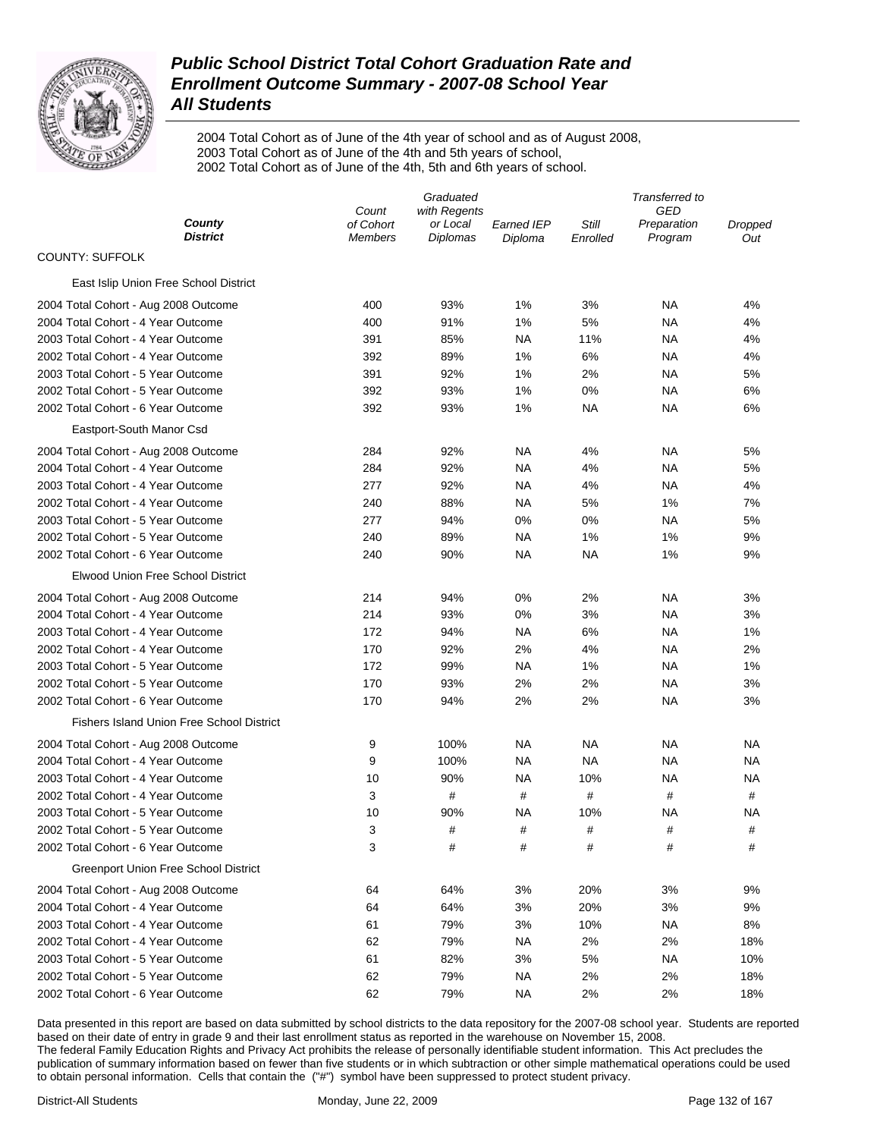

2004 Total Cohort as of June of the 4th year of school and as of August 2008, 2003 Total Cohort as of June of the 4th and 5th years of school, 2002 Total Cohort as of June of the 4th, 5th and 6th years of school.

|                                                  |                      |                      |                              | Transferred to    |                        |                |  |
|--------------------------------------------------|----------------------|----------------------|------------------------------|-------------------|------------------------|----------------|--|
|                                                  | Count                | with Regents         |                              |                   | GED                    |                |  |
| County<br><b>District</b>                        | of Cohort<br>Members | or Local<br>Diplomas | <b>Earned IEP</b><br>Diploma | Still<br>Enrolled | Preparation<br>Program | Dropped<br>Out |  |
| <b>COUNTY: SUFFOLK</b>                           |                      |                      |                              |                   |                        |                |  |
| East Islip Union Free School District            |                      |                      |                              |                   |                        |                |  |
| 2004 Total Cohort - Aug 2008 Outcome             | 400                  | 93%                  | 1%                           | 3%                | ΝA                     | 4%             |  |
| 2004 Total Cohort - 4 Year Outcome               | 400                  | 91%                  | 1%                           | 5%                | ΝA                     | 4%             |  |
| 2003 Total Cohort - 4 Year Outcome               | 391                  | 85%                  | ΝA                           | 11%               | NA                     | 4%             |  |
| 2002 Total Cohort - 4 Year Outcome               | 392                  | 89%                  | 1%                           | 6%                | NA                     | 4%             |  |
| 2003 Total Cohort - 5 Year Outcome               | 391                  | 92%                  | 1%                           | 2%                | NA                     | 5%             |  |
| 2002 Total Cohort - 5 Year Outcome               | 392                  | 93%                  | 1%                           | 0%                | NA                     | 6%             |  |
| 2002 Total Cohort - 6 Year Outcome               | 392                  | 93%                  | 1%                           | NA                | NA                     | 6%             |  |
| Eastport-South Manor Csd                         |                      |                      |                              |                   |                        |                |  |
| 2004 Total Cohort - Aug 2008 Outcome             | 284                  | 92%                  | NA                           | 4%                | NA                     | 5%             |  |
| 2004 Total Cohort - 4 Year Outcome               | 284                  | 92%                  | NA                           | 4%                | NA                     | 5%             |  |
| 2003 Total Cohort - 4 Year Outcome               | 277                  | 92%                  | NA                           | 4%                | NA                     | 4%             |  |
| 2002 Total Cohort - 4 Year Outcome               | 240                  | 88%                  | NA                           | 5%                | 1%                     | 7%             |  |
| 2003 Total Cohort - 5 Year Outcome               | 277                  | 94%                  | 0%                           | 0%                | NA                     | 5%             |  |
| 2002 Total Cohort - 5 Year Outcome               | 240                  | 89%                  | ΝA                           | 1%                | 1%                     | 9%             |  |
| 2002 Total Cohort - 6 Year Outcome               | 240                  | 90%                  | ΝA                           | NA                | 1%                     | 9%             |  |
| Elwood Union Free School District                |                      |                      |                              |                   |                        |                |  |
| 2004 Total Cohort - Aug 2008 Outcome             | 214                  | 94%                  | 0%                           | 2%                | ΝA                     | 3%             |  |
| 2004 Total Cohort - 4 Year Outcome               | 214                  | 93%                  | 0%                           | 3%                | NA                     | 3%             |  |
| 2003 Total Cohort - 4 Year Outcome               | 172                  | 94%                  | ΝA                           | 6%                | NA                     | 1%             |  |
| 2002 Total Cohort - 4 Year Outcome               | 170                  | 92%                  | 2%                           | 4%                | NA                     | 2%             |  |
| 2003 Total Cohort - 5 Year Outcome               | 172                  | 99%                  | ΝA                           | 1%                | NA                     | 1%             |  |
| 2002 Total Cohort - 5 Year Outcome               | 170                  | 93%                  | 2%                           | 2%                | NA                     | 3%             |  |
| 2002 Total Cohort - 6 Year Outcome               | 170                  | 94%                  | 2%                           | 2%                | NA                     | 3%             |  |
| <b>Fishers Island Union Free School District</b> |                      |                      |                              |                   |                        |                |  |
|                                                  |                      |                      |                              |                   |                        |                |  |
| 2004 Total Cohort - Aug 2008 Outcome             | 9                    | 100%                 | <b>NA</b>                    | NA                | NA                     | ΝA             |  |
| 2004 Total Cohort - 4 Year Outcome               | 9                    | 100%                 | ΝA                           | NA                | NA                     | NA             |  |
| 2003 Total Cohort - 4 Year Outcome               | 10                   | 90%                  | <b>NA</b>                    | 10%               | <b>NA</b>              | ΝA             |  |
| 2002 Total Cohort - 4 Year Outcome               | 3                    | $\#$                 | #                            | $\#$              | #                      | #              |  |
| 2003 Total Cohort - 5 Year Outcome               | 10                   | 90%                  | NA                           | 10%               | ΝA                     | ΝA             |  |
| 2002 Total Cohort - 5 Year Outcome               | 3                    | $\#$                 | #                            | #                 | #                      | #              |  |
| 2002 Total Cohort - 6 Year Outcome               | 3                    | #                    | #                            | #                 | #                      | #              |  |
| <b>Greenport Union Free School District</b>      |                      |                      |                              |                   |                        |                |  |
| 2004 Total Cohort - Aug 2008 Outcome             | 64                   | 64%                  | 3%                           | 20%               | 3%                     | 9%             |  |
| 2004 Total Cohort - 4 Year Outcome               | 64                   | 64%                  | 3%                           | 20%               | 3%                     | 9%             |  |
| 2003 Total Cohort - 4 Year Outcome               | 61                   | 79%                  | 3%                           | 10%               | <b>NA</b>              | 8%             |  |
| 2002 Total Cohort - 4 Year Outcome               | 62                   | 79%                  | <b>NA</b>                    | 2%                | 2%                     | 18%            |  |
| 2003 Total Cohort - 5 Year Outcome               | 61                   | 82%                  | 3%                           | 5%                | <b>NA</b>              | 10%            |  |
| 2002 Total Cohort - 5 Year Outcome               | 62                   | 79%                  | <b>NA</b>                    | 2%                | 2%                     | 18%            |  |
| 2002 Total Cohort - 6 Year Outcome               | 62                   | 79%                  | <b>NA</b>                    | 2%                | 2%                     | 18%            |  |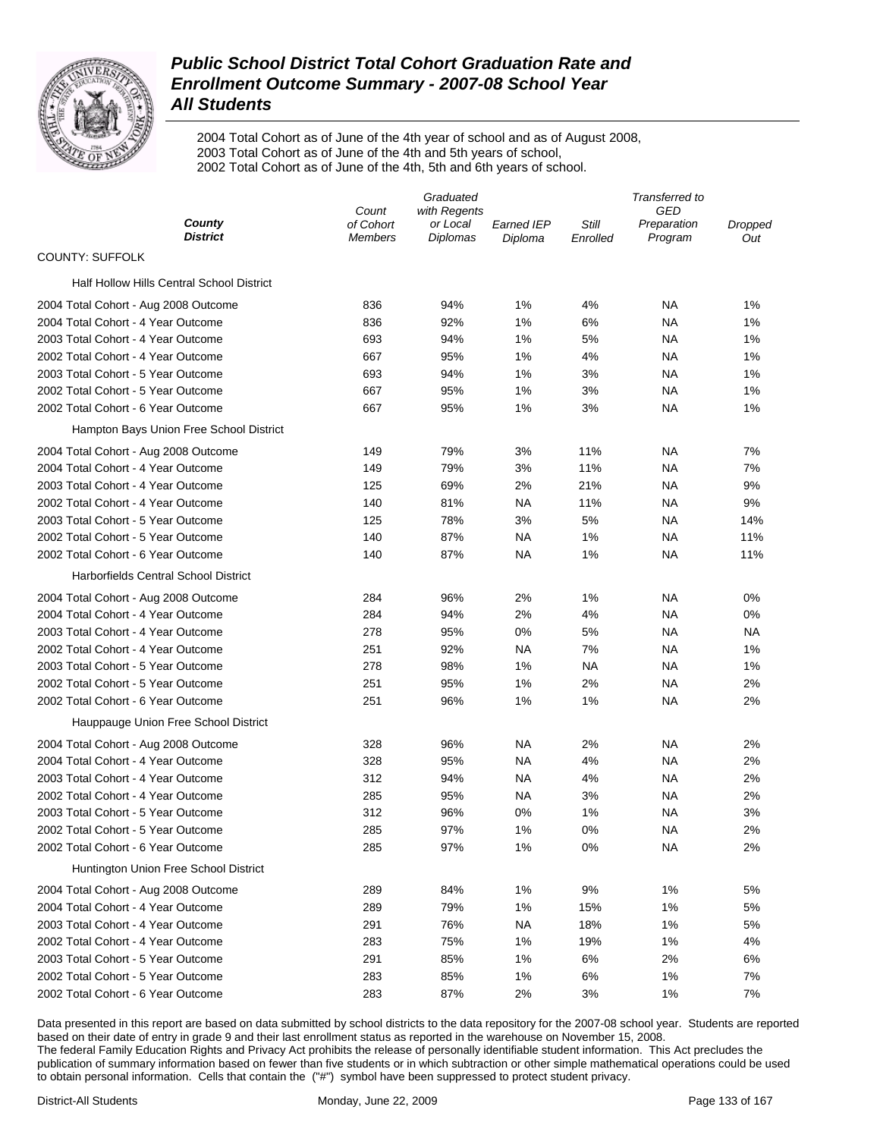

2004 Total Cohort as of June of the 4th year of school and as of August 2008, 2003 Total Cohort as of June of the 4th and 5th years of school, 2002 Total Cohort as of June of the 4th, 5th and 6th years of school.

|                                           | Graduated                   |                      |                       | Transferred to    |                        |                |
|-------------------------------------------|-----------------------------|----------------------|-----------------------|-------------------|------------------------|----------------|
|                                           | Count                       | with Regents         |                       |                   | GED                    |                |
| County<br><b>District</b>                 | of Cohort<br><b>Members</b> | or Local<br>Diplomas | Earned IEP<br>Diploma | Still<br>Enrolled | Preparation<br>Program | Dropped<br>Out |
| <b>COUNTY: SUFFOLK</b>                    |                             |                      |                       |                   |                        |                |
| Half Hollow Hills Central School District |                             |                      |                       |                   |                        |                |
| 2004 Total Cohort - Aug 2008 Outcome      | 836                         | 94%                  | 1%                    | 4%                | <b>NA</b>              | 1%             |
| 2004 Total Cohort - 4 Year Outcome        | 836                         | 92%                  | 1%                    | 6%                | ΝA                     | 1%             |
| 2003 Total Cohort - 4 Year Outcome        | 693                         | 94%                  | 1%                    | 5%                | ΝA                     | 1%             |
| 2002 Total Cohort - 4 Year Outcome        | 667                         | 95%                  | 1%                    | 4%                | <b>NA</b>              | 1%             |
| 2003 Total Cohort - 5 Year Outcome        | 693                         | 94%                  | 1%                    | 3%                | ΝA                     | 1%             |
| 2002 Total Cohort - 5 Year Outcome        | 667                         | 95%                  | 1%                    | 3%                | ΝA                     | 1%             |
| 2002 Total Cohort - 6 Year Outcome        | 667                         | 95%                  | 1%                    | 3%                | <b>NA</b>              | 1%             |
| Hampton Bays Union Free School District   |                             |                      |                       |                   |                        |                |
| 2004 Total Cohort - Aug 2008 Outcome      | 149                         | 79%                  | 3%                    | 11%               | ΝA                     | 7%             |
| 2004 Total Cohort - 4 Year Outcome        | 149                         | 79%                  | 3%                    | 11%               | ΝA                     | 7%             |
| 2003 Total Cohort - 4 Year Outcome        | 125                         | 69%                  | 2%                    | 21%               | ΝA                     | 9%             |
| 2002 Total Cohort - 4 Year Outcome        | 140                         | 81%                  | NA                    | 11%               | ΝA                     | 9%             |
| 2003 Total Cohort - 5 Year Outcome        | 125                         | 78%                  | 3%                    | 5%                | ΝA                     | 14%            |
| 2002 Total Cohort - 5 Year Outcome        | 140                         | 87%                  | <b>NA</b>             | 1%                | ΝA                     | 11%            |
| 2002 Total Cohort - 6 Year Outcome        | 140                         | 87%                  | NA                    | 1%                | ΝA                     | 11%            |
| Harborfields Central School District      |                             |                      |                       |                   |                        |                |
| 2004 Total Cohort - Aug 2008 Outcome      | 284                         | 96%                  | 2%                    | 1%                | ΝA                     | 0%             |
| 2004 Total Cohort - 4 Year Outcome        | 284                         | 94%                  | 2%                    | 4%                | ΝA                     | 0%             |
| 2003 Total Cohort - 4 Year Outcome        | 278                         | 95%                  | 0%                    | 5%                | <b>NA</b>              | NA             |
| 2002 Total Cohort - 4 Year Outcome        | 251                         | 92%                  | NA                    | 7%                | ΝA                     | 1%             |
| 2003 Total Cohort - 5 Year Outcome        | 278                         | 98%                  | 1%                    | ΝA                | ΝA                     | 1%             |
| 2002 Total Cohort - 5 Year Outcome        | 251                         | 95%                  | 1%                    | 2%                | ΝA                     | 2%             |
| 2002 Total Cohort - 6 Year Outcome        | 251                         | 96%                  | 1%                    | 1%                | ΝA                     | 2%             |
| Hauppauge Union Free School District      |                             |                      |                       |                   |                        |                |
| 2004 Total Cohort - Aug 2008 Outcome      | 328                         | 96%                  | NA                    | 2%                | ΝA                     | 2%             |
| 2004 Total Cohort - 4 Year Outcome        | 328                         | 95%                  | NA                    | 4%                | ΝA                     | 2%             |
| 2003 Total Cohort - 4 Year Outcome        | 312                         | 94%                  | NA                    | 4%                | ΝA                     | 2%             |
| 2002 Total Cohort - 4 Year Outcome        | 285                         | 95%                  | NA                    | 3%                | ΝA                     | 2%             |
| 2003 Total Cohort - 5 Year Outcome        | 312                         | 96%                  | 0%                    | 1%                | ΝA                     | 3%             |
| 2002 Total Cohort - 5 Year Outcome        | 285                         | 97%                  | 1%                    | 0%                | NA                     | 2%             |
| 2002 Total Cohort - 6 Year Outcome        | 285                         | 97%                  | 1%                    | 0%                | ΝA                     | 2%             |
| Huntington Union Free School District     |                             |                      |                       |                   |                        |                |
| 2004 Total Cohort - Aug 2008 Outcome      | 289                         | 84%                  | 1%                    | 9%                | 1%                     | 5%             |
| 2004 Total Cohort - 4 Year Outcome        | 289                         | 79%                  | 1%                    | 15%               | 1%                     | 5%             |
| 2003 Total Cohort - 4 Year Outcome        | 291                         | 76%                  | NA.                   | 18%               | 1%                     | 5%             |
| 2002 Total Cohort - 4 Year Outcome        | 283                         | 75%                  | 1%                    | 19%               | 1%                     | 4%             |
| 2003 Total Cohort - 5 Year Outcome        | 291                         | 85%                  | 1%                    | 6%                | 2%                     | 6%             |
| 2002 Total Cohort - 5 Year Outcome        | 283                         | 85%                  | 1%                    | 6%                | 1%                     | 7%             |
| 2002 Total Cohort - 6 Year Outcome        | 283                         | 87%                  | 2%                    | 3%                | 1%                     | 7%             |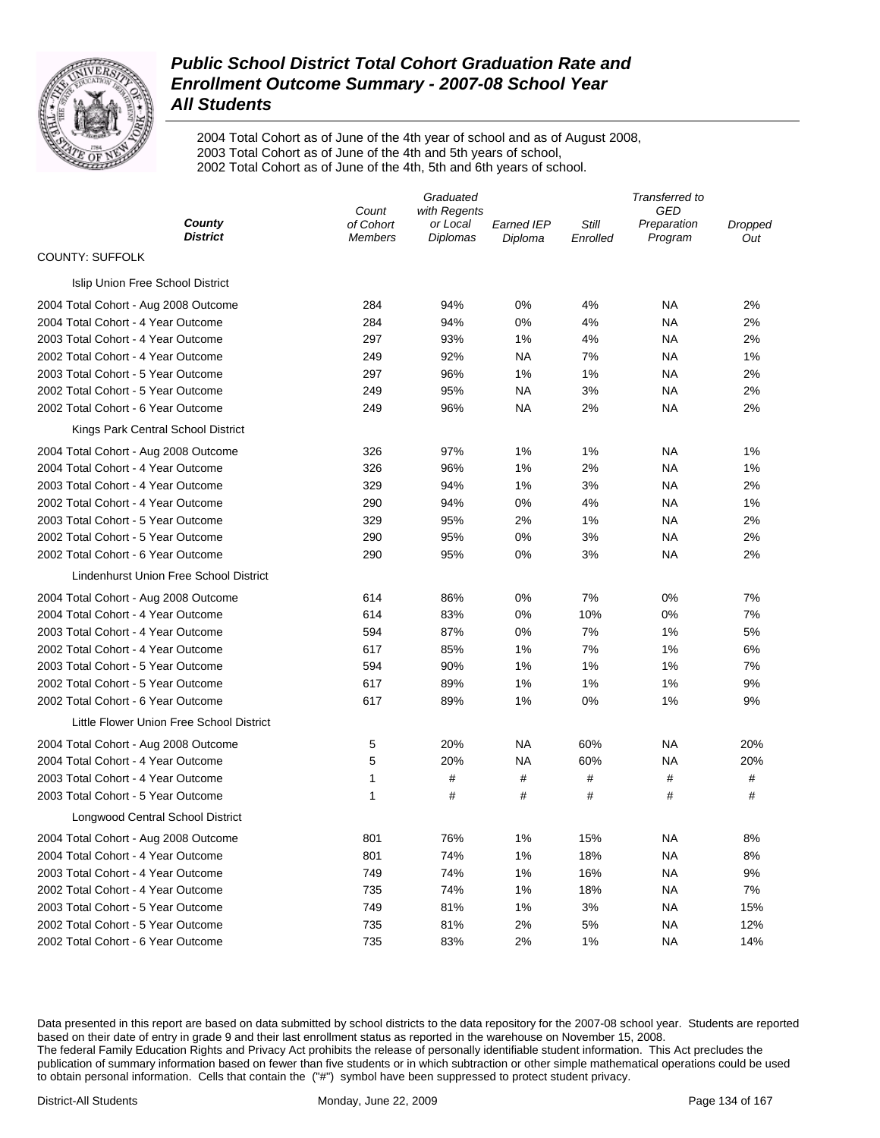

2004 Total Cohort as of June of the 4th year of school and as of August 2008, 2003 Total Cohort as of June of the 4th and 5th years of school, 2002 Total Cohort as of June of the 4th, 5th and 6th years of school.

|                                          | Graduated          |                          |                   | Transferred to |                    |         |
|------------------------------------------|--------------------|--------------------------|-------------------|----------------|--------------------|---------|
| County                                   | Count<br>of Cohort | with Regents<br>or Local | <b>Earned IEP</b> | Still          | GED<br>Preparation | Dropped |
| <b>District</b>                          | <b>Members</b>     | Diplomas                 | Diploma           | Enrolled       | Program            | Out     |
| <b>COUNTY: SUFFOLK</b>                   |                    |                          |                   |                |                    |         |
| Islip Union Free School District         |                    |                          |                   |                |                    |         |
| 2004 Total Cohort - Aug 2008 Outcome     | 284                | 94%                      | 0%                | 4%             | <b>NA</b>          | 2%      |
| 2004 Total Cohort - 4 Year Outcome       | 284                | 94%                      | 0%                | 4%             | <b>NA</b>          | 2%      |
| 2003 Total Cohort - 4 Year Outcome       | 297                | 93%                      | 1%                | 4%             | <b>NA</b>          | 2%      |
| 2002 Total Cohort - 4 Year Outcome       | 249                | 92%                      | <b>NA</b>         | 7%             | <b>NA</b>          | 1%      |
| 2003 Total Cohort - 5 Year Outcome       | 297                | 96%                      | 1%                | 1%             | <b>NA</b>          | 2%      |
| 2002 Total Cohort - 5 Year Outcome       | 249                | 95%                      | <b>NA</b>         | 3%             | <b>NA</b>          | 2%      |
| 2002 Total Cohort - 6 Year Outcome       | 249                | 96%                      | <b>NA</b>         | 2%             | <b>NA</b>          | 2%      |
| Kings Park Central School District       |                    |                          |                   |                |                    |         |
| 2004 Total Cohort - Aug 2008 Outcome     | 326                | 97%                      | 1%                | 1%             | <b>NA</b>          | 1%      |
| 2004 Total Cohort - 4 Year Outcome       | 326                | 96%                      | 1%                | 2%             | <b>NA</b>          | 1%      |
| 2003 Total Cohort - 4 Year Outcome       | 329                | 94%                      | 1%                | 3%             | <b>NA</b>          | 2%      |
| 2002 Total Cohort - 4 Year Outcome       | 290                | 94%                      | 0%                | 4%             | <b>NA</b>          | 1%      |
| 2003 Total Cohort - 5 Year Outcome       | 329                | 95%                      | 2%                | 1%             | <b>NA</b>          | 2%      |
| 2002 Total Cohort - 5 Year Outcome       | 290                | 95%                      | 0%                | 3%             | <b>NA</b>          | 2%      |
| 2002 Total Cohort - 6 Year Outcome       | 290                | 95%                      | 0%                | 3%             | <b>NA</b>          | 2%      |
| Lindenhurst Union Free School District   |                    |                          |                   |                |                    |         |
| 2004 Total Cohort - Aug 2008 Outcome     | 614                | 86%                      | 0%                | 7%             | 0%                 | 7%      |
| 2004 Total Cohort - 4 Year Outcome       | 614                | 83%                      | 0%                | 10%            | 0%                 | 7%      |
| 2003 Total Cohort - 4 Year Outcome       | 594                | 87%                      | 0%                | 7%             | 1%                 | 5%      |
| 2002 Total Cohort - 4 Year Outcome       | 617                | 85%                      | 1%                | 7%             | 1%                 | 6%      |
| 2003 Total Cohort - 5 Year Outcome       | 594                | 90%                      | 1%                | 1%             | 1%                 | 7%      |
| 2002 Total Cohort - 5 Year Outcome       | 617                | 89%                      | 1%                | 1%             | 1%                 | 9%      |
| 2002 Total Cohort - 6 Year Outcome       | 617                | 89%                      | 1%                | 0%             | 1%                 | 9%      |
| Little Flower Union Free School District |                    |                          |                   |                |                    |         |
| 2004 Total Cohort - Aug 2008 Outcome     | 5                  | 20%                      | <b>NA</b>         | 60%            | NА                 | 20%     |
| 2004 Total Cohort - 4 Year Outcome       | 5                  | 20%                      | <b>NA</b>         | 60%            | NA                 | 20%     |
| 2003 Total Cohort - 4 Year Outcome       | 1                  | #                        | #                 | #              | #                  | #       |
| 2003 Total Cohort - 5 Year Outcome       | 1                  | #                        | #                 | #              | #                  | #       |
| Longwood Central School District         |                    |                          |                   |                |                    |         |
| 2004 Total Cohort - Aug 2008 Outcome     | 801                | 76%                      | 1%                | 15%            | NA                 | 8%      |
| 2004 Total Cohort - 4 Year Outcome       | 801                | 74%                      | 1%                | 18%            | <b>NA</b>          | 8%      |
| 2003 Total Cohort - 4 Year Outcome       | 749                | 74%                      | 1%                | 16%            | <b>NA</b>          | 9%      |
| 2002 Total Cohort - 4 Year Outcome       | 735                | 74%                      | 1%                | 18%            | <b>NA</b>          | 7%      |
| 2003 Total Cohort - 5 Year Outcome       | 749                | 81%                      | 1%                | 3%             | <b>NA</b>          | 15%     |
| 2002 Total Cohort - 5 Year Outcome       | 735                | 81%                      | 2%                | 5%             | <b>NA</b>          | 12%     |
| 2002 Total Cohort - 6 Year Outcome       | 735                | 83%                      | 2%                | 1%             | <b>NA</b>          | 14%     |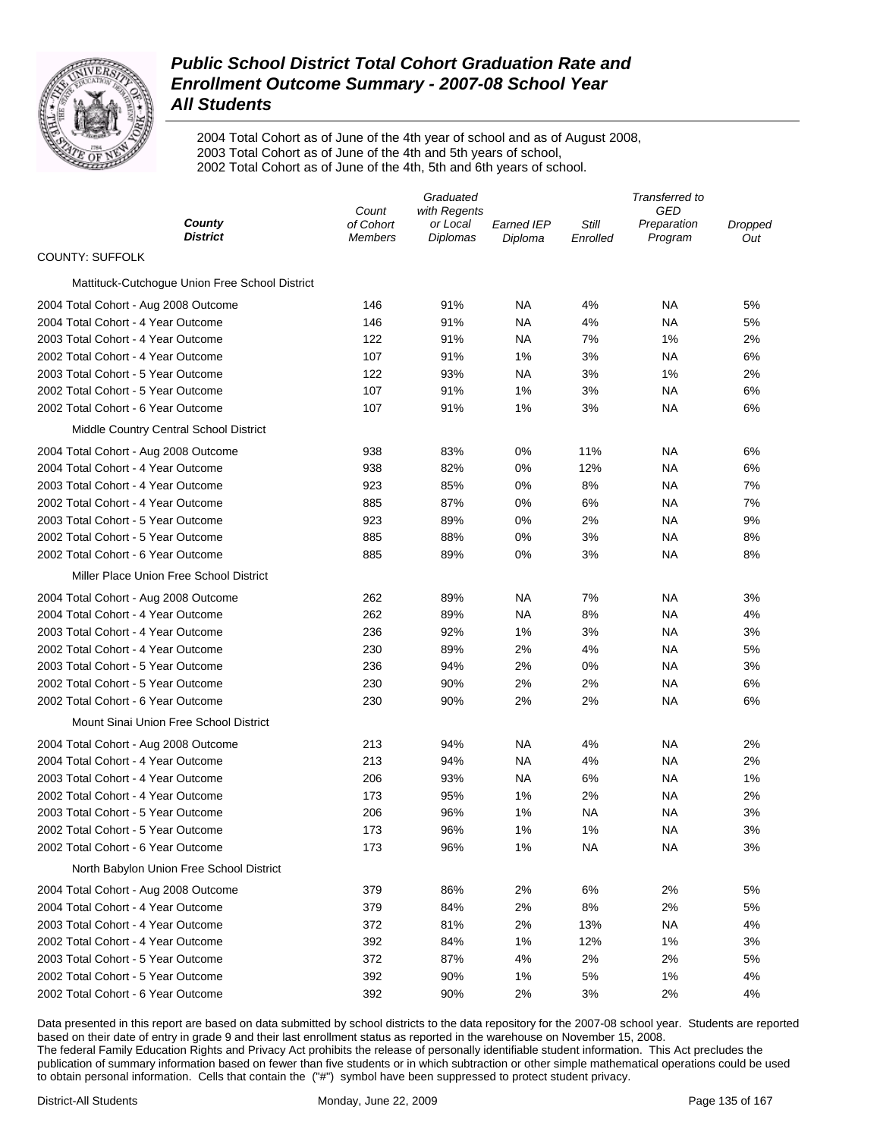

2004 Total Cohort as of June of the 4th year of school and as of August 2008, 2003 Total Cohort as of June of the 4th and 5th years of school, 2002 Total Cohort as of June of the 4th, 5th and 6th years of school.

|                                                                            | Graduated            |                      |                       | Transferred to    |                        |                |
|----------------------------------------------------------------------------|----------------------|----------------------|-----------------------|-------------------|------------------------|----------------|
|                                                                            | Count                | with Regents         |                       |                   | GED                    |                |
| County<br><b>District</b>                                                  | of Cohort<br>Members | or Local<br>Diplomas | Earned IEP<br>Diploma | Still<br>Enrolled | Preparation<br>Program | Dropped<br>Out |
| <b>COUNTY: SUFFOLK</b>                                                     |                      |                      |                       |                   |                        |                |
| Mattituck-Cutchogue Union Free School District                             |                      |                      |                       |                   |                        |                |
| 2004 Total Cohort - Aug 2008 Outcome                                       | 146                  | 91%                  | ΝA                    | 4%                | <b>NA</b>              | 5%             |
| 2004 Total Cohort - 4 Year Outcome                                         | 146                  | 91%                  | ΝA                    | 4%                | <b>NA</b>              | 5%             |
| 2003 Total Cohort - 4 Year Outcome                                         | 122                  | 91%                  | ΝA                    | 7%                | 1%                     | 2%             |
| 2002 Total Cohort - 4 Year Outcome                                         | 107                  | 91%                  | 1%                    | 3%                | NA                     | 6%             |
| 2003 Total Cohort - 5 Year Outcome                                         | 122                  | 93%                  | NA                    | 3%                | 1%                     | 2%             |
| 2002 Total Cohort - 5 Year Outcome                                         | 107                  | 91%                  | 1%                    | 3%                | NA                     | 6%             |
| 2002 Total Cohort - 6 Year Outcome                                         | 107                  | 91%                  | 1%                    | 3%                | NA                     | 6%             |
| Middle Country Central School District                                     |                      |                      |                       |                   |                        |                |
| 2004 Total Cohort - Aug 2008 Outcome                                       | 938                  | 83%                  | 0%                    | 11%               | NA                     | 6%             |
| 2004 Total Cohort - 4 Year Outcome                                         | 938                  | 82%                  | 0%                    | 12%               | NA                     | 6%             |
| 2003 Total Cohort - 4 Year Outcome                                         | 923                  | 85%                  | 0%                    | 8%                | NA                     | 7%             |
| 2002 Total Cohort - 4 Year Outcome                                         | 885                  | 87%                  | 0%                    | 6%                | NA                     | 7%             |
| 2003 Total Cohort - 5 Year Outcome                                         | 923                  | 89%                  | 0%                    | 2%                | NA                     | 9%             |
| 2002 Total Cohort - 5 Year Outcome                                         | 885                  | 88%                  | 0%                    | 3%                | NA                     | 8%             |
| 2002 Total Cohort - 6 Year Outcome                                         | 885                  | 89%                  | 0%                    | 3%                | NA                     | 8%             |
| Miller Place Union Free School District                                    |                      |                      |                       |                   |                        |                |
| 2004 Total Cohort - Aug 2008 Outcome                                       | 262                  | 89%                  | ΝA                    | 7%                | NA                     | 3%             |
| 2004 Total Cohort - 4 Year Outcome                                         | 262                  | 89%                  | ΝA                    | 8%                | NA                     | 4%             |
| 2003 Total Cohort - 4 Year Outcome                                         | 236                  | 92%                  | 1%                    | 3%                | NA                     | 3%             |
| 2002 Total Cohort - 4 Year Outcome                                         | 230                  | 89%                  | 2%                    | 4%                | ΝA                     | 5%             |
| 2003 Total Cohort - 5 Year Outcome                                         | 236                  | 94%                  | 2%                    | 0%                | ΝA                     | 3%             |
| 2002 Total Cohort - 5 Year Outcome                                         | 230                  | 90%                  | 2%                    | 2%                | NA                     | 6%             |
| 2002 Total Cohort - 6 Year Outcome                                         | 230                  | 90%                  | 2%                    | 2%                | NA                     | 6%             |
| Mount Sinai Union Free School District                                     |                      |                      |                       |                   |                        |                |
| 2004 Total Cohort - Aug 2008 Outcome                                       | 213                  | 94%                  | ΝA                    | 4%                | ΝA                     | 2%             |
| 2004 Total Cohort - 4 Year Outcome                                         | 213                  | 94%                  | ΝA                    | 4%                | NA                     | 2%             |
| 2003 Total Cohort - 4 Year Outcome                                         | 206                  | 93%                  | NA                    | 6%                | ΝA                     | 1%             |
| 2002 Total Cohort - 4 Year Outcome                                         | 173                  | 95%                  | 1%                    | 2%                | ΝA                     | 2%             |
| 2003 Total Cohort - 5 Year Outcome                                         | 206                  | 96%                  | 1%                    | ΝA                | NA                     | 3%             |
| 2002 Total Cohort - 5 Year Outcome                                         | 173                  | 96%                  | 1%                    | 1%                | NA                     | 3%             |
| 2002 Total Cohort - 6 Year Outcome                                         | 173                  | 96%                  | 1%                    | NA                | ΝA                     | 3%             |
| North Babylon Union Free School District                                   |                      |                      |                       |                   |                        |                |
|                                                                            |                      |                      | 2%                    | 6%                | 2%                     |                |
| 2004 Total Cohort - Aug 2008 Outcome<br>2004 Total Cohort - 4 Year Outcome | 379                  | 86%<br>84%           | 2%                    | 8%                |                        | 5%             |
|                                                                            | 379                  |                      |                       |                   | 2%                     | 5%             |
| 2003 Total Cohort - 4 Year Outcome                                         | 372                  | 81%                  | 2%                    | 13%               | ΝA                     | 4%             |
| 2002 Total Cohort - 4 Year Outcome<br>2003 Total Cohort - 5 Year Outcome   | 392                  | 84%                  | 1%                    | 12%               | 1%                     | 3%             |
|                                                                            | 372                  | 87%                  | 4%                    | 2%                | 2%                     | 5%             |
| 2002 Total Cohort - 5 Year Outcome                                         | 392                  | 90%                  | 1%                    | 5%                | 1%                     | 4%             |
| 2002 Total Cohort - 6 Year Outcome                                         | 392                  | 90%                  | 2%                    | 3%                | 2%                     | 4%             |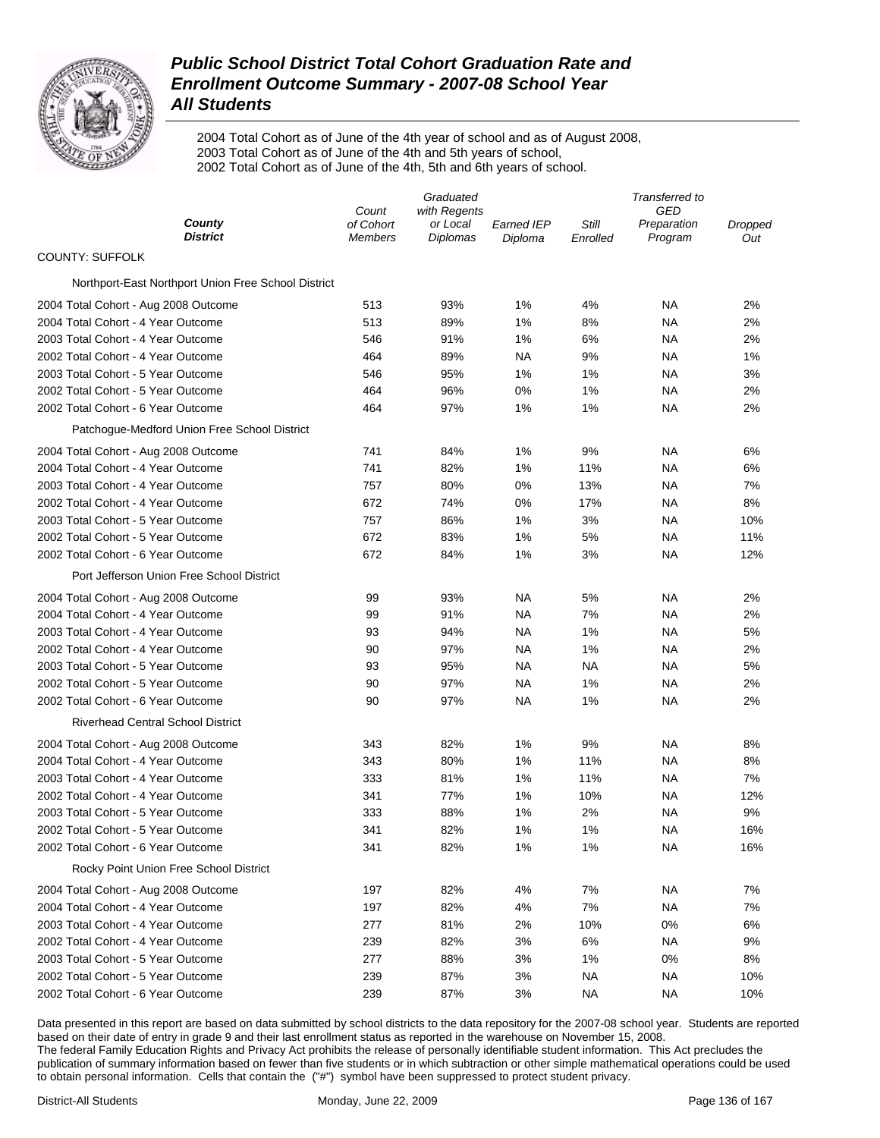

2004 Total Cohort as of June of the 4th year of school and as of August 2008, 2003 Total Cohort as of June of the 4th and 5th years of school, 2002 Total Cohort as of June of the 4th, 5th and 6th years of school.

|                                                     | Graduated                   |                             |                              | Transferred to    |                        |                |
|-----------------------------------------------------|-----------------------------|-----------------------------|------------------------------|-------------------|------------------------|----------------|
| County                                              | Count                       | with Regents                |                              |                   | GED                    |                |
| <b>District</b>                                     | of Cohort<br><b>Members</b> | or Local<br><b>Diplomas</b> | <b>Earned IEP</b><br>Diploma | Still<br>Enrolled | Preparation<br>Program | Dropped<br>Out |
| <b>COUNTY: SUFFOLK</b>                              |                             |                             |                              |                   |                        |                |
| Northport-East Northport Union Free School District |                             |                             |                              |                   |                        |                |
| 2004 Total Cohort - Aug 2008 Outcome                | 513                         | 93%                         | 1%                           | 4%                | NA                     | 2%             |
| 2004 Total Cohort - 4 Year Outcome                  | 513                         | 89%                         | 1%                           | 8%                | ΝA                     | 2%             |
| 2003 Total Cohort - 4 Year Outcome                  | 546                         | 91%                         | 1%                           | 6%                | ΝA                     | 2%             |
| 2002 Total Cohort - 4 Year Outcome                  | 464                         | 89%                         | NA                           | 9%                | ΝA                     | 1%             |
| 2003 Total Cohort - 5 Year Outcome                  | 546                         | 95%                         | 1%                           | 1%                | ΝA                     | 3%             |
| 2002 Total Cohort - 5 Year Outcome                  | 464                         | 96%                         | 0%                           | 1%                | ΝA                     | 2%             |
| 2002 Total Cohort - 6 Year Outcome                  | 464                         | 97%                         | 1%                           | 1%                | ΝA                     | 2%             |
| Patchogue-Medford Union Free School District        |                             |                             |                              |                   |                        |                |
| 2004 Total Cohort - Aug 2008 Outcome                | 741                         | 84%                         | 1%                           | 9%                | ΝA                     | 6%             |
| 2004 Total Cohort - 4 Year Outcome                  | 741                         | 82%                         | 1%                           | 11%               | ΝA                     | 6%             |
| 2003 Total Cohort - 4 Year Outcome                  | 757                         | 80%                         | 0%                           | 13%               | ΝA                     | 7%             |
| 2002 Total Cohort - 4 Year Outcome                  | 672                         | 74%                         | 0%                           | 17%               | ΝA                     | 8%             |
| 2003 Total Cohort - 5 Year Outcome                  | 757                         | 86%                         | 1%                           | 3%                | ΝA                     | 10%            |
| 2002 Total Cohort - 5 Year Outcome                  | 672                         | 83%                         | 1%                           | 5%                | ΝA                     | 11%            |
| 2002 Total Cohort - 6 Year Outcome                  | 672                         | 84%                         | 1%                           | 3%                | NA                     | 12%            |
| Port Jefferson Union Free School District           |                             |                             |                              |                   |                        |                |
| 2004 Total Cohort - Aug 2008 Outcome                | 99                          | 93%                         | <b>NA</b>                    | 5%                | ΝA                     | 2%             |
| 2004 Total Cohort - 4 Year Outcome                  | 99                          | 91%                         | NA                           | 7%                | ΝA                     | 2%             |
| 2003 Total Cohort - 4 Year Outcome                  | 93                          | 94%                         | NA                           | 1%                | ΝA                     | 5%             |
| 2002 Total Cohort - 4 Year Outcome                  | 90                          | 97%                         | NA                           | 1%                | NA                     | 2%             |
| 2003 Total Cohort - 5 Year Outcome                  | 93                          | 95%                         | <b>NA</b>                    | NA                | <b>NA</b>              | 5%             |
| 2002 Total Cohort - 5 Year Outcome                  | 90                          | 97%                         | NA                           | 1%                | <b>NA</b>              | 2%             |
| 2002 Total Cohort - 6 Year Outcome                  | 90                          | 97%                         | NA                           | 1%                | NA                     | 2%             |
| <b>Riverhead Central School District</b>            |                             |                             |                              |                   |                        |                |
| 2004 Total Cohort - Aug 2008 Outcome                | 343                         | 82%                         | 1%                           | 9%                | <b>NA</b>              | 8%             |
| 2004 Total Cohort - 4 Year Outcome                  | 343                         | 80%                         | 1%                           | 11%               | ΝA                     | 8%             |
| 2003 Total Cohort - 4 Year Outcome                  | 333                         | 81%                         | 1%                           | 11%               | <b>NA</b>              | 7%             |
| 2002 Total Cohort - 4 Year Outcome                  | 341                         | 77%                         | 1%                           | 10%               | ΝA                     | 12%            |
| 2003 Total Cohort - 5 Year Outcome                  | 333                         | 88%                         | 1%                           | 2%                | ΝA                     | 9%             |
| 2002 Total Cohort - 5 Year Outcome                  | 341                         | 82%                         | 1%                           | 1%                | ΝA                     | 16%            |
| 2002 Total Cohort - 6 Year Outcome                  | 341                         | 82%                         | 1%                           | 1%                | <b>NA</b>              | 16%            |
| Rocky Point Union Free School District              |                             |                             |                              |                   |                        |                |
| 2004 Total Cohort - Aug 2008 Outcome                | 197                         | 82%                         | 4%                           | 7%                | NA                     | 7%             |
| 2004 Total Cohort - 4 Year Outcome                  | 197                         | 82%                         | 4%                           | 7%                | ΝA                     | 7%             |
| 2003 Total Cohort - 4 Year Outcome                  | 277                         | 81%                         | 2%                           | 10%               | 0%                     | 6%             |
| 2002 Total Cohort - 4 Year Outcome                  | 239                         | 82%                         | 3%                           | 6%                | ΝA                     | 9%             |
| 2003 Total Cohort - 5 Year Outcome                  | 277                         | 88%                         | 3%                           | 1%                | 0%                     | 8%             |
| 2002 Total Cohort - 5 Year Outcome                  | 239                         | 87%                         | 3%                           | ΝA                | ΝA                     | 10%            |
| 2002 Total Cohort - 6 Year Outcome                  | 239                         | 87%                         | 3%                           | <b>NA</b>         | <b>NA</b>              | 10%            |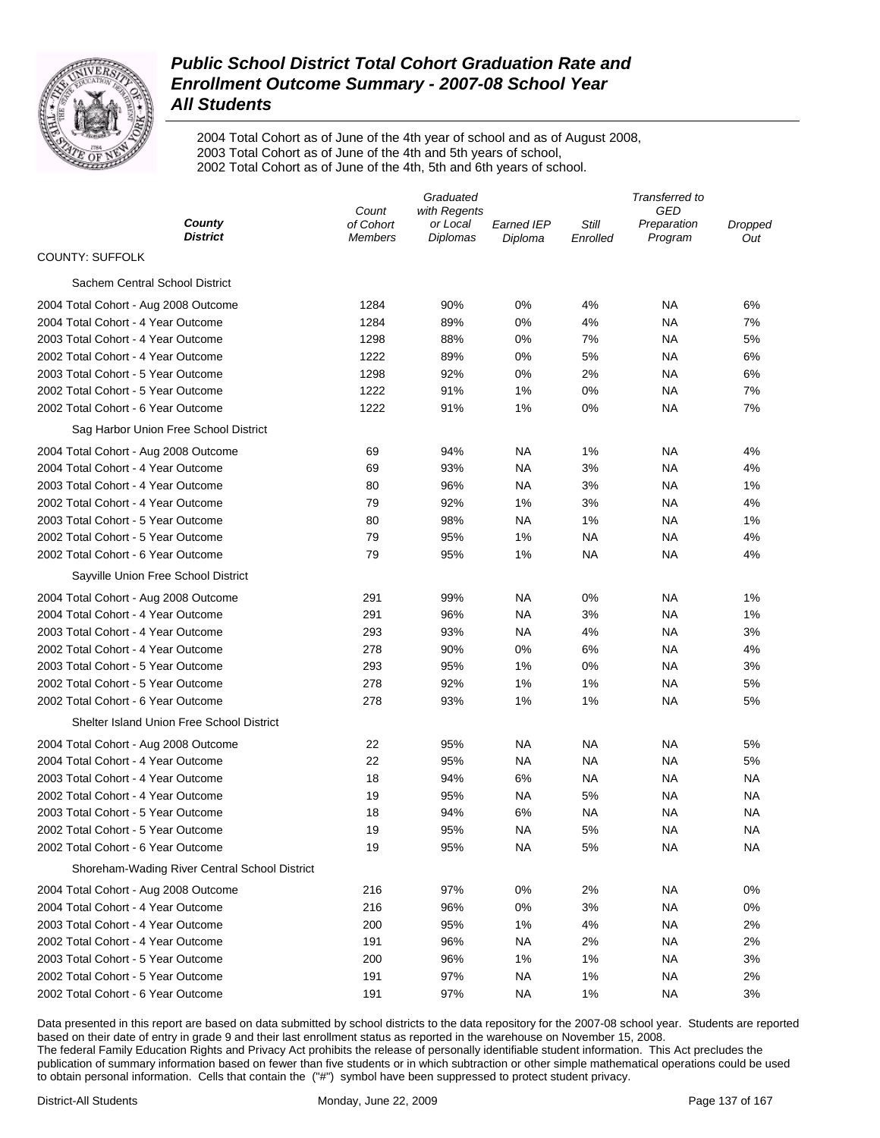

2004 Total Cohort as of June of the 4th year of school and as of August 2008, 2003 Total Cohort as of June of the 4th and 5th years of school, 2002 Total Cohort as of June of the 4th, 5th and 6th years of school.

|                                               |                             | Graduated                   | Transferred to        |                   |                        |                |
|-----------------------------------------------|-----------------------------|-----------------------------|-----------------------|-------------------|------------------------|----------------|
|                                               | with Regents<br>Count       |                             |                       | GED               |                        |                |
| County<br><b>District</b>                     | of Cohort<br><b>Members</b> | or Local<br><b>Diplomas</b> | Earned IEP<br>Diploma | Still<br>Enrolled | Preparation<br>Program | Dropped<br>Out |
| <b>COUNTY: SUFFOLK</b>                        |                             |                             |                       |                   |                        |                |
| Sachem Central School District                |                             |                             |                       |                   |                        |                |
| 2004 Total Cohort - Aug 2008 Outcome          | 1284                        | 90%                         | 0%                    | 4%                | ΝA                     | 6%             |
| 2004 Total Cohort - 4 Year Outcome            | 1284                        | 89%                         | 0%                    | 4%                | ΝA                     | 7%             |
| 2003 Total Cohort - 4 Year Outcome            | 1298                        | 88%                         | 0%                    | 7%                | ΝA                     | 5%             |
| 2002 Total Cohort - 4 Year Outcome            | 1222                        | 89%                         | 0%                    | 5%                | ΝA                     | 6%             |
| 2003 Total Cohort - 5 Year Outcome            | 1298                        | 92%                         | 0%                    | 2%                | ΝA                     | 6%             |
| 2002 Total Cohort - 5 Year Outcome            | 1222                        | 91%                         | 1%                    | 0%                | ΝA                     | 7%             |
| 2002 Total Cohort - 6 Year Outcome            | 1222                        | 91%                         | 1%                    | 0%                | ΝA                     | 7%             |
| Sag Harbor Union Free School District         |                             |                             |                       |                   |                        |                |
| 2004 Total Cohort - Aug 2008 Outcome          | 69                          | 94%                         | NA                    | 1%                | ΝA                     | 4%             |
| 2004 Total Cohort - 4 Year Outcome            | 69                          | 93%                         | NA                    | 3%                | ΝA                     | 4%             |
| 2003 Total Cohort - 4 Year Outcome            | 80                          | 96%                         | NA                    | 3%                | ΝA                     | 1%             |
| 2002 Total Cohort - 4 Year Outcome            | 79                          | 92%                         | 1%                    | 3%                | ΝA                     | 4%             |
| 2003 Total Cohort - 5 Year Outcome            | 80                          | 98%                         | NA                    | 1%                | ΝA                     | 1%             |
| 2002 Total Cohort - 5 Year Outcome            | 79                          | 95%                         | 1%                    | ΝA                | ΝA                     | 4%             |
| 2002 Total Cohort - 6 Year Outcome            | 79                          | 95%                         | 1%                    | ΝA                | ΝA                     | 4%             |
| Sayville Union Free School District           |                             |                             |                       |                   |                        |                |
| 2004 Total Cohort - Aug 2008 Outcome          | 291                         | 99%                         | NA                    | 0%                | ΝA                     | 1%             |
| 2004 Total Cohort - 4 Year Outcome            | 291                         | 96%                         | NA                    | 3%                | ΝA                     | 1%             |
| 2003 Total Cohort - 4 Year Outcome            | 293                         | 93%                         | NA                    | 4%                | ΝA                     | 3%             |
| 2002 Total Cohort - 4 Year Outcome            | 278                         | 90%                         | 0%                    | 6%                | NA                     | 4%             |
| 2003 Total Cohort - 5 Year Outcome            | 293                         | 95%                         | 1%                    | 0%                | <b>NA</b>              | 3%             |
| 2002 Total Cohort - 5 Year Outcome            | 278                         | 92%                         | 1%                    | 1%                | NA                     | 5%             |
| 2002 Total Cohort - 6 Year Outcome            | 278                         | 93%                         | 1%                    | 1%                | NA                     | 5%             |
| Shelter Island Union Free School District     |                             |                             |                       |                   |                        |                |
| 2004 Total Cohort - Aug 2008 Outcome          | 22                          | 95%                         | NA                    | NA                | NA                     | 5%             |
| 2004 Total Cohort - 4 Year Outcome            | 22                          | 95%                         | <b>NA</b>             | NA                | NA                     | 5%             |
| 2003 Total Cohort - 4 Year Outcome            | 18                          | 94%                         | 6%                    | NA                | NA                     | ΝA             |
| 2002 Total Cohort - 4 Year Outcome            | 19                          | 95%                         | NA                    | 5%                | NA                     | NA             |
| 2003 Total Cohort - 5 Year Outcome            | 18                          | 94%                         | 6%                    | NA                | NA                     | NA             |
| 2002 Total Cohort - 5 Year Outcome            | 19                          | 95%                         | <b>NA</b>             | 5%                | NA                     | ΝA             |
| 2002 Total Cohort - 6 Year Outcome            | 19                          | 95%                         | <b>NA</b>             | 5%                | <b>NA</b>              | ΝA             |
| Shoreham-Wading River Central School District |                             |                             |                       |                   |                        |                |
| 2004 Total Cohort - Aug 2008 Outcome          | 216                         | 97%                         | 0%                    | 2%                | <b>NA</b>              | 0%             |
| 2004 Total Cohort - 4 Year Outcome            | 216                         | 96%                         | 0%                    | 3%                | <b>NA</b>              | 0%             |
| 2003 Total Cohort - 4 Year Outcome            | 200                         | 95%                         | 1%                    | 4%                | <b>NA</b>              | 2%             |
| 2002 Total Cohort - 4 Year Outcome            | 191                         | 96%                         | <b>NA</b>             | 2%                | <b>NA</b>              | 2%             |
| 2003 Total Cohort - 5 Year Outcome            | 200                         | 96%                         | 1%                    | 1%                | <b>NA</b>              | 3%             |
| 2002 Total Cohort - 5 Year Outcome            | 191                         | 97%                         | <b>NA</b>             | 1%                | <b>NA</b>              | 2%             |
| 2002 Total Cohort - 6 Year Outcome            | 191                         | 97%                         | <b>NA</b>             | 1%                | <b>NA</b>              | 3%             |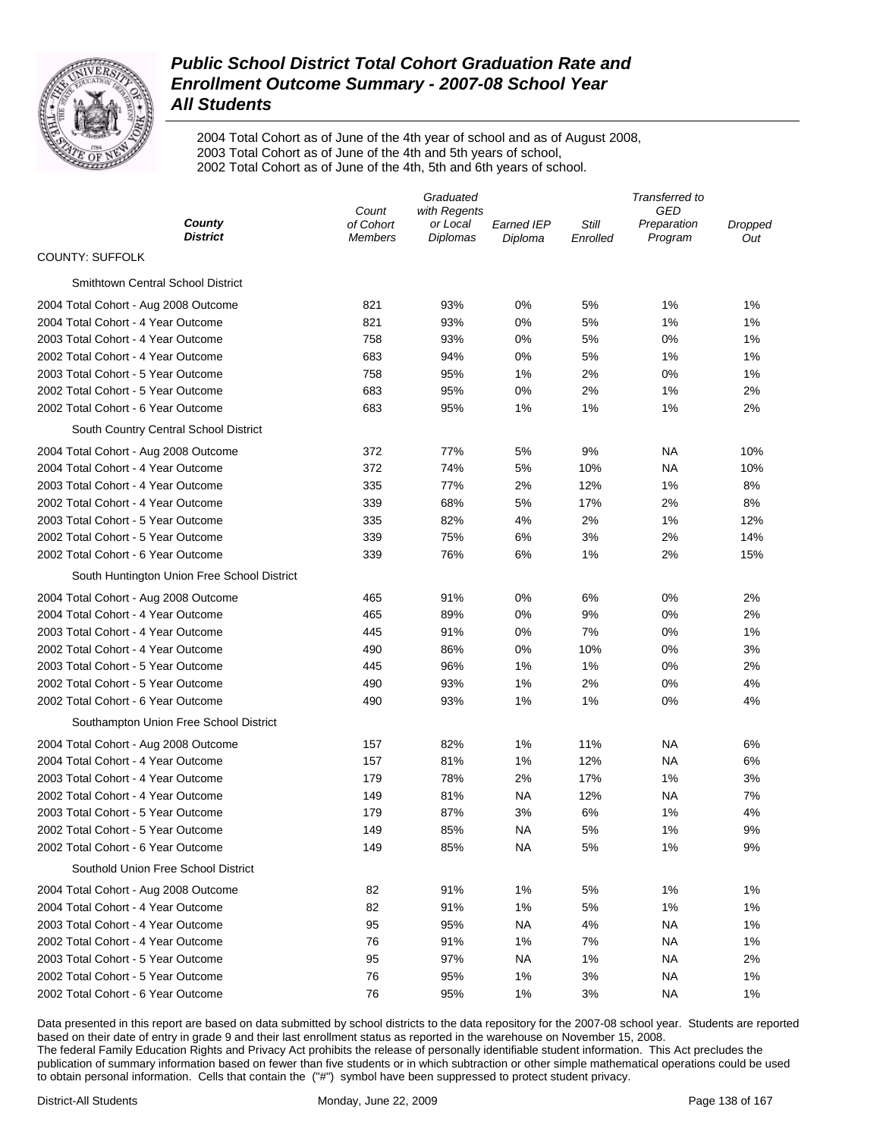

2004 Total Cohort as of June of the 4th year of school and as of August 2008, 2003 Total Cohort as of June of the 4th and 5th years of school, 2002 Total Cohort as of June of the 4th, 5th and 6th years of school.

|                                             |                             | Graduated                   |                       | Transferred to    |                        |                |  |
|---------------------------------------------|-----------------------------|-----------------------------|-----------------------|-------------------|------------------------|----------------|--|
|                                             | with Regents<br>Count       |                             |                       | GED               |                        |                |  |
| County<br><b>District</b>                   | of Cohort<br><b>Members</b> | or Local<br><b>Diplomas</b> | Earned IEP<br>Diploma | Still<br>Enrolled | Preparation<br>Program | Dropped<br>Out |  |
| <b>COUNTY: SUFFOLK</b>                      |                             |                             |                       |                   |                        |                |  |
| <b>Smithtown Central School District</b>    |                             |                             |                       |                   |                        |                |  |
| 2004 Total Cohort - Aug 2008 Outcome        | 821                         | 93%                         | 0%                    | 5%                | 1%                     | 1%             |  |
| 2004 Total Cohort - 4 Year Outcome          | 821                         | 93%                         | 0%                    | 5%                | 1%                     | 1%             |  |
| 2003 Total Cohort - 4 Year Outcome          | 758                         | 93%                         | 0%                    | 5%                | 0%                     | 1%             |  |
| 2002 Total Cohort - 4 Year Outcome          | 683                         | 94%                         | 0%                    | 5%                | 1%                     | 1%             |  |
| 2003 Total Cohort - 5 Year Outcome          | 758                         | 95%                         | 1%                    | 2%                | 0%                     | 1%             |  |
| 2002 Total Cohort - 5 Year Outcome          | 683                         | 95%                         | 0%                    | 2%                | 1%                     | 2%             |  |
| 2002 Total Cohort - 6 Year Outcome          | 683                         | 95%                         | 1%                    | 1%                | 1%                     | 2%             |  |
| South Country Central School District       |                             |                             |                       |                   |                        |                |  |
| 2004 Total Cohort - Aug 2008 Outcome        | 372                         | 77%                         | 5%                    | 9%                | ΝA                     | 10%            |  |
| 2004 Total Cohort - 4 Year Outcome          | 372                         | 74%                         | 5%                    | 10%               | ΝA                     | 10%            |  |
| 2003 Total Cohort - 4 Year Outcome          | 335                         | 77%                         | 2%                    | 12%               | 1%                     | 8%             |  |
| 2002 Total Cohort - 4 Year Outcome          | 339                         | 68%                         | 5%                    | 17%               | 2%                     | 8%             |  |
| 2003 Total Cohort - 5 Year Outcome          | 335                         | 82%                         | 4%                    | 2%                | 1%                     | 12%            |  |
| 2002 Total Cohort - 5 Year Outcome          | 339                         | 75%                         | 6%                    | 3%                | 2%                     | 14%            |  |
| 2002 Total Cohort - 6 Year Outcome          | 339                         | 76%                         | 6%                    | 1%                | 2%                     | 15%            |  |
| South Huntington Union Free School District |                             |                             |                       |                   |                        |                |  |
| 2004 Total Cohort - Aug 2008 Outcome        | 465                         | 91%                         | 0%                    | 6%                | 0%                     | 2%             |  |
| 2004 Total Cohort - 4 Year Outcome          | 465                         | 89%                         | 0%                    | 9%                | 0%                     | 2%             |  |
| 2003 Total Cohort - 4 Year Outcome          | 445                         | 91%                         | 0%                    | 7%                | 0%                     | 1%             |  |
| 2002 Total Cohort - 4 Year Outcome          | 490                         | 86%                         | 0%                    | 10%               | 0%                     | 3%             |  |
| 2003 Total Cohort - 5 Year Outcome          | 445                         | 96%                         | 1%                    | 1%                | 0%                     | 2%             |  |
| 2002 Total Cohort - 5 Year Outcome          | 490                         | 93%                         | 1%                    | 2%                | 0%                     | 4%             |  |
| 2002 Total Cohort - 6 Year Outcome          | 490                         | 93%                         | 1%                    | 1%                | 0%                     | 4%             |  |
| Southampton Union Free School District      |                             |                             |                       |                   |                        |                |  |
| 2004 Total Cohort - Aug 2008 Outcome        | 157                         | 82%                         | 1%                    | 11%               | NA                     | 6%             |  |
| 2004 Total Cohort - 4 Year Outcome          | 157                         | 81%                         | 1%                    | 12%               | NA                     | 6%             |  |
| 2003 Total Cohort - 4 Year Outcome          | 179                         | 78%                         | 2%                    | 17%               | 1%                     | 3%             |  |
| 2002 Total Cohort - 4 Year Outcome          | 149                         | 81%                         | NA                    | 12%               | NA                     | 7%             |  |
| 2003 Total Cohort - 5 Year Outcome          | 179                         | 87%                         | 3%                    | 6%                | 1%                     | 4%             |  |
| 2002 Total Cohort - 5 Year Outcome          | 149                         | 85%                         | NA                    | 5%                | 1%                     | 9%             |  |
| 2002 Total Cohort - 6 Year Outcome          | 149                         | 85%                         | <b>NA</b>             | 5%                | 1%                     | 9%             |  |
| Southold Union Free School District         |                             |                             |                       |                   |                        |                |  |
| 2004 Total Cohort - Aug 2008 Outcome        | 82                          | 91%                         | 1%                    | 5%                | 1%                     | 1%             |  |
| 2004 Total Cohort - 4 Year Outcome          | 82                          | 91%                         | 1%                    | 5%                | 1%                     | 1%             |  |
| 2003 Total Cohort - 4 Year Outcome          | 95                          | 95%                         | <b>NA</b>             | 4%                | <b>NA</b>              | 1%             |  |
| 2002 Total Cohort - 4 Year Outcome          | 76                          | 91%                         | 1%                    | 7%                | <b>NA</b>              | 1%             |  |
| 2003 Total Cohort - 5 Year Outcome          | 95                          | 97%                         | <b>NA</b>             | 1%                | ΝA                     | 2%             |  |
| 2002 Total Cohort - 5 Year Outcome          | 76                          | 95%                         | 1%                    | 3%                | ΝA                     | 1%             |  |
| 2002 Total Cohort - 6 Year Outcome          | 76                          | 95%                         | 1%                    | 3%                | <b>NA</b>              | 1%             |  |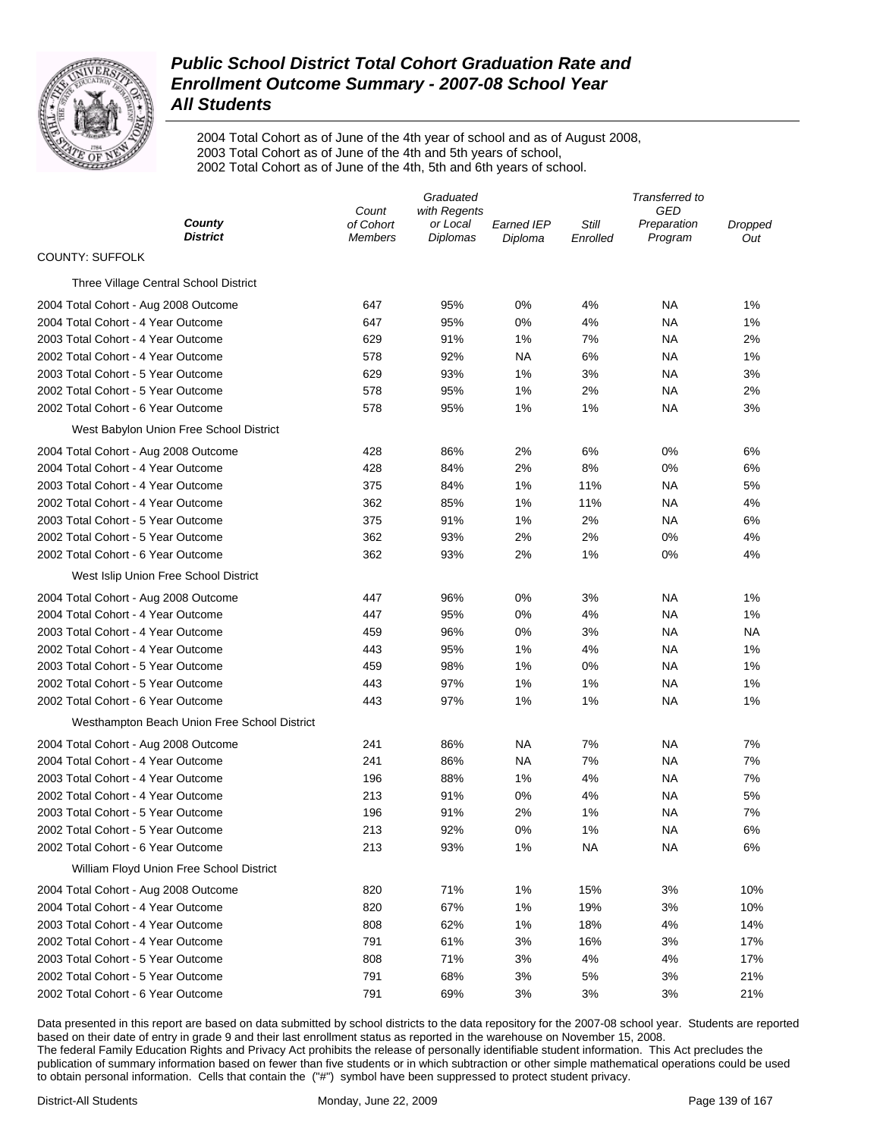

2004 Total Cohort as of June of the 4th year of school and as of August 2008, 2003 Total Cohort as of June of the 4th and 5th years of school, 2002 Total Cohort as of June of the 4th, 5th and 6th years of school.

|                                              | Graduated          |                          |                   | Transferred to |                        |                       |
|----------------------------------------------|--------------------|--------------------------|-------------------|----------------|------------------------|-----------------------|
| County                                       | Count<br>of Cohort | with Regents<br>or Local | <b>Earned IEP</b> | Still          | GED                    |                       |
| <b>District</b>                              | Members            | Diplomas                 | Diploma           | Enrolled       | Preparation<br>Program | <b>Dropped</b><br>Out |
| <b>COUNTY: SUFFOLK</b>                       |                    |                          |                   |                |                        |                       |
| Three Village Central School District        |                    |                          |                   |                |                        |                       |
| 2004 Total Cohort - Aug 2008 Outcome         | 647                | 95%                      | 0%                | 4%             | ΝA                     | 1%                    |
| 2004 Total Cohort - 4 Year Outcome           | 647                | 95%                      | 0%                | 4%             | ΝA                     | 1%                    |
| 2003 Total Cohort - 4 Year Outcome           | 629                | 91%                      | 1%                | 7%             | NA                     | 2%                    |
| 2002 Total Cohort - 4 Year Outcome           | 578                | 92%                      | <b>NA</b>         | 6%             | ΝA                     | 1%                    |
| 2003 Total Cohort - 5 Year Outcome           | 629                | 93%                      | 1%                | 3%             | ΝA                     | 3%                    |
| 2002 Total Cohort - 5 Year Outcome           | 578                | 95%                      | 1%                | 2%             | NA                     | 2%                    |
| 2002 Total Cohort - 6 Year Outcome           | 578                | 95%                      | 1%                | 1%             | ΝA                     | 3%                    |
| West Babylon Union Free School District      |                    |                          |                   |                |                        |                       |
| 2004 Total Cohort - Aug 2008 Outcome         | 428                | 86%                      | 2%                | 6%             | 0%                     | 6%                    |
| 2004 Total Cohort - 4 Year Outcome           | 428                | 84%                      | 2%                | 8%             | 0%                     | 6%                    |
| 2003 Total Cohort - 4 Year Outcome           | 375                | 84%                      | 1%                | 11%            | NA                     | 5%                    |
| 2002 Total Cohort - 4 Year Outcome           | 362                | 85%                      | 1%                | 11%            | ΝA                     | 4%                    |
| 2003 Total Cohort - 5 Year Outcome           | 375                | 91%                      | 1%                | 2%             | <b>NA</b>              | 6%                    |
| 2002 Total Cohort - 5 Year Outcome           | 362                | 93%                      | 2%                | 2%             | 0%                     | 4%                    |
| 2002 Total Cohort - 6 Year Outcome           | 362                | 93%                      | 2%                | 1%             | 0%                     | 4%                    |
| West Islip Union Free School District        |                    |                          |                   |                |                        |                       |
| 2004 Total Cohort - Aug 2008 Outcome         | 447                | 96%                      | 0%                | 3%             | ΝA                     | 1%                    |
| 2004 Total Cohort - 4 Year Outcome           | 447                | 95%                      | 0%                | 4%             | ΝA                     | 1%                    |
| 2003 Total Cohort - 4 Year Outcome           | 459                | 96%                      | 0%                | 3%             | NA                     | NA                    |
| 2002 Total Cohort - 4 Year Outcome           | 443                | 95%                      | 1%                | 4%             | NA                     | 1%                    |
| 2003 Total Cohort - 5 Year Outcome           | 459                | 98%                      | 1%                | 0%             | NA                     | 1%                    |
| 2002 Total Cohort - 5 Year Outcome           | 443                | 97%                      | 1%                | 1%             | <b>NA</b>              | 1%                    |
| 2002 Total Cohort - 6 Year Outcome           | 443                | 97%                      | 1%                | 1%             | <b>NA</b>              | 1%                    |
| Westhampton Beach Union Free School District |                    |                          |                   |                |                        |                       |
| 2004 Total Cohort - Aug 2008 Outcome         | 241                | 86%                      | NA                | 7%             | <b>NA</b>              | 7%                    |
| 2004 Total Cohort - 4 Year Outcome           | 241                | 86%                      | ΝA                | 7%             | ΝA                     | 7%                    |
| 2003 Total Cohort - 4 Year Outcome           | 196                | 88%                      | 1%                | 4%             | <b>NA</b>              | 7%                    |
| 2002 Total Cohort - 4 Year Outcome           | 213                | 91%                      | 0%                | 4%             | <b>NA</b>              | 5%                    |
| 2003 Total Cohort - 5 Year Outcome           | 196                | 91%                      | 2%                | 1%             | ΝA                     | 7%                    |
| 2002 Total Cohort - 5 Year Outcome           | 213                | 92%                      | 0%                | 1%             | ΝA                     | 6%                    |
| 2002 Total Cohort - 6 Year Outcome           | 213                | 93%                      | 1%                | <b>NA</b>      | <b>NA</b>              | 6%                    |
| William Floyd Union Free School District     |                    |                          |                   |                |                        |                       |
| 2004 Total Cohort - Aug 2008 Outcome         | 820                | 71%                      | 1%                | 15%            | 3%                     | 10%                   |
| 2004 Total Cohort - 4 Year Outcome           | 820                | 67%                      | 1%                | 19%            | 3%                     | 10%                   |
| 2003 Total Cohort - 4 Year Outcome           | 808                | 62%                      | 1%                | 18%            | 4%                     | 14%                   |
| 2002 Total Cohort - 4 Year Outcome           | 791                | 61%                      | 3%                | 16%            | 3%                     | 17%                   |
| 2003 Total Cohort - 5 Year Outcome           | 808                | 71%                      | 3%                | 4%             | 4%                     | 17%                   |
| 2002 Total Cohort - 5 Year Outcome           | 791                | 68%                      | 3%                | 5%             | 3%                     | 21%                   |
| 2002 Total Cohort - 6 Year Outcome           | 791                | 69%                      | 3%                | 3%             | 3%                     | 21%                   |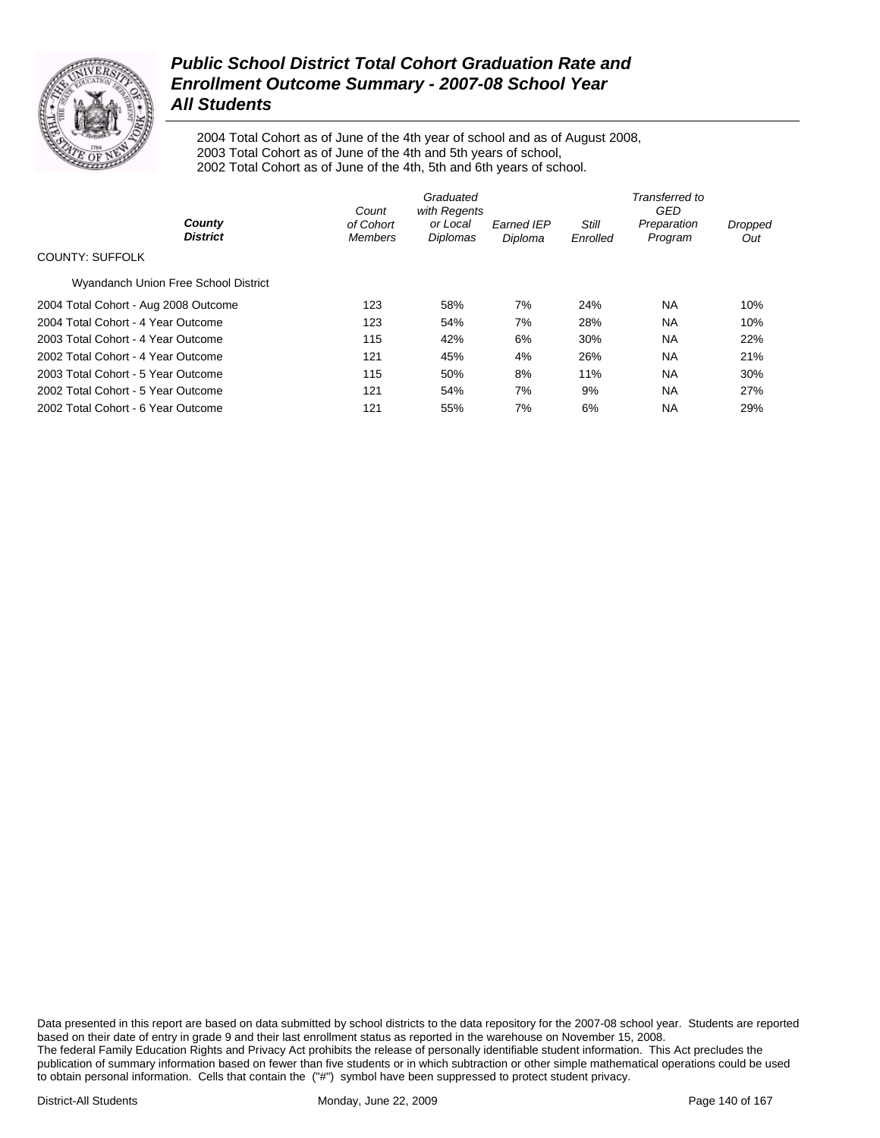

2004 Total Cohort as of June of the 4th year of school and as of August 2008, 2003 Total Cohort as of June of the 4th and 5th years of school, 2002 Total Cohort as of June of the 4th, 5th and 6th years of school.

|                                      | Graduated<br>with Regents<br>Count |                      |                       | Transferred to<br>GED    |                        |                |  |
|--------------------------------------|------------------------------------|----------------------|-----------------------|--------------------------|------------------------|----------------|--|
| County<br><b>District</b>            | of Cohort<br><b>Members</b>        | or Local<br>Diplomas | Earned IEP<br>Diploma | <b>Still</b><br>Enrolled | Preparation<br>Program | Dropped<br>Out |  |
| <b>COUNTY: SUFFOLK</b>               |                                    |                      |                       |                          |                        |                |  |
| Wyandanch Union Free School District |                                    |                      |                       |                          |                        |                |  |
| 2004 Total Cohort - Aug 2008 Outcome | 123                                | 58%                  | 7%                    | 24%                      | NA.                    | 10%            |  |
| 2004 Total Cohort - 4 Year Outcome   | 123                                | 54%                  | 7%                    | 28%                      | <b>NA</b>              | 10%            |  |
| 2003 Total Cohort - 4 Year Outcome   | 115                                | 42%                  | 6%                    | 30%                      | <b>NA</b>              | 22%            |  |
| 2002 Total Cohort - 4 Year Outcome   | 121                                | 45%                  | 4%                    | 26%                      | <b>NA</b>              | 21%            |  |
| 2003 Total Cohort - 5 Year Outcome   | 115                                | 50%                  | 8%                    | 11%                      | <b>NA</b>              | 30%            |  |
| 2002 Total Cohort - 5 Year Outcome   | 121                                | 54%                  | 7%                    | 9%                       | <b>NA</b>              | 27%            |  |
| 2002 Total Cohort - 6 Year Outcome   | 121                                | 55%                  | 7%                    | 6%                       | <b>NA</b>              | 29%            |  |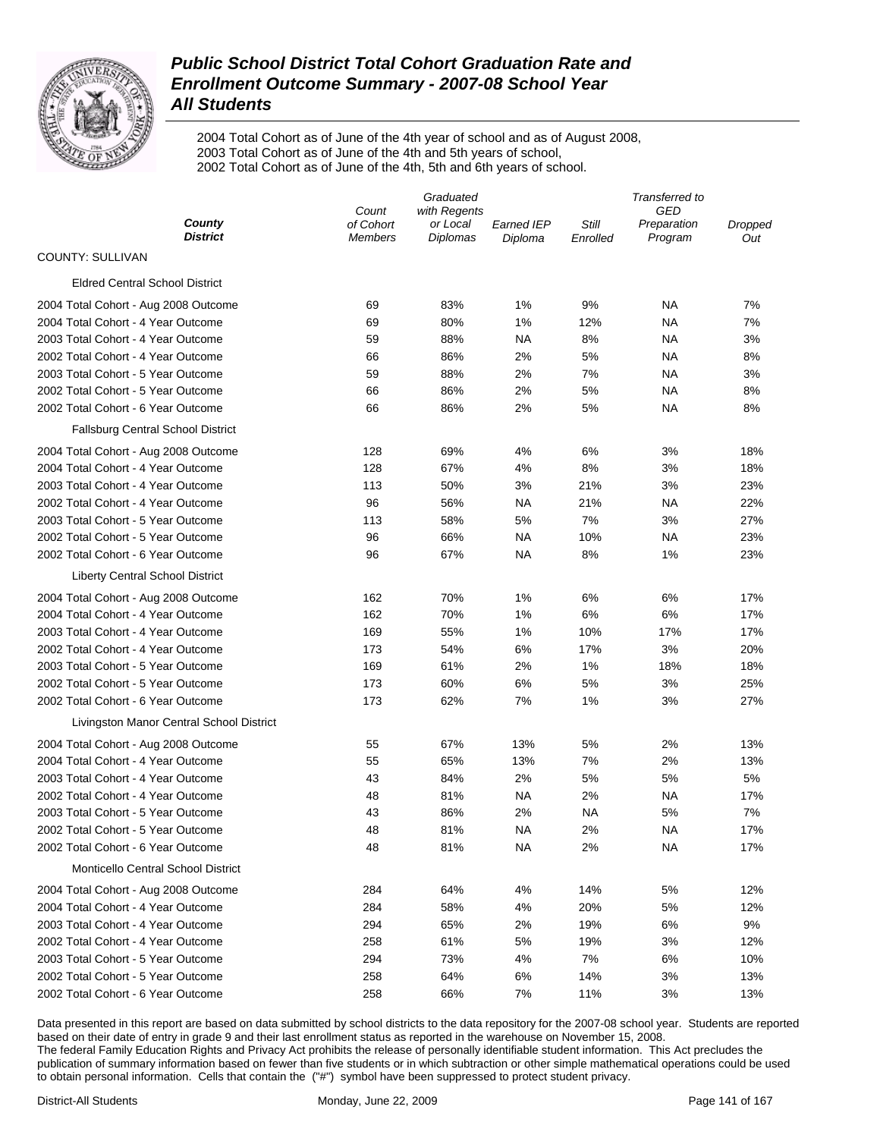

2004 Total Cohort as of June of the 4th year of school and as of August 2008, 2003 Total Cohort as of June of the 4th and 5th years of school, 2002 Total Cohort as of June of the 4th, 5th and 6th years of school.

|                                           |                             | Graduated                   | Transferred to        |                   |                        |                |
|-------------------------------------------|-----------------------------|-----------------------------|-----------------------|-------------------|------------------------|----------------|
|                                           | with Regents<br>Count       |                             |                       | GED               |                        |                |
| County<br><b>District</b>                 | of Cohort<br><b>Members</b> | or Local<br><b>Diplomas</b> | Earned IEP<br>Diploma | Still<br>Enrolled | Preparation<br>Program | Dropped<br>Out |
| <b>COUNTY: SULLIVAN</b>                   |                             |                             |                       |                   |                        |                |
| <b>Eldred Central School District</b>     |                             |                             |                       |                   |                        |                |
| 2004 Total Cohort - Aug 2008 Outcome      | 69                          | 83%                         | 1%                    | 9%                | ΝA                     | 7%             |
| 2004 Total Cohort - 4 Year Outcome        | 69                          | 80%                         | 1%                    | 12%               | ΝA                     | 7%             |
| 2003 Total Cohort - 4 Year Outcome        | 59                          | 88%                         | <b>NA</b>             | 8%                | ΝA                     | 3%             |
| 2002 Total Cohort - 4 Year Outcome        | 66                          | 86%                         | 2%                    | 5%                | ΝA                     | 8%             |
| 2003 Total Cohort - 5 Year Outcome        | 59                          | 88%                         | 2%                    | 7%                | ΝA                     | 3%             |
| 2002 Total Cohort - 5 Year Outcome        | 66                          | 86%                         | 2%                    | 5%                | ΝA                     | 8%             |
| 2002 Total Cohort - 6 Year Outcome        | 66                          | 86%                         | 2%                    | 5%                | ΝA                     | 8%             |
| <b>Fallsburg Central School District</b>  |                             |                             |                       |                   |                        |                |
| 2004 Total Cohort - Aug 2008 Outcome      | 128                         | 69%                         | 4%                    | 6%                | 3%                     | 18%            |
| 2004 Total Cohort - 4 Year Outcome        | 128                         | 67%                         | 4%                    | 8%                | 3%                     | 18%            |
| 2003 Total Cohort - 4 Year Outcome        | 113                         | 50%                         | 3%                    | 21%               | 3%                     | 23%            |
| 2002 Total Cohort - 4 Year Outcome        | 96                          | 56%                         | <b>NA</b>             | 21%               | ΝA                     | 22%            |
| 2003 Total Cohort - 5 Year Outcome        | 113                         | 58%                         | 5%                    | 7%                | 3%                     | 27%            |
| 2002 Total Cohort - 5 Year Outcome        | 96                          | 66%                         | <b>NA</b>             | 10%               | ΝA                     | 23%            |
| 2002 Total Cohort - 6 Year Outcome        | 96                          | 67%                         | NA                    | 8%                | 1%                     | 23%            |
| <b>Liberty Central School District</b>    |                             |                             |                       |                   |                        |                |
| 2004 Total Cohort - Aug 2008 Outcome      | 162                         | 70%                         | 1%                    | 6%                | 6%                     | 17%            |
| 2004 Total Cohort - 4 Year Outcome        | 162                         | 70%                         | 1%                    | 6%                | 6%                     | 17%            |
| 2003 Total Cohort - 4 Year Outcome        | 169                         | 55%                         | 1%                    | 10%               | 17%                    | 17%            |
| 2002 Total Cohort - 4 Year Outcome        | 173                         | 54%                         | 6%                    | 17%               | 3%                     | 20%            |
| 2003 Total Cohort - 5 Year Outcome        | 169                         | 61%                         | 2%                    | 1%                | 18%                    | 18%            |
| 2002 Total Cohort - 5 Year Outcome        | 173                         | 60%                         | 6%                    | 5%                | 3%                     | 25%            |
| 2002 Total Cohort - 6 Year Outcome        | 173                         | 62%                         | 7%                    | 1%                | 3%                     | 27%            |
| Livingston Manor Central School District  |                             |                             |                       |                   |                        |                |
| 2004 Total Cohort - Aug 2008 Outcome      | 55                          | 67%                         | 13%                   | 5%                | 2%                     | 13%            |
| 2004 Total Cohort - 4 Year Outcome        | 55                          | 65%                         | 13%                   | 7%                | 2%                     | 13%            |
| 2003 Total Cohort - 4 Year Outcome        | 43                          | 84%                         | 2%                    | 5%                | 5%                     | 5%             |
| 2002 Total Cohort - 4 Year Outcome        | 48                          | 81%                         | NA                    | 2%                | NA                     | 17%            |
| 2003 Total Cohort - 5 Year Outcome        | 43                          | 86%                         | 2%                    | NA                | 5%                     | 7%             |
| 2002 Total Cohort - 5 Year Outcome        | 48                          | 81%                         | <b>NA</b>             | 2%                | NA                     | 17%            |
| 2002 Total Cohort - 6 Year Outcome        | 48                          | 81%                         | <b>NA</b>             | 2%                | <b>NA</b>              | 17%            |
| <b>Monticello Central School District</b> |                             |                             |                       |                   |                        |                |
| 2004 Total Cohort - Aug 2008 Outcome      | 284                         | 64%                         | 4%                    | 14%               | 5%                     | 12%            |
| 2004 Total Cohort - 4 Year Outcome        | 284                         | 58%                         | 4%                    | 20%               | 5%                     | 12%            |
| 2003 Total Cohort - 4 Year Outcome        | 294                         | 65%                         | 2%                    | 19%               | 6%                     | 9%             |
| 2002 Total Cohort - 4 Year Outcome        | 258                         | 61%                         | 5%                    | 19%               | 3%                     | 12%            |
| 2003 Total Cohort - 5 Year Outcome        | 294                         | 73%                         | 4%                    | 7%                | 6%                     | 10%            |
| 2002 Total Cohort - 5 Year Outcome        | 258                         | 64%                         | 6%                    | 14%               | 3%                     | 13%            |
| 2002 Total Cohort - 6 Year Outcome        | 258                         | 66%                         | 7%                    | 11%               | 3%                     | 13%            |
|                                           |                             |                             |                       |                   |                        |                |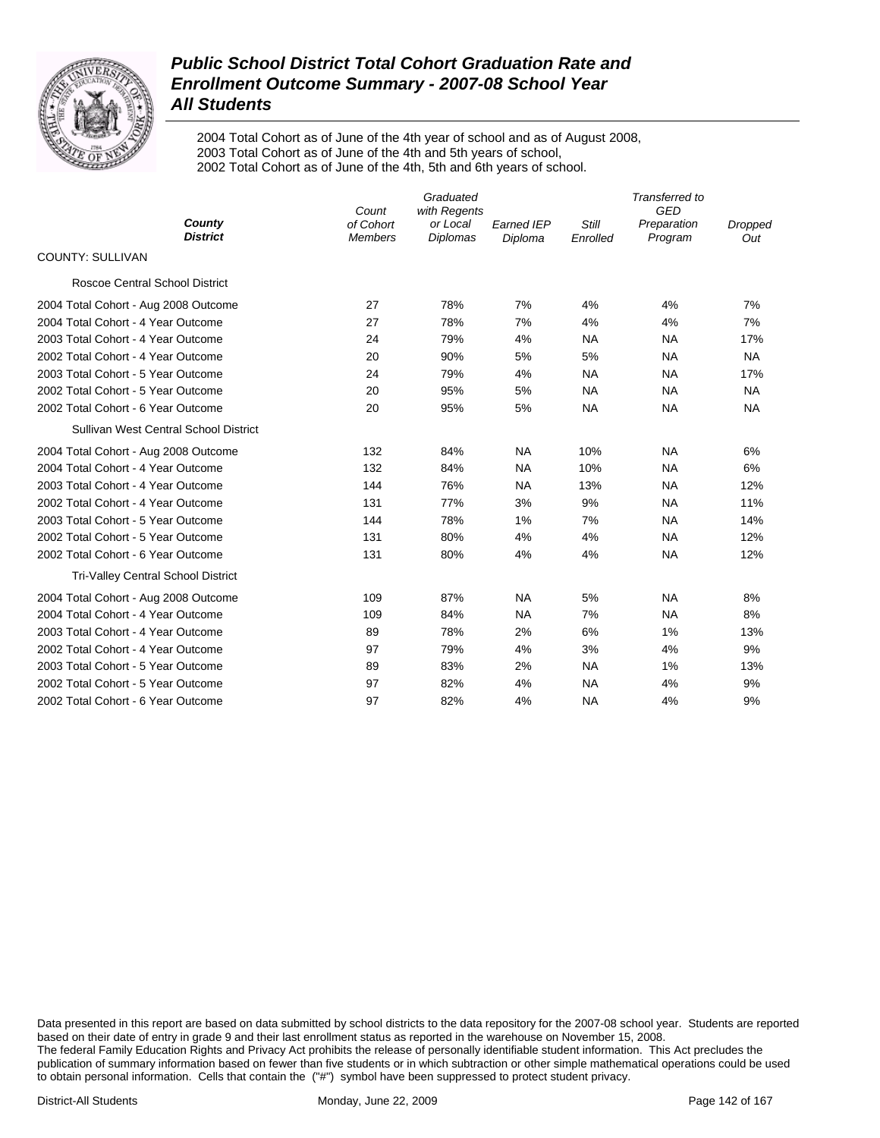

2004 Total Cohort as of June of the 4th year of school and as of August 2008, 2003 Total Cohort as of June of the 4th and 5th years of school, 2002 Total Cohort as of June of the 4th, 5th and 6th years of school.

|                                           | Count                       | Transferred to<br><b>GED</b>                |                              |                   |                        |                |
|-------------------------------------------|-----------------------------|---------------------------------------------|------------------------------|-------------------|------------------------|----------------|
| County<br><b>District</b>                 | of Cohort<br><b>Members</b> | with Regents<br>or Local<br><b>Diplomas</b> | <b>Earned IEP</b><br>Diploma | Still<br>Enrolled | Preparation<br>Program | Dropped<br>Out |
| <b>COUNTY: SULLIVAN</b>                   |                             |                                             |                              |                   |                        |                |
| <b>Roscoe Central School District</b>     |                             |                                             |                              |                   |                        |                |
| 2004 Total Cohort - Aug 2008 Outcome      | 27                          | 78%                                         | 7%                           | 4%                | 4%                     | 7%             |
| 2004 Total Cohort - 4 Year Outcome        | 27                          | 78%                                         | 7%                           | 4%                | 4%                     | 7%             |
| 2003 Total Cohort - 4 Year Outcome        | 24                          | 79%                                         | 4%                           | <b>NA</b>         | <b>NA</b>              | 17%            |
| 2002 Total Cohort - 4 Year Outcome        | 20                          | 90%                                         | 5%                           | 5%                | <b>NA</b>              | <b>NA</b>      |
| 2003 Total Cohort - 5 Year Outcome        | 24                          | 79%                                         | 4%                           | <b>NA</b>         | <b>NA</b>              | 17%            |
| 2002 Total Cohort - 5 Year Outcome        | 20                          | 95%                                         | 5%                           | NA                | <b>NA</b>              | <b>NA</b>      |
| 2002 Total Cohort - 6 Year Outcome        | 20                          | 95%                                         | 5%                           | <b>NA</b>         | <b>NA</b>              | <b>NA</b>      |
| Sullivan West Central School District     |                             |                                             |                              |                   |                        |                |
| 2004 Total Cohort - Aug 2008 Outcome      | 132                         | 84%                                         | <b>NA</b>                    | 10%               | <b>NA</b>              | 6%             |
| 2004 Total Cohort - 4 Year Outcome        | 132                         | 84%                                         | <b>NA</b>                    | 10%               | <b>NA</b>              | 6%             |
| 2003 Total Cohort - 4 Year Outcome        | 144                         | 76%                                         | <b>NA</b>                    | 13%               | <b>NA</b>              | 12%            |
| 2002 Total Cohort - 4 Year Outcome        | 131                         | 77%                                         | 3%                           | 9%                | <b>NA</b>              | 11%            |
| 2003 Total Cohort - 5 Year Outcome        | 144                         | 78%                                         | 1%                           | 7%                | <b>NA</b>              | 14%            |
| 2002 Total Cohort - 5 Year Outcome        | 131                         | 80%                                         | 4%                           | 4%                | <b>NA</b>              | 12%            |
| 2002 Total Cohort - 6 Year Outcome        | 131                         | 80%                                         | 4%                           | 4%                | <b>NA</b>              | 12%            |
| <b>Tri-Valley Central School District</b> |                             |                                             |                              |                   |                        |                |
| 2004 Total Cohort - Aug 2008 Outcome      | 109                         | 87%                                         | <b>NA</b>                    | 5%                | <b>NA</b>              | 8%             |
| 2004 Total Cohort - 4 Year Outcome        | 109                         | 84%                                         | <b>NA</b>                    | 7%                | <b>NA</b>              | 8%             |
| 2003 Total Cohort - 4 Year Outcome        | 89                          | 78%                                         | 2%                           | 6%                | 1%                     | 13%            |
| 2002 Total Cohort - 4 Year Outcome        | 97                          | 79%                                         | 4%                           | 3%                | 4%                     | 9%             |
| 2003 Total Cohort - 5 Year Outcome        | 89                          | 83%                                         | 2%                           | <b>NA</b>         | 1%                     | 13%            |
| 2002 Total Cohort - 5 Year Outcome        | 97                          | 82%                                         | 4%                           | <b>NA</b>         | 4%                     | 9%             |
| 2002 Total Cohort - 6 Year Outcome        | 97                          | 82%                                         | 4%                           | <b>NA</b>         | 4%                     | 9%             |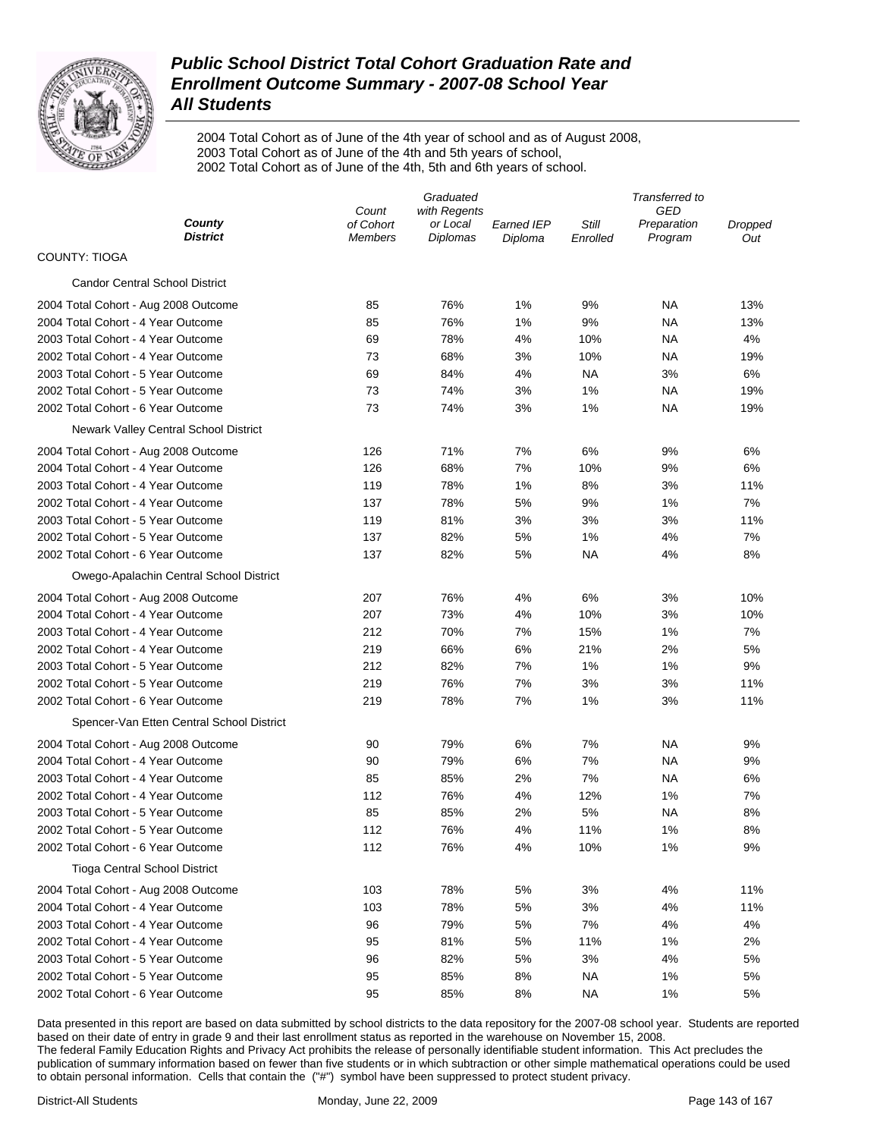

2004 Total Cohort as of June of the 4th year of school and as of August 2008, 2003 Total Cohort as of June of the 4th and 5th years of school, 2002 Total Cohort as of June of the 4th, 5th and 6th years of school.

|                                           |                             | Graduated                   |                       | Transferred to    |                        |                |  |
|-------------------------------------------|-----------------------------|-----------------------------|-----------------------|-------------------|------------------------|----------------|--|
|                                           | with Regents<br>Count       |                             |                       | GED               |                        |                |  |
| County<br><b>District</b>                 | of Cohort<br><b>Members</b> | or Local<br><b>Diplomas</b> | Earned IEP<br>Diploma | Still<br>Enrolled | Preparation<br>Program | Dropped<br>Out |  |
| <b>COUNTY: TIOGA</b>                      |                             |                             |                       |                   |                        |                |  |
| <b>Candor Central School District</b>     |                             |                             |                       |                   |                        |                |  |
| 2004 Total Cohort - Aug 2008 Outcome      | 85                          | 76%                         | 1%                    | 9%                | ΝA                     | 13%            |  |
| 2004 Total Cohort - 4 Year Outcome        | 85                          | 76%                         | 1%                    | 9%                | ΝA                     | 13%            |  |
| 2003 Total Cohort - 4 Year Outcome        | 69                          | 78%                         | 4%                    | 10%               | ΝA                     | 4%             |  |
| 2002 Total Cohort - 4 Year Outcome        | 73                          | 68%                         | 3%                    | 10%               | ΝA                     | 19%            |  |
| 2003 Total Cohort - 5 Year Outcome        | 69                          | 84%                         | 4%                    | ΝA                | 3%                     | 6%             |  |
| 2002 Total Cohort - 5 Year Outcome        | 73                          | 74%                         | 3%                    | 1%                | ΝA                     | 19%            |  |
| 2002 Total Cohort - 6 Year Outcome        | 73                          | 74%                         | 3%                    | 1%                | ΝA                     | 19%            |  |
| Newark Valley Central School District     |                             |                             |                       |                   |                        |                |  |
| 2004 Total Cohort - Aug 2008 Outcome      | 126                         | 71%                         | 7%                    | 6%                | 9%                     | 6%             |  |
| 2004 Total Cohort - 4 Year Outcome        | 126                         | 68%                         | 7%                    | 10%               | 9%                     | 6%             |  |
| 2003 Total Cohort - 4 Year Outcome        | 119                         | 78%                         | 1%                    | 8%                | 3%                     | 11%            |  |
| 2002 Total Cohort - 4 Year Outcome        | 137                         | 78%                         | 5%                    | 9%                | 1%                     | 7%             |  |
| 2003 Total Cohort - 5 Year Outcome        | 119                         | 81%                         | 3%                    | 3%                | 3%                     | 11%            |  |
| 2002 Total Cohort - 5 Year Outcome        | 137                         | 82%                         | 5%                    | 1%                | 4%                     | 7%             |  |
| 2002 Total Cohort - 6 Year Outcome        | 137                         | 82%                         | 5%                    | ΝA                | 4%                     | 8%             |  |
| Owego-Apalachin Central School District   |                             |                             |                       |                   |                        |                |  |
| 2004 Total Cohort - Aug 2008 Outcome      | 207                         | 76%                         | 4%                    | 6%                | 3%                     | 10%            |  |
| 2004 Total Cohort - 4 Year Outcome        | 207                         | 73%                         | 4%                    | 10%               | 3%                     | 10%            |  |
| 2003 Total Cohort - 4 Year Outcome        | 212                         | 70%                         | 7%                    | 15%               | 1%                     | 7%             |  |
| 2002 Total Cohort - 4 Year Outcome        | 219                         | 66%                         | 6%                    | 21%               | 2%                     | 5%             |  |
| 2003 Total Cohort - 5 Year Outcome        | 212                         | 82%                         | 7%                    | 1%                | 1%                     | 9%             |  |
| 2002 Total Cohort - 5 Year Outcome        | 219                         | 76%                         | 7%                    | 3%                | 3%                     | 11%            |  |
| 2002 Total Cohort - 6 Year Outcome        | 219                         | 78%                         | 7%                    | 1%                | 3%                     | 11%            |  |
| Spencer-Van Etten Central School District |                             |                             |                       |                   |                        |                |  |
| 2004 Total Cohort - Aug 2008 Outcome      | 90                          | 79%                         | 6%                    | 7%                | NA                     | 9%             |  |
| 2004 Total Cohort - 4 Year Outcome        | 90                          | 79%                         | 6%                    | 7%                | NA                     | 9%             |  |
| 2003 Total Cohort - 4 Year Outcome        | 85                          | 85%                         | 2%                    | 7%                | NA                     | 6%             |  |
| 2002 Total Cohort - 4 Year Outcome        | 112                         | 76%                         | 4%                    | 12%               | 1%                     | 7%             |  |
| 2003 Total Cohort - 5 Year Outcome        | 85                          | 85%                         | 2%                    | 5%                | NA                     | 8%             |  |
| 2002 Total Cohort - 5 Year Outcome        | 112                         | 76%                         | 4%                    | 11%               | 1%                     | 8%             |  |
| 2002 Total Cohort - 6 Year Outcome        | 112                         | 76%                         | 4%                    | 10%               | 1%                     | 9%             |  |
| <b>Tioga Central School District</b>      |                             |                             |                       |                   |                        |                |  |
| 2004 Total Cohort - Aug 2008 Outcome      | 103                         | 78%                         | 5%                    | 3%                | 4%                     | 11%            |  |
| 2004 Total Cohort - 4 Year Outcome        | 103                         | 78%                         | 5%                    | 3%                | 4%                     | 11%            |  |
| 2003 Total Cohort - 4 Year Outcome        | 96                          | 79%                         | 5%                    | 7%                | 4%                     | 4%             |  |
| 2002 Total Cohort - 4 Year Outcome        | 95                          | 81%                         | 5%                    | 11%               | 1%                     | 2%             |  |
| 2003 Total Cohort - 5 Year Outcome        | 96                          | 82%                         | 5%                    | 3%                | 4%                     | 5%             |  |
| 2002 Total Cohort - 5 Year Outcome        | 95                          | 85%                         | 8%                    | <b>NA</b>         | 1%                     | 5%             |  |
| 2002 Total Cohort - 6 Year Outcome        | 95                          | 85%                         | 8%                    | <b>NA</b>         | 1%                     | 5%             |  |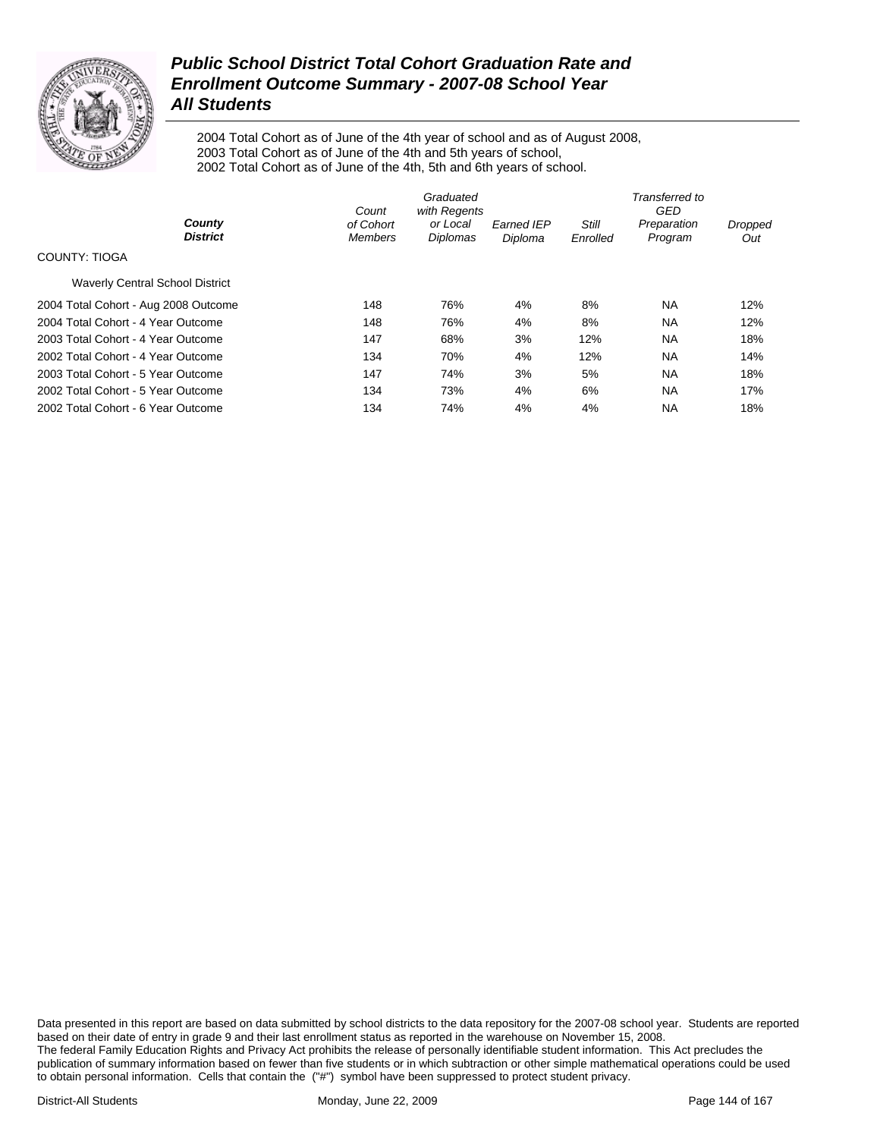

2004 Total Cohort as of June of the 4th year of school and as of August 2008, 2003 Total Cohort as of June of the 4th and 5th years of school, 2002 Total Cohort as of June of the 4th, 5th and 6th years of school.

|                                        | Graduated<br>Count<br>with Regents |                      |                       | Transferred to<br>GED |                        |                |  |
|----------------------------------------|------------------------------------|----------------------|-----------------------|-----------------------|------------------------|----------------|--|
| County<br><b>District</b>              | of Cohort<br><b>Members</b>        | or Local<br>Diplomas | Earned IEP<br>Diploma | Still<br>Enrolled     | Preparation<br>Program | Dropped<br>Out |  |
| COUNTY: TIOGA                          |                                    |                      |                       |                       |                        |                |  |
| <b>Waverly Central School District</b> |                                    |                      |                       |                       |                        |                |  |
| 2004 Total Cohort - Aug 2008 Outcome   | 148                                | 76%                  | 4%                    | 8%                    | <b>NA</b>              | 12%            |  |
| 2004 Total Cohort - 4 Year Outcome     | 148                                | 76%                  | 4%                    | 8%                    | <b>NA</b>              | 12%            |  |
| 2003 Total Cohort - 4 Year Outcome     | 147                                | 68%                  | 3%                    | 12%                   | <b>NA</b>              | 18%            |  |
| 2002 Total Cohort - 4 Year Outcome     | 134                                | 70%                  | 4%                    | 12%                   | <b>NA</b>              | 14%            |  |
| 2003 Total Cohort - 5 Year Outcome     | 147                                | 74%                  | 3%                    | 5%                    | <b>NA</b>              | 18%            |  |
| 2002 Total Cohort - 5 Year Outcome     | 134                                | 73%                  | 4%                    | 6%                    | <b>NA</b>              | 17%            |  |
| 2002 Total Cohort - 6 Year Outcome     | 134                                | 74%                  | 4%                    | 4%                    | <b>NA</b>              | 18%            |  |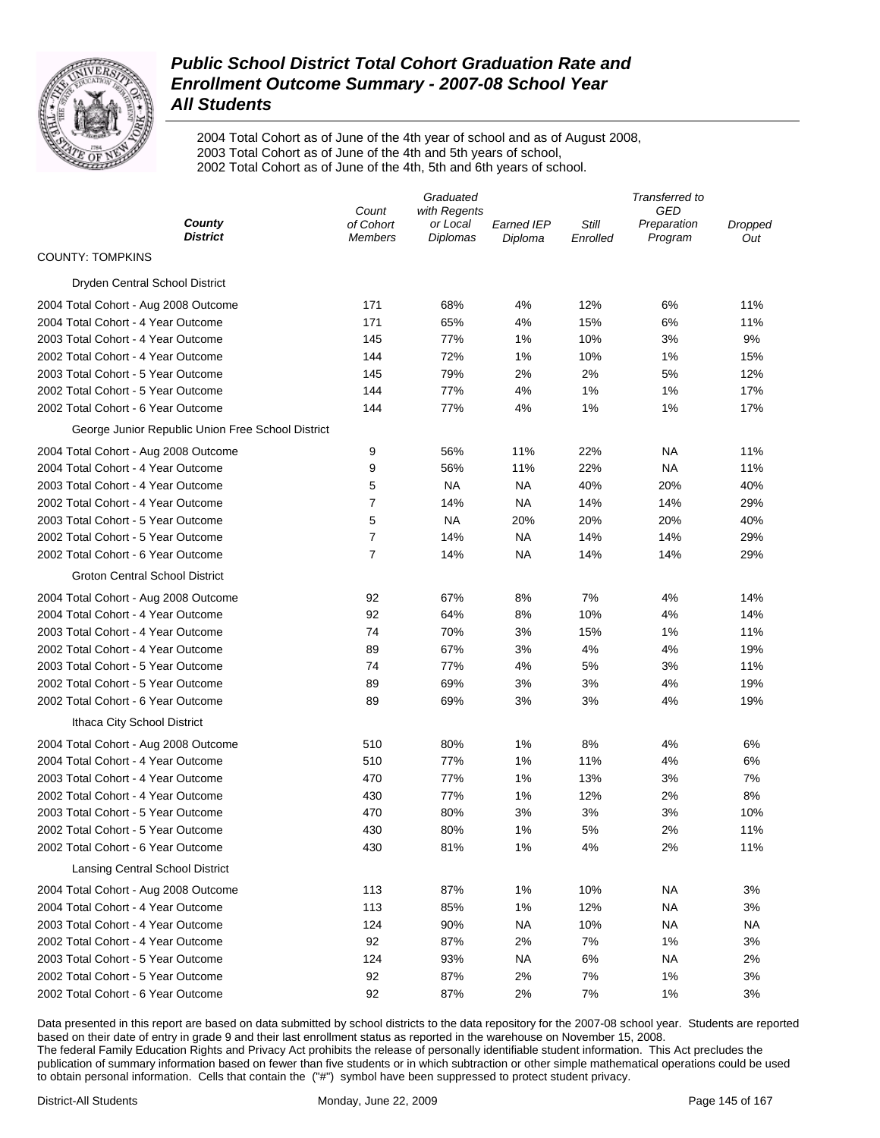

2004 Total Cohort as of June of the 4th year of school and as of August 2008, 2003 Total Cohort as of June of the 4th and 5th years of school, 2002 Total Cohort as of June of the 4th, 5th and 6th years of school.

|                                                   | Graduated          |                          |                   |          | Transferred to     |                |  |  |
|---------------------------------------------------|--------------------|--------------------------|-------------------|----------|--------------------|----------------|--|--|
| County                                            | Count<br>of Cohort | with Regents<br>or Local | <b>Earned IEP</b> | Still    | GED<br>Preparation | <b>Dropped</b> |  |  |
| <b>District</b>                                   | <b>Members</b>     | Diplomas                 | Diploma           | Enrolled | Program            | Out            |  |  |
| <b>COUNTY: TOMPKINS</b>                           |                    |                          |                   |          |                    |                |  |  |
| Dryden Central School District                    |                    |                          |                   |          |                    |                |  |  |
| 2004 Total Cohort - Aug 2008 Outcome              | 171                | 68%                      | 4%                | 12%      | 6%                 | 11%            |  |  |
| 2004 Total Cohort - 4 Year Outcome                | 171                | 65%                      | 4%                | 15%      | 6%                 | 11%            |  |  |
| 2003 Total Cohort - 4 Year Outcome                | 145                | 77%                      | 1%                | 10%      | 3%                 | 9%             |  |  |
| 2002 Total Cohort - 4 Year Outcome                | 144                | 72%                      | 1%                | 10%      | 1%                 | 15%            |  |  |
| 2003 Total Cohort - 5 Year Outcome                | 145                | 79%                      | 2%                | 2%       | 5%                 | 12%            |  |  |
| 2002 Total Cohort - 5 Year Outcome                | 144                | 77%                      | 4%                | 1%       | 1%                 | 17%            |  |  |
| 2002 Total Cohort - 6 Year Outcome                | 144                | 77%                      | 4%                | 1%       | 1%                 | 17%            |  |  |
| George Junior Republic Union Free School District |                    |                          |                   |          |                    |                |  |  |
| 2004 Total Cohort - Aug 2008 Outcome              | 9                  | 56%                      | 11%               | 22%      | NA                 | 11%            |  |  |
| 2004 Total Cohort - 4 Year Outcome                | 9                  | 56%                      | 11%               | 22%      | NA                 | 11%            |  |  |
| 2003 Total Cohort - 4 Year Outcome                | 5                  | <b>NA</b>                | <b>NA</b>         | 40%      | 20%                | 40%            |  |  |
| 2002 Total Cohort - 4 Year Outcome                | $\overline{7}$     | 14%                      | <b>NA</b>         | 14%      | 14%                | 29%            |  |  |
| 2003 Total Cohort - 5 Year Outcome                | 5                  | <b>NA</b>                | 20%               | 20%      | 20%                | 40%            |  |  |
| 2002 Total Cohort - 5 Year Outcome                | $\overline{7}$     | 14%                      | <b>NA</b>         | 14%      | 14%                | 29%            |  |  |
| 2002 Total Cohort - 6 Year Outcome                | $\overline{7}$     | 14%                      | <b>NA</b>         | 14%      | 14%                | 29%            |  |  |
| <b>Groton Central School District</b>             |                    |                          |                   |          |                    |                |  |  |
| 2004 Total Cohort - Aug 2008 Outcome              | 92                 | 67%                      | 8%                | 7%       | 4%                 | 14%            |  |  |
| 2004 Total Cohort - 4 Year Outcome                | 92                 | 64%                      | 8%                | 10%      | 4%                 | 14%            |  |  |
| 2003 Total Cohort - 4 Year Outcome                | 74                 | 70%                      | 3%                | 15%      | 1%                 | 11%            |  |  |
| 2002 Total Cohort - 4 Year Outcome                | 89                 | 67%                      | 3%                | 4%       | 4%                 | 19%            |  |  |
| 2003 Total Cohort - 5 Year Outcome                | 74                 | 77%                      | 4%                | 5%       | 3%                 | 11%            |  |  |
| 2002 Total Cohort - 5 Year Outcome                | 89                 | 69%                      | 3%                | 3%       | 4%                 | 19%            |  |  |
| 2002 Total Cohort - 6 Year Outcome                | 89                 | 69%                      | 3%                | 3%       | 4%                 | 19%            |  |  |
| Ithaca City School District                       |                    |                          |                   |          |                    |                |  |  |
| 2004 Total Cohort - Aug 2008 Outcome              | 510                | 80%                      | 1%                | 8%       | 4%                 | 6%             |  |  |
| 2004 Total Cohort - 4 Year Outcome                | 510                | 77%                      | 1%                | 11%      | 4%                 | 6%             |  |  |
| 2003 Total Cohort - 4 Year Outcome                | 470                | 77%                      | 1%                | 13%      | 3%                 | 7%             |  |  |
| 2002 Total Cohort - 4 Year Outcome                | 430                | 77%                      | 1%                | 12%      | 2%                 | 8%             |  |  |
| 2003 Total Cohort - 5 Year Outcome                | 470                | 80%                      | 3%                | 3%       | 3%                 | 10%            |  |  |
| 2002 Total Cohort - 5 Year Outcome                | 430                | 80%                      | 1%                | 5%       | 2%                 | 11%            |  |  |
| 2002 Total Cohort - 6 Year Outcome                | 430                | 81%                      | 1%                | 4%       | 2%                 | 11%            |  |  |
| Lansing Central School District                   |                    |                          |                   |          |                    |                |  |  |
| 2004 Total Cohort - Aug 2008 Outcome              | 113                | 87%                      | 1%                | 10%      | NA                 | 3%             |  |  |
| 2004 Total Cohort - 4 Year Outcome                | 113                | 85%                      | 1%                | 12%      | NA                 | 3%             |  |  |
| 2003 Total Cohort - 4 Year Outcome                | 124                | 90%                      | <b>NA</b>         | 10%      | NA                 | NA.            |  |  |
| 2002 Total Cohort - 4 Year Outcome                | 92                 | 87%                      | 2%                | 7%       | 1%                 | 3%             |  |  |
| 2003 Total Cohort - 5 Year Outcome                | 124                | 93%                      | <b>NA</b>         | 6%       | NA                 | 2%             |  |  |
| 2002 Total Cohort - 5 Year Outcome                | 92                 | 87%                      | 2%                | 7%       | 1%                 | 3%             |  |  |
| 2002 Total Cohort - 6 Year Outcome                | 92                 | 87%                      | 2%                | 7%       | 1%                 | 3%             |  |  |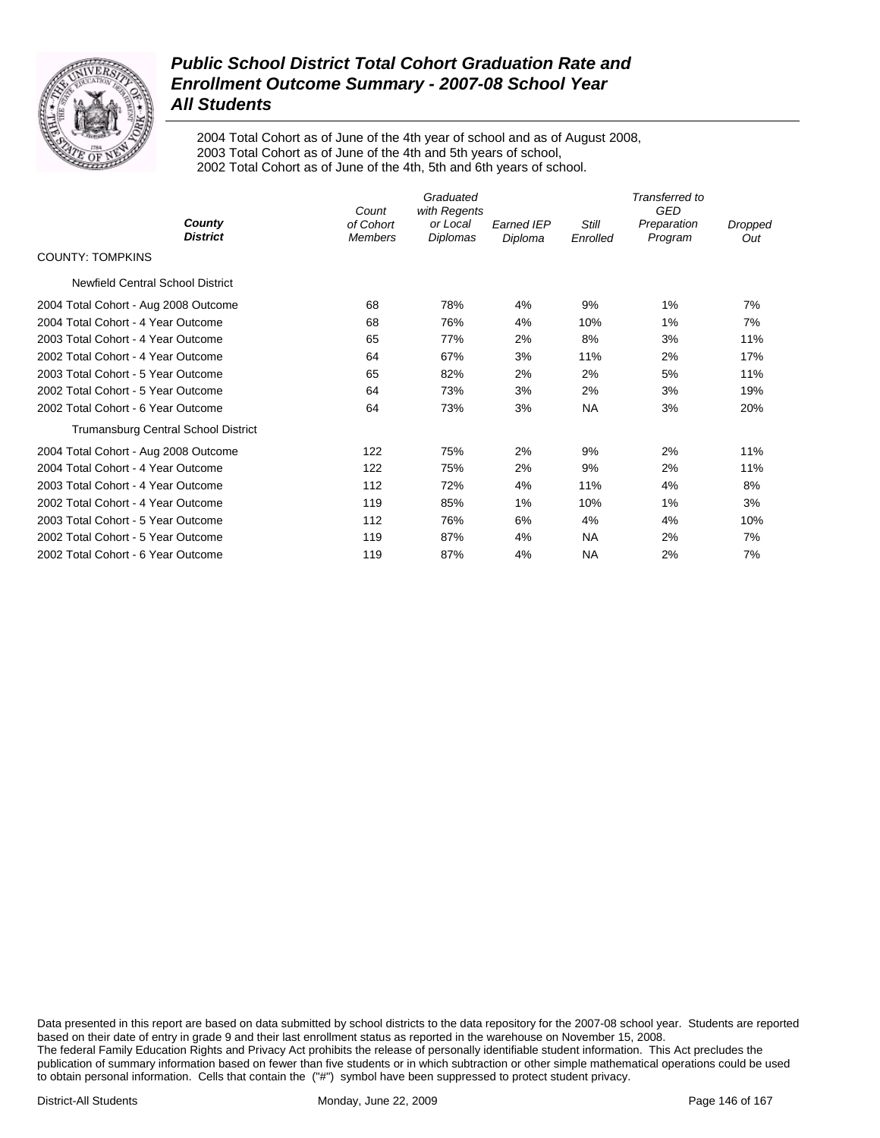

2004 Total Cohort as of June of the 4th year of school and as of August 2008, 2003 Total Cohort as of June of the 4th and 5th years of school, 2002 Total Cohort as of June of the 4th, 5th and 6th years of school.

|                                      | Graduated<br>with Regents<br>Count |                      |                              | Transferred to<br><b>GED</b> |                        |                |  |
|--------------------------------------|------------------------------------|----------------------|------------------------------|------------------------------|------------------------|----------------|--|
| County<br><b>District</b>            | of Cohort<br><b>Members</b>        | or Local<br>Diplomas | <b>Earned IEP</b><br>Diploma | <b>Still</b><br>Enrolled     | Preparation<br>Program | Dropped<br>Out |  |
| <b>COUNTY: TOMPKINS</b>              |                                    |                      |                              |                              |                        |                |  |
| Newfield Central School District     |                                    |                      |                              |                              |                        |                |  |
| 2004 Total Cohort - Aug 2008 Outcome | 68                                 | 78%                  | 4%                           | 9%                           | 1%                     | 7%             |  |
| 2004 Total Cohort - 4 Year Outcome   | 68                                 | 76%                  | 4%                           | 10%                          | $1\%$                  | 7%             |  |
| 2003 Total Cohort - 4 Year Outcome   | 65                                 | 77%                  | 2%                           | 8%                           | 3%                     | 11%            |  |
| 2002 Total Cohort - 4 Year Outcome   | 64                                 | 67%                  | 3%                           | 11%                          | 2%                     | 17%            |  |
| 2003 Total Cohort - 5 Year Outcome   | 65                                 | 82%                  | 2%                           | 2%                           | 5%                     | 11%            |  |
| 2002 Total Cohort - 5 Year Outcome   | 64                                 | 73%                  | 3%                           | 2%                           | 3%                     | 19%            |  |
| 2002 Total Cohort - 6 Year Outcome   | 64                                 | 73%                  | 3%                           | <b>NA</b>                    | 3%                     | 20%            |  |
| Trumansburg Central School District  |                                    |                      |                              |                              |                        |                |  |
| 2004 Total Cohort - Aug 2008 Outcome | 122                                | 75%                  | 2%                           | 9%                           | 2%                     | 11%            |  |
| 2004 Total Cohort - 4 Year Outcome   | 122                                | 75%                  | 2%                           | 9%                           | 2%                     | 11%            |  |
| 2003 Total Cohort - 4 Year Outcome   | 112                                | 72%                  | 4%                           | 11%                          | 4%                     | 8%             |  |
| 2002 Total Cohort - 4 Year Outcome   | 119                                | 85%                  | 1%                           | 10%                          | $1\%$                  | 3%             |  |
| 2003 Total Cohort - 5 Year Outcome   | 112                                | 76%                  | 6%                           | 4%                           | 4%                     | 10%            |  |
| 2002 Total Cohort - 5 Year Outcome   | 119                                | 87%                  | 4%                           | <b>NA</b>                    | 2%                     | 7%             |  |
| 2002 Total Cohort - 6 Year Outcome   | 119                                | 87%                  | 4%                           | <b>NA</b>                    | 2%                     | 7%             |  |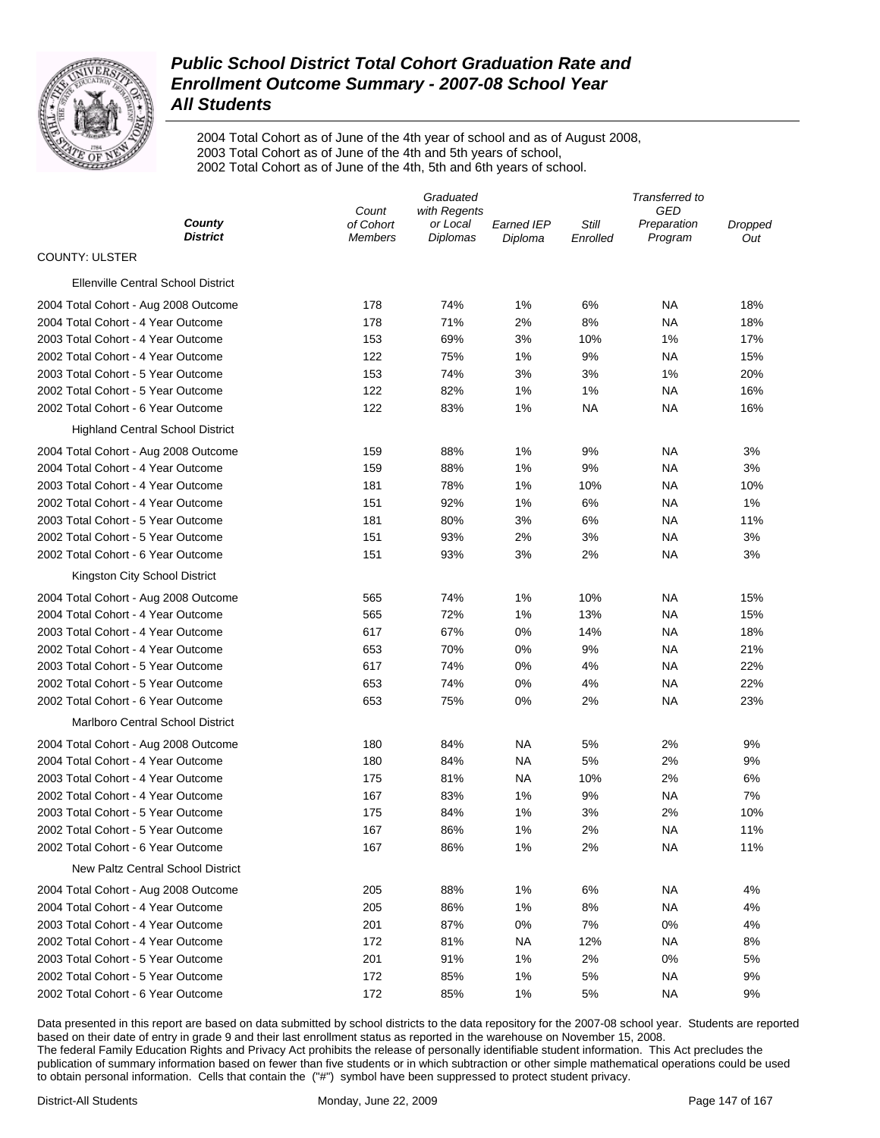

2004 Total Cohort as of June of the 4th year of school and as of August 2008, 2003 Total Cohort as of June of the 4th and 5th years of school, 2002 Total Cohort as of June of the 4th, 5th and 6th years of school.

|                                           | Graduated                   |                      |                              | Transferred to    |                        |                |  |
|-------------------------------------------|-----------------------------|----------------------|------------------------------|-------------------|------------------------|----------------|--|
|                                           | Count<br>with Regents       |                      |                              | GED               |                        |                |  |
| County<br><b>District</b>                 | of Cohort<br><b>Members</b> | or Local<br>Diplomas | <b>Earned IEP</b><br>Diploma | Still<br>Enrolled | Preparation<br>Program | Dropped<br>Out |  |
| <b>COUNTY: ULSTER</b>                     |                             |                      |                              |                   |                        |                |  |
| <b>Ellenville Central School District</b> |                             |                      |                              |                   |                        |                |  |
| 2004 Total Cohort - Aug 2008 Outcome      | 178                         | 74%                  | 1%                           | 6%                | <b>NA</b>              | 18%            |  |
| 2004 Total Cohort - 4 Year Outcome        | 178                         | 71%                  | 2%                           | 8%                | <b>NA</b>              | 18%            |  |
| 2003 Total Cohort - 4 Year Outcome        | 153                         | 69%                  | 3%                           | 10%               | 1%                     | 17%            |  |
| 2002 Total Cohort - 4 Year Outcome        | 122                         | 75%                  | 1%                           | 9%                | <b>NA</b>              | 15%            |  |
| 2003 Total Cohort - 5 Year Outcome        | 153                         | 74%                  | 3%                           | 3%                | 1%                     | 20%            |  |
| 2002 Total Cohort - 5 Year Outcome        | 122                         | 82%                  | 1%                           | 1%                | <b>NA</b>              | 16%            |  |
| 2002 Total Cohort - 6 Year Outcome        | 122                         | 83%                  | 1%                           | <b>NA</b>         | <b>NA</b>              | 16%            |  |
| <b>Highland Central School District</b>   |                             |                      |                              |                   |                        |                |  |
| 2004 Total Cohort - Aug 2008 Outcome      | 159                         | 88%                  | 1%                           | 9%                | <b>NA</b>              | 3%             |  |
| 2004 Total Cohort - 4 Year Outcome        | 159                         | 88%                  | 1%                           | 9%                | <b>NA</b>              | 3%             |  |
| 2003 Total Cohort - 4 Year Outcome        | 181                         | 78%                  | 1%                           | 10%               | <b>NA</b>              | 10%            |  |
| 2002 Total Cohort - 4 Year Outcome        | 151                         | 92%                  | 1%                           | 6%                | <b>NA</b>              | 1%             |  |
| 2003 Total Cohort - 5 Year Outcome        | 181                         | 80%                  | 3%                           | 6%                | <b>NA</b>              | 11%            |  |
| 2002 Total Cohort - 5 Year Outcome        | 151                         | 93%                  | 2%                           | 3%                | <b>NA</b>              | 3%             |  |
| 2002 Total Cohort - 6 Year Outcome        | 151                         | 93%                  | 3%                           | 2%                | <b>NA</b>              | 3%             |  |
| Kingston City School District             |                             |                      |                              |                   |                        |                |  |
| 2004 Total Cohort - Aug 2008 Outcome      | 565                         | 74%                  | 1%                           | 10%               | <b>NA</b>              | 15%            |  |
| 2004 Total Cohort - 4 Year Outcome        | 565                         | 72%                  | 1%                           | 13%               | <b>NA</b>              | 15%            |  |
| 2003 Total Cohort - 4 Year Outcome        | 617                         | 67%                  | 0%                           | 14%               | <b>NA</b>              | 18%            |  |
| 2002 Total Cohort - 4 Year Outcome        | 653                         | 70%                  | 0%                           | 9%                | <b>NA</b>              | 21%            |  |
| 2003 Total Cohort - 5 Year Outcome        | 617                         | 74%                  | 0%                           | 4%                | <b>NA</b>              | 22%            |  |
| 2002 Total Cohort - 5 Year Outcome        | 653                         | 74%                  | 0%                           | 4%                | <b>NA</b>              | 22%            |  |
| 2002 Total Cohort - 6 Year Outcome        | 653                         | 75%                  | 0%                           | 2%                | <b>NA</b>              | 23%            |  |
| Marlboro Central School District          |                             |                      |                              |                   |                        |                |  |
| 2004 Total Cohort - Aug 2008 Outcome      | 180                         | 84%                  | <b>NA</b>                    | 5%                | 2%                     | 9%             |  |
| 2004 Total Cohort - 4 Year Outcome        | 180                         | 84%                  | <b>NA</b>                    | 5%                | 2%                     | 9%             |  |
| 2003 Total Cohort - 4 Year Outcome        | 175                         | 81%                  | <b>NA</b>                    | 10%               | 2%                     | 6%             |  |
| 2002 Total Cohort - 4 Year Outcome        | 167                         | 83%                  | 1%                           | 9%                | <b>NA</b>              | 7%             |  |
| 2003 Total Cohort - 5 Year Outcome        | 175                         | 84%                  | 1%                           | 3%                | 2%                     | 10%            |  |
| 2002 Total Cohort - 5 Year Outcome        | 167                         | 86%                  | 1%                           | 2%                | <b>NA</b>              | 11%            |  |
| 2002 Total Cohort - 6 Year Outcome        | 167                         | 86%                  | 1%                           | 2%                | <b>NA</b>              | 11%            |  |
| <b>New Paltz Central School District</b>  |                             |                      |                              |                   |                        |                |  |
|                                           |                             |                      | 1%                           | 6%                | <b>NA</b>              |                |  |
| 2004 Total Cohort - Aug 2008 Outcome      | 205                         | 88%                  |                              |                   |                        | 4%             |  |
| 2004 Total Cohort - 4 Year Outcome        | 205                         | 86%                  | 1%                           | 8%                | <b>NA</b>              | 4%             |  |
| 2003 Total Cohort - 4 Year Outcome        | 201                         | 87%                  | 0%                           | 7%                | 0%                     | 4%             |  |
| 2002 Total Cohort - 4 Year Outcome        | 172                         | 81%                  | <b>NA</b>                    | 12%               | <b>NA</b>              | 8%             |  |
| 2003 Total Cohort - 5 Year Outcome        | 201                         | 91%                  | 1%                           | 2%                | 0%                     | 5%             |  |
| 2002 Total Cohort - 5 Year Outcome        | 172                         | 85%                  | 1%                           | 5%                | <b>NA</b>              | 9%             |  |
| 2002 Total Cohort - 6 Year Outcome        | 172                         | 85%                  | 1%                           | 5%                | <b>NA</b>              | 9%             |  |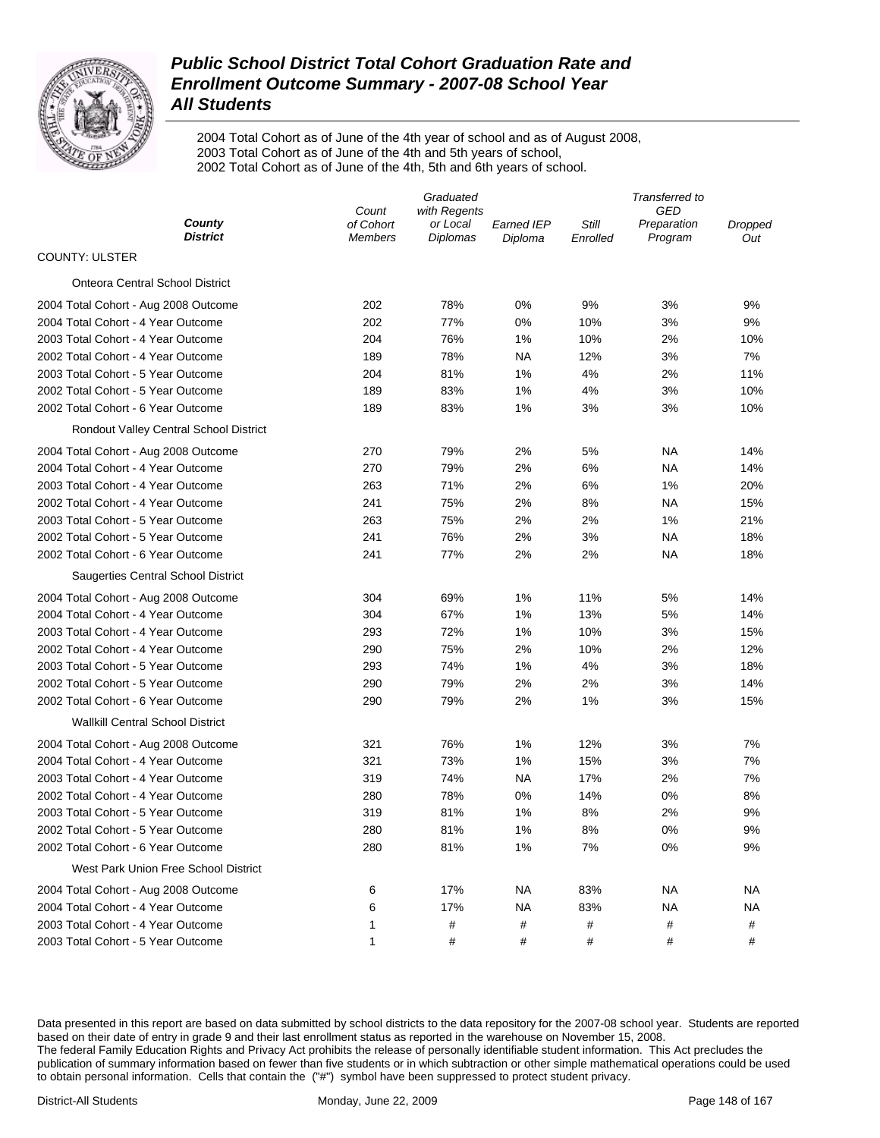

2004 Total Cohort as of June of the 4th year of school and as of August 2008, 2003 Total Cohort as of June of the 4th and 5th years of school, 2002 Total Cohort as of June of the 4th, 5th and 6th years of school.

|                                         |                    | Transferred to           |                   |          |                    |         |
|-----------------------------------------|--------------------|--------------------------|-------------------|----------|--------------------|---------|
| County<br><b>District</b>               | Count<br>of Cohort | with Regents<br>or Local | <b>Earned IEP</b> | Still    | GED<br>Preparation | Dropped |
| <b>COUNTY: ULSTER</b>                   | <b>Members</b>     | <b>Diplomas</b>          | Diploma           | Enrolled | Program            | Out     |
| <b>Onteora Central School District</b>  |                    |                          |                   |          |                    |         |
| 2004 Total Cohort - Aug 2008 Outcome    | 202                | 78%                      | 0%                | 9%       | 3%                 | 9%      |
| 2004 Total Cohort - 4 Year Outcome      | 202                | 77%                      | 0%                | 10%      | 3%                 | 9%      |
| 2003 Total Cohort - 4 Year Outcome      | 204                | 76%                      | 1%                | 10%      | 2%                 | 10%     |
| 2002 Total Cohort - 4 Year Outcome      | 189                | 78%                      | NA                | 12%      | 3%                 | 7%      |
| 2003 Total Cohort - 5 Year Outcome      | 204                | 81%                      | 1%                | 4%       | 2%                 | 11%     |
| 2002 Total Cohort - 5 Year Outcome      | 189                | 83%                      | 1%                | 4%       | 3%                 | 10%     |
| 2002 Total Cohort - 6 Year Outcome      | 189                | 83%                      | 1%                | 3%       | 3%                 | 10%     |
| Rondout Valley Central School District  |                    |                          |                   |          |                    |         |
| 2004 Total Cohort - Aug 2008 Outcome    | 270                | 79%                      | 2%                | 5%       | ΝA                 | 14%     |
| 2004 Total Cohort - 4 Year Outcome      | 270                | 79%                      | 2%                | 6%       | ΝA                 | 14%     |
| 2003 Total Cohort - 4 Year Outcome      | 263                | 71%                      | 2%                | 6%       | 1%                 | 20%     |
| 2002 Total Cohort - 4 Year Outcome      | 241                | 75%                      | 2%                | 8%       | ΝA                 | 15%     |
| 2003 Total Cohort - 5 Year Outcome      | 263                | 75%                      | 2%                | 2%       | 1%                 | 21%     |
| 2002 Total Cohort - 5 Year Outcome      | 241                | 76%                      | 2%                | 3%       | ΝA                 | 18%     |
| 2002 Total Cohort - 6 Year Outcome      | 241                | 77%                      | 2%                | 2%       | ΝA                 | 18%     |
| Saugerties Central School District      |                    |                          |                   |          |                    |         |
| 2004 Total Cohort - Aug 2008 Outcome    | 304                | 69%                      | 1%                | 11%      | 5%                 | 14%     |
| 2004 Total Cohort - 4 Year Outcome      | 304                | 67%                      | 1%                | 13%      | 5%                 | 14%     |
| 2003 Total Cohort - 4 Year Outcome      | 293                | 72%                      | 1%                | 10%      | 3%                 | 15%     |
| 2002 Total Cohort - 4 Year Outcome      | 290                | 75%                      | 2%                | 10%      | 2%                 | 12%     |
| 2003 Total Cohort - 5 Year Outcome      | 293                | 74%                      | 1%                | 4%       | 3%                 | 18%     |
| 2002 Total Cohort - 5 Year Outcome      | 290                | 79%                      | 2%                | 2%       | 3%                 | 14%     |
| 2002 Total Cohort - 6 Year Outcome      | 290                | 79%                      | 2%                | 1%       | 3%                 | 15%     |
| <b>Wallkill Central School District</b> |                    |                          |                   |          |                    |         |
| 2004 Total Cohort - Aug 2008 Outcome    | 321                | 76%                      | 1%                | 12%      | 3%                 | 7%      |
| 2004 Total Cohort - 4 Year Outcome      | 321                | 73%                      | 1%                | 15%      | 3%                 | 7%      |
| 2003 Total Cohort - 4 Year Outcome      | 319                | 74%                      | NA                | 17%      | 2%                 | 7%      |
| 2002 Total Cohort - 4 Year Outcome      | 280                | 78%                      | 0%                | 14%      | 0%                 | 8%      |
| 2003 Total Cohort - 5 Year Outcome      | 319                | 81%                      | 1%                | 8%       | 2%                 | 9%      |
| 2002 Total Cohort - 5 Year Outcome      | 280                | 81%                      | 1%                | 8%       | 0%                 | 9%      |
| 2002 Total Cohort - 6 Year Outcome      | 280                | 81%                      | 1%                | 7%       | 0%                 | 9%      |
| West Park Union Free School District    |                    |                          |                   |          |                    |         |
| 2004 Total Cohort - Aug 2008 Outcome    | 6                  | 17%                      | <b>NA</b>         | 83%      | ΝA                 | NA      |
| 2004 Total Cohort - 4 Year Outcome      | 6                  | 17%                      | <b>NA</b>         | 83%      | ΝA                 | NA      |
| 2003 Total Cohort - 4 Year Outcome      | 1                  | #                        | #                 | #        | #                  | #       |
| 2003 Total Cohort - 5 Year Outcome      | 1                  | $\#$                     | $\#$              | #        | #                  | #       |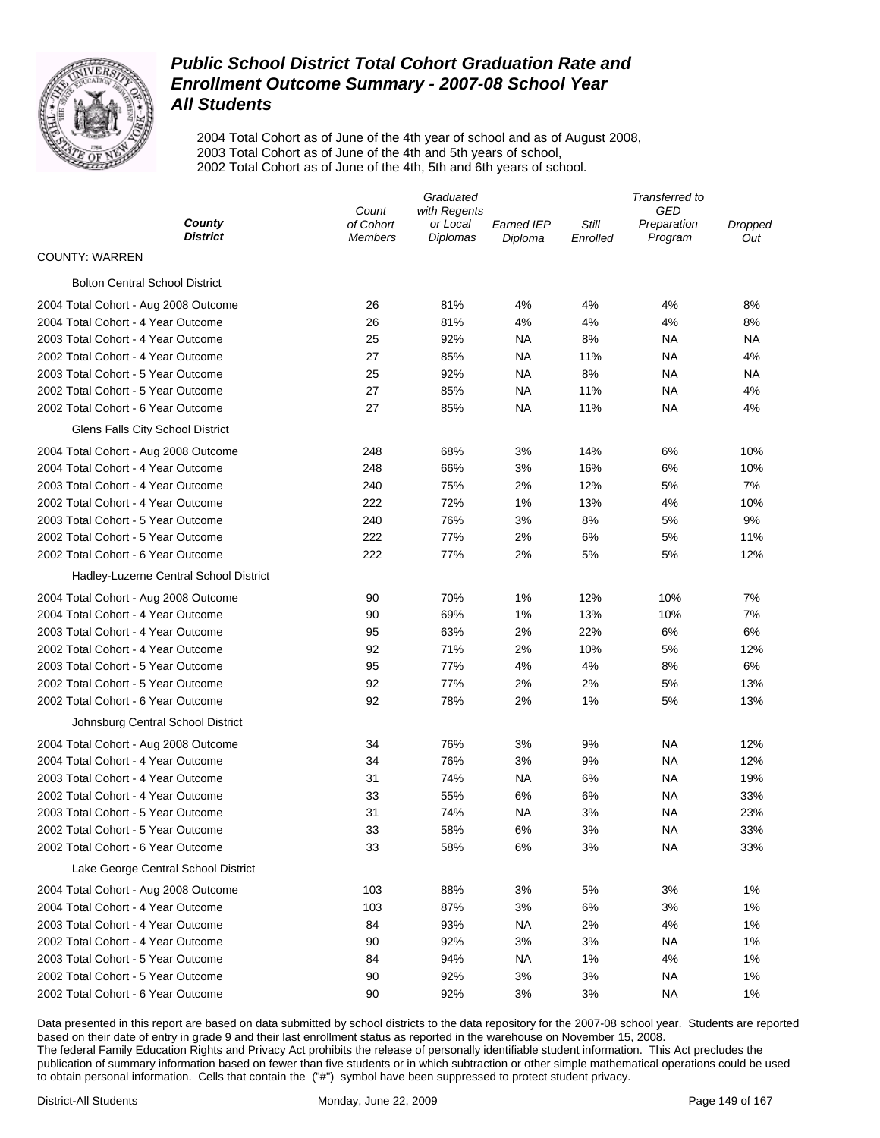

2004 Total Cohort as of June of the 4th year of school and as of August 2008, 2003 Total Cohort as of June of the 4th and 5th years of school, 2002 Total Cohort as of June of the 4th, 5th and 6th years of school.

|                                        | Graduated                   |                      |                              | Transferred to    |                        |                |
|----------------------------------------|-----------------------------|----------------------|------------------------------|-------------------|------------------------|----------------|
|                                        | Count<br>with Regents       |                      |                              | GED               |                        |                |
| County<br><b>District</b>              | of Cohort<br><b>Members</b> | or Local<br>Diplomas | <b>Earned IEP</b><br>Diploma | Still<br>Enrolled | Preparation<br>Program | Dropped<br>Out |
| <b>COUNTY: WARREN</b>                  |                             |                      |                              |                   |                        |                |
| <b>Bolton Central School District</b>  |                             |                      |                              |                   |                        |                |
| 2004 Total Cohort - Aug 2008 Outcome   | 26                          | 81%                  | 4%                           | 4%                | 4%                     | 8%             |
| 2004 Total Cohort - 4 Year Outcome     | 26                          | 81%                  | 4%                           | 4%                | 4%                     | 8%             |
| 2003 Total Cohort - 4 Year Outcome     | 25                          | 92%                  | <b>NA</b>                    | 8%                | <b>NA</b>              | ΝA             |
| 2002 Total Cohort - 4 Year Outcome     | 27                          | 85%                  | <b>NA</b>                    | 11%               | <b>NA</b>              | 4%             |
| 2003 Total Cohort - 5 Year Outcome     | 25                          | 92%                  | <b>NA</b>                    | 8%                | <b>NA</b>              | ΝA             |
| 2002 Total Cohort - 5 Year Outcome     | 27                          | 85%                  | <b>NA</b>                    | 11%               | <b>NA</b>              | 4%             |
| 2002 Total Cohort - 6 Year Outcome     | 27                          | 85%                  | <b>NA</b>                    | 11%               | <b>NA</b>              | 4%             |
| Glens Falls City School District       |                             |                      |                              |                   |                        |                |
| 2004 Total Cohort - Aug 2008 Outcome   | 248                         | 68%                  | 3%                           | 14%               | 6%                     | 10%            |
| 2004 Total Cohort - 4 Year Outcome     | 248                         | 66%                  | 3%                           | 16%               | 6%                     | 10%            |
| 2003 Total Cohort - 4 Year Outcome     | 240                         | 75%                  | 2%                           | 12%               | 5%                     | 7%             |
| 2002 Total Cohort - 4 Year Outcome     | 222                         | 72%                  | 1%                           | 13%               | 4%                     | 10%            |
| 2003 Total Cohort - 5 Year Outcome     | 240                         | 76%                  | 3%                           | 8%                | 5%                     | 9%             |
| 2002 Total Cohort - 5 Year Outcome     | 222                         | 77%                  | 2%                           | 6%                | 5%                     | 11%            |
| 2002 Total Cohort - 6 Year Outcome     | 222                         | 77%                  | 2%                           | 5%                | 5%                     | 12%            |
| Hadley-Luzerne Central School District |                             |                      |                              |                   |                        |                |
| 2004 Total Cohort - Aug 2008 Outcome   | 90                          | 70%                  | 1%                           | 12%               | 10%                    | 7%             |
| 2004 Total Cohort - 4 Year Outcome     | 90                          | 69%                  | 1%                           | 13%               | 10%                    | 7%             |
| 2003 Total Cohort - 4 Year Outcome     | 95                          | 63%                  | 2%                           | 22%               | 6%                     | 6%             |
| 2002 Total Cohort - 4 Year Outcome     | 92                          | 71%                  | 2%                           | 10%               | 5%                     | 12%            |
| 2003 Total Cohort - 5 Year Outcome     | 95                          | 77%                  | 4%                           | 4%                | 8%                     | 6%             |
| 2002 Total Cohort - 5 Year Outcome     | 92                          | 77%                  | 2%                           | 2%                | 5%                     | 13%            |
| 2002 Total Cohort - 6 Year Outcome     | 92                          | 78%                  | 2%                           | 1%                | 5%                     | 13%            |
| Johnsburg Central School District      |                             |                      |                              |                   |                        |                |
| 2004 Total Cohort - Aug 2008 Outcome   | 34                          | 76%                  | 3%                           | 9%                | <b>NA</b>              | 12%            |
| 2004 Total Cohort - 4 Year Outcome     | 34                          | 76%                  | 3%                           | 9%                | <b>NA</b>              | 12%            |
| 2003 Total Cohort - 4 Year Outcome     | 31                          | 74%                  | <b>NA</b>                    | 6%                | <b>NA</b>              | 19%            |
| 2002 Total Cohort - 4 Year Outcome     | 33                          | 55%                  | 6%                           | 6%                | <b>NA</b>              | 33%            |
| 2003 Total Cohort - 5 Year Outcome     | 31                          | 74%                  | <b>NA</b>                    | 3%                | <b>NA</b>              | 23%            |
| 2002 Total Cohort - 5 Year Outcome     | 33                          | 58%                  | 6%                           | 3%                | <b>NA</b>              | 33%            |
| 2002 Total Cohort - 6 Year Outcome     | 33                          | 58%                  | 6%                           | 3%                | <b>NA</b>              | 33%            |
| Lake George Central School District    |                             |                      |                              |                   |                        |                |
| 2004 Total Cohort - Aug 2008 Outcome   | 103                         | 88%                  | 3%                           | 5%                | 3%                     | 1%             |
| 2004 Total Cohort - 4 Year Outcome     | 103                         | 87%                  | 3%                           | 6%                | 3%                     | 1%             |
| 2003 Total Cohort - 4 Year Outcome     | 84                          | 93%                  | <b>NA</b>                    | 2%                | 4%                     | 1%             |
| 2002 Total Cohort - 4 Year Outcome     | 90                          | 92%                  | 3%                           | 3%                | <b>NA</b>              | 1%             |
| 2003 Total Cohort - 5 Year Outcome     | 84                          | 94%                  | <b>NA</b>                    | 1%                | 4%                     | 1%             |
| 2002 Total Cohort - 5 Year Outcome     | 90                          | 92%                  | 3%                           | 3%                | <b>NA</b>              | 1%             |
| 2002 Total Cohort - 6 Year Outcome     | 90                          | 92%                  | 3%                           | 3%                | <b>NA</b>              | 1%             |
|                                        |                             |                      |                              |                   |                        |                |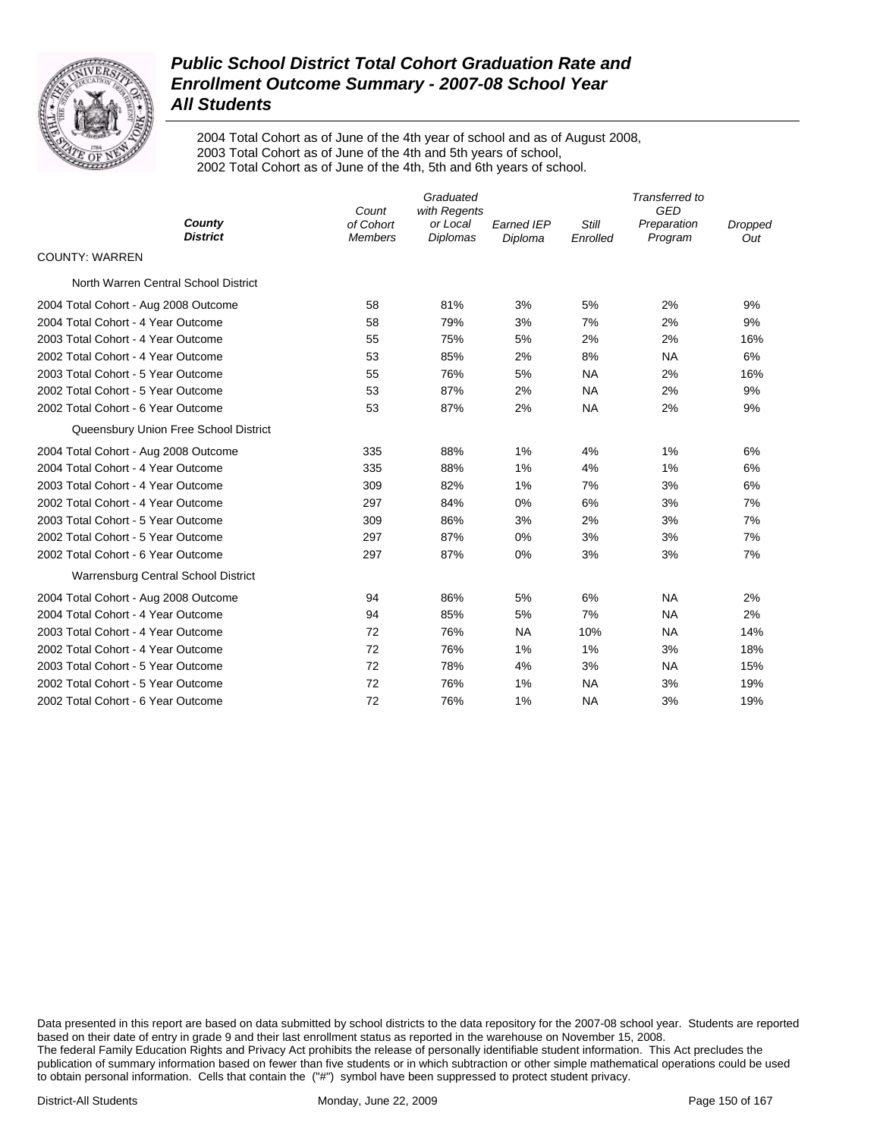

2004 Total Cohort as of June of the 4th year of school and as of August 2008, 2003 Total Cohort as of June of the 4th and 5th years of school, 2002 Total Cohort as of June of the 4th, 5th and 6th years of school.

|                                       | Graduated<br>Count<br>with Regents |                             |                              | Transferred to<br>GED |                        |                |
|---------------------------------------|------------------------------------|-----------------------------|------------------------------|-----------------------|------------------------|----------------|
| County<br><b>District</b>             | of Cohort<br><b>Members</b>        | or Local<br><b>Diplomas</b> | <b>Earned IEP</b><br>Diploma | Still<br>Enrolled     | Preparation<br>Program | Dropped<br>Out |
| <b>COUNTY: WARREN</b>                 |                                    |                             |                              |                       |                        |                |
| North Warren Central School District  |                                    |                             |                              |                       |                        |                |
| 2004 Total Cohort - Aug 2008 Outcome  | 58                                 | 81%                         | 3%                           | 5%                    | 2%                     | 9%             |
| 2004 Total Cohort - 4 Year Outcome    | 58                                 | 79%                         | 3%                           | 7%                    | 2%                     | 9%             |
| 2003 Total Cohort - 4 Year Outcome    | 55                                 | 75%                         | 5%                           | 2%                    | 2%                     | 16%            |
| 2002 Total Cohort - 4 Year Outcome    | 53                                 | 85%                         | 2%                           | 8%                    | <b>NA</b>              | 6%             |
| 2003 Total Cohort - 5 Year Outcome    | 55                                 | 76%                         | 5%                           | <b>NA</b>             | 2%                     | 16%            |
| 2002 Total Cohort - 5 Year Outcome    | 53                                 | 87%                         | 2%                           | NA                    | 2%                     | 9%             |
| 2002 Total Cohort - 6 Year Outcome    | 53                                 | 87%                         | 2%                           | <b>NA</b>             | 2%                     | 9%             |
| Queensbury Union Free School District |                                    |                             |                              |                       |                        |                |
| 2004 Total Cohort - Aug 2008 Outcome  | 335                                | 88%                         | 1%                           | 4%                    | 1%                     | 6%             |
| 2004 Total Cohort - 4 Year Outcome    | 335                                | 88%                         | 1%                           | 4%                    | 1%                     | 6%             |
| 2003 Total Cohort - 4 Year Outcome    | 309                                | 82%                         | 1%                           | 7%                    | 3%                     | 6%             |
| 2002 Total Cohort - 4 Year Outcome    | 297                                | 84%                         | 0%                           | 6%                    | 3%                     | 7%             |
| 2003 Total Cohort - 5 Year Outcome    | 309                                | 86%                         | 3%                           | 2%                    | 3%                     | 7%             |
| 2002 Total Cohort - 5 Year Outcome    | 297                                | 87%                         | 0%                           | 3%                    | 3%                     | 7%             |
| 2002 Total Cohort - 6 Year Outcome    | 297                                | 87%                         | $0\%$                        | 3%                    | 3%                     | 7%             |
| Warrensburg Central School District   |                                    |                             |                              |                       |                        |                |
| 2004 Total Cohort - Aug 2008 Outcome  | 94                                 | 86%                         | 5%                           | 6%                    | <b>NA</b>              | 2%             |
| 2004 Total Cohort - 4 Year Outcome    | 94                                 | 85%                         | 5%                           | 7%                    | <b>NA</b>              | 2%             |
| 2003 Total Cohort - 4 Year Outcome    | 72                                 | 76%                         | <b>NA</b>                    | 10%                   | <b>NA</b>              | 14%            |
| 2002 Total Cohort - 4 Year Outcome    | 72                                 | 76%                         | 1%                           | 1%                    | 3%                     | 18%            |
| 2003 Total Cohort - 5 Year Outcome    | 72                                 | 78%                         | 4%                           | 3%                    | <b>NA</b>              | 15%            |
| 2002 Total Cohort - 5 Year Outcome    | 72                                 | 76%                         | 1%                           | <b>NA</b>             | 3%                     | 19%            |
| 2002 Total Cohort - 6 Year Outcome    | 72                                 | 76%                         | 1%                           | <b>NA</b>             | 3%                     | 19%            |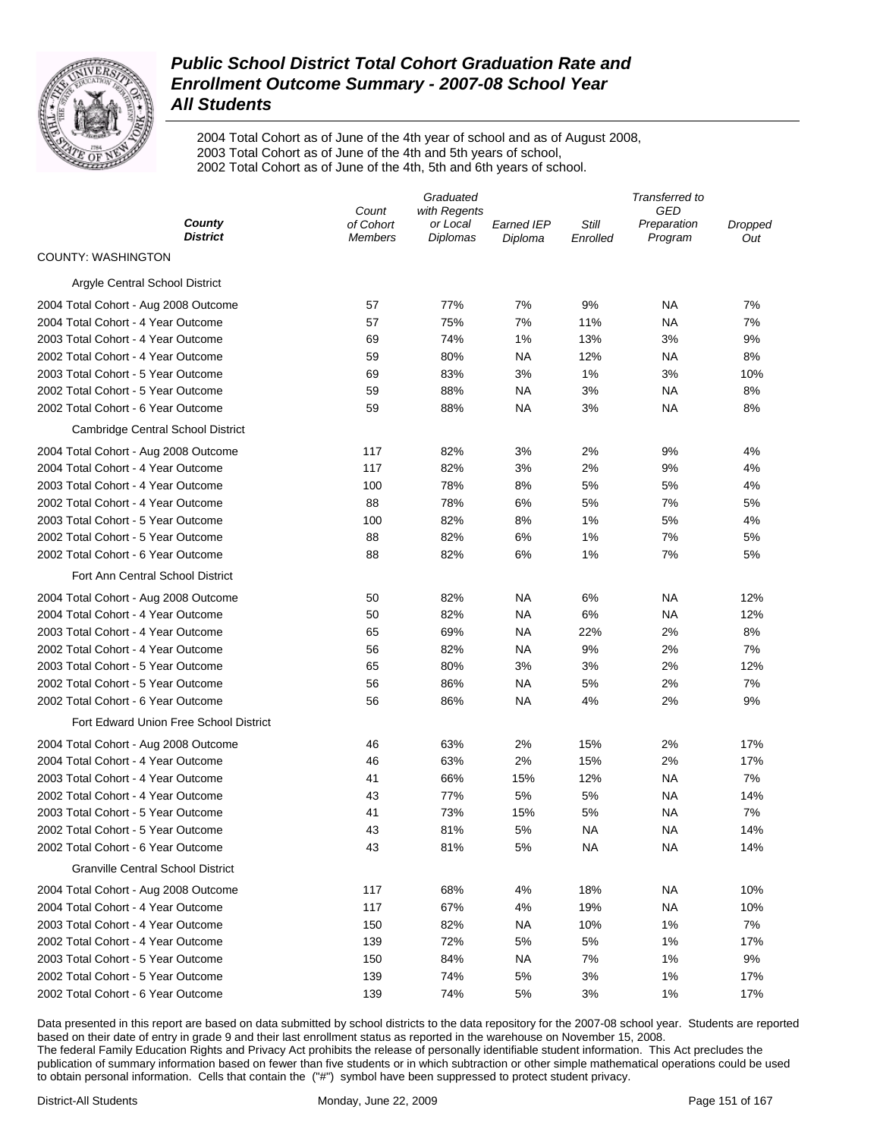

2004 Total Cohort as of June of the 4th year of school and as of August 2008, 2003 Total Cohort as of June of the 4th and 5th years of school, 2002 Total Cohort as of June of the 4th, 5th and 6th years of school.

|                                          |                             | Graduated                   |                       |                   | Transferred to         |                |  |  |
|------------------------------------------|-----------------------------|-----------------------------|-----------------------|-------------------|------------------------|----------------|--|--|
|                                          | with Regents<br>Count       |                             |                       | GED               |                        |                |  |  |
| County<br><b>District</b>                | of Cohort<br><b>Members</b> | or Local<br><b>Diplomas</b> | Earned IEP<br>Diploma | Still<br>Enrolled | Preparation<br>Program | Dropped<br>Out |  |  |
| <b>COUNTY: WASHINGTON</b>                |                             |                             |                       |                   |                        |                |  |  |
| Argyle Central School District           |                             |                             |                       |                   |                        |                |  |  |
| 2004 Total Cohort - Aug 2008 Outcome     | 57                          | 77%                         | 7%                    | 9%                | ΝA                     | 7%             |  |  |
| 2004 Total Cohort - 4 Year Outcome       | 57                          | 75%                         | 7%                    | 11%               | ΝA                     | 7%             |  |  |
| 2003 Total Cohort - 4 Year Outcome       | 69                          | 74%                         | 1%                    | 13%               | 3%                     | 9%             |  |  |
| 2002 Total Cohort - 4 Year Outcome       | 59                          | 80%                         | NA                    | 12%               | ΝA                     | 8%             |  |  |
| 2003 Total Cohort - 5 Year Outcome       | 69                          | 83%                         | 3%                    | 1%                | 3%                     | 10%            |  |  |
| 2002 Total Cohort - 5 Year Outcome       | 59                          | 88%                         | <b>NA</b>             | 3%                | ΝA                     | 8%             |  |  |
| 2002 Total Cohort - 6 Year Outcome       | 59                          | 88%                         | NA                    | 3%                | ΝA                     | 8%             |  |  |
| Cambridge Central School District        |                             |                             |                       |                   |                        |                |  |  |
| 2004 Total Cohort - Aug 2008 Outcome     | 117                         | 82%                         | 3%                    | 2%                | 9%                     | 4%             |  |  |
| 2004 Total Cohort - 4 Year Outcome       | 117                         | 82%                         | 3%                    | 2%                | 9%                     | 4%             |  |  |
| 2003 Total Cohort - 4 Year Outcome       | 100                         | 78%                         | 8%                    | 5%                | 5%                     | 4%             |  |  |
| 2002 Total Cohort - 4 Year Outcome       | 88                          | 78%                         | 6%                    | 5%                | 7%                     | 5%             |  |  |
| 2003 Total Cohort - 5 Year Outcome       | 100                         | 82%                         | 8%                    | 1%                | 5%                     | 4%             |  |  |
| 2002 Total Cohort - 5 Year Outcome       | 88                          | 82%                         | 6%                    | 1%                | 7%                     | 5%             |  |  |
| 2002 Total Cohort - 6 Year Outcome       | 88                          | 82%                         | 6%                    | 1%                | 7%                     | 5%             |  |  |
| Fort Ann Central School District         |                             |                             |                       |                   |                        |                |  |  |
| 2004 Total Cohort - Aug 2008 Outcome     | 50                          | 82%                         | NA                    | 6%                | ΝA                     | 12%            |  |  |
| 2004 Total Cohort - 4 Year Outcome       | 50                          | 82%                         | <b>NA</b>             | 6%                | ΝA                     | 12%            |  |  |
| 2003 Total Cohort - 4 Year Outcome       | 65                          | 69%                         | NA                    | 22%               | 2%                     | 8%             |  |  |
| 2002 Total Cohort - 4 Year Outcome       | 56                          | 82%                         | <b>NA</b>             | 9%                | 2%                     | 7%             |  |  |
| 2003 Total Cohort - 5 Year Outcome       | 65                          | 80%                         | 3%                    | 3%                | 2%                     | 12%            |  |  |
| 2002 Total Cohort - 5 Year Outcome       | 56                          | 86%                         | NA                    | 5%                | 2%                     | 7%             |  |  |
| 2002 Total Cohort - 6 Year Outcome       | 56                          | 86%                         | NA                    | 4%                | 2%                     | 9%             |  |  |
| Fort Edward Union Free School District   |                             |                             |                       |                   |                        |                |  |  |
| 2004 Total Cohort - Aug 2008 Outcome     | 46                          | 63%                         | 2%                    | 15%               | 2%                     | 17%            |  |  |
| 2004 Total Cohort - 4 Year Outcome       | 46                          | 63%                         | 2%                    | 15%               | 2%                     | 17%            |  |  |
| 2003 Total Cohort - 4 Year Outcome       | 41                          | 66%                         | 15%                   | 12%               | <b>NA</b>              | 7%             |  |  |
| 2002 Total Cohort - 4 Year Outcome       | 43                          | 77%                         | 5%                    | 5%                | NA                     | 14%            |  |  |
| 2003 Total Cohort - 5 Year Outcome       | 41                          | 73%                         | 15%                   | 5%                | NA                     | 7%             |  |  |
| 2002 Total Cohort - 5 Year Outcome       | 43                          | 81%                         | 5%                    | NA                | NA                     | 14%            |  |  |
| 2002 Total Cohort - 6 Year Outcome       | 43                          | 81%                         | 5%                    | <b>NA</b>         | <b>NA</b>              | 14%            |  |  |
| <b>Granville Central School District</b> |                             |                             |                       |                   |                        |                |  |  |
| 2004 Total Cohort - Aug 2008 Outcome     | 117                         | 68%                         | 4%                    | 18%               | ΝA                     | 10%            |  |  |
| 2004 Total Cohort - 4 Year Outcome       | 117                         | 67%                         | 4%                    | 19%               | <b>NA</b>              | 10%            |  |  |
| 2003 Total Cohort - 4 Year Outcome       | 150                         | 82%                         | NA                    | 10%               | 1%                     | 7%             |  |  |
| 2002 Total Cohort - 4 Year Outcome       | 139                         | 72%                         | 5%                    | 5%                | 1%                     | 17%            |  |  |
| 2003 Total Cohort - 5 Year Outcome       | 150                         | 84%                         | <b>NA</b>             | 7%                | 1%                     | 9%             |  |  |
| 2002 Total Cohort - 5 Year Outcome       | 139                         | 74%                         | 5%                    | 3%                | 1%                     | 17%            |  |  |
| 2002 Total Cohort - 6 Year Outcome       | 139                         | 74%                         | 5%                    | 3%                | 1%                     | 17%            |  |  |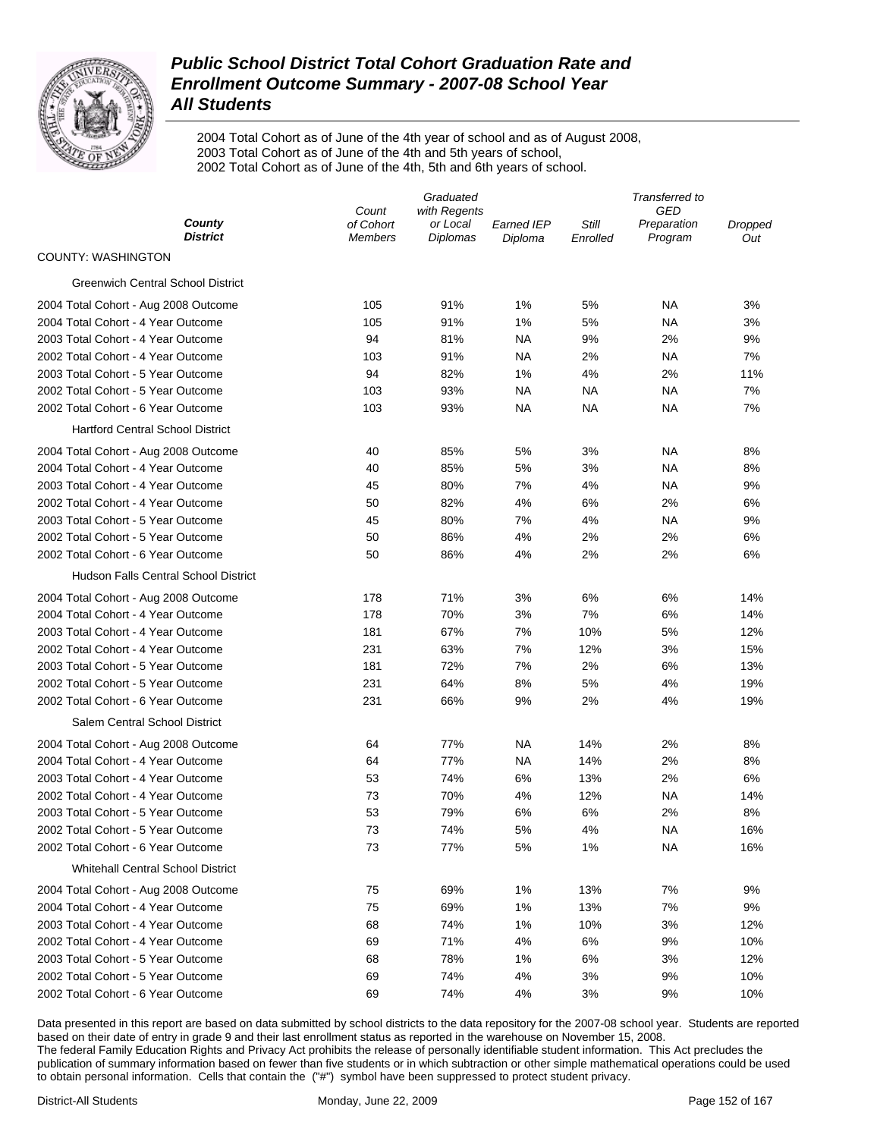

2004 Total Cohort as of June of the 4th year of school and as of August 2008, 2003 Total Cohort as of June of the 4th and 5th years of school, 2002 Total Cohort as of June of the 4th, 5th and 6th years of school.

|                                             | Graduated                   |                             |                              | Transferred to    |                        |                |
|---------------------------------------------|-----------------------------|-----------------------------|------------------------------|-------------------|------------------------|----------------|
|                                             | Count                       | with Regents                |                              |                   | GED                    |                |
| County<br><b>District</b>                   | of Cohort<br><b>Members</b> | or Local<br><b>Diplomas</b> | <b>Earned IEP</b><br>Diploma | Still<br>Enrolled | Preparation<br>Program | Dropped<br>Out |
| <b>COUNTY: WASHINGTON</b>                   |                             |                             |                              |                   |                        |                |
| <b>Greenwich Central School District</b>    |                             |                             |                              |                   |                        |                |
| 2004 Total Cohort - Aug 2008 Outcome        | 105                         | 91%                         | 1%                           | 5%                | <b>NA</b>              | 3%             |
| 2004 Total Cohort - 4 Year Outcome          | 105                         | 91%                         | 1%                           | 5%                | ΝA                     | 3%             |
| 2003 Total Cohort - 4 Year Outcome          | 94                          | 81%                         | ΝA                           | 9%                | 2%                     | 9%             |
| 2002 Total Cohort - 4 Year Outcome          | 103                         | 91%                         | ΝA                           | 2%                | <b>NA</b>              | 7%             |
| 2003 Total Cohort - 5 Year Outcome          | 94                          | 82%                         | 1%                           | 4%                | 2%                     | 11%            |
| 2002 Total Cohort - 5 Year Outcome          | 103                         | 93%                         | <b>NA</b>                    | NA                | ΝA                     | 7%             |
| 2002 Total Cohort - 6 Year Outcome          | 103                         | 93%                         | ΝA                           | NA                | ΝA                     | 7%             |
| <b>Hartford Central School District</b>     |                             |                             |                              |                   |                        |                |
| 2004 Total Cohort - Aug 2008 Outcome        | 40                          | 85%                         | 5%                           | 3%                | ΝA                     | 8%             |
| 2004 Total Cohort - 4 Year Outcome          | 40                          | 85%                         | 5%                           | 3%                | ΝA                     | 8%             |
| 2003 Total Cohort - 4 Year Outcome          | 45                          | 80%                         | 7%                           | 4%                | <b>NA</b>              | 9%             |
| 2002 Total Cohort - 4 Year Outcome          | 50                          | 82%                         | 4%                           | 6%                | 2%                     | 6%             |
| 2003 Total Cohort - 5 Year Outcome          | 45                          | 80%                         | 7%                           | 4%                | ΝA                     | 9%             |
| 2002 Total Cohort - 5 Year Outcome          | 50                          | 86%                         | 4%                           | 2%                | 2%                     | 6%             |
| 2002 Total Cohort - 6 Year Outcome          | 50                          | 86%                         | 4%                           | 2%                | 2%                     | 6%             |
| <b>Hudson Falls Central School District</b> |                             |                             |                              |                   |                        |                |
| 2004 Total Cohort - Aug 2008 Outcome        | 178                         | 71%                         | 3%                           | 6%                | 6%                     | 14%            |
| 2004 Total Cohort - 4 Year Outcome          | 178                         | 70%                         | 3%                           | 7%                | 6%                     | 14%            |
| 2003 Total Cohort - 4 Year Outcome          | 181                         | 67%                         | 7%                           | 10%               | 5%                     | 12%            |
| 2002 Total Cohort - 4 Year Outcome          | 231                         | 63%                         | 7%                           | 12%               | 3%                     | 15%            |
| 2003 Total Cohort - 5 Year Outcome          | 181                         | 72%                         | 7%                           | 2%                | 6%                     | 13%            |
| 2002 Total Cohort - 5 Year Outcome          | 231                         | 64%                         | 8%                           | 5%                | 4%                     | 19%            |
| 2002 Total Cohort - 6 Year Outcome          | 231                         | 66%                         | 9%                           | 2%                | 4%                     | 19%            |
| Salem Central School District               |                             |                             |                              |                   |                        |                |
| 2004 Total Cohort - Aug 2008 Outcome        | 64                          | 77%                         | ΝA                           | 14%               | 2%                     | 8%             |
| 2004 Total Cohort - 4 Year Outcome          | 64                          | 77%                         | ΝA                           | 14%               | 2%                     | 8%             |
| 2003 Total Cohort - 4 Year Outcome          | 53                          | 74%                         | 6%                           | 13%               | 2%                     | 6%             |
| 2002 Total Cohort - 4 Year Outcome          | 73                          | 70%                         | 4%                           | 12%               | <b>NA</b>              | 14%            |
| 2003 Total Cohort - 5 Year Outcome          | 53                          | 79%                         | 6%                           | 6%                | 2%                     | 8%             |
| 2002 Total Cohort - 5 Year Outcome          | 73                          | 74%                         | 5%                           | 4%                | <b>NA</b>              | 16%            |
| 2002 Total Cohort - 6 Year Outcome          | 73                          | 77%                         | 5%                           | 1%                | <b>NA</b>              | 16%            |
| Whitehall Central School District           |                             |                             |                              |                   |                        |                |
| 2004 Total Cohort - Aug 2008 Outcome        | 75                          | 69%                         | 1%                           | 13%               | 7%                     | 9%             |
| 2004 Total Cohort - 4 Year Outcome          | 75                          | 69%                         | 1%                           | 13%               | 7%                     | 9%             |
| 2003 Total Cohort - 4 Year Outcome          | 68                          | 74%                         | 1%                           | 10%               | 3%                     | 12%            |
| 2002 Total Cohort - 4 Year Outcome          | 69                          | 71%                         | 4%                           | 6%                | 9%                     | 10%            |
| 2003 Total Cohort - 5 Year Outcome          | 68                          | 78%                         | 1%                           | 6%                | 3%                     | 12%            |
| 2002 Total Cohort - 5 Year Outcome          | 69                          | 74%                         | 4%                           | 3%                | 9%                     | 10%            |
| 2002 Total Cohort - 6 Year Outcome          | 69                          | 74%                         | 4%                           | 3%                | 9%                     | 10%            |
|                                             |                             |                             |                              |                   |                        |                |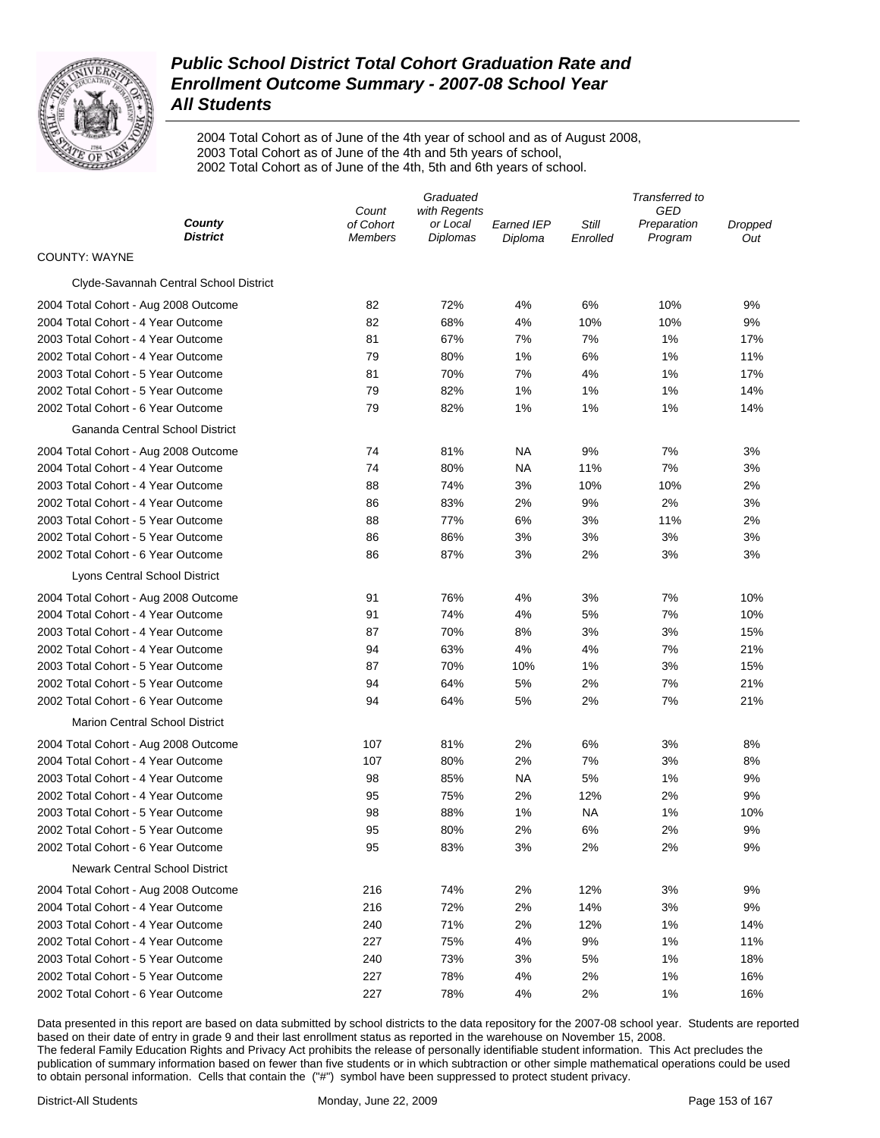

2004 Total Cohort as of June of the 4th year of school and as of August 2008, 2003 Total Cohort as of June of the 4th and 5th years of school, 2002 Total Cohort as of June of the 4th, 5th and 6th years of school.

|                                        | Graduated          |                          |                   | Transferred to |                    |         |  |
|----------------------------------------|--------------------|--------------------------|-------------------|----------------|--------------------|---------|--|
| County                                 | Count<br>of Cohort | with Regents<br>or Local | <b>Earned IEP</b> | Still          | GED<br>Preparation | Dropped |  |
| <b>District</b>                        | <b>Members</b>     | Diplomas                 | Diploma           | Enrolled       | Program            | Out     |  |
| <b>COUNTY: WAYNE</b>                   |                    |                          |                   |                |                    |         |  |
| Clyde-Savannah Central School District |                    |                          |                   |                |                    |         |  |
| 2004 Total Cohort - Aug 2008 Outcome   | 82                 | 72%                      | 4%                | 6%             | 10%                | 9%      |  |
| 2004 Total Cohort - 4 Year Outcome     | 82                 | 68%                      | 4%                | 10%            | 10%                | 9%      |  |
| 2003 Total Cohort - 4 Year Outcome     | 81                 | 67%                      | 7%                | 7%             | 1%                 | 17%     |  |
| 2002 Total Cohort - 4 Year Outcome     | 79                 | 80%                      | 1%                | 6%             | 1%                 | 11%     |  |
| 2003 Total Cohort - 5 Year Outcome     | 81                 | 70%                      | 7%                | 4%             | 1%                 | 17%     |  |
| 2002 Total Cohort - 5 Year Outcome     | 79                 | 82%                      | 1%                | 1%             | 1%                 | 14%     |  |
| 2002 Total Cohort - 6 Year Outcome     | 79                 | 82%                      | 1%                | 1%             | 1%                 | 14%     |  |
| Gananda Central School District        |                    |                          |                   |                |                    |         |  |
| 2004 Total Cohort - Aug 2008 Outcome   | 74                 | 81%                      | NA                | 9%             | 7%                 | 3%      |  |
| 2004 Total Cohort - 4 Year Outcome     | 74                 | 80%                      | <b>NA</b>         | 11%            | 7%                 | 3%      |  |
| 2003 Total Cohort - 4 Year Outcome     | 88                 | 74%                      | 3%                | 10%            | 10%                | 2%      |  |
| 2002 Total Cohort - 4 Year Outcome     | 86                 | 83%                      | 2%                | 9%             | 2%                 | 3%      |  |
| 2003 Total Cohort - 5 Year Outcome     | 88                 | 77%                      | 6%                | 3%             | 11%                | 2%      |  |
| 2002 Total Cohort - 5 Year Outcome     | 86                 | 86%                      | 3%                | 3%             | 3%                 | 3%      |  |
| 2002 Total Cohort - 6 Year Outcome     | 86                 | 87%                      | 3%                | 2%             | 3%                 | 3%      |  |
| Lyons Central School District          |                    |                          |                   |                |                    |         |  |
| 2004 Total Cohort - Aug 2008 Outcome   | 91                 | 76%                      | 4%                | 3%             | 7%                 | 10%     |  |
| 2004 Total Cohort - 4 Year Outcome     | 91                 | 74%                      | 4%                | 5%             | 7%                 | 10%     |  |
| 2003 Total Cohort - 4 Year Outcome     | 87                 | 70%                      | 8%                | 3%             | 3%                 | 15%     |  |
| 2002 Total Cohort - 4 Year Outcome     | 94                 | 63%                      | 4%                | 4%             | 7%                 | 21%     |  |
| 2003 Total Cohort - 5 Year Outcome     | 87                 | 70%                      | 10%               | 1%             | 3%                 | 15%     |  |
| 2002 Total Cohort - 5 Year Outcome     | 94                 | 64%                      | 5%                | 2%             | 7%                 | 21%     |  |
| 2002 Total Cohort - 6 Year Outcome     | 94                 | 64%                      | 5%                | 2%             | 7%                 | 21%     |  |
| <b>Marion Central School District</b>  |                    |                          |                   |                |                    |         |  |
| 2004 Total Cohort - Aug 2008 Outcome   | 107                | 81%                      | 2%                | 6%             | 3%                 | 8%      |  |
| 2004 Total Cohort - 4 Year Outcome     | 107                | 80%                      | 2%                | 7%             | 3%                 | 8%      |  |
| 2003 Total Cohort - 4 Year Outcome     | 98                 | 85%                      | NA                | 5%             | 1%                 | 9%      |  |
| 2002 Total Cohort - 4 Year Outcome     | 95                 | 75%                      | 2%                | 12%            | 2%                 | 9%      |  |
| 2003 Total Cohort - 5 Year Outcome     | 98                 | 88%                      | 1%                | ΝA             | 1%                 | 10%     |  |
| 2002 Total Cohort - 5 Year Outcome     | 95                 | 80%                      | 2%                | 6%             | 2%                 | 9%      |  |
| 2002 Total Cohort - 6 Year Outcome     | 95                 | 83%                      | 3%                | 2%             | 2%                 | 9%      |  |
| <b>Newark Central School District</b>  |                    |                          |                   |                |                    |         |  |
| 2004 Total Cohort - Aug 2008 Outcome   | 216                | 74%                      | 2%                | 12%            | 3%                 | 9%      |  |
| 2004 Total Cohort - 4 Year Outcome     | 216                | 72%                      | 2%                | 14%            | 3%                 | 9%      |  |
| 2003 Total Cohort - 4 Year Outcome     | 240                | 71%                      | 2%                | 12%            | 1%                 | 14%     |  |
| 2002 Total Cohort - 4 Year Outcome     | 227                | 75%                      | 4%                | 9%             | 1%                 | 11%     |  |
| 2003 Total Cohort - 5 Year Outcome     | 240                | 73%                      | 3%                | 5%             | 1%                 | 18%     |  |
| 2002 Total Cohort - 5 Year Outcome     | 227                | 78%                      | 4%                | 2%             | 1%                 | 16%     |  |
| 2002 Total Cohort - 6 Year Outcome     | 227                | 78%                      | 4%                | 2%             | 1%                 | 16%     |  |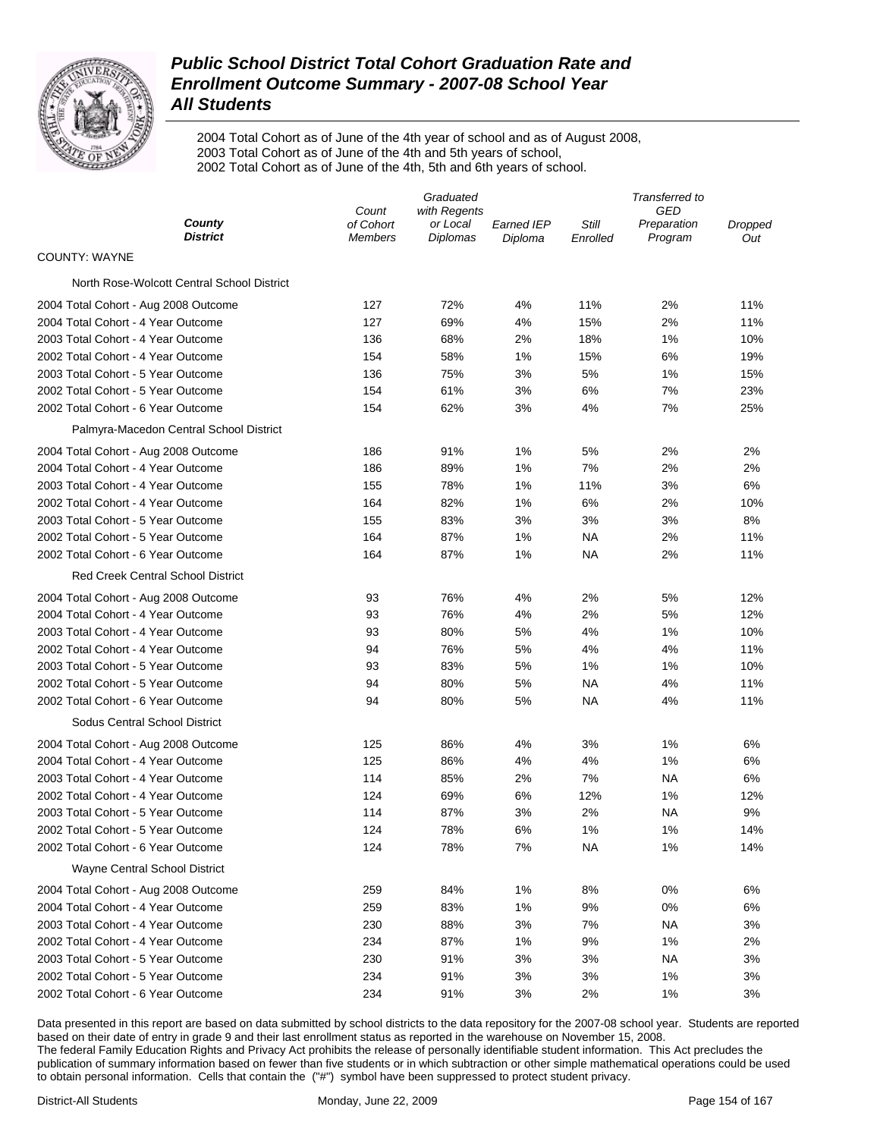

2004 Total Cohort as of June of the 4th year of school and as of August 2008, 2003 Total Cohort as of June of the 4th and 5th years of school, 2002 Total Cohort as of June of the 4th, 5th and 6th years of school.

|                                            | Graduated                     |                                      |                              |                   | Transferred to                       |                |  |  |
|--------------------------------------------|-------------------------------|--------------------------------------|------------------------------|-------------------|--------------------------------------|----------------|--|--|
| County<br><b>District</b>                  | Count<br>of Cohort<br>Members | with Regents<br>or Local<br>Diplomas | <b>Earned IEP</b><br>Diploma | Still<br>Enrolled | <b>GED</b><br>Preparation<br>Program | Dropped<br>Out |  |  |
| <b>COUNTY: WAYNE</b>                       |                               |                                      |                              |                   |                                      |                |  |  |
| North Rose-Wolcott Central School District |                               |                                      |                              |                   |                                      |                |  |  |
| 2004 Total Cohort - Aug 2008 Outcome       | 127                           | 72%                                  | 4%                           | 11%               | 2%                                   | 11%            |  |  |
| 2004 Total Cohort - 4 Year Outcome         | 127                           | 69%                                  | 4%                           | 15%               | 2%                                   | 11%            |  |  |
| 2003 Total Cohort - 4 Year Outcome         | 136                           | 68%                                  | 2%                           | 18%               | 1%                                   | 10%            |  |  |
| 2002 Total Cohort - 4 Year Outcome         | 154                           | 58%                                  | 1%                           | 15%               | 6%                                   | 19%            |  |  |
| 2003 Total Cohort - 5 Year Outcome         | 136                           | 75%                                  | 3%                           | 5%                | 1%                                   | 15%            |  |  |
| 2002 Total Cohort - 5 Year Outcome         | 154                           | 61%                                  | 3%                           | 6%                | 7%                                   | 23%            |  |  |
| 2002 Total Cohort - 6 Year Outcome         | 154                           | 62%                                  | 3%                           | 4%                | 7%                                   | 25%            |  |  |
| Palmyra-Macedon Central School District    |                               |                                      |                              |                   |                                      |                |  |  |
| 2004 Total Cohort - Aug 2008 Outcome       | 186                           | 91%                                  | 1%                           | 5%                | 2%                                   | 2%             |  |  |
| 2004 Total Cohort - 4 Year Outcome         | 186                           | 89%                                  | 1%                           | 7%                | 2%                                   | 2%             |  |  |
| 2003 Total Cohort - 4 Year Outcome         | 155                           | 78%                                  | 1%                           | 11%               | 3%                                   | 6%             |  |  |
| 2002 Total Cohort - 4 Year Outcome         | 164                           | 82%                                  | 1%                           | 6%                | 2%                                   | 10%            |  |  |
| 2003 Total Cohort - 5 Year Outcome         | 155                           | 83%                                  | 3%                           | 3%                | 3%                                   | 8%             |  |  |
| 2002 Total Cohort - 5 Year Outcome         | 164                           | 87%                                  | 1%                           | NA                | 2%                                   | 11%            |  |  |
| 2002 Total Cohort - 6 Year Outcome         | 164                           | 87%                                  | 1%                           | NA                | 2%                                   | 11%            |  |  |
| <b>Red Creek Central School District</b>   |                               |                                      |                              |                   |                                      |                |  |  |
| 2004 Total Cohort - Aug 2008 Outcome       | 93                            | 76%                                  | 4%                           | 2%                | 5%                                   | 12%            |  |  |
| 2004 Total Cohort - 4 Year Outcome         | 93                            | 76%                                  | 4%                           | 2%                | 5%                                   | 12%            |  |  |
| 2003 Total Cohort - 4 Year Outcome         | 93                            | 80%                                  | 5%                           | 4%                | 1%                                   | 10%            |  |  |
| 2002 Total Cohort - 4 Year Outcome         | 94                            | 76%                                  | 5%                           | 4%                | 4%                                   | 11%            |  |  |
| 2003 Total Cohort - 5 Year Outcome         | 93                            | 83%                                  | 5%                           | 1%                | 1%                                   | 10%            |  |  |
| 2002 Total Cohort - 5 Year Outcome         | 94                            | 80%                                  | 5%                           | NA                | 4%                                   | 11%            |  |  |
| 2002 Total Cohort - 6 Year Outcome         | 94                            | 80%                                  | 5%                           | NA                | 4%                                   | 11%            |  |  |
| Sodus Central School District              |                               |                                      |                              |                   |                                      |                |  |  |
| 2004 Total Cohort - Aug 2008 Outcome       | 125                           | 86%                                  | 4%                           | 3%                | 1%                                   | 6%             |  |  |
| 2004 Total Cohort - 4 Year Outcome         | 125                           | 86%                                  | 4%                           | 4%                | 1%                                   | 6%             |  |  |
| 2003 Total Cohort - 4 Year Outcome         | 114                           | 85%                                  | 2%                           | 7%                | NA                                   | 6%             |  |  |
| 2002 Total Cohort - 4 Year Outcome         | 124                           | 69%                                  | 6%                           | 12%               | 1%                                   | 12%            |  |  |
| 2003 Total Cohort - 5 Year Outcome         | 114                           | 87%                                  | 3%                           | 2%                | NA                                   | 9%             |  |  |
| 2002 Total Cohort - 5 Year Outcome         | 124                           | 78%                                  | 6%                           | 1%                | 1%                                   | 14%            |  |  |
| 2002 Total Cohort - 6 Year Outcome         | 124                           | 78%                                  | 7%                           | NА                | 1%                                   | 14%            |  |  |
| Wayne Central School District              |                               |                                      |                              |                   |                                      |                |  |  |
| 2004 Total Cohort - Aug 2008 Outcome       | 259                           | 84%                                  | 1%                           | 8%                | 0%                                   | 6%             |  |  |
| 2004 Total Cohort - 4 Year Outcome         | 259                           | 83%                                  | 1%                           | 9%                | 0%                                   | 6%             |  |  |
| 2003 Total Cohort - 4 Year Outcome         | 230                           | 88%                                  | 3%                           | 7%                | NA                                   | 3%             |  |  |
| 2002 Total Cohort - 4 Year Outcome         | 234                           | 87%                                  | 1%                           | 9%                | 1%                                   | 2%             |  |  |
| 2003 Total Cohort - 5 Year Outcome         | 230                           | 91%                                  | 3%                           | 3%                | <b>NA</b>                            | 3%             |  |  |
| 2002 Total Cohort - 5 Year Outcome         | 234                           | 91%                                  | 3%                           | 3%                | 1%                                   | 3%             |  |  |
| 2002 Total Cohort - 6 Year Outcome         | 234                           | 91%                                  | 3%                           | 2%                | 1%                                   | 3%             |  |  |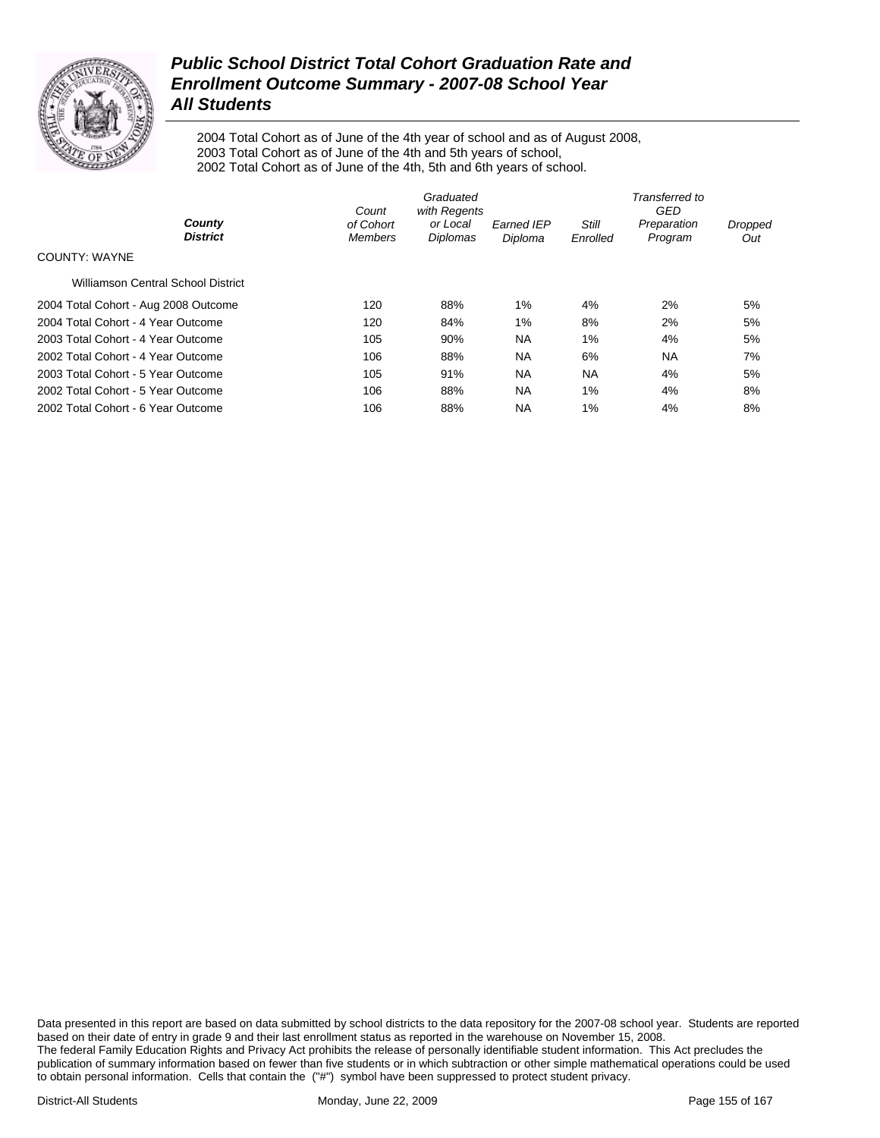

2004 Total Cohort as of June of the 4th year of school and as of August 2008, 2003 Total Cohort as of June of the 4th and 5th years of school, 2002 Total Cohort as of June of the 4th, 5th and 6th years of school.

|                                      | Graduated<br>with Regents<br>Count |                      |                              | Transferred to<br>GED |                        |                |  |
|--------------------------------------|------------------------------------|----------------------|------------------------------|-----------------------|------------------------|----------------|--|
| County<br><b>District</b>            | of Cohort<br><b>Members</b>        | or Local<br>Diplomas | <b>Earned IEP</b><br>Diploma | Still<br>Enrolled     | Preparation<br>Program | Dropped<br>Out |  |
| COUNTY: WAYNE                        |                                    |                      |                              |                       |                        |                |  |
| Williamson Central School District   |                                    |                      |                              |                       |                        |                |  |
| 2004 Total Cohort - Aug 2008 Outcome | 120                                | 88%                  | $1\%$                        | 4%                    | 2%                     | 5%             |  |
| 2004 Total Cohort - 4 Year Outcome   | 120                                | 84%                  | 1%                           | 8%                    | 2%                     | 5%             |  |
| 2003 Total Cohort - 4 Year Outcome   | 105                                | 90%                  | <b>NA</b>                    | 1%                    | 4%                     | 5%             |  |
| 2002 Total Cohort - 4 Year Outcome   | 106                                | 88%                  | <b>NA</b>                    | 6%                    | <b>NA</b>              | 7%             |  |
| 2003 Total Cohort - 5 Year Outcome   | 105                                | 91%                  | NA.                          | <b>NA</b>             | 4%                     | 5%             |  |
| 2002 Total Cohort - 5 Year Outcome   | 106                                | 88%                  | <b>NA</b>                    | 1%                    | 4%                     | 8%             |  |
| 2002 Total Cohort - 6 Year Outcome   | 106                                | 88%                  | <b>NA</b>                    | 1%                    | 4%                     | 8%             |  |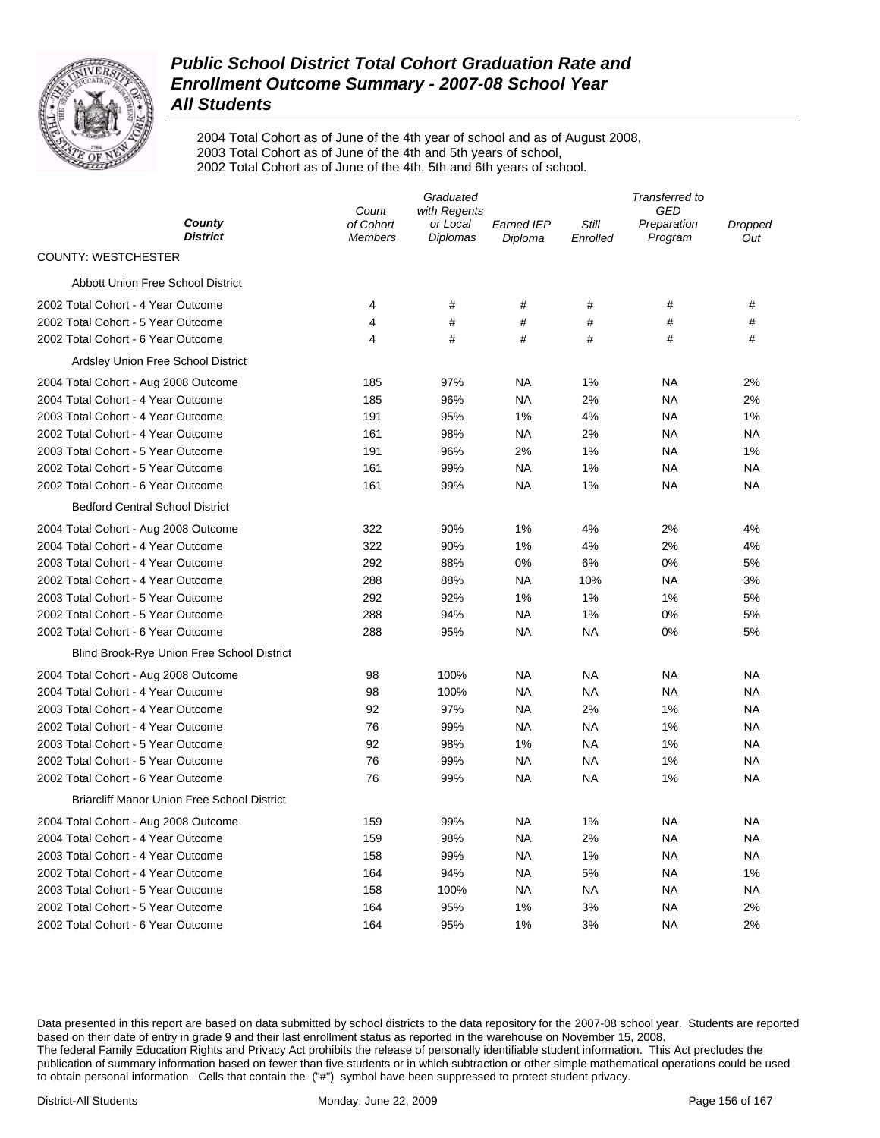

2004 Total Cohort as of June of the 4th year of school and as of August 2008, 2003 Total Cohort as of June of the 4th and 5th years of school, 2002 Total Cohort as of June of the 4th, 5th and 6th years of school.

|                                                    | Graduated                          |                      |                              | Transferred to             |                        |                |  |
|----------------------------------------------------|------------------------------------|----------------------|------------------------------|----------------------------|------------------------|----------------|--|
| County                                             | with Regents<br>Count<br>of Cohort |                      |                              | <b>GED</b><br><b>Still</b> |                        |                |  |
| <b>District</b>                                    | <b>Members</b>                     | or Local<br>Diplomas | <b>Earned IEP</b><br>Diploma | Enrolled                   | Preparation<br>Program | Dropped<br>Out |  |
| <b>COUNTY: WESTCHESTER</b>                         |                                    |                      |                              |                            |                        |                |  |
| Abbott Union Free School District                  |                                    |                      |                              |                            |                        |                |  |
| 2002 Total Cohort - 4 Year Outcome                 | 4                                  | #                    | #                            | #                          | #                      | #              |  |
| 2002 Total Cohort - 5 Year Outcome                 | 4                                  | #                    | $\#$                         | #                          | #                      | #              |  |
| 2002 Total Cohort - 6 Year Outcome                 | 4                                  | #                    | #                            | #                          | #                      | #              |  |
| Ardsley Union Free School District                 |                                    |                      |                              |                            |                        |                |  |
| 2004 Total Cohort - Aug 2008 Outcome               | 185                                | 97%                  | <b>NA</b>                    | 1%                         | <b>NA</b>              | 2%             |  |
| 2004 Total Cohort - 4 Year Outcome                 | 185                                | 96%                  | <b>NA</b>                    | 2%                         | <b>NA</b>              | 2%             |  |
| 2003 Total Cohort - 4 Year Outcome                 | 191                                | 95%                  | 1%                           | 4%                         | <b>NA</b>              | 1%             |  |
| 2002 Total Cohort - 4 Year Outcome                 | 161                                | 98%                  | <b>NA</b>                    | 2%                         | <b>NA</b>              | <b>NA</b>      |  |
| 2003 Total Cohort - 5 Year Outcome                 | 191                                | 96%                  | 2%                           | 1%                         | <b>NA</b>              | 1%             |  |
| 2002 Total Cohort - 5 Year Outcome                 | 161                                | 99%                  | <b>NA</b>                    | 1%                         | <b>NA</b>              | <b>NA</b>      |  |
| 2002 Total Cohort - 6 Year Outcome                 | 161                                | 99%                  | <b>NA</b>                    | 1%                         | <b>NA</b>              | <b>NA</b>      |  |
| <b>Bedford Central School District</b>             |                                    |                      |                              |                            |                        |                |  |
| 2004 Total Cohort - Aug 2008 Outcome               | 322                                | 90%                  | 1%                           | 4%                         | 2%                     | 4%             |  |
| 2004 Total Cohort - 4 Year Outcome                 | 322                                | 90%                  | 1%                           | 4%                         | 2%                     | 4%             |  |
| 2003 Total Cohort - 4 Year Outcome                 | 292                                | 88%                  | 0%                           | 6%                         | 0%                     | 5%             |  |
| 2002 Total Cohort - 4 Year Outcome                 | 288                                | 88%                  | <b>NA</b>                    | 10%                        | <b>NA</b>              | 3%             |  |
| 2003 Total Cohort - 5 Year Outcome                 | 292                                | 92%                  | 1%                           | 1%                         | 1%                     | 5%             |  |
| 2002 Total Cohort - 5 Year Outcome                 | 288                                | 94%                  | <b>NA</b>                    | 1%                         | 0%                     | 5%             |  |
| 2002 Total Cohort - 6 Year Outcome                 | 288                                | 95%                  | <b>NA</b>                    | <b>NA</b>                  | 0%                     | 5%             |  |
| <b>Blind Brook-Rye Union Free School District</b>  |                                    |                      |                              |                            |                        |                |  |
| 2004 Total Cohort - Aug 2008 Outcome               | 98                                 | 100%                 | <b>NA</b>                    | NA                         | <b>NA</b>              | NA             |  |
| 2004 Total Cohort - 4 Year Outcome                 | 98                                 | 100%                 | <b>NA</b>                    | NA                         | <b>NA</b>              | NA             |  |
| 2003 Total Cohort - 4 Year Outcome                 | 92                                 | 97%                  | <b>NA</b>                    | 2%                         | 1%                     | NA             |  |
| 2002 Total Cohort - 4 Year Outcome                 | 76                                 | 99%                  | <b>NA</b>                    | NA                         | 1%                     | NA             |  |
| 2003 Total Cohort - 5 Year Outcome                 | 92                                 | 98%                  | 1%                           | NA                         | 1%                     | NA             |  |
| 2002 Total Cohort - 5 Year Outcome                 | 76                                 | 99%                  | <b>NA</b>                    | <b>NA</b>                  | 1%                     | NA             |  |
| 2002 Total Cohort - 6 Year Outcome                 | 76                                 | 99%                  | <b>NA</b>                    | <b>NA</b>                  | 1%                     | <b>NA</b>      |  |
| <b>Briarcliff Manor Union Free School District</b> |                                    |                      |                              |                            |                        |                |  |
| 2004 Total Cohort - Aug 2008 Outcome               | 159                                | 99%                  | <b>NA</b>                    | 1%                         | <b>NA</b>              | NA             |  |
| 2004 Total Cohort - 4 Year Outcome                 | 159                                | 98%                  | <b>NA</b>                    | 2%                         | <b>NA</b>              | NA             |  |
| 2003 Total Cohort - 4 Year Outcome                 | 158                                | 99%                  | <b>NA</b>                    | 1%                         | <b>NA</b>              | NA             |  |
| 2002 Total Cohort - 4 Year Outcome                 | 164                                | 94%                  | <b>NA</b>                    | 5%                         | <b>NA</b>              | 1%             |  |
| 2003 Total Cohort - 5 Year Outcome                 | 158                                | 100%                 | <b>NA</b>                    | <b>NA</b>                  | <b>NA</b>              | NA             |  |
| 2002 Total Cohort - 5 Year Outcome                 | 164                                | 95%                  | 1%                           | 3%                         | <b>NA</b>              | 2%             |  |
| 2002 Total Cohort - 6 Year Outcome                 | 164                                | 95%                  | 1%                           | 3%                         | <b>NA</b>              | 2%             |  |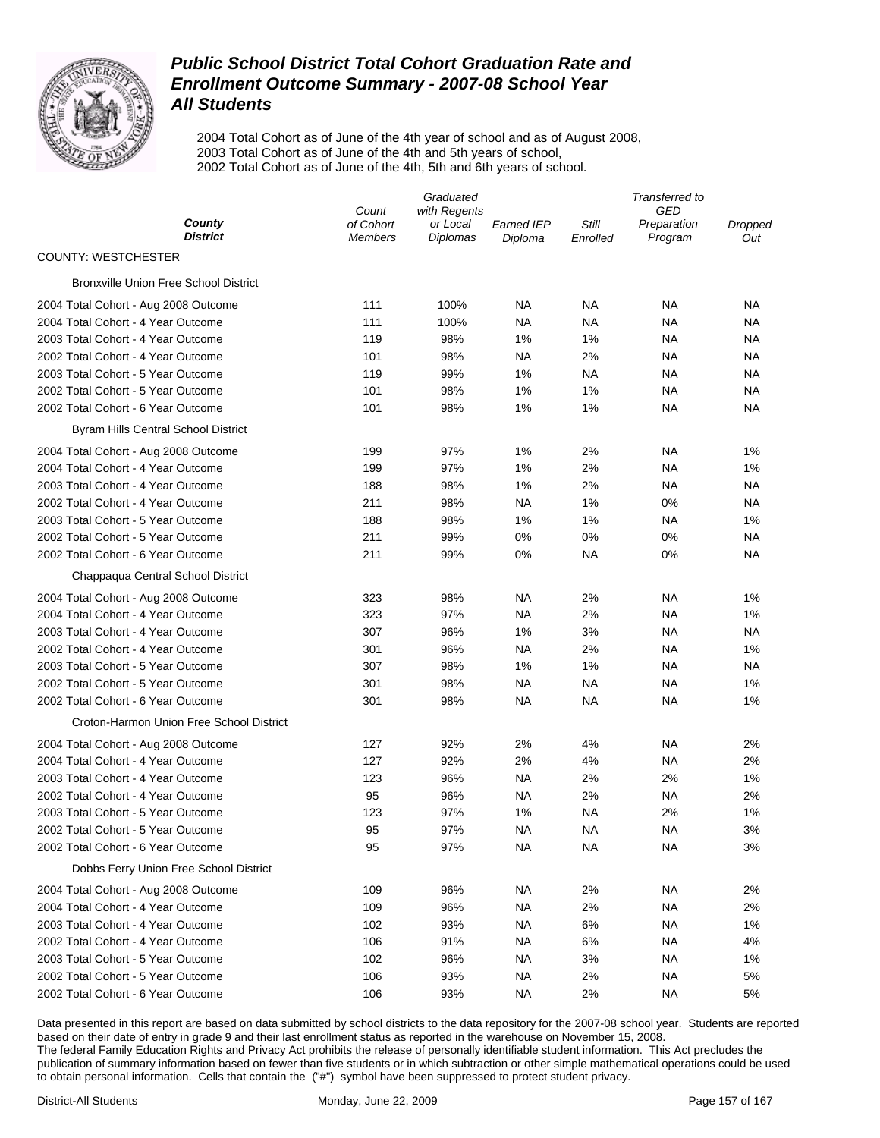

2004 Total Cohort as of June of the 4th year of school and as of August 2008, 2003 Total Cohort as of June of the 4th and 5th years of school, 2002 Total Cohort as of June of the 4th, 5th and 6th years of school.

|                                              | Graduated                   |                             |                              | Transferred to    |                        |                |  |
|----------------------------------------------|-----------------------------|-----------------------------|------------------------------|-------------------|------------------------|----------------|--|
|                                              | Count                       | with Regents                |                              |                   | GED                    |                |  |
| County<br><b>District</b>                    | of Cohort<br><b>Members</b> | or Local<br><b>Diplomas</b> | <b>Earned IEP</b><br>Diploma | Still<br>Enrolled | Preparation<br>Program | Dropped<br>Out |  |
| <b>COUNTY: WESTCHESTER</b>                   |                             |                             |                              |                   |                        |                |  |
| <b>Bronxville Union Free School District</b> |                             |                             |                              |                   |                        |                |  |
| 2004 Total Cohort - Aug 2008 Outcome         | 111                         | 100%                        | NA                           | NA                | ΝA                     | ΝA             |  |
| 2004 Total Cohort - 4 Year Outcome           | 111                         | 100%                        | NA                           | NA                | NA                     | NA             |  |
| 2003 Total Cohort - 4 Year Outcome           | 119                         | 98%                         | 1%                           | 1%                | NA                     | ΝA             |  |
| 2002 Total Cohort - 4 Year Outcome           | 101                         | 98%                         | NA                           | 2%                | NA                     | ΝA             |  |
| 2003 Total Cohort - 5 Year Outcome           | 119                         | 99%                         | 1%                           | NA                | NA                     | ΝA             |  |
| 2002 Total Cohort - 5 Year Outcome           | 101                         | 98%                         | 1%                           | 1%                | ΝA                     | <b>NA</b>      |  |
| 2002 Total Cohort - 6 Year Outcome           | 101                         | 98%                         | 1%                           | 1%                | NA                     | <b>NA</b>      |  |
| Byram Hills Central School District          |                             |                             |                              |                   |                        |                |  |
| 2004 Total Cohort - Aug 2008 Outcome         | 199                         | 97%                         | 1%                           | 2%                | NA                     | 1%             |  |
| 2004 Total Cohort - 4 Year Outcome           | 199                         | 97%                         | 1%                           | 2%                | NA                     | 1%             |  |
| 2003 Total Cohort - 4 Year Outcome           | 188                         | 98%                         | 1%                           | 2%                | NA                     | <b>NA</b>      |  |
| 2002 Total Cohort - 4 Year Outcome           | 211                         | 98%                         | <b>NA</b>                    | 1%                | 0%                     | <b>NA</b>      |  |
| 2003 Total Cohort - 5 Year Outcome           | 188                         | 98%                         | 1%                           | 1%                | NA                     | 1%             |  |
| 2002 Total Cohort - 5 Year Outcome           | 211                         | 99%                         | $0\%$                        | $0\%$             | 0%                     | NA             |  |
| 2002 Total Cohort - 6 Year Outcome           | 211                         | 99%                         | 0%                           | ΝA                | 0%                     | <b>NA</b>      |  |
| Chappaqua Central School District            |                             |                             |                              |                   |                        |                |  |
| 2004 Total Cohort - Aug 2008 Outcome         | 323                         | 98%                         | NA                           | 2%                | NA                     | 1%             |  |
| 2004 Total Cohort - 4 Year Outcome           | 323                         | 97%                         | <b>NA</b>                    | 2%                | NA                     | 1%             |  |
| 2003 Total Cohort - 4 Year Outcome           | 307                         | 96%                         | 1%                           | 3%                | NA                     | NA             |  |
| 2002 Total Cohort - 4 Year Outcome           | 301                         | 96%                         | NA                           | 2%                | NA                     | 1%             |  |
| 2003 Total Cohort - 5 Year Outcome           | 307                         | 98%                         | 1%                           | 1%                | NA                     | <b>NA</b>      |  |
| 2002 Total Cohort - 5 Year Outcome           | 301                         | 98%                         | <b>NA</b>                    | <b>NA</b>         | NA                     | 1%             |  |
| 2002 Total Cohort - 6 Year Outcome           | 301                         | 98%                         | <b>NA</b>                    | <b>NA</b>         | <b>NA</b>              | 1%             |  |
| Croton-Harmon Union Free School District     |                             |                             |                              |                   |                        |                |  |
| 2004 Total Cohort - Aug 2008 Outcome         | 127                         | 92%                         | 2%                           | 4%                | NA                     | 2%             |  |
| 2004 Total Cohort - 4 Year Outcome           | 127                         | 92%                         | 2%                           | 4%                | NA                     | 2%             |  |
| 2003 Total Cohort - 4 Year Outcome           | 123                         | 96%                         | <b>NA</b>                    | 2%                | 2%                     | 1%             |  |
| 2002 Total Cohort - 4 Year Outcome           | 95                          | 96%                         | <b>NA</b>                    | 2%                | NA                     | 2%             |  |
| 2003 Total Cohort - 5 Year Outcome           | 123                         | 97%                         | 1%                           | <b>NA</b>         | 2%                     | 1%             |  |
| 2002 Total Cohort - 5 Year Outcome           | 95                          | 97%                         | <b>NA</b>                    | <b>NA</b>         | <b>NA</b>              | 3%             |  |
| 2002 Total Cohort - 6 Year Outcome           | 95                          | 97%                         | <b>NA</b>                    | <b>NA</b>         | <b>NA</b>              | 3%             |  |
| Dobbs Ferry Union Free School District       |                             |                             |                              |                   |                        |                |  |
| 2004 Total Cohort - Aug 2008 Outcome         | 109                         | 96%                         | <b>NA</b>                    | 2%                | <b>NA</b>              | 2%             |  |
| 2004 Total Cohort - 4 Year Outcome           | 109                         | 96%                         | <b>NA</b>                    | 2%                | <b>NA</b>              | 2%             |  |
| 2003 Total Cohort - 4 Year Outcome           | 102                         | 93%                         | <b>NA</b>                    | 6%                | <b>NA</b>              | 1%             |  |
| 2002 Total Cohort - 4 Year Outcome           | 106                         | 91%                         | <b>NA</b>                    | 6%                | <b>NA</b>              | 4%             |  |
| 2003 Total Cohort - 5 Year Outcome           | 102                         | 96%                         | <b>NA</b>                    | 3%                | <b>NA</b>              | 1%             |  |
| 2002 Total Cohort - 5 Year Outcome           | 106                         | 93%                         | <b>NA</b>                    | 2%                | <b>NA</b>              | 5%             |  |
| 2002 Total Cohort - 6 Year Outcome           | 106                         | 93%                         | <b>NA</b>                    | 2%                | <b>NA</b>              | 5%             |  |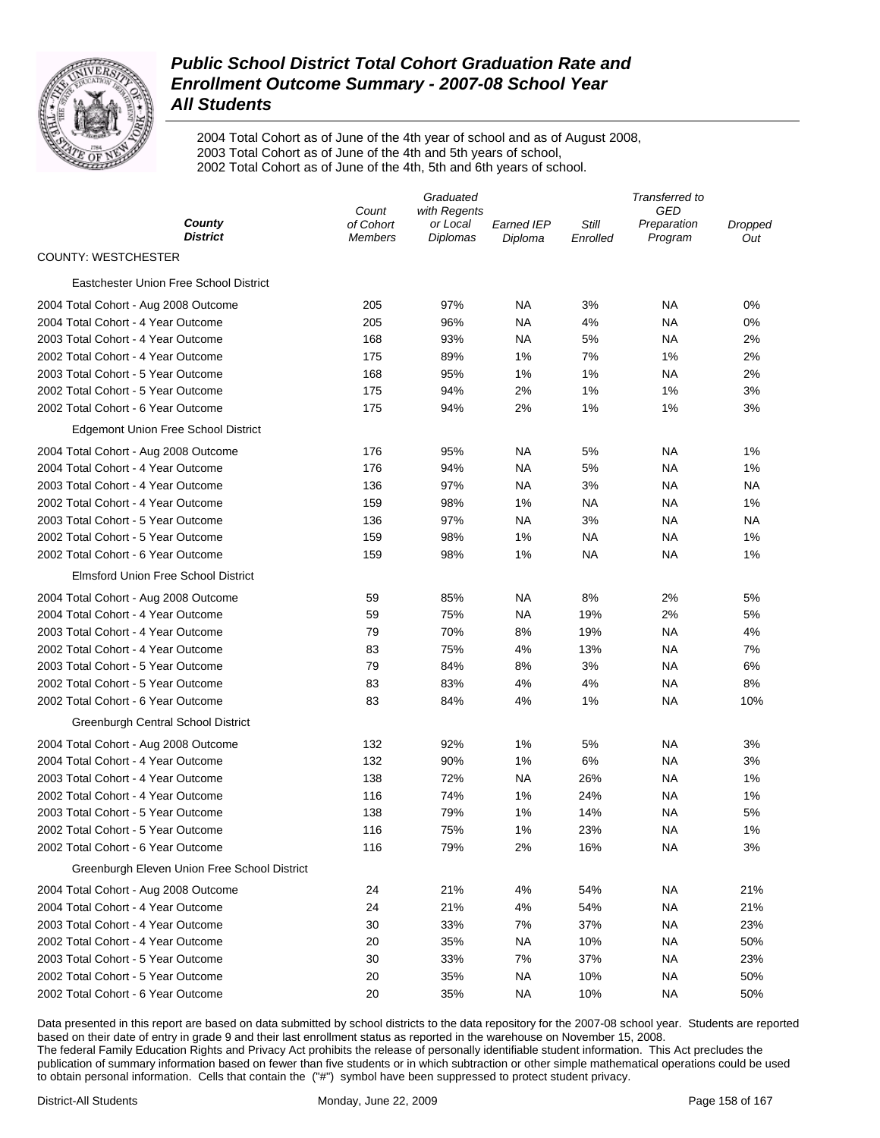

2004 Total Cohort as of June of the 4th year of school and as of August 2008, 2003 Total Cohort as of June of the 4th and 5th years of school, 2002 Total Cohort as of June of the 4th, 5th and 6th years of school.

|                                              | Graduated                   |                             |                              | Transferred to    |                        |                |  |
|----------------------------------------------|-----------------------------|-----------------------------|------------------------------|-------------------|------------------------|----------------|--|
| County                                       | Count                       | with Regents                |                              |                   | GED                    |                |  |
| <b>District</b>                              | of Cohort<br><b>Members</b> | or Local<br><b>Diplomas</b> | <b>Earned IEP</b><br>Diploma | Still<br>Enrolled | Preparation<br>Program | Dropped<br>Out |  |
| <b>COUNTY: WESTCHESTER</b>                   |                             |                             |                              |                   |                        |                |  |
| Eastchester Union Free School District       |                             |                             |                              |                   |                        |                |  |
| 2004 Total Cohort - Aug 2008 Outcome         | 205                         | 97%                         | <b>NA</b>                    | 3%                | NA                     | 0%             |  |
| 2004 Total Cohort - 4 Year Outcome           | 205                         | 96%                         | ΝA                           | 4%                | NA                     | 0%             |  |
| 2003 Total Cohort - 4 Year Outcome           | 168                         | 93%                         | ΝA                           | 5%                | NA                     | 2%             |  |
| 2002 Total Cohort - 4 Year Outcome           | 175                         | 89%                         | 1%                           | 7%                | 1%                     | 2%             |  |
| 2003 Total Cohort - 5 Year Outcome           | 168                         | 95%                         | 1%                           | 1%                | NA                     | 2%             |  |
| 2002 Total Cohort - 5 Year Outcome           | 175                         | 94%                         | 2%                           | 1%                | 1%                     | 3%             |  |
| 2002 Total Cohort - 6 Year Outcome           | 175                         | 94%                         | 2%                           | 1%                | 1%                     | 3%             |  |
| <b>Edgemont Union Free School District</b>   |                             |                             |                              |                   |                        |                |  |
| 2004 Total Cohort - Aug 2008 Outcome         | 176                         | 95%                         | NA                           | 5%                | NA                     | 1%             |  |
| 2004 Total Cohort - 4 Year Outcome           | 176                         | 94%                         | ΝA                           | 5%                | NA                     | 1%             |  |
| 2003 Total Cohort - 4 Year Outcome           | 136                         | 97%                         | ΝA                           | 3%                | NA                     | <b>NA</b>      |  |
| 2002 Total Cohort - 4 Year Outcome           | 159                         | 98%                         | 1%                           | NA                | NA                     | 1%             |  |
| 2003 Total Cohort - 5 Year Outcome           | 136                         | 97%                         | ΝA                           | 3%                | NA                     | <b>NA</b>      |  |
| 2002 Total Cohort - 5 Year Outcome           | 159                         | 98%                         | 1%                           | NA                | NA                     | 1%             |  |
| 2002 Total Cohort - 6 Year Outcome           | 159                         | 98%                         | 1%                           | <b>NA</b>         | <b>NA</b>              | 1%             |  |
| <b>Elmsford Union Free School District</b>   |                             |                             |                              |                   |                        |                |  |
| 2004 Total Cohort - Aug 2008 Outcome         | 59                          | 85%                         | NA                           | 8%                | 2%                     | 5%             |  |
| 2004 Total Cohort - 4 Year Outcome           | 59                          | 75%                         | ΝA                           | 19%               | 2%                     | 5%             |  |
| 2003 Total Cohort - 4 Year Outcome           | 79                          | 70%                         | 8%                           | 19%               | NA                     | 4%             |  |
| 2002 Total Cohort - 4 Year Outcome           | 83                          | 75%                         | 4%                           | 13%               | NA                     | 7%             |  |
| 2003 Total Cohort - 5 Year Outcome           | 79                          | 84%                         | 8%                           | 3%                | NA                     | 6%             |  |
| 2002 Total Cohort - 5 Year Outcome           | 83                          | 83%                         | 4%                           | 4%                | <b>NA</b>              | 8%             |  |
| 2002 Total Cohort - 6 Year Outcome           | 83                          | 84%                         | 4%                           | 1%                | <b>NA</b>              | 10%            |  |
| Greenburgh Central School District           |                             |                             |                              |                   |                        |                |  |
| 2004 Total Cohort - Aug 2008 Outcome         | 132                         | 92%                         | 1%                           | 5%                | NA                     | 3%             |  |
| 2004 Total Cohort - 4 Year Outcome           | 132                         | 90%                         | 1%                           | 6%                | NA                     | 3%             |  |
| 2003 Total Cohort - 4 Year Outcome           | 138                         | 72%                         | <b>NA</b>                    | 26%               | <b>NA</b>              | 1%             |  |
| 2002 Total Cohort - 4 Year Outcome           | 116                         | 74%                         | 1%                           | 24%               | <b>NA</b>              | 1%             |  |
| 2003 Total Cohort - 5 Year Outcome           | 138                         | 79%                         | 1%                           | 14%               | NA                     | 5%             |  |
| 2002 Total Cohort - 5 Year Outcome           | 116                         | 75%                         | 1%                           | 23%               | <b>NA</b>              | 1%             |  |
| 2002 Total Cohort - 6 Year Outcome           | 116                         | 79%                         | 2%                           | 16%               | <b>NA</b>              | 3%             |  |
| Greenburgh Eleven Union Free School District |                             |                             |                              |                   |                        |                |  |
| 2004 Total Cohort - Aug 2008 Outcome         | 24                          | 21%                         | 4%                           | 54%               | <b>NA</b>              | 21%            |  |
| 2004 Total Cohort - 4 Year Outcome           | 24                          | 21%                         | 4%                           | 54%               | <b>NA</b>              | 21%            |  |
| 2003 Total Cohort - 4 Year Outcome           | 30                          | 33%                         | 7%                           | 37%               | <b>NA</b>              | 23%            |  |
| 2002 Total Cohort - 4 Year Outcome           | 20                          | 35%                         | <b>NA</b>                    | 10%               | <b>NA</b>              | 50%            |  |
| 2003 Total Cohort - 5 Year Outcome           | 30                          | 33%                         | 7%                           | 37%               | <b>NA</b>              | 23%            |  |
| 2002 Total Cohort - 5 Year Outcome           | 20                          | 35%                         | <b>NA</b>                    | 10%               | <b>NA</b>              | 50%            |  |
| 2002 Total Cohort - 6 Year Outcome           | 20                          | 35%                         | <b>NA</b>                    | 10%               | <b>NA</b>              | 50%            |  |
|                                              |                             |                             |                              |                   |                        |                |  |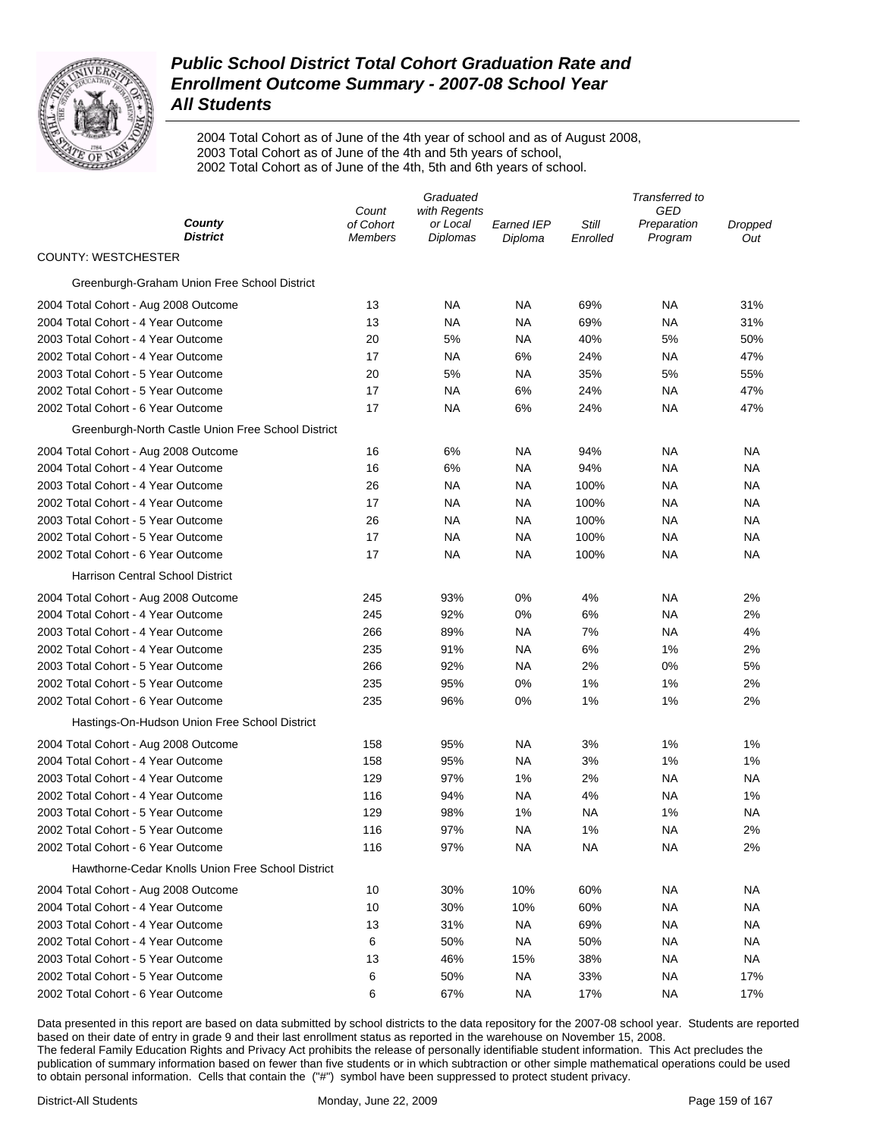

2004 Total Cohort as of June of the 4th year of school and as of August 2008, 2003 Total Cohort as of June of the 4th and 5th years of school, 2002 Total Cohort as of June of the 4th, 5th and 6th years of school.

|                                                    | Graduated          |                          |                   | Transferred to |                    |         |  |
|----------------------------------------------------|--------------------|--------------------------|-------------------|----------------|--------------------|---------|--|
| County                                             | Count<br>of Cohort | with Regents<br>or Local | <b>Earned IEP</b> | Still          | GED<br>Preparation | Dropped |  |
| <b>District</b>                                    | Members            | <b>Diplomas</b>          | Diploma           | Enrolled       | Program            | Out     |  |
| <b>COUNTY: WESTCHESTER</b>                         |                    |                          |                   |                |                    |         |  |
| Greenburgh-Graham Union Free School District       |                    |                          |                   |                |                    |         |  |
| 2004 Total Cohort - Aug 2008 Outcome               | 13                 | <b>NA</b>                | ΝA                | 69%            | NA                 | 31%     |  |
| 2004 Total Cohort - 4 Year Outcome                 | 13                 | <b>NA</b>                | ΝA                | 69%            | NA                 | 31%     |  |
| 2003 Total Cohort - 4 Year Outcome                 | 20                 | 5%                       | NA                | 40%            | 5%                 | 50%     |  |
| 2002 Total Cohort - 4 Year Outcome                 | 17                 | <b>NA</b>                | 6%                | 24%            | NA                 | 47%     |  |
| 2003 Total Cohort - 5 Year Outcome                 | 20                 | 5%                       | NA                | 35%            | 5%                 | 55%     |  |
| 2002 Total Cohort - 5 Year Outcome                 | 17                 | <b>NA</b>                | 6%                | 24%            | <b>NA</b>          | 47%     |  |
| 2002 Total Cohort - 6 Year Outcome                 | 17                 | <b>NA</b>                | 6%                | 24%            | NA                 | 47%     |  |
| Greenburgh-North Castle Union Free School District |                    |                          |                   |                |                    |         |  |
| 2004 Total Cohort - Aug 2008 Outcome               | 16                 | 6%                       | ΝA                | 94%            | <b>NA</b>          | ΝA      |  |
| 2004 Total Cohort - 4 Year Outcome                 | 16                 | 6%                       | ΝA                | 94%            | NA                 | ΝA      |  |
| 2003 Total Cohort - 4 Year Outcome                 | 26                 | <b>NA</b>                | ΝA                | 100%           | NA                 | ΝA      |  |
| 2002 Total Cohort - 4 Year Outcome                 | 17                 | <b>NA</b>                | ΝA                | 100%           | <b>NA</b>          | ΝA      |  |
| 2003 Total Cohort - 5 Year Outcome                 | 26                 | <b>NA</b>                | ΝA                | 100%           | <b>NA</b>          | ΝA      |  |
| 2002 Total Cohort - 5 Year Outcome                 | 17                 | <b>NA</b>                | NA                | 100%           | NA                 | ΝA      |  |
| 2002 Total Cohort - 6 Year Outcome                 | 17                 | <b>NA</b>                | <b>NA</b>         | 100%           | NA                 | ΝA      |  |
| Harrison Central School District                   |                    |                          |                   |                |                    |         |  |
| 2004 Total Cohort - Aug 2008 Outcome               | 245                | 93%                      | 0%                | 4%             | NA                 | 2%      |  |
| 2004 Total Cohort - 4 Year Outcome                 | 245                | 92%                      | 0%                | 6%             | NA                 | 2%      |  |
| 2003 Total Cohort - 4 Year Outcome                 | 266                | 89%                      | <b>NA</b>         | 7%             | NA                 | 4%      |  |
| 2002 Total Cohort - 4 Year Outcome                 | 235                | 91%                      | ΝA                | 6%             | 1%                 | 2%      |  |
| 2003 Total Cohort - 5 Year Outcome                 | 266                | 92%                      | NA                | 2%             | 0%                 | 5%      |  |
| 2002 Total Cohort - 5 Year Outcome                 | 235                | 95%                      | 0%                | 1%             | 1%                 | 2%      |  |
| 2002 Total Cohort - 6 Year Outcome                 | 235                | 96%                      | 0%                | 1%             | 1%                 | 2%      |  |
| Hastings-On-Hudson Union Free School District      |                    |                          |                   |                |                    |         |  |
| 2004 Total Cohort - Aug 2008 Outcome               | 158                | 95%                      | NA                | 3%             | 1%                 | 1%      |  |
| 2004 Total Cohort - 4 Year Outcome                 | 158                | 95%                      | ΝA                | 3%             | 1%                 | 1%      |  |
| 2003 Total Cohort - 4 Year Outcome                 | 129                | 97%                      | 1%                | 2%             | NA                 | ΝA      |  |
| 2002 Total Cohort - 4 Year Outcome                 | 116                | 94%                      | NA                | 4%             | NA                 | 1%      |  |
| 2003 Total Cohort - 5 Year Outcome                 | 129                | 98%                      | 1%                | ΝA             | 1%                 | ΝA      |  |
| 2002 Total Cohort - 5 Year Outcome                 | 116                | 97%                      | <b>NA</b>         | 1%             | <b>NA</b>          | 2%      |  |
| 2002 Total Cohort - 6 Year Outcome                 | 116                | 97%                      | <b>NA</b>         | NА             | ΝA                 | 2%      |  |
| Hawthorne-Cedar Knolls Union Free School District  |                    |                          |                   |                |                    |         |  |
| 2004 Total Cohort - Aug 2008 Outcome               | 10                 | 30%                      | 10%               | 60%            | ΝA                 | ΝA      |  |
| 2004 Total Cohort - 4 Year Outcome                 | 10                 | 30%                      | 10%               | 60%            | ΝA                 | ΝA      |  |
| 2003 Total Cohort - 4 Year Outcome                 | 13                 | 31%                      | NA.               | 69%            | ΝA                 | ΝA      |  |
| 2002 Total Cohort - 4 Year Outcome                 | 6                  | 50%                      | <b>NA</b>         | 50%            | ΝA                 | ΝA      |  |
| 2003 Total Cohort - 5 Year Outcome                 | 13                 | 46%                      | 15%               | 38%            | NA                 | ΝA      |  |
| 2002 Total Cohort - 5 Year Outcome                 | 6                  | 50%                      | NA.               | 33%            | ΝA                 | 17%     |  |
| 2002 Total Cohort - 6 Year Outcome                 | 6                  | 67%                      | <b>NA</b>         | 17%            | <b>NA</b>          | 17%     |  |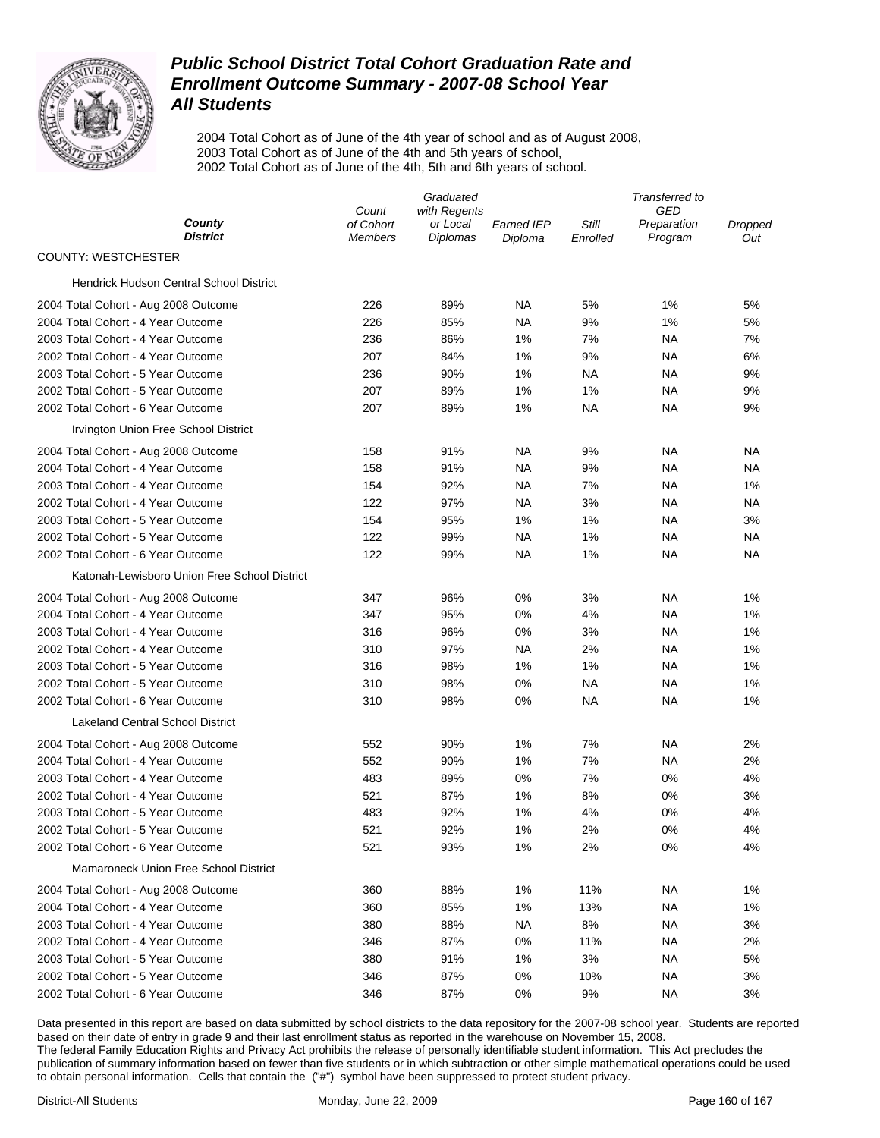

2004 Total Cohort as of June of the 4th year of school and as of August 2008, 2003 Total Cohort as of June of the 4th and 5th years of school, 2002 Total Cohort as of June of the 4th, 5th and 6th years of school.

|                                              | Graduated            |                             |                              | Transferred to    |                        |                |  |
|----------------------------------------------|----------------------|-----------------------------|------------------------------|-------------------|------------------------|----------------|--|
|                                              | Count                | with Regents                |                              |                   | GED                    |                |  |
| County<br><b>District</b>                    | of Cohort<br>Members | or Local<br><b>Diplomas</b> | <b>Earned IEP</b><br>Diploma | Still<br>Enrolled | Preparation<br>Program | Dropped<br>Out |  |
| <b>COUNTY: WESTCHESTER</b>                   |                      |                             |                              |                   |                        |                |  |
| Hendrick Hudson Central School District      |                      |                             |                              |                   |                        |                |  |
| 2004 Total Cohort - Aug 2008 Outcome         | 226                  | 89%                         | ΝA                           | 5%                | 1%                     | 5%             |  |
| 2004 Total Cohort - 4 Year Outcome           | 226                  | 85%                         | NA                           | 9%                | 1%                     | 5%             |  |
| 2003 Total Cohort - 4 Year Outcome           | 236                  | 86%                         | 1%                           | 7%                | NA                     | 7%             |  |
| 2002 Total Cohort - 4 Year Outcome           | 207                  | 84%                         | 1%                           | 9%                | NA                     | 6%             |  |
| 2003 Total Cohort - 5 Year Outcome           | 236                  | 90%                         | 1%                           | NA                | NA                     | 9%             |  |
| 2002 Total Cohort - 5 Year Outcome           | 207                  | 89%                         | 1%                           | 1%                | NA                     | 9%             |  |
| 2002 Total Cohort - 6 Year Outcome           | 207                  | 89%                         | 1%                           | NA                | NA                     | 9%             |  |
| Irvington Union Free School District         |                      |                             |                              |                   |                        |                |  |
| 2004 Total Cohort - Aug 2008 Outcome         | 158                  | 91%                         | ΝA                           | 9%                | NA                     | NА             |  |
| 2004 Total Cohort - 4 Year Outcome           | 158                  | 91%                         | NA                           | 9%                | NA                     | NА             |  |
| 2003 Total Cohort - 4 Year Outcome           | 154                  | 92%                         | NA                           | 7%                | NA                     | 1%             |  |
| 2002 Total Cohort - 4 Year Outcome           | 122                  | 97%                         | ΝA                           | 3%                | NA                     | NA             |  |
| 2003 Total Cohort - 5 Year Outcome           | 154                  | 95%                         | 1%                           | 1%                | NA                     | 3%             |  |
| 2002 Total Cohort - 5 Year Outcome           | 122                  | 99%                         | ΝA                           | 1%                | NA                     | NA             |  |
| 2002 Total Cohort - 6 Year Outcome           | 122                  | 99%                         | ΝA                           | 1%                | NA                     | NА             |  |
| Katonah-Lewisboro Union Free School District |                      |                             |                              |                   |                        |                |  |
| 2004 Total Cohort - Aug 2008 Outcome         | 347                  | 96%                         | 0%                           | 3%                | NA                     | 1%             |  |
| 2004 Total Cohort - 4 Year Outcome           | 347                  | 95%                         | 0%                           | 4%                | NA                     | 1%             |  |
| 2003 Total Cohort - 4 Year Outcome           | 316                  | 96%                         | 0%                           | 3%                | NA                     | 1%             |  |
| 2002 Total Cohort - 4 Year Outcome           | 310                  | 97%                         | ΝA                           | 2%                | NA                     | 1%             |  |
| 2003 Total Cohort - 5 Year Outcome           | 316                  | 98%                         | 1%                           | 1%                | NA                     | 1%             |  |
| 2002 Total Cohort - 5 Year Outcome           | 310                  | 98%                         | $0\%$                        | NA                | NA                     | 1%             |  |
| 2002 Total Cohort - 6 Year Outcome           | 310                  | 98%                         | 0%                           | NA                | NA                     | 1%             |  |
| <b>Lakeland Central School District</b>      |                      |                             |                              |                   |                        |                |  |
| 2004 Total Cohort - Aug 2008 Outcome         | 552                  | 90%                         | 1%                           | 7%                | NA                     | 2%             |  |
| 2004 Total Cohort - 4 Year Outcome           | 552                  | 90%                         | 1%                           | 7%                | NA                     | 2%             |  |
| 2003 Total Cohort - 4 Year Outcome           | 483                  | 89%                         | 0%                           | 7%                | 0%                     | 4%             |  |
| 2002 Total Cohort - 4 Year Outcome           | 521                  | 87%                         | 1%                           | 8%                | 0%                     | 3%             |  |
| 2003 Total Cohort - 5 Year Outcome           | 483                  | 92%                         | 1%                           | 4%                | 0%                     | 4%             |  |
| 2002 Total Cohort - 5 Year Outcome           | 521                  | 92%                         | 1%                           | 2%                | 0%                     | 4%             |  |
| 2002 Total Cohort - 6 Year Outcome           | 521                  | 93%                         | 1%                           | 2%                | 0%                     | 4%             |  |
| Mamaroneck Union Free School District        |                      |                             |                              |                   |                        |                |  |
| 2004 Total Cohort - Aug 2008 Outcome         | 360                  | 88%                         | 1%                           | 11%               | ΝA                     | 1%             |  |
| 2004 Total Cohort - 4 Year Outcome           | 360                  | 85%                         | 1%                           | 13%               | <b>NA</b>              | 1%             |  |
| 2003 Total Cohort - 4 Year Outcome           | 380                  | 88%                         | <b>NA</b>                    | 8%                | <b>NA</b>              | 3%             |  |
| 2002 Total Cohort - 4 Year Outcome           | 346                  | 87%                         | 0%                           | 11%               | <b>NA</b>              | 2%             |  |
| 2003 Total Cohort - 5 Year Outcome           | 380                  | 91%                         | 1%                           | 3%                | <b>NA</b>              | 5%             |  |
| 2002 Total Cohort - 5 Year Outcome           | 346                  | 87%                         | 0%                           | 10%               | <b>NA</b>              | 3%             |  |
| 2002 Total Cohort - 6 Year Outcome           | 346                  | 87%                         | 0%                           | 9%                | <b>NA</b>              | 3%             |  |
|                                              |                      |                             |                              |                   |                        |                |  |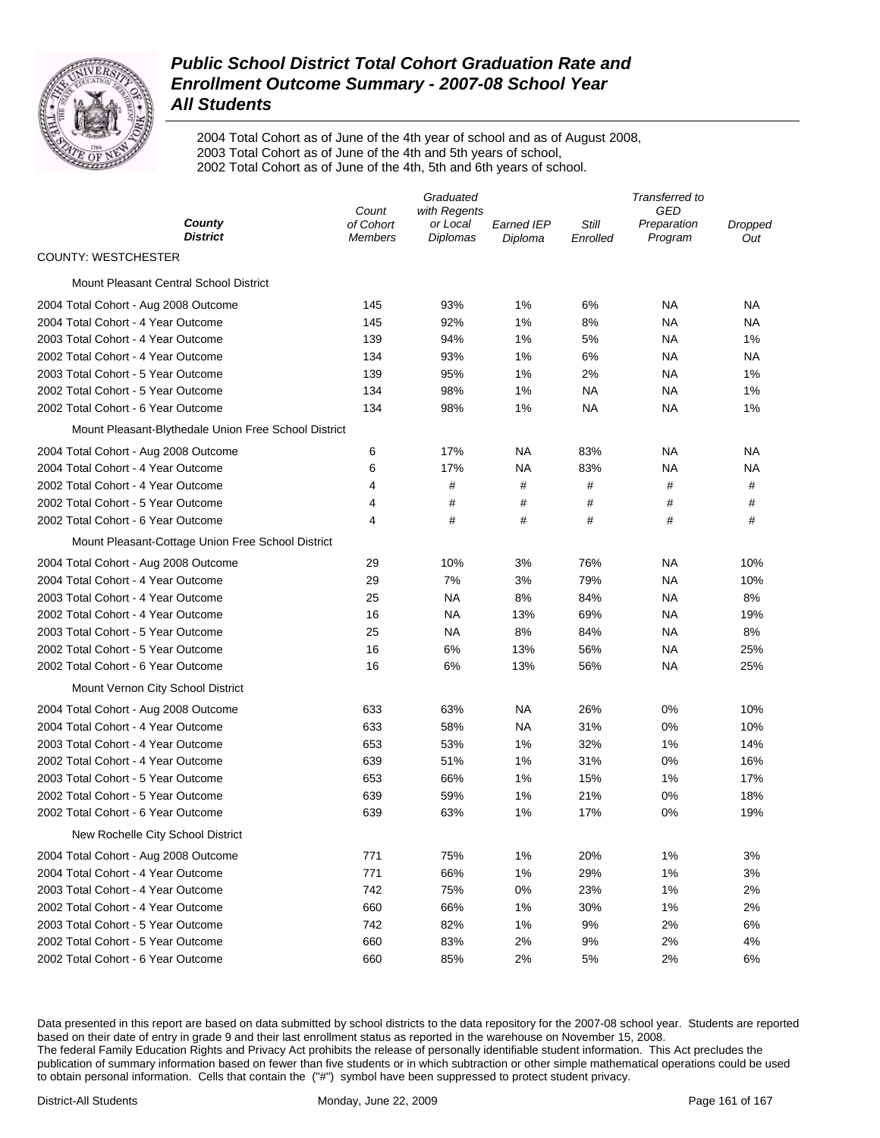

2004 Total Cohort as of June of the 4th year of school and as of August 2008, 2003 Total Cohort as of June of the 4th and 5th years of school, 2002 Total Cohort as of June of the 4th, 5th and 6th years of school.

|                                                      | Graduated                            |                                      |                       | Transferred to    |                               |                |  |
|------------------------------------------------------|--------------------------------------|--------------------------------------|-----------------------|-------------------|-------------------------------|----------------|--|
| County<br><b>District</b>                            | Count<br>of Cohort<br><b>Members</b> | with Regents<br>or Local<br>Diplomas | Earned IEP<br>Diploma | Still<br>Enrolled | GED<br>Preparation<br>Program | Dropped<br>Out |  |
| <b>COUNTY: WESTCHESTER</b>                           |                                      |                                      |                       |                   |                               |                |  |
| Mount Pleasant Central School District               |                                      |                                      |                       |                   |                               |                |  |
| 2004 Total Cohort - Aug 2008 Outcome                 | 145                                  | 93%                                  | 1%                    | 6%                | <b>NA</b>                     | NA             |  |
| 2004 Total Cohort - 4 Year Outcome                   | 145                                  | 92%                                  | 1%                    | 8%                | <b>NA</b>                     | NA             |  |
| 2003 Total Cohort - 4 Year Outcome                   | 139                                  | 94%                                  | 1%                    | 5%                | <b>NA</b>                     | 1%             |  |
| 2002 Total Cohort - 4 Year Outcome                   | 134                                  | 93%                                  | 1%                    | 6%                | ΝA                            | NA             |  |
| 2003 Total Cohort - 5 Year Outcome                   | 139                                  | 95%                                  | 1%                    | 2%                | ΝA                            | 1%             |  |
| 2002 Total Cohort - 5 Year Outcome                   | 134                                  | 98%                                  | 1%                    | NA                | <b>NA</b>                     | 1%             |  |
| 2002 Total Cohort - 6 Year Outcome                   | 134                                  | 98%                                  | 1%                    | NA                | ΝA                            | 1%             |  |
| Mount Pleasant-Blythedale Union Free School District |                                      |                                      |                       |                   |                               |                |  |
| 2004 Total Cohort - Aug 2008 Outcome                 | 6                                    | 17%                                  | NA                    | 83%               | <b>NA</b>                     | NA             |  |
| 2004 Total Cohort - 4 Year Outcome                   | 6                                    | 17%                                  | NA                    | 83%               | ΝA                            | NA             |  |
| 2002 Total Cohort - 4 Year Outcome                   | 4                                    | #                                    | #                     | #                 | #                             | #              |  |
| 2002 Total Cohort - 5 Year Outcome                   | 4                                    | #                                    | #                     | #                 | #                             | #              |  |
| 2002 Total Cohort - 6 Year Outcome                   | 4                                    | #                                    | #                     | #                 | #                             | #              |  |
| Mount Pleasant-Cottage Union Free School District    |                                      |                                      |                       |                   |                               |                |  |
| 2004 Total Cohort - Aug 2008 Outcome                 | 29                                   | 10%                                  | 3%                    | 76%               | NA                            | 10%            |  |
| 2004 Total Cohort - 4 Year Outcome                   | 29                                   | 7%                                   | 3%                    | 79%               | ΝA                            | 10%            |  |
| 2003 Total Cohort - 4 Year Outcome                   | 25                                   | <b>NA</b>                            | 8%                    | 84%               | <b>NA</b>                     | 8%             |  |
| 2002 Total Cohort - 4 Year Outcome                   | 16                                   | <b>NA</b>                            | 13%                   | 69%               | ΝA                            | 19%            |  |
| 2003 Total Cohort - 5 Year Outcome                   | 25                                   | <b>NA</b>                            | 8%                    | 84%               | ΝA                            | 8%             |  |
| 2002 Total Cohort - 5 Year Outcome                   | 16                                   | 6%                                   | 13%                   | 56%               | ΝA                            | 25%            |  |
| 2002 Total Cohort - 6 Year Outcome                   | 16                                   | 6%                                   | 13%                   | 56%               | ΝA                            | 25%            |  |
| Mount Vernon City School District                    |                                      |                                      |                       |                   |                               |                |  |
| 2004 Total Cohort - Aug 2008 Outcome                 | 633                                  | 63%                                  | ΝA                    | 26%               | 0%                            | 10%            |  |
| 2004 Total Cohort - 4 Year Outcome                   | 633                                  | 58%                                  | ΝA                    | 31%               | 0%                            | 10%            |  |
| 2003 Total Cohort - 4 Year Outcome                   | 653                                  | 53%                                  | 1%                    | 32%               | 1%                            | 14%            |  |
| 2002 Total Cohort - 4 Year Outcome                   | 639                                  | 51%                                  | 1%                    | 31%               | 0%                            | 16%            |  |
| 2003 Total Cohort - 5 Year Outcome                   | 653                                  | 66%                                  | 1%                    | 15%               | 1%                            | 17%            |  |
| 2002 Total Cohort - 5 Year Outcome                   | 639                                  | 59%                                  | 1%                    | 21%               | 0%                            | 18%            |  |
| 2002 Total Cohort - 6 Year Outcome                   | 639                                  | 63%                                  | 1%                    | 17%               | 0%                            | 19%            |  |
| New Rochelle City School District                    |                                      |                                      |                       |                   |                               |                |  |
| 2004 Total Cohort - Aug 2008 Outcome                 | 771                                  | 75%                                  | 1%                    | 20%               | 1%                            | 3%             |  |
| 2004 Total Cohort - 4 Year Outcome                   | 771                                  | 66%                                  | 1%                    | 29%               | 1%                            | 3%             |  |
| 2003 Total Cohort - 4 Year Outcome                   | 742                                  | 75%                                  | 0%                    | 23%               | 1%                            | 2%             |  |
| 2002 Total Cohort - 4 Year Outcome                   | 660                                  | 66%                                  | 1%                    | 30%               | 1%                            | 2%             |  |
| 2003 Total Cohort - 5 Year Outcome                   | 742                                  | 82%                                  | 1%                    | 9%                | 2%                            | 6%             |  |
| 2002 Total Cohort - 5 Year Outcome                   | 660                                  | 83%                                  | 2%                    | 9%                | 2%                            | 4%             |  |
| 2002 Total Cohort - 6 Year Outcome                   | 660                                  | 85%                                  | 2%                    | 5%                | 2%                            | 6%             |  |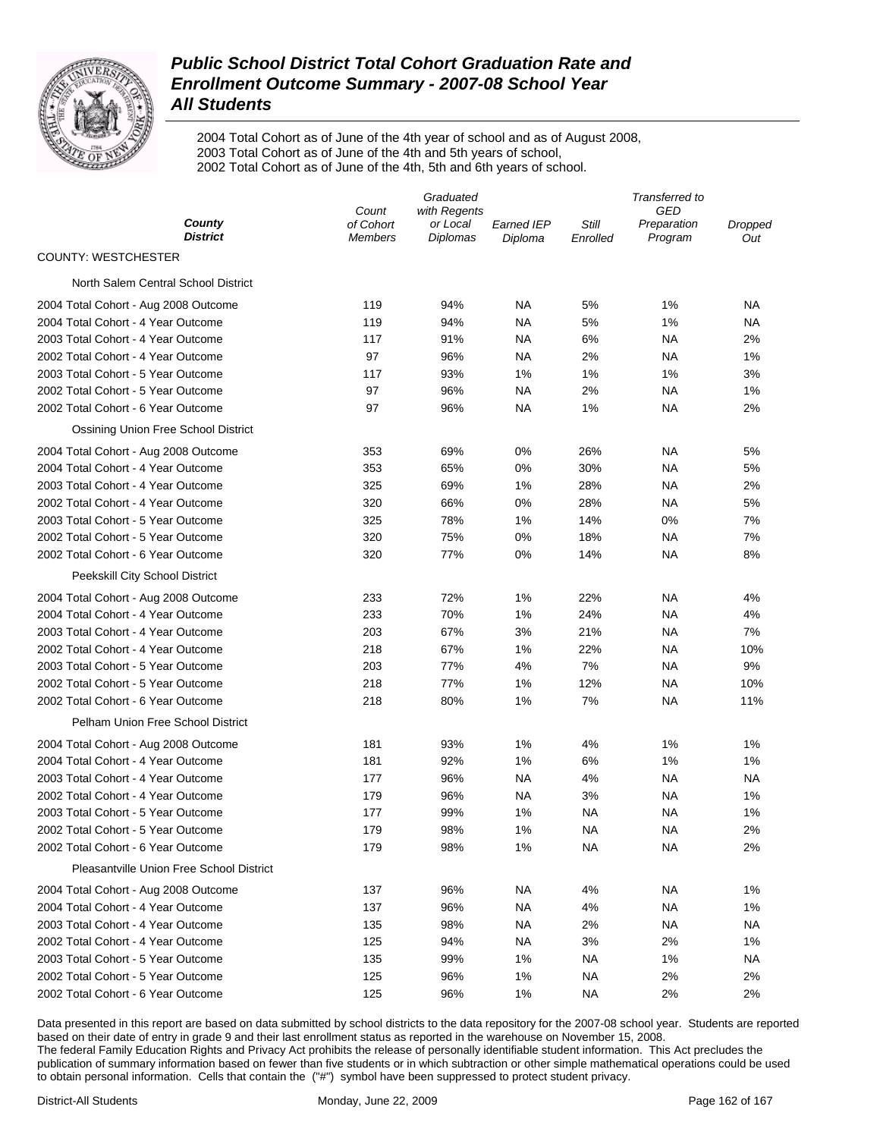

2004 Total Cohort as of June of the 4th year of school and as of August 2008, 2003 Total Cohort as of June of the 4th and 5th years of school, 2002 Total Cohort as of June of the 4th, 5th and 6th years of school.

|                                          | Graduated                   |                             |                       | Transferred to    |                        |                |  |
|------------------------------------------|-----------------------------|-----------------------------|-----------------------|-------------------|------------------------|----------------|--|
|                                          | Count                       | with Regents                |                       |                   | GED                    |                |  |
| County<br><b>District</b>                | of Cohort<br><b>Members</b> | or Local<br><b>Diplomas</b> | Earned IEP<br>Diploma | Still<br>Enrolled | Preparation<br>Program | Dropped<br>Out |  |
| <b>COUNTY: WESTCHESTER</b>               |                             |                             |                       |                   |                        |                |  |
| North Salem Central School District      |                             |                             |                       |                   |                        |                |  |
| 2004 Total Cohort - Aug 2008 Outcome     | 119                         | 94%                         | NA                    | 5%                | 1%                     | NA             |  |
| 2004 Total Cohort - 4 Year Outcome       | 119                         | 94%                         | NA                    | 5%                | 1%                     | NA             |  |
| 2003 Total Cohort - 4 Year Outcome       | 117                         | 91%                         | <b>NA</b>             | 6%                | ΝA                     | 2%             |  |
| 2002 Total Cohort - 4 Year Outcome       | 97                          | 96%                         | NA                    | 2%                | NA                     | 1%             |  |
| 2003 Total Cohort - 5 Year Outcome       | 117                         | 93%                         | 1%                    | 1%                | 1%                     | 3%             |  |
| 2002 Total Cohort - 5 Year Outcome       | 97                          | 96%                         | <b>NA</b>             | 2%                | <b>NA</b>              | 1%             |  |
| 2002 Total Cohort - 6 Year Outcome       | 97                          | 96%                         | NA                    | 1%                | NA                     | 2%             |  |
| Ossining Union Free School District      |                             |                             |                       |                   |                        |                |  |
| 2004 Total Cohort - Aug 2008 Outcome     | 353                         | 69%                         | 0%                    | 26%               | NA                     | 5%             |  |
| 2004 Total Cohort - 4 Year Outcome       | 353                         | 65%                         | $0\%$                 | 30%               | NA                     | 5%             |  |
| 2003 Total Cohort - 4 Year Outcome       | 325                         | 69%                         | 1%                    | 28%               | NA                     | 2%             |  |
| 2002 Total Cohort - 4 Year Outcome       | 320                         | 66%                         | $0\%$                 | 28%               | <b>NA</b>              | 5%             |  |
| 2003 Total Cohort - 5 Year Outcome       | 325                         | 78%                         | 1%                    | 14%               | 0%                     | 7%             |  |
| 2002 Total Cohort - 5 Year Outcome       | 320                         | 75%                         | $0\%$                 | 18%               | NA                     | 7%             |  |
| 2002 Total Cohort - 6 Year Outcome       | 320                         | 77%                         | $0\%$                 | 14%               | <b>NA</b>              | 8%             |  |
| Peekskill City School District           |                             |                             |                       |                   |                        |                |  |
| 2004 Total Cohort - Aug 2008 Outcome     | 233                         | 72%                         | 1%                    | 22%               | NA                     | 4%             |  |
| 2004 Total Cohort - 4 Year Outcome       | 233                         | 70%                         | 1%                    | 24%               | <b>NA</b>              | 4%             |  |
| 2003 Total Cohort - 4 Year Outcome       | 203                         | 67%                         | 3%                    | 21%               | NA                     | 7%             |  |
| 2002 Total Cohort - 4 Year Outcome       | 218                         | 67%                         | 1%                    | 22%               | NA                     | 10%            |  |
| 2003 Total Cohort - 5 Year Outcome       | 203                         | 77%                         | 4%                    | 7%                | <b>NA</b>              | 9%             |  |
| 2002 Total Cohort - 5 Year Outcome       | 218                         | 77%                         | 1%                    | 12%               | <b>NA</b>              | 10%            |  |
| 2002 Total Cohort - 6 Year Outcome       | 218                         | 80%                         | 1%                    | 7%                | <b>NA</b>              | 11%            |  |
| Pelham Union Free School District        |                             |                             |                       |                   |                        |                |  |
| 2004 Total Cohort - Aug 2008 Outcome     | 181                         | 93%                         | 1%                    | 4%                | 1%                     | 1%             |  |
| 2004 Total Cohort - 4 Year Outcome       | 181                         | 92%                         | 1%                    | 6%                | 1%                     | 1%             |  |
| 2003 Total Cohort - 4 Year Outcome       | 177                         | 96%                         | <b>NA</b>             | 4%                | <b>NA</b>              | <b>NA</b>      |  |
| 2002 Total Cohort - 4 Year Outcome       | 179                         | 96%                         | <b>NA</b>             | 3%                | NA                     | 1%             |  |
| 2003 Total Cohort - 5 Year Outcome       | 177                         | 99%                         | 1%                    | <b>NA</b>         | <b>NA</b>              | 1%             |  |
| 2002 Total Cohort - 5 Year Outcome       | 179                         | 98%                         | 1%                    | <b>NA</b>         | <b>NA</b>              | 2%             |  |
| 2002 Total Cohort - 6 Year Outcome       | 179                         | 98%                         | 1%                    | <b>NA</b>         | <b>NA</b>              | 2%             |  |
| Pleasantville Union Free School District |                             |                             |                       |                   |                        |                |  |
| 2004 Total Cohort - Aug 2008 Outcome     | 137                         | 96%                         | <b>NA</b>             | 4%                | <b>NA</b>              | 1%             |  |
| 2004 Total Cohort - 4 Year Outcome       | 137                         | 96%                         | <b>NA</b>             | 4%                | <b>NA</b>              | 1%             |  |
| 2003 Total Cohort - 4 Year Outcome       | 135                         | 98%                         | <b>NA</b>             | 2%                | <b>NA</b>              | <b>NA</b>      |  |
| 2002 Total Cohort - 4 Year Outcome       | 125                         | 94%                         | <b>NA</b>             | 3%                | 2%                     | 1%             |  |
| 2003 Total Cohort - 5 Year Outcome       | 135                         | 99%                         | 1%                    | <b>NA</b>         | 1%                     | <b>NA</b>      |  |
| 2002 Total Cohort - 5 Year Outcome       | 125                         | 96%                         | 1%                    | <b>NA</b>         | 2%                     | 2%             |  |
| 2002 Total Cohort - 6 Year Outcome       | 125                         | 96%                         | 1%                    | <b>NA</b>         | 2%                     | 2%             |  |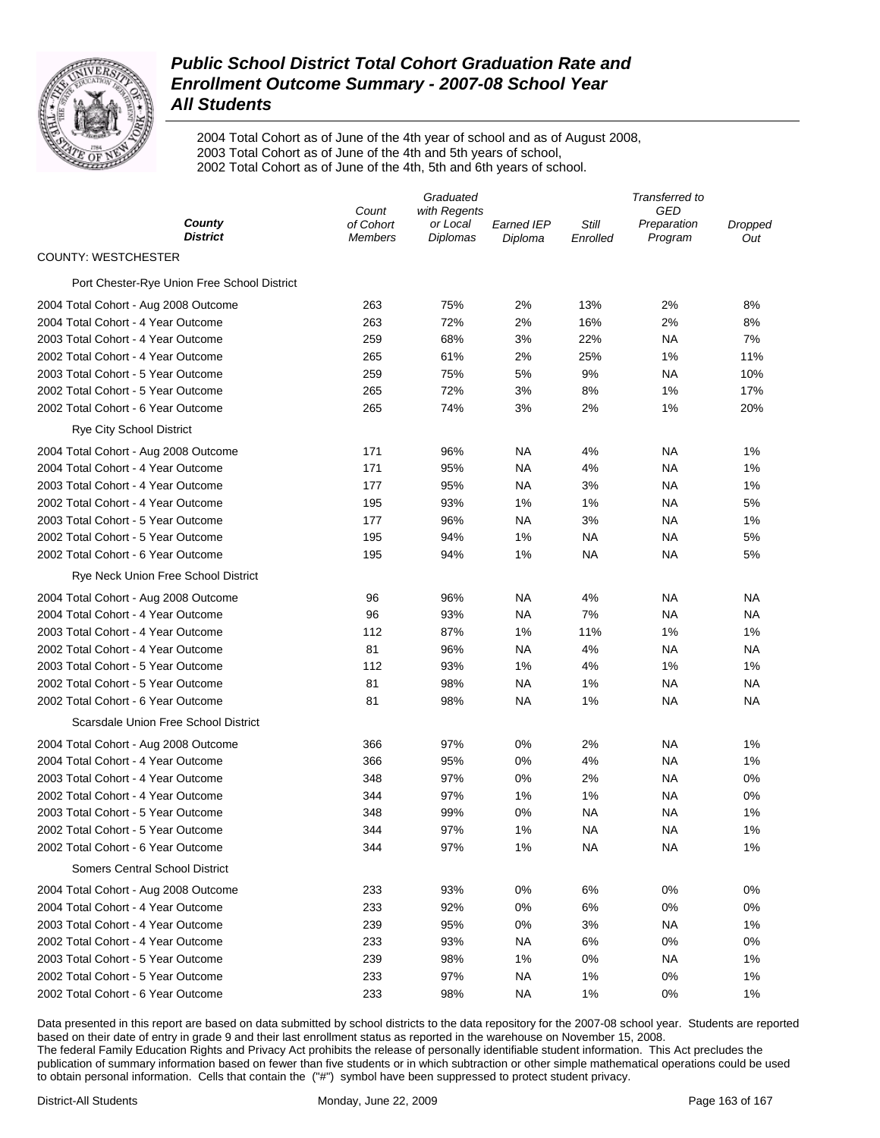

2004 Total Cohort as of June of the 4th year of school and as of August 2008, 2003 Total Cohort as of June of the 4th and 5th years of school, 2002 Total Cohort as of June of the 4th, 5th and 6th years of school.

|                                             | Graduated                   |                             |                       | Transferred to    |                        |                |  |
|---------------------------------------------|-----------------------------|-----------------------------|-----------------------|-------------------|------------------------|----------------|--|
|                                             | Count                       | with Regents                |                       |                   | GED                    |                |  |
| County<br><b>District</b>                   | of Cohort<br><b>Members</b> | or Local<br><b>Diplomas</b> | Earned IEP<br>Diploma | Still<br>Enrolled | Preparation<br>Program | Dropped<br>Out |  |
| <b>COUNTY: WESTCHESTER</b>                  |                             |                             |                       |                   |                        |                |  |
| Port Chester-Rye Union Free School District |                             |                             |                       |                   |                        |                |  |
| 2004 Total Cohort - Aug 2008 Outcome        | 263                         | 75%                         | 2%                    | 13%               | 2%                     | 8%             |  |
| 2004 Total Cohort - 4 Year Outcome          | 263                         | 72%                         | 2%                    | 16%               | 2%                     | 8%             |  |
| 2003 Total Cohort - 4 Year Outcome          | 259                         | 68%                         | 3%                    | 22%               | ΝA                     | 7%             |  |
| 2002 Total Cohort - 4 Year Outcome          | 265                         | 61%                         | 2%                    | 25%               | 1%                     | 11%            |  |
| 2003 Total Cohort - 5 Year Outcome          | 259                         | 75%                         | 5%                    | 9%                | ΝA                     | 10%            |  |
| 2002 Total Cohort - 5 Year Outcome          | 265                         | 72%                         | 3%                    | 8%                | 1%                     | 17%            |  |
| 2002 Total Cohort - 6 Year Outcome          | 265                         | 74%                         | 3%                    | 2%                | 1%                     | 20%            |  |
| <b>Rye City School District</b>             |                             |                             |                       |                   |                        |                |  |
| 2004 Total Cohort - Aug 2008 Outcome        | 171                         | 96%                         | NA                    | 4%                | ΝA                     | 1%             |  |
| 2004 Total Cohort - 4 Year Outcome          | 171                         | 95%                         | NA                    | 4%                | ΝA                     | 1%             |  |
| 2003 Total Cohort - 4 Year Outcome          | 177                         | 95%                         | NA                    | 3%                | ΝA                     | 1%             |  |
| 2002 Total Cohort - 4 Year Outcome          | 195                         | 93%                         | 1%                    | 1%                | ΝA                     | 5%             |  |
| 2003 Total Cohort - 5 Year Outcome          | 177                         | 96%                         | NA                    | 3%                | ΝA                     | 1%             |  |
| 2002 Total Cohort - 5 Year Outcome          | 195                         | 94%                         | 1%                    | ΝA                | ΝA                     | 5%             |  |
| 2002 Total Cohort - 6 Year Outcome          | 195                         | 94%                         | 1%                    | ΝA                | ΝA                     | 5%             |  |
| Rye Neck Union Free School District         |                             |                             |                       |                   |                        |                |  |
| 2004 Total Cohort - Aug 2008 Outcome        | 96                          | 96%                         | NA                    | 4%                | ΝA                     | ΝA             |  |
| 2004 Total Cohort - 4 Year Outcome          | 96                          | 93%                         | NA                    | 7%                | ΝA                     | ΝA             |  |
| 2003 Total Cohort - 4 Year Outcome          | 112                         | 87%                         | 1%                    | 11%               | 1%                     | 1%             |  |
| 2002 Total Cohort - 4 Year Outcome          | 81                          | 96%                         | NA                    | 4%                | NA                     | ΝA             |  |
| 2003 Total Cohort - 5 Year Outcome          | 112                         | 93%                         | 1%                    | 4%                | 1%                     | 1%             |  |
| 2002 Total Cohort - 5 Year Outcome          | 81                          | 98%                         | NA                    | 1%                | ΝA                     | ΝA             |  |
| 2002 Total Cohort - 6 Year Outcome          | 81                          | 98%                         | NA                    | 1%                | NA                     | NA             |  |
| Scarsdale Union Free School District        |                             |                             |                       |                   |                        |                |  |
| 2004 Total Cohort - Aug 2008 Outcome        | 366                         | 97%                         | 0%                    | 2%                | NA                     | 1%             |  |
| 2004 Total Cohort - 4 Year Outcome          | 366                         | 95%                         | 0%                    | 4%                | <b>NA</b>              | 1%             |  |
| 2003 Total Cohort - 4 Year Outcome          | 348                         | 97%                         | $0\%$                 | 2%                | <b>NA</b>              | 0%             |  |
| 2002 Total Cohort - 4 Year Outcome          | 344                         | 97%                         | 1%                    | 1%                | NA                     | 0%             |  |
| 2003 Total Cohort - 5 Year Outcome          | 348                         | 99%                         | 0%                    | NA                | NA                     | 1%             |  |
| 2002 Total Cohort - 5 Year Outcome          | 344                         | 97%                         | 1%                    | NA                | NA                     | 1%             |  |
| 2002 Total Cohort - 6 Year Outcome          | 344                         | 97%                         | 1%                    | <b>NA</b>         | <b>NA</b>              | 1%             |  |
| <b>Somers Central School District</b>       |                             |                             |                       |                   |                        |                |  |
| 2004 Total Cohort - Aug 2008 Outcome        | 233                         | 93%                         | 0%                    | 6%                | 0%                     | 0%             |  |
| 2004 Total Cohort - 4 Year Outcome          | 233                         | 92%                         | 0%                    | 6%                | 0%                     | 0%             |  |
| 2003 Total Cohort - 4 Year Outcome          | 239                         | 95%                         | 0%                    | 3%                | <b>NA</b>              | 1%             |  |
| 2002 Total Cohort - 4 Year Outcome          | 233                         | 93%                         | NA                    | 6%                | 0%                     | 0%             |  |
| 2003 Total Cohort - 5 Year Outcome          | 239                         | 98%                         | 1%                    | 0%                | <b>NA</b>              | 1%             |  |
| 2002 Total Cohort - 5 Year Outcome          | 233                         | 97%                         | <b>NA</b>             | $1\%$             | 0%                     | 1%             |  |
| 2002 Total Cohort - 6 Year Outcome          | 233                         | 98%                         | <b>NA</b>             | 1%                | 0%                     | 1%             |  |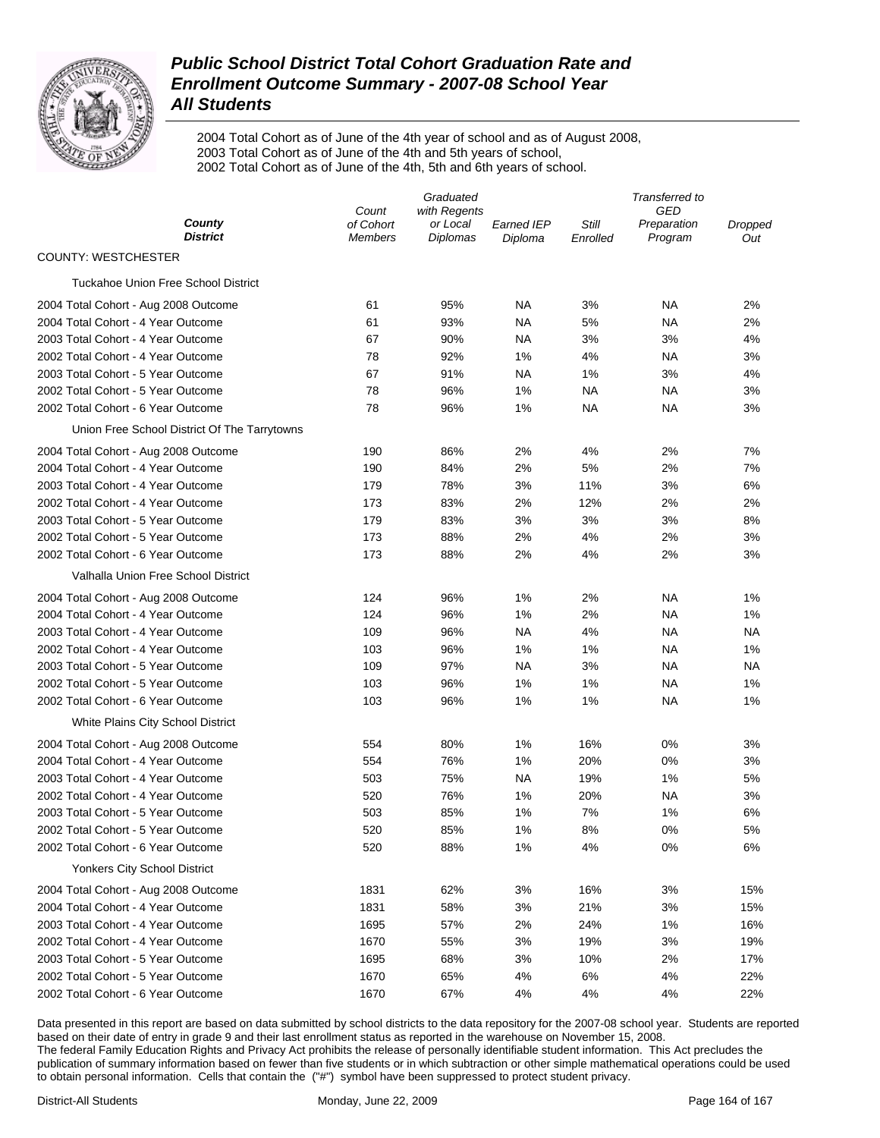

2004 Total Cohort as of June of the 4th year of school and as of August 2008, 2003 Total Cohort as of June of the 4th and 5th years of school, 2002 Total Cohort as of June of the 4th, 5th and 6th years of school.

|                                                                            | Graduated            |                             |                              | Transferred to    |                        |                |  |
|----------------------------------------------------------------------------|----------------------|-----------------------------|------------------------------|-------------------|------------------------|----------------|--|
|                                                                            | Count                | with Regents                |                              |                   | GED                    |                |  |
| County<br><b>District</b>                                                  | of Cohort<br>Members | or Local<br><b>Diplomas</b> | <b>Earned IEP</b><br>Diploma | Still<br>Enrolled | Preparation<br>Program | Dropped<br>Out |  |
| <b>COUNTY: WESTCHESTER</b>                                                 |                      |                             |                              |                   |                        |                |  |
| <b>Tuckahoe Union Free School District</b>                                 |                      |                             |                              |                   |                        |                |  |
| 2004 Total Cohort - Aug 2008 Outcome                                       | 61                   | 95%                         | ΝA                           | 3%                | NА                     | 2%             |  |
| 2004 Total Cohort - 4 Year Outcome                                         | 61                   | 93%                         | NA                           | 5%                | <b>NA</b>              | 2%             |  |
| 2003 Total Cohort - 4 Year Outcome                                         | 67                   | 90%                         | <b>NA</b>                    | 3%                | 3%                     | 4%             |  |
| 2002 Total Cohort - 4 Year Outcome                                         | 78                   | 92%                         | 1%                           | 4%                | <b>NA</b>              | 3%             |  |
| 2003 Total Cohort - 5 Year Outcome                                         | 67                   | 91%                         | ΝA                           | 1%                | 3%                     | 4%             |  |
| 2002 Total Cohort - 5 Year Outcome                                         | 78                   | 96%                         | 1%                           | NA                | <b>NA</b>              | 3%             |  |
| 2002 Total Cohort - 6 Year Outcome                                         | 78                   | 96%                         | 1%                           | NA                | <b>NA</b>              | 3%             |  |
| Union Free School District Of The Tarrytowns                               |                      |                             |                              |                   |                        |                |  |
| 2004 Total Cohort - Aug 2008 Outcome                                       | 190                  | 86%                         | 2%                           | 4%                | 2%                     | 7%             |  |
| 2004 Total Cohort - 4 Year Outcome                                         | 190                  | 84%                         | 2%                           | 5%                | 2%                     | 7%             |  |
| 2003 Total Cohort - 4 Year Outcome                                         | 179                  | 78%                         | 3%                           | 11%               | 3%                     | 6%             |  |
| 2002 Total Cohort - 4 Year Outcome                                         | 173                  | 83%                         | 2%                           | 12%               | 2%                     | 2%             |  |
| 2003 Total Cohort - 5 Year Outcome                                         | 179                  | 83%                         | 3%                           | 3%                | 3%                     | 8%             |  |
| 2002 Total Cohort - 5 Year Outcome                                         | 173                  | 88%                         | 2%                           | 4%                | 2%                     | 3%             |  |
| 2002 Total Cohort - 6 Year Outcome                                         | 173                  | 88%                         | 2%                           | 4%                | 2%                     | 3%             |  |
| Valhalla Union Free School District                                        |                      |                             |                              |                   |                        |                |  |
| 2004 Total Cohort - Aug 2008 Outcome                                       | 124                  | 96%                         | 1%                           | 2%                | NА                     | 1%             |  |
| 2004 Total Cohort - 4 Year Outcome                                         | 124                  | 96%                         | 1%                           | 2%                | <b>NA</b>              | 1%             |  |
| 2003 Total Cohort - 4 Year Outcome                                         | 109                  | 96%                         | NA                           | 4%                | <b>NA</b>              | NA             |  |
| 2002 Total Cohort - 4 Year Outcome                                         | 103                  | 96%                         | 1%                           | 1%                | <b>NA</b>              | 1%             |  |
| 2003 Total Cohort - 5 Year Outcome                                         | 109                  | 97%                         | NA                           | 3%                | <b>NA</b>              | NA             |  |
| 2002 Total Cohort - 5 Year Outcome                                         | 103                  | 96%                         | 1%                           | 1%                | <b>NA</b>              | 1%             |  |
| 2002 Total Cohort - 6 Year Outcome                                         | 103                  | 96%                         | 1%                           | 1%                | <b>NA</b>              | 1%             |  |
| White Plains City School District                                          |                      |                             |                              |                   |                        |                |  |
| 2004 Total Cohort - Aug 2008 Outcome                                       | 554                  | 80%                         | 1%                           | 16%               | 0%                     | 3%             |  |
| 2004 Total Cohort - 4 Year Outcome                                         | 554                  | 76%                         | 1%                           | 20%               | 0%                     | 3%             |  |
| 2003 Total Cohort - 4 Year Outcome                                         | 503                  | 75%                         | <b>NA</b>                    | 19%               | 1%                     | 5%             |  |
| 2002 Total Cohort - 4 Year Outcome                                         | 520                  | 76%                         | 1%                           | 20%               | <b>NA</b>              | 3%             |  |
| 2003 Total Cohort - 5 Year Outcome                                         | 503                  | 85%                         | 1%                           | 7%                | 1%                     | 6%             |  |
| 2002 Total Cohort - 5 Year Outcome                                         | 520                  | 85%                         | 1%                           | 8%                | 0%                     | 5%             |  |
| 2002 Total Cohort - 6 Year Outcome                                         | 520                  | 88%                         | 1%                           | 4%                | 0%                     | 6%             |  |
| Yonkers City School District                                               |                      |                             |                              |                   |                        |                |  |
|                                                                            | 1831                 | 62%                         | 3%                           | 16%               | 3%                     | 15%            |  |
| 2004 Total Cohort - Aug 2008 Outcome<br>2004 Total Cohort - 4 Year Outcome | 1831                 | 58%                         | 3%                           | 21%               | 3%                     | 15%            |  |
|                                                                            |                      |                             |                              |                   |                        |                |  |
| 2003 Total Cohort - 4 Year Outcome<br>2002 Total Cohort - 4 Year Outcome   | 1695<br>1670         | 57%<br>55%                  | 2%<br>3%                     | 24%<br>19%        | 1%<br>3%               | 16%<br>19%     |  |
| 2003 Total Cohort - 5 Year Outcome                                         | 1695                 | 68%                         | 3%                           | 10%               | 2%                     | 17%            |  |
| 2002 Total Cohort - 5 Year Outcome                                         | 1670                 | 65%                         | 4%                           | 6%                | 4%                     | 22%            |  |
| 2002 Total Cohort - 6 Year Outcome                                         | 1670                 | 67%                         | 4%                           | 4%                | 4%                     | 22%            |  |
|                                                                            |                      |                             |                              |                   |                        |                |  |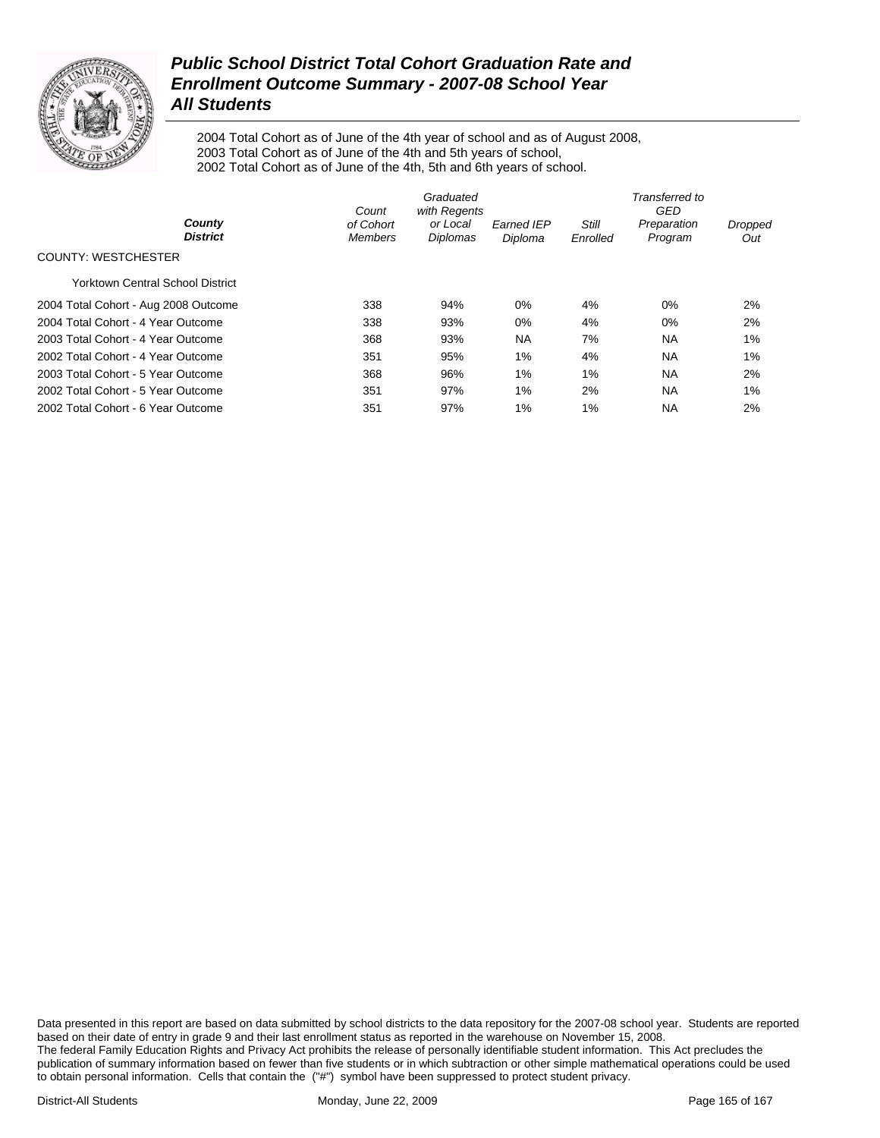

2004 Total Cohort as of June of the 4th year of school and as of August 2008, 2003 Total Cohort as of June of the 4th and 5th years of school, 2002 Total Cohort as of June of the 4th, 5th and 6th years of school.

|                                         | Count                       | Graduated<br>with Regents |                              |                          | Transferred to<br>GED  |                |
|-----------------------------------------|-----------------------------|---------------------------|------------------------------|--------------------------|------------------------|----------------|
| County<br><b>District</b>               | of Cohort<br><b>Members</b> | or Local<br>Diplomas      | <b>Earned IEP</b><br>Diploma | <b>Still</b><br>Enrolled | Preparation<br>Program | Dropped<br>Out |
| COUNTY: WESTCHESTER                     |                             |                           |                              |                          |                        |                |
| <b>Yorktown Central School District</b> |                             |                           |                              |                          |                        |                |
| 2004 Total Cohort - Aug 2008 Outcome    | 338                         | 94%                       | 0%                           | 4%                       | 0%                     | 2%             |
| 2004 Total Cohort - 4 Year Outcome      | 338                         | 93%                       | 0%                           | 4%                       | $0\%$                  | 2%             |
| 2003 Total Cohort - 4 Year Outcome      | 368                         | 93%                       | <b>NA</b>                    | 7%                       | <b>NA</b>              | 1%             |
| 2002 Total Cohort - 4 Year Outcome      | 351                         | 95%                       | 1%                           | 4%                       | <b>NA</b>              | 1%             |
| 2003 Total Cohort - 5 Year Outcome      | 368                         | 96%                       | 1%                           | 1%                       | <b>NA</b>              | 2%             |
| 2002 Total Cohort - 5 Year Outcome      | 351                         | 97%                       | 1%                           | 2%                       | <b>NA</b>              | 1%             |
| 2002 Total Cohort - 6 Year Outcome      | 351                         | 97%                       | 1%                           | 1%                       | <b>NA</b>              | 2%             |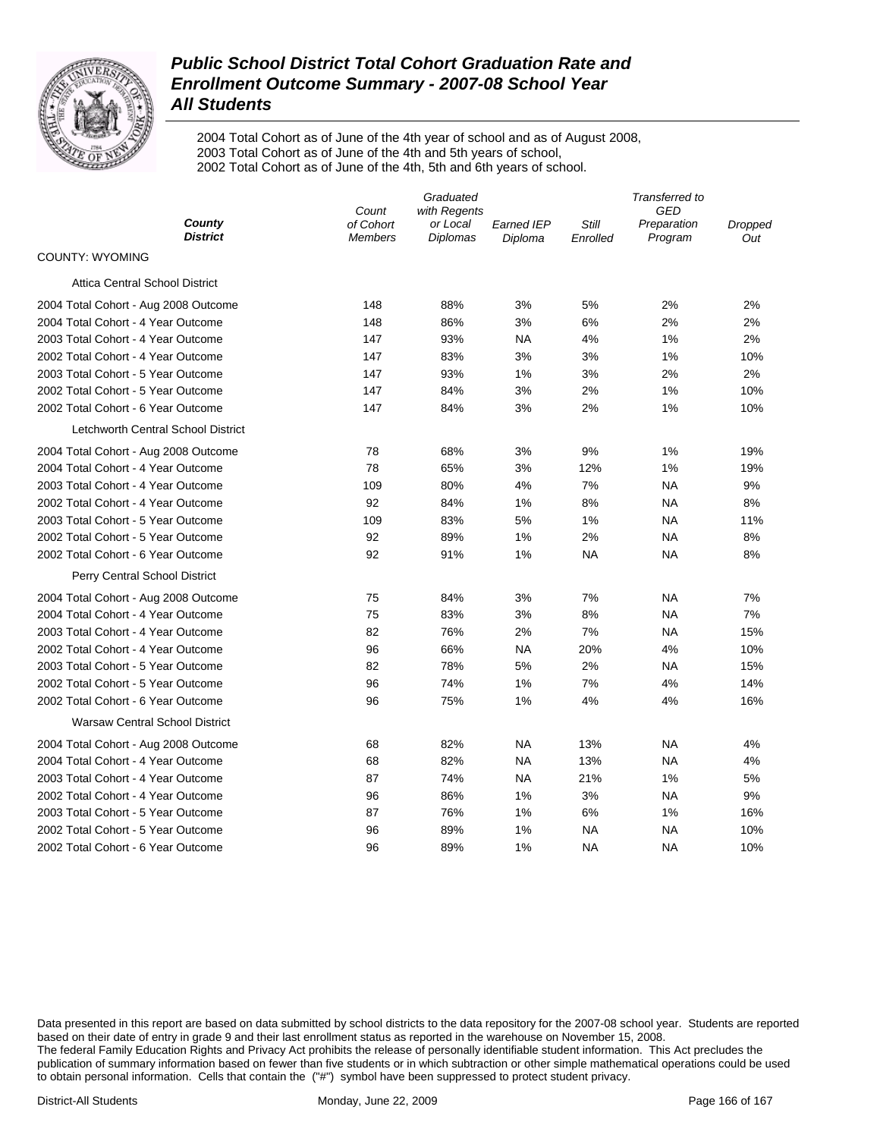

2004 Total Cohort as of June of the 4th year of school and as of August 2008, 2003 Total Cohort as of June of the 4th and 5th years of school, 2002 Total Cohort as of June of the 4th, 5th and 6th years of school.

|                                       | Graduated<br>with Regents<br>Count |          |                   | Transferred to<br><b>GED</b> |             |         |
|---------------------------------------|------------------------------------|----------|-------------------|------------------------------|-------------|---------|
| County                                | of Cohort                          | or Local | <b>Earned IEP</b> | Still                        | Preparation | Dropped |
| <b>District</b>                       | <b>Members</b>                     | Diplomas | Diploma           | Enrolled                     | Program     | Out     |
| <b>COUNTY: WYOMING</b>                |                                    |          |                   |                              |             |         |
| <b>Attica Central School District</b> |                                    |          |                   |                              |             |         |
| 2004 Total Cohort - Aug 2008 Outcome  | 148                                | 88%      | 3%                | 5%                           | 2%          | 2%      |
| 2004 Total Cohort - 4 Year Outcome    | 148                                | 86%      | 3%                | 6%                           | 2%          | 2%      |
| 2003 Total Cohort - 4 Year Outcome    | 147                                | 93%      | <b>NA</b>         | 4%                           | 1%          | 2%      |
| 2002 Total Cohort - 4 Year Outcome    | 147                                | 83%      | 3%                | 3%                           | 1%          | 10%     |
| 2003 Total Cohort - 5 Year Outcome    | 147                                | 93%      | 1%                | 3%                           | 2%          | 2%      |
| 2002 Total Cohort - 5 Year Outcome    | 147                                | 84%      | 3%                | 2%                           | 1%          | 10%     |
| 2002 Total Cohort - 6 Year Outcome    | 147                                | 84%      | 3%                | 2%                           | 1%          | 10%     |
| Letchworth Central School District    |                                    |          |                   |                              |             |         |
| 2004 Total Cohort - Aug 2008 Outcome  | 78                                 | 68%      | 3%                | 9%                           | 1%          | 19%     |
| 2004 Total Cohort - 4 Year Outcome    | 78                                 | 65%      | 3%                | 12%                          | 1%          | 19%     |
| 2003 Total Cohort - 4 Year Outcome    | 109                                | 80%      | 4%                | 7%                           | <b>NA</b>   | 9%      |
| 2002 Total Cohort - 4 Year Outcome    | 92                                 | 84%      | 1%                | 8%                           | <b>NA</b>   | 8%      |
| 2003 Total Cohort - 5 Year Outcome    | 109                                | 83%      | 5%                | 1%                           | NA          | 11%     |
| 2002 Total Cohort - 5 Year Outcome    | 92                                 | 89%      | 1%                | 2%                           | NA          | 8%      |
| 2002 Total Cohort - 6 Year Outcome    | 92                                 | 91%      | 1%                | <b>NA</b>                    | <b>NA</b>   | 8%      |
| Perry Central School District         |                                    |          |                   |                              |             |         |
| 2004 Total Cohort - Aug 2008 Outcome  | 75                                 | 84%      | 3%                | 7%                           | NA          | 7%      |
| 2004 Total Cohort - 4 Year Outcome    | 75                                 | 83%      | 3%                | 8%                           | <b>NA</b>   | 7%      |
| 2003 Total Cohort - 4 Year Outcome    | 82                                 | 76%      | 2%                | 7%                           | <b>NA</b>   | 15%     |
| 2002 Total Cohort - 4 Year Outcome    | 96                                 | 66%      | <b>NA</b>         | 20%                          | 4%          | 10%     |
| 2003 Total Cohort - 5 Year Outcome    | 82                                 | 78%      | 5%                | 2%                           | NA          | 15%     |
| 2002 Total Cohort - 5 Year Outcome    | 96                                 | 74%      | 1%                | 7%                           | 4%          | 14%     |
| 2002 Total Cohort - 6 Year Outcome    | 96                                 | 75%      | 1%                | 4%                           | 4%          | 16%     |
| <b>Warsaw Central School District</b> |                                    |          |                   |                              |             |         |
| 2004 Total Cohort - Aug 2008 Outcome  | 68                                 | 82%      | <b>NA</b>         | 13%                          | NA          | 4%      |
| 2004 Total Cohort - 4 Year Outcome    | 68                                 | 82%      | <b>NA</b>         | 13%                          | NA          | 4%      |
| 2003 Total Cohort - 4 Year Outcome    | 87                                 | 74%      | <b>NA</b>         | 21%                          | 1%          | 5%      |
| 2002 Total Cohort - 4 Year Outcome    | 96                                 | 86%      | 1%                | 3%                           | <b>NA</b>   | 9%      |
| 2003 Total Cohort - 5 Year Outcome    | 87                                 | 76%      | 1%                | 6%                           | 1%          | 16%     |
| 2002 Total Cohort - 5 Year Outcome    | 96                                 | 89%      | 1%                | ΝA                           | NA          | 10%     |
| 2002 Total Cohort - 6 Year Outcome    | 96                                 | 89%      | 1%                | NA                           | <b>NA</b>   | 10%     |